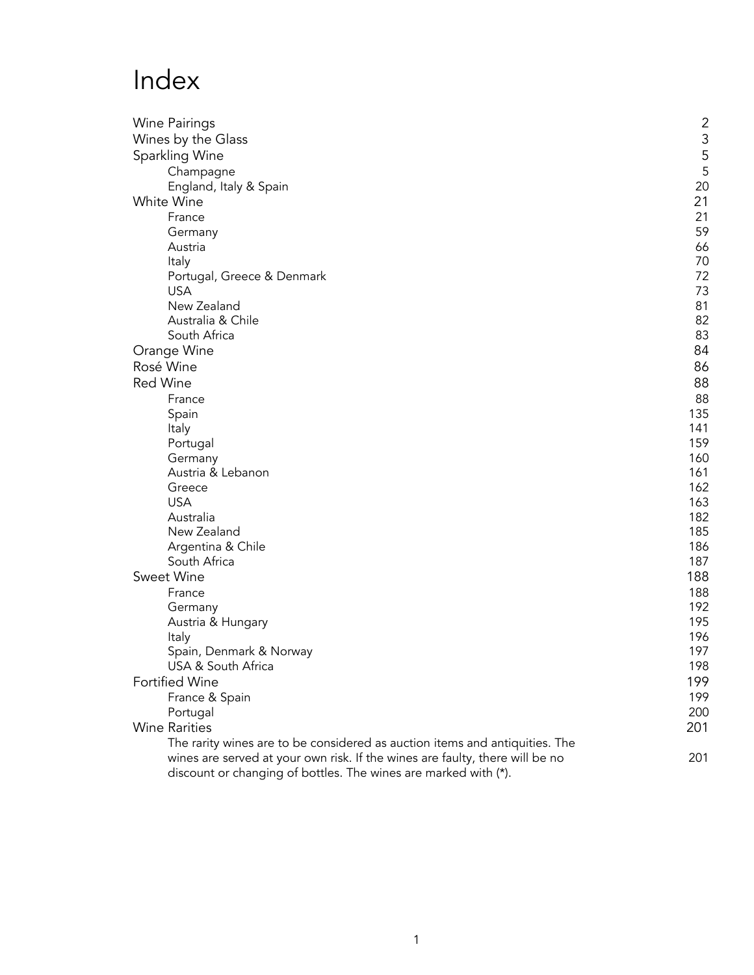# Index

| Wine Pairings                                                                | $\overline{c}$ |
|------------------------------------------------------------------------------|----------------|
| Wines by the Glass                                                           | 3              |
| Sparkling Wine                                                               | 5              |
| Champagne                                                                    | 5              |
| England, Italy & Spain                                                       | 20             |
| White Wine                                                                   | 21             |
| France                                                                       | 21             |
| Germany                                                                      | 59             |
| Austria                                                                      | 66             |
| Italy                                                                        | 70             |
| Portugal, Greece & Denmark                                                   | 72             |
| <b>USA</b>                                                                   | 73             |
| New Zealand                                                                  | 81             |
| Australia & Chile                                                            | 82             |
| South Africa                                                                 | 83             |
| Orange Wine                                                                  | 84             |
| Rosé Wine                                                                    | 86             |
| <b>Red Wine</b>                                                              | 88             |
| France                                                                       | 88             |
| Spain                                                                        | 135            |
| Italy                                                                        | 141            |
| Portugal                                                                     | 159            |
| Germany                                                                      | 160            |
| Austria & Lebanon                                                            | 161            |
| Greece                                                                       | 162            |
| <b>USA</b>                                                                   | 163            |
| Australia                                                                    | 182            |
| New Zealand                                                                  | 185            |
| Argentina & Chile<br>South Africa                                            | 186            |
| Sweet Wine                                                                   | 187            |
|                                                                              | 188            |
| France                                                                       | 188<br>192     |
| Germany                                                                      | 195            |
| Austria & Hungary<br>Italy                                                   | 196            |
| Spain, Denmark & Norway                                                      | 197            |
| USA & South Africa                                                           | 198            |
| <b>Fortified Wine</b>                                                        | 199            |
| France & Spain                                                               | 199            |
| Portugal                                                                     | 200            |
| <b>Wine Rarities</b>                                                         | 201            |
| The rarity wines are to be considered as auction items and antiquities. The  |                |
| wines are served at your own risk. If the wines are faulty, there will be no | 201            |
| discount or changing of bottles. The wines are marked with (*).              |                |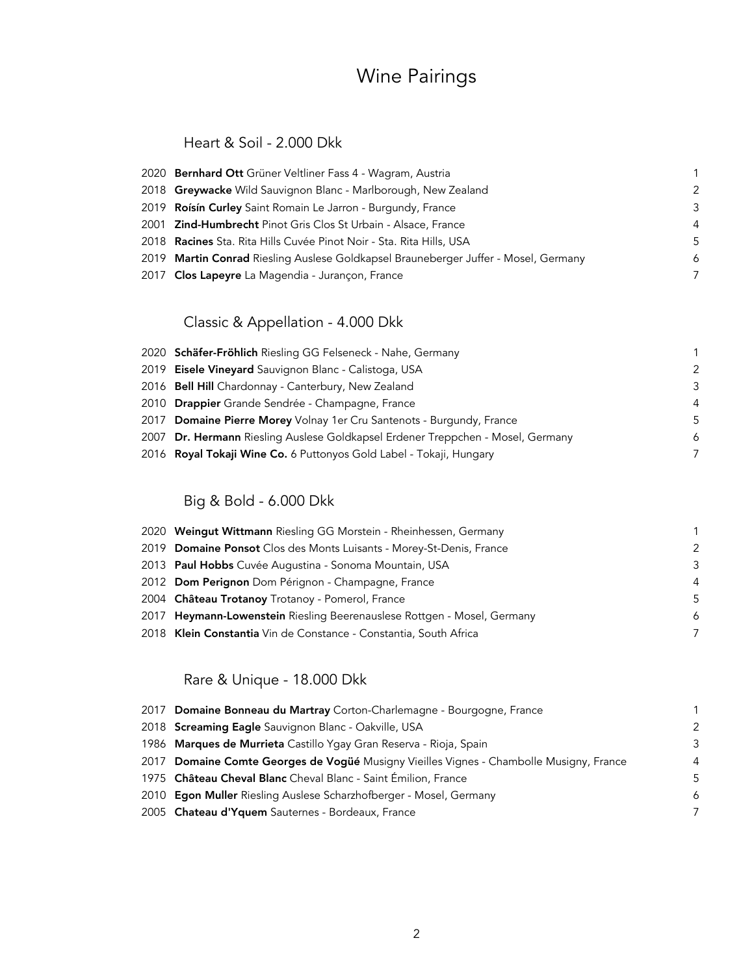## Wine Pairings

#### Heart & Soil - 2.000 Dkk

| 2020 Bernhard Ott Grüner Veltliner Fass 4 - Wagram, Austria                         | 1             |
|-------------------------------------------------------------------------------------|---------------|
| 2018 Greywacke Wild Sauvignon Blanc - Marlborough, New Zealand                      | $\mathcal{P}$ |
| 2019 Roisin Curley Saint Romain Le Jarron - Burgundy, France                        | $\mathcal{B}$ |
| 2001 Zind-Humbrecht Pinot Gris Clos St Urbain - Alsace, France                      | 4             |
| 2018 <b>Racines</b> Sta. Rita Hills Cuvée Pinot Noir - Sta. Rita Hills, USA         | .5            |
| 2019 Martin Conrad Riesling Auslese Goldkapsel Brauneberger Juffer - Mosel, Germany | 6             |
| 2017 Clos Lapeyre La Magendia - Jurançon, France                                    | 7             |

### Classic & Appellation - 4.000 Dkk

| 2020 Schäfer-Fröhlich Riesling GG Felseneck - Nahe, Germany                     |                |
|---------------------------------------------------------------------------------|----------------|
| 2019 Eisele Vineyard Sauvignon Blanc - Calistoga, USA                           | -2             |
| 2016 Bell Hill Chardonnay - Canterbury, New Zealand                             | -3             |
| 2010 Drappier Grande Sendrée - Champagne, France                                | $\overline{4}$ |
| 2017 Domaine Pierre Morey Volnay 1er Cru Santenots - Burgundy, France           | -5             |
| 2007 Dr. Hermann Riesling Auslese Goldkapsel Erdener Treppchen - Mosel, Germany | 6              |
| 2016 Royal Tokaji Wine Co. 6 Puttonyos Gold Label - Tokaji, Hungary             | 7              |
|                                                                                 |                |

### Big & Bold - 6.000 Dkk

| 2020 Weingut Wittmann Riesling GG Morstein - Rheinhessen, Germany       |                |
|-------------------------------------------------------------------------|----------------|
| 2019 Domaine Ponsot Clos des Monts Luisants - Morey-St-Denis, France    | -2             |
| 2013 Paul Hobbs Cuvée Augustina - Sonoma Mountain, USA                  | -3             |
| 2012 Dom Perignon Dom Pérignon - Champagne, France                      | $\overline{4}$ |
| 2004 Château Trotanoy Trotanoy - Pomerol, France                        | -5             |
| 2017 Heymann-Lowenstein Riesling Beerenauslese Rottgen - Mosel, Germany | 6              |
| 2018 Klein Constantia Vin de Constance - Constantia, South Africa       | -7             |

### Rare & Unique - 18.000 Dkk

| 2017 Domaine Bonneau du Martray Corton-Charlemagne - Bourgogne, France                  |                |
|-----------------------------------------------------------------------------------------|----------------|
| 2018 Screaming Eagle Sauvignon Blanc - Oakville, USA                                    | -2             |
| 1986 Marques de Murrieta Castillo Ygay Gran Reserva - Rioja, Spain                      | -3             |
| 2017 Domaine Comte Georges de Vogüé Musigny Vieilles Vignes - Chambolle Musigny, France | $\overline{4}$ |
| 1975 Château Cheval Blanc Cheval Blanc - Saint Émilion, France                          | -5             |
| 2010 <b>Egon Muller</b> Riesling Auslese Scharzhofberger - Mosel, Germany               | 6              |
| 2005 Chateau d'Yquem Sauternes - Bordeaux, France                                       | -7             |
|                                                                                         |                |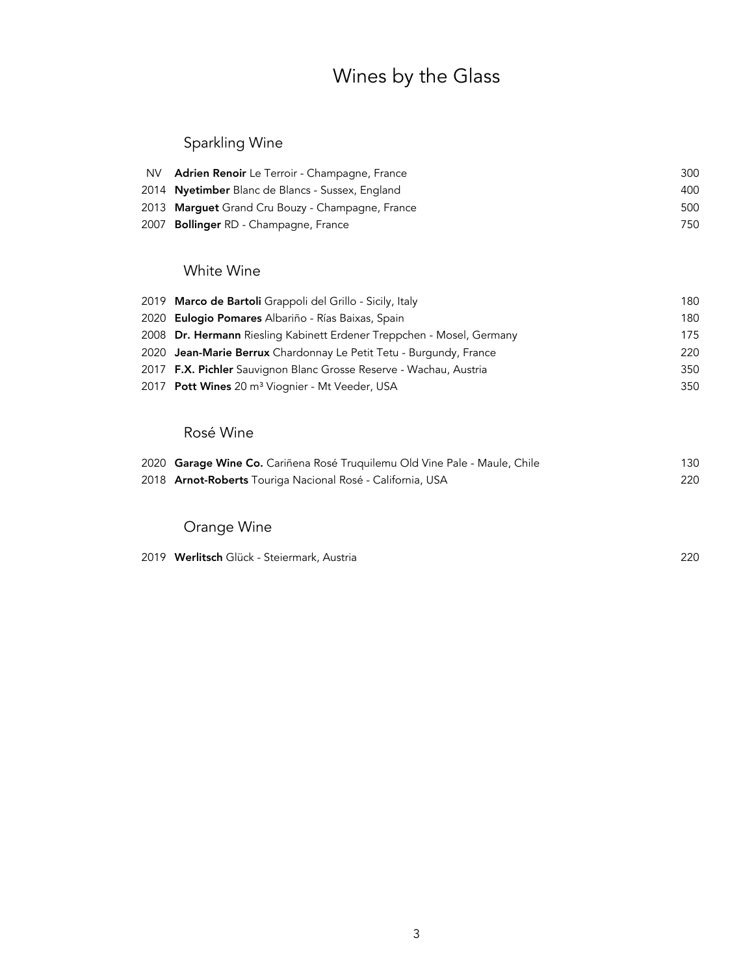## Wines by the Glass

### Sparkling Wine

| NV. | <b>Adrien Renoir</b> Le Terroir - Champagne, France | 300 |
|-----|-----------------------------------------------------|-----|
|     | 2014 Nyetimber Blanc de Blancs - Sussex, England    | 400 |
|     | 2013 Marguet Grand Cru Bouzy - Champagne, France    | 500 |
|     | 2007 Bollinger RD - Champagne, France               | 750 |

### White Wine

| 2019 Marco de Bartoli Grappoli del Grillo - Sicily, Italy             | 180 |
|-----------------------------------------------------------------------|-----|
| 2020 Eulogio Pomares Albariño - Rías Baixas, Spain                    | 180 |
| 2008 Dr. Hermann Riesling Kabinett Erdener Treppchen - Mosel, Germany | 175 |
| 2020 Jean-Marie Berrux Chardonnay Le Petit Tetu - Burgundy, France    | 220 |
| 2017 F.X. Pichler Sauvignon Blanc Grosse Reserve - Wachau, Austria    | 350 |
| 2017 Pott Wines 20 m <sup>3</sup> Viognier - Mt Veeder, USA           | 350 |

### Rosé Wine

| 2020 Garage Wine Co. Cariñena Rosé Truquilemu Old Vine Pale - Maule, Chile | 130 |
|----------------------------------------------------------------------------|-----|
| 2018 Arnot-Roberts Touriga Nacional Rosé - California, USA                 | 220 |

### Orange Wine

Werlitsch Glück - Steiermark, Austria 220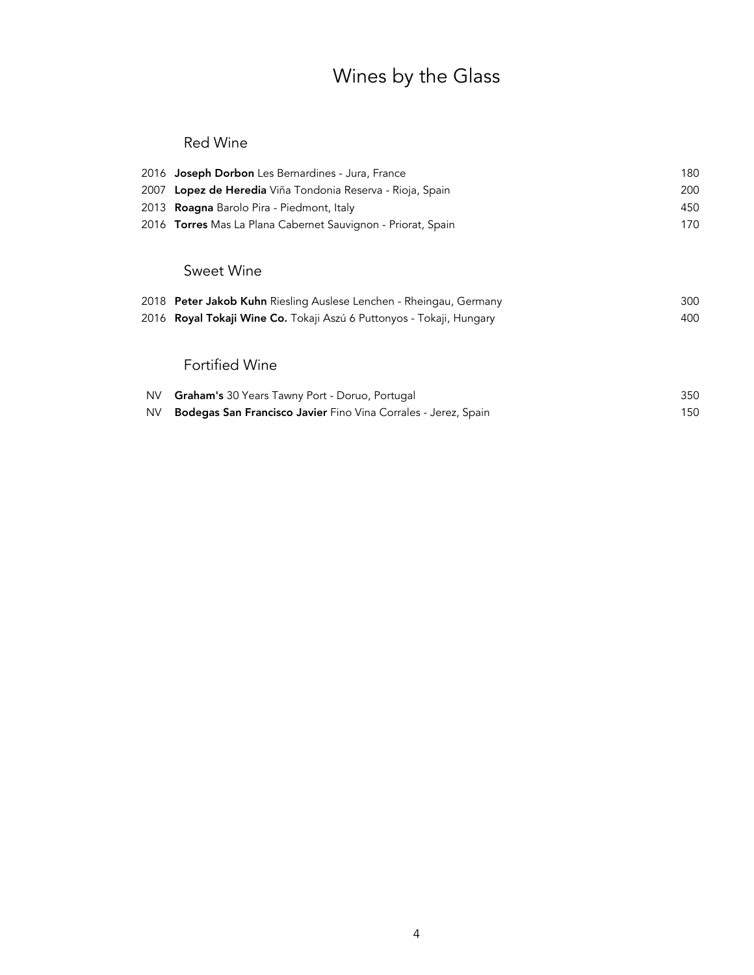# Wines by the Glass

### Red Wine

|           | 2016 Joseph Dorbon Les Bernardines - Jura, France                           | 180 |
|-----------|-----------------------------------------------------------------------------|-----|
| 2007      | Lopez de Heredia Viña Tondonia Reserva - Rioja, Spain                       | 200 |
|           | 2013 <b>Roagna</b> Barolo Pira - Piedmont, Italy                            | 450 |
|           | 2016 Torres Mas La Plana Cabernet Sauvignon - Priorat, Spain                | 170 |
|           |                                                                             |     |
|           | Sweet Wine                                                                  |     |
|           | 2018 Peter Jakob Kuhn Riesling Auslese Lenchen - Rheingau, Germany          | 300 |
|           | 2016 <b>Royal Tokaji Wine Co.</b> Tokaji Aszú 6 Puttonyos - Tokaji, Hungary | 400 |
|           |                                                                             |     |
|           | <b>Fortified Wine</b>                                                       |     |
| <b>NV</b> | Graham's 30 Years Tawny Port - Doruo, Portugal                              | 350 |
| <b>NV</b> | Bodegas San Francisco Javier Fino Vina Corrales - Jerez, Spain              | 150 |
|           |                                                                             |     |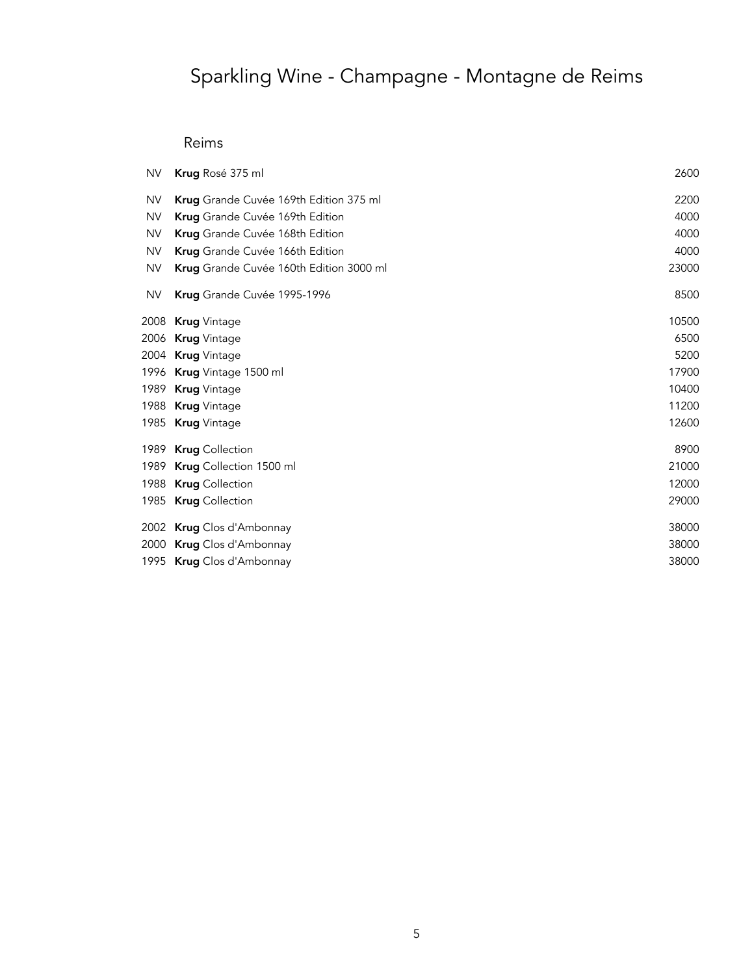### Reims

| <b>NV</b> | <b>Krug</b> Rosé 375 ml                 | 2600  |
|-----------|-----------------------------------------|-------|
| <b>NV</b> | Krug Grande Cuvée 169th Edition 375 ml  | 2200  |
| <b>NV</b> | Krug Grande Cuvée 169th Edition         | 4000  |
| <b>NV</b> | Krug Grande Cuvée 168th Edition         | 4000  |
| <b>NV</b> | Krug Grande Cuvée 166th Edition         | 4000  |
| <b>NV</b> | Krug Grande Cuvée 160th Edition 3000 ml | 23000 |
| <b>NV</b> | Krug Grande Cuvée 1995-1996             | 8500  |
|           | 2008 Krug Vintage                       | 10500 |
|           | 2006 Krug Vintage                       | 6500  |
|           | 2004 Krug Vintage                       | 5200  |
|           | 1996 Krug Vintage 1500 ml               | 17900 |
|           | 1989 Krug Vintage                       | 10400 |
|           | 1988 Krug Vintage                       | 11200 |
|           | 1985 Krug Vintage                       | 12600 |
|           | 1989 Krug Collection                    | 8900  |
|           | 1989 Krug Collection 1500 ml            | 21000 |
|           | 1988 Krug Collection                    | 12000 |
|           | 1985 Krug Collection                    | 29000 |
|           | 2002 Krug Clos d'Ambonnay               | 38000 |
|           | 2000 Krug Clos d'Ambonnay               | 38000 |
|           | 1995 Krug Clos d'Ambonnay               | 38000 |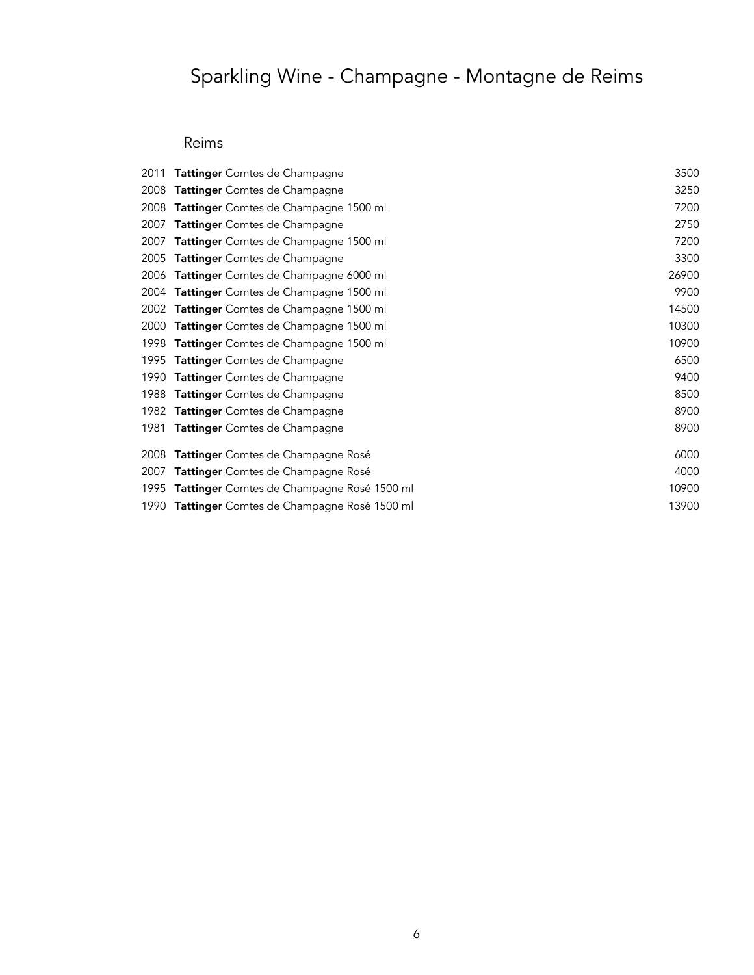### Reims

| 2011 | <b>Tattinger</b> Comtes de Champagne            | 3500  |
|------|-------------------------------------------------|-------|
| 2008 | <b>Tattinger</b> Comtes de Champagne            | 3250  |
| 2008 | Tattinger Comtes de Champagne 1500 ml           | 7200  |
| 2007 | <b>Tattinger</b> Comtes de Champagne            | 2750  |
| 2007 | Tattinger Comtes de Champagne 1500 ml           | 7200  |
| 2005 | Tattinger Comtes de Champagne                   | 3300  |
| 2006 | <b>Tattinger</b> Comtes de Champagne 6000 ml    | 26900 |
| 2004 | <b>Tattinger</b> Comtes de Champagne 1500 ml    | 9900  |
| 2002 | <b>Tattinger</b> Comtes de Champagne 1500 ml    | 14500 |
| 2000 | Tattinger Comtes de Champagne 1500 ml           | 10300 |
| 1998 | <b>Tattinger</b> Comtes de Champagne 1500 ml    | 10900 |
| 1995 | <b>Tattinger</b> Comtes de Champagne            | 6500  |
| 1990 | <b>Tattinger</b> Comtes de Champagne            | 9400  |
| 1988 | <b>Tattinger</b> Comtes de Champagne            | 8500  |
| 1982 | <b>Tattinger</b> Comtes de Champagne            | 8900  |
| 1981 | Tattinger Comtes de Champagne                   | 8900  |
| 2008 | <b>Tattinger</b> Comtes de Champagne Rosé       | 6000  |
| 2007 | <b>Tattinger</b> Comtes de Champagne Rosé       | 4000  |
| 1995 | Tattinger Comtes de Champagne Rosé 1500 ml      | 10900 |
|      | 1990 Tattinger Comtes de Champagne Rosé 1500 ml | 13900 |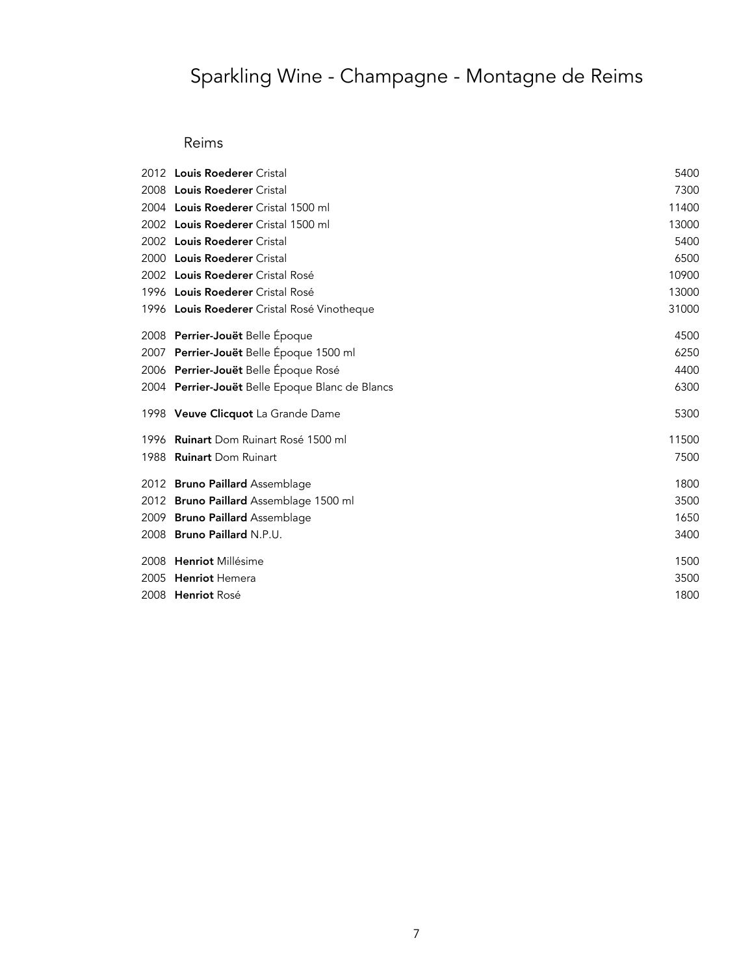### Reims

|      | 2012 <b>Louis Roederer</b> Cristal              | 5400  |
|------|-------------------------------------------------|-------|
|      | 2008 Louis Roederer Cristal                     | 7300  |
|      | 2004 Louis Roederer Cristal 1500 ml             | 11400 |
|      | 2002 Louis Roederer Cristal 1500 ml             | 13000 |
|      | 2002 Louis Roederer Cristal                     | 5400  |
|      | 2000 Louis Roederer Cristal                     | 6500  |
|      | 2002 Louis Roederer Cristal Rosé                | 10900 |
|      | 1996 Louis Roederer Cristal Rosé                | 13000 |
|      | 1996 Louis Roederer Cristal Rosé Vinotheque     | 31000 |
|      | 2008 Perrier-Jouët Belle Époque                 | 4500  |
|      | 2007 Perrier-Jouët Belle Époque 1500 ml         | 6250  |
|      | 2006 Perrier-Jouët Belle Époque Rosé            | 4400  |
|      | 2004 Perrier-Jouët Belle Epoque Blanc de Blancs | 6300  |
|      | 1998 Veuve Clicquot La Grande Dame              | 5300  |
|      | 1996 Ruinart Dom Ruinart Rosé 1500 ml           | 11500 |
|      | 1988 Ruinart Dom Ruinart                        | 7500  |
|      | 2012 Bruno Paillard Assemblage                  | 1800  |
|      | 2012 Bruno Paillard Assemblage 1500 ml          | 3500  |
|      | 2009 Bruno Paillard Assemblage                  | 1650  |
|      | 2008 Bruno Paillard N.P.U.                      | 3400  |
|      | 2008 Henriot Millésime                          | 1500  |
| 2005 | <b>Henriot</b> Hemera                           | 3500  |
|      | 2008 Henriot Rosé                               | 1800  |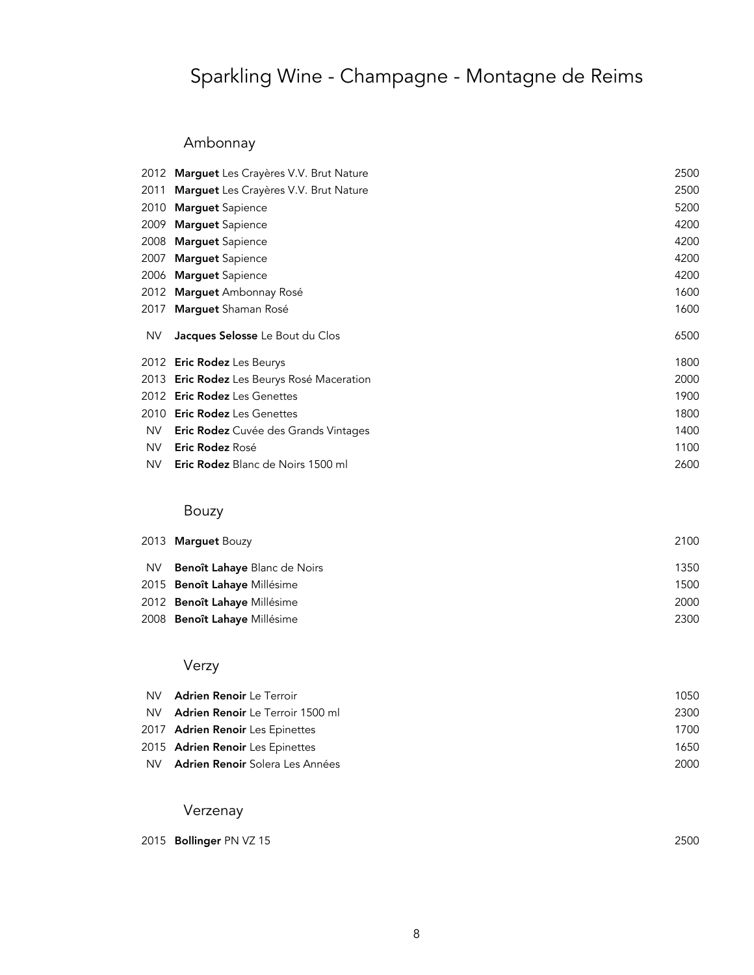### Ambonnay

|     | 2012 Marguet Les Crayères V.V. Brut Nature | 2500 |
|-----|--------------------------------------------|------|
|     | 2011 Marguet Les Crayères V.V. Brut Nature | 2500 |
|     | 2010 Marguet Sapience                      | 5200 |
|     | 2009 Marguet Sapience                      | 4200 |
|     | 2008 Marguet Sapience                      | 4200 |
|     | 2007 Marguet Sapience                      | 4200 |
|     | 2006 Marguet Sapience                      | 4200 |
|     | 2012 Marguet Ambonnay Rosé                 | 1600 |
|     | 2017 Marguet Shaman Rosé                   | 1600 |
| NV. | Jacques Selosse Le Bout du Clos            | 6500 |
|     | 2012 Eric Rodez Les Beurys                 | 1800 |
|     | 2013 Eric Rodez Les Beurys Rosé Maceration | 2000 |
|     | 2012 <b>Eric Rodez</b> Les Genettes        | 1900 |
|     | 2010 <b>Eric Rodez</b> Les Genettes        | 1800 |
| NV. | Eric Rodez Cuvée des Grands Vintages       | 1400 |
| NV. | <b>Eric Rodez</b> Rosé                     | 1100 |
|     |                                            |      |
| NV. | Eric Rodez Blanc de Noirs 1500 ml          | 2600 |

## Bouzy

|     | 2013 Marguet Bouzy                  | 2100 |
|-----|-------------------------------------|------|
| NV. | <b>Benoît Lahaye</b> Blanc de Noirs | 1350 |
|     | 2015 <b>Benoît Lahaye</b> Millésime | 1500 |
|     | 2012 Benoît Lahaye Millésime        | 2000 |
|     | 2008 Benoît Lahaye Millésime        | 2300 |

### Verzy

| NV. | <b>Adrien Renoir</b> Le Terroir           | 1050 |
|-----|-------------------------------------------|------|
| NV. | <b>Adrien Renoir</b> Le Terroir 1500 ml   | 2300 |
|     | 2017 Adrien Renoir Les Epinettes          | 1700 |
|     | 2015 Adrien Renoir Les Epinettes          | 1650 |
|     | NV <b>Adrien Renoir</b> Solera Les Années | 2000 |

### Verzenay

|  | 2015 Bollinger PN VZ 15 | 2500 |
|--|-------------------------|------|
|--|-------------------------|------|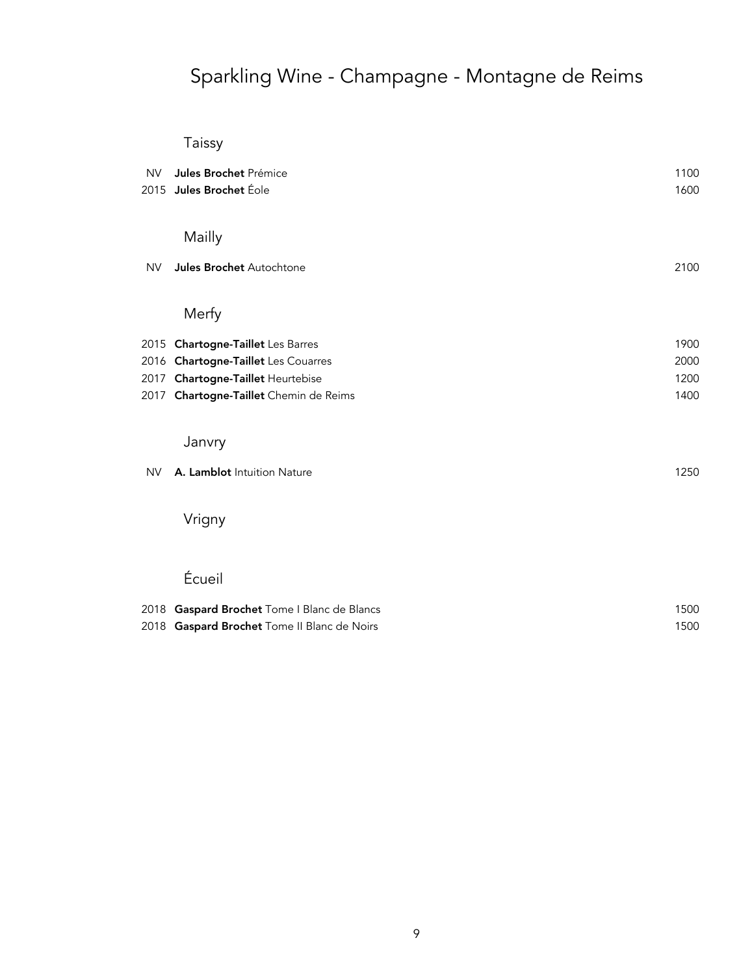## Taissy

| <b>NV</b> | Jules Brochet Prémice<br>2015 Jules Brochet Éole                         | 1100<br>1600 |
|-----------|--------------------------------------------------------------------------|--------------|
|           |                                                                          |              |
|           | Mailly                                                                   |              |
| <b>NV</b> | Jules Brochet Autochtone                                                 | 2100         |
|           | Merfy                                                                    |              |
|           |                                                                          | 1900         |
|           | 2015 Chartogne-Taillet Les Barres<br>2016 Chartogne-Taillet Les Couarres | 2000         |
|           | 2017 Chartogne-Taillet Heurtebise                                        | 1200         |
|           | 2017 Chartogne-Taillet Chemin de Reims                                   | 1400         |
|           |                                                                          |              |
|           | Janvry                                                                   |              |
| <b>NV</b> | A. Lamblot Intuition Nature                                              | 1250         |
|           | Vrigny                                                                   |              |
|           | Écueil                                                                   |              |
|           | 2018 Gaspard Brochet Tome I Blanc de Blancs                              | 1500         |
|           | 2018 Gaspard Brochet Tome II Blanc de Noirs                              | 1500         |
|           |                                                                          |              |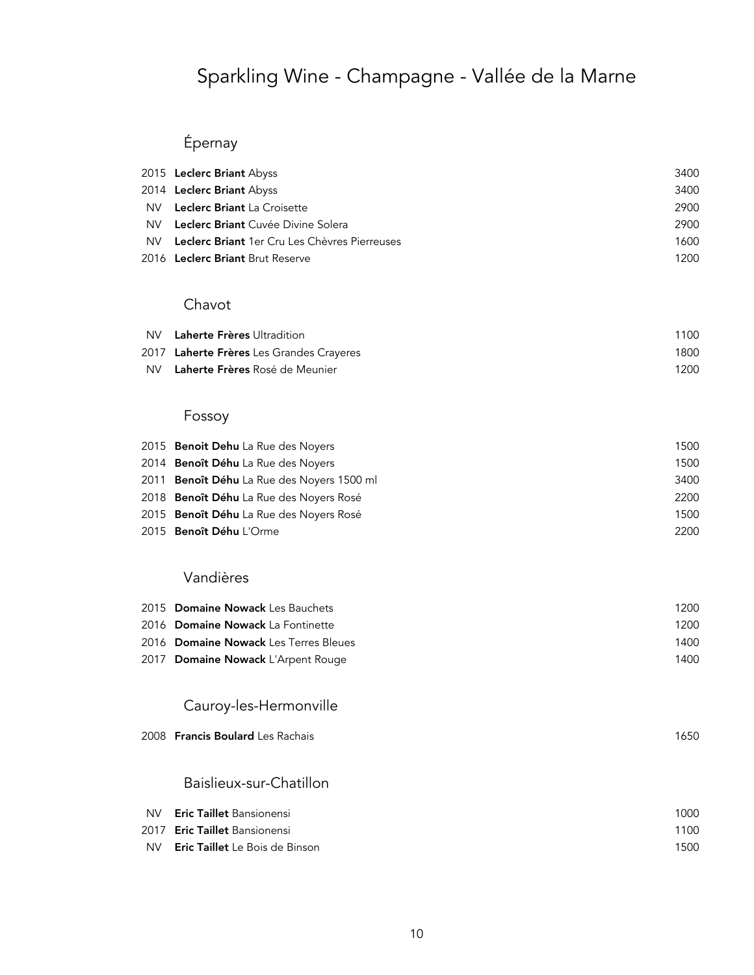## Épernay

|      | 2015 Leclerc Briant Abyss                            | 3400 |
|------|------------------------------------------------------|------|
|      | 2014 Leclerc Briant Abyss                            | 3400 |
| NV . | <b>Leclerc Briant</b> La Croisette                   | 2900 |
| NV.  | <b>Leclerc Briant</b> Cuvée Divine Solera            | 2900 |
| NV.  | <b>Leclerc Briant</b> 1er Cru Les Chèvres Pierreuses | 1600 |
|      | 2016 <b>Leclerc Briant</b> Brut Reserve              | 1200 |
|      |                                                      |      |

#### Chavot

| NV Laherte Frères Ultradition            | 1100 |
|------------------------------------------|------|
| 2017 Laherte Frères Les Grandes Crayeres | 1800 |
| NV Laherte Frères Rosé de Meunier        | 1200 |

### Fossoy

| 2015 Benoit Dehu La Rue des Novers             | 1500 |
|------------------------------------------------|------|
| 2014 Benoît Déhu La Rue des Novers             | 1500 |
| 2011 Benoît Déhu La Rue des Novers 1500 ml     | 3400 |
| 2018 <b>Benoît Déhu</b> La Rue des Novers Rosé | 2200 |
| 2015 <b>Benoît Déhu</b> La Rue des Novers Rosé | 1500 |
| 2015 Benoît Déhu L'Orme                        | 2200 |

#### Vandières

| 2015 Domaine Nowack Les Bauchets      | 1200 |
|---------------------------------------|------|
| 2016 Domaine Nowack La Fontinette     | 1200 |
| 2016 Domaine Nowack Les Terres Bleues | 1400 |
| 2017 Domaine Nowack L'Arpent Rouge    | 1400 |
|                                       |      |

### Cauroy-les-Hermonville

| 2008 Francis Boulard Les Rachais | 1650 |
|----------------------------------|------|
|                                  |      |
|                                  |      |

### Baislieux-sur-Chatillon

| NV. | <b>Eric Taillet</b> Bansionensi       | 1000 |
|-----|---------------------------------------|------|
|     | 2017 <b>Eric Taillet</b> Bansionensi  | 1100 |
| NV. | <b>Eric Taillet</b> Le Bois de Binson | 1500 |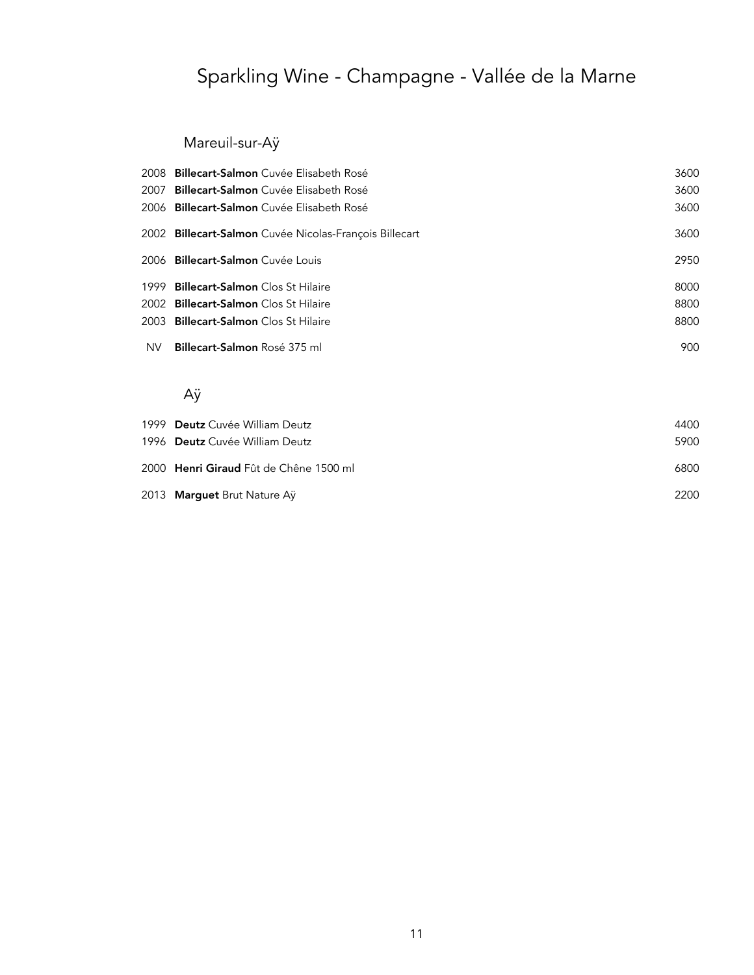### Mareuil-sur-Aÿ

|     | 2008 Billecart-Salmon Cuvée Elisabeth Rosé             | 3600 |
|-----|--------------------------------------------------------|------|
|     | 2007 - <b>Billecart-Salmon</b> Cuvée Elisabeth Rosé    | 3600 |
|     | 2006 <b>Billecart-Salmon</b> Cuvée Elisabeth Rosé      | 3600 |
|     | 2002 Billecart-Salmon Cuvée Nicolas-Francois Billecart | 3600 |
|     | 2006 - <b>Billecart-Salmon</b> Cuvée Louis             | 2950 |
|     | 1999 Billecart-Salmon Clos St Hilaire                  | 8000 |
|     | 2002 Billecart-Salmon Clos St Hilaire                  | 8800 |
|     | 2003 - <b>Billecart-Salmon</b> Clos St Hilaire         | 8800 |
| NV. | <b>Billecart-Salmon Rosé 375 ml</b>                    | 900  |

### Aÿ

| 1999 Deutz Cuvée William Deutz         | 4400 |
|----------------------------------------|------|
| 1996 Deutz Cuvée William Deutz         | 5900 |
| 2000 Henri Giraud Fût de Chêne 1500 ml | 6800 |
| 2013 Marguet Brut Nature Ay            | 2200 |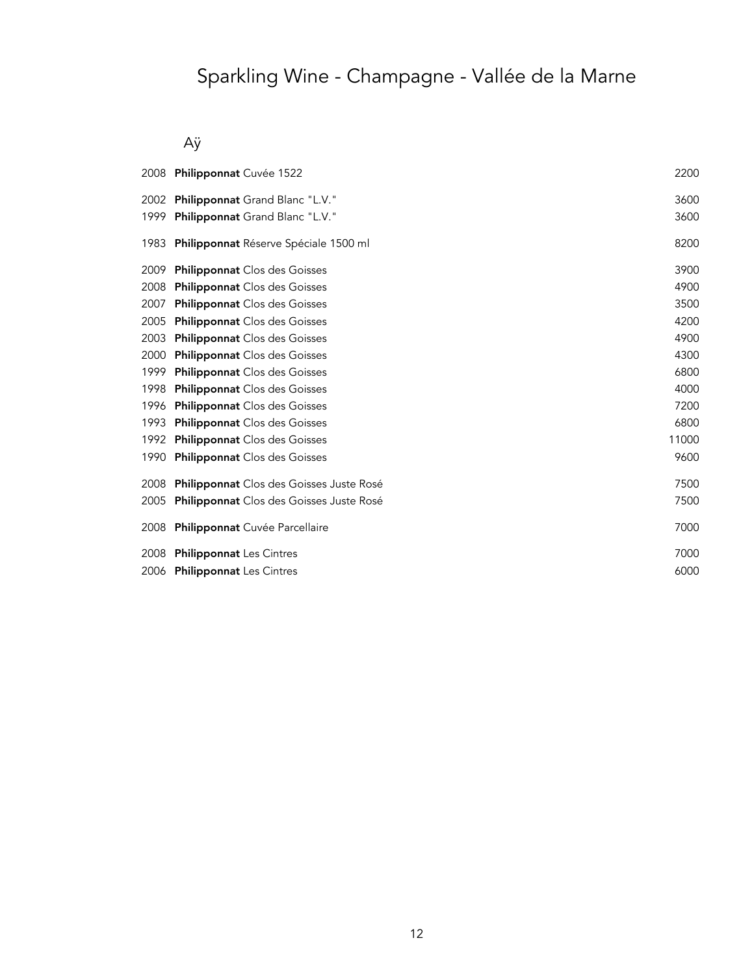## Aÿ

|      | 2008 Philipponnat Cuvée 1522                 | 2200  |
|------|----------------------------------------------|-------|
| 2002 | Philipponnat Grand Blanc "L.V."              | 3600  |
| 1999 | Philipponnat Grand Blanc "L.V."              | 3600  |
| 1983 | <b>Philipponnat</b> Réserve Spéciale 1500 ml | 8200  |
| 2009 | <b>Philipponnat</b> Clos des Goisses         | 3900  |
| 2008 | <b>Philipponnat</b> Clos des Goisses         | 4900  |
| 2007 | <b>Philipponnat</b> Clos des Goisses         | 3500  |
| 2005 | <b>Philipponnat</b> Clos des Goisses         | 4200  |
| 2003 | <b>Philipponnat</b> Clos des Goisses         | 4900  |
| 2000 | <b>Philipponnat</b> Clos des Goisses         | 4300  |
| 1999 | <b>Philipponnat</b> Clos des Goisses         | 6800  |
| 1998 | <b>Philipponnat</b> Clos des Goisses         | 4000  |
| 1996 | <b>Philipponnat</b> Clos des Goisses         | 7200  |
| 1993 | <b>Philipponnat</b> Clos des Goisses         | 6800  |
| 1992 | <b>Philipponnat</b> Clos des Goisses         | 11000 |
| 1990 | <b>Philipponnat</b> Clos des Goisses         | 9600  |
| 2008 | Philipponnat Clos des Goisses Juste Rosé     | 7500  |
| 2005 | Philipponnat Clos des Goisses Juste Rosé     | 7500  |
| 2008 | Philipponnat Cuvée Parcellaire               | 7000  |
| 2008 | <b>Philipponnat</b> Les Cintres              | 7000  |
|      | 2006 Philipponnat Les Cintres                | 6000  |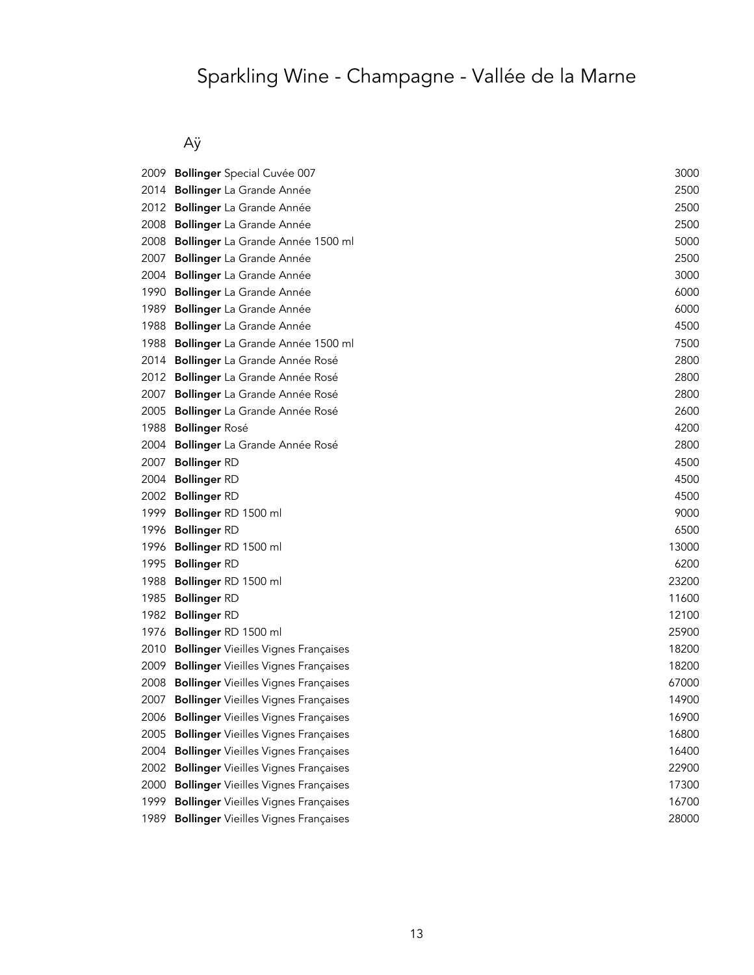## Aÿ

| 2009 | <b>Bollinger</b> Special Cuvée 007          | 3000  |
|------|---------------------------------------------|-------|
| 2014 | Bollinger La Grande Année                   | 2500  |
| 2012 | Bollinger La Grande Année                   | 2500  |
| 2008 | Bollinger La Grande Année                   | 2500  |
| 2008 | Bollinger La Grande Année 1500 ml           | 5000  |
| 2007 | Bollinger La Grande Année                   | 2500  |
| 2004 | Bollinger La Grande Année                   | 3000  |
| 1990 | Bollinger La Grande Année                   | 6000  |
| 1989 | Bollinger La Grande Année                   | 6000  |
| 1988 | Bollinger La Grande Année                   | 4500  |
| 1988 | <b>Bollinger</b> La Grande Année 1500 ml    | 7500  |
| 2014 | <b>Bollinger</b> La Grande Année Rosé       | 2800  |
| 2012 | Bollinger La Grande Année Rosé              | 2800  |
| 2007 | Bollinger La Grande Année Rosé              | 2800  |
| 2005 | Bollinger La Grande Année Rosé              | 2600  |
| 1988 | <b>Bollinger Rosé</b>                       | 4200  |
| 2004 | Bollinger La Grande Année Rosé              | 2800  |
| 2007 | <b>Bollinger RD</b>                         | 4500  |
| 2004 | <b>Bollinger RD</b>                         | 4500  |
| 2002 | <b>Bollinger RD</b>                         | 4500  |
| 1999 | Bollinger RD 1500 ml                        | 9000  |
| 1996 | <b>Bollinger RD</b>                         | 6500  |
| 1996 | Bollinger RD 1500 ml                        | 13000 |
| 1995 | <b>Bollinger RD</b>                         | 6200  |
| 1988 | Bollinger RD 1500 ml                        | 23200 |
| 1985 | <b>Bollinger RD</b>                         | 11600 |
| 1982 | <b>Bollinger RD</b>                         | 12100 |
| 1976 | Bollinger RD 1500 ml                        | 25900 |
| 2010 | <b>Bollinger</b> Vieilles Vignes Françaises | 18200 |
| 2009 | <b>Bollinger</b> Vieilles Vignes Françaises | 18200 |
| 2008 | <b>Bollinger</b> Vieilles Vignes Françaises | 67000 |
| 2007 | <b>Bollinger</b> Vieilles Vignes Françaises | 14900 |
| 2006 | <b>Bollinger</b> Vieilles Vignes Françaises | 16900 |
| 2005 | <b>Bollinger</b> Vieilles Vignes Françaises | 16800 |
| 2004 | <b>Bollinger</b> Vieilles Vignes Françaises | 16400 |
| 2002 | <b>Bollinger</b> Vieilles Vignes Françaises | 22900 |
| 2000 | <b>Bollinger</b> Vieilles Vignes Françaises | 17300 |
| 1999 | <b>Bollinger</b> Vieilles Vignes Françaises | 16700 |
| 1989 | <b>Bollinger</b> Vieilles Vignes Françaises | 28000 |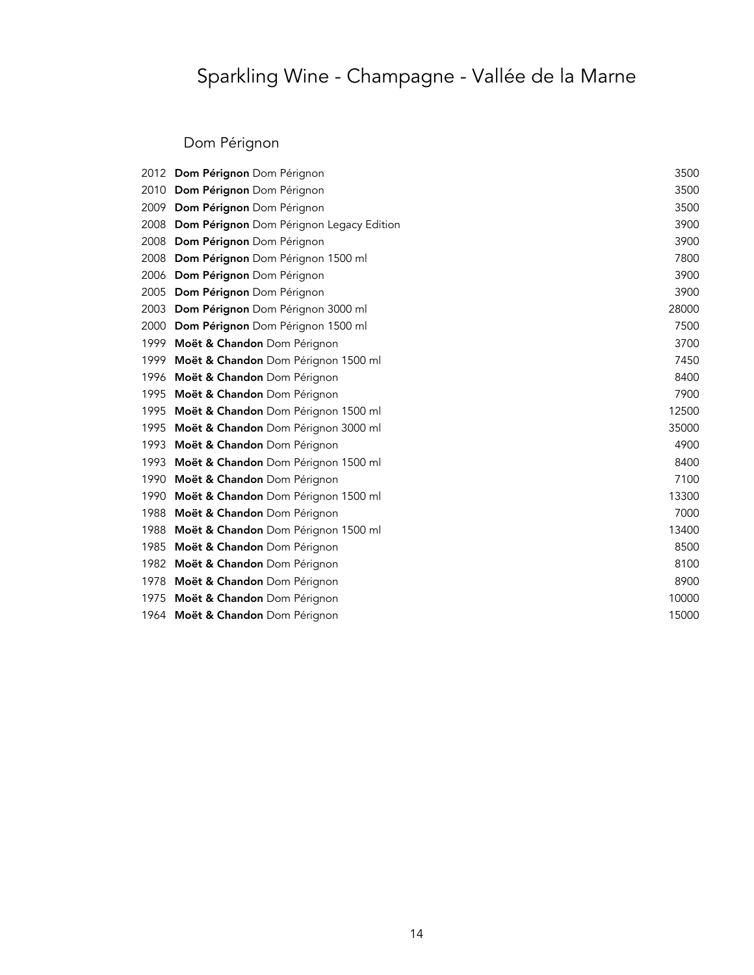### Dom Pérignon

|      | 2012 Dom Pérignon Dom Pérignon                  | 3500  |
|------|-------------------------------------------------|-------|
| 2010 | Dom Pérignon Dom Pérignon                       | 3500  |
| 2009 | Dom Pérignon Dom Pérignon                       | 3500  |
| 2008 | <b>Dom Pérignon</b> Dom Pérignon Legacy Edition | 3900  |
| 2008 | Dom Pérignon Dom Pérignon                       | 3900  |
| 2008 | Dom Pérignon Dom Pérignon 1500 ml               | 7800  |
| 2006 | Dom Pérignon Dom Pérignon                       | 3900  |
| 2005 | Dom Pérignon Dom Pérignon                       | 3900  |
| 2003 | Dom Pérignon Dom Pérignon 3000 ml               | 28000 |
| 2000 | Dom Pérignon Dom Pérignon 1500 ml               | 7500  |
| 1999 | Moët & Chandon Dom Pérignon                     | 3700  |
| 1999 | Moët & Chandon Dom Pérignon 1500 ml             | 7450  |
| 1996 | Moët & Chandon Dom Pérignon                     | 8400  |
| 1995 | Moët & Chandon Dom Pérignon                     | 7900  |
| 1995 | Moët & Chandon Dom Pérignon 1500 ml             | 12500 |
| 1995 | Moët & Chandon Dom Pérignon 3000 ml             | 35000 |
| 1993 | Moët & Chandon Dom Pérignon                     | 4900  |
| 1993 | Moët & Chandon Dom Pérignon 1500 ml             | 8400  |
| 1990 | Moët & Chandon Dom Pérignon                     | 7100  |
| 1990 | Moët & Chandon Dom Pérignon 1500 ml             | 13300 |
| 1988 | Moët & Chandon Dom Pérignon                     | 7000  |
| 1988 | Moët & Chandon Dom Pérignon 1500 ml             | 13400 |
| 1985 | Moët & Chandon Dom Pérignon                     | 8500  |
| 1982 | Moët & Chandon Dom Pérignon                     | 8100  |
| 1978 | Moët & Chandon Dom Pérignon                     | 8900  |
| 1975 | Moët & Chandon Dom Pérignon                     | 10000 |
|      | 1964 Moët & Chandon Dom Pérignon                | 15000 |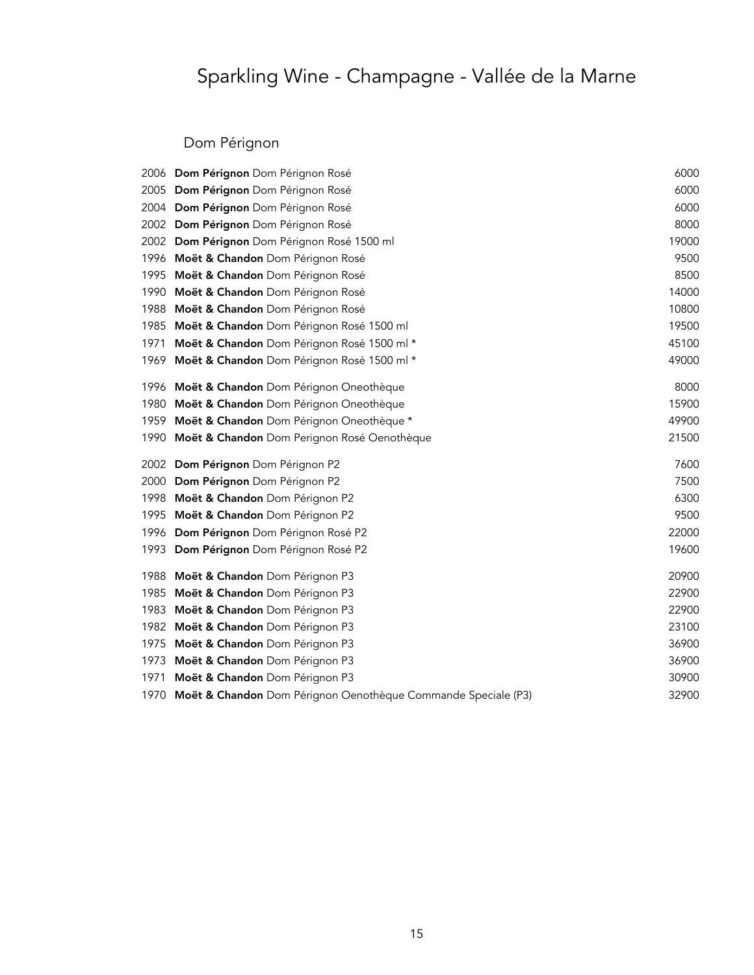### Dom Pérignon

|      | 2006 Dom Pérignon Dom Pérignon Rosé                           | 6000  |
|------|---------------------------------------------------------------|-------|
| 2005 | Dom Pérignon Dom Pérignon Rosé                                | 6000  |
| 2004 | Dom Pérignon Dom Pérignon Rosé                                | 6000  |
| 2002 | Dom Pérignon Dom Pérignon Rosé                                | 8000  |
| 2002 | Dom Pérignon Dom Pérignon Rosé 1500 ml                        | 19000 |
| 1996 | Moët & Chandon Dom Pérignon Rosé                              | 9500  |
| 1995 | Moët & Chandon Dom Pérignon Rosé                              | 8500  |
| 1990 | Moët & Chandon Dom Pérignon Rosé                              | 14000 |
| 1988 | Moët & Chandon Dom Pérignon Rosé                              | 10800 |
| 1985 | Moët & Chandon Dom Pérignon Rosé 1500 ml                      | 19500 |
| 1971 | Moët & Chandon Dom Pérignon Rosé 1500 ml *                    | 45100 |
| 1969 | Moët & Chandon Dom Pérignon Rosé 1500 ml *                    | 49000 |
| 1996 | Moët & Chandon Dom Pérignon Oneothèque                        | 8000  |
| 1980 | Moët & Chandon Dom Pérignon Oneothèque                        | 15900 |
| 1959 | Moët & Chandon Dom Pérignon Oneothèque *                      | 49900 |
| 1990 | Moët & Chandon Dom Perignon Rosé Oenothèque                   | 21500 |
| 2002 | Dom Pérignon Dom Pérignon P2                                  | 7600  |
| 2000 | Dom Pérignon Dom Pérignon P2                                  | 7500  |
| 1998 | Moët & Chandon Dom Pérignon P2                                | 6300  |
| 1995 | Moët & Chandon Dom Pérignon P2                                | 9500  |
| 1996 | Dom Pérignon Dom Pérignon Rosé P2                             | 22000 |
| 1993 | Dom Pérignon Dom Pérignon Rosé P2                             | 19600 |
| 1988 | Moët & Chandon Dom Pérignon P3                                | 20900 |
| 1985 | Moët & Chandon Dom Pérignon P3                                | 22900 |
| 1983 | Moët & Chandon Dom Pérignon P3                                | 22900 |
| 1982 | Moët & Chandon Dom Pérignon P3                                | 23100 |
| 1975 | Moët & Chandon Dom Pérignon P3                                | 36900 |
| 1973 | Moët & Chandon Dom Pérignon P3                                | 36900 |
| 1971 | Moët & Chandon Dom Pérignon P3                                | 30900 |
| 1970 | Moët & Chandon Dom Pérignon Oenothèque Commande Speciale (P3) | 32900 |
|      |                                                               |       |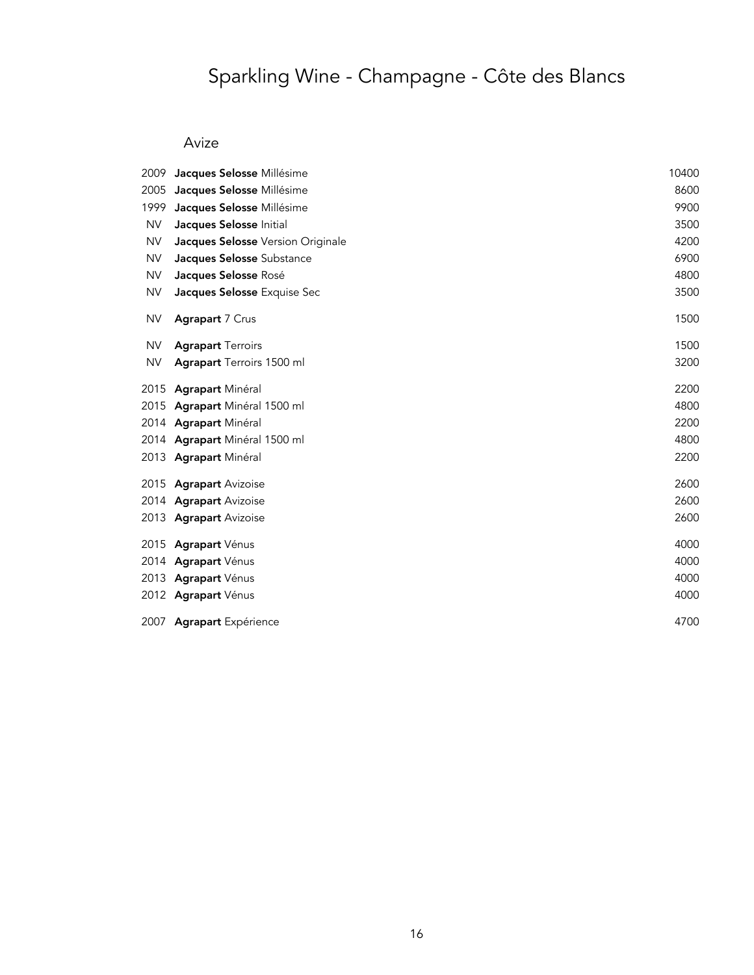# Sparkling Wine - Champagne - Côte des Blancs

### Avize

| 2009      | Jacques Selosse Millésime         | 10400 |
|-----------|-----------------------------------|-------|
| 2005      | Jacques Selosse Millésime         | 8600  |
| 1999      | Jacques Selosse Millésime         | 9900  |
| <b>NV</b> | Jacques Selosse Initial           | 3500  |
| <b>NV</b> | Jacques Selosse Version Originale | 4200  |
| <b>NV</b> | Jacques Selosse Substance         | 6900  |
| <b>NV</b> | Jacques Selosse Rosé              | 4800  |
| NV        | Jacques Selosse Exquise Sec       | 3500  |
| <b>NV</b> | Agrapart 7 Crus                   | 1500  |
| <b>NV</b> | <b>Agrapart Terroirs</b>          | 1500  |
| <b>NV</b> | <b>Agrapart</b> Terroirs 1500 ml  | 3200  |
|           | 2015 Agrapart Minéral             | 2200  |
|           | 2015 Agrapart Minéral 1500 ml     | 4800  |
|           | 2014 Agrapart Minéral             | 2200  |
|           | 2014 Agrapart Minéral 1500 ml     | 4800  |
|           | 2013 Agrapart Minéral             | 2200  |
|           | 2015 Agrapart Avizoise            | 2600  |
|           | 2014 Agrapart Avizoise            | 2600  |
|           | 2013 Agrapart Avizoise            | 2600  |
|           | 2015 Agrapart Vénus               | 4000  |
|           | 2014 Agrapart Vénus               | 4000  |
|           | 2013 Agrapart Vénus               | 4000  |
|           | 2012 Agrapart Vénus               | 4000  |
|           | 2007 Agrapart Expérience          | 4700  |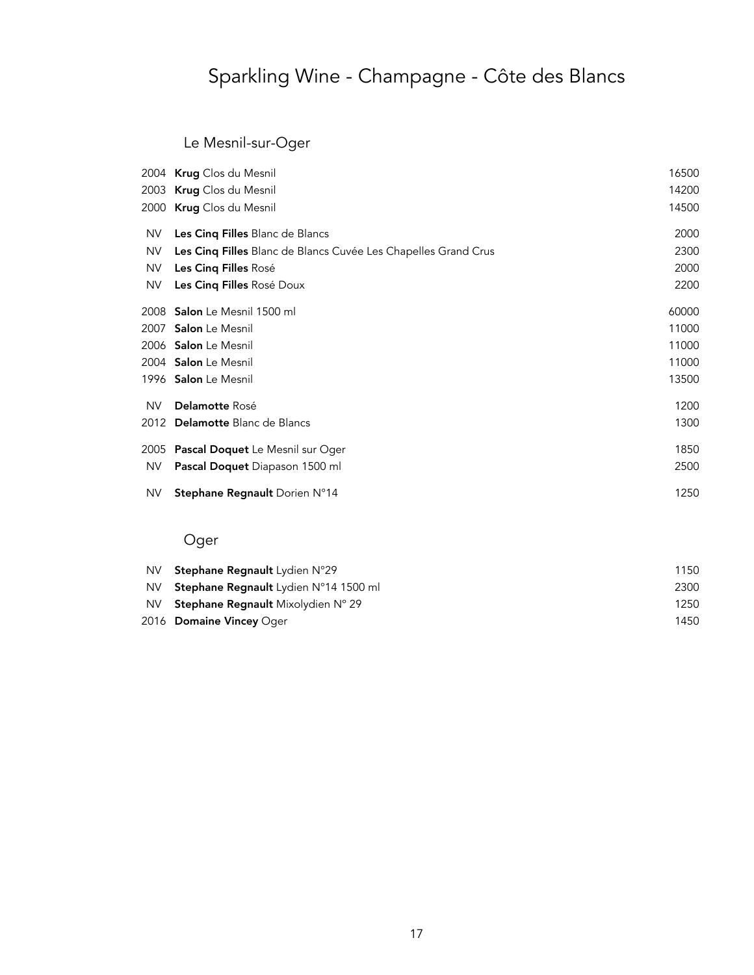# Sparkling Wine - Champagne - Côte des Blancs

### Le Mesnil-sur-Oger

|           | 2004 Krug Clos du Mesnil                                       | 16500 |
|-----------|----------------------------------------------------------------|-------|
|           | 2003 Krug Clos du Mesnil                                       | 14200 |
|           | 2000 Krug Clos du Mesnil                                       | 14500 |
| NV.       | Les Cinq Filles Blanc de Blancs                                | 2000  |
| <b>NV</b> | Les Cinq Filles Blanc de Blancs Cuvée Les Chapelles Grand Crus | 2300  |
| <b>NV</b> | Les Cinq Filles Rosé                                           | 2000  |
| NV.       | Les Cinq Filles Rosé Doux                                      | 2200  |
|           | 2008 Salon Le Mesnil 1500 ml                                   | 60000 |
|           | 2007 Salon Le Mesnil                                           | 11000 |
|           | 2006 Salon Le Mesnil                                           | 11000 |
|           | 2004 Salon Le Mesnil                                           | 11000 |
|           | 1996 Salon Le Mesnil                                           | 13500 |
| NV.       | Delamotte Rosé                                                 | 1200  |
|           | 2012 Delamotte Blanc de Blancs                                 | 1300  |
|           | 2005 Pascal Doquet Le Mesnil sur Oger                          | 1850  |
| <b>NV</b> | <b>Pascal Doquet</b> Diapason 1500 ml                          | 2500  |
| <b>NV</b> | Stephane Regnault Dorien N°14                                  | 1250  |
|           |                                                                |       |

## Oger

| NV.  | <b>Stephane Regnault</b> Lydien N°29         | 1150 |
|------|----------------------------------------------|------|
| NV.  | <b>Stephane Regnault</b> Lydien N°14 1500 ml | 2300 |
| NV . | <b>Stephane Regnault</b> Mixolydien N° 29    | 1250 |
|      | 2016 Domaine Vincey Oger                     | 1450 |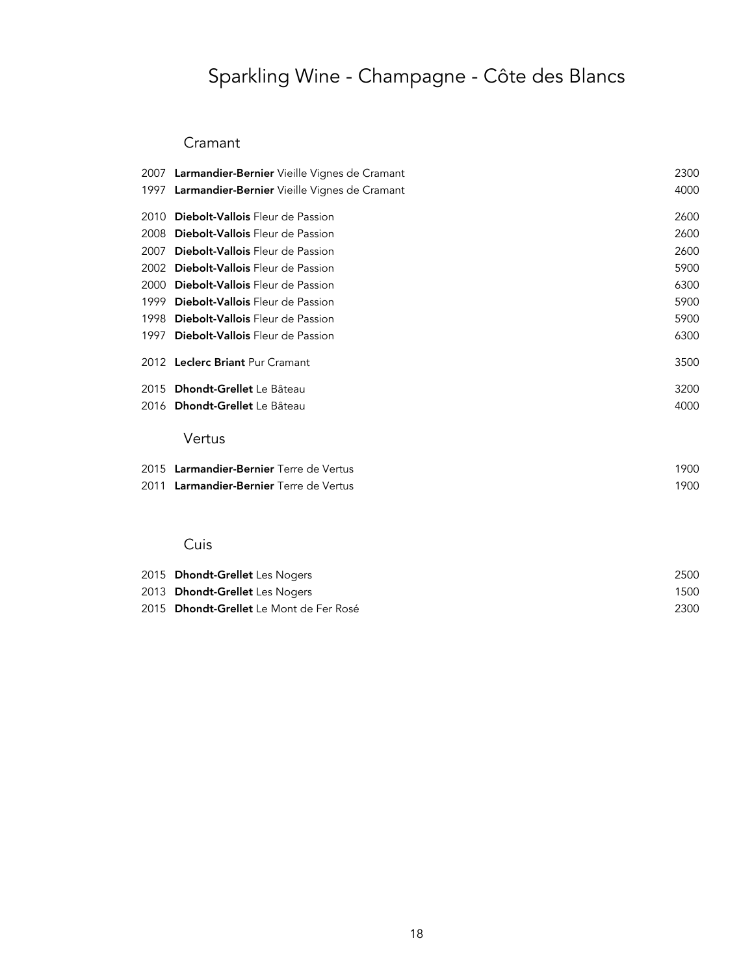# Sparkling Wine - Champagne - Côte des Blancs

### Cramant

|      | 2007 Larmandier-Bernier Vieille Vignes de Cramant | 2300 |
|------|---------------------------------------------------|------|
|      | 1997 Larmandier-Bernier Vieille Vignes de Cramant | 4000 |
|      | 2010 Diebolt-Vallois Fleur de Passion             | 2600 |
|      | 2008 Diebolt-Vallois Fleur de Passion             | 2600 |
| 2007 | Diebolt-Vallois Fleur de Passion                  | 2600 |
|      | 2002 Diebolt-Vallois Fleur de Passion             | 5900 |
|      | 2000 Diebolt-Vallois Fleur de Passion             | 6300 |
|      | 1999 Diebolt-Vallois Fleur de Passion             | 5900 |
|      | 1998 <b>Diebolt-Vallois</b> Fleur de Passion      | 5900 |
|      | 1997 Diebolt-Vallois Fleur de Passion             | 6300 |
|      | 2012 Leclerc Briant Pur Cramant                   | 3500 |
|      | 2015 Dhondt-Grellet Le Bâteau                     | 3200 |
|      | 2016 Dhondt-Grellet Le Bâteau                     | 4000 |
|      | Vertus                                            |      |
|      | 2015 Larmandier-Bernier Terre de Vertus           | 1900 |
|      | 2011 Larmandier-Bernier Terre de Vertus           | 1900 |
|      |                                                   |      |

### Cuis

| 2015 Dhondt-Grellet Les Nogers          | 2500 |
|-----------------------------------------|------|
| 2013 Dhondt-Grellet Les Nogers          | 1500 |
| 2015 Dhondt-Grellet Le Mont de Fer Rosé | 2300 |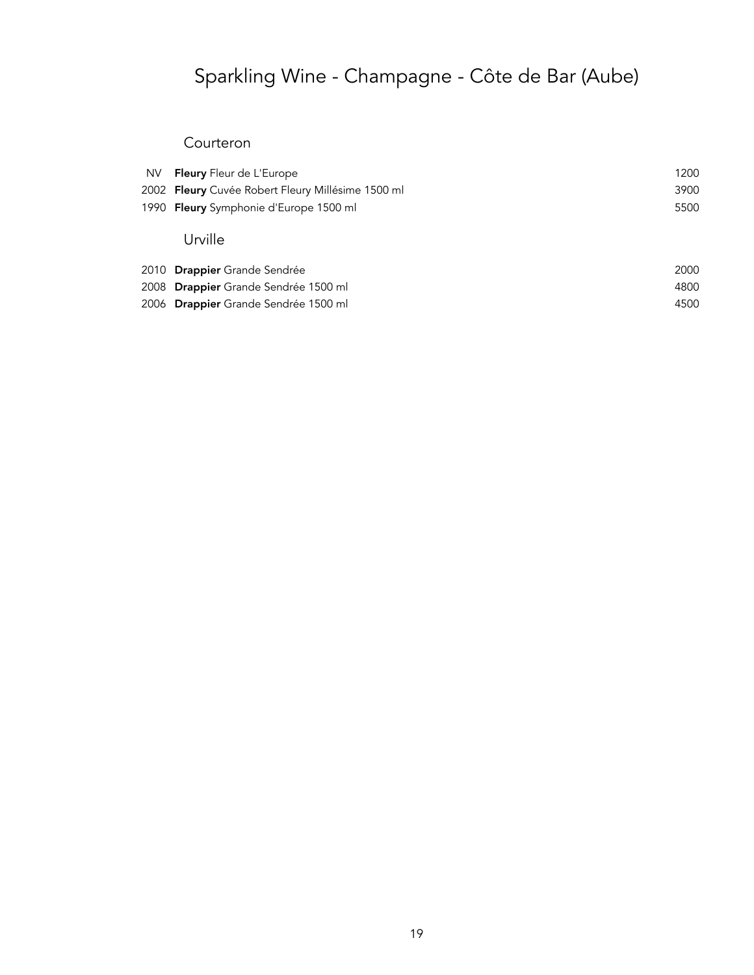# Sparkling Wine - Champagne - Côte de Bar (Aube)

#### Courteron

| <b>NV</b> | <b>Fleury</b> Fleur de L'Europe                   | 1200 |
|-----------|---------------------------------------------------|------|
|           | 2002 Fleury Cuvée Robert Fleury Millésime 1500 ml | 3900 |
|           | 1990 Fleury Symphonie d'Europe 1500 ml            | 5500 |
|           | Urville                                           |      |
|           | 2010 <b>Drappier</b> Grande Sendrée               | 2000 |
|           | 2008 Drappier Grande Sendrée 1500 ml              | 4800 |

er de la provincia de la provincia de la provincia de la provincia de la provincia de la provincia de la provincia de la provincia de la provincia de la provincia de la provincia de la provincia de la provincia de la provi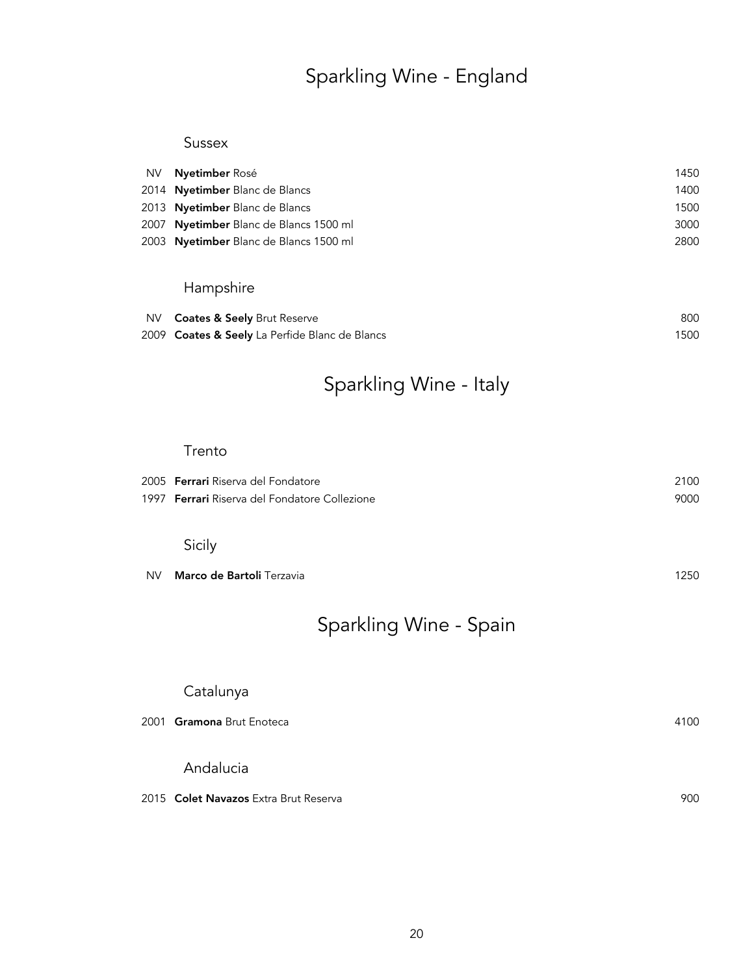## Sparkling Wine - England

#### Sussex

| NV <b>Nyetimber</b> Rosé               | 1450 |
|----------------------------------------|------|
| 2014 Nyetimber Blanc de Blancs         | 1400 |
| 2013 Nyetimber Blanc de Blancs         | 1500 |
| 2007 Nyetimber Blanc de Blancs 1500 ml | 3000 |
| 2003 Nyetimber Blanc de Blancs 1500 ml | 2800 |
|                                        |      |

### Hampshire

| NV <b>Coates &amp; Seely</b> Brut Reserve      | 800  |
|------------------------------------------------|------|
| 2009 Coates & Seely La Perfide Blanc de Blancs | 1500 |

## Sparkling Wine - Italy

#### Trento

| 2005 <b>Ferrari</b> Riserva del Fondatore            | 2100 |
|------------------------------------------------------|------|
| 1997 <b>Ferrari</b> Riserva del Fondatore Collezione | 9000 |
|                                                      |      |

#### Sicily

|  | NV <b>Marco de Bartoli</b> Terzavia | 1250 |
|--|-------------------------------------|------|
|--|-------------------------------------|------|

## Sparkling Wine - Spain

# Catalunya 2001 Gramona Brut Enoteca 4100 Andalucia 2015 Colet Navazos Extra Brut Reserva **900**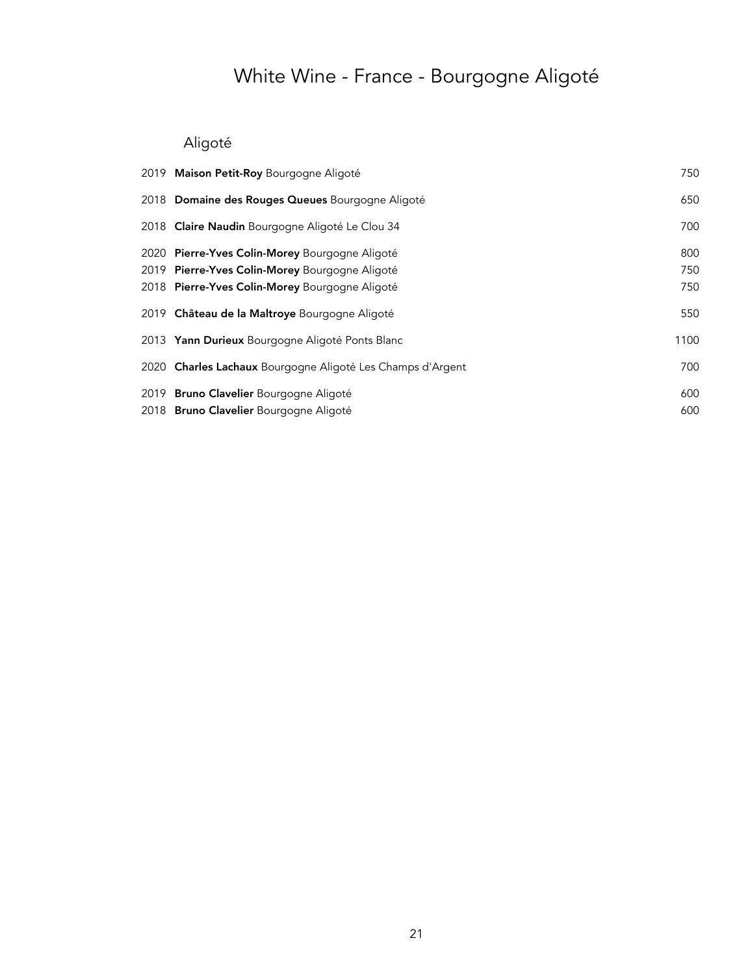# White Wine - France - Bourgogne Aligoté

## Aligoté

| 2019 Maison Petit-Roy Bourgogne Aligoté                    | 750  |
|------------------------------------------------------------|------|
| 2018 Domaine des Rouges Queues Bourgogne Aligoté           | 650  |
| 2018 Claire Naudin Bourgogne Aligoté Le Clou 34            | 700  |
| 2020 Pierre-Yves Colin-Morey Bourgogne Aligoté             | 800  |
| 2019 Pierre-Yves Colin-Morey Bourgogne Aligoté             | 750  |
| 2018 Pierre-Yves Colin-Morey Bourgogne Aligoté             | 750  |
| 2019 Château de la Maltroye Bourgogne Aligoté              | 550  |
| 2013 Yann Durieux Bourgogne Aligoté Ponts Blanc            | 1100 |
| 2020 Charles Lachaux Bourgogne Aligoté Les Champs d'Argent | 700  |
| 2019 Bruno Clavelier Bourgogne Aligoté                     | 600  |
| 2018 Bruno Clavelier Bourgogne Aligoté                     | 600  |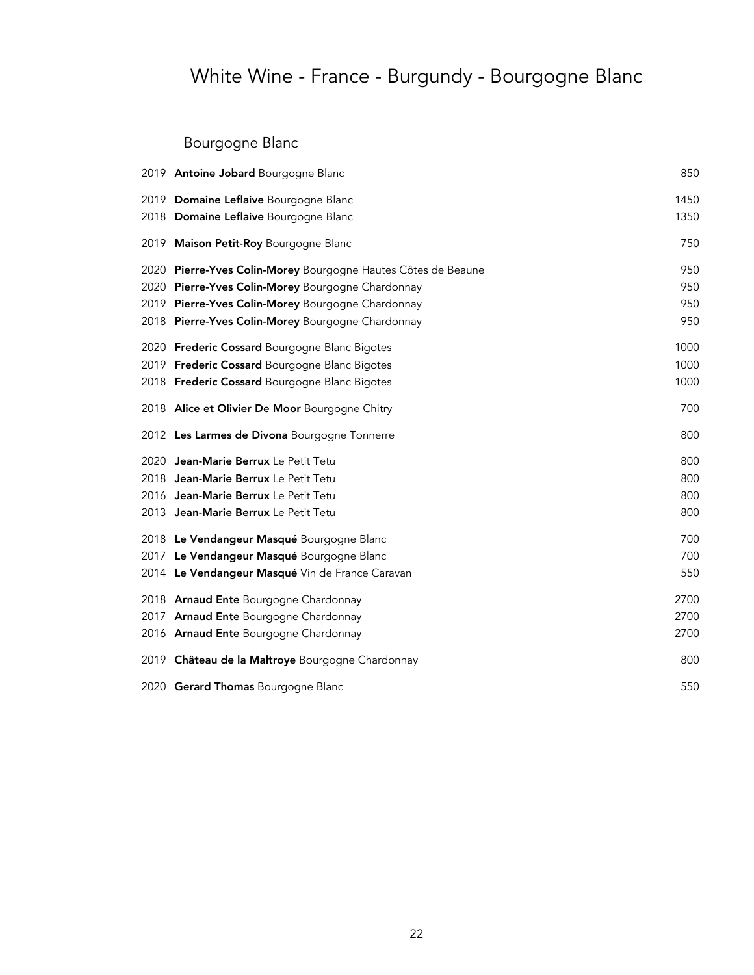# White Wine - France - Burgundy - Bourgogne Blanc

## Bourgogne Blanc

|      | 2019 Antoine Jobard Bourgogne Blanc                           | 850  |
|------|---------------------------------------------------------------|------|
|      | 2019 Domaine Leflaive Bourgogne Blanc                         | 1450 |
|      | 2018 Domaine Leflaive Bourgogne Blanc                         | 1350 |
| 2019 | Maison Petit-Roy Bourgogne Blanc                              | 750  |
|      | 2020 Pierre-Yves Colin-Morey Bourgogne Hautes Côtes de Beaune | 950  |
|      | 2020 Pierre-Yves Colin-Morey Bourgogne Chardonnay             | 950  |
|      | 2019 Pierre-Yves Colin-Morey Bourgogne Chardonnay             | 950  |
|      | 2018 Pierre-Yves Colin-Morey Bourgogne Chardonnay             | 950  |
|      | 2020 Frederic Cossard Bourgogne Blanc Bigotes                 | 1000 |
|      | 2019 Frederic Cossard Bourgogne Blanc Bigotes                 | 1000 |
|      | 2018 Frederic Cossard Bourgogne Blanc Bigotes                 | 1000 |
|      | 2018 Alice et Olivier De Moor Bourgogne Chitry                | 700  |
|      | 2012 Les Larmes de Divona Bourgogne Tonnerre                  | 800  |
| 2020 | Jean-Marie Berrux Le Petit Tetu                               | 800  |
|      | 2018 Jean-Marie Berrux Le Petit Tetu                          | 800  |
|      | 2016 Jean-Marie Berrux Le Petit Tetu                          | 800  |
|      | 2013 Jean-Marie Berrux Le Petit Tetu                          | 800  |
|      | 2018 Le Vendangeur Masqué Bourgogne Blanc                     | 700  |
|      | 2017 Le Vendangeur Masqué Bourgogne Blanc                     | 700  |
|      | 2014 Le Vendangeur Masqué Vin de France Caravan               | 550  |
|      | 2018 Arnaud Ente Bourgogne Chardonnay                         | 2700 |
|      | 2017 Arnaud Ente Bourgogne Chardonnay                         | 2700 |
|      | 2016 Arnaud Ente Bourgogne Chardonnay                         | 2700 |
|      | 2019 Château de la Maltroye Bourgogne Chardonnay              | 800  |
|      | 2020 Gerard Thomas Bourgogne Blanc                            | 550  |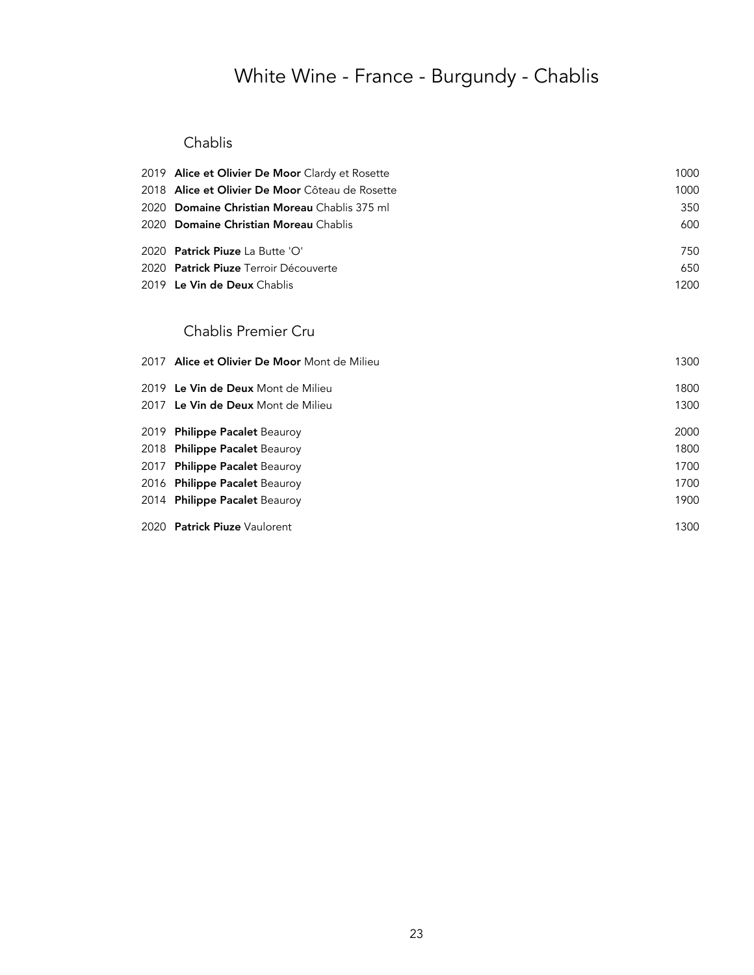# White Wine - France - Burgundy - Chablis

### Chablis

| 2019 Alice et Olivier De Moor Clardy et Rosette        | 1000 |
|--------------------------------------------------------|------|
| 2018 <b>Alice et Olivier De Moor</b> Côteau de Rosette | 1000 |
| 2020 Domaine Christian Moreau Chablis 375 ml           | 350  |
| 2020 Domaine Christian Moreau Chablis                  | 600  |
| 2020 Patrick Piuze La Butte 'O'                        | 750  |
| 2020 Patrick Piuze Terroir Découverte                  | 650  |
| 2019 Le Vin de Deux Chablis                            | 1200 |
| Chablis Premier Cru                                    |      |
| 2017 Alice et Olivier De Moor Mont de Milieu           | 1300 |
| 2019 Le Vin de Deux Mont de Milieu                     | 1800 |
| 2017 Le Vin de Deux Mont de Milieu                     | 1300 |
| 2019 Philippe Pacalet Beauroy                          | 2000 |
| 2018 Philippe Pacalet Beauroy                          | 1800 |
| 2017 Philippe Pacalet Beauroy                          | 1700 |
| 2016 Philippe Pacalet Beauroy                          | 1700 |
| 2014 Philippe Pacalet Beauroy                          | 1900 |
| 2020 Patrick Piuze Vaulorent                           | 1300 |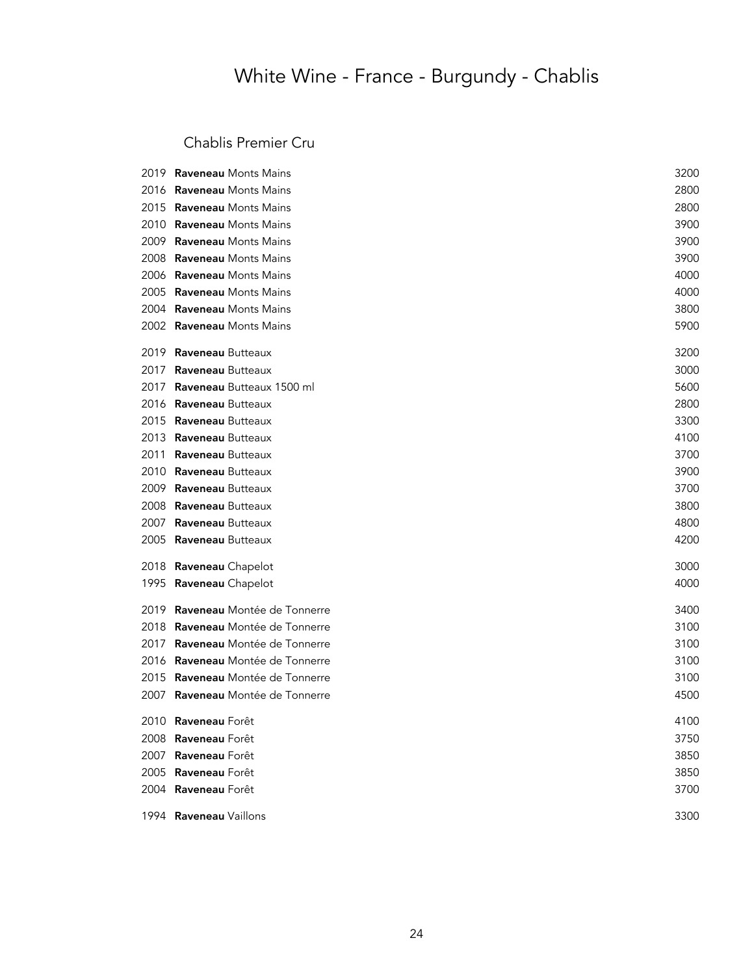# White Wine - France - Burgundy - Chablis

### Chablis Premier Cru

|      | 2019 Raveneau Monts Mains        | 3200 |
|------|----------------------------------|------|
|      | 2016 Raveneau Monts Mains        | 2800 |
| 2015 | <b>Raveneau Monts Mains</b>      | 2800 |
| 2010 | <b>Raveneau Monts Mains</b>      | 3900 |
| 2009 | <b>Raveneau Monts Mains</b>      | 3900 |
| 2008 | <b>Raveneau Monts Mains</b>      | 3900 |
| 2006 | <b>Raveneau Monts Mains</b>      | 4000 |
| 2005 | <b>Raveneau Monts Mains</b>      | 4000 |
| 2004 | <b>Raveneau Monts Mains</b>      | 3800 |
|      | 2002 Raveneau Monts Mains        | 5900 |
| 2019 | Raveneau Butteaux                | 3200 |
| 2017 | Raveneau Butteaux                | 3000 |
| 2017 | Raveneau Butteaux 1500 ml        | 5600 |
| 2016 | Raveneau Butteaux                | 2800 |
| 2015 | Raveneau Butteaux                | 3300 |
| 2013 | Raveneau Butteaux                | 4100 |
| 2011 | Raveneau Butteaux                | 3700 |
| 2010 | Raveneau Butteaux                | 3900 |
| 2009 | Raveneau Butteaux                | 3700 |
| 2008 | Raveneau Butteaux                | 3800 |
| 2007 | Raveneau Butteaux                | 4800 |
| 2005 | Raveneau Butteaux                | 4200 |
| 2018 | Raveneau Chapelot                | 3000 |
|      | 1995 Raveneau Chapelot           | 4000 |
| 2019 | Raveneau Montée de Tonnerre      | 3400 |
| 2018 | Raveneau Montée de Tonnerre      | 3100 |
| 2017 | Raveneau Montée de Tonnerre      | 3100 |
|      | 2016 Raveneau Montée de Tonnerre | 3100 |
|      | 2015 Raveneau Montée de Tonnerre | 3100 |
| 2007 | Raveneau Montée de Tonnerre      | 4500 |
|      | 2010 Raveneau Forêt              | 4100 |
|      | 2008 Raveneau Forêt              | 3750 |
|      | 2007 Raveneau Forêt              | 3850 |
|      | 2005 Raveneau Forêt              | 3850 |
|      | 2004 Raveneau Forêt              | 3700 |
|      | 1994 Raveneau Vaillons           | 3300 |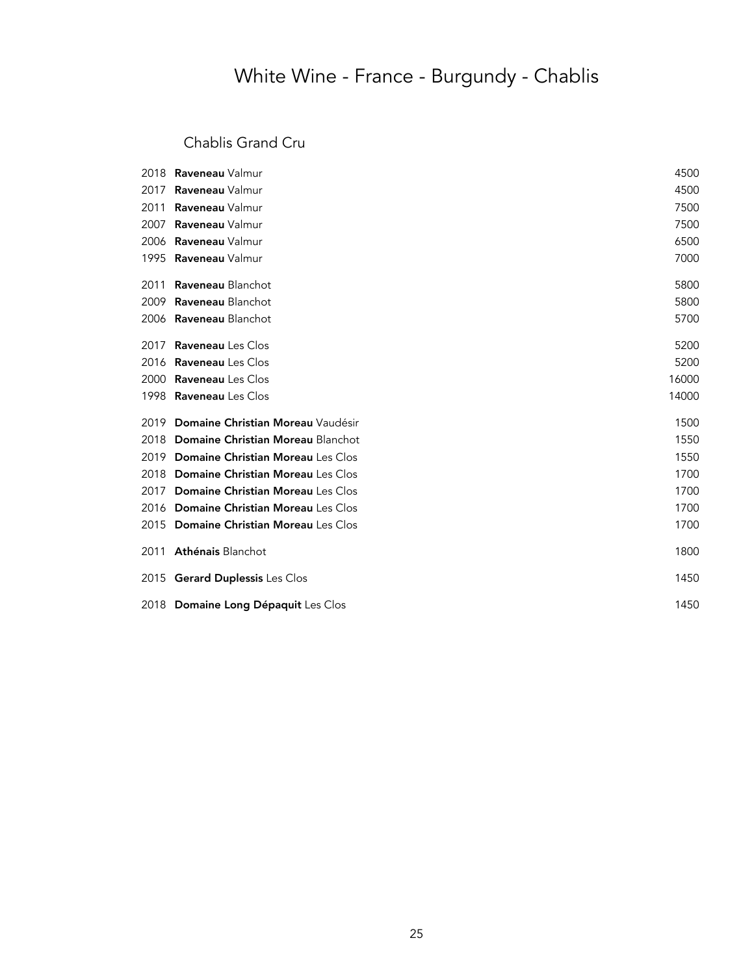## White Wine - France - Burgundy - Chablis

### Chablis Grand Cru

| 2018 | <b>Raveneau</b> Valmur                   | 4500  |
|------|------------------------------------------|-------|
| 2017 | Raveneau Valmur                          | 4500  |
| 2011 | Raveneau Valmur                          | 7500  |
| 2007 | Raveneau Valmur                          | 7500  |
| 2006 | Raveneau Valmur                          | 6500  |
| 1995 | Raveneau Valmur                          | 7000  |
| 2011 | <b>Raveneau Blanchot</b>                 | 5800  |
| 2009 | <b>Raveneau Blanchot</b>                 | 5800  |
|      | 2006 Raveneau Blanchot                   | 5700  |
| 2017 | <b>Raveneau</b> Les Clos                 | 5200  |
| 2016 | <b>Raveneau</b> Les Clos                 | 5200  |
| 2000 | <b>Raveneau</b> Les Clos                 | 16000 |
| 1998 | <b>Raveneau</b> Les Clos                 | 14000 |
| 2019 | Domaine Christian Moreau Vaudésir        | 1500  |
| 2018 | Domaine Christian Moreau Blanchot        | 1550  |
| 2019 | <b>Domaine Christian Moreau Les Clos</b> | 1550  |
| 2018 | <b>Domaine Christian Moreau Les Clos</b> | 1700  |
| 2017 | <b>Domaine Christian Moreau Les Clos</b> | 1700  |
| 2016 | <b>Domaine Christian Moreau Les Clos</b> | 1700  |
| 2015 | <b>Domaine Christian Moreau Les Clos</b> | 1700  |
| 2011 | Athénais Blanchot                        | 1800  |
|      | 2015 Gerard Duplessis Les Clos           | 1450  |
|      | 2018 Domaine Long Dépaquit Les Clos      | 1450  |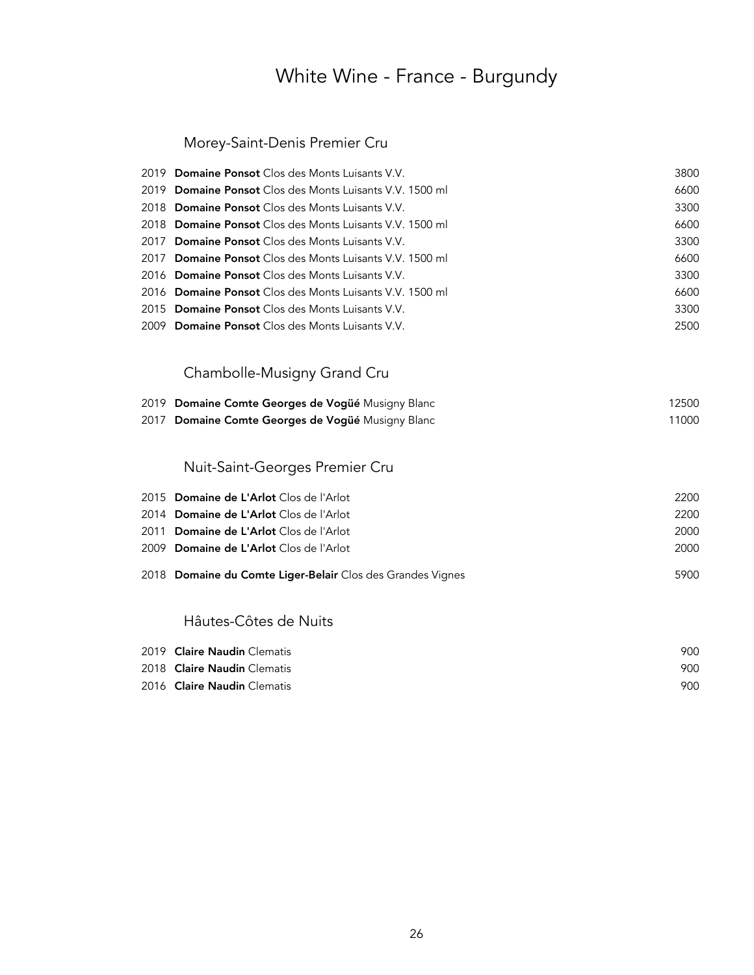## White Wine - France - Burgundy

### Morey-Saint-Denis Premier Cru

|      | 2019 Domaine Ponsot Clos des Monts Luisants V.V.           | 3800  |
|------|------------------------------------------------------------|-------|
|      | 2019 Domaine Ponsot Clos des Monts Luisants V.V. 1500 ml   | 6600  |
|      | 2018 Domaine Ponsot Clos des Monts Luisants V.V.           | 3300  |
|      | 2018 Domaine Ponsot Clos des Monts Luisants V.V. 1500 ml   | 6600  |
| 2017 | <b>Domaine Ponsot</b> Clos des Monts Luisants V.V.         | 3300  |
| 2017 | <b>Domaine Ponsot</b> Clos des Monts Luisants V.V. 1500 ml | 6600  |
|      | 2016 Domaine Ponsot Clos des Monts Luisants V.V.           | 3300  |
|      | 2016 Domaine Ponsot Clos des Monts Luisants V.V. 1500 ml   | 6600  |
|      | 2015 Domaine Ponsot Clos des Monts Luisants V.V.           | 3300  |
|      | 2009 Domaine Ponsot Clos des Monts Luisants V.V.           | 2500  |
|      |                                                            |       |
|      | Chambolle-Musigny Grand Cru                                |       |
|      |                                                            |       |
|      | 2019 Domaine Comte Georges de Vogüé Musigny Blanc          | 12500 |
| 2017 | Domaine Comte Georges de Vogüé Musigny Blanc               | 11000 |
|      |                                                            |       |
|      | Nuit-Saint-Georges Premier Cru                             |       |
|      |                                                            |       |
|      | 2015 Domaine de L'Arlot Clos de l'Arlot                    | 2200  |
|      | 2014 Domaine de L'Arlot Clos de l'Arlot                    | 2200  |
| 2011 | Domaine de L'Arlot Clos de l'Arlot                         | 2000  |
|      | 2009 Domaine de L'Arlot Clos de l'Arlot                    | 2000  |
|      | 2018 Domaine du Comte Liger-Belair Clos des Grandes Vignes | 5900  |
|      |                                                            |       |
|      | Hâutes-Côtes de Nuits                                      |       |
|      | 2019 Claire Naudin Clematis                                | 900   |
|      | 2018 Claire Naudin Clematis                                | 900   |

2016 Claire Naudin Clematis 900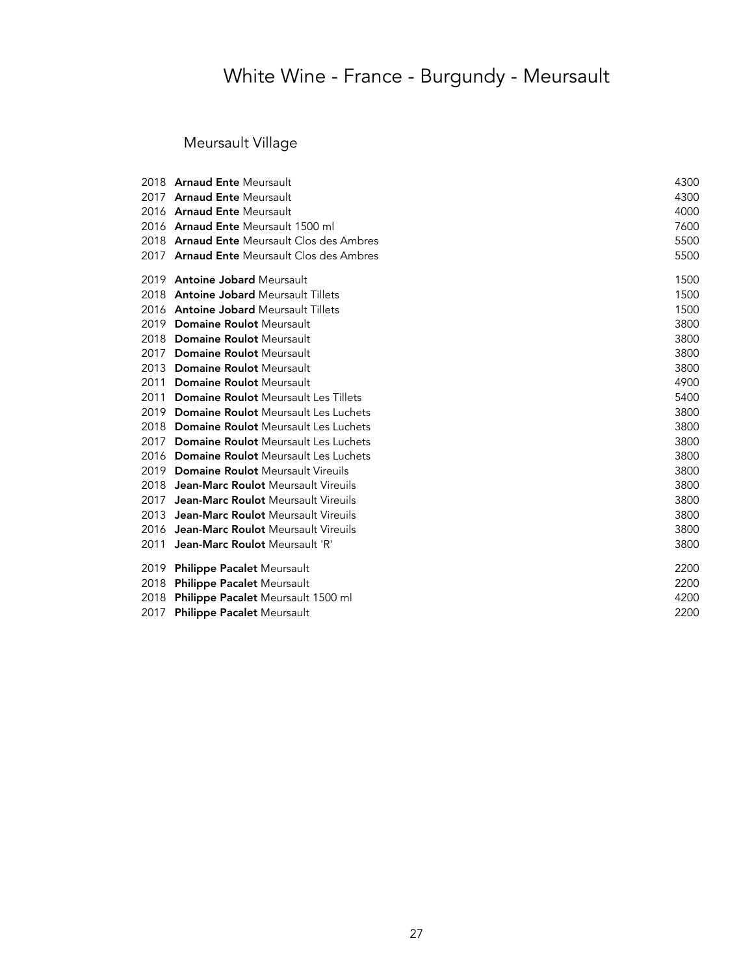Meursault Village

|      | 2018 Arnaud Ente Meursault                 | 4300 |
|------|--------------------------------------------|------|
|      | 2017 Arnaud Ente Meursault                 | 4300 |
|      | 2016 Arnaud Ente Meursault                 | 4000 |
|      | 2016 Arnaud Ente Meursault 1500 ml         | 7600 |
|      | 2018 Arnaud Ente Meursault Clos des Ambres | 5500 |
|      | 2017 Arnaud Ente Meursault Clos des Ambres | 5500 |
|      | 2019 Antoine Jobard Meursault              | 1500 |
|      | 2018 Antoine Jobard Meursault Tillets      | 1500 |
|      | 2016 Antoine Jobard Meursault Tillets      | 1500 |
|      | 2019 Domaine Roulot Meursault              | 3800 |
|      | 2018 Domaine Roulot Meursault              | 3800 |
|      | 2017 Domaine Roulot Meursault              | 3800 |
|      | 2013 Domaine Roulot Meursault              | 3800 |
|      | 2011 Domaine Roulot Meursault              | 4900 |
|      | 2011 Domaine Roulot Meursault Les Tillets  | 5400 |
|      | 2019 Domaine Roulot Meursault Les Luchets  | 3800 |
|      | 2018 Domaine Roulot Meursault Les Luchets  | 3800 |
|      | 2017 Domaine Roulot Meursault Les Luchets  | 3800 |
|      | 2016 Domaine Roulot Meursault Les Luchets  | 3800 |
|      | 2019 Domaine Roulot Meursault Vireuils     | 3800 |
|      | 2018 Jean-Marc Roulot Meursault Vireuils   | 3800 |
|      | 2017 Jean-Marc Roulot Meursault Vireuils   | 3800 |
|      | 2013 Jean-Marc Roulot Meursault Vireuils   | 3800 |
|      | 2016 Jean-Marc Roulot Meursault Vireuils   | 3800 |
| 2011 | Jean-Marc Roulot Meursault 'R'             | 3800 |
| 2019 | <b>Philippe Pacalet Meursault</b>          | 2200 |
|      | 2018 Philippe Pacalet Meursault            | 2200 |
|      | 2018 Philippe Pacalet Meursault 1500 ml    | 4200 |
|      | 2017 Philippe Pacalet Meursault            | 2200 |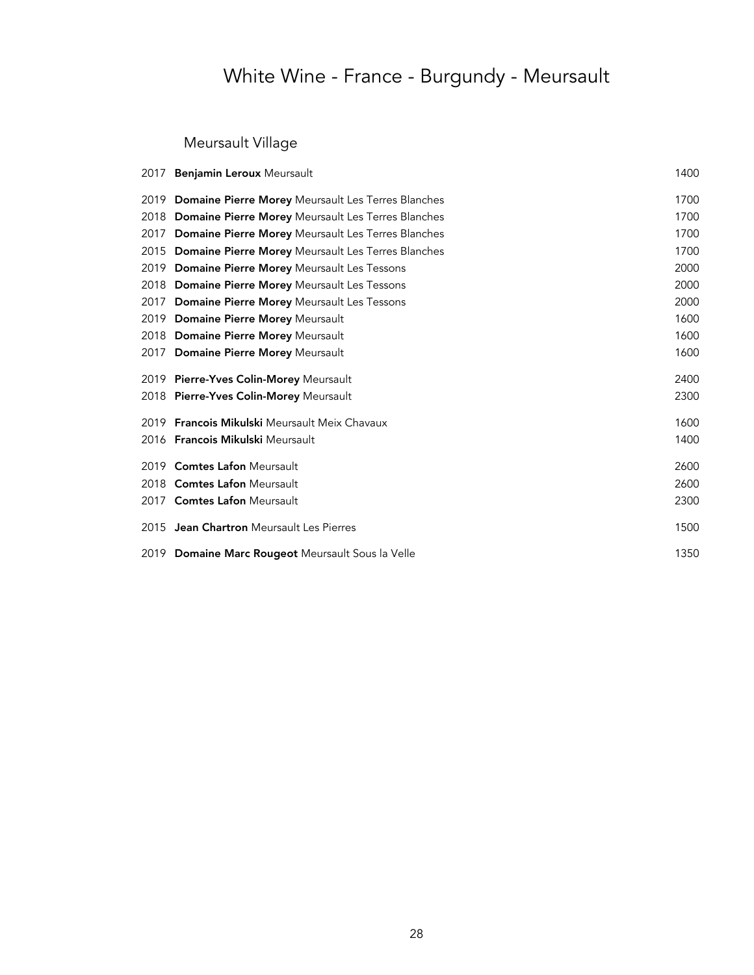Meursault Village

|      | 2017 Benjamin Leroux Meursault                          | 1400 |
|------|---------------------------------------------------------|------|
|      | 2019 Domaine Pierre Morey Meursault Les Terres Blanches | 1700 |
|      | 2018 Domaine Pierre Morey Meursault Les Terres Blanches | 1700 |
| 2017 | Domaine Pierre Morey Meursault Les Terres Blanches      | 1700 |
|      | 2015 Domaine Pierre Morey Meursault Les Terres Blanches | 1700 |
|      | 2019 Domaine Pierre Morey Meursault Les Tessons         | 2000 |
|      | 2018 Domaine Pierre Morey Meursault Les Tessons         | 2000 |
| 2017 | <b>Domaine Pierre Morey Meursault Les Tessons</b>       | 2000 |
|      | 2019 Domaine Pierre Morey Meursault                     | 1600 |
|      | 2018 Domaine Pierre Morey Meursault                     | 1600 |
|      | 2017 Domaine Pierre Morey Meursault                     | 1600 |
|      | 2019 Pierre-Yves Colin-Morey Meursault                  | 2400 |
|      | 2018 Pierre-Yves Colin-Morey Meursault                  | 2300 |
|      | 2019 Francois Mikulski Meursault Meix Chavaux           | 1600 |
|      | 2016 Francois Mikulski Meursault                        | 1400 |
|      | 2019 Comtes Lafon Meursault                             | 2600 |
|      | 2018 Comtes Lafon Meursault                             | 2600 |
|      | 2017 Comtes Lafon Meursault                             | 2300 |
|      | 2015 Jean Chartron Meursault Les Pierres                | 1500 |
|      | 2019 Domaine Marc Rougeot Meursault Sous la Velle       | 1350 |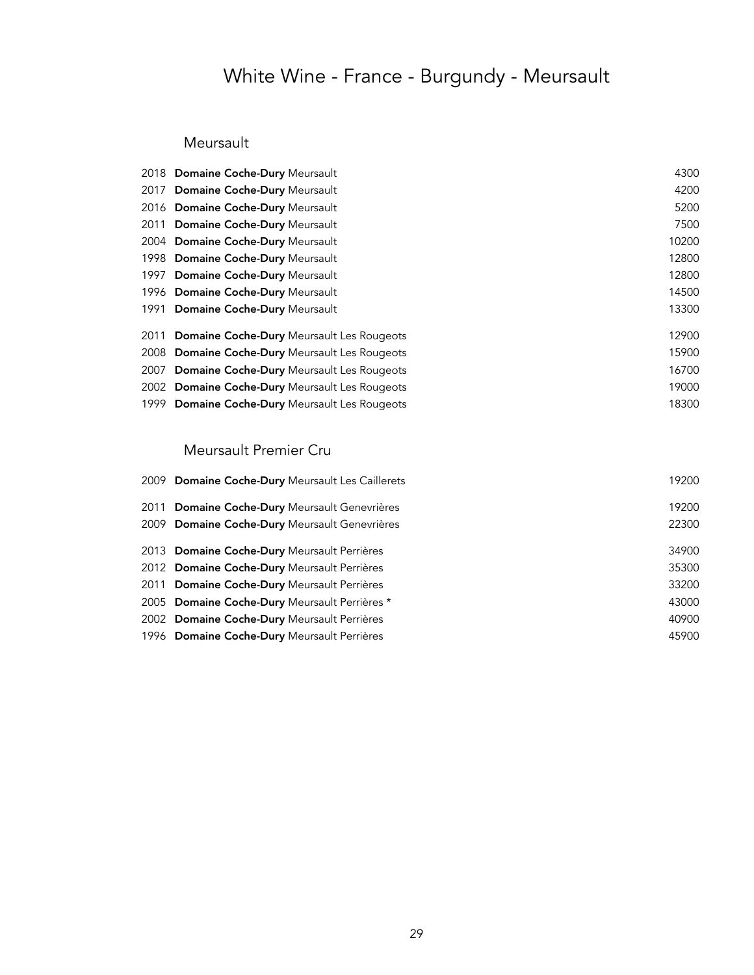#### Meursault

| 2018 Domaine Coche-Dury Meursault              | 4300  |
|------------------------------------------------|-------|
| 2017 Domaine Coche-Dury Meursault              | 4200  |
| 2016 Domaine Coche-Dury Meursault              | 5200  |
| 2011 Domaine Coche-Dury Meursault              | 7500  |
| 2004 Domaine Coche-Dury Meursault              | 10200 |
| 1998 Domaine Coche-Dury Meursault              | 12800 |
| 1997 Domaine Coche-Dury Meursault              | 12800 |
| 1996 Domaine Coche-Dury Meursault              | 14500 |
| 1991 Domaine Coche-Dury Meursault              | 13300 |
| 2011 Domaine Coche-Dury Meursault Les Rougeots | 12900 |
| 2008 Domaine Coche-Dury Meursault Les Rougeots | 15900 |
| 2007 Domaine Coche-Dury Meursault Les Rougeots | 16700 |
| 2002 Domaine Coche-Dury Meursault Les Rougeots | 19000 |
| 1999 Domaine Coche-Dury Meursault Les Rougeots | 18300 |
|                                                |       |

### Meursault Premier Cru

| 2009 Domaine Coche-Dury Meursault Les Caillerets | 19200 |
|--------------------------------------------------|-------|
| 2011 Domaine Coche-Dury Meursault Genevrières    | 19200 |
| 2009 Domaine Coche-Dury Meursault Genevrières    | 22300 |
| 2013 Domaine Coche-Dury Meursault Perrières      | 34900 |
| 2012 Domaine Coche-Dury Meursault Perrières      | 35300 |
| 2011 Domaine Coche-Dury Meursault Perrières      | 33200 |
| 2005 Domaine Coche-Dury Meursault Perrières *    | 43000 |
| 2002 Domaine Coche-Dury Meursault Perrières      | 40900 |
| 1996 Domaine Coche-Dury Meursault Perrières      | 45900 |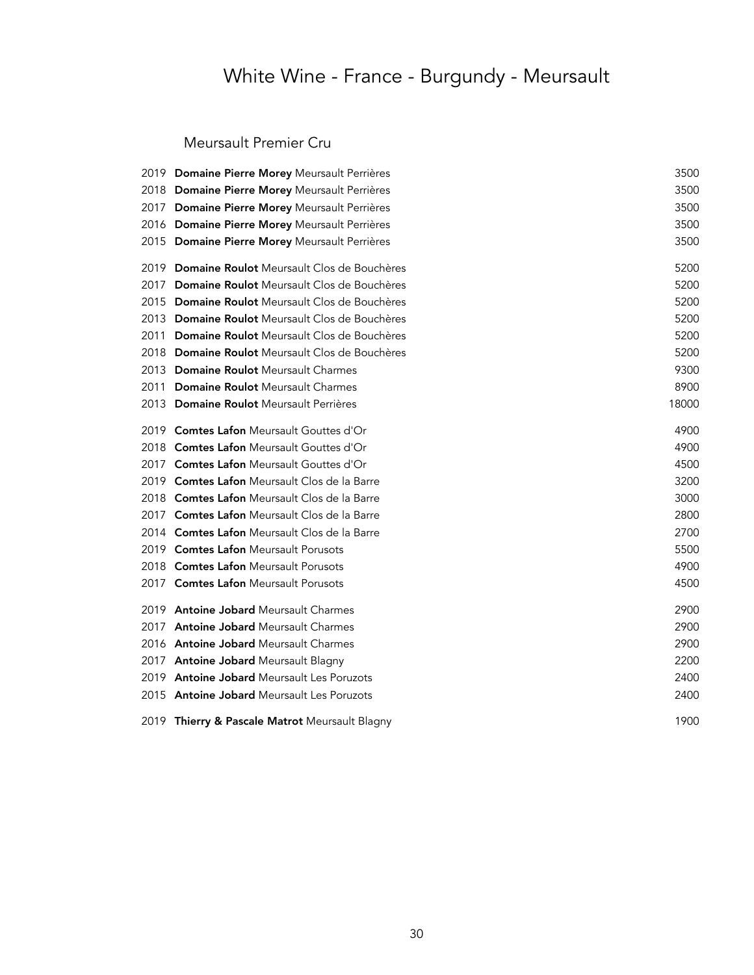### Meursault Premier Cru

|      | 2019 Domaine Pierre Morey Meursault Perrières   | 3500  |
|------|-------------------------------------------------|-------|
|      | 2018 Domaine Pierre Morey Meursault Perrières   | 3500  |
| 2017 | Domaine Pierre Morey Meursault Perrières        | 3500  |
|      | 2016 Domaine Pierre Morey Meursault Perrières   | 3500  |
|      | 2015 Domaine Pierre Morey Meursault Perrières   | 3500  |
| 2019 | Domaine Roulot Meursault Clos de Bouchères      | 5200  |
|      | 2017 Domaine Roulot Meursault Clos de Bouchères | 5200  |
|      | 2015 Domaine Roulot Meursault Clos de Bouchères | 5200  |
|      | 2013 Domaine Roulot Meursault Clos de Bouchères | 5200  |
| 2011 | Domaine Roulot Meursault Clos de Bouchères      | 5200  |
|      | 2018 Domaine Roulot Meursault Clos de Bouchères | 5200  |
|      | 2013 Domaine Roulot Meursault Charmes           | 9300  |
|      | 2011 Domaine Roulot Meursault Charmes           | 8900  |
|      | 2013 Domaine Roulot Meursault Perrières         | 18000 |
| 2019 | <b>Comtes Lafon Meursault Gouttes d'Or</b>      | 4900  |
|      | 2018 Comtes Lafon Meursault Gouttes d'Or        | 4900  |
|      | 2017 Comtes Lafon Meursault Gouttes d'Or        | 4500  |
|      | 2019 Comtes Lafon Meursault Clos de la Barre    | 3200  |
|      | 2018 Comtes Lafon Meursault Clos de la Barre    | 3000  |
|      | 2017 Comtes Lafon Meursault Clos de la Barre    | 2800  |
|      | 2014 Comtes Lafon Meursault Clos de la Barre    | 2700  |
|      | 2019 Comtes Lafon Meursault Porusots            | 5500  |
|      | 2018 Comtes Lafon Meursault Porusots            | 4900  |
|      | 2017 Comtes Lafon Meursault Porusots            | 4500  |
|      | 2019 Antoine Jobard Meursault Charmes           | 2900  |
| 2017 | <b>Antoine Jobard Meursault Charmes</b>         | 2900  |
|      | 2016 Antoine Jobard Meursault Charmes           | 2900  |
|      | 2017 Antoine Jobard Meursault Blagny            | 2200  |
| 2019 | <b>Antoine Jobard Meursault Les Poruzots</b>    | 2400  |
|      | 2015 Antoine Jobard Meursault Les Poruzots      | 2400  |
|      | 2019 Thierry & Pascale Matrot Meursault Blagny  | 1900  |
|      |                                                 |       |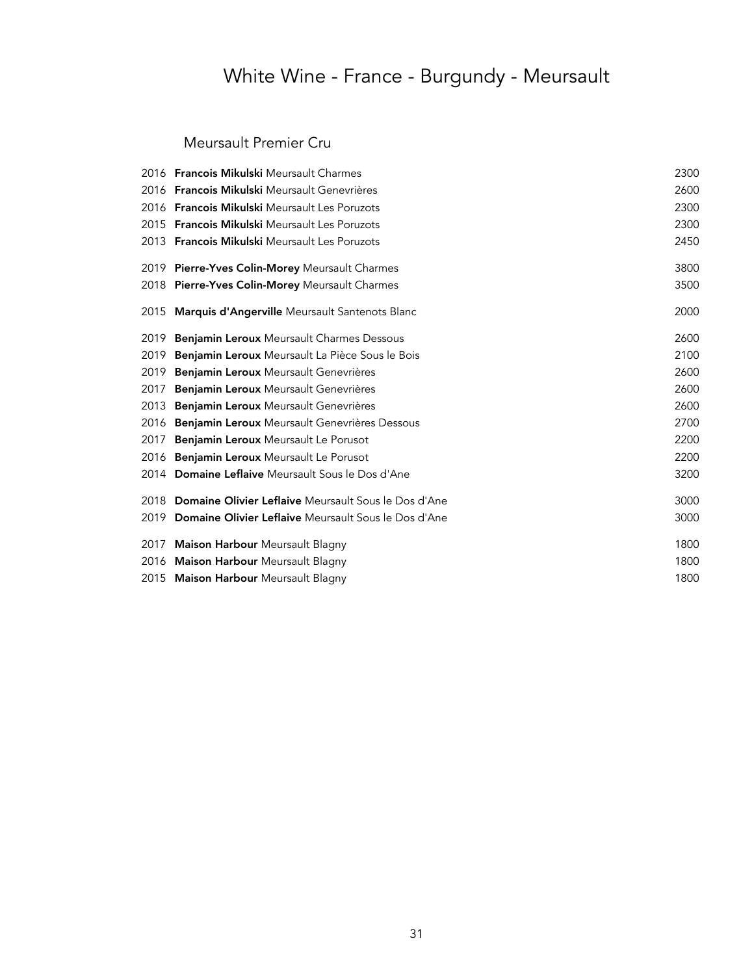### Meursault Premier Cru

|      | 2016 <b>Francois Mikulski</b> Meursault Charmes           | 2300 |
|------|-----------------------------------------------------------|------|
|      | 2016 Francois Mikulski Meursault Genevrières              | 2600 |
|      | 2016 Francois Mikulski Meursault Les Poruzots             | 2300 |
|      | 2015 <b>Francois Mikulski</b> Meursault Les Poruzots      | 2300 |
|      | 2013 Francois Mikulski Meursault Les Poruzots             | 2450 |
|      | 2019 Pierre-Yves Colin-Morey Meursault Charmes            | 3800 |
|      | 2018 Pierre-Yves Colin-Morey Meursault Charmes            | 3500 |
|      | 2015 Marquis d'Angerville Meursault Santenots Blanc       | 2000 |
| 2019 | <b>Benjamin Leroux</b> Meursault Charmes Dessous          | 2600 |
| 2019 | Benjamin Leroux Meursault La Pièce Sous le Bois           | 2100 |
| 2019 | Benjamin Leroux Meursault Genevrières                     | 2600 |
| 2017 | Benjamin Leroux Meursault Genevrières                     | 2600 |
| 2013 | Benjamin Leroux Meursault Genevrières                     | 2600 |
| 2016 | Benjamin Leroux Meursault Genevrières Dessous             | 2700 |
| 2017 | Benjamin Leroux Meursault Le Porusot                      | 2200 |
|      | 2016 Benjamin Leroux Meursault Le Porusot                 | 2200 |
|      | 2014 Domaine Leflaive Meursault Sous le Dos d'Ane         | 3200 |
|      | 2018 Domaine Olivier Leflaive Meursault Sous le Dos d'Ane | 3000 |
|      | 2019 Domaine Olivier Leflaive Meursault Sous le Dos d'Ane | 3000 |
| 2017 | Maison Harbour Meursault Blagny                           | 1800 |
|      | 2016 Maison Harbour Meursault Blagny                      | 1800 |
|      | 2015 Maison Harbour Meursault Blagny                      | 1800 |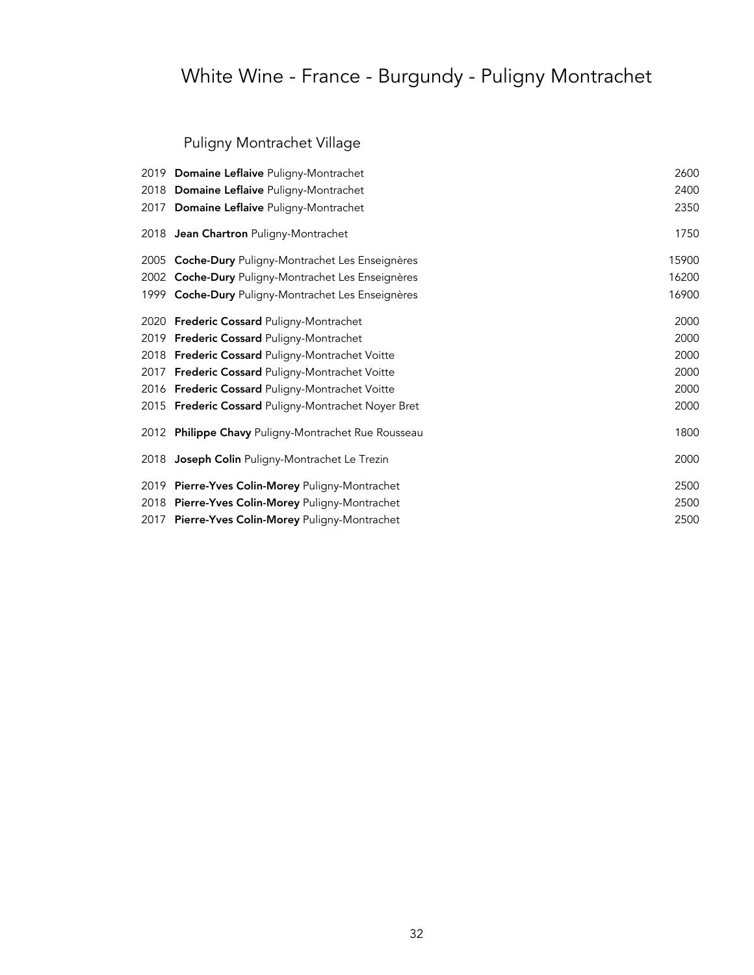### Puligny Montrachet Village

| 2019 Domaine Leflaive Puligny-Montrachet            | 2600  |
|-----------------------------------------------------|-------|
| 2018 Domaine Leflaive Puligny-Montrachet            | 2400  |
| 2017 Domaine Leflaive Puligny-Montrachet            | 2350  |
| 2018 Jean Chartron Puligny-Montrachet               | 1750  |
| 2005 Coche-Dury Puligny-Montrachet Les Enseignères  | 15900 |
| 2002 Coche-Dury Puligny-Montrachet Les Enseignères  | 16200 |
| 1999 Coche-Dury Puligny-Montrachet Les Enseignères  | 16900 |
| 2020 Frederic Cossard Puligny-Montrachet            | 2000  |
| 2019 Frederic Cossard Puligny-Montrachet            | 2000  |
| 2018 Frederic Cossard Puligny-Montrachet Voitte     | 2000  |
| 2017 Frederic Cossard Puligny-Montrachet Voitte     | 2000  |
| 2016 Frederic Cossard Puligny-Montrachet Voitte     | 2000  |
| 2015 Frederic Cossard Puligny-Montrachet Noyer Bret | 2000  |
| 2012 Philippe Chavy Puligny-Montrachet Rue Rousseau | 1800  |
| 2018 Joseph Colin Puligny-Montrachet Le Trezin      | 2000  |
| 2019 Pierre-Yves Colin-Morey Puligny-Montrachet     | 2500  |
| 2018 Pierre-Yves Colin-Morey Puligny-Montrachet     | 2500  |
| 2017 Pierre-Yves Colin-Morey Puligny-Montrachet     | 2500  |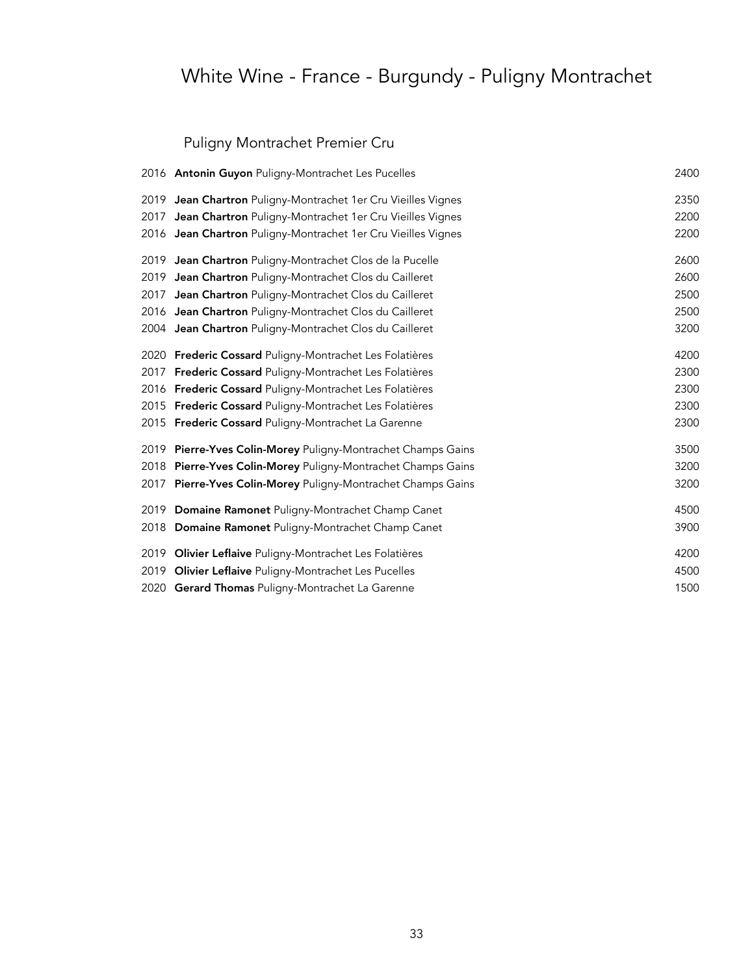### Puligny Montrachet Premier Cru

|      | 2016 Antonin Guyon Puligny-Montrachet Les Pucelles            | 2400 |
|------|---------------------------------------------------------------|------|
|      | 2019 Jean Chartron Puligny-Montrachet 1er Cru Vieilles Vignes | 2350 |
| 2017 | Jean Chartron Puligny-Montrachet 1er Cru Vieilles Vignes      | 2200 |
|      | 2016 Jean Chartron Puligny-Montrachet 1er Cru Vieilles Vignes | 2200 |
|      | 2019 Jean Chartron Puligny-Montrachet Clos de la Pucelle      | 2600 |
|      | 2019 Jean Chartron Puligny-Montrachet Clos du Cailleret       | 2600 |
| 2017 | Jean Chartron Puligny-Montrachet Clos du Cailleret            | 2500 |
|      | 2016 Jean Chartron Puligny-Montrachet Clos du Cailleret       | 2500 |
|      | 2004 Jean Chartron Puligny-Montrachet Clos du Cailleret       | 3200 |
|      | 2020 Frederic Cossard Puligny-Montrachet Les Folatières       | 4200 |
| 2017 | Frederic Cossard Puligny-Montrachet Les Folatières            | 2300 |
|      | 2016 Frederic Cossard Puligny-Montrachet Les Folatières       | 2300 |
|      | 2015 Frederic Cossard Puligny-Montrachet Les Folatières       | 2300 |
|      | 2015 Frederic Cossard Puligny-Montrachet La Garenne           | 2300 |
|      | 2019 Pierre-Yves Colin-Morey Puligny-Montrachet Champs Gains  | 3500 |
| 2018 | Pierre-Yves Colin-Morey Puligny-Montrachet Champs Gains       | 3200 |
| 2017 | Pierre-Yves Colin-Morey Puligny-Montrachet Champs Gains       | 3200 |
|      | 2019 Domaine Ramonet Puligny-Montrachet Champ Canet           | 4500 |
| 2018 | Domaine Ramonet Puligny-Montrachet Champ Canet                | 3900 |
|      | 2019 Olivier Leflaive Puligny-Montrachet Les Folatières       | 4200 |
| 2019 | Olivier Leflaive Puligny-Montrachet Les Pucelles              | 4500 |
|      | 2020 Gerard Thomas Puligny-Montrachet La Garenne              | 1500 |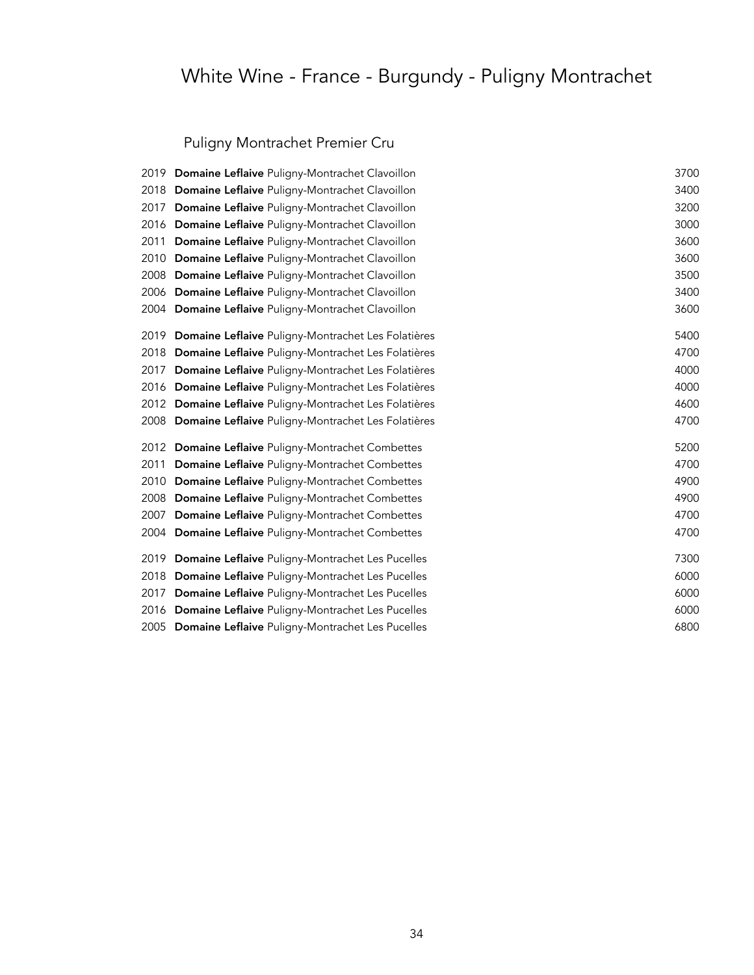### Puligny Montrachet Premier Cru

|      | 2019 Domaine Leflaive Puligny-Montrachet Clavoillon     | 3700 |
|------|---------------------------------------------------------|------|
| 2018 | Domaine Leflaive Puligny-Montrachet Clavoillon          | 3400 |
| 2017 | Domaine Leflaive Puligny-Montrachet Clavoillon          | 3200 |
|      | 2016 Domaine Leflaive Puligny-Montrachet Clavoillon     | 3000 |
| 2011 | Domaine Leflaive Puligny-Montrachet Clavoillon          | 3600 |
| 2010 | Domaine Leflaive Puligny-Montrachet Clavoillon          | 3600 |
|      | 2008 Domaine Leflaive Puligny-Montrachet Clavoillon     | 3500 |
|      | 2006 Domaine Leflaive Puligny-Montrachet Clavoillon     | 3400 |
|      | 2004 Domaine Leflaive Puligny-Montrachet Clavoillon     | 3600 |
| 2019 | Domaine Leflaive Puligny-Montrachet Les Folatières      | 5400 |
| 2018 | Domaine Leflaive Puligny-Montrachet Les Folatières      | 4700 |
| 2017 | Domaine Leflaive Puligny-Montrachet Les Folatières      | 4000 |
|      | 2016 Domaine Leflaive Puligny-Montrachet Les Folatières | 4000 |
|      | 2012 Domaine Leflaive Puligny-Montrachet Les Folatières | 4600 |
|      | 2008 Domaine Leflaive Puligny-Montrachet Les Folatières | 4700 |
|      | 2012 Domaine Leflaive Puligny-Montrachet Combettes      | 5200 |
| 2011 | Domaine Leflaive Puligny-Montrachet Combettes           | 4700 |
| 2010 | Domaine Leflaive Puligny-Montrachet Combettes           | 4900 |
|      | 2008 Domaine Leflaive Puligny-Montrachet Combettes      | 4900 |
| 2007 | Domaine Leflaive Puligny-Montrachet Combettes           | 4700 |
|      | 2004 Domaine Leflaive Puligny-Montrachet Combettes      | 4700 |
| 2019 | Domaine Leflaive Puligny-Montrachet Les Pucelles        | 7300 |
|      | 2018 Domaine Leflaive Puligny-Montrachet Les Pucelles   | 6000 |
| 2017 | Domaine Leflaive Puligny-Montrachet Les Pucelles        | 6000 |
|      | 2016 Domaine Leflaive Puligny-Montrachet Les Pucelles   | 6000 |
|      | 2005 Domaine Leflaive Puligny-Montrachet Les Pucelles   | 6800 |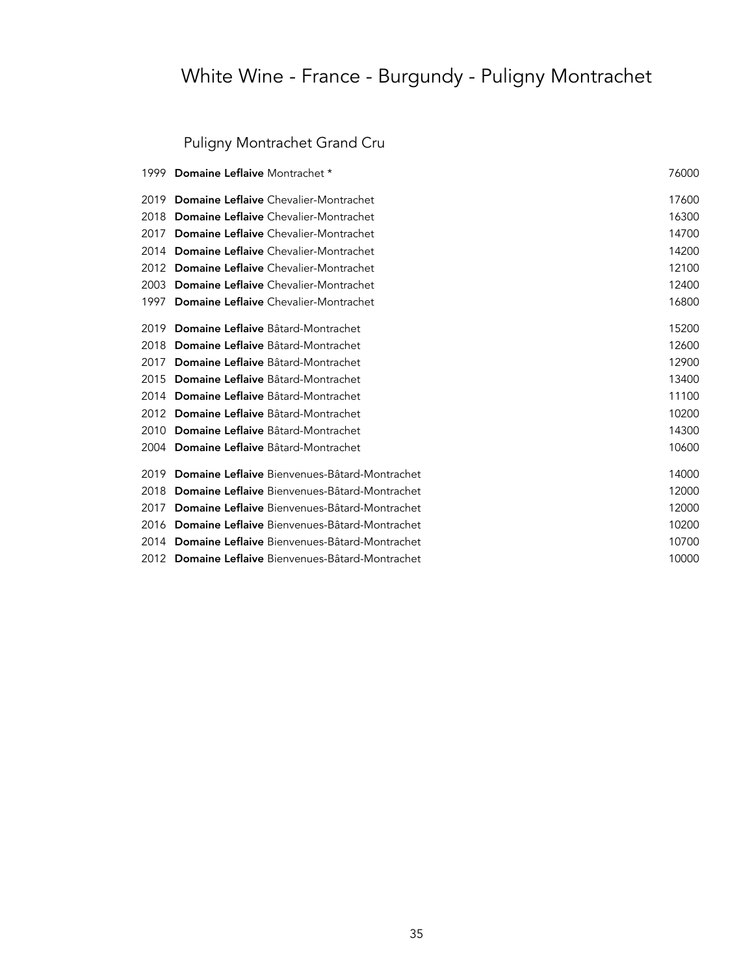### Puligny Montrachet Grand Cru

| 1999 | <b>Domaine Leflaive Montrachet *</b>               | 76000 |
|------|----------------------------------------------------|-------|
| 2019 | Domaine Leflaive Chevalier-Montrachet              | 17600 |
| 2018 | <b>Domaine Leflaive</b> Chevalier-Montrachet       | 16300 |
| 2017 | <b>Domaine Leflaive</b> Chevalier-Montrachet       | 14700 |
| 2014 | Domaine Leflaive Chevalier-Montrachet              | 14200 |
| 2012 | <b>Domaine Leflaive</b> Chevalier-Montrachet       | 12100 |
| 2003 | <b>Domaine Leflaive</b> Chevalier-Montrachet       | 12400 |
| 1997 | <b>Domaine Leflaive</b> Chevalier-Montrachet       | 16800 |
| 2019 | Domaine Leflaive Bâtard-Montrachet                 | 15200 |
| 2018 | Domaine Leflaive Bâtard-Montrachet                 | 12600 |
| 2017 | Domaine Leflaive Bâtard-Montrachet                 | 12900 |
| 2015 | <b>Domaine Leflaive</b> Bâtard-Montrachet          | 13400 |
| 2014 | Domaine Leflaive Bâtard-Montrachet                 | 11100 |
| 2012 | Domaine Leflaive Bâtard-Montrachet                 | 10200 |
| 2010 | Domaine Leflaive Bâtard-Montrachet                 | 14300 |
| 2004 | <b>Domaine Leflaive</b> Bâtard-Montrachet          | 10600 |
| 2019 | Domaine Leflaive Bienvenues-Bâtard-Montrachet      | 14000 |
| 2018 | Domaine Leflaive Bienvenues-Bâtard-Montrachet      | 12000 |
| 2017 | Domaine Leflaive Bienvenues-Bâtard-Montrachet      | 12000 |
| 2016 | Domaine Leflaive Bienvenues-Bâtard-Montrachet      | 10200 |
| 2014 | Domaine Leflaive Bienvenues-Bâtard-Montrachet      | 10700 |
|      | 2012 Domaine Leflaive Bienvenues-Bâtard-Montrachet | 10000 |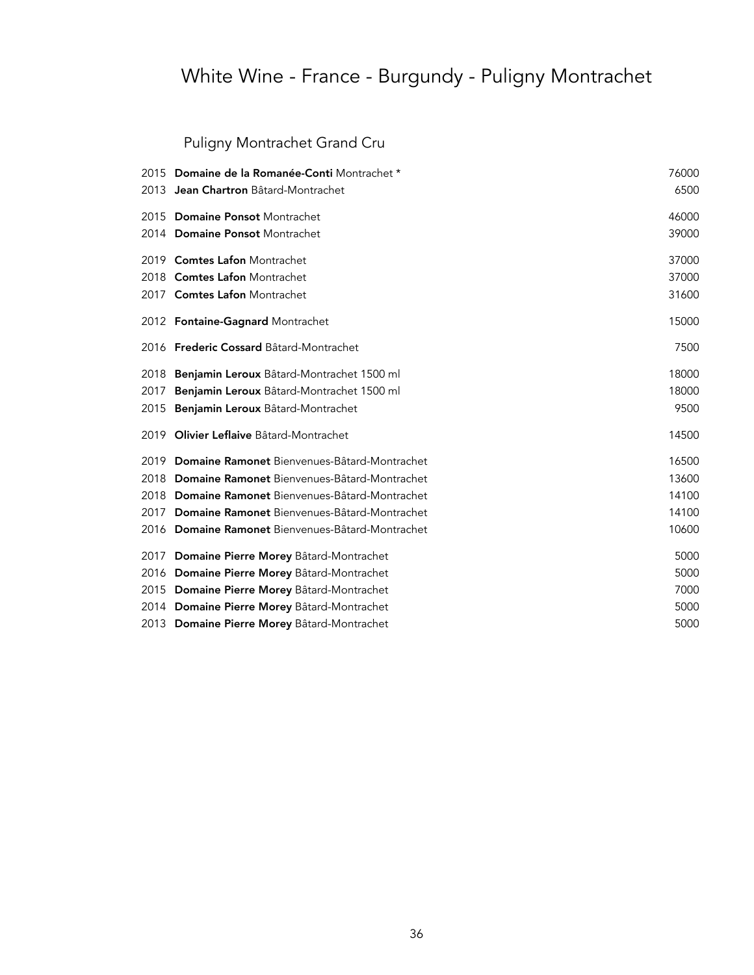### Puligny Montrachet Grand Cru

|      | 2015 Domaine de la Romanée-Conti Montrachet *     | 76000 |
|------|---------------------------------------------------|-------|
| 2013 | Jean Chartron Bâtard-Montrachet                   | 6500  |
|      | 2015 Domaine Ponsot Montrachet                    | 46000 |
|      | 2014 Domaine Ponsot Montrachet                    | 39000 |
|      | 2019 Comtes Lafon Montrachet                      | 37000 |
|      | 2018 Comtes Lafon Montrachet                      | 37000 |
|      | 2017 Comtes Lafon Montrachet                      | 31600 |
|      | 2012 Fontaine-Gagnard Montrachet                  | 15000 |
|      | 2016 Frederic Cossard Bâtard-Montrachet           | 7500  |
|      | 2018 Benjamin Leroux Bâtard-Montrachet 1500 ml    | 18000 |
| 2017 | Benjamin Leroux Bâtard-Montrachet 1500 ml         | 18000 |
| 2015 | Benjamin Leroux Bâtard-Montrachet                 | 9500  |
| 2019 | Olivier Leflaive Bâtard-Montrachet                | 14500 |
|      | 2019 Domaine Ramonet Bienvenues-Bâtard-Montrachet | 16500 |
|      | 2018 Domaine Ramonet Bienvenues-Bâtard-Montrachet | 13600 |
|      | 2018 Domaine Ramonet Bienvenues-Bâtard-Montrachet | 14100 |
|      | 2017 Domaine Ramonet Bienvenues-Bâtard-Montrachet | 14100 |
|      | 2016 Domaine Ramonet Bienvenues-Bâtard-Montrachet | 10600 |
|      | 2017 Domaine Pierre Morey Bâtard-Montrachet       | 5000  |
|      | 2016 Domaine Pierre Morey Bâtard-Montrachet       | 5000  |
|      | 2015 Domaine Pierre Morey Bâtard-Montrachet       | 7000  |
|      | 2014 Domaine Pierre Morey Bâtard-Montrachet       | 5000  |
|      | 2013 Domaine Pierre Morey Bâtard-Montrachet       | 5000  |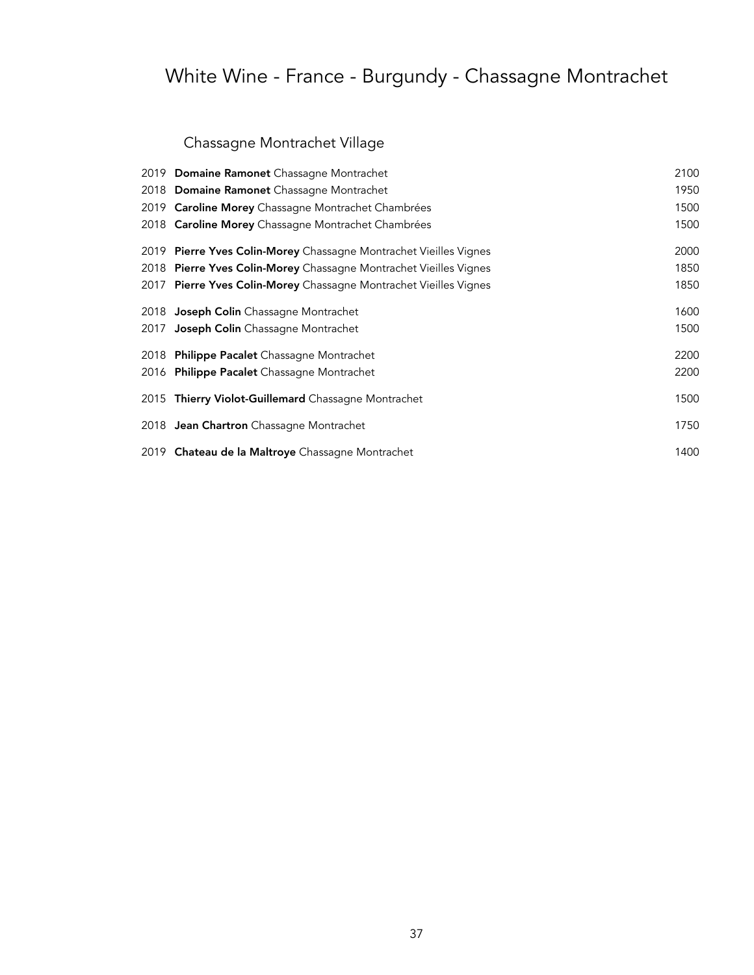# White Wine - France - Burgundy - Chassagne Montrachet

## Chassagne Montrachet Village

| 2019 Domaine Ramonet Chassagne Montrachet                         | 2100 |
|-------------------------------------------------------------------|------|
| 2018 Domaine Ramonet Chassagne Montrachet                         | 1950 |
| 2019 Caroline Morey Chassagne Montrachet Chambrées                | 1500 |
| 2018 Caroline Morey Chassagne Montrachet Chambrées                | 1500 |
| 2019 Pierre Yves Colin-Morey Chassagne Montrachet Vieilles Vignes | 2000 |
| 2018 Pierre Yves Colin-Morey Chassagne Montrachet Vieilles Vignes | 1850 |
| 2017 Pierre Yves Colin-Morey Chassagne Montrachet Vieilles Vignes | 1850 |
| 2018 Joseph Colin Chassagne Montrachet                            | 1600 |
| 2017 Joseph Colin Chassagne Montrachet                            | 1500 |
| 2018 Philippe Pacalet Chassagne Montrachet                        | 2200 |
| 2016 Philippe Pacalet Chassagne Montrachet                        | 2200 |
| 2015 Thierry Violot-Guillemard Chassagne Montrachet               | 1500 |
| 2018 Jean Chartron Chassagne Montrachet                           | 1750 |
| 2019 Chateau de la Maltroye Chassagne Montrachet                  | 1400 |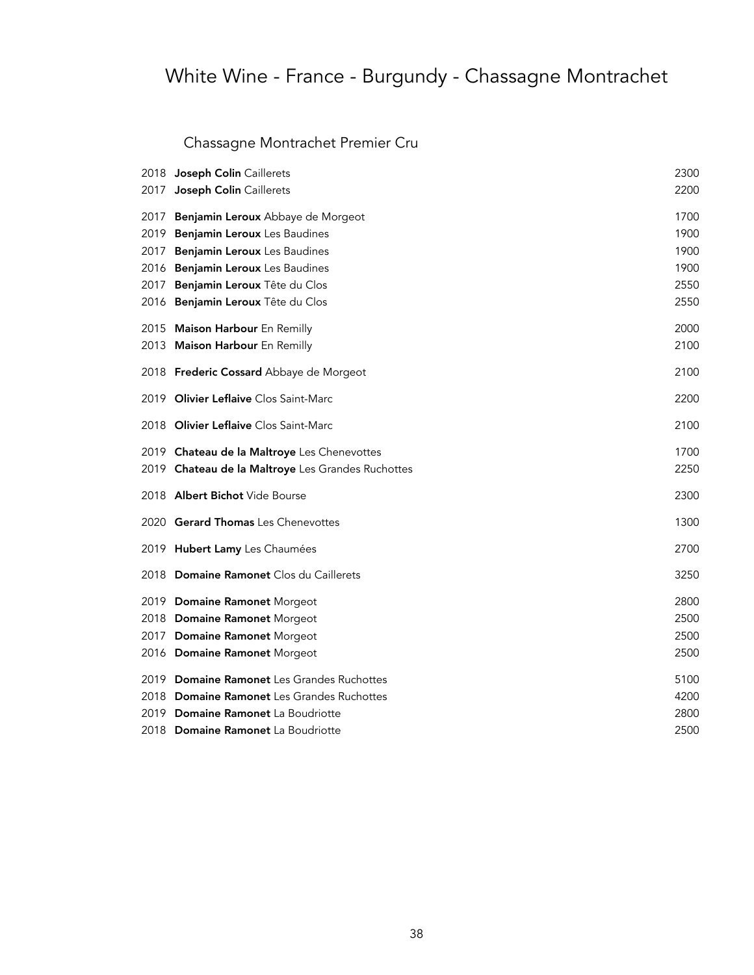# White Wine - France - Burgundy - Chassagne Montrachet

## Chassagne Montrachet Premier Cru

|      | 2018 Joseph Colin Caillerets                      | 2300 |
|------|---------------------------------------------------|------|
| 2017 | Joseph Colin Caillerets                           | 2200 |
| 2017 | Benjamin Leroux Abbaye de Morgeot                 | 1700 |
| 2019 | Benjamin Leroux Les Baudines                      | 1900 |
| 2017 | Benjamin Leroux Les Baudines                      | 1900 |
|      | 2016 Benjamin Leroux Les Baudines                 | 1900 |
| 2017 | Benjamin Leroux Tête du Clos                      | 2550 |
|      | 2016 Benjamin Leroux Tête du Clos                 | 2550 |
|      | 2015 Maison Harbour En Remilly                    | 2000 |
|      | 2013 Maison Harbour En Remilly                    | 2100 |
|      | 2018 Frederic Cossard Abbaye de Morgeot           | 2100 |
|      | 2019 Olivier Leflaive Clos Saint-Marc             | 2200 |
|      | 2018 Olivier Leflaive Clos Saint-Marc             | 2100 |
|      | 2019 Chateau de la Maltroye Les Chenevottes       | 1700 |
|      | 2019 Chateau de la Maltroye Les Grandes Ruchottes | 2250 |
|      | 2018 Albert Bichot Vide Bourse                    | 2300 |
|      | 2020 Gerard Thomas Les Chenevottes                | 1300 |
|      | 2019 Hubert Lamy Les Chaumées                     | 2700 |
|      | 2018 Domaine Ramonet Clos du Caillerets           | 3250 |
|      | 2019 Domaine Ramonet Morgeot                      | 2800 |
|      | 2018 Domaine Ramonet Morgeot                      | 2500 |
|      | 2017 Domaine Ramonet Morgeot                      | 2500 |
|      | 2016 Domaine Ramonet Morgeot                      | 2500 |
|      | 2019 Domaine Ramonet Les Grandes Ruchottes        | 5100 |
|      | 2018 Domaine Ramonet Les Grandes Ruchottes        | 4200 |
|      | 2019 Domaine Ramonet La Boudriotte                | 2800 |
|      | 2018 Domaine Ramonet La Boudriotte                | 2500 |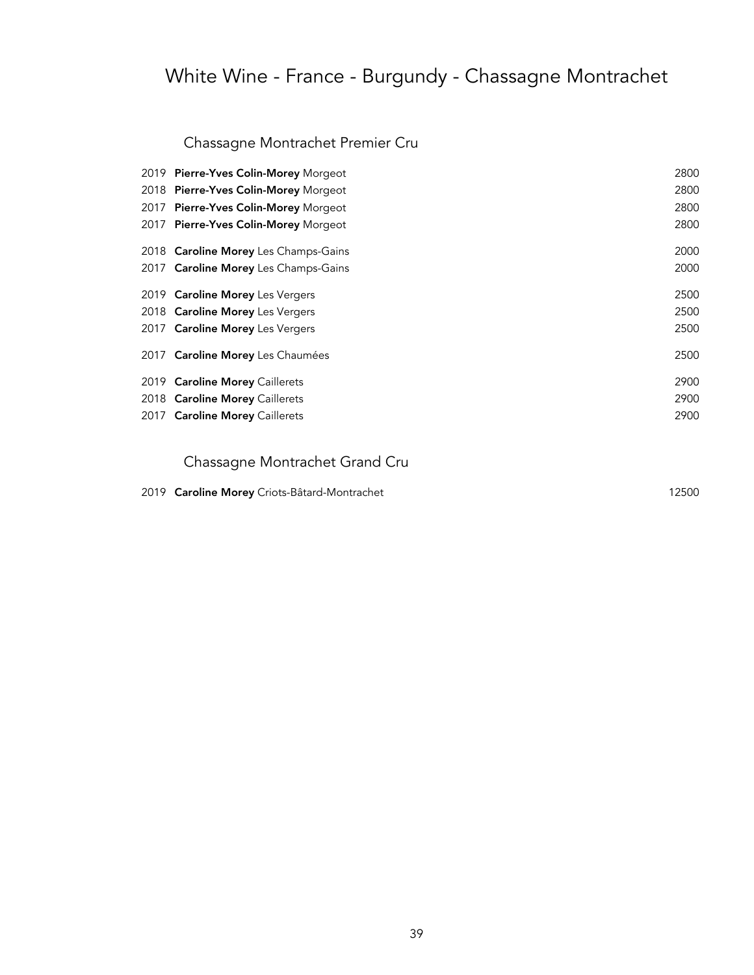# White Wine - France - Burgundy - Chassagne Montrachet

### Chassagne Montrachet Premier Cru

| 2019 Pierre-Yves Colin-Morey Morgeot | 2800 |
|--------------------------------------|------|
| 2018 Pierre-Yves Colin-Morey Morgeot | 2800 |
| 2017 Pierre-Yves Colin-Morey Morgeot | 2800 |
| 2017 Pierre-Yves Colin-Morey Morgeot | 2800 |
| 2018 Caroline Morey Les Champs-Gains | 2000 |
| 2017 Caroline Morey Les Champs-Gains | 2000 |
| 2019 Caroline Morey Les Vergers      | 2500 |
| 2018 Caroline Morey Les Vergers      | 2500 |
| 2017 Caroline Morey Les Vergers      | 2500 |
| 2017 Caroline Morey Les Chaumées     | 2500 |
| 2019 Caroline Morey Caillerets       | 2900 |
| 2018 Caroline Morey Caillerets       | 2900 |
| 2017 Caroline Morey Caillerets       | 2900 |
|                                      |      |

### Chassagne Montrachet Grand Cru

|  | 2019 Caroline Morey Criots-Bâtard-Montrachet | 12500 |
|--|----------------------------------------------|-------|
|--|----------------------------------------------|-------|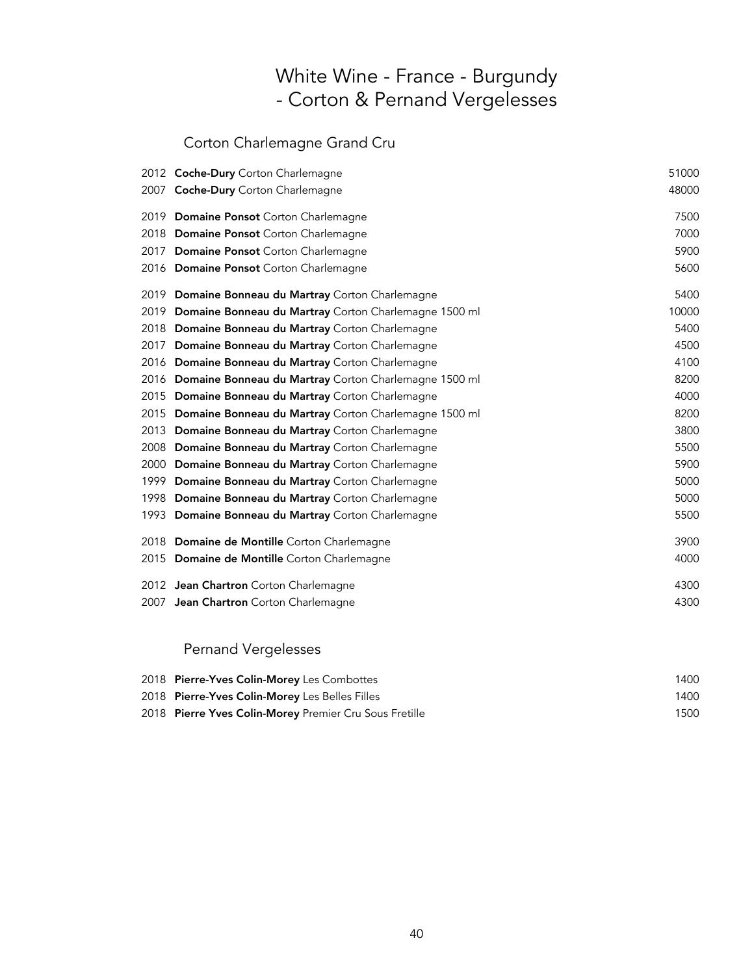## White Wine - France - Burgundy - Corton & Pernand Vergelesses

### Corton Charlemagne Grand Cru

|      | 2012 Coche-Dury Corton Charlemagne                    | 51000 |
|------|-------------------------------------------------------|-------|
|      | 2007 Coche-Dury Corton Charlemagne                    | 48000 |
| 2019 | Domaine Ponsot Corton Charlemagne                     | 7500  |
| 2018 | Domaine Ponsot Corton Charlemagne                     | 7000  |
| 2017 | Domaine Ponsot Corton Charlemagne                     | 5900  |
|      | 2016 Domaine Ponsot Corton Charlemagne                | 5600  |
| 2019 | Domaine Bonneau du Martray Corton Charlemagne         | 5400  |
| 2019 | Domaine Bonneau du Martray Corton Charlemagne 1500 ml | 10000 |
| 2018 | Domaine Bonneau du Martray Corton Charlemagne         | 5400  |
| 2017 | Domaine Bonneau du Martray Corton Charlemagne         | 4500  |
| 2016 | Domaine Bonneau du Martray Corton Charlemagne         | 4100  |
| 2016 | Domaine Bonneau du Martray Corton Charlemagne 1500 ml | 8200  |
| 2015 | Domaine Bonneau du Martray Corton Charlemagne         | 4000  |
| 2015 | Domaine Bonneau du Martray Corton Charlemagne 1500 ml | 8200  |
| 2013 | Domaine Bonneau du Martray Corton Charlemagne         | 3800  |
| 2008 | Domaine Bonneau du Martray Corton Charlemagne         | 5500  |
| 2000 | Domaine Bonneau du Martray Corton Charlemagne         | 5900  |
| 1999 | Domaine Bonneau du Martray Corton Charlemagne         | 5000  |
| 1998 | Domaine Bonneau du Martray Corton Charlemagne         | 5000  |
| 1993 | Domaine Bonneau du Martray Corton Charlemagne         | 5500  |
|      | 2018 Domaine de Montille Corton Charlemagne           | 3900  |
|      | 2015 Domaine de Montille Corton Charlemagne           | 4000  |
|      | 2012 Jean Chartron Corton Charlemagne                 | 4300  |
|      | 2007 Jean Chartron Corton Charlemagne                 | 4300  |

### Pernand Vergelesses

| 2018 Pierre-Yves Colin-Morey Les Combottes             | 1400 |
|--------------------------------------------------------|------|
| 2018 Pierre-Yves Colin-Morey Les Belles Filles         | 1400 |
| 2018 Pierre Yves Colin-Morey Premier Cru Sous Fretille | 1500 |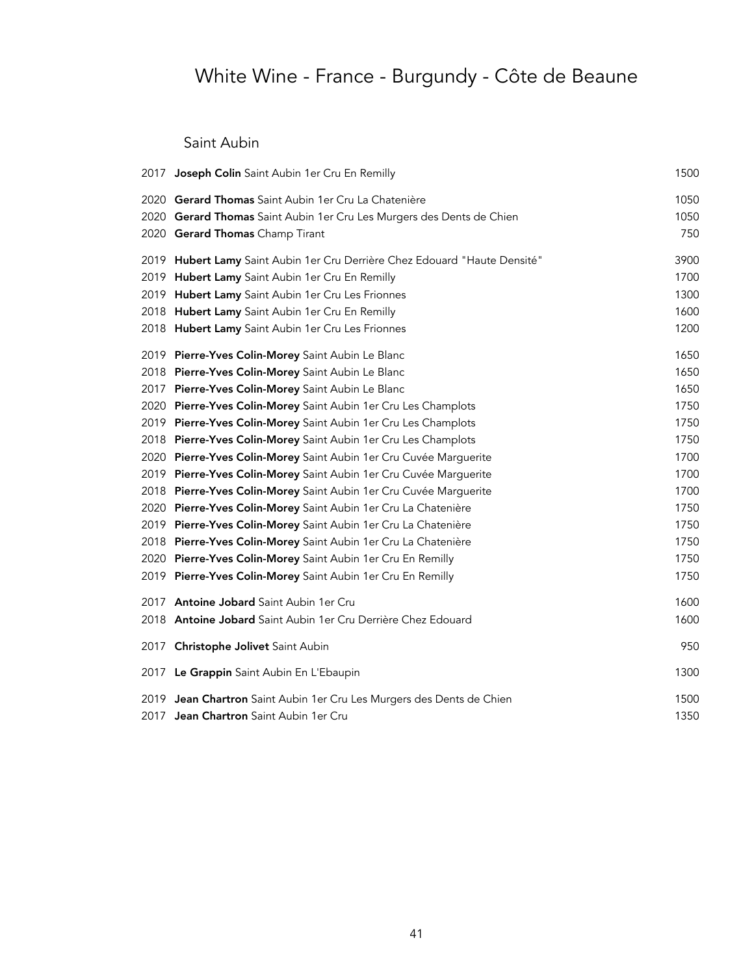# White Wine - France - Burgundy - Côte de Beaune

Saint Aubin

| 2017 Joseph Colin Saint Aubin 1er Cru En Remilly                           | 1500 |
|----------------------------------------------------------------------------|------|
| 2020 Gerard Thomas Saint Aubin 1er Cru La Chatenière                       | 1050 |
| 2020 Gerard Thomas Saint Aubin 1er Cru Les Murgers des Dents de Chien      | 1050 |
| 2020 Gerard Thomas Champ Tirant                                            | 750  |
| 2019 Hubert Lamy Saint Aubin 1er Cru Derrière Chez Edouard "Haute Densité" | 3900 |
| 2019 Hubert Lamy Saint Aubin 1er Cru En Remilly                            | 1700 |
| 2019 Hubert Lamy Saint Aubin 1er Cru Les Frionnes                          | 1300 |
| 2018 Hubert Lamy Saint Aubin 1er Cru En Remilly                            | 1600 |
| 2018 Hubert Lamy Saint Aubin 1er Cru Les Frionnes                          | 1200 |
| 2019 Pierre-Yves Colin-Morey Saint Aubin Le Blanc                          | 1650 |
| 2018 Pierre-Yves Colin-Morey Saint Aubin Le Blanc                          | 1650 |
| 2017 Pierre-Yves Colin-Morey Saint Aubin Le Blanc                          | 1650 |
| 2020 Pierre-Yves Colin-Morey Saint Aubin 1er Cru Les Champlots             | 1750 |
| 2019 Pierre-Yves Colin-Morey Saint Aubin 1er Cru Les Champlots             | 1750 |
| 2018 Pierre-Yves Colin-Morey Saint Aubin 1er Cru Les Champlots             | 1750 |
| 2020 Pierre-Yves Colin-Morey Saint Aubin 1er Cru Cuvée Marguerite          | 1700 |
| 2019 Pierre-Yves Colin-Morey Saint Aubin 1er Cru Cuvée Marguerite          | 1700 |
| 2018 Pierre-Yves Colin-Morey Saint Aubin 1er Cru Cuvée Marguerite          | 1700 |
| 2020 Pierre-Yves Colin-Morey Saint Aubin 1er Cru La Chatenière             | 1750 |
| 2019 Pierre-Yves Colin-Morey Saint Aubin 1er Cru La Chatenière             | 1750 |
| 2018 Pierre-Yves Colin-Morey Saint Aubin 1er Cru La Chatenière             | 1750 |
| 2020 Pierre-Yves Colin-Morey Saint Aubin 1er Cru En Remilly                | 1750 |
| 2019 Pierre-Yves Colin-Morey Saint Aubin 1er Cru En Remilly                | 1750 |
| 2017 Antoine Jobard Saint Aubin 1er Cru                                    | 1600 |
| 2018 Antoine Jobard Saint Aubin 1er Cru Derrière Chez Edouard              | 1600 |
| 2017 Christophe Jolivet Saint Aubin                                        | 950  |
| 2017 Le Grappin Saint Aubin En L'Ebaupin                                   | 1300 |
| 2019 Jean Chartron Saint Aubin 1er Cru Les Murgers des Dents de Chien      | 1500 |
| 2017 Jean Chartron Saint Aubin 1er Cru                                     | 1350 |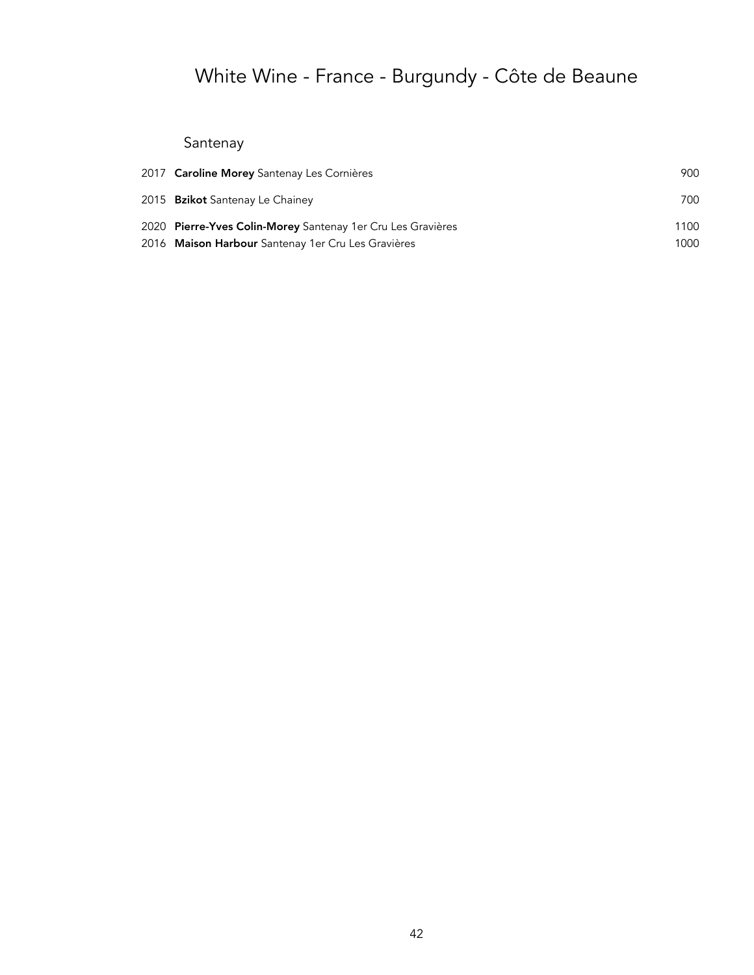# White Wine - France - Burgundy - Côte de Beaune

## Santenay

| 2017 Caroline Morey Santenay Les Cornières                  | 900  |
|-------------------------------------------------------------|------|
| 2015 <b>Bzikot</b> Santenay Le Chainey                      | 700  |
| 2020 Pierre-Yves Colin-Morey Santenay 1er Cru Les Gravières | 1100 |
| 2016 Maison Harbour Santenay 1er Cru Les Gravières          | 1000 |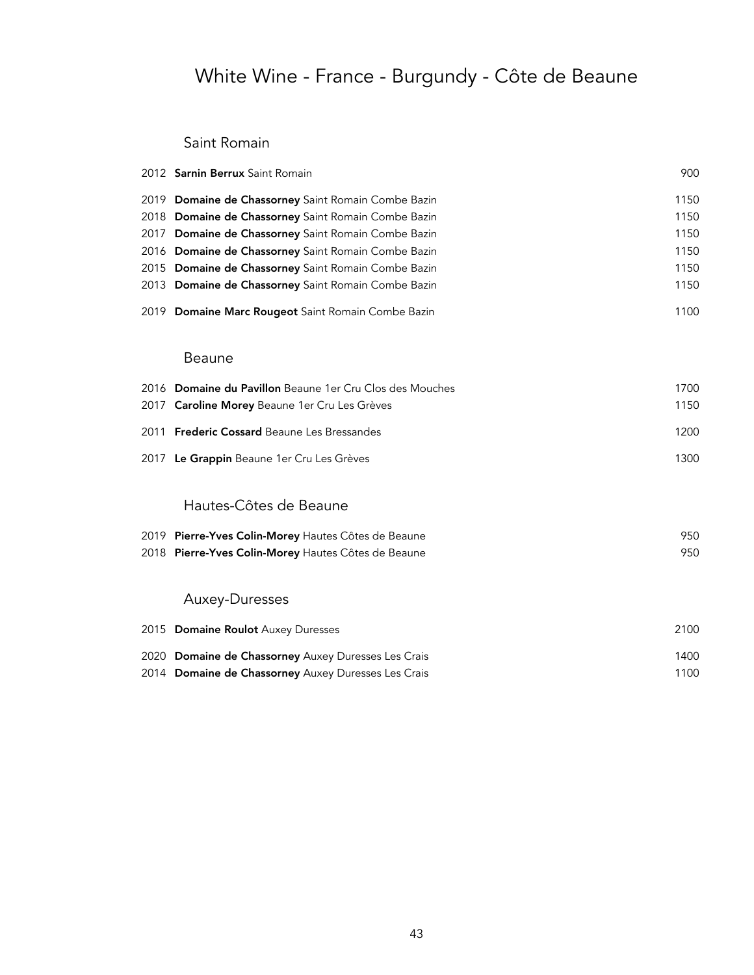# White Wine - France - Burgundy - Côte de Beaune

#### Saint Romain

|      | 2012 Sarnin Berrux Saint Romain                          | 900  |
|------|----------------------------------------------------------|------|
| 2019 | Domaine de Chassorney Saint Romain Combe Bazin           | 1150 |
| 2018 | Domaine de Chassorney Saint Romain Combe Bazin           | 1150 |
| 2017 | Domaine de Chassorney Saint Romain Combe Bazin           | 1150 |
|      | 2016 Domaine de Chassorney Saint Romain Combe Bazin      | 1150 |
| 2015 | Domaine de Chassorney Saint Romain Combe Bazin           | 1150 |
|      | 2013 Domaine de Chassorney Saint Romain Combe Bazin      | 1150 |
|      | 2019 Domaine Marc Rougeot Saint Romain Combe Bazin       | 1100 |
|      | <b>Beaune</b>                                            |      |
|      | 2016 Domaine du Pavillon Beaune 1er Cru Clos des Mouches | 1700 |
| 2017 | Caroline Morey Beaune 1er Cru Les Grèves                 | 1150 |
|      | 2011 Frederic Cossard Beaune Les Bressandes              | 1200 |
|      | 2017 Le Grappin Beaune 1er Cru Les Grèves                | 1300 |
|      | Hautes-Côtes de Beaune                                   |      |
|      | 2019 Pierre-Yves Colin-Morey Hautes Côtes de Beaune      | 950  |
|      | 2018 Pierre-Yves Colin-Morey Hautes Côtes de Beaune      | 950  |
|      | Auxey-Duresses                                           |      |
|      | 2015 Domaine Roulot Auxey Duresses                       | 2100 |
|      | 2020 Domaine de Chassorney Auxey Duresses Les Crais      | 1400 |
|      | 2014 Domaine de Chassorney Auxey Duresses Les Crais      | 1100 |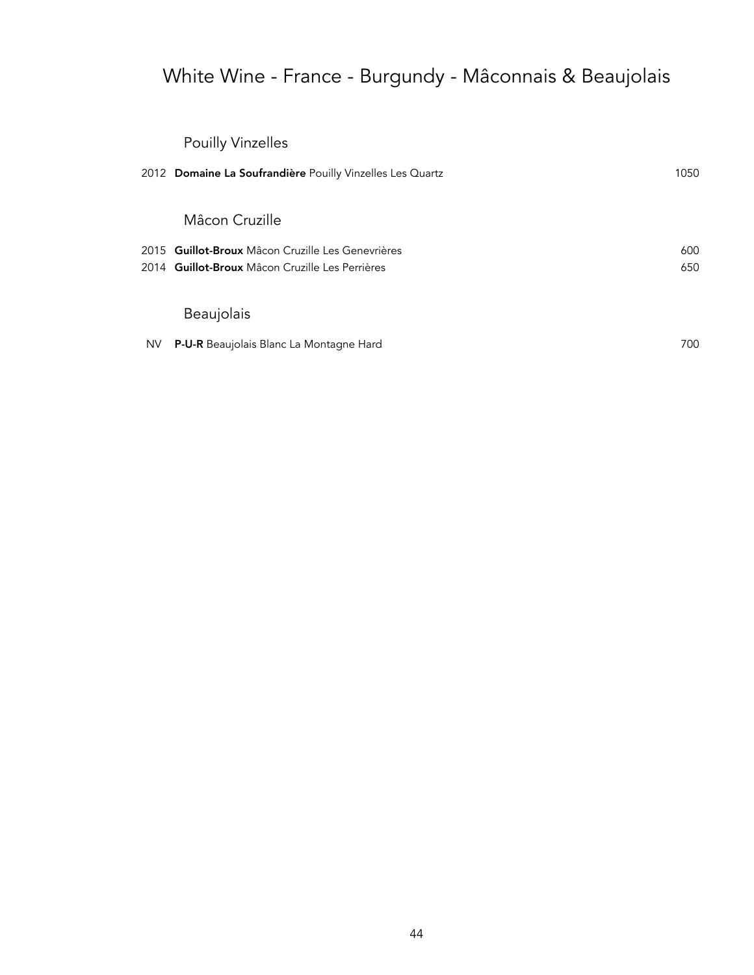# White Wine - France - Burgundy - Mâconnais & Beaujolais

## Pouilly Vinzelles

|     | 2012 Domaine La Soufrandière Pouilly Vinzelles Les Quartz | 1050 |
|-----|-----------------------------------------------------------|------|
|     | Mâcon Cruzille                                            |      |
|     | 2015 Guillot-Broux Mâcon Cruzille Les Genevrières         | 600  |
|     | 2014 Guillot-Broux Mâcon Cruzille Les Perrières           | 650  |
|     | <b>Beaujolais</b>                                         |      |
| NV. | <b>P-U-R</b> Beaujolais Blanc La Montagne Hard            | 700  |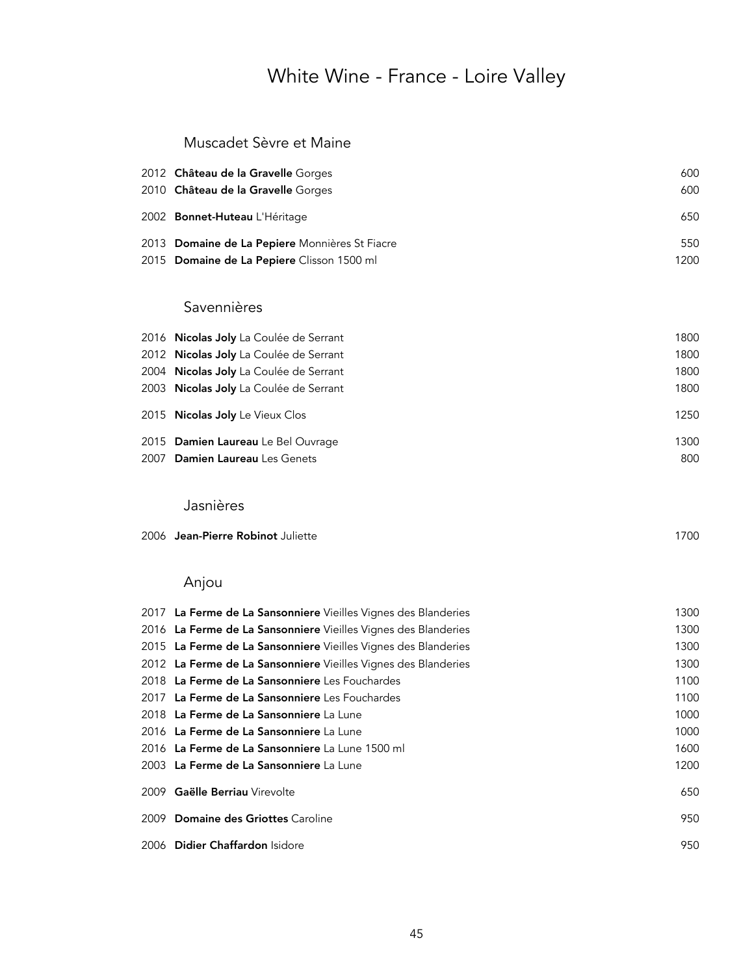### Muscadet Sèvre et Maine

| 2012 Château de la Gravelle Gorges             | 600  |
|------------------------------------------------|------|
| 2010 <b>Château de la Gravelle</b> Gorges      | 600  |
| 2002 <b>Bonnet-Huteau</b> L'Héritage           | 650  |
| 2013 Domaine de La Pepiere Monnières St Fiacre | 550  |
| 2015 Domaine de La Pepiere Clisson 1500 ml     | 1200 |

### Savennières

| 2016 Nicolas Joly La Coulée de Serrant | 1800 |
|----------------------------------------|------|
| 2012 Nicolas Joly La Coulée de Serrant | 1800 |
| 2004 Nicolas Joly La Coulée de Serrant | 1800 |
| 2003 Nicolas Joly La Coulée de Serrant | 1800 |
| 2015 Nicolas Joly Le Vieux Clos        | 1250 |
| 2015 Damien Laureau Le Bel Ouvrage     | 1300 |
| 2007 Damien Laureau Les Genets         | 800  |
|                                        |      |

#### Jasnières

|  | 2006 Jean-Pierre Robinot Juliette | 700 |
|--|-----------------------------------|-----|
|--|-----------------------------------|-----|

## Anjou

|      | 2017 La Ferme de La Sansonniere Vieilles Vignes des Blanderies | 1300 |
|------|----------------------------------------------------------------|------|
|      | 2016 La Ferme de La Sansonniere Vieilles Vignes des Blanderies | 1300 |
|      | 2015 La Ferme de La Sansonniere Vieilles Vignes des Blanderies | 1300 |
|      | 2012 La Ferme de La Sansonniere Vieilles Vignes des Blanderies | 1300 |
|      | 2018 La Ferme de La Sansonniere Les Fouchardes                 | 1100 |
|      | 2017 La Ferme de La Sansonniere Les Fouchardes                 | 1100 |
|      | 2018 La Ferme de La Sansonniere La Lune                        | 1000 |
|      | 2016 La Ferme de La Sansonniere La Lune                        | 1000 |
|      | 2016 La Ferme de La Sansonniere La Lune 1500 ml                | 1600 |
|      | 2003 La Ferme de La Sansonniere La Lune                        | 1200 |
|      | 2009 Gaëlle Berriau Virevolte                                  | 650  |
| 2009 | <b>Domaine des Griottes Caroline</b>                           | 950  |
|      | 2006 Didier Chaffardon Isidore                                 | 950  |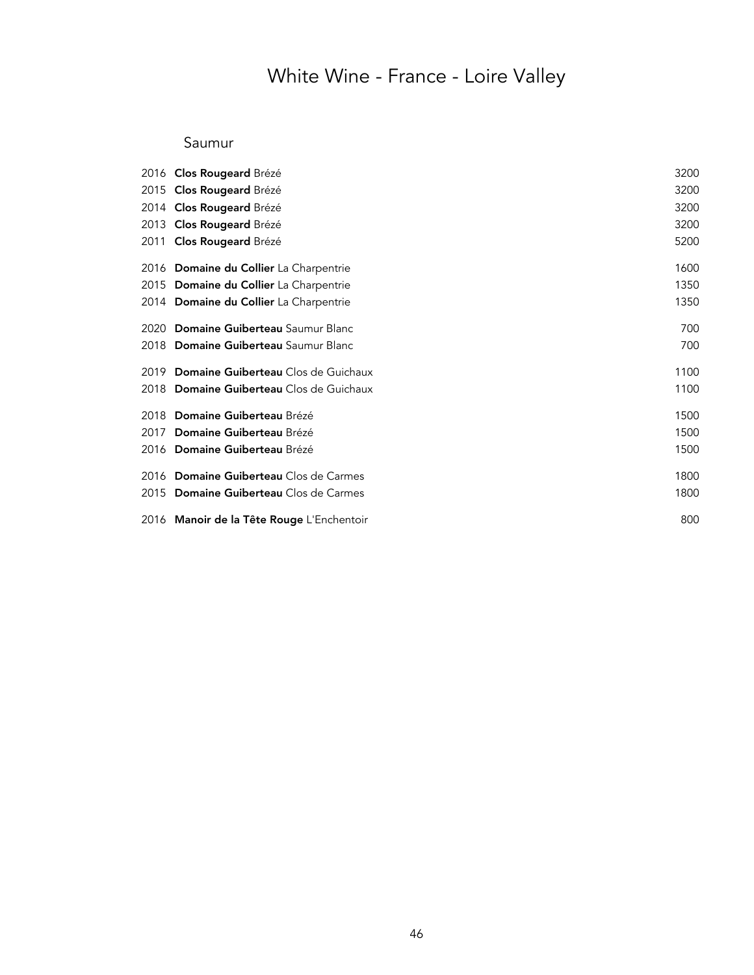### Saumur

|      | 2016 Clos Rougeard Brézé                  | 3200 |
|------|-------------------------------------------|------|
|      | 2015 Clos Rougeard Brézé                  | 3200 |
|      | 2014 Clos Rougeard Brézé                  | 3200 |
|      | 2013 Clos Rougeard Brézé                  | 3200 |
|      | 2011 Clos Rougeard Brézé                  | 5200 |
|      | 2016 Domaine du Collier La Charpentrie    | 1600 |
|      | 2015 Domaine du Collier La Charpentrie    | 1350 |
|      | 2014 Domaine du Collier La Charpentrie    | 1350 |
| 2020 | Domaine Guiberteau Saumur Blanc           | 700  |
|      | 2018 Domaine Guiberteau Saumur Blanc      | 700  |
|      | 2019 Domaine Guiberteau Clos de Guichaux  | 1100 |
|      | 2018 Domaine Guiberteau Clos de Guichaux  | 1100 |
|      | 2018 Domaine Guiberteau Brézé             | 1500 |
|      | 2017 Domaine Guiberteau Brézé             | 1500 |
|      | 2016 Domaine Guiberteau Brézé             | 1500 |
|      | 2016 Domaine Guiberteau Clos de Carmes    | 1800 |
|      | 2015 Domaine Guiberteau Clos de Carmes    | 1800 |
|      | 2016 Manoir de la Tête Rouge L'Enchentoir | 800  |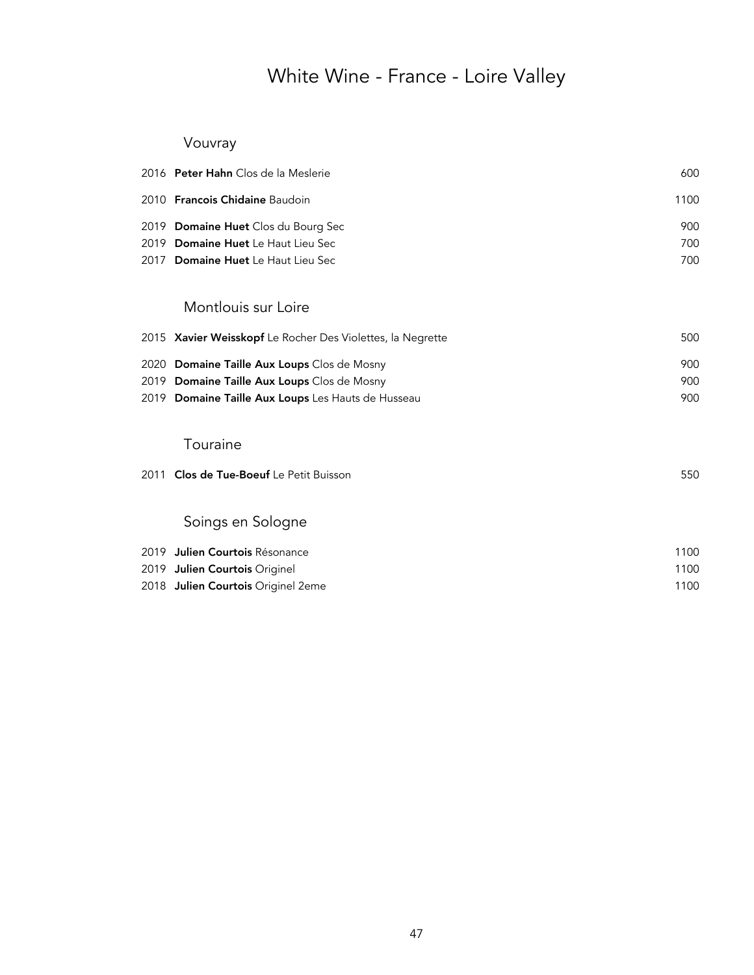## Vouvray

|      | 2016 Peter Hahn Clos de la Meslerie                        | 600  |
|------|------------------------------------------------------------|------|
|      | 2010 Francois Chidaine Baudoin                             | 1100 |
|      | 2019 Domaine Huet Clos du Bourg Sec                        | 900  |
|      | 2019 Domaine Huet Le Haut Lieu Sec                         | 700  |
|      | 2017 Domaine Huet Le Haut Lieu Sec                         | 700  |
|      | Montlouis sur Loire                                        |      |
|      | 2015 Xavier Weisskopf Le Rocher Des Violettes, la Negrette | 500  |
|      | 2020 Domaine Taille Aux Loups Clos de Mosny                | 900  |
|      | 2019 Domaine Taille Aux Loups Clos de Mosny                | 900  |
|      | 2019 Domaine Taille Aux Loups Les Hauts de Husseau         | 900  |
|      | Touraine                                                   |      |
| 2011 | Clos de Tue-Boeuf Le Petit Buisson                         | 550  |
|      | Soings en Sologne                                          |      |
|      | 2019 <b>Julien Courtois</b> Résonance                      | 1100 |
|      | 2019 Julien Courtois Originel                              | 1100 |
|      | 2018 Julien Courtois Originel 2eme                         | 1100 |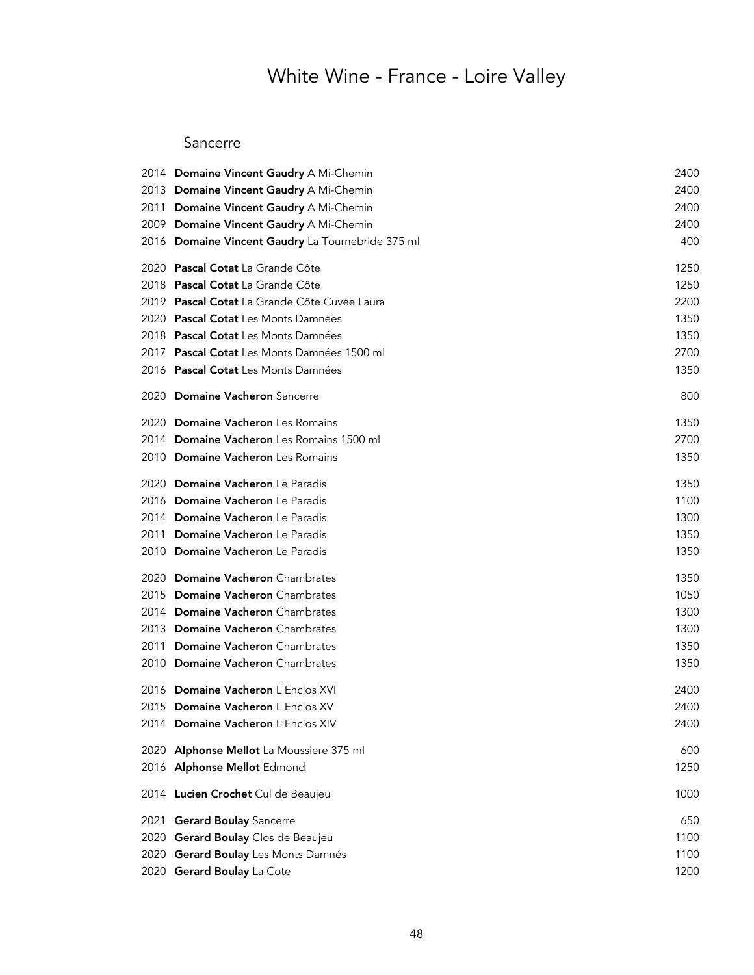#### Sancerre

|      | 2014 Domaine Vincent Gaudry A Mi-Chemin           | 2400 |
|------|---------------------------------------------------|------|
|      | 2013 Domaine Vincent Gaudry A Mi-Chemin           | 2400 |
| 2011 | Domaine Vincent Gaudry A Mi-Chemin                | 2400 |
|      | 2009 Domaine Vincent Gaudry A Mi-Chemin           | 2400 |
|      | 2016 Domaine Vincent Gaudry La Tournebride 375 ml | 400  |
|      | 2020 Pascal Cotat La Grande Côte                  | 1250 |
|      | 2018 Pascal Cotat La Grande Côte                  | 1250 |
|      | 2019 Pascal Cotat La Grande Côte Cuvée Laura      | 2200 |
| 2020 | Pascal Cotat Les Monts Damnées                    | 1350 |
|      | 2018 Pascal Cotat Les Monts Damnées               | 1350 |
|      | 2017 Pascal Cotat Les Monts Damnées 1500 ml       | 2700 |
|      | 2016 Pascal Cotat Les Monts Damnées               | 1350 |
| 2020 | <b>Domaine Vacheron</b> Sancerre                  | 800  |
| 2020 | Domaine Vacheron Les Romains                      | 1350 |
|      | 2014 Domaine Vacheron Les Romains 1500 ml         | 2700 |
|      | 2010 Domaine Vacheron Les Romains                 | 1350 |
| 2020 | Domaine Vacheron Le Paradis                       | 1350 |
|      | 2016 Domaine Vacheron Le Paradis                  | 1100 |
|      | 2014 Domaine Vacheron Le Paradis                  | 1300 |
| 2011 | Domaine Vacheron Le Paradis                       | 1350 |
|      | 2010 Domaine Vacheron Le Paradis                  | 1350 |
| 2020 | <b>Domaine Vacheron</b> Chambrates                | 1350 |
| 2015 | <b>Domaine Vacheron</b> Chambrates                | 1050 |
|      | 2014 Domaine Vacheron Chambrates                  | 1300 |
| 2013 | Domaine Vacheron Chambrates                       | 1300 |
| 2011 | <b>Domaine Vacheron</b> Chambrates                | 1350 |
|      | 2010 Domaine Vacheron Chambrates                  | 1350 |
|      | 2016 Domaine Vacheron L'Enclos XVI                | 2400 |
|      | 2015 Domaine Vacheron L'Enclos XV                 | 2400 |
|      | 2014 Domaine Vacheron L'Enclos XIV                | 2400 |
|      | 2020 Alphonse Mellot La Moussiere 375 ml          | 600  |
|      | 2016 Alphonse Mellot Edmond                       | 1250 |
|      | 2014 Lucien Crochet Cul de Beaujeu                | 1000 |
| 2021 | <b>Gerard Boulay Sancerre</b>                     | 650  |
| 2020 | Gerard Boulay Clos de Beaujeu                     | 1100 |
| 2020 | Gerard Boulay Les Monts Damnés                    | 1100 |
|      | 2020 Gerard Boulay La Cote                        | 1200 |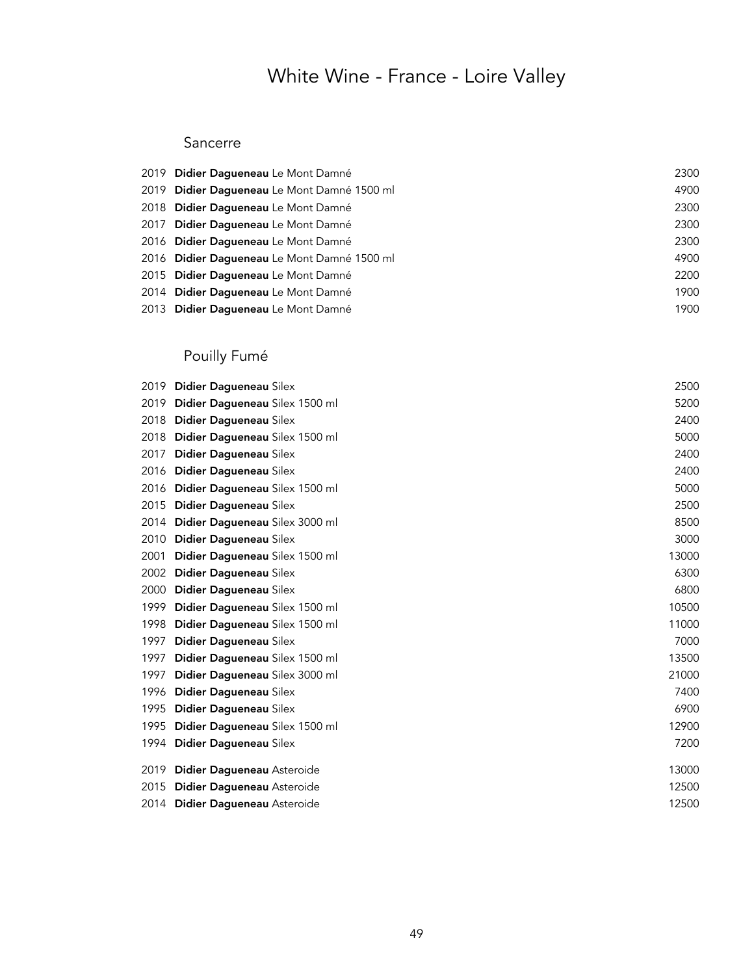### Sancerre

| 2019 Didier Dagueneau Le Mont Damné         | 2300 |
|---------------------------------------------|------|
| 2019 Didier Daqueneau Le Mont Damné 1500 ml | 4900 |
| 2018 Didier Dagueneau Le Mont Damné         | 2300 |
| 2017 Didier Dagueneau Le Mont Damné         | 2300 |
| 2016 Didier Daqueneau Le Mont Damné         | 2300 |
| 2016 Didier Daqueneau Le Mont Damné 1500 ml | 4900 |
| 2015 Didier Daqueneau Le Mont Damné         | 2200 |
| 2014 Didier Daqueneau Le Mont Damné         | 1900 |
| 2013 Didier Dagueneau Le Mont Damné         | 1900 |

## Pouilly Fumé

| 2019 | Didier Dagueneau Silex         | 2500  |
|------|--------------------------------|-------|
| 2019 | Didier Dagueneau Silex 1500 ml | 5200  |
| 2018 | Didier Dagueneau Silex         | 2400  |
| 2018 | Didier Dagueneau Silex 1500 ml | 5000  |
| 2017 | Didier Dagueneau Silex         | 2400  |
| 2016 | Didier Dagueneau Silex         | 2400  |
| 2016 | Didier Dagueneau Silex 1500 ml | 5000  |
| 2015 | Didier Dagueneau Silex         | 2500  |
| 2014 | Didier Dagueneau Silex 3000 ml | 8500  |
| 2010 | Didier Dagueneau Silex         | 3000  |
| 2001 | Didier Dagueneau Silex 1500 ml | 13000 |
| 2002 | Didier Dagueneau Silex         | 6300  |
| 2000 | Didier Dagueneau Silex         | 6800  |
| 1999 | Didier Dagueneau Silex 1500 ml | 10500 |
| 1998 | Didier Dagueneau Silex 1500 ml | 11000 |
| 1997 | Didier Dagueneau Silex         | 7000  |
| 1997 | Didier Dagueneau Silex 1500 ml | 13500 |
| 1997 | Didier Dagueneau Silex 3000 ml | 21000 |
| 1996 | Didier Dagueneau Silex         | 7400  |
| 1995 | Didier Dagueneau Silex         | 6900  |
| 1995 | Didier Dagueneau Silex 1500 ml | 12900 |
| 1994 | Didier Dagueneau Silex         | 7200  |
| 2019 | Didier Dagueneau Asteroide     | 13000 |
| 2015 | Didier Dagueneau Asteroide     | 12500 |
| 2014 | Didier Dagueneau Asteroide     | 12500 |
|      |                                |       |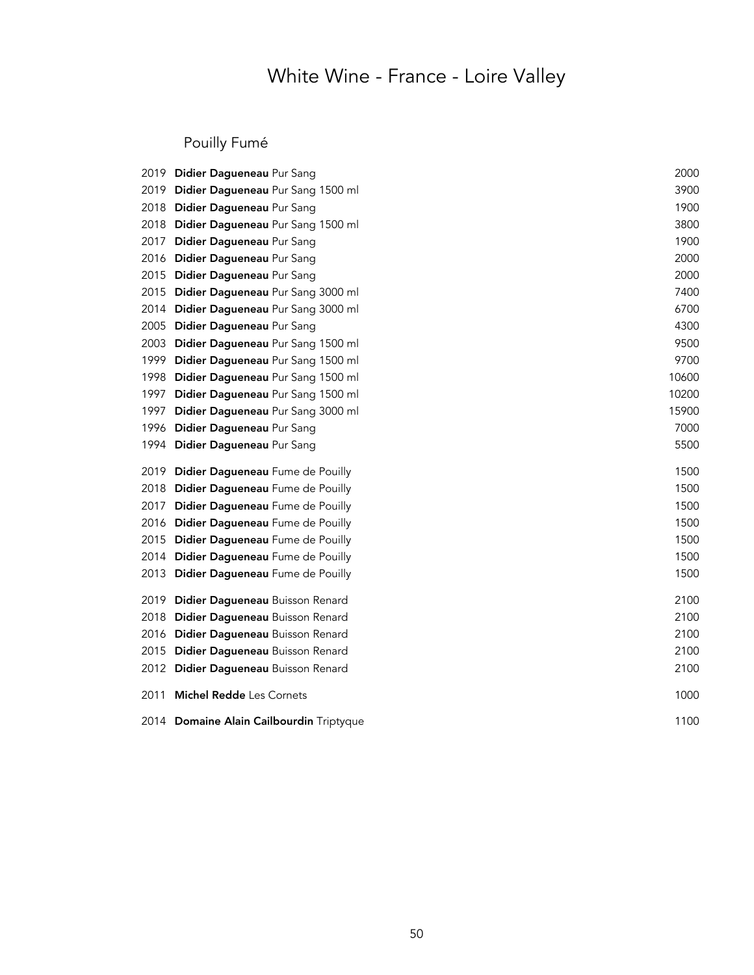## Pouilly Fumé

|      | 2019 Didier Dagueneau Pur Sang           | 2000  |
|------|------------------------------------------|-------|
|      | 2019 Didier Dagueneau Pur Sang 1500 ml   | 3900  |
|      | 2018 Didier Dagueneau Pur Sang           | 1900  |
|      | 2018 Didier Dagueneau Pur Sang 1500 ml   | 3800  |
|      | 2017 Didier Dagueneau Pur Sang           | 1900  |
|      | 2016 Didier Dagueneau Pur Sang           | 2000  |
|      | 2015 Didier Dagueneau Pur Sang           | 2000  |
| 2015 | Didier Dagueneau Pur Sang 3000 ml        | 7400  |
|      | 2014 Didier Dagueneau Pur Sang 3000 ml   | 6700  |
| 2005 | Didier Dagueneau Pur Sang                | 4300  |
|      | 2003 Didier Dagueneau Pur Sang 1500 ml   | 9500  |
|      | 1999 Didier Dagueneau Pur Sang 1500 ml   | 9700  |
|      | 1998 Didier Dagueneau Pur Sang 1500 ml   | 10600 |
|      | 1997 Didier Dagueneau Pur Sang 1500 ml   | 10200 |
| 1997 | Didier Dagueneau Pur Sang 3000 ml        | 15900 |
| 1996 | Didier Dagueneau Pur Sang                | 7000  |
|      | 1994 Didier Dagueneau Pur Sang           | 5500  |
|      | 2019 Didier Dagueneau Fume de Pouilly    | 1500  |
|      | 2018 Didier Dagueneau Fume de Pouilly    | 1500  |
|      | 2017 Didier Dagueneau Fume de Pouilly    | 1500  |
|      | 2016 Didier Dagueneau Fume de Pouilly    | 1500  |
|      | 2015 Didier Dagueneau Fume de Pouilly    | 1500  |
|      | 2014 Didier Dagueneau Fume de Pouilly    | 1500  |
|      | 2013 Didier Dagueneau Fume de Pouilly    | 1500  |
|      | 2019 Didier Dagueneau Buisson Renard     | 2100  |
| 2018 | Didier Dagueneau Buisson Renard          | 2100  |
|      | 2016 Didier Dagueneau Buisson Renard     | 2100  |
| 2015 | Didier Dagueneau Buisson Renard          | 2100  |
|      | 2012 Didier Dagueneau Buisson Renard     | 2100  |
| 2011 | <b>Michel Redde</b> Les Cornets          | 1000  |
|      | 2014 Domaine Alain Cailbourdin Triptyque | 1100  |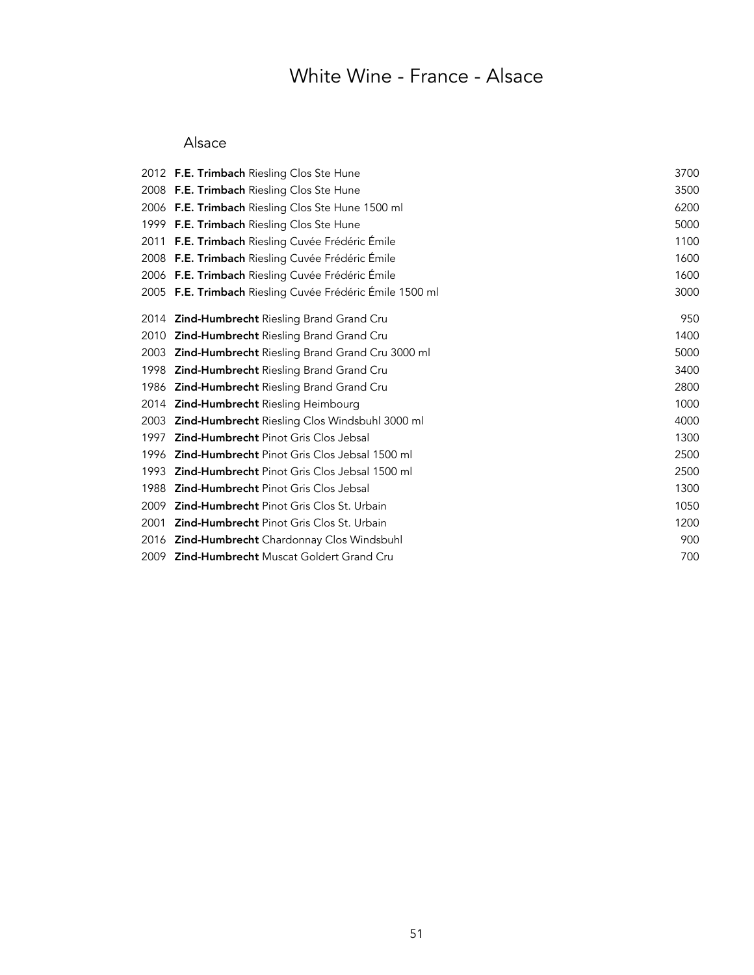## White Wine - France - Alsace

### Alsace

|      | 2012 F.E. Trimbach Riesling Clos Ste Hune                | 3700 |
|------|----------------------------------------------------------|------|
|      | 2008 F.E. Trimbach Riesling Clos Ste Hune                | 3500 |
|      | 2006 F.E. Trimbach Riesling Clos Ste Hune 1500 ml        | 6200 |
|      | 1999 F.E. Trimbach Riesling Clos Ste Hune                | 5000 |
|      | 2011 F.E. Trimbach Riesling Cuvée Frédéric Émile         | 1100 |
|      | 2008 F.E. Trimbach Riesling Cuvée Frédéric Émile         | 1600 |
|      | 2006 F.E. Trimbach Riesling Cuvée Frédéric Émile         | 1600 |
|      | 2005 F.E. Trimbach Riesling Cuvée Frédéric Émile 1500 ml | 3000 |
| 2014 | <b>Zind-Humbrecht</b> Riesling Brand Grand Cru           | 950  |
| 2010 | Zind-Humbrecht Riesling Brand Grand Cru                  | 1400 |
| 2003 | Zind-Humbrecht Riesling Brand Grand Cru 3000 ml          | 5000 |
| 1998 | Zind-Humbrecht Riesling Brand Grand Cru                  | 3400 |
| 1986 | Zind-Humbrecht Riesling Brand Grand Cru                  | 2800 |
| 2014 | Zind-Humbrecht Riesling Heimbourg                        | 1000 |
| 2003 | Zind-Humbrecht Riesling Clos Windsbuhl 3000 ml           | 4000 |
| 1997 | <b>Zind-Humbrecht Pinot Gris Clos Jebsal</b>             | 1300 |
|      | 1996 Zind-Humbrecht Pinot Gris Clos Jebsal 1500 ml       | 2500 |
| 1993 | <b>Zind-Humbrecht</b> Pinot Gris Clos Jebsal 1500 ml     | 2500 |
| 1988 | Zind-Humbrecht Pinot Gris Clos Jebsal                    | 1300 |
| 2009 | <b>Zind-Humbrecht</b> Pinot Gris Clos St. Urbain         | 1050 |
| 2001 | <b>Zind-Humbrecht</b> Pinot Gris Clos St. Urbain         | 1200 |
|      | 2016 Zind-Humbrecht Chardonnay Clos Windsbuhl            | 900  |
|      | 2009 Zind-Humbrecht Muscat Goldert Grand Cru             | 700  |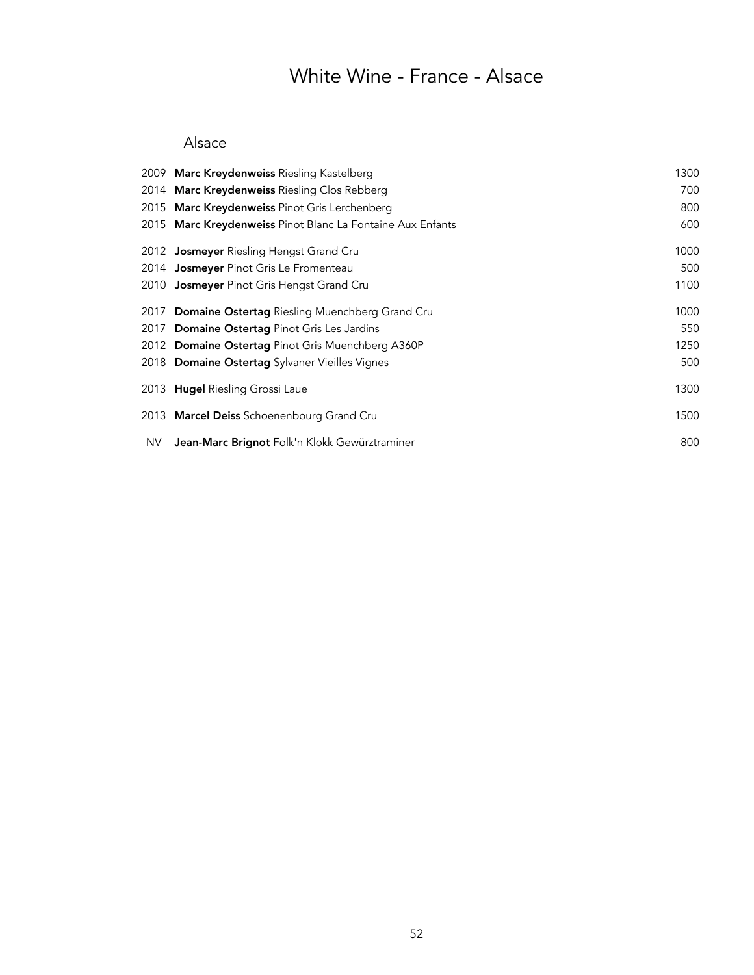## White Wine - France - Alsace

### Alsace

|     | 2009 Marc Kreydenweiss Riesling Kastelberg                 | 1300 |
|-----|------------------------------------------------------------|------|
|     | 2014 Marc Kreydenweiss Riesling Clos Rebberg               | 700  |
|     | 2015 Marc Kreydenweiss Pinot Gris Lerchenberg              | 800  |
|     | 2015 Marc Kreydenweiss Pinot Blanc La Fontaine Aux Enfants | 600  |
|     | 2012 <b>Josmeyer</b> Riesling Hengst Grand Cru             | 1000 |
|     | 2014 Josmeyer Pinot Gris Le Fromenteau                     | 500  |
|     | 2010 Josmeyer Pinot Gris Hengst Grand Cru                  | 1100 |
|     | 2017 Domaine Ostertag Riesling Muenchberg Grand Cru        | 1000 |
|     | 2017 Domaine Ostertag Pinot Gris Les Jardins               | 550  |
|     | 2012 Domaine Ostertag Pinot Gris Muenchberg A360P          | 1250 |
|     | 2018 Domaine Ostertag Sylvaner Vieilles Vignes             | 500  |
|     | 2013 Hugel Riesling Grossi Laue                            | 1300 |
|     | 2013 Marcel Deiss Schoenenbourg Grand Cru                  | 1500 |
| NV. | Jean-Marc Brignot Folk'n Klokk Gewürztraminer              | 800  |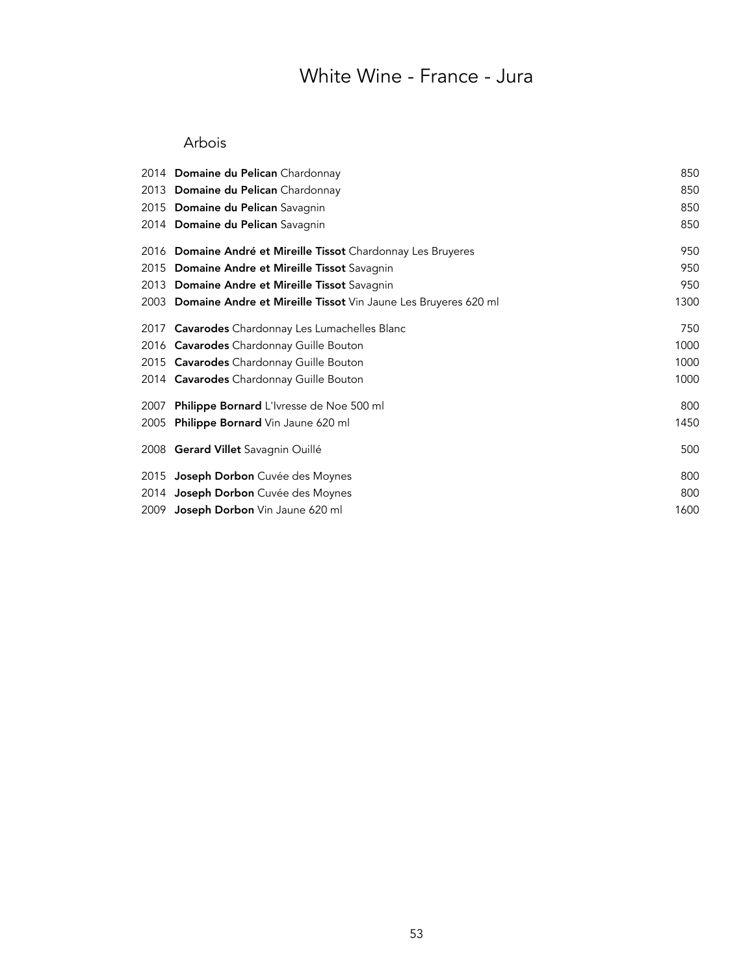## White Wine - France - Jura

### Arbois

| 2014 Domaine du Pelican Chardonnay                                  | 850  |
|---------------------------------------------------------------------|------|
| 2013 Domaine du Pelican Chardonnay                                  | 850  |
| 2015 Domaine du Pelican Savagnin                                    | 850  |
| 2014 Domaine du Pelican Savagnin                                    | 850  |
| 2016 Domaine André et Mireille Tissot Chardonnay Les Bruyeres       | 950  |
| 2015 Domaine Andre et Mireille Tissot Savagnin                      | 950  |
| 2013 Domaine Andre et Mireille Tissot Savagnin                      | 950  |
| 2003 Domaine Andre et Mireille Tissot Vin Jaune Les Bruyeres 620 ml | 1300 |
| 2017 Cavarodes Chardonnay Les Lumachelles Blanc                     | 750  |
| 2016 Cavarodes Chardonnay Guille Bouton                             | 1000 |
| 2015 Cavarodes Chardonnay Guille Bouton                             | 1000 |
| 2014 Cavarodes Chardonnay Guille Bouton                             | 1000 |
| 2007 Philippe Bornard L'Ivresse de Noe 500 ml                       | 800  |
| 2005 Philippe Bornard Vin Jaune 620 ml                              | 1450 |
| 2008 Gerard Villet Savagnin Ouillé                                  | 500  |
| 2015 Joseph Dorbon Cuvée des Moynes                                 | 800  |
| 2014 Joseph Dorbon Cuvée des Moynes                                 | 800  |
| 2009 Joseph Dorbon Vin Jaune 620 ml                                 | 1600 |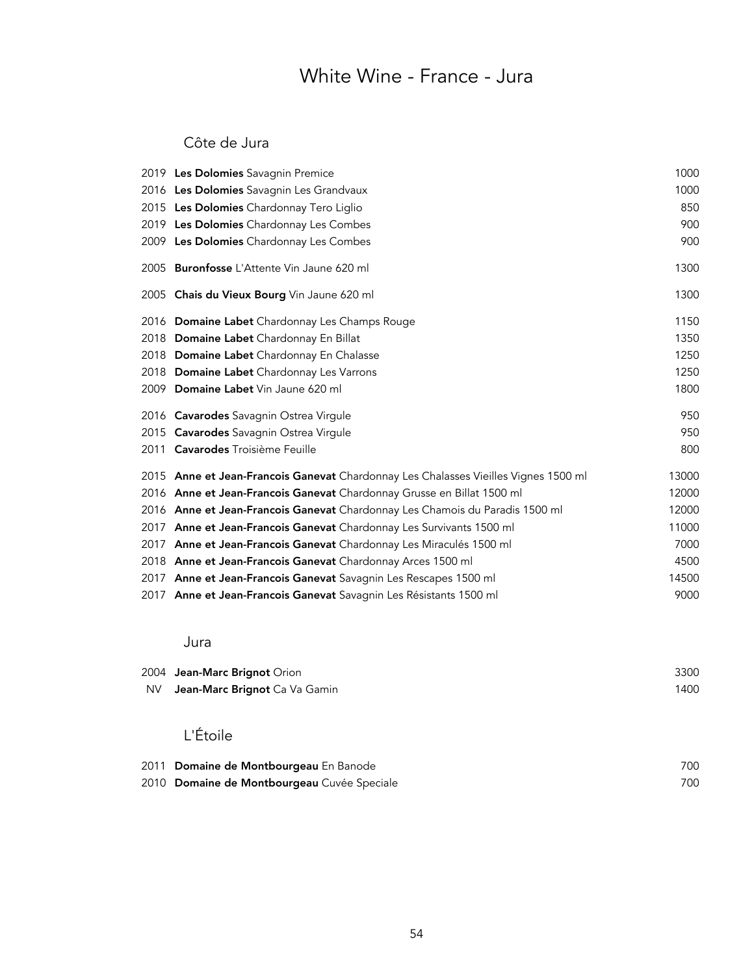## White Wine - France - Jura

### Côte de Jura

|      | 2019 Les Dolomies Savagnin Premice                                                  | 1000  |
|------|-------------------------------------------------------------------------------------|-------|
|      | 2016 Les Dolomies Savagnin Les Grandvaux                                            | 1000  |
|      | 2015 Les Dolomies Chardonnay Tero Liglio                                            | 850   |
|      | 2019 Les Dolomies Chardonnay Les Combes                                             | 900   |
|      | 2009 Les Dolomies Chardonnay Les Combes                                             | 900   |
|      | 2005 Buronfosse L'Attente Vin Jaune 620 ml                                          | 1300  |
|      | 2005 Chais du Vieux Bourg Vin Jaune 620 ml                                          | 1300  |
|      | 2016 Domaine Labet Chardonnay Les Champs Rouge                                      | 1150  |
|      | 2018 Domaine Labet Chardonnay En Billat                                             | 1350  |
|      | 2018 Domaine Labet Chardonnay En Chalasse                                           | 1250  |
|      | 2018 Domaine Labet Chardonnay Les Varrons                                           | 1250  |
|      | 2009 Domaine Labet Vin Jaune 620 ml                                                 | 1800  |
|      | 2016 Cavarodes Savagnin Ostrea Virgule                                              | 950   |
|      | 2015 Cavarodes Savagnin Ostrea Virgule                                              | 950   |
|      | 2011 Cavarodes Troisième Feuille                                                    | 800   |
|      | 2015 Anne et Jean-Francois Ganevat Chardonnay Les Chalasses Vieilles Vignes 1500 ml | 13000 |
|      | 2016 Anne et Jean-Francois Ganevat Chardonnay Grusse en Billat 1500 ml              | 12000 |
|      | 2016 Anne et Jean-Francois Ganevat Chardonnay Les Chamois du Paradis 1500 ml        | 12000 |
|      | 2017 Anne et Jean-Francois Ganevat Chardonnay Les Survivants 1500 ml                | 11000 |
| 2017 | Anne et Jean-Francois Ganevat Chardonnay Les Miraculés 1500 ml                      | 7000  |
|      | 2018 Anne et Jean-Francois Ganevat Chardonnay Arces 1500 ml                         | 4500  |
|      | 2017 Anne et Jean-Francois Ganevat Savagnin Les Rescapes 1500 ml                    | 14500 |
|      | 2017 Anne et Jean-Francois Ganevat Savagnin Les Résistants 1500 ml                  | 9000  |

#### Jura

|     | 2004 Jean-Marc Brignot Orion         | 3300 |
|-----|--------------------------------------|------|
| NV. | <b>Jean-Marc Brignot</b> Ca Va Gamin | 1400 |

## L'Étoile

| 2011 Domaine de Montbourgeau En Banode      | 700 |
|---------------------------------------------|-----|
| 2010 Domaine de Montbourgeau Cuvée Speciale | 700 |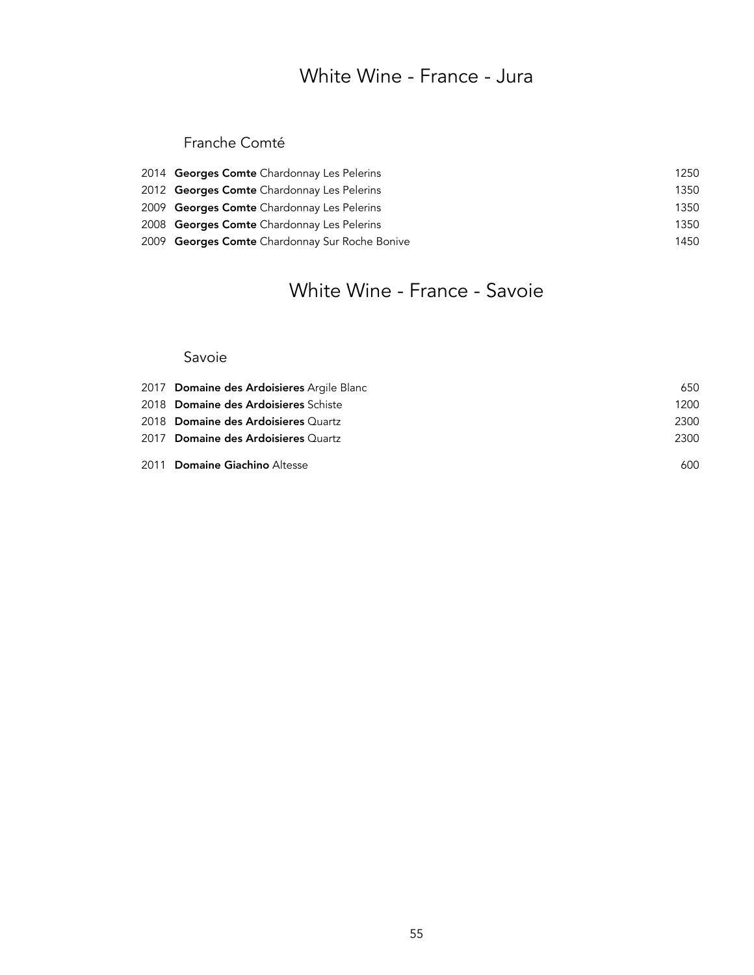## White Wine - France - Jura

### Franche Comté

| 2014 Georges Comte Chardonnay Les Pelerins     | 1250 |
|------------------------------------------------|------|
| 2012 Georges Comte Chardonnay Les Pelerins     | 1350 |
| 2009 Georges Comte Chardonnay Les Pelerins     | 1350 |
| 2008 Georges Comte Chardonnay Les Pelerins     | 1350 |
| 2009 Georges Comte Chardonnay Sur Roche Bonive | 1450 |

## White Wine - France - Savoie

#### Savoie

| 2017 Domaine des Ardoisieres Argile Blanc | 650  |
|-------------------------------------------|------|
| 2018 Domaine des Ardoisieres Schiste      | 1200 |
| 2018 Domaine des Ardoisieres Quartz       | 2300 |
| 2017 Domaine des Ardoisieres Quartz       | 2300 |
| 2011 Domaine Giachino Altesse             | 600  |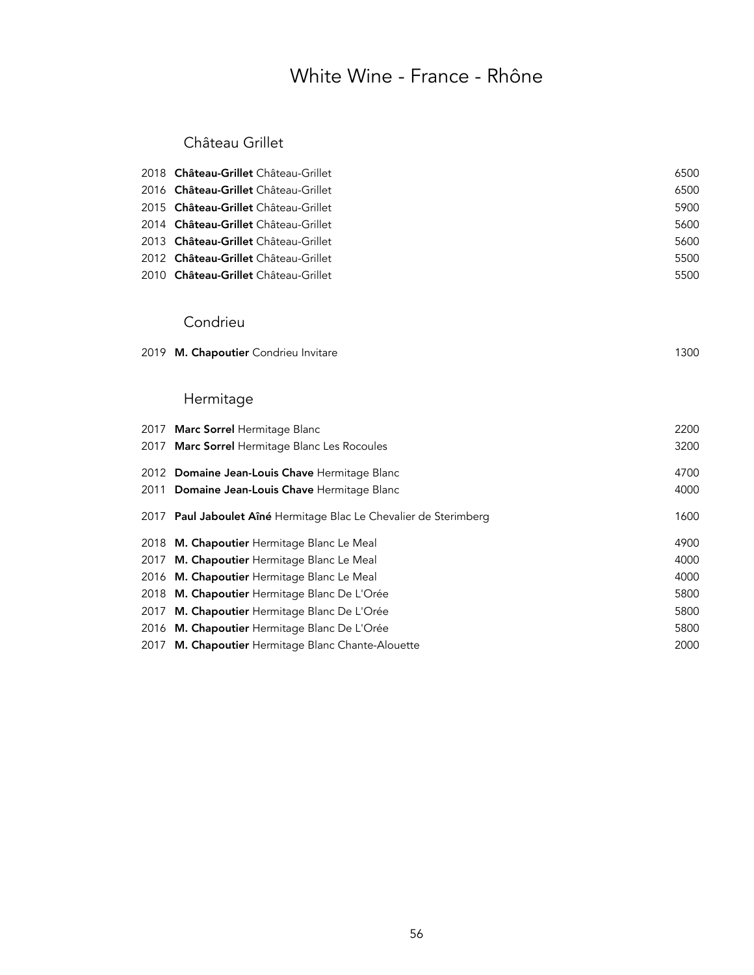## White Wine - France - Rhône

### Château Grillet

| 2018 Château-Grillet Château-Grillet | 6500 |
|--------------------------------------|------|
| 2016 Château-Grillet Château-Grillet | 6500 |
| 2015 Château-Grillet Château-Grillet | 5900 |
| 2014 Château-Grillet Château-Grillet | 5600 |
| 2013 Château-Grillet Château-Grillet | 5600 |
| 2012 Château-Grillet Château-Grillet | 5500 |
| 2010 Château-Grillet Château-Grillet | 5500 |

#### Condrieu

2019 M. Chapoutier Condrieu Invitare 1300

### Hermitage

| 2017 Marc Sorrel Hermitage Blanc                                  | 2200 |
|-------------------------------------------------------------------|------|
| 2017 Marc Sorrel Hermitage Blanc Les Rocoules                     | 3200 |
| 2012 Domaine Jean-Louis Chave Hermitage Blanc                     | 4700 |
| 2011 Domaine Jean-Louis Chave Hermitage Blanc                     | 4000 |
| 2017 Paul Jaboulet Aîné Hermitage Blac Le Chevalier de Sterimberg | 1600 |
| 2018 M. Chapoutier Hermitage Blanc Le Meal                        | 4900 |
| 2017 M. Chapoutier Hermitage Blanc Le Meal                        | 4000 |
| 2016 M. Chapoutier Hermitage Blanc Le Meal                        | 4000 |
| 2018 M. Chapoutier Hermitage Blanc De L'Orée                      | 5800 |
| 2017 M. Chapoutier Hermitage Blanc De L'Orée                      | 5800 |
| 2016 M. Chapoutier Hermitage Blanc De L'Orée                      | 5800 |
| 2017 M. Chapoutier Hermitage Blanc Chante-Alouette                | 2000 |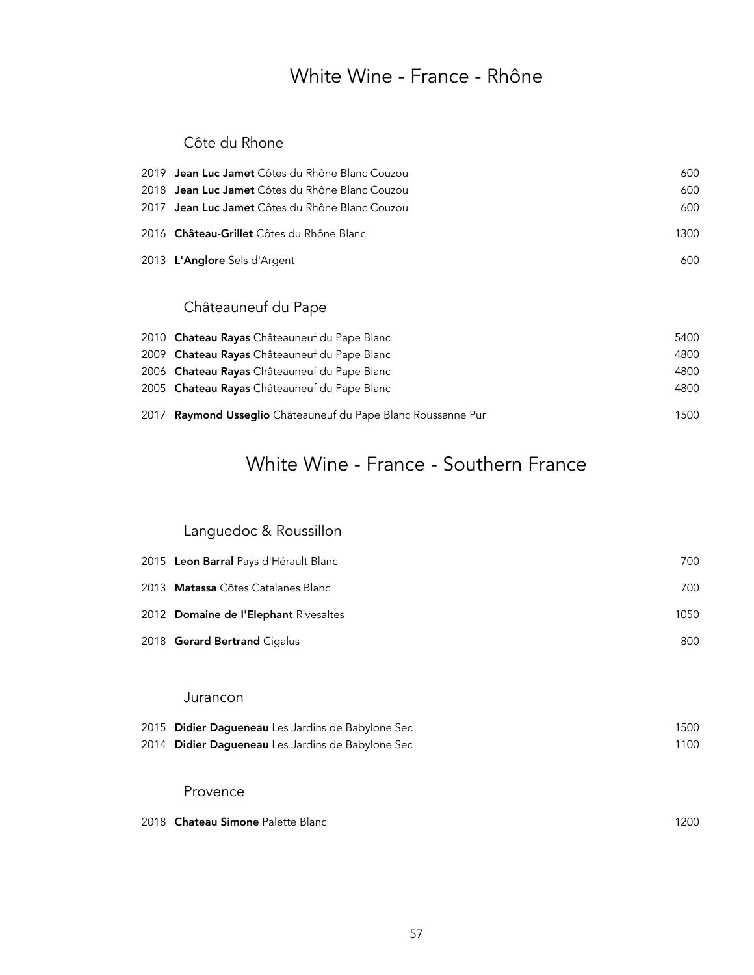### White Wine - France - Rhône

### Côte du Rhone

| 2019 <b>Jean Luc Jamet</b> Côtes du Rhône Blanc Couzou | 600  |
|--------------------------------------------------------|------|
| 2018 Jean Luc Jamet Côtes du Rhône Blanc Couzou        | 600  |
| 2017 Jean Luc Jamet Côtes du Rhône Blanc Couzou        | 600  |
| 2016 Château-Grillet Côtes du Rhône Blanc              | 1300 |
| 2013 L'Anglore Sels d'Argent                           | 600  |
|                                                        |      |

## Châteauneuf du Pape

| 2010 Chateau Rayas Châteauneuf du Pape Blanc                  | 5400 |
|---------------------------------------------------------------|------|
| 2009 Chateau Rayas Châteauneuf du Pape Blanc                  | 4800 |
| 2006 Chateau Rayas Châteauneuf du Pape Blanc                  | 4800 |
| 2005 Chateau Rayas Châteauneuf du Pape Blanc                  | 4800 |
| 2017 Raymond Usseglio Châteauneuf du Pape Blanc Roussanne Pur | 1500 |

## White Wine - France - Southern France

## Languedoc & Roussillon

| 2015 Leon Barral Pays d'Hérault Blanc       | 700  |
|---------------------------------------------|------|
| 2013 - <b>Matassa</b> Côtes Catalanes Blanc | 700  |
| 2012 Domaine de l'Elephant Rivesaltes       | 1050 |
| 2018 Gerard Bertrand Cigalus                | 800  |
|                                             |      |

#### Jurancon

| 2015 Didier Dagueneau Les Jardins de Babylone Sec | 1500 |
|---------------------------------------------------|------|
| 2014 Didier Daqueneau Les Jardins de Babylone Sec | 1100 |
|                                                   |      |

#### Provence

| 2018 Chateau Simone Palette Blanc | 200 |
|-----------------------------------|-----|
|-----------------------------------|-----|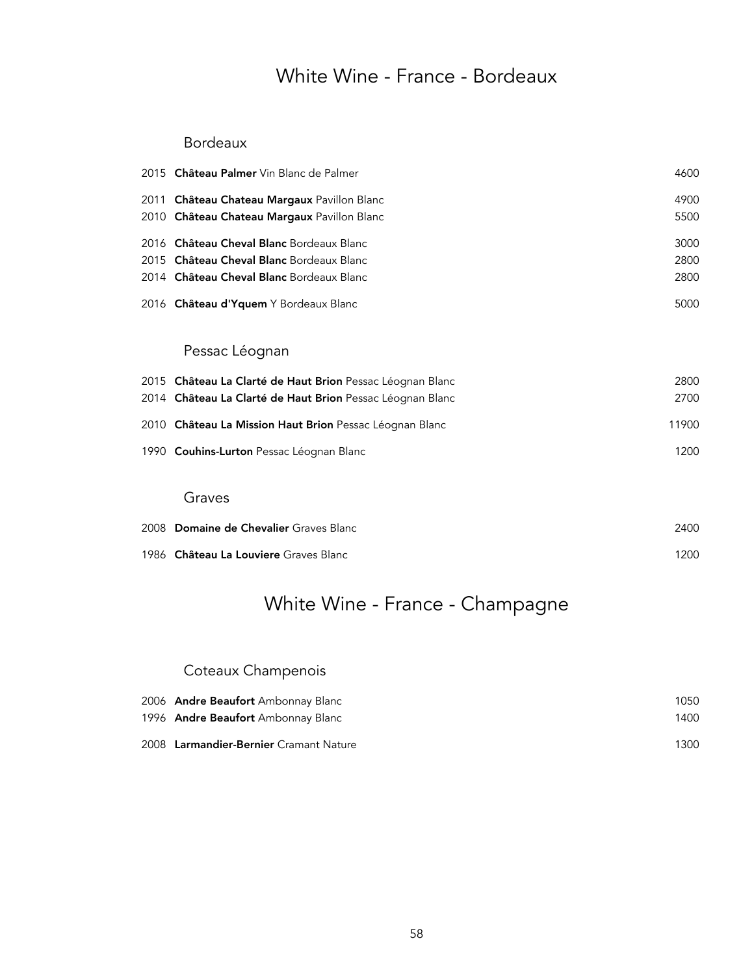## White Wine - France - Bordeaux

#### Bordeaux

| 2015 Château Palmer Vin Blanc de Palmer                   | 4600  |
|-----------------------------------------------------------|-------|
| 2011 Château Chateau Margaux Pavillon Blanc               | 4900  |
| 2010 Château Chateau Margaux Pavillon Blanc               | 5500  |
| 2016 Château Cheval Blanc Bordeaux Blanc                  | 3000  |
| 2015 Château Cheval Blanc Bordeaux Blanc                  | 2800  |
| 2014 Château Cheval Blanc Bordeaux Blanc                  | 2800  |
| 2016 Château d'Yquem Y Bordeaux Blanc                     | 5000  |
| Pessac Léognan                                            |       |
| 2015 Château La Clarté de Haut Brion Pessac Léognan Blanc | 2800  |
| 2014 Château La Clarté de Haut Brion Pessac Léognan Blanc | 2700  |
| 2010 Château La Mission Haut Brion Pessac Léognan Blanc   | 11900 |
| 1990 Couhins-Lurton Pessac Léognan Blanc                  | 1200  |
| Graves                                                    |       |
| 2008 Domaine de Chevalier Graves Blanc                    | 2400  |
| 1986 Château La Louviere Graves Blanc                     | 1200  |

## White Wine - France - Champagne

### Coteaux Champenois

| 2006 Andre Beaufort Ambonnay Blanc     | 1050 |
|----------------------------------------|------|
| 1996 Andre Beaufort Ambonnay Blanc     | 1400 |
| 2008 Larmandier-Bernier Cramant Nature | 1300 |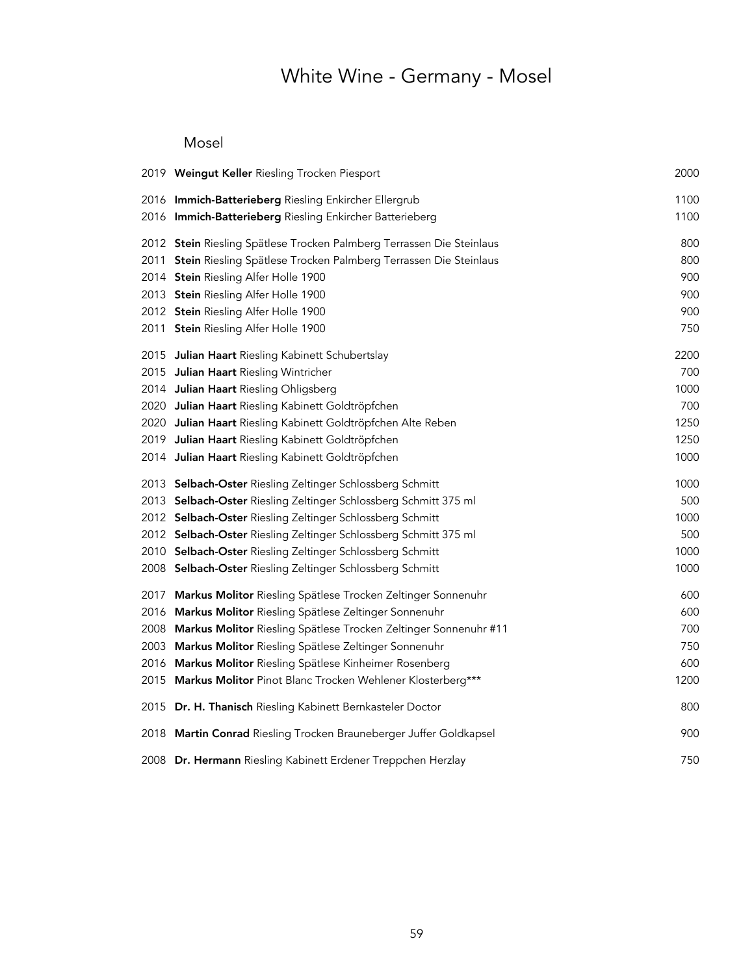# White Wine - Germany - Mosel

### Mosel

|      | 2019 Weingut Keller Riesling Trocken Piesport                         | 2000 |
|------|-----------------------------------------------------------------------|------|
|      | 2016 Immich-Batterieberg Riesling Enkircher Ellergrub                 | 1100 |
|      | 2016 Immich-Batterieberg Riesling Enkircher Batterieberg              | 1100 |
|      | 2012 Stein Riesling Spätlese Trocken Palmberg Terrassen Die Steinlaus | 800  |
|      | 2011 Stein Riesling Spätlese Trocken Palmberg Terrassen Die Steinlaus | 800  |
|      | 2014 Stein Riesling Alfer Holle 1900                                  | 900  |
|      | 2013 Stein Riesling Alfer Holle 1900                                  | 900  |
|      | 2012 Stein Riesling Alfer Holle 1900                                  | 900  |
|      | 2011 Stein Riesling Alfer Holle 1900                                  | 750  |
|      | 2015 Julian Haart Riesling Kabinett Schubertslay                      | 2200 |
|      | 2015 Julian Haart Riesling Wintricher                                 | 700  |
|      | 2014 Julian Haart Riesling Ohligsberg                                 | 1000 |
|      | 2020 Julian Haart Riesling Kabinett Goldtröpfchen                     | 700  |
|      | 2020 Julian Haart Riesling Kabinett Goldtröpfchen Alte Reben          | 1250 |
|      | 2019 Julian Haart Riesling Kabinett Goldtröpfchen                     | 1250 |
|      | 2014 Julian Haart Riesling Kabinett Goldtröpfchen                     | 1000 |
|      | 2013 Selbach-Oster Riesling Zeltinger Schlossberg Schmitt             | 1000 |
|      | 2013 Selbach-Oster Riesling Zeltinger Schlossberg Schmitt 375 ml      | 500  |
|      | 2012 Selbach-Oster Riesling Zeltinger Schlossberg Schmitt             | 1000 |
|      | 2012 Selbach-Oster Riesling Zeltinger Schlossberg Schmitt 375 ml      | 500  |
|      | 2010 Selbach-Oster Riesling Zeltinger Schlossberg Schmitt             | 1000 |
|      | 2008 Selbach-Oster Riesling Zeltinger Schlossberg Schmitt             | 1000 |
|      | 2017 Markus Molitor Riesling Spätlese Trocken Zeltinger Sonnenuhr     | 600  |
| 2016 | Markus Molitor Riesling Spätlese Zeltinger Sonnenuhr                  | 600  |
|      | 2008 Markus Molitor Riesling Spätlese Trocken Zeltinger Sonnenuhr #11 | 700  |
| 2003 | Markus Molitor Riesling Spätlese Zeltinger Sonnenuhr                  | 750  |
| 2016 | Markus Molitor Riesling Spätlese Kinheimer Rosenberg                  | 600  |
|      | 2015 Markus Molitor Pinot Blanc Trocken Wehlener Klosterberg***       | 1200 |
|      | 2015 Dr. H. Thanisch Riesling Kabinett Bernkasteler Doctor            | 800  |
|      | 2018 Martin Conrad Riesling Trocken Brauneberger Juffer Goldkapsel    | 900  |
|      | 2008 Dr. Hermann Riesling Kabinett Erdener Treppchen Herzlay          | 750  |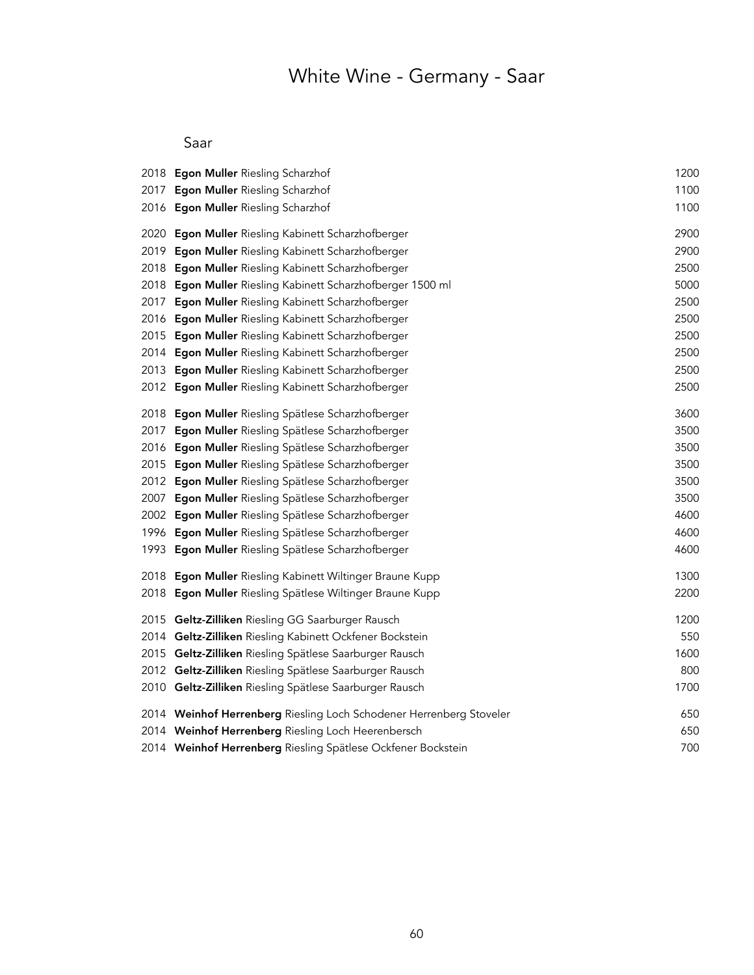# White Wine - Germany - Saar

### Saar

|      | 2018 Egon Muller Riesling Scharzhof                                 | 1200 |
|------|---------------------------------------------------------------------|------|
|      | 2017 Egon Muller Riesling Scharzhof                                 | 1100 |
|      | 2016 Egon Muller Riesling Scharzhof                                 | 1100 |
| 2020 | Egon Muller Riesling Kabinett Scharzhofberger                       | 2900 |
| 2019 | Egon Muller Riesling Kabinett Scharzhofberger                       | 2900 |
|      | 2018 Egon Muller Riesling Kabinett Scharzhofberger                  | 2500 |
|      | 2018 Egon Muller Riesling Kabinett Scharzhofberger 1500 ml          | 5000 |
| 2017 | Egon Muller Riesling Kabinett Scharzhofberger                       | 2500 |
|      | 2016 Egon Muller Riesling Kabinett Scharzhofberger                  | 2500 |
|      | 2015 Egon Muller Riesling Kabinett Scharzhofberger                  | 2500 |
|      | 2014 Egon Muller Riesling Kabinett Scharzhofberger                  | 2500 |
|      | 2013 Egon Muller Riesling Kabinett Scharzhofberger                  | 2500 |
|      | 2012 Egon Muller Riesling Kabinett Scharzhofberger                  | 2500 |
|      | 2018 Egon Muller Riesling Spätlese Scharzhofberger                  | 3600 |
| 2017 | Egon Muller Riesling Spätlese Scharzhofberger                       | 3500 |
|      | 2016 Egon Muller Riesling Spätlese Scharzhofberger                  | 3500 |
|      | 2015 Egon Muller Riesling Spätlese Scharzhofberger                  | 3500 |
|      | 2012 Egon Muller Riesling Spätlese Scharzhofberger                  | 3500 |
|      | 2007 Egon Muller Riesling Spätlese Scharzhofberger                  | 3500 |
|      | 2002 Egon Muller Riesling Spätlese Scharzhofberger                  | 4600 |
|      | 1996 Egon Muller Riesling Spätlese Scharzhofberger                  | 4600 |
|      | 1993 Egon Muller Riesling Spätlese Scharzhofberger                  | 4600 |
|      | 2018 Egon Muller Riesling Kabinett Wiltinger Braune Kupp            | 1300 |
|      | 2018 Egon Muller Riesling Spätlese Wiltinger Braune Kupp            | 2200 |
|      | 2015 Geltz-Zilliken Riesling GG Saarburger Rausch                   | 1200 |
|      | 2014 Geltz-Zilliken Riesling Kabinett Ockfener Bockstein            | 550  |
|      | 2015 Geltz-Zilliken Riesling Spätlese Saarburger Rausch             | 1600 |
|      | 2012 Geltz-Zilliken Riesling Spätlese Saarburger Rausch             | 800  |
|      | 2010 Geltz-Zilliken Riesling Spätlese Saarburger Rausch             | 1700 |
|      | 2014 Weinhof Herrenberg Riesling Loch Schodener Herrenberg Stoveler | 650  |
|      | 2014 Weinhof Herrenberg Riesling Loch Heerenbersch                  | 650  |
|      | 2014 Weinhof Herrenberg Riesling Spätlese Ockfener Bockstein        | 700  |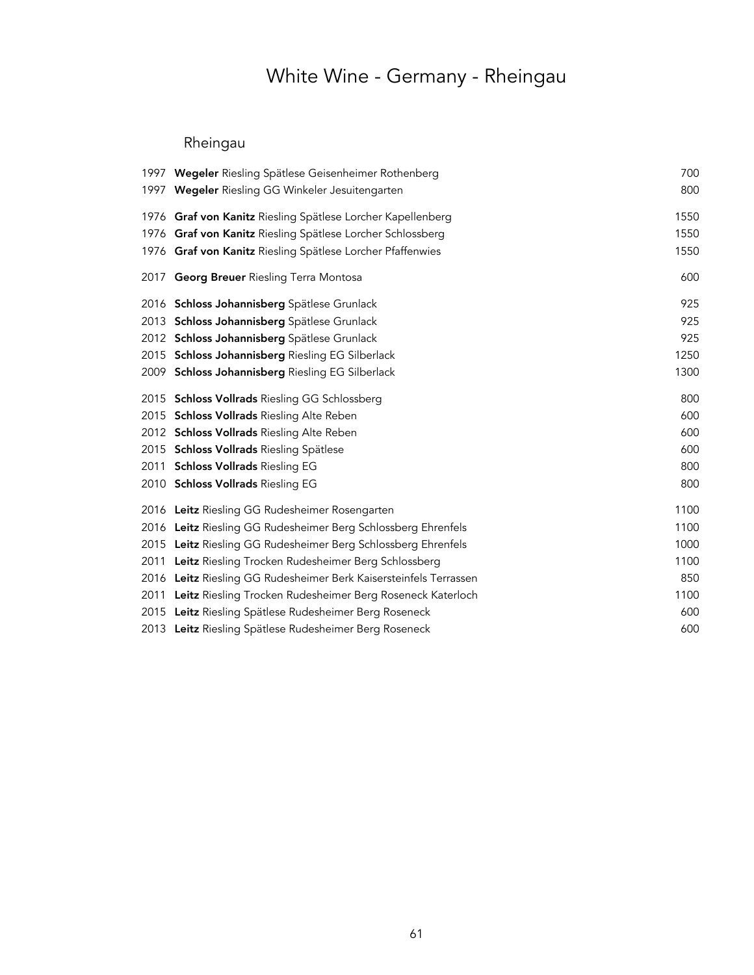# White Wine - Germany - Rheingau

## Rheingau

| 1997 Wegeler Riesling Spätlese Geisenheimer Rothenberg            | 700  |
|-------------------------------------------------------------------|------|
| 1997 Wegeler Riesling GG Winkeler Jesuitengarten                  | 800  |
| 1976 Graf von Kanitz Riesling Spätlese Lorcher Kapellenberg       | 1550 |
| 1976 Graf von Kanitz Riesling Spätlese Lorcher Schlossberg        | 1550 |
| 1976 Graf von Kanitz Riesling Spätlese Lorcher Pfaffenwies        | 1550 |
| 2017 Georg Breuer Riesling Terra Montosa                          | 600  |
| 2016 Schloss Johannisberg Spätlese Grunlack                       | 925  |
| 2013 Schloss Johannisberg Spätlese Grunlack                       | 925  |
| 2012 Schloss Johannisberg Spätlese Grunlack                       | 925  |
| 2015 Schloss Johannisberg Riesling EG Silberlack                  | 1250 |
| 2009 Schloss Johannisberg Riesling EG Silberlack                  | 1300 |
| 2015 Schloss Vollrads Riesling GG Schlossberg                     | 800  |
| 2015 Schloss Vollrads Riesling Alte Reben                         | 600  |
| 2012 Schloss Vollrads Riesling Alte Reben                         | 600  |
| 2015 Schloss Vollrads Riesling Spätlese                           | 600  |
| 2011 Schloss Vollrads Riesling EG                                 | 800  |
| 2010 Schloss Vollrads Riesling EG                                 | 800  |
| 2016 Leitz Riesling GG Rudesheimer Rosengarten                    | 1100 |
| 2016 Leitz Riesling GG Rudesheimer Berg Schlossberg Ehrenfels     | 1100 |
| 2015 Leitz Riesling GG Rudesheimer Berg Schlossberg Ehrenfels     | 1000 |
| 2011 Leitz Riesling Trocken Rudesheimer Berg Schlossberg          | 1100 |
| 2016 Leitz Riesling GG Rudesheimer Berk Kaisersteinfels Terrassen | 850  |
| 2011 Leitz Riesling Trocken Rudesheimer Berg Roseneck Katerloch   | 1100 |
| 2015 Leitz Riesling Spätlese Rudesheimer Berg Roseneck            | 600  |
| 2013 Leitz Riesling Spätlese Rudesheimer Berg Roseneck            | 600  |
|                                                                   |      |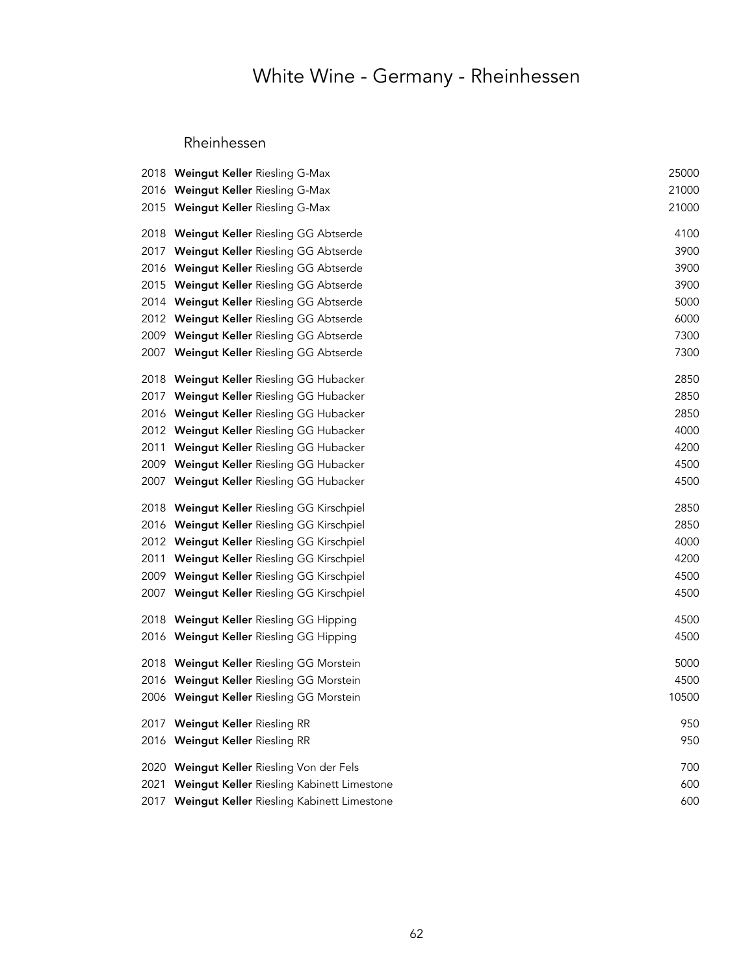# White Wine - Germany - Rheinhessen

### Rheinhessen

| 2018 Weingut Keller Riesling G-Max              | 25000 |
|-------------------------------------------------|-------|
| 2016 Weingut Keller Riesling G-Max              | 21000 |
| 2015 Weingut Keller Riesling G-Max              | 21000 |
| 2018 Weingut Keller Riesling GG Abtserde        | 4100  |
| 2017 Weingut Keller Riesling GG Abtserde        | 3900  |
| 2016 Weingut Keller Riesling GG Abtserde        | 3900  |
| 2015 Weingut Keller Riesling GG Abtserde        | 3900  |
| 2014 Weingut Keller Riesling GG Abtserde        | 5000  |
| 2012 Weingut Keller Riesling GG Abtserde        | 6000  |
| 2009 Weingut Keller Riesling GG Abtserde        | 7300  |
| 2007 Weingut Keller Riesling GG Abtserde        | 7300  |
| 2018 Weingut Keller Riesling GG Hubacker        | 2850  |
| 2017 Weingut Keller Riesling GG Hubacker        | 2850  |
| 2016 Weingut Keller Riesling GG Hubacker        | 2850  |
| 2012 Weingut Keller Riesling GG Hubacker        | 4000  |
| 2011 Weingut Keller Riesling GG Hubacker        | 4200  |
| 2009 Weingut Keller Riesling GG Hubacker        | 4500  |
| 2007 Weingut Keller Riesling GG Hubacker        | 4500  |
| 2018 Weingut Keller Riesling GG Kirschpiel      | 2850  |
| 2016 Weingut Keller Riesling GG Kirschpiel      | 2850  |
| 2012 Weingut Keller Riesling GG Kirschpiel      | 4000  |
| 2011 Weingut Keller Riesling GG Kirschpiel      | 4200  |
| 2009 Weingut Keller Riesling GG Kirschpiel      | 4500  |
| 2007 Weingut Keller Riesling GG Kirschpiel      | 4500  |
| 2018 Weingut Keller Riesling GG Hipping         | 4500  |
| 2016 Weingut Keller Riesling GG Hipping         | 4500  |
| 2018 Weingut Keller Riesling GG Morstein        | 5000  |
| 2016 Weingut Keller Riesling GG Morstein        | 4500  |
| 2006 Weingut Keller Riesling GG Morstein        | 10500 |
| 2017 Weingut Keller Riesling RR                 | 950   |
| 2016 Weingut Keller Riesling RR                 | 950   |
| 2020 Weingut Keller Riesling Von der Fels       | 700   |
| 2021 Weingut Keller Riesling Kabinett Limestone | 600   |
| 2017 Weingut Keller Riesling Kabinett Limestone | 600   |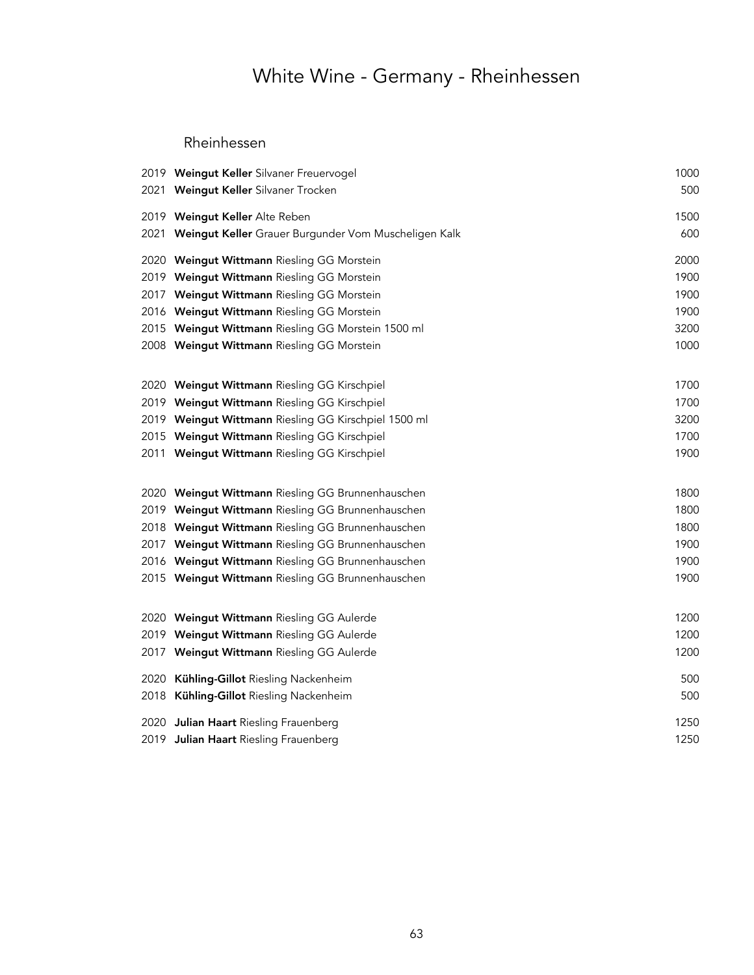# White Wine - Germany - Rheinhessen

#### Rheinhessen

|      | 2019 Weingut Keller Silvaner Freuervogel             | 1000 |
|------|------------------------------------------------------|------|
|      | 2021 Weingut Keller Silvaner Trocken                 | 500  |
|      | 2019 Weingut Keller Alte Reben                       | 1500 |
| 2021 | Weingut Keller Grauer Burgunder Vom Muscheligen Kalk | 600  |
|      | 2020 Weingut Wittmann Riesling GG Morstein           | 2000 |
|      | 2019 Weingut Wittmann Riesling GG Morstein           | 1900 |
|      | 2017 Weingut Wittmann Riesling GG Morstein           | 1900 |
|      | 2016 Weingut Wittmann Riesling GG Morstein           | 1900 |
|      | 2015 Weingut Wittmann Riesling GG Morstein 1500 ml   | 3200 |
|      | 2008 Weingut Wittmann Riesling GG Morstein           | 1000 |
|      | 2020 Weingut Wittmann Riesling GG Kirschpiel         | 1700 |
|      | 2019 Weingut Wittmann Riesling GG Kirschpiel         | 1700 |
|      | 2019 Weingut Wittmann Riesling GG Kirschpiel 1500 ml | 3200 |
|      | 2015 Weingut Wittmann Riesling GG Kirschpiel         | 1700 |
|      | 2011 Weingut Wittmann Riesling GG Kirschpiel         | 1900 |
|      | 2020 Weingut Wittmann Riesling GG Brunnenhauschen    | 1800 |
|      | 2019 Weingut Wittmann Riesling GG Brunnenhauschen    | 1800 |
|      | 2018 Weingut Wittmann Riesling GG Brunnenhauschen    | 1800 |
|      | 2017 Weingut Wittmann Riesling GG Brunnenhauschen    | 1900 |
|      | 2016 Weingut Wittmann Riesling GG Brunnenhauschen    | 1900 |
|      | 2015 Weingut Wittmann Riesling GG Brunnenhauschen    | 1900 |
|      | 2020 Weingut Wittmann Riesling GG Aulerde            | 1200 |
|      | 2019 Weingut Wittmann Riesling GG Aulerde            | 1200 |
|      | 2017 Weingut Wittmann Riesling GG Aulerde            | 1200 |
|      | 2020 Kühling-Gillot Riesling Nackenheim              | 500  |
| 2018 | Kühling-Gillot Riesling Nackenheim                   | 500  |
|      | 2020 Julian Haart Riesling Frauenberg                | 1250 |
|      | 2019 Julian Haart Riesling Frauenberg                | 1250 |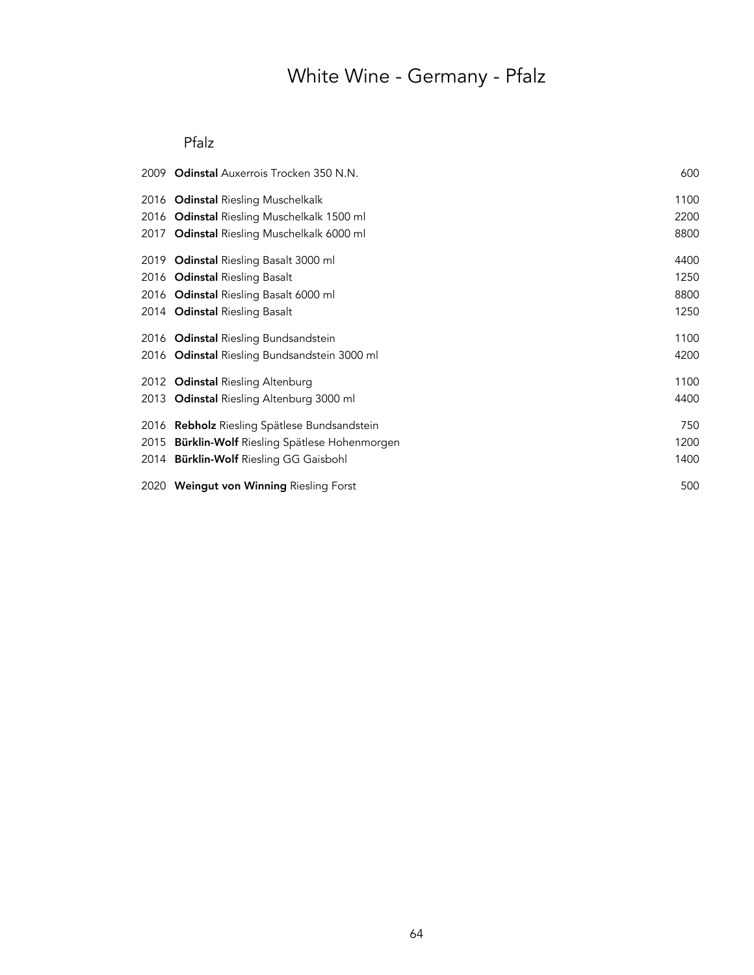# White Wine - Germany - Pfalz

### Pfalz

| 2009 Odinstal Auxerrois Trocken 350 N.N.        | 600  |
|-------------------------------------------------|------|
| 2016 Odinstal Riesling Muschelkalk              | 1100 |
| 2016 Odinstal Riesling Muschelkalk 1500 ml      | 2200 |
| 2017 Odinstal Riesling Muschelkalk 6000 ml      | 8800 |
| 2019 Odinstal Riesling Basalt 3000 ml           | 4400 |
| 2016 Odinstal Riesling Basalt                   | 1250 |
| 2016 Odinstal Riesling Basalt 6000 ml           | 8800 |
| 2014 Odinstal Riesling Basalt                   | 1250 |
| 2016 Odinstal Riesling Bundsandstein            | 1100 |
| 2016 Odinstal Riesling Bundsandstein 3000 ml    | 4200 |
| 2012 Odinstal Riesling Altenburg                | 1100 |
| 2013 Odinstal Riesling Altenburg 3000 ml        | 4400 |
| 2016 Rebholz Riesling Spätlese Bundsandstein    | 750  |
| 2015 Bürklin-Wolf Riesling Spätlese Hohenmorgen | 1200 |
| 2014 Bürklin-Wolf Riesling GG Gaisbohl          | 1400 |
| 2020 Weingut von Winning Riesling Forst         | 500  |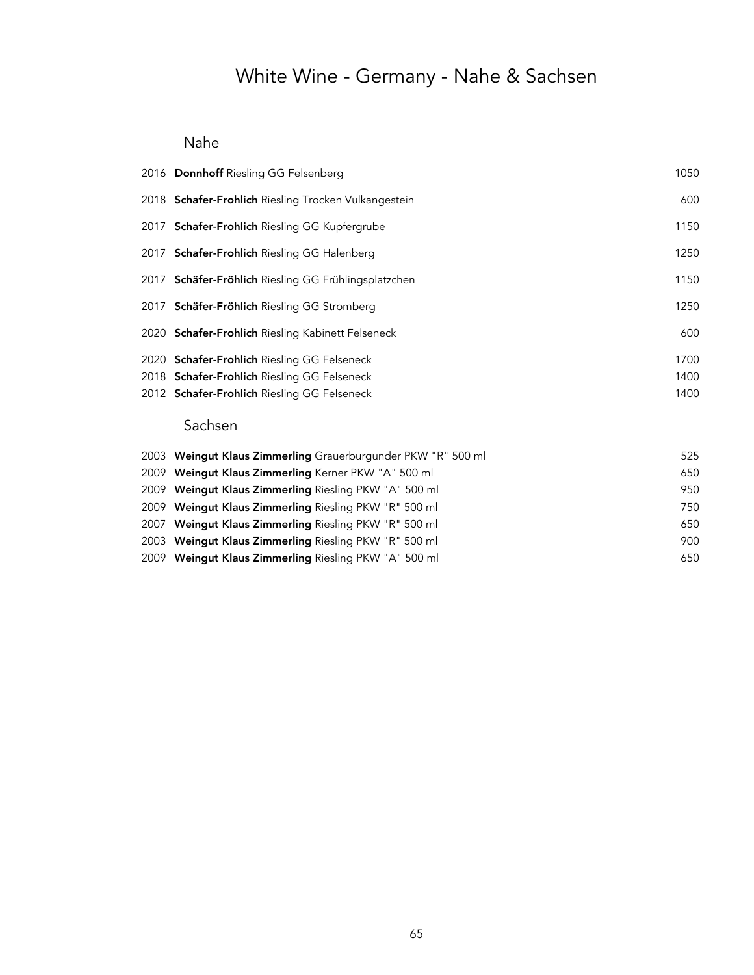# White Wine - Germany - Nahe & Sachsen

### Nahe

| 2016 Donnhoff Riesling GG Felsenberg                     | 1050 |
|----------------------------------------------------------|------|
| 2018 Schafer-Frohlich Riesling Trocken Vulkangestein     | 600  |
| 2017 <b>Schafer-Frohlich</b> Riesling GG Kupfergrube     | 1150 |
| 2017 Schafer-Frohlich Riesling GG Halenberg              | 1250 |
| 2017 Schäfer-Fröhlich Riesling GG Frühlingsplatzchen     | 1150 |
| 2017 Schäfer-Fröhlich Riesling GG Stromberg              | 1250 |
| 2020 <b>Schafer-Frohlich</b> Riesling Kabinett Felseneck | 600  |
| 2020 <b>Schafer-Frohlich</b> Riesling GG Felseneck       | 1700 |
| 2018 <b>Schafer-Frohlich</b> Riesling GG Felseneck       | 1400 |
| 2012 <b>Schafer-Frohlich</b> Riesling GG Felseneck       | 1400 |
|                                                          |      |

### Sachsen

| 2003 Weingut Klaus Zimmerling Grauerburgunder PKW "R" 500 ml | 525 |
|--------------------------------------------------------------|-----|
| 2009 Weinqut Klaus Zimmerling Kerner PKW "A" 500 ml          | 650 |
| 2009 Weingut Klaus Zimmerling Riesling PKW "A" 500 ml        | 950 |
| 2009 Weingut Klaus Zimmerling Riesling PKW "R" 500 ml        | 750 |
| 2007 Weingut Klaus Zimmerling Riesling PKW "R" 500 ml        | 650 |
| 2003 Weingut Klaus Zimmerling Riesling PKW "R" 500 ml        | 900 |
| 2009 Weingut Klaus Zimmerling Riesling PKW "A" 500 ml        | 650 |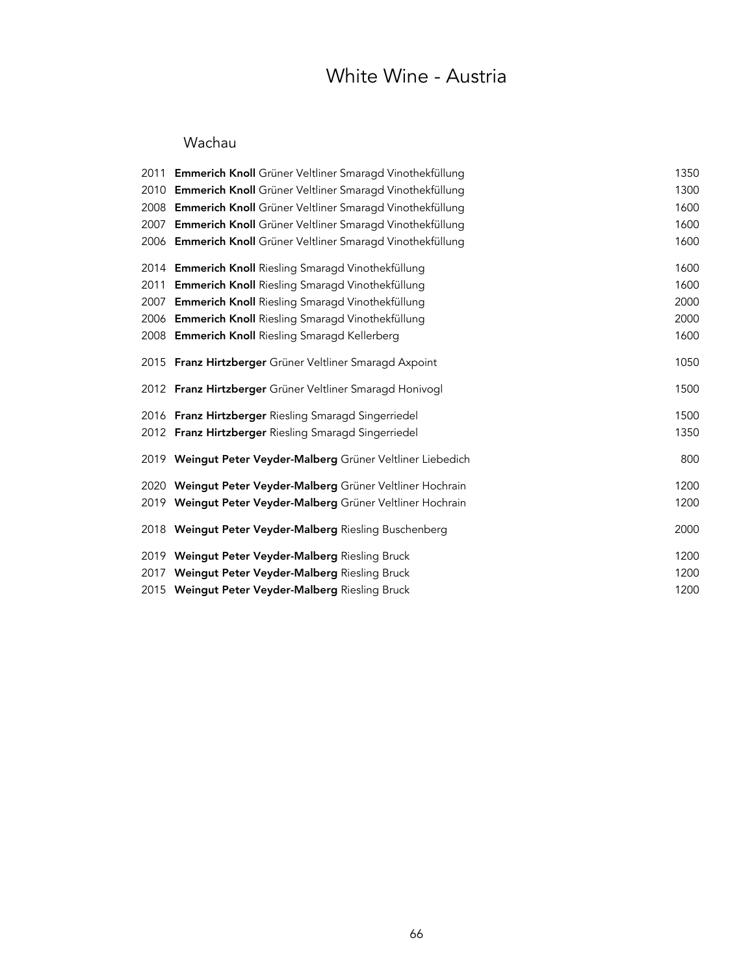## White Wine - Austria

### Wachau

|      | 2011 Emmerich Knoll Grüner Veltliner Smaragd Vinothekfüllung   | 1350 |
|------|----------------------------------------------------------------|------|
| 2010 | <b>Emmerich Knoll</b> Grüner Veltliner Smaragd Vinothekfüllung | 1300 |
| 2008 | Emmerich Knoll Grüner Veltliner Smaragd Vinothekfüllung        | 1600 |
| 2007 | Emmerich Knoll Grüner Veltliner Smaragd Vinothekfüllung        | 1600 |
|      | 2006 Emmerich Knoll Grüner Veltliner Smaragd Vinothekfüllung   | 1600 |
|      | 2014 Emmerich Knoll Riesling Smaragd Vinothekfüllung           | 1600 |
| 2011 | <b>Emmerich Knoll</b> Riesling Smaragd Vinothekfüllung         | 1600 |
| 2007 | <b>Emmerich Knoll</b> Riesling Smaragd Vinothekfüllung         | 2000 |
|      | 2006 Emmerich Knoll Riesling Smaragd Vinothekfüllung           | 2000 |
|      | 2008 Emmerich Knoll Riesling Smaragd Kellerberg                | 1600 |
|      | 2015 Franz Hirtzberger Grüner Veltliner Smaragd Axpoint        | 1050 |
|      | 2012 Franz Hirtzberger Grüner Veltliner Smaragd Honivogl       | 1500 |
|      | 2016 Franz Hirtzberger Riesling Smaragd Singerriedel           | 1500 |
|      | 2012 Franz Hirtzberger Riesling Smaragd Singerriedel           | 1350 |
|      | 2019 Weingut Peter Veyder-Malberg Grüner Veltliner Liebedich   | 800  |
| 2020 | Weingut Peter Veyder-Malberg Grüner Veltliner Hochrain         | 1200 |
| 2019 | Weingut Peter Veyder-Malberg Grüner Veltliner Hochrain         | 1200 |
|      | 2018 Weingut Peter Veyder-Malberg Riesling Buschenberg         | 2000 |
|      | 2019 Weingut Peter Veyder-Malberg Riesling Bruck               | 1200 |
| 2017 | Weingut Peter Veyder-Malberg Riesling Bruck                    | 1200 |
|      | 2015 Weingut Peter Veyder-Malberg Riesling Bruck               | 1200 |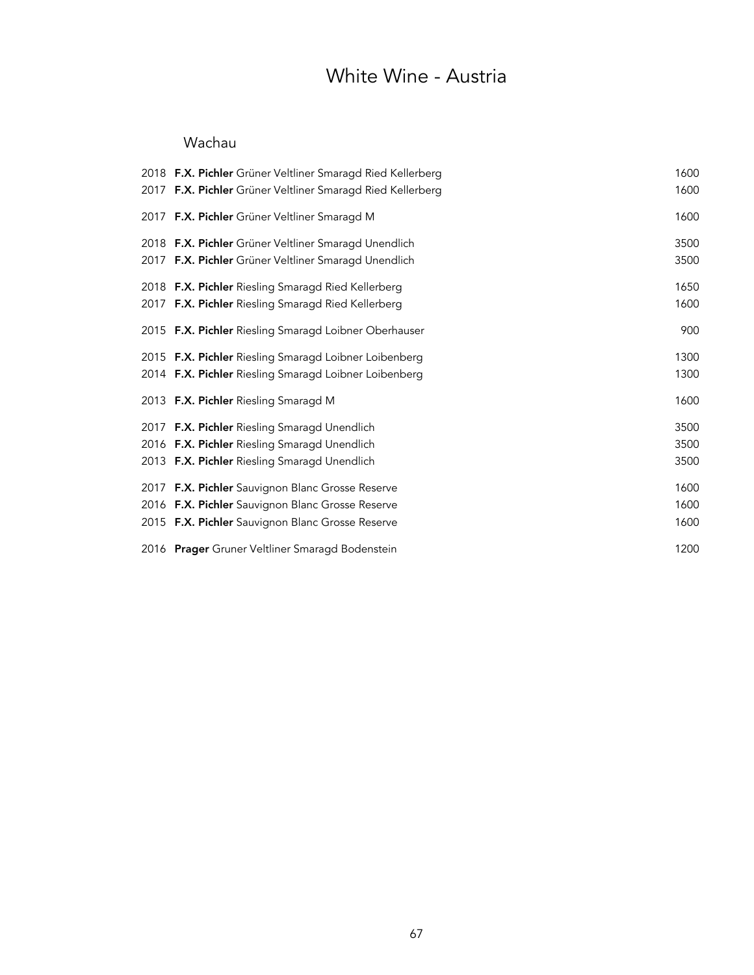## White Wine - Austria

### Wachau

| 2018 F.X. Pichler Grüner Veltliner Smaragd Ried Kellerberg | 1600 |
|------------------------------------------------------------|------|
| 2017 F.X. Pichler Grüner Veltliner Smaragd Ried Kellerberg | 1600 |
| 2017 F.X. Pichler Grüner Veltliner Smaragd M               | 1600 |
| 2018 F.X. Pichler Grüner Veltliner Smaragd Unendlich       | 3500 |
| 2017 F.X. Pichler Grüner Veltliner Smaragd Unendlich       | 3500 |
| 2018 F.X. Pichler Riesling Smaragd Ried Kellerberg         | 1650 |
| 2017 F.X. Pichler Riesling Smaragd Ried Kellerberg         | 1600 |
| 2015 F.X. Pichler Riesling Smaragd Loibner Oberhauser      | 900  |
| 2015 F.X. Pichler Riesling Smaragd Loibner Loibenberg      | 1300 |
| 2014 F.X. Pichler Riesling Smaragd Loibner Loibenberg      | 1300 |
| 2013 F.X. Pichler Riesling Smaragd M                       | 1600 |
| 2017 F.X. Pichler Riesling Smaragd Unendlich               | 3500 |
| 2016 F.X. Pichler Riesling Smaragd Unendlich               | 3500 |
| 2013 F.X. Pichler Riesling Smaragd Unendlich               | 3500 |
| 2017 F.X. Pichler Sauvignon Blanc Grosse Reserve           | 1600 |
| 2016 F.X. Pichler Sauvignon Blanc Grosse Reserve           | 1600 |
| 2015 F.X. Pichler Sauvignon Blanc Grosse Reserve           | 1600 |
| 2016 Prager Gruner Veltliner Smaragd Bodenstein            | 1200 |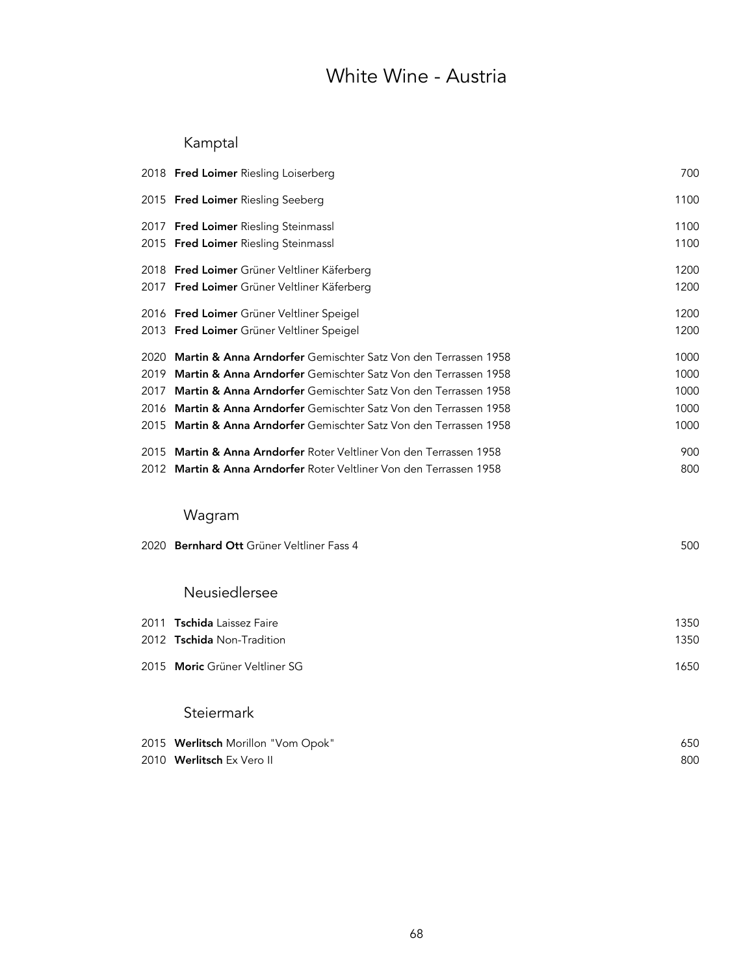## White Wine - Austria

## Kamptal

|      | 2018 Fred Loimer Riesling Loiserberg                                           | 700  |
|------|--------------------------------------------------------------------------------|------|
|      | 2015 Fred Loimer Riesling Seeberg                                              | 1100 |
|      | 2017 Fred Loimer Riesling Steinmassl                                           | 1100 |
|      | 2015 Fred Loimer Riesling Steinmassl                                           | 1100 |
|      | 2018 Fred Loimer Grüner Veltliner Käferberg                                    | 1200 |
|      | 2017 Fred Loimer Grüner Veltliner Käferberg                                    | 1200 |
|      | 2016 Fred Loimer Grüner Veltliner Speigel                                      | 1200 |
|      | 2013 Fred Loimer Grüner Veltliner Speigel                                      | 1200 |
| 2020 | Martin & Anna Arndorfer Gemischter Satz Von den Terrassen 1958                 | 1000 |
| 2019 | Martin & Anna Arndorfer Gemischter Satz Von den Terrassen 1958                 | 1000 |
| 2017 | Martin & Anna Arndorfer Gemischter Satz Von den Terrassen 1958                 | 1000 |
|      | 2016 Martin & Anna Arndorfer Gemischter Satz Von den Terrassen 1958            | 1000 |
|      | 2015 Martin & Anna Arndorfer Gemischter Satz Von den Terrassen 1958            | 1000 |
|      | 2015 Martin & Anna Arndorfer Roter Veltliner Von den Terrassen 1958            | 900  |
|      | 2012 <b>Martin &amp; Anna Arndorfer</b> Roter Veltliner Von den Terrassen 1958 | 800  |
|      |                                                                                |      |
|      | Wagram                                                                         |      |
|      | 2020 Bernhard Ott Grüner Veltliner Fass 4                                      | 500  |
|      |                                                                                |      |
|      | Neusiedlersee                                                                  |      |
|      |                                                                                |      |
|      | 2011 Tschida Laissez Faire                                                     | 1350 |
|      | 2012 Tschida Non-Tradition                                                     | 1350 |
|      | 2015 Moric Grüner Veltliner SG                                                 | 1650 |
|      | Steiermark                                                                     |      |
|      | 2015 Werlitsch Morillon "Vom Opok"                                             | 650  |
|      | 2010 Werlitsch Ex Vero II                                                      | 800  |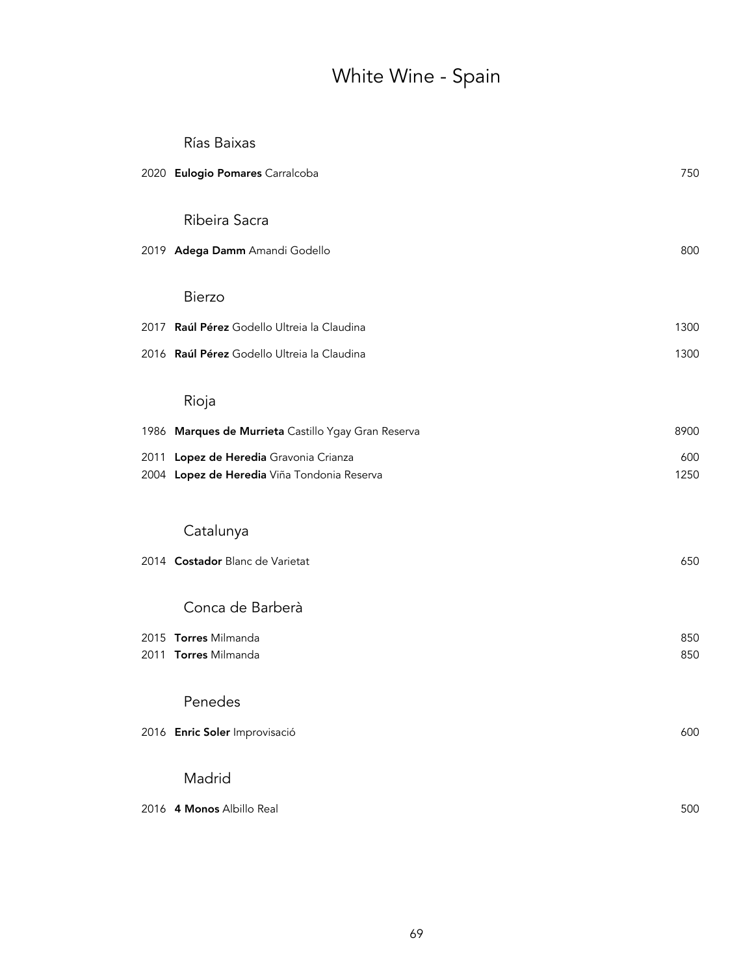# White Wine - Spain

| 2020 Eulogio Pomares Carralcoba                                                       | 750         |
|---------------------------------------------------------------------------------------|-------------|
| Ribeira Sacra                                                                         |             |
| 2019 Adega Damm Amandi Godello                                                        | 800         |
| <b>Bierzo</b>                                                                         |             |
| 2017 Raúl Pérez Godello Ultreia la Claudina                                           | 1300        |
| 2016 Raúl Pérez Godello Ultreia la Claudina                                           | 1300        |
| Rioja                                                                                 |             |
| 1986 Marques de Murrieta Castillo Ygay Gran Reserva                                   | 8900        |
| 2011 Lopez de Heredia Gravonia Crianza<br>2004 Lopez de Heredia Viña Tondonia Reserva | 600<br>1250 |
| Catalunya                                                                             |             |
| 2014 Costador Blanc de Varietat                                                       | 650         |
| Conca de Barberà                                                                      |             |
| 2015 Torres Milmanda                                                                  | 850         |
| 2011 Torres Milmanda                                                                  | 850         |
| Penedes                                                                               |             |
| 2016 Enric Soler Improvisació                                                         | 600         |
| Madrid                                                                                |             |
| 2016 4 Monos Albillo Real                                                             | 500         |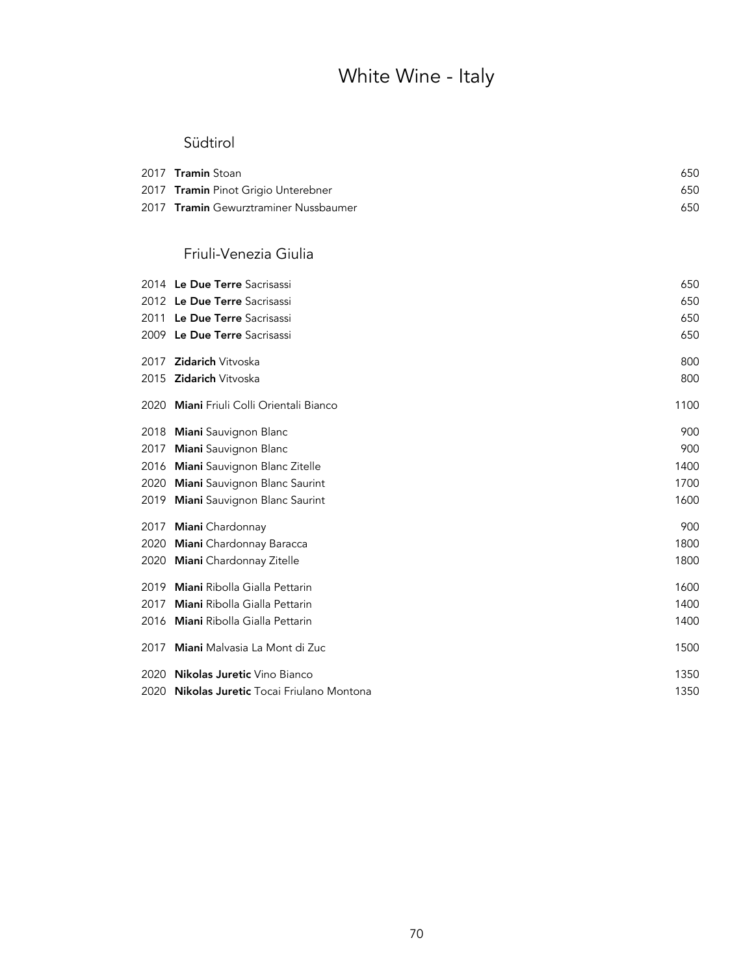# White Wine - Italy

### Südtirol

| 2017 <b>Tramin</b> Stoan                     | 650 |
|----------------------------------------------|-----|
| 2017 Tramin Pinot Grigio Unterebner          | 650 |
| 2017 <b>Tramin</b> Gewurztraminer Nussbaumer | 650 |

### Friuli-Venezia Giulia

|      | 2014 Le Due Terre Sacrisassi                  | 650  |
|------|-----------------------------------------------|------|
|      | 2012 Le Due Terre Sacrisassi                  | 650  |
| 2011 | Le Due Terre Sacrisassi                       | 650  |
|      | 2009 Le Due Terre Sacrisassi                  | 650  |
| 2017 | <b>Zidarich Vitvoska</b>                      | 800  |
| 2015 | <b>Zidarich</b> Vitvoska                      | 800  |
| 2020 | <b>Miani</b> Friuli Colli Orientali Bianco    | 1100 |
| 2018 | Miani Sauvignon Blanc                         | 900  |
| 2017 | Miani Sauvignon Blanc                         | 900  |
| 2016 | Miani Sauvignon Blanc Zitelle                 | 1400 |
| 2020 | Miani Sauvignon Blanc Saurint                 | 1700 |
| 2019 | Miani Sauvignon Blanc Saurint                 | 1600 |
| 2017 | Miani Chardonnay                              | 900  |
| 2020 | Miani Chardonnay Baracca                      | 1800 |
| 2020 | <b>Miani</b> Chardonnay Zitelle               | 1800 |
| 2019 | Miani Ribolla Gialla Pettarin                 | 1600 |
| 2017 | Miani Ribolla Gialla Pettarin                 | 1400 |
| 2016 | <b>Miani</b> Ribolla Gialla Pettarin          | 1400 |
| 2017 | Miani Malvasia La Mont di Zuc                 | 1500 |
| 2020 | <b>Nikolas Juretic</b> Vino Bianco            | 1350 |
| 2020 | <b>Nikolas Juretic</b> Tocai Friulano Montona | 1350 |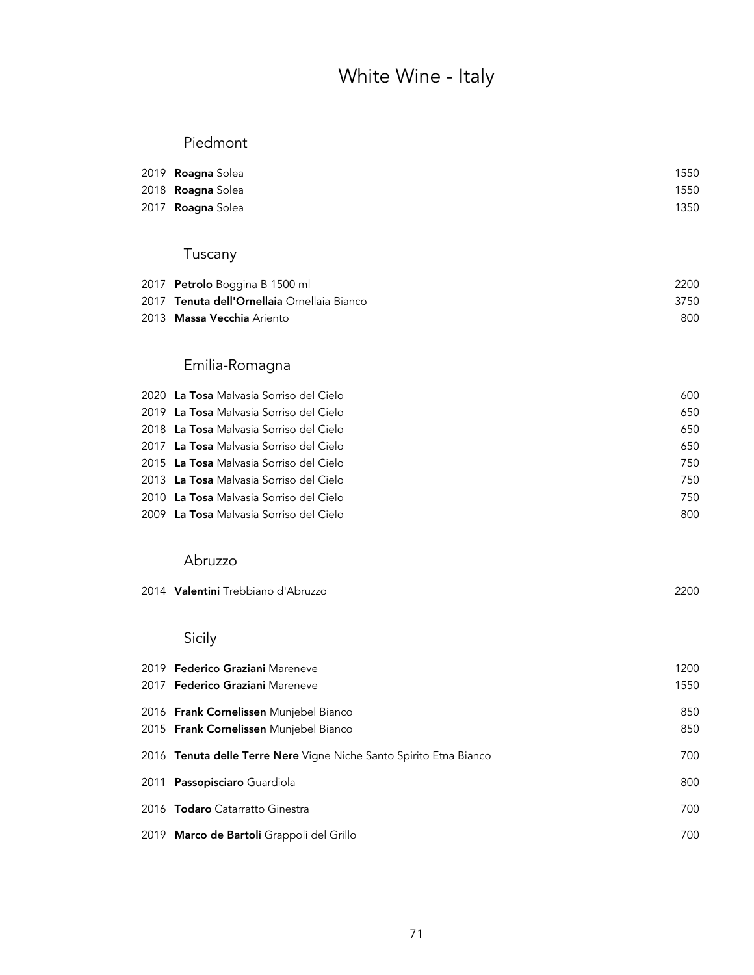# White Wine - Italy

### Piedmont

| 2019 <b>Roagna</b> Solea | 1550 |
|--------------------------|------|
| 2018 <b>Roagna</b> Solea | 1550 |
| 2017 <b>Roagna</b> Solea | 1350 |

## Tuscany

| 2017 Petrolo Boggina B 1500 ml              | 2200 |
|---------------------------------------------|------|
| 2017 Tenuta dell'Ornellaia Ornellaia Bianco | 3750 |
| 2013 Massa Vecchia Ariento                  | 800  |

### Emilia-Romagna

| 2020 La Tosa Malvasia Sorriso del Cielo | 600 |
|-----------------------------------------|-----|
| 2019 La Tosa Malvasia Sorriso del Cielo | 650 |
| 2018 La Tosa Malvasia Sorriso del Cielo | 650 |
| 2017 La Tosa Malvasia Sorriso del Cielo | 650 |
| 2015 La Tosa Malvasia Sorriso del Cielo | 750 |
| 2013 La Tosa Malvasia Sorriso del Cielo | 750 |
| 2010 La Tosa Malvasia Sorriso del Cielo | 750 |
| 2009 La Tosa Malvasia Sorriso del Cielo | 800 |

#### Abruzzo

## Sicily

| 2019 Federico Graziani Mareneve                                    | 1200 |
|--------------------------------------------------------------------|------|
| 2017 <b>Federico Graziani</b> Mareneve                             | 1550 |
| 2016 Frank Cornelissen Munjebel Bianco                             | 850  |
| 2015 Frank Cornelissen Munjebel Bianco                             | 850  |
| 2016 Tenuta delle Terre Nere Vigne Niche Santo Spirito Etna Bianco | 700  |
| 2011 Passopisciaro Guardiola                                       | 800  |
| 2016 Todaro Catarratto Ginestra                                    | 700  |
| 2019 Marco de Bartoli Grappoli del Grillo                          | 700  |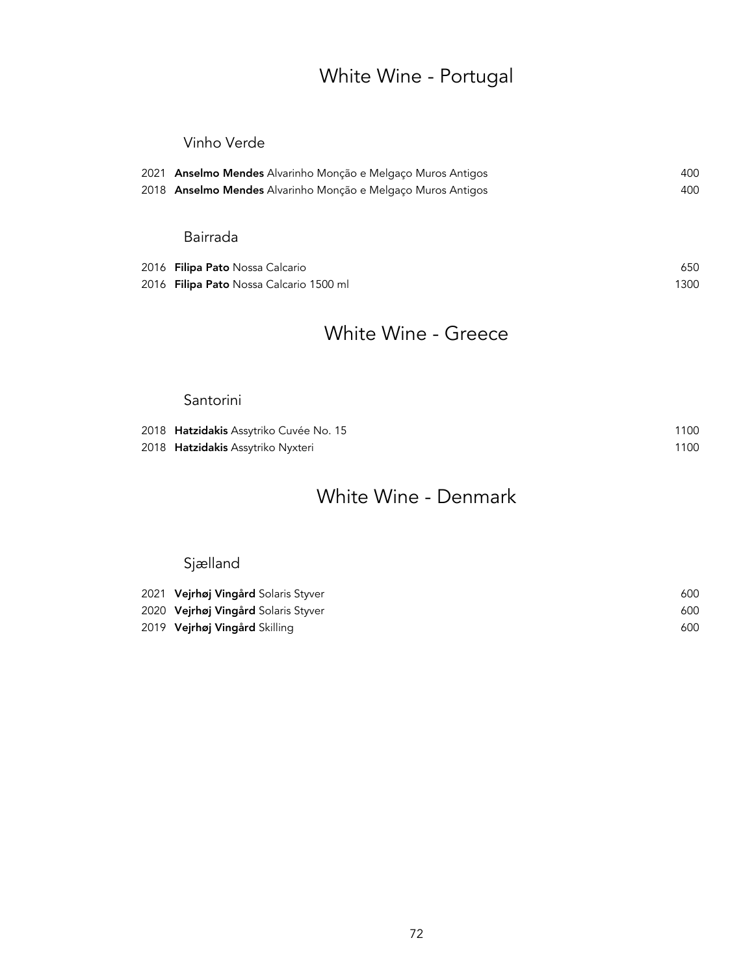## White Wine - Portugal

### Vinho Verde

| 2021 Anselmo Mendes Alvarinho Monção e Melgaço Muros Antigos | 400  |
|--------------------------------------------------------------|------|
| 2018 Anselmo Mendes Alvarinho Monção e Melgaço Muros Antigos | 400  |
|                                                              |      |
| Bairrada                                                     |      |
| 2016 <b>Filipa Pato</b> Nossa Calcario                       | 650  |
| 2016 F <b>ilipa Pato</b> Nossa Calcario 1500 ml              | 1300 |

### White Wine - Greece

### Santorini

| 2018 <b>Hatzidakis</b> Assytriko Cuvée No. 15 | 1100 |
|-----------------------------------------------|------|
| 2018 <b>Hatzidakis</b> Assytriko Nyxteri      | 1100 |

## White Wine - Denmark

## Sjælland

| 2021 Vejrhøj Vingård Solaris Styver | 600 |
|-------------------------------------|-----|
| 2020 Vejrhøj Vingård Solaris Styver | 600 |
| 2019 Vejrhøj Vingård Skilling       | 600 |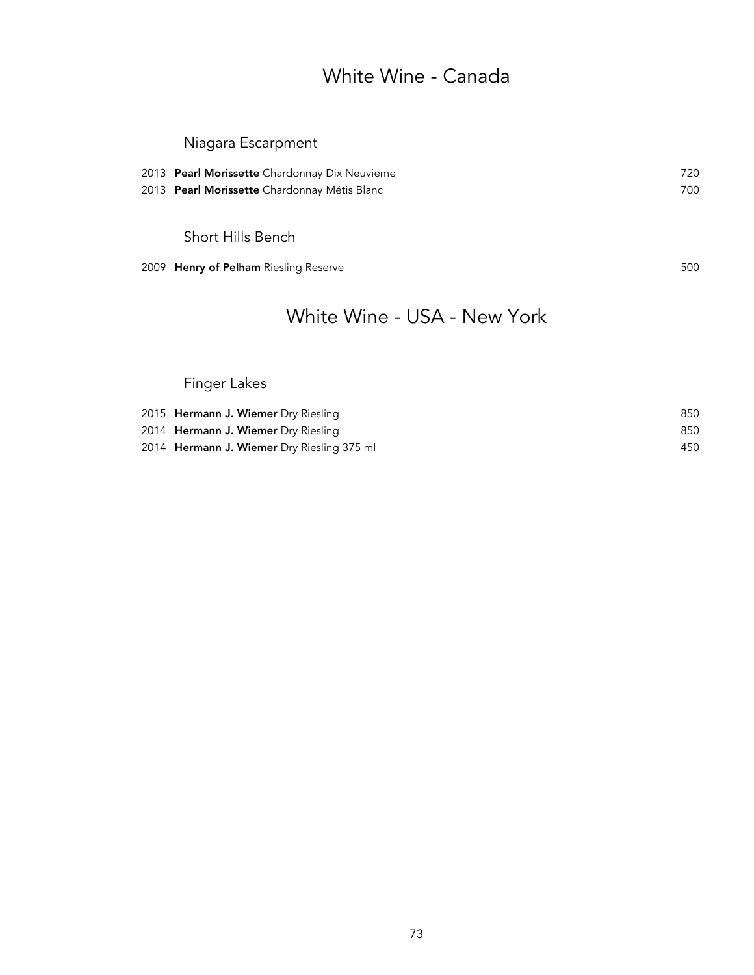### White Wine - Canada

### Niagara Escarpment

| 2013 Pearl Morissette Chardonnay Dix Neuvieme | 720 |
|-----------------------------------------------|-----|
| 2013 Pearl Morissette Chardonnay Métis Blanc  | 700 |
|                                               |     |

Short Hills Bench

2009 Henry of Pelham Riesling Reserve **500** Soulse 1, 1999 Soulse 1, 1999 Soulse 1, 1999 Soulse 1, 1999 Soulse 1

## White Wine - USA - New York

### Finger Lakes

| 2015 <b>Hermann J. Wiemer</b> Dry Riesling        | 850 |
|---------------------------------------------------|-----|
| 2014 Hermann J. Wiemer Dry Riesling               | 850 |
| 2014 <b>Hermann J. Wiemer</b> Dry Riesling 375 ml | 450 |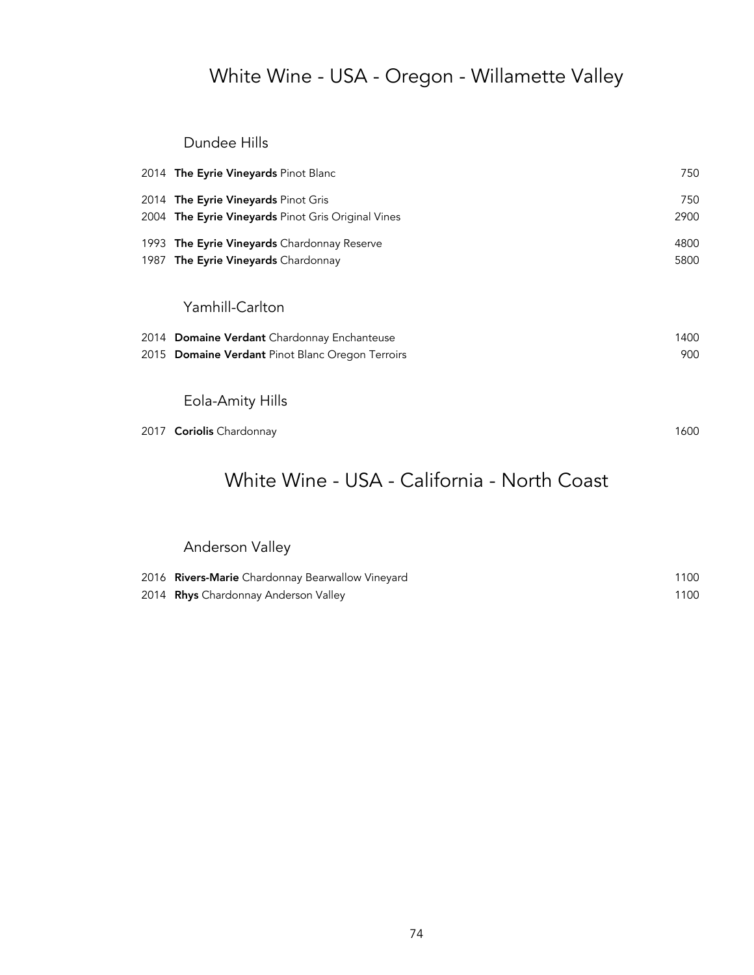## White Wine - USA - Oregon - Willamette Valley

Dundee Hills

|      | 2014 The Eyrie Vineyards Pinot Blanc               | 750  |
|------|----------------------------------------------------|------|
|      | 2014 The Eyrie Vineyards Pinot Gris                | 750  |
|      | 2004 The Eyrie Vineyards Pinot Gris Original Vines | 2900 |
|      | 1993 The Eyrie Vineyards Chardonnay Reserve        | 4800 |
|      | 1987 The Eyrie Vineyards Chardonnay                | 5800 |
|      |                                                    |      |
|      | Yamhill-Carlton                                    |      |
|      | 2014 Domaine Verdant Chardonnay Enchanteuse        | 1400 |
|      | 2015 Domaine Verdant Pinot Blanc Oregon Terroirs   | 900  |
|      |                                                    |      |
|      | Eola-Amity Hills                                   |      |
| 2017 | <b>Coriolis</b> Chardonnay                         | 1600 |
|      |                                                    |      |

## White Wine - USA - California - North Coast

### Anderson Valley

| 2016 Rivers-Marie Chardonnay Bearwallow Vineyard | 1100 |
|--------------------------------------------------|------|
| 2014 Rhys Chardonnay Anderson Valley             | 1100 |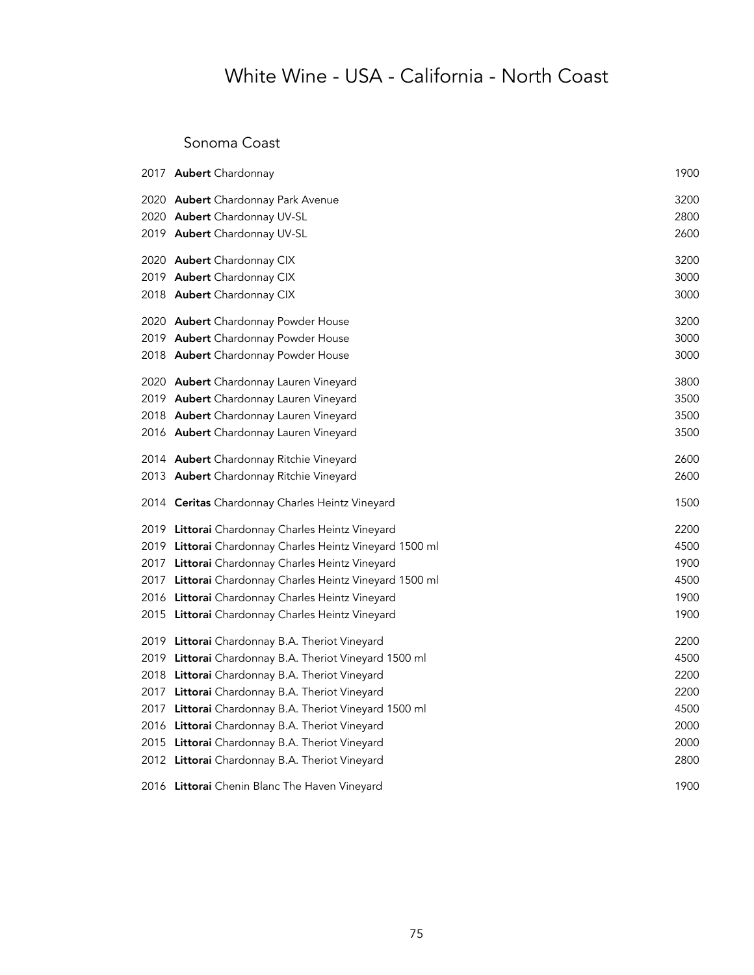#### Sonoma Coast

| 2017 <b>Aubert</b> Chardonnay                            | 1900 |
|----------------------------------------------------------|------|
| 2020 Aubert Chardonnay Park Avenue                       | 3200 |
| 2020 Aubert Chardonnay UV-SL                             | 2800 |
| 2019 Aubert Chardonnay UV-SL                             | 2600 |
| 2020 Aubert Chardonnay CIX                               | 3200 |
| 2019 Aubert Chardonnay CIX                               | 3000 |
| 2018 Aubert Chardonnay CIX                               | 3000 |
| 2020 Aubert Chardonnay Powder House                      | 3200 |
| 2019 Aubert Chardonnay Powder House                      | 3000 |
| 2018 Aubert Chardonnay Powder House                      | 3000 |
| 2020 Aubert Chardonnay Lauren Vineyard                   | 3800 |
| 2019 Aubert Chardonnay Lauren Vineyard                   | 3500 |
| 2018 Aubert Chardonnay Lauren Vineyard                   | 3500 |
| 2016 Aubert Chardonnay Lauren Vineyard                   | 3500 |
| 2014 Aubert Chardonnay Ritchie Vineyard                  | 2600 |
| 2013 Aubert Chardonnay Ritchie Vineyard                  | 2600 |
| 2014 Ceritas Chardonnay Charles Heintz Vineyard          | 1500 |
| 2019 Littorai Chardonnay Charles Heintz Vineyard         | 2200 |
| 2019 Littorai Chardonnay Charles Heintz Vineyard 1500 ml | 4500 |
| 2017 Littorai Chardonnay Charles Heintz Vineyard         | 1900 |
| 2017 Littorai Chardonnay Charles Heintz Vineyard 1500 ml | 4500 |
| 2016 Littorai Chardonnay Charles Heintz Vineyard         | 1900 |
| 2015 Littorai Chardonnay Charles Heintz Vineyard         | 1900 |
| 2019 Littorai Chardonnay B.A. Theriot Vineyard           | 2200 |
| 2019 Littorai Chardonnay B.A. Theriot Vineyard 1500 ml   | 4500 |
| 2018 Littorai Chardonnay B.A. Theriot Vineyard           | 2200 |
| 2017 Littorai Chardonnay B.A. Theriot Vineyard           | 2200 |
| 2017 Littorai Chardonnay B.A. Theriot Vineyard 1500 ml   | 4500 |
| 2016 Littorai Chardonnay B.A. Theriot Vineyard           | 2000 |
| 2015 Littorai Chardonnay B.A. Theriot Vineyard           | 2000 |
| 2012 Littorai Chardonnay B.A. Theriot Vineyard           | 2800 |
| 2016 Littorai Chenin Blanc The Haven Vineyard            | 1900 |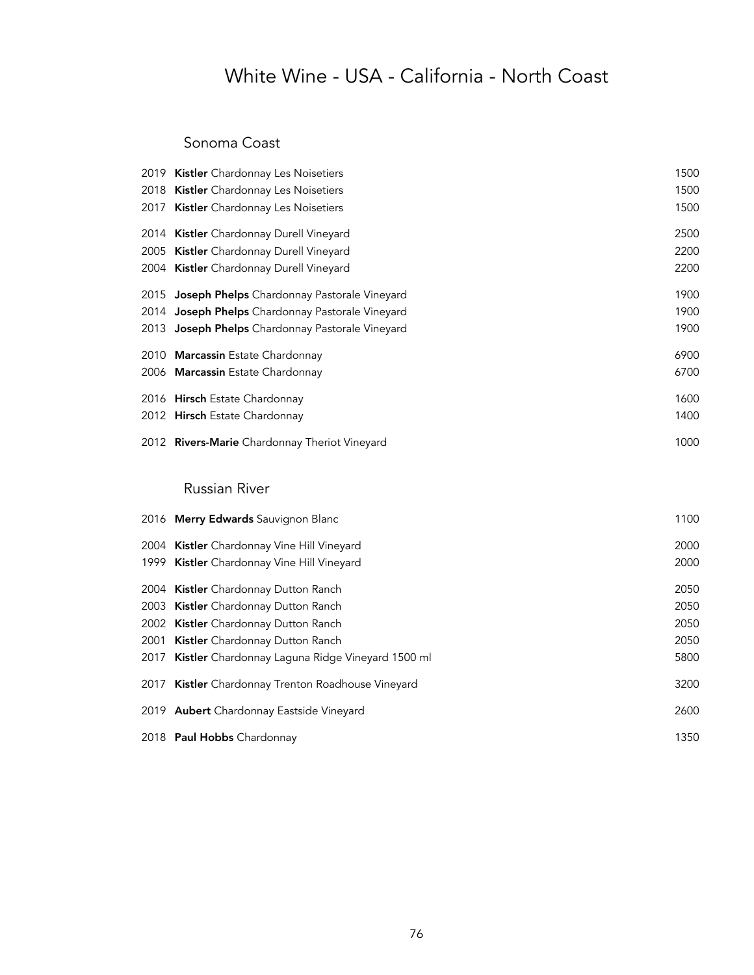#### Sonoma Coast

|      | 2019 Kistler Chardonnay Les Noisetiers           | 1500 |
|------|--------------------------------------------------|------|
|      | 2018 Kistler Chardonnay Les Noisetiers           | 1500 |
|      | 2017 Kistler Chardonnay Les Noisetiers           | 1500 |
|      | 2014 Kistler Chardonnay Durell Vineyard          | 2500 |
|      | 2005 Kistler Chardonnay Durell Vineyard          | 2200 |
|      | 2004 Kistler Chardonnay Durell Vineyard          | 2200 |
|      | 2015 Joseph Phelps Chardonnay Pastorale Vineyard | 1900 |
| 2014 | Joseph Phelps Chardonnay Pastorale Vineyard      | 1900 |
|      | 2013 Joseph Phelps Chardonnay Pastorale Vineyard | 1900 |
|      | 2010 Marcassin Estate Chardonnay                 | 6900 |
|      | 2006 Marcassin Estate Chardonnay                 | 6700 |
|      | 2016 Hirsch Estate Chardonnay                    | 1600 |
|      | 2012 Hirsch Estate Chardonnay                    | 1400 |
|      | 2012 Rivers-Marie Chardonnay Theriot Vineyard    | 1000 |
|      | <b>Russian River</b>                             |      |
|      | 2016 Merry Edwards Sauvignon Blanc               | 1100 |
|      | 2004 Kistler Chardonnay Vine Hill Vineyard       | 2000 |
|      | 1999 Kistler Chardonnay Vine Hill Vineyard       | 2000 |
|      | 2004 Kistler Chardonnay Dutton Ranch             | 2050 |
|      | 2003 Kistler Chardonnay Dutton Ranch             | 2050 |
|      | 2002 Kistler Chardonnay Dutton Ranch             | 2050 |
| 2001 | Kistler Chardonnay Dutton Ranch                  | 2050 |
| 2017 | Kistler Chardonnay Laguna Ridge Vineyard 1500 ml | 5800 |
| 2017 | Kistler Chardonnay Trenton Roadhouse Vineyard    | 3200 |
|      | 2019 Aubert Chardonnay Eastside Vineyard         | 2600 |
|      | 2018 Paul Hobbs Chardonnay                       | 1350 |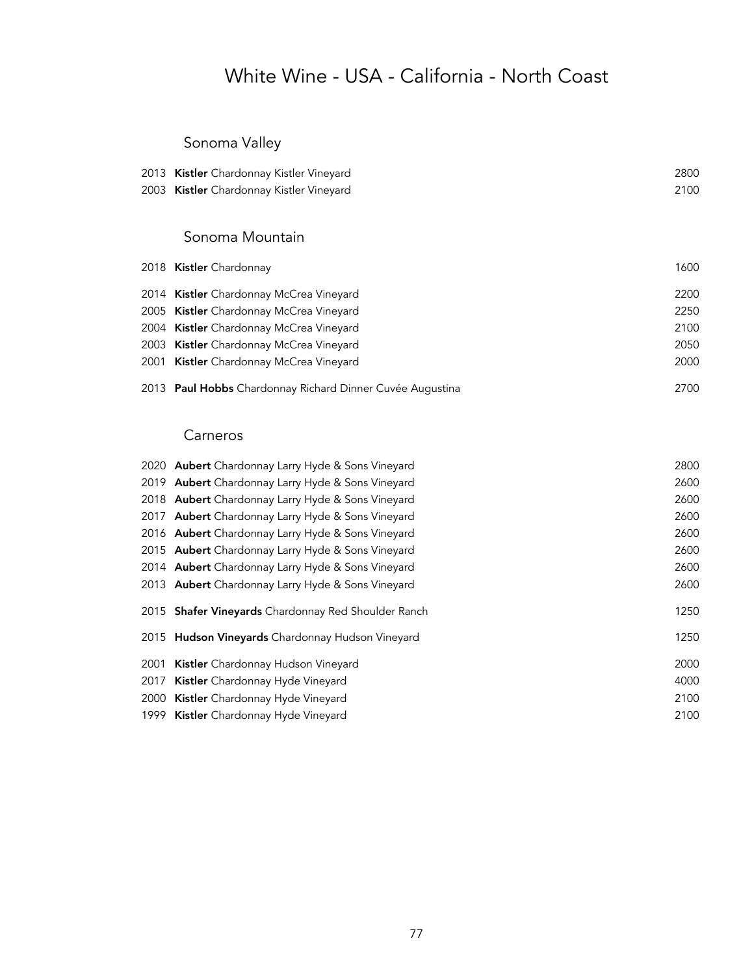### Sonoma Valley

| 2013 Kistler Chardonnay Kistler Vineyard | 2800 |
|------------------------------------------|------|
| 2003 Kistler Chardonnay Kistler Vineyard | 2100 |

#### Sonoma Mountain

| 2018 Kistler Chardonnay                                   | 1600 |
|-----------------------------------------------------------|------|
| 2014 Kistler Chardonnay McCrea Vineyard                   | 2200 |
| 2005 Kistler Chardonnay McCrea Vineyard                   | 2250 |
| 2004 Kistler Chardonnay McCrea Vineyard                   | 2100 |
| 2003 Kistler Chardonnay McCrea Vineyard                   | 2050 |
| 2001 Kistler Chardonnay McCrea Vineyard                   | 2000 |
| 2013 Paul Hobbs Chardonnay Richard Dinner Cuvée Augustina | 2700 |

#### Carneros

|      | 2020 Aubert Chardonnay Larry Hyde & Sons Vineyard   | 2800 |
|------|-----------------------------------------------------|------|
|      | 2019 Aubert Chardonnay Larry Hyde & Sons Vineyard   | 2600 |
|      | 2018 Aubert Chardonnay Larry Hyde & Sons Vineyard   | 2600 |
|      | 2017 Aubert Chardonnay Larry Hyde & Sons Vineyard   | 2600 |
|      | 2016 Aubert Chardonnay Larry Hyde & Sons Vineyard   | 2600 |
|      | 2015 Aubert Chardonnay Larry Hyde & Sons Vineyard   | 2600 |
|      | 2014 Aubert Chardonnay Larry Hyde & Sons Vineyard   | 2600 |
|      | 2013 Aubert Chardonnay Larry Hyde & Sons Vineyard   | 2600 |
|      | 2015 Shafer Vineyards Chardonnay Red Shoulder Ranch | 1250 |
|      | 2015 Hudson Vineyards Chardonnay Hudson Vineyard    | 1250 |
| 2001 | <b>Kistler</b> Chardonnay Hudson Vineyard           | 2000 |
|      | 2017 Kistler Chardonnay Hyde Vineyard               | 4000 |
|      | 2000 Kistler Chardonnay Hyde Vineyard               | 2100 |
|      | 1999 Kistler Chardonnay Hyde Vineyard               | 2100 |
|      |                                                     |      |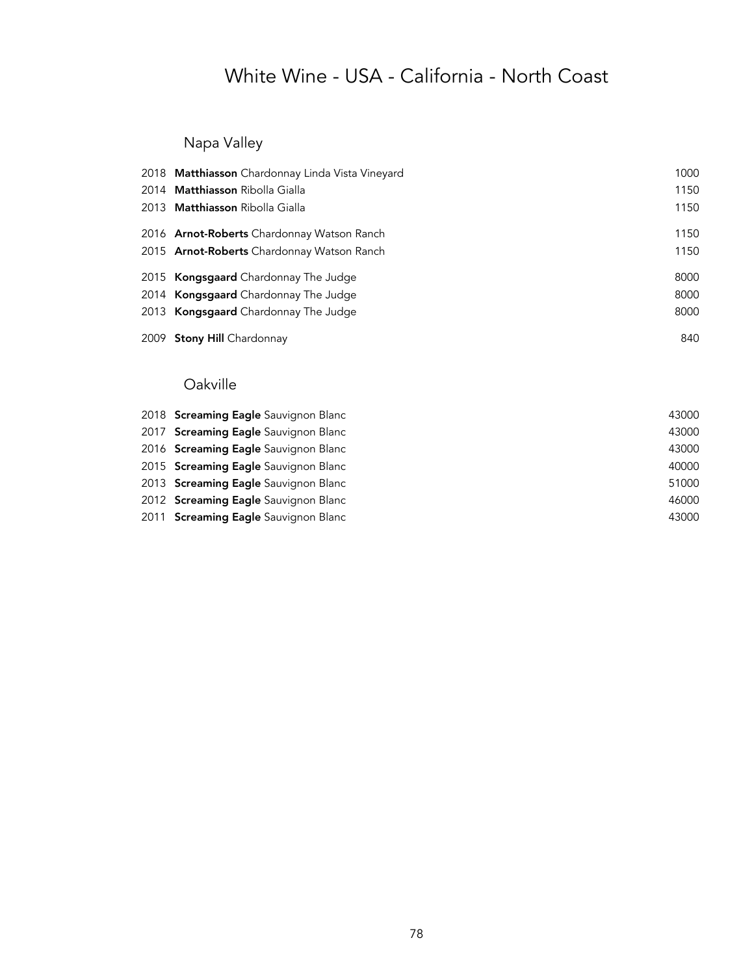Napa Valley

| 2018 Matthiasson Chardonnay Linda Vista Vineyard  | 1000 |
|---------------------------------------------------|------|
| 2014 Matthiasson Ribolla Gialla                   | 1150 |
| 2013 <b>Matthiasson</b> Ribolla Gialla            | 1150 |
| 2016 <b>Arnot-Roberts</b> Chardonnay Watson Ranch | 1150 |
| 2015 Arnot-Roberts Chardonnay Watson Ranch        | 1150 |
| 2015 <b>Kongsgaard</b> Chardonnay The Judge       | 8000 |
| 2014 <b>Kongsgaard</b> Chardonnay The Judge       | 8000 |
| 2013 Kongsgaard Chardonnay The Judge              | 8000 |
| 2009 Stony Hill Chardonnay                        | 840  |

### Oakville

| 2018 Screaming Eagle Sauvignon Blanc | 43000 |
|--------------------------------------|-------|
| 2017 Screaming Eagle Sauvignon Blanc | 43000 |
| 2016 Screaming Eagle Sauvignon Blanc | 43000 |
| 2015 Screaming Eagle Sauvignon Blanc | 40000 |
| 2013 Screaming Eagle Sauvignon Blanc | 51000 |
| 2012 Screaming Eagle Sauvignon Blanc | 46000 |
| 2011 Screaming Eagle Sauvignon Blanc | 43000 |
|                                      |       |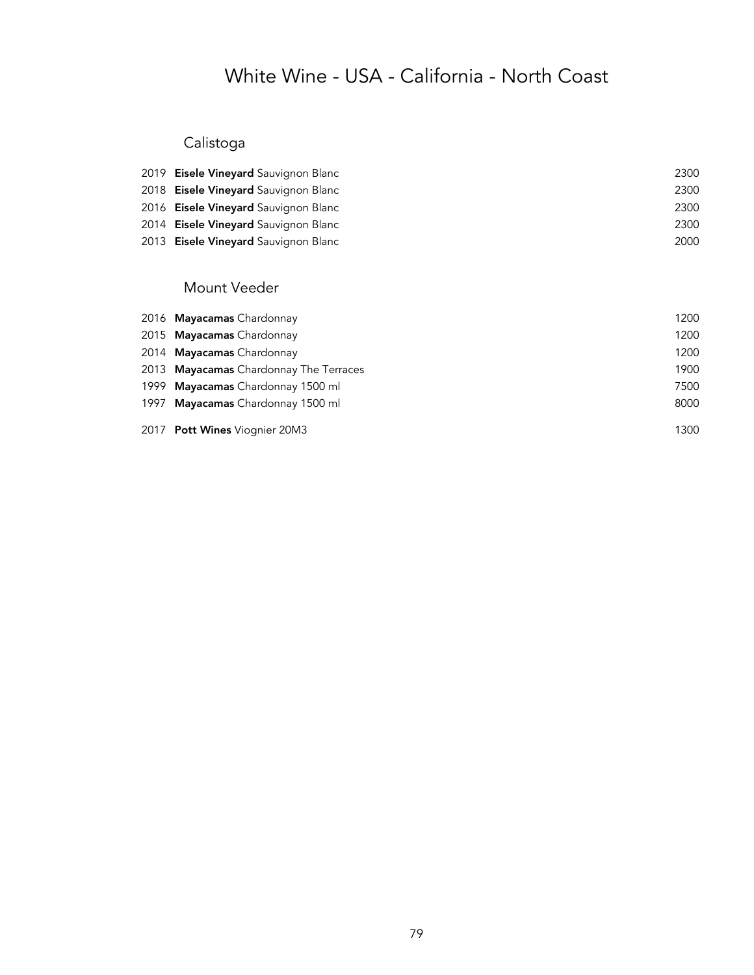### Calistoga

| 2019 Eisele Vineyard Sauvignon Blanc | 2300 |
|--------------------------------------|------|
| 2018 Eisele Vineyard Sauvignon Blanc | 2300 |
| 2016 Eisele Vineyard Sauvignon Blanc | 2300 |
| 2014 Eisele Vineyard Sauvignon Blanc | 2300 |
| 2013 Eisele Vineyard Sauvignon Blanc | 2000 |

#### Mount Veeder

|      | 2016 Mayacamas Chardonnay              | 1200 |
|------|----------------------------------------|------|
|      | 2015 Mayacamas Chardonnay              | 1200 |
|      | 2014 Mayacamas Chardonnay              | 1200 |
|      | 2013 Mayacamas Chardonnay The Terraces | 1900 |
| 1999 | Mayacamas Chardonnay 1500 ml           | 7500 |
| 1997 | Mayacamas Chardonnay 1500 ml           | 8000 |
|      | 2017 Pott Wines Viognier 20M3          | 1300 |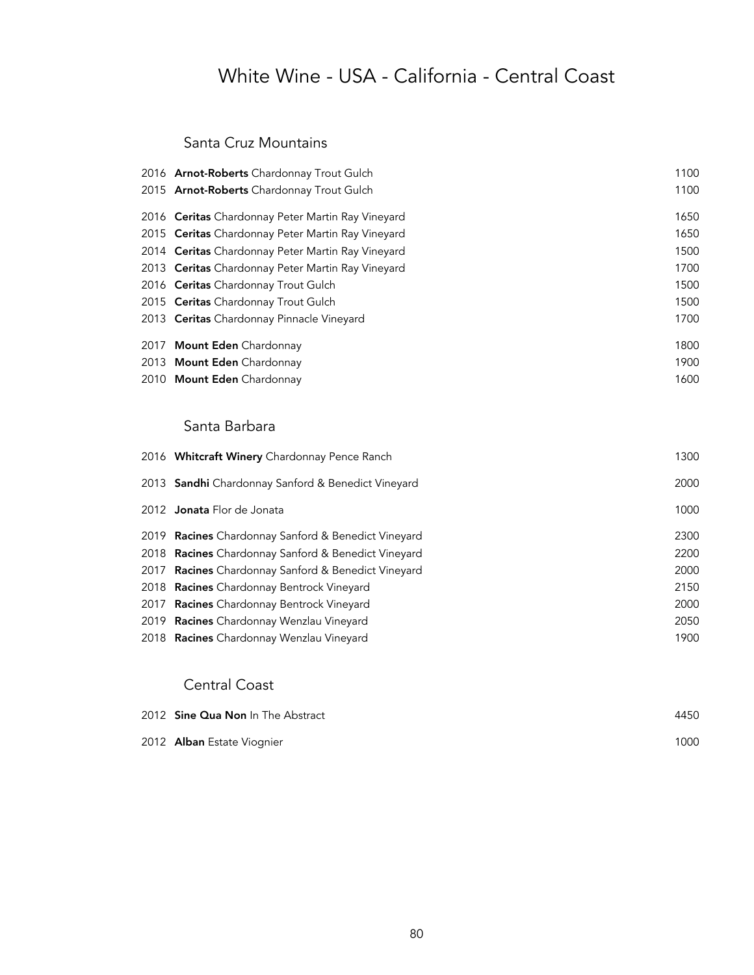## White Wine - USA - California - Central Coast

#### Santa Cruz Mountains

| 2016 Arnot-Roberts Chardonnay Trout Gulch         | 1100 |
|---------------------------------------------------|------|
| 2015 Arnot-Roberts Chardonnay Trout Gulch         | 1100 |
| 2016 Ceritas Chardonnay Peter Martin Ray Vineyard | 1650 |
| 2015 Ceritas Chardonnay Peter Martin Ray Vineyard | 1650 |
| 2014 Ceritas Chardonnay Peter Martin Ray Vineyard | 1500 |
| 2013 Ceritas Chardonnay Peter Martin Ray Vineyard | 1700 |
| 2016 Ceritas Chardonnay Trout Gulch               | 1500 |
| 2015 Ceritas Chardonnay Trout Gulch               | 1500 |
| 2013 Ceritas Chardonnay Pinnacle Vineyard         | 1700 |
| 2017 Mount Eden Chardonnay                        | 1800 |
| 2013 Mount Eden Chardonnay                        | 1900 |
| 2010 Mount Eden Chardonnay                        | 1600 |

#### Santa Barbara

| 2016 Whitcraft Winery Chardonnay Pence Ranch               | 1300 |
|------------------------------------------------------------|------|
| 2013 Sandhi Chardonnay Sanford & Benedict Vineyard         | 2000 |
| 2012 <b>Jonata</b> Flor de Jonata                          | 1000 |
| 2019 Racines Chardonnay Sanford & Benedict Vineyard        | 2300 |
| 2018 <b>Racines</b> Chardonnay Sanford & Benedict Vineyard | 2200 |
| 2017 Racines Chardonnay Sanford & Benedict Vineyard        | 2000 |
| 2018 Racines Chardonnay Bentrock Vineyard                  | 2150 |
| 2017 Racines Chardonnay Bentrock Vineyard                  | 2000 |
| 2019 Racines Chardonnay Wenzlau Vineyard                   | 2050 |
| 2018 Racines Chardonnay Wenzlau Vineyard                   | 1900 |

#### Central Coast

| 2012 <b>Sine Qua Non</b> In The Abstract | 4450 |
|------------------------------------------|------|
| 2012 Alban Estate Viognier               | 1000 |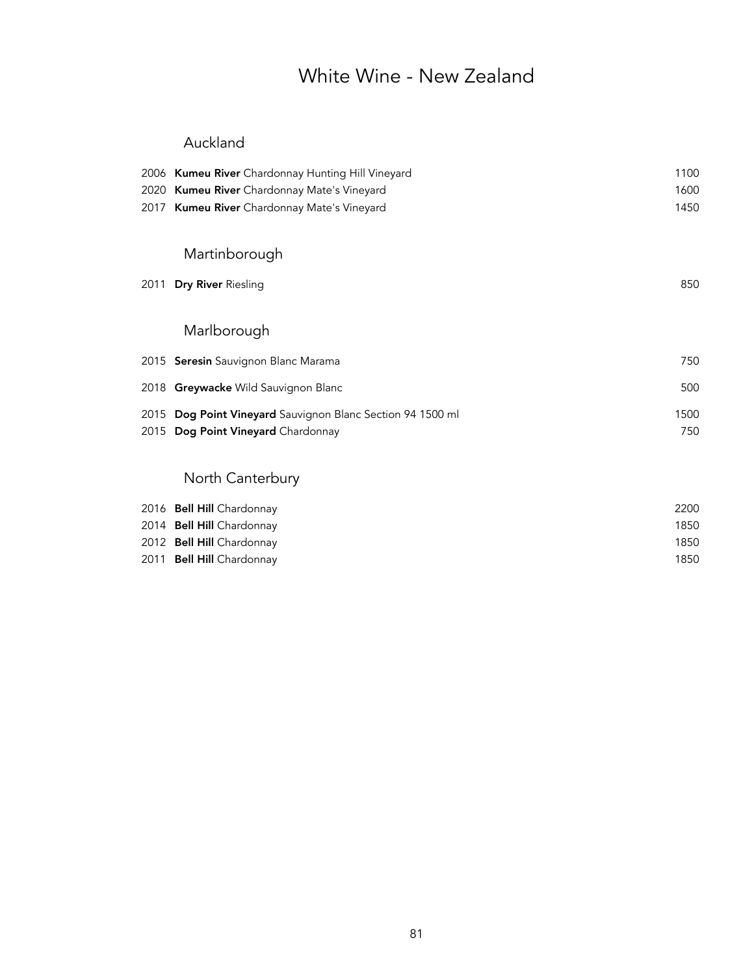## White Wine - New Zealand

#### Auckland

|      | 2006 Kumeu River Chardonnay Hunting Hill Vineyard          | 1100 |
|------|------------------------------------------------------------|------|
|      | 2020 Kumeu River Chardonnay Mate's Vineyard                | 1600 |
|      | 2017 Kumeu River Chardonnay Mate's Vineyard                | 1450 |
|      | Martinborough                                              |      |
| 2011 | Dry River Riesling                                         | 850  |
|      | Marlborough                                                |      |
|      | 2015 Seresin Sauvignon Blanc Marama                        | 750  |
|      | 2018 Greywacke Wild Sauvignon Blanc                        | 500  |
|      | 2015 Dog Point Vineyard Sauvignon Blanc Section 94 1500 ml | 1500 |
|      | 2015 Dog Point Vineyard Chardonnay                         | 750  |
|      |                                                            |      |
|      | North Canterbury                                           |      |
|      | $201\ell$ Dall Uill Chardenasu                             | ∩∩רר |

| 1850 |
|------|
| 1850 |
| 1850 |
|      |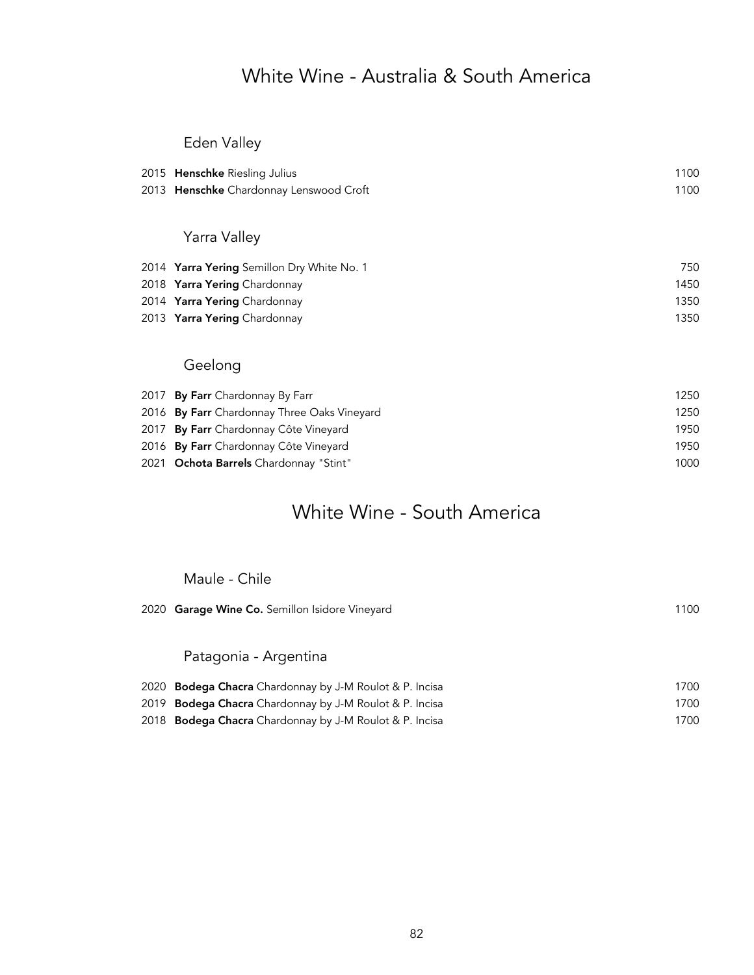## White Wine - Australia & South America

### Eden Valley

| 2015 Henschke Riesling Julius               | 1100 |
|---------------------------------------------|------|
| 2013 Henschke Chardonnay Lenswood Croft     | 1100 |
|                                             |      |
| Yarra Valley                                |      |
| 2014 Yarra Yering Semillon Dry White No. 1  | 750  |
| 2018 Yarra Yering Chardonnay                | 1450 |
| 2014 Yarra Yering Chardonnay                | 1350 |
| 2013 Yarra Yering Chardonnay                | 1350 |
|                                             |      |
| Geelong                                     |      |
| 2017 By Farr Chardonnay By Farr             | 1250 |
| 2016 By Farr Chardonnay Three Oaks Vineyard | 1250 |
| 2017 By Farr Chardonnay Côte Vineyard       | 1950 |
| 2016 By Farr Chardonnay Côte Vineyard       | 1950 |
| 2021 Ochota Barrels Chardonnay "Stint"      | 1000 |

## White Wine - South America

Maule - Chile

| 2020 Garage Wine Co. Semillon Isidore Vineyard                 | 1100 |
|----------------------------------------------------------------|------|
|                                                                |      |
| Patagonia - Argentina                                          |      |
| 2020 <b>Bodega Chacra</b> Chardonnay by J-M Roulot & P. Incisa | 1700 |
| 2019 <b>Bodega Chacra</b> Chardonnay by J-M Roulot & P. Incisa | 1700 |
| 2018 <b>Bodega Chacra</b> Chardonnay by J-M Roulot & P. Incisa | 1700 |
|                                                                |      |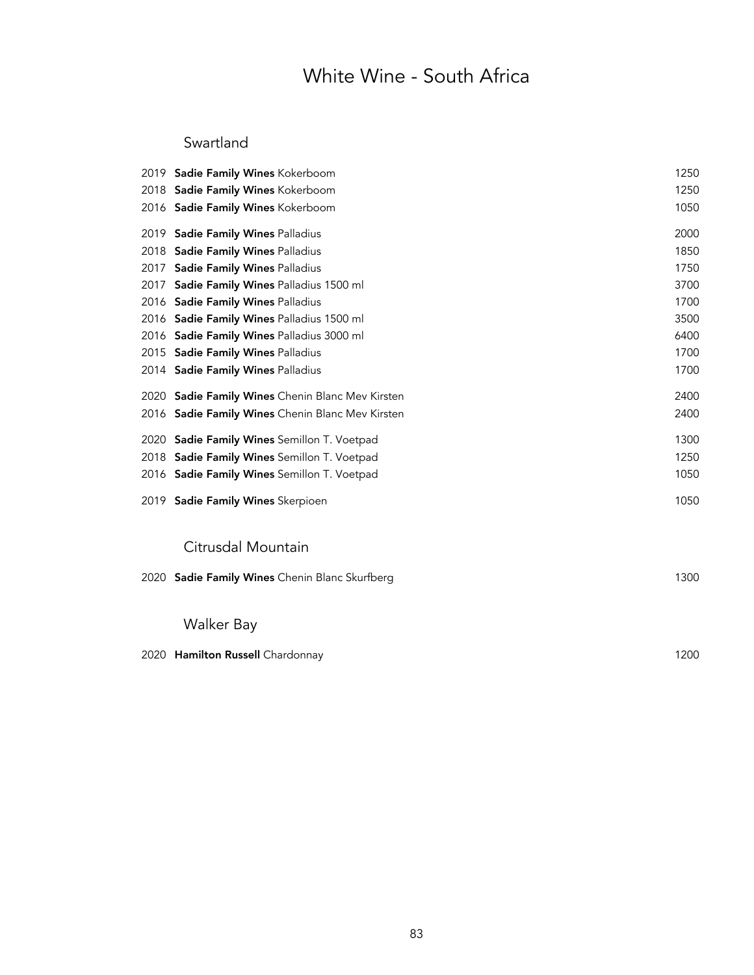## White Wine - South Africa

#### Swartland

|      | 2019 Sadie Family Wines Kokerboom                | 1250 |
|------|--------------------------------------------------|------|
|      | 2018 Sadie Family Wines Kokerboom                | 1250 |
|      | 2016 Sadie Family Wines Kokerboom                | 1050 |
|      | 2019 Sadie Family Wines Palladius                | 2000 |
|      | 2018 Sadie Family Wines Palladius                | 1850 |
| 2017 | Sadie Family Wines Palladius                     | 1750 |
| 2017 | Sadie Family Wines Palladius 1500 ml             | 3700 |
|      | 2016 Sadie Family Wines Palladius                | 1700 |
|      | 2016 Sadie Family Wines Palladius 1500 ml        | 3500 |
|      | 2016 Sadie Family Wines Palladius 3000 ml        | 6400 |
|      | 2015 Sadie Family Wines Palladius                | 1700 |
|      | 2014 Sadie Family Wines Palladius                | 1700 |
|      | 2020 Sadie Family Wines Chenin Blanc Mev Kirsten | 2400 |
|      | 2016 Sadie Family Wines Chenin Blanc Mev Kirsten | 2400 |
|      | 2020 Sadie Family Wines Semillon T. Voetpad      | 1300 |
| 2018 | Sadie Family Wines Semillon T. Voetpad           | 1250 |
|      | 2016 Sadie Family Wines Semillon T. Voetpad      | 1050 |
|      | 2019 Sadie Family Wines Skerpioen                | 1050 |
|      | Citrusdal Mountain                               |      |
| 2020 | Sadie Family Wines Chenin Blanc Skurfberg        | 1300 |
|      | Malker Ray                                       |      |

#### Walker Bay

| 2020 Hamilton Russell Chardonnay | 1200 |
|----------------------------------|------|
|                                  |      |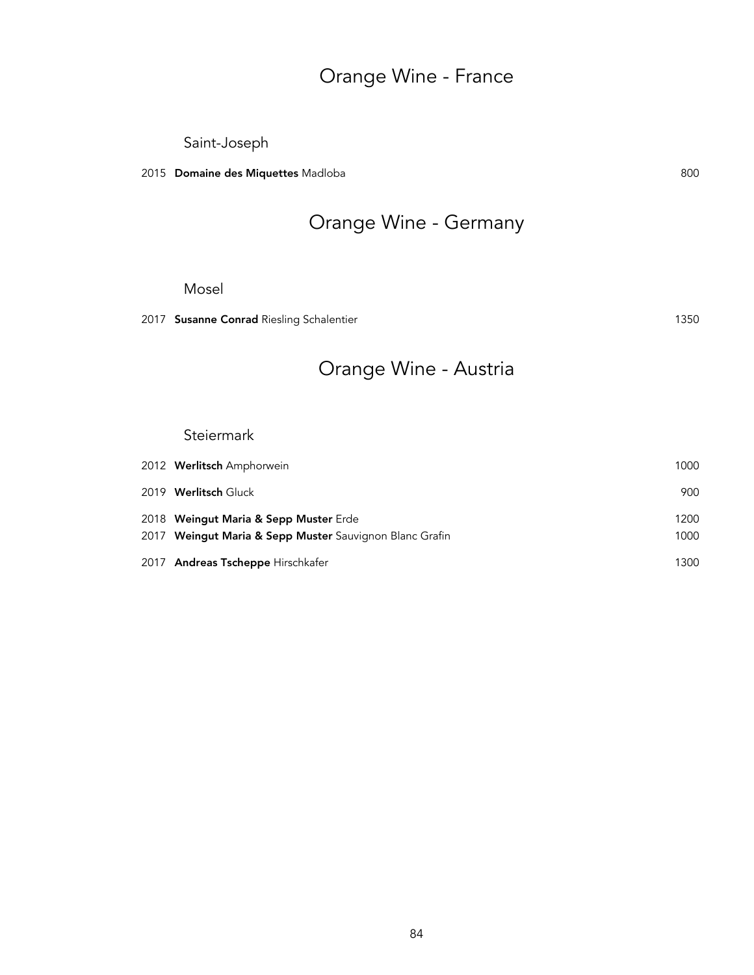## Orange Wine - France

Saint-Joseph

2015 Domaine des Miquettes Madloba 800 and 1992 and 1993 and 1993 and 1993 and 1993 and 1993 and 1993 and 1993 and 1993 and 1993 and 1993 and 1993 and 1993 and 1993 and 1993 and 1993 and 1993 and 1993 and 1993 and 1993 and

## Orange Wine - Germany

#### Mosel

2017 Susanne Conrad Riesling Schalentier 1350

## Orange Wine - Austria

#### **Steiermark**

| 2012 Werlitsch Amphorwein                               | 1000 |
|---------------------------------------------------------|------|
| 2019 Werlitsch Gluck                                    | 900  |
| 2018 Weingut Maria & Sepp Muster Erde                   | 1200 |
| 2017 Weingut Maria & Sepp Muster Sauvignon Blanc Grafin | 1000 |
| 2017 Andreas Tscheppe Hirschkafer                       | 1300 |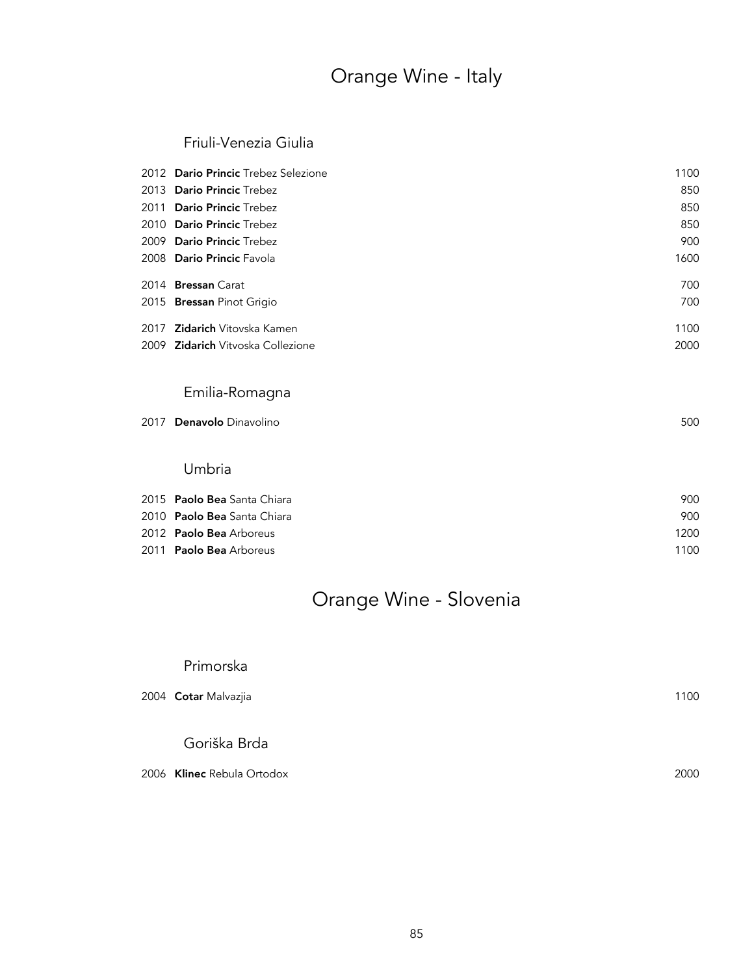## Orange Wine - Italy

#### Friuli-Venezia Giulia

| 2012 Dario Princic Trebez Selezione      | 1100 |
|------------------------------------------|------|
| 2013 Dario Princic Trebez                | 850  |
| 2011 Dario Princic Trebez                | 850  |
| 2010 Dario Princic Trebez                | 850  |
| 2009 Dario Princic Trebez                | 900  |
| 2008 Dario Princic Favola                | 1600 |
| 2014 Bressan Carat                       | 700  |
| 2015 <b>Bressan</b> Pinot Grigio         | 700  |
| 2017 <b>Zidarich</b> Vitovska Kamen      | 1100 |
| 2009 <b>Zidarich</b> Vitvoska Collezione | 2000 |

#### Emilia-Romagna

|  | 2017 Denavolo Dinavolino | 500 |
|--|--------------------------|-----|
|--|--------------------------|-----|

#### Umbria

| 2015 Paolo Bea Santa Chiara    | 900  |
|--------------------------------|------|
| 2010 Paolo Bea Santa Chiara    | 900  |
| 2012 <b>Paolo Bea</b> Arboreus | 1200 |
| 2011 <b>Paolo Bea</b> Arboreus | 1100 |

## Orange Wine - Slovenia

#### Primorska

| 2004 Cotar Malvazjia       |      |
|----------------------------|------|
| Goriška Brda               |      |
| 2006 Klinec Rebula Ortodox | 2000 |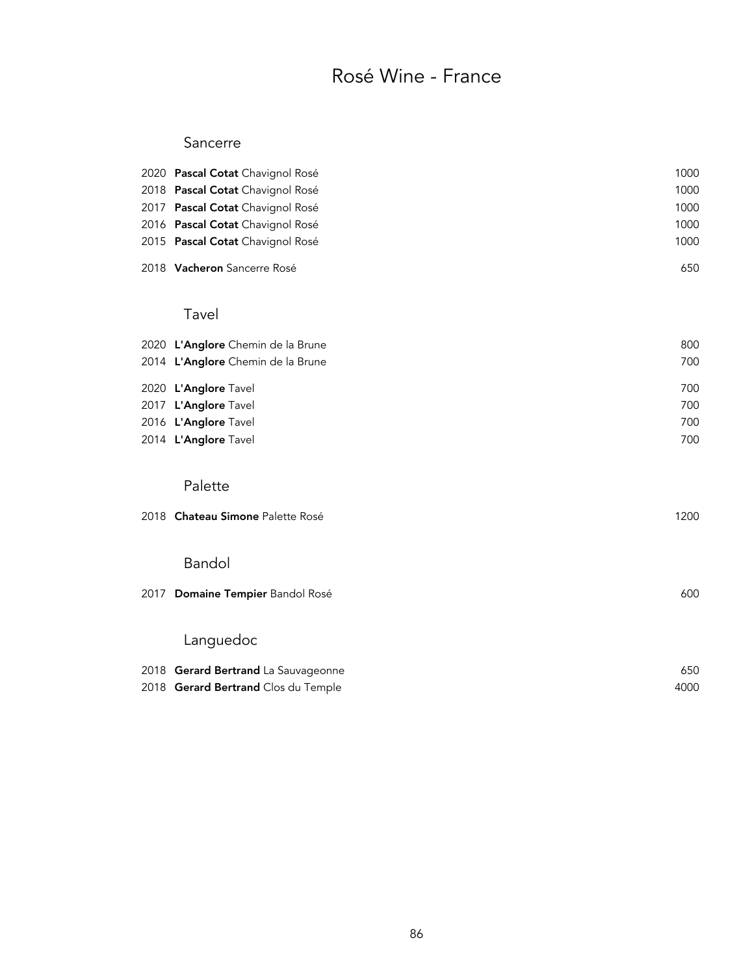## Rosé Wine - France

#### Sancerre

| 2020 Pascal Cotat Chavignol Rosé    | 1000 |
|-------------------------------------|------|
| 2018 Pascal Cotat Chavignol Rosé    | 1000 |
| 2017 Pascal Cotat Chavignol Rosé    | 1000 |
| 2016 Pascal Cotat Chavignol Rosé    | 1000 |
| 2015 Pascal Cotat Chavignol Rosé    | 1000 |
| 2018 Vacheron Sancerre Rosé         | 650  |
| Tavel                               |      |
| 2020 L'Anglore Chemin de la Brune   | 800  |
| 2014 L'Anglore Chemin de la Brune   | 700  |
| 2020 L'Anglore Tavel                | 700  |
| 2017 L'Anglore Tavel                | 700  |
| 2016 L'Anglore Tavel                | 700  |
| 2014 L'Anglore Tavel                | 700  |
| Palette                             |      |
| 2018 Chateau Simone Palette Rosé    | 1200 |
| Bandol                              |      |
| 2017 Domaine Tempier Bandol Rosé    | 600  |
| Languedoc                           |      |
| 2018 Gerard Bertrand La Sauvageonne | 650  |
| 2018 Gerard Bertrand Clos du Temple | 4000 |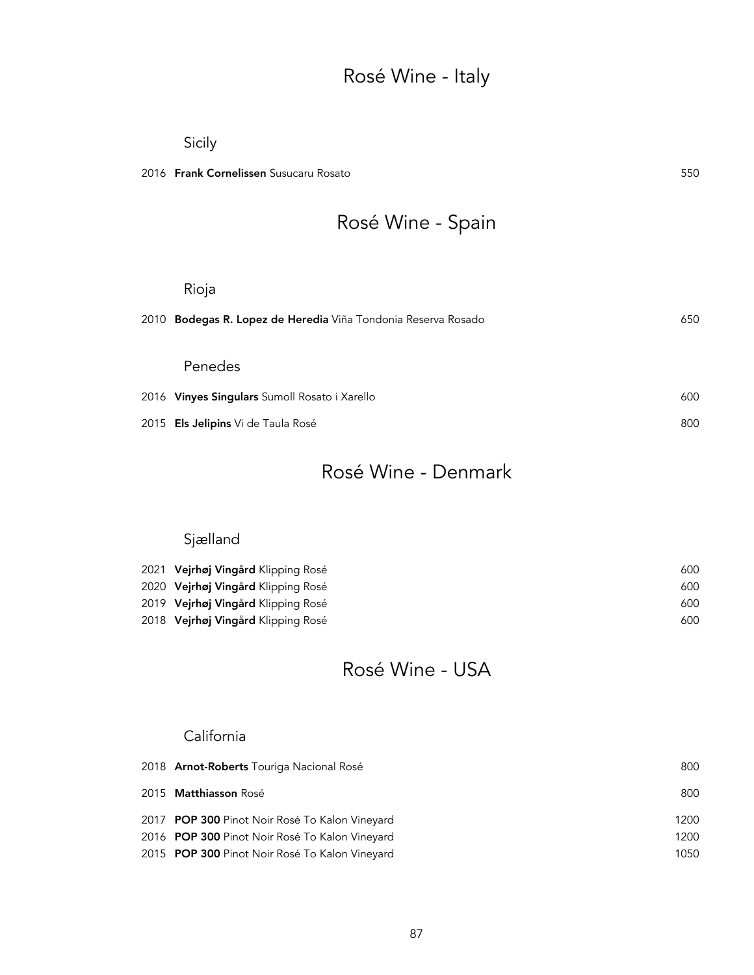## Rosé Wine - Italy

#### Sicily

2016 Frank Cornelissen Susucaru Rosato 550

# Rosé Wine - Spain

| Rioja                                                            |     |
|------------------------------------------------------------------|-----|
| Bodegas R. Lopez de Heredia Viña Tondonia Reserva Rosado<br>2010 | 650 |
|                                                                  |     |
| Penedes                                                          |     |
| 2016 Vinyes Singulars Sumoll Rosato i Xarello                    | 600 |
| 2015 Els Jelipins Vi de Taula Rosé                               | 800 |
|                                                                  |     |

## Rosé Wine - Denmark

### Sjælland

| 2021 Vejrhøj Vingård Klipping Rosé | 600 |
|------------------------------------|-----|
| 2020 Vejrhøj Vingård Klipping Rosé | 600 |
| 2019 Vejrhøj Vingård Klipping Rosé | 600 |
| 2018 Vejrhøj Vingård Klipping Rosé | 600 |

### Rosé Wine - USA

#### California

| 2018 <b>Arnot-Roberts</b> Touriga Nacional Rosé | 800  |
|-------------------------------------------------|------|
| 2015 <b>Matthiasson</b> Rosé                    | 800  |
| 2017 POP 300 Pinot Noir Rosé To Kalon Vineyard  | 1200 |
| 2016 POP 300 Pinot Noir Rosé To Kalon Vineyard  | 1200 |
| 2015 POP 300 Pinot Noir Rosé To Kalon Vineyard  | 1050 |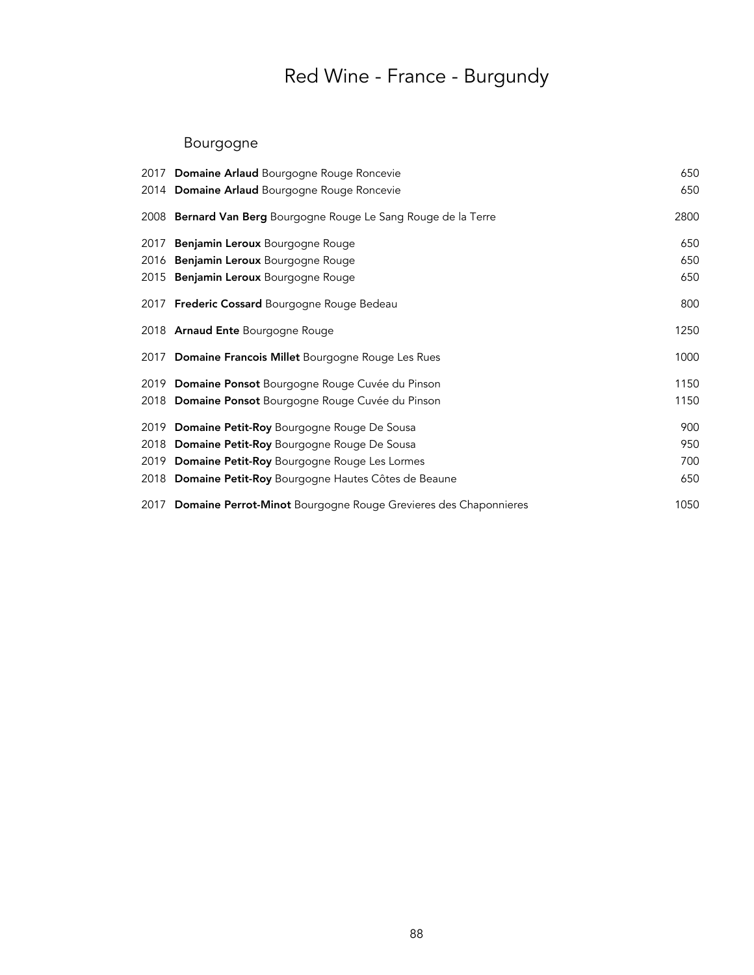## Bourgogne

| 2017 Domaine Arlaud Bourgogne Rouge Roncevie                         | 650  |
|----------------------------------------------------------------------|------|
| 2014 Domaine Arlaud Bourgogne Rouge Roncevie                         | 650  |
| 2008 Bernard Van Berg Bourgogne Rouge Le Sang Rouge de la Terre      | 2800 |
| 2017 Benjamin Leroux Bourgogne Rouge                                 | 650  |
| 2016 Benjamin Leroux Bourgogne Rouge                                 | 650  |
| 2015 Benjamin Leroux Bourgogne Rouge                                 | 650  |
| 2017 Frederic Cossard Bourgogne Rouge Bedeau                         | 800  |
| 2018 Arnaud Ente Bourgogne Rouge                                     | 1250 |
| 2017 Domaine Francois Millet Bourgogne Rouge Les Rues                | 1000 |
| 2019 Domaine Ponsot Bourgogne Rouge Cuvée du Pinson                  | 1150 |
| 2018 Domaine Ponsot Bourgogne Rouge Cuvée du Pinson                  | 1150 |
| 2019 Domaine Petit-Roy Bourgogne Rouge De Sousa                      | 900  |
| 2018 Domaine Petit-Roy Bourgogne Rouge De Sousa                      | 950  |
| 2019 Domaine Petit-Roy Bourgogne Rouge Les Lormes                    | 700  |
| 2018 Domaine Petit-Roy Bourgogne Hautes Côtes de Beaune              | 650  |
| 2017 Domaine Perrot-Minot Bourgogne Rouge Grevieres des Chaponnieres | 1050 |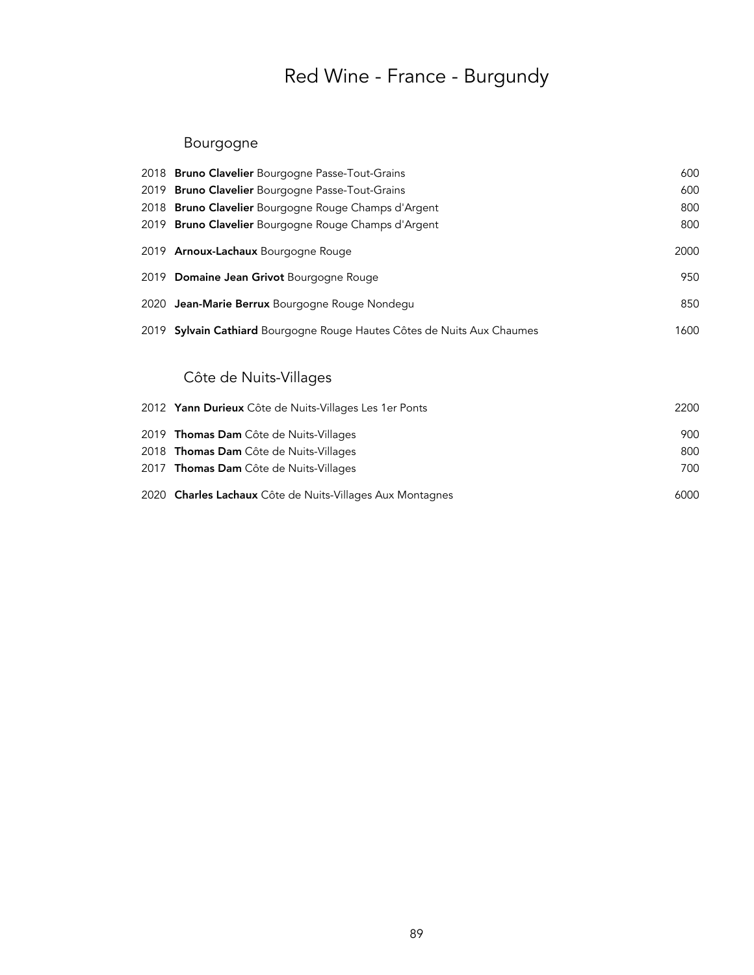### Bourgogne

|      | 2018 Bruno Clavelier Bourgogne Passe-Tout-Grains                   | 600  |
|------|--------------------------------------------------------------------|------|
|      | 2019 Bruno Clavelier Bourgogne Passe-Tout-Grains                   | 600  |
|      | 2018 Bruno Clavelier Bourgogne Rouge Champs d'Argent               | 800  |
|      | 2019 Bruno Clavelier Bourgogne Rouge Champs d'Argent               | 800  |
|      | 2019 Arnoux-Lachaux Bourgogne Rouge                                | 2000 |
|      | 2019 Domaine Jean Grivot Bourgogne Rouge                           | 950  |
|      | 2020 Jean-Marie Berrux Bourgogne Rouge Nondegu                     | 850  |
| 2019 | Sylvain Cathiard Bourgogne Rouge Hautes Côtes de Nuits Aux Chaumes | 1600 |
|      | Côte de Nuits-Villages                                             |      |
|      | 2012 Yann Durieux Côte de Nuits-Villages Les 1er Ponts             | 2200 |
|      | 2019 Thomas Dam Côte de Nuits-Villages                             | 900  |
| 2018 | <b>Thomas Dam</b> Côte de Nuits-Villages                           | 800  |
|      | 2017 Thomas Dam Côte de Nuits-Villages                             | 700  |

| 2020 Charles Lachaux Côte de Nuits-Villages Aux Montagnes | 6000 |
|-----------------------------------------------------------|------|
|                                                           |      |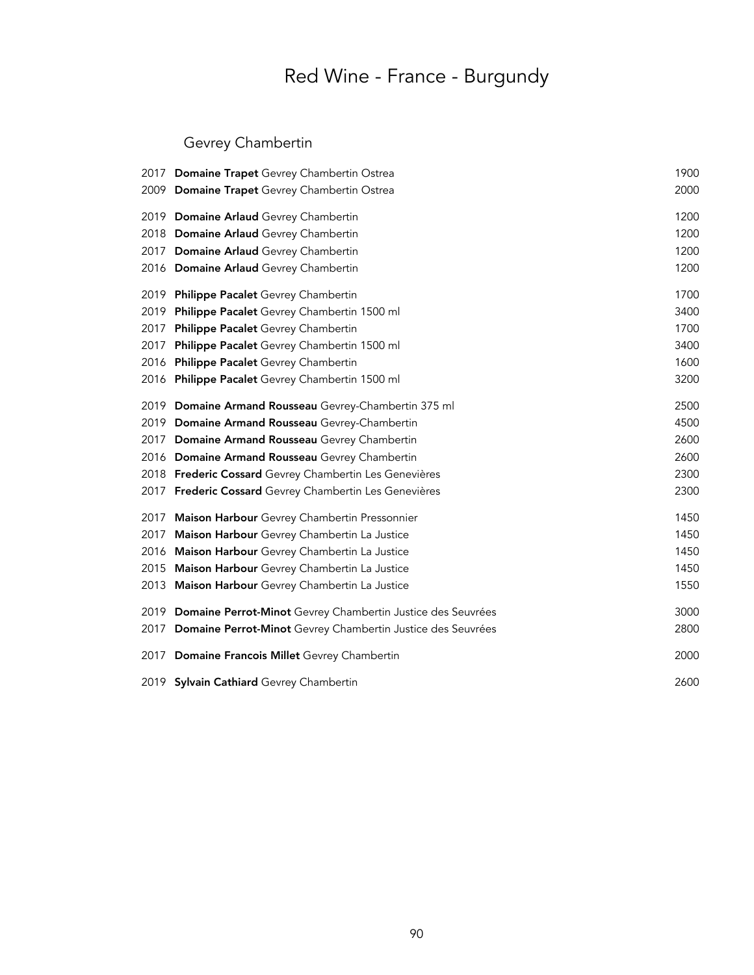## Gevrey Chambertin

|      | 2017 Domaine Trapet Gevrey Chambertin Ostrea                     | 1900 |
|------|------------------------------------------------------------------|------|
|      | 2009 Domaine Trapet Gevrey Chambertin Ostrea                     | 2000 |
|      | 2019 Domaine Arlaud Gevrey Chambertin                            | 1200 |
|      | 2018 Domaine Arlaud Gevrey Chambertin                            | 1200 |
|      | 2017 Domaine Arlaud Gevrey Chambertin                            | 1200 |
|      | 2016 Domaine Arlaud Gevrey Chambertin                            | 1200 |
| 2019 | Philippe Pacalet Gevrey Chambertin                               | 1700 |
| 2019 | Philippe Pacalet Gevrey Chambertin 1500 ml                       | 3400 |
| 2017 | Philippe Pacalet Gevrey Chambertin                               | 1700 |
| 2017 | Philippe Pacalet Gevrey Chambertin 1500 ml                       | 3400 |
| 2016 | Philippe Pacalet Gevrey Chambertin                               | 1600 |
| 2016 | Philippe Pacalet Gevrey Chambertin 1500 ml                       | 3200 |
|      | 2019 Domaine Armand Rousseau Gevrey-Chambertin 375 ml            | 2500 |
|      | 2019 Domaine Armand Rousseau Gevrey-Chambertin                   | 4500 |
|      | 2017 Domaine Armand Rousseau Gevrey Chambertin                   | 2600 |
|      | 2016 Domaine Armand Rousseau Gevrey Chambertin                   | 2600 |
|      | 2018 Frederic Cossard Gevrey Chambertin Les Genevières           | 2300 |
|      | 2017 Frederic Cossard Gevrey Chambertin Les Genevières           | 2300 |
| 2017 | Maison Harbour Gevrey Chambertin Pressonnier                     | 1450 |
| 2017 | Maison Harbour Gevrey Chambertin La Justice                      | 1450 |
| 2016 | Maison Harbour Gevrey Chambertin La Justice                      | 1450 |
| 2015 | Maison Harbour Gevrey Chambertin La Justice                      | 1450 |
| 2013 | Maison Harbour Gevrey Chambertin La Justice                      | 1550 |
|      | 2019 Domaine Perrot-Minot Gevrey Chambertin Justice des Seuvrées | 3000 |
|      | 2017 Domaine Perrot-Minot Gevrey Chambertin Justice des Seuvrées | 2800 |
|      | 2017 Domaine Francois Millet Gevrey Chambertin                   | 2000 |
|      | 2019 Sylvain Cathiard Gevrey Chambertin                          | 2600 |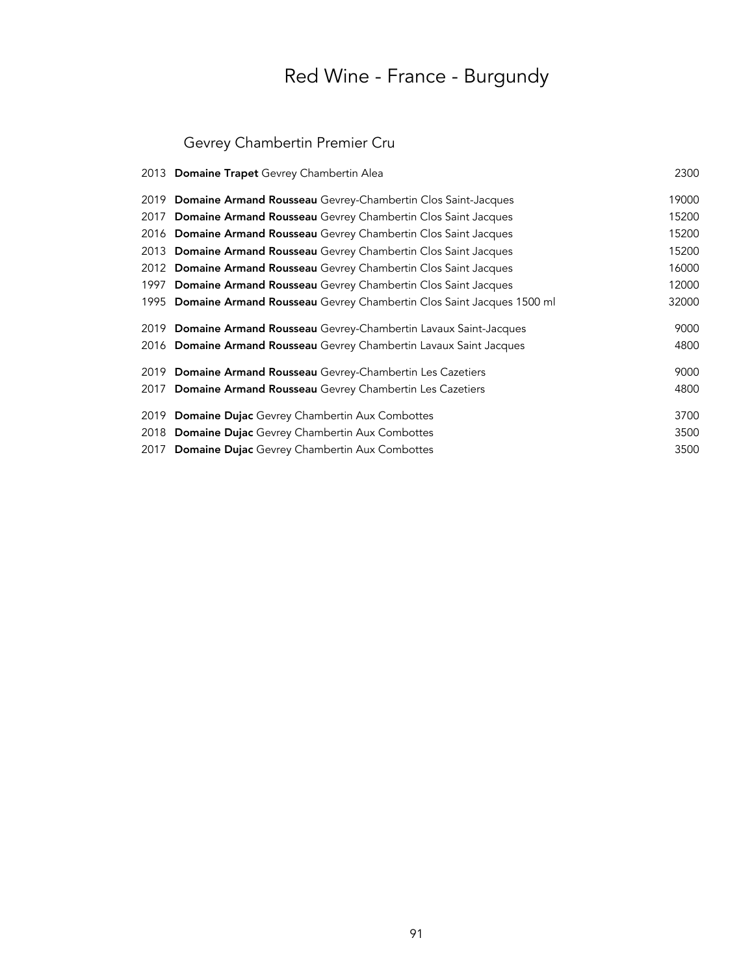## Gevrey Chambertin Premier Cru

|      | 2013 Domaine Trapet Gevrey Chambertin Alea                            | 2300  |
|------|-----------------------------------------------------------------------|-------|
| 2019 | Domaine Armand Rousseau Gevrey-Chambertin Clos Saint-Jacques          | 19000 |
| 2017 | <b>Domaine Armand Rousseau</b> Gevrey Chambertin Clos Saint Jacques   | 15200 |
| 2016 | Domaine Armand Rousseau Gevrey Chambertin Clos Saint Jacques          | 15200 |
| 2013 | Domaine Armand Rousseau Gevrey Chambertin Clos Saint Jacques          | 15200 |
| 2012 | Domaine Armand Rousseau Gevrey Chambertin Clos Saint Jacques          | 16000 |
| 1997 | Domaine Armand Rousseau Gevrey Chambertin Clos Saint Jacques          | 12000 |
| 1995 | Domaine Armand Rousseau Gevrey Chambertin Clos Saint Jacques 1500 ml  | 32000 |
| 2019 | <b>Domaine Armand Rousseau</b> Gevrey-Chambertin Lavaux Saint-Jacques | 9000  |
| 2016 | Domaine Armand Rousseau Gevrey Chambertin Lavaux Saint Jacques        | 4800  |
| 2019 | <b>Domaine Armand Rousseau</b> Gevrey-Chambertin Les Cazetiers        | 9000  |
| 2017 | Domaine Armand Rousseau Gevrey Chambertin Les Cazetiers               | 4800  |
| 2019 | <b>Domaine Dujac</b> Gevrey Chambertin Aux Combottes                  | 3700  |
| 2018 | Domaine Dujac Gevrey Chambertin Aux Combottes                         | 3500  |
| 2017 | <b>Domaine Dujac</b> Gevrey Chambertin Aux Combottes                  | 3500  |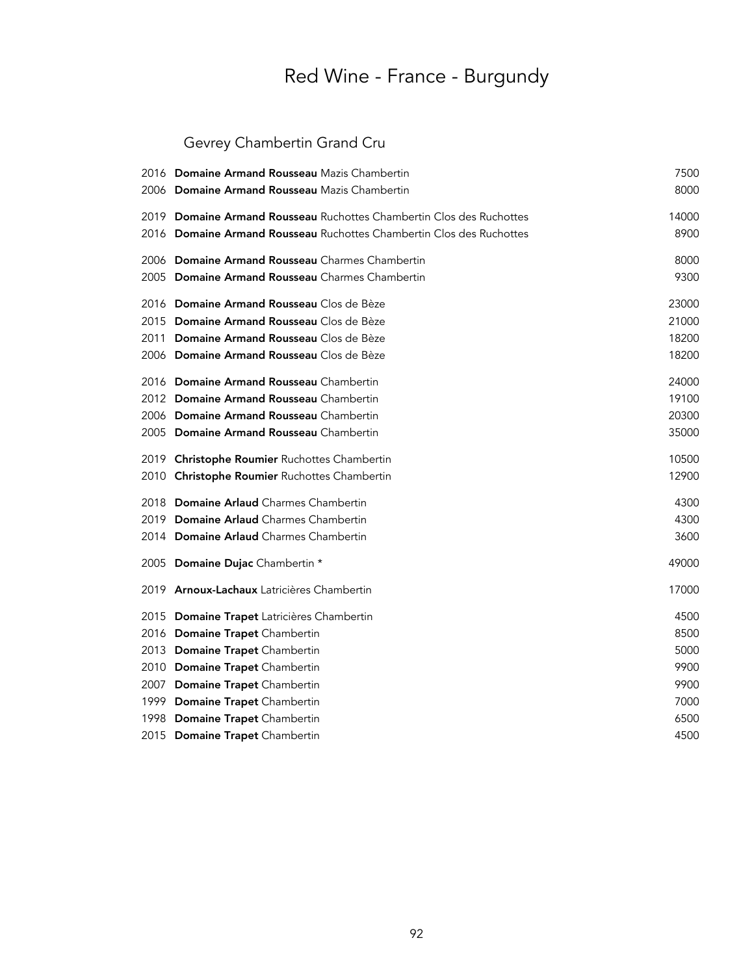## Gevrey Chambertin Grand Cru

|      | 2016 Domaine Armand Rousseau Mazis Chambertin                        | 7500  |
|------|----------------------------------------------------------------------|-------|
|      | 2006 Domaine Armand Rousseau Mazis Chambertin                        | 8000  |
|      | 2019 Domaine Armand Rousseau Ruchottes Chambertin Clos des Ruchottes | 14000 |
|      | 2016 Domaine Armand Rousseau Ruchottes Chambertin Clos des Ruchottes | 8900  |
|      | 2006 Domaine Armand Rousseau Charmes Chambertin                      | 8000  |
|      | 2005 Domaine Armand Rousseau Charmes Chambertin                      | 9300  |
|      | 2016 Domaine Armand Rousseau Clos de Bèze                            | 23000 |
|      | 2015 Domaine Armand Rousseau Clos de Bèze                            | 21000 |
| 2011 | Domaine Armand Rousseau Clos de Bèze                                 | 18200 |
|      | 2006 Domaine Armand Rousseau Clos de Bèze                            | 18200 |
|      | 2016 Domaine Armand Rousseau Chambertin                              | 24000 |
|      | 2012 Domaine Armand Rousseau Chambertin                              | 19100 |
|      | 2006 Domaine Armand Rousseau Chambertin                              | 20300 |
|      | 2005 Domaine Armand Rousseau Chambertin                              | 35000 |
|      | 2019 Christophe Roumier Ruchottes Chambertin                         | 10500 |
|      | 2010 Christophe Roumier Ruchottes Chambertin                         | 12900 |
|      | 2018 Domaine Arlaud Charmes Chambertin                               | 4300  |
|      | 2019 Domaine Arlaud Charmes Chambertin                               | 4300  |
|      | 2014 Domaine Arlaud Charmes Chambertin                               | 3600  |
|      | 2005 Domaine Dujac Chambertin *                                      | 49000 |
|      | 2019 <b>Arnoux-Lachaux</b> Latricières Chambertin                    | 17000 |
|      | 2015 Domaine Trapet Latricières Chambertin                           | 4500  |
|      | 2016 Domaine Trapet Chambertin                                       | 8500  |
|      | 2013 Domaine Trapet Chambertin                                       | 5000  |
|      | 2010 Domaine Trapet Chambertin                                       | 9900  |
|      | 2007 Domaine Trapet Chambertin                                       | 9900  |
|      | 1999 Domaine Trapet Chambertin                                       | 7000  |
|      | 1998 Domaine Trapet Chambertin                                       | 6500  |
|      | 2015 Domaine Trapet Chambertin                                       | 4500  |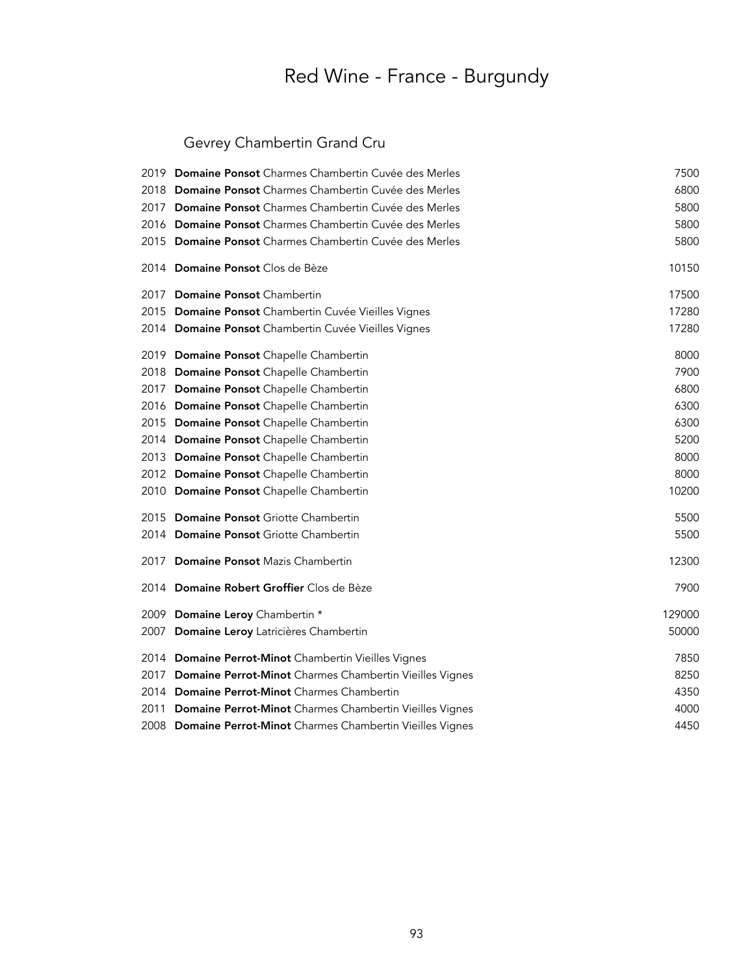## Gevrey Chambertin Grand Cru

| 2019 Domaine Ponsot Charmes Chambertin Cuvée des Merles      | 7500   |
|--------------------------------------------------------------|--------|
| 2018 Domaine Ponsot Charmes Chambertin Cuvée des Merles      | 6800   |
| 2017 Domaine Ponsot Charmes Chambertin Cuvée des Merles      | 5800   |
| 2016 Domaine Ponsot Charmes Chambertin Cuvée des Merles      | 5800   |
| 2015 Domaine Ponsot Charmes Chambertin Cuvée des Merles      | 5800   |
| 2014 Domaine Ponsot Clos de Bèze                             | 10150  |
| 2017 Domaine Ponsot Chambertin                               | 17500  |
| 2015 Domaine Ponsot Chambertin Cuvée Vieilles Vignes         | 17280  |
| 2014 Domaine Ponsot Chambertin Cuvée Vieilles Vignes         | 17280  |
| 2019 Domaine Ponsot Chapelle Chambertin                      | 8000   |
| 2018 Domaine Ponsot Chapelle Chambertin                      | 7900   |
| 2017 Domaine Ponsot Chapelle Chambertin                      | 6800   |
| 2016 Domaine Ponsot Chapelle Chambertin                      | 6300   |
| 2015 Domaine Ponsot Chapelle Chambertin                      | 6300   |
| 2014 Domaine Ponsot Chapelle Chambertin                      | 5200   |
| 2013 Domaine Ponsot Chapelle Chambertin                      | 8000   |
| 2012 Domaine Ponsot Chapelle Chambertin                      | 8000   |
| 2010 Domaine Ponsot Chapelle Chambertin                      | 10200  |
| 2015 Domaine Ponsot Griotte Chambertin                       | 5500   |
| 2014 Domaine Ponsot Griotte Chambertin                       | 5500   |
| 2017 Domaine Ponsot Mazis Chambertin                         | 12300  |
| 2014 Domaine Robert Groffier Clos de Bèze                    | 7900   |
| 2009 Domaine Leroy Chambertin *                              | 129000 |
| 2007 Domaine Leroy Latricières Chambertin                    | 50000  |
| 2014 Domaine Perrot-Minot Chambertin Vieilles Vignes         | 7850   |
| 2017 Domaine Perrot-Minot Charmes Chambertin Vieilles Vignes | 8250   |
| 2014 Domaine Perrot-Minot Charmes Chambertin                 | 4350   |
| 2011 Domaine Perrot-Minot Charmes Chambertin Vieilles Vignes | 4000   |
| 2008 Domaine Perrot-Minot Charmes Chambertin Vieilles Vignes | 4450   |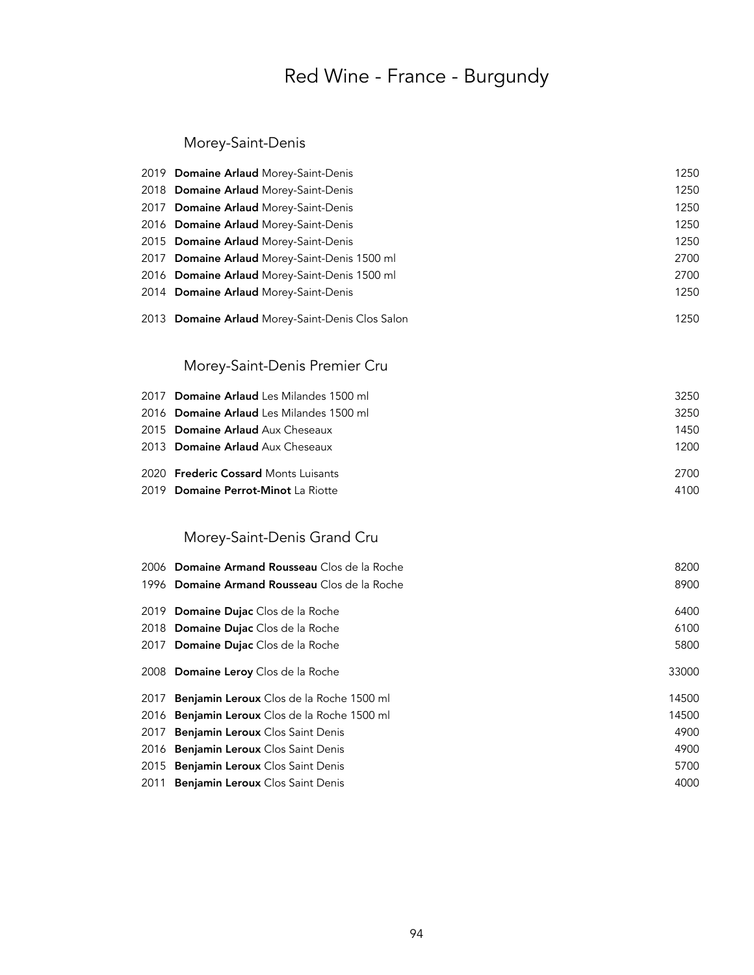### Morey-Saint-Denis

|      | 2019 Domaine Arlaud Morey-Saint-Denis            | 1250  |
|------|--------------------------------------------------|-------|
|      | 2018 Domaine Arlaud Morey-Saint-Denis            | 1250  |
|      | 2017 Domaine Arlaud Morey-Saint-Denis            | 1250  |
|      | 2016 Domaine Arlaud Morey-Saint-Denis            | 1250  |
|      | 2015 Domaine Arlaud Morey-Saint-Denis            | 1250  |
|      | 2017 Domaine Arlaud Morey-Saint-Denis 1500 ml    | 2700  |
|      | 2016 Domaine Arlaud Morey-Saint-Denis 1500 ml    | 2700  |
|      | 2014 Domaine Arlaud Morey-Saint-Denis            | 1250  |
|      | 2013 Domaine Arlaud Morey-Saint-Denis Clos Salon | 1250  |
|      | Morey-Saint-Denis Premier Cru                    |       |
|      | 2017 Domaine Arlaud Les Milandes 1500 ml         | 3250  |
|      | 2016 Domaine Arlaud Les Milandes 1500 ml         | 3250  |
|      | 2015 Domaine Arlaud Aux Cheseaux                 | 1450  |
|      | 2013 Domaine Arlaud Aux Cheseaux                 | 1200  |
|      | 2020 <b>Frederic Cossard</b> Monts Luisants      | 2700  |
|      | 2019 Domaine Perrot-Minot La Riotte              | 4100  |
|      | Morey-Saint-Denis Grand Cru                      |       |
|      | 2006 Domaine Armand Rousseau Clos de la Roche    | 8200  |
|      | 1996 Domaine Armand Rousseau Clos de la Roche    | 8900  |
|      | 2019 Domaine Dujac Clos de la Roche              | 6400  |
|      | 2018 Domaine Dujac Clos de la Roche              | 6100  |
|      | 2017 Domaine Dujac Clos de la Roche              | 5800  |
|      | 2008 Domaine Leroy Clos de la Roche              | 33000 |
| 2017 | Benjamin Leroux Clos de la Roche 1500 ml         | 14500 |
| 2016 | Benjamin Leroux Clos de la Roche 1500 ml         | 14500 |
| 2017 | Benjamin Leroux Clos Saint Denis                 | 4900  |
| 2016 | Benjamin Leroux Clos Saint Denis                 | 4900  |
| 2015 | Benjamin Leroux Clos Saint Denis                 | 5700  |
| 2011 | Benjamin Leroux Clos Saint Denis                 | 4000  |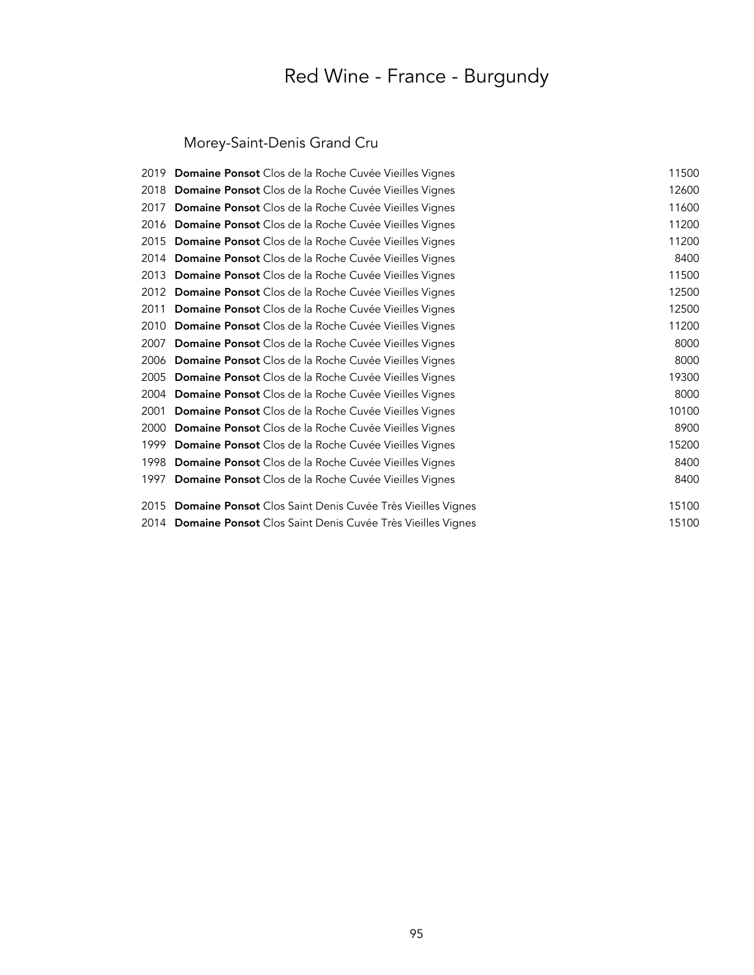## Morey-Saint-Denis Grand Cru

| Domaine Ponsot Clos de la Roche Cuvée Vieilles Vignes        | 11500                                                                                                                   |
|--------------------------------------------------------------|-------------------------------------------------------------------------------------------------------------------------|
| <b>Domaine Ponsot</b> Clos de la Roche Cuvée Vieilles Vignes | 12600                                                                                                                   |
| Domaine Ponsot Clos de la Roche Cuvée Vieilles Vignes        | 11600                                                                                                                   |
| <b>Domaine Ponsot</b> Clos de la Roche Cuvée Vieilles Vignes | 11200                                                                                                                   |
| Domaine Ponsot Clos de la Roche Cuvée Vieilles Vignes        | 11200                                                                                                                   |
| <b>Domaine Ponsot</b> Clos de la Roche Cuvée Vieilles Vignes | 8400                                                                                                                    |
| Domaine Ponsot Clos de la Roche Cuvée Vieilles Vignes        | 11500                                                                                                                   |
| Domaine Ponsot Clos de la Roche Cuvée Vieilles Vignes        | 12500                                                                                                                   |
| Domaine Ponsot Clos de la Roche Cuvée Vieilles Vignes        | 12500                                                                                                                   |
| Domaine Ponsot Clos de la Roche Cuvée Vieilles Vignes        | 11200                                                                                                                   |
| Domaine Ponsot Clos de la Roche Cuvée Vieilles Vignes        | 8000                                                                                                                    |
| Domaine Ponsot Clos de la Roche Cuvée Vieilles Vignes        | 8000                                                                                                                    |
| Domaine Ponsot Clos de la Roche Cuvée Vieilles Vignes        | 19300                                                                                                                   |
| <b>Domaine Ponsot</b> Clos de la Roche Cuvée Vieilles Vignes | 8000                                                                                                                    |
| Domaine Ponsot Clos de la Roche Cuvée Vieilles Vignes        | 10100                                                                                                                   |
| Domaine Ponsot Clos de la Roche Cuvée Vieilles Vignes        | 8900                                                                                                                    |
| <b>Domaine Ponsot</b> Clos de la Roche Cuvée Vieilles Vignes | 15200                                                                                                                   |
| Domaine Ponsot Clos de la Roche Cuvée Vieilles Vignes        | 8400                                                                                                                    |
| Domaine Ponsot Clos de la Roche Cuvée Vieilles Vignes        | 8400                                                                                                                    |
| Domaine Ponsot Clos Saint Denis Cuvée Très Vieilles Vignes   | 15100                                                                                                                   |
|                                                              | 15100                                                                                                                   |
| 2016<br>2006                                                 | 2019<br>2015<br>2014<br>2012<br>2005<br>1997<br>2015<br>2014 Domaine Ponsot Clos Saint Denis Cuvée Très Vieilles Vignes |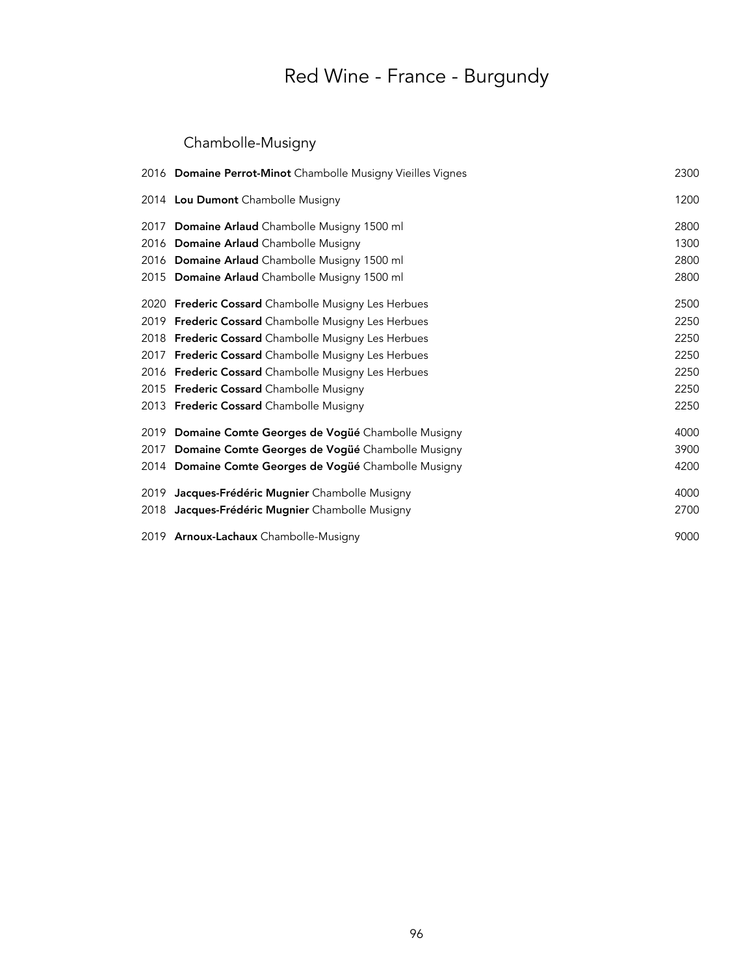## Chambolle-Musigny

| 2016 Domaine Perrot-Minot Chambolle Musigny Vieilles Vignes | 2300 |
|-------------------------------------------------------------|------|
| 2014 Lou Dumont Chambolle Musigny                           | 1200 |
| 2017 Domaine Arlaud Chambolle Musigny 1500 ml               | 2800 |
| 2016 Domaine Arlaud Chambolle Musigny                       | 1300 |
| 2016 Domaine Arlaud Chambolle Musigny 1500 ml               | 2800 |
| 2015 Domaine Arlaud Chambolle Musigny 1500 ml               | 2800 |
| 2020 Frederic Cossard Chambolle Musigny Les Herbues         | 2500 |
| 2019 Frederic Cossard Chambolle Musigny Les Herbues         | 2250 |
| 2018 Frederic Cossard Chambolle Musigny Les Herbues         | 2250 |
| 2017 Frederic Cossard Chambolle Musigny Les Herbues         | 2250 |
| 2016 Frederic Cossard Chambolle Musigny Les Herbues         | 2250 |
| 2015 Frederic Cossard Chambolle Musigny                     | 2250 |
| 2013 Frederic Cossard Chambolle Musigny                     | 2250 |
| 2019 Domaine Comte Georges de Vogüé Chambolle Musigny       | 4000 |
| 2017 Domaine Comte Georges de Vogüé Chambolle Musigny       | 3900 |
| 2014 Domaine Comte Georges de Vogüé Chambolle Musigny       | 4200 |
| 2019 Jacques-Frédéric Mugnier Chambolle Musigny             | 4000 |
| 2018 Jacques-Frédéric Mugnier Chambolle Musigny             | 2700 |
| 2019 Arnoux-Lachaux Chambolle-Musigny                       | 9000 |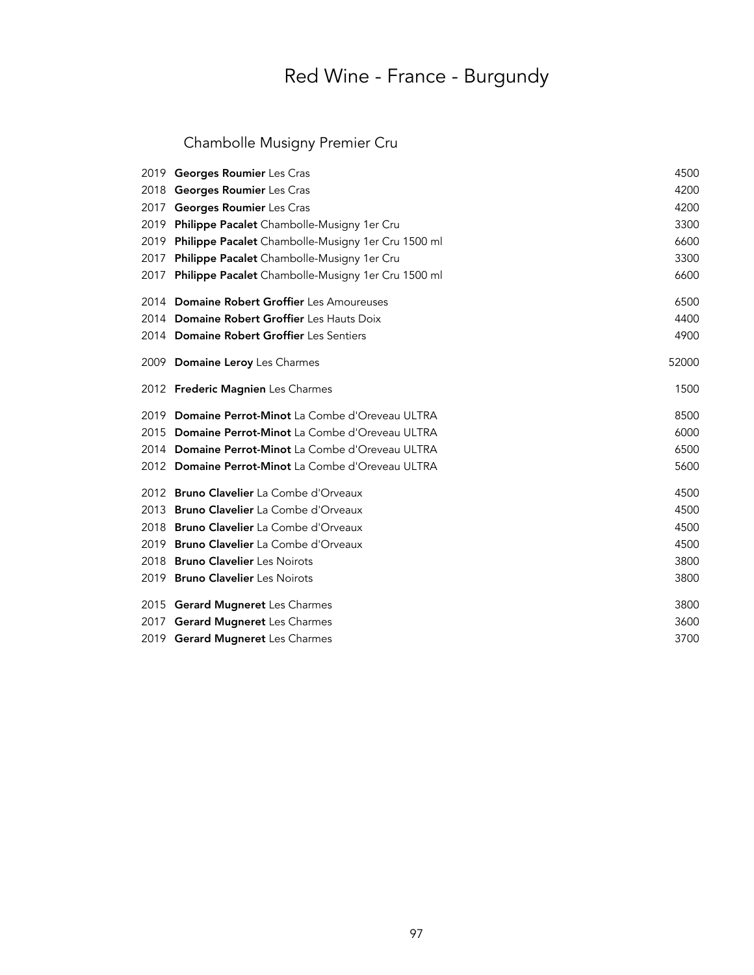### Chambolle Musigny Premier Cru

|      | 2019 Georges Roumier Les Cras                      | 4500  |
|------|----------------------------------------------------|-------|
| 2018 | Georges Roumier Les Cras                           | 4200  |
| 2017 | Georges Roumier Les Cras                           | 4200  |
| 2019 | Philippe Pacalet Chambolle-Musigny 1er Cru         | 3300  |
| 2019 | Philippe Pacalet Chambolle-Musigny 1er Cru 1500 ml | 6600  |
| 2017 | Philippe Pacalet Chambolle-Musigny 1er Cru         | 3300  |
| 2017 | Philippe Pacalet Chambolle-Musigny 1er Cru 1500 ml | 6600  |
|      | 2014 Domaine Robert Groffier Les Amoureuses        | 6500  |
|      | 2014 Domaine Robert Groffier Les Hauts Doix        | 4400  |
|      | 2014 Domaine Robert Groffier Les Sentiers          | 4900  |
|      | 2009 Domaine Leroy Les Charmes                     | 52000 |
|      | 2012 Frederic Magnien Les Charmes                  | 1500  |
|      | 2019 Domaine Perrot-Minot La Combe d'Oreveau ULTRA | 8500  |
|      |                                                    |       |
|      | 2015 Domaine Perrot-Minot La Combe d'Oreveau ULTRA | 6000  |
|      | 2014 Domaine Perrot-Minot La Combe d'Oreveau ULTRA | 6500  |
|      | 2012 Domaine Perrot-Minot La Combe d'Oreveau ULTRA | 5600  |
|      | 2012 Bruno Clavelier La Combe d'Orveaux            | 4500  |
|      | 2013 Bruno Clavelier La Combe d'Orveaux            | 4500  |
|      | 2018 Bruno Clavelier La Combe d'Orveaux            | 4500  |
|      | 2019 Bruno Clavelier La Combe d'Orveaux            | 4500  |
|      | 2018 Bruno Clavelier Les Noirots                   | 3800  |
|      | 2019 Bruno Clavelier Les Noirots                   | 3800  |
|      | 2015 Gerard Mugneret Les Charmes                   | 3800  |
|      | 2017 Gerard Mugneret Les Charmes                   | 3600  |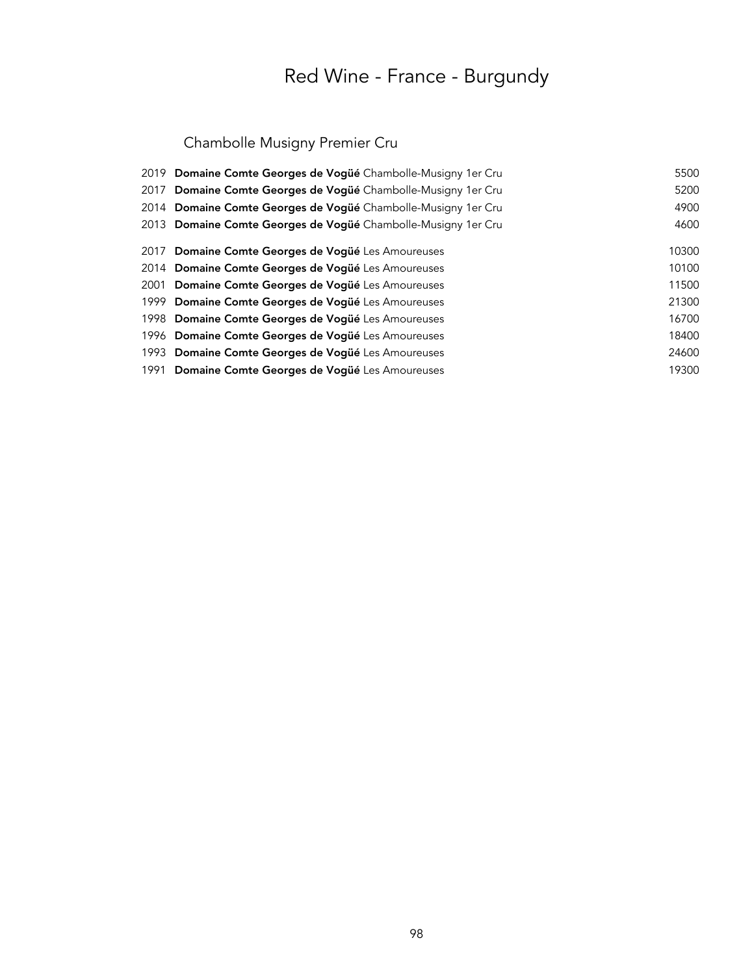## Chambolle Musigny Premier Cru

| 2019 Domaine Comte Georges de Vogüé Chambolle-Musigny 1er Cru    | 5500  |
|------------------------------------------------------------------|-------|
| Domaine Comte Georges de Vogüé Chambolle-Musigny 1er Cru<br>2017 | 5200  |
| 2014 Domaine Comte Georges de Vogüé Chambolle-Musigny 1er Cru    | 4900  |
| 2013 Domaine Comte Georges de Vogüé Chambolle-Musigny 1er Cru    | 4600  |
| 2017 Domaine Comte Georges de Vogüé Les Amoureuses               | 10300 |
| 2014 Domaine Comte Georges de Vogüé Les Amoureuses               | 10100 |
| 2001 Domaine Comte Georges de Vogüé Les Amoureuses               | 11500 |
| 1999 Domaine Comte Georges de Vogüé Les Amoureuses               | 21300 |
| 1998 Domaine Comte Georges de Vogüé Les Amoureuses               | 16700 |
| 1996 Domaine Comte Georges de Vogüé Les Amoureuses               | 18400 |
| 1993 Domaine Comte Georges de Vogüé Les Amoureuses               | 24600 |
| 1991 Domaine Comte Georges de Vogüé Les Amoureuses               | 19300 |
|                                                                  |       |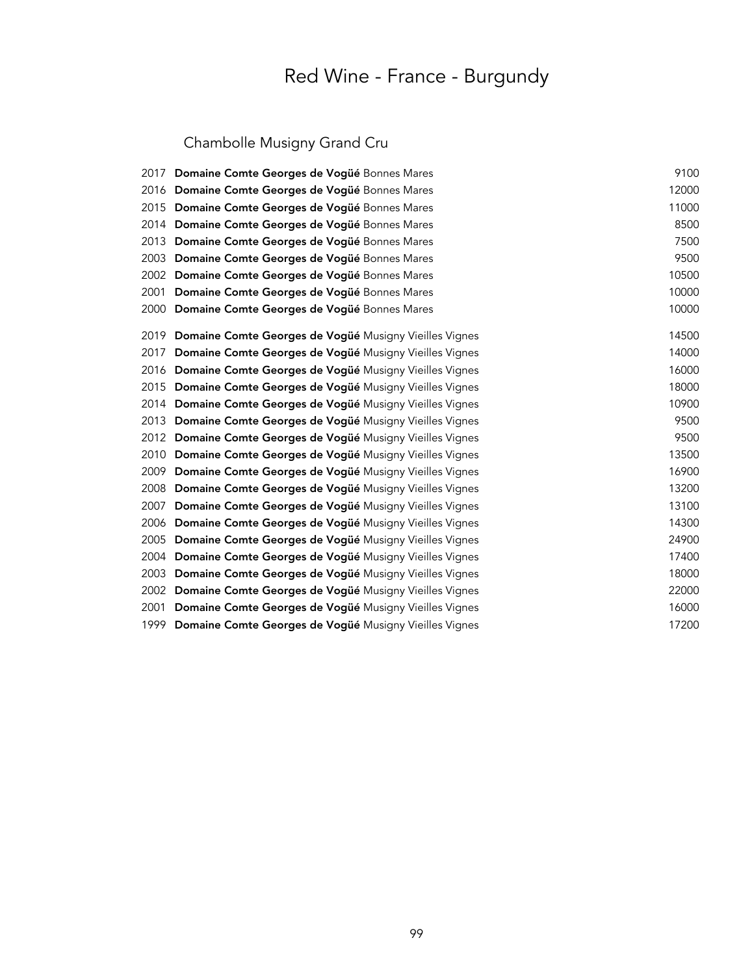## Chambolle Musigny Grand Cru

|      | 2017 Domaine Comte Georges de Vogüé Bonnes Mares            | 9100  |
|------|-------------------------------------------------------------|-------|
|      | 2016 Domaine Comte Georges de Vogüé Bonnes Mares            | 12000 |
|      | 2015 Domaine Comte Georges de Vogüé Bonnes Mares            | 11000 |
|      | 2014 Domaine Comte Georges de Vogüé Bonnes Mares            | 8500  |
|      | 2013 Domaine Comte Georges de Vogüé Bonnes Mares            | 7500  |
|      | 2003 Domaine Comte Georges de Vogüé Bonnes Mares            | 9500  |
|      | 2002 Domaine Comte Georges de Vogüé Bonnes Mares            | 10500 |
| 2001 | Domaine Comte Georges de Vogüé Bonnes Mares                 | 10000 |
|      | 2000 Domaine Comte Georges de Vogüé Bonnes Mares            | 10000 |
|      | 2019 Domaine Comte Georges de Vogüé Musigny Vieilles Vignes | 14500 |
|      | 2017 Domaine Comte Georges de Vogüé Musigny Vieilles Vignes | 14000 |
|      | 2016 Domaine Comte Georges de Vogüé Musigny Vieilles Vignes | 16000 |
|      | 2015 Domaine Comte Georges de Vogüé Musigny Vieilles Vignes | 18000 |
|      | 2014 Domaine Comte Georges de Vogüé Musigny Vieilles Vignes | 10900 |
|      | 2013 Domaine Comte Georges de Vogüé Musigny Vieilles Vignes | 9500  |
|      | 2012 Domaine Comte Georges de Vogüé Musigny Vieilles Vignes | 9500  |
| 2010 | Domaine Comte Georges de Vogüé Musigny Vieilles Vignes      | 13500 |
|      | 2009 Domaine Comte Georges de Vogüé Musigny Vieilles Vignes | 16900 |
|      | 2008 Domaine Comte Georges de Vogüé Musigny Vieilles Vignes | 13200 |
| 2007 | Domaine Comte Georges de Vogüé Musigny Vieilles Vignes      | 13100 |
|      | 2006 Domaine Comte Georges de Vogüé Musigny Vieilles Vignes | 14300 |
|      | 2005 Domaine Comte Georges de Vogüé Musigny Vieilles Vignes | 24900 |
|      | 2004 Domaine Comte Georges de Vogüé Musigny Vieilles Vignes | 17400 |
|      | 2003 Domaine Comte Georges de Vogüé Musigny Vieilles Vignes | 18000 |
|      | 2002 Domaine Comte Georges de Vogüé Musigny Vieilles Vignes | 22000 |
| 2001 | Domaine Comte Georges de Vogüé Musigny Vieilles Vignes      | 16000 |
|      | 1999 Domaine Comte Georges de Vogüé Musigny Vieilles Vignes | 17200 |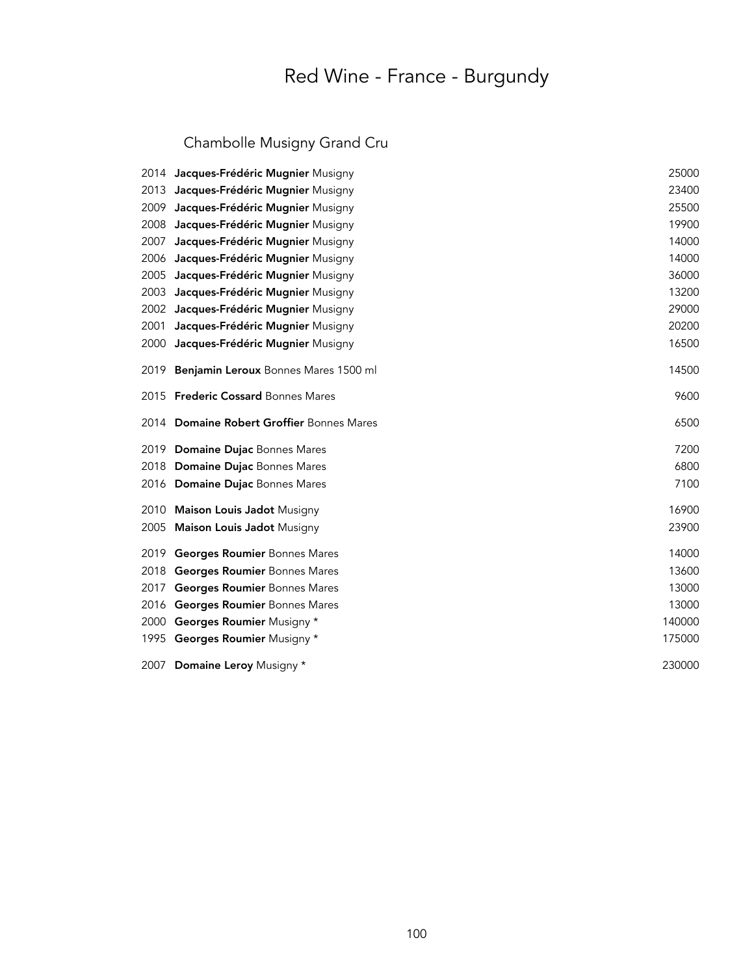## Chambolle Musigny Grand Cru

|      | 2014 Jacques-Frédéric Mugnier Musigny       | 25000  |
|------|---------------------------------------------|--------|
| 2013 | Jacques-Frédéric Mugnier Musigny            | 23400  |
| 2009 | Jacques-Frédéric Mugnier Musigny            | 25500  |
| 2008 | Jacques-Frédéric Mugnier Musigny            | 19900  |
| 2007 | Jacques-Frédéric Mugnier Musigny            | 14000  |
| 2006 | Jacques-Frédéric Mugnier Musigny            | 14000  |
| 2005 | Jacques-Frédéric Mugnier Musigny            | 36000  |
| 2003 | Jacques-Frédéric Mugnier Musigny            | 13200  |
| 2002 | Jacques-Frédéric Mugnier Musigny            | 29000  |
| 2001 | Jacques-Frédéric Mugnier Musigny            | 20200  |
| 2000 | Jacques-Frédéric Mugnier Musigny            | 16500  |
| 2019 | Benjamin Leroux Bonnes Mares 1500 ml        | 14500  |
| 2015 | <b>Frederic Cossard Bonnes Mares</b>        | 9600   |
| 2014 | <b>Domaine Robert Groffier Bonnes Mares</b> | 6500   |
| 2019 | Domaine Dujac Bonnes Mares                  | 7200   |
| 2018 | Domaine Dujac Bonnes Mares                  | 6800   |
| 2016 | <b>Domaine Dujac Bonnes Mares</b>           | 7100   |
| 2010 | <b>Maison Louis Jadot Musigny</b>           | 16900  |
| 2005 | <b>Maison Louis Jadot Musigny</b>           | 23900  |
| 2019 | Georges Roumier Bonnes Mares                | 14000  |
| 2018 | Georges Roumier Bonnes Mares                | 13600  |
| 2017 | <b>Georges Roumier Bonnes Mares</b>         | 13000  |
| 2016 | Georges Roumier Bonnes Mares                | 13000  |
| 2000 | Georges Roumier Musigny *                   | 140000 |
|      | 1995 Georges Roumier Musigny *              | 175000 |
| 2007 | Domaine Leroy Musigny *                     | 230000 |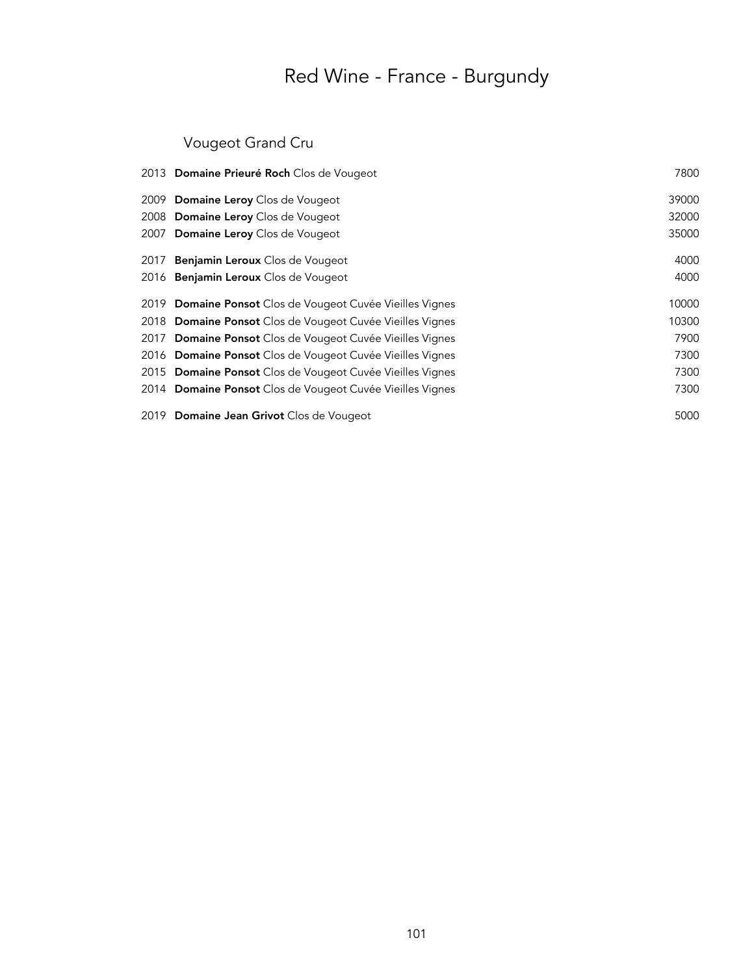## Vougeot Grand Cru

| 2013 Domaine Prieuré Roch Clos de Vougeot                 | 7800  |
|-----------------------------------------------------------|-------|
| 2009 Domaine Leroy Clos de Vougeot                        | 39000 |
| 2008 Domaine Leroy Clos de Vougeot                        | 32000 |
| 2007 Domaine Leroy Clos de Vougeot                        | 35000 |
| 2017 <b>Benjamin Leroux</b> Clos de Vougeot               | 4000  |
| 2016 <b>Benjamin Leroux</b> Clos de Vougeot               | 4000  |
| 2019 Domaine Ponsot Clos de Vougeot Cuvée Vieilles Vignes | 10000 |
| 2018 Domaine Ponsot Clos de Vougeot Cuvée Vieilles Vignes | 10300 |
| 2017 Domaine Ponsot Clos de Vougeot Cuvée Vieilles Vignes | 7900  |
| 2016 Domaine Ponsot Clos de Vougeot Cuvée Vieilles Vignes | 7300  |
| 2015 Domaine Ponsot Clos de Vougeot Cuvée Vieilles Vignes | 7300  |
| 2014 Domaine Ponsot Clos de Vougeot Cuvée Vieilles Vignes | 7300  |
| 2019 Domaine Jean Grivot Clos de Vougeot                  | 5000  |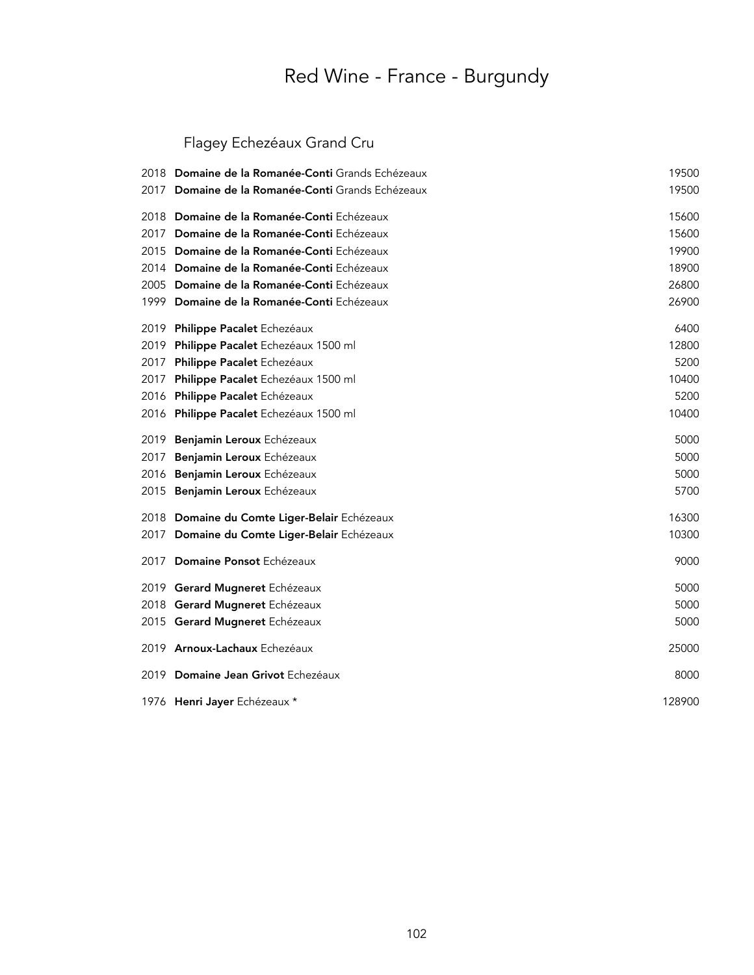## Flagey Echezéaux Grand Cru

| 2018 | Domaine de la Romanée-Conti Grands Echézeaux | 19500  |
|------|----------------------------------------------|--------|
| 2017 | Domaine de la Romanée-Conti Grands Echézeaux | 19500  |
| 2018 | Domaine de la Romanée-Conti Echézeaux        | 15600  |
| 2017 | Domaine de la Romanée-Conti Echézeaux        | 15600  |
| 2015 | Domaine de la Romanée-Conti Echézeaux        | 19900  |
| 2014 | Domaine de la Romanée-Conti Echézeaux        | 18900  |
| 2005 | Domaine de la Romanée-Conti Echézeaux        | 26800  |
| 1999 | Domaine de la Romanée-Conti Echézeaux        | 26900  |
| 2019 | Philippe Pacalet Echezéaux                   | 6400   |
| 2019 | Philippe Pacalet Echezéaux 1500 ml           | 12800  |
| 2017 | Philippe Pacalet Echezéaux                   | 5200   |
| 2017 | Philippe Pacalet Echezéaux 1500 ml           | 10400  |
| 2016 | Philippe Pacalet Echézeaux                   | 5200   |
| 2016 | Philippe Pacalet Echezéaux 1500 ml           | 10400  |
| 2019 | Benjamin Leroux Echézeaux                    | 5000   |
| 2017 | Benjamin Leroux Echézeaux                    | 5000   |
| 2016 | Benjamin Leroux Echézeaux                    | 5000   |
| 2015 | Benjamin Leroux Echézeaux                    | 5700   |
| 2018 | Domaine du Comte Liger-Belair Echézeaux      | 16300  |
| 2017 | Domaine du Comte Liger-Belair Echézeaux      | 10300  |
| 2017 | Domaine Ponsot Echézeaux                     | 9000   |
|      | 2019 Gerard Mugneret Echézeaux               | 5000   |
|      | 2018 Gerard Mugneret Echézeaux               | 5000   |
|      | 2015 Gerard Mugneret Echézeaux               | 5000   |
|      | 2019 Arnoux-Lachaux Echezéaux                | 25000  |
| 2019 | Domaine Jean Grivot Echezéaux                | 8000   |
|      | 1976 Henri Jayer Echézeaux *                 | 128900 |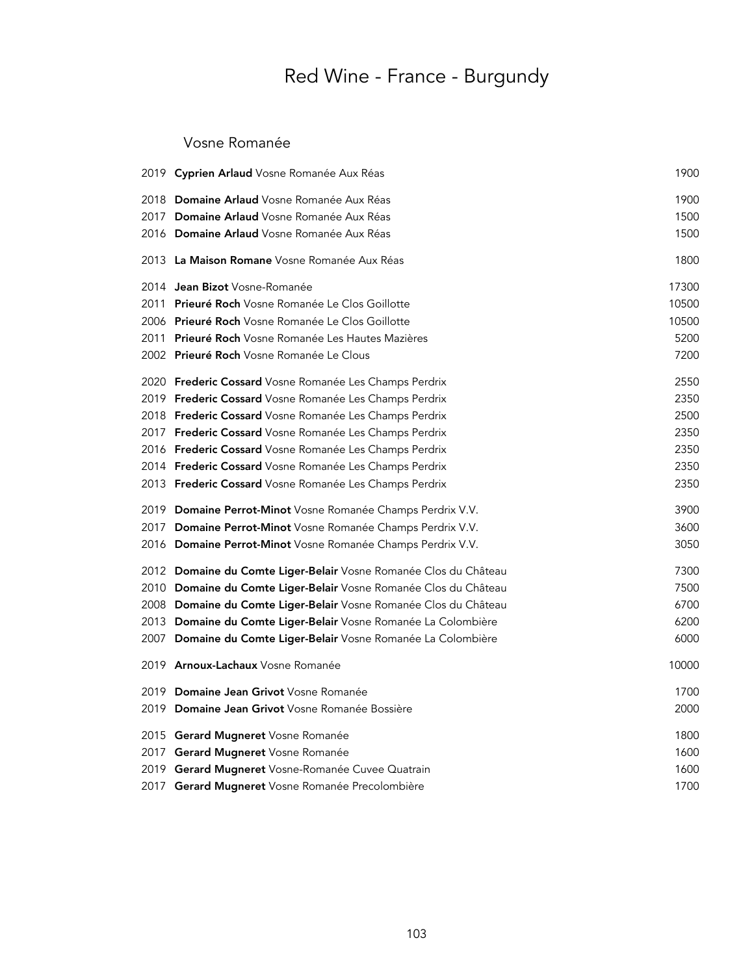#### Vosne Romanée

| 2019 Cyprien Arlaud Vosne Romanée Aux Réas                       | 1900  |
|------------------------------------------------------------------|-------|
| 2018 Domaine Arlaud Vosne Romanée Aux Réas                       | 1900  |
| 2017 Domaine Arlaud Vosne Romanée Aux Réas                       | 1500  |
| 2016 Domaine Arlaud Vosne Romanée Aux Réas                       | 1500  |
| 2013 La Maison Romane Vosne Romanée Aux Réas                     | 1800  |
| 2014 Jean Bizot Vosne-Romanée                                    | 17300 |
| 2011 Prieuré Roch Vosne Romanée Le Clos Goillotte                | 10500 |
| 2006 Prieuré Roch Vosne Romanée Le Clos Goillotte                | 10500 |
| 2011 Prieuré Roch Vosne Romanée Les Hautes Mazières              | 5200  |
| 2002 Prieuré Roch Vosne Romanée Le Clous                         | 7200  |
| 2020 Frederic Cossard Vosne Romanée Les Champs Perdrix           | 2550  |
| 2019 Frederic Cossard Vosne Romanée Les Champs Perdrix           | 2350  |
| 2018 Frederic Cossard Vosne Romanée Les Champs Perdrix           | 2500  |
| 2017 Frederic Cossard Vosne Romanée Les Champs Perdrix           | 2350  |
| 2016 Frederic Cossard Vosne Romanée Les Champs Perdrix           | 2350  |
| 2014 Frederic Cossard Vosne Romanée Les Champs Perdrix           | 2350  |
| 2013 Frederic Cossard Vosne Romanée Les Champs Perdrix           | 2350  |
| 2019 Domaine Perrot-Minot Vosne Romanée Champs Perdrix V.V.      | 3900  |
| 2017 Domaine Perrot-Minot Vosne Romanée Champs Perdrix V.V.      | 3600  |
| 2016 Domaine Perrot-Minot Vosne Romanée Champs Perdrix V.V.      | 3050  |
| 2012 Domaine du Comte Liger-Belair Vosne Romanée Clos du Château | 7300  |
| 2010 Domaine du Comte Liger-Belair Vosne Romanée Clos du Château | 7500  |
| 2008 Domaine du Comte Liger-Belair Vosne Romanée Clos du Château | 6700  |
| 2013 Domaine du Comte Liger-Belair Vosne Romanée La Colombière   | 6200  |
| 2007 Domaine du Comte Liger-Belair Vosne Romanée La Colombière   | 6000  |
| 2019 Arnoux-Lachaux Vosne Romanée                                | 10000 |
| 2019 Domaine Jean Grivot Vosne Romanée                           | 1700  |
| 2019 Domaine Jean Grivot Vosne Romanée Bossière                  | 2000  |
| 2015 Gerard Mugneret Vosne Romanée                               | 1800  |
| 2017 Gerard Mugneret Vosne Romanée                               | 1600  |
| 2019 Gerard Mugneret Vosne-Romanée Cuvee Quatrain                | 1600  |
| 2017 Gerard Mugneret Vosne Romanée Precolombière                 | 1700  |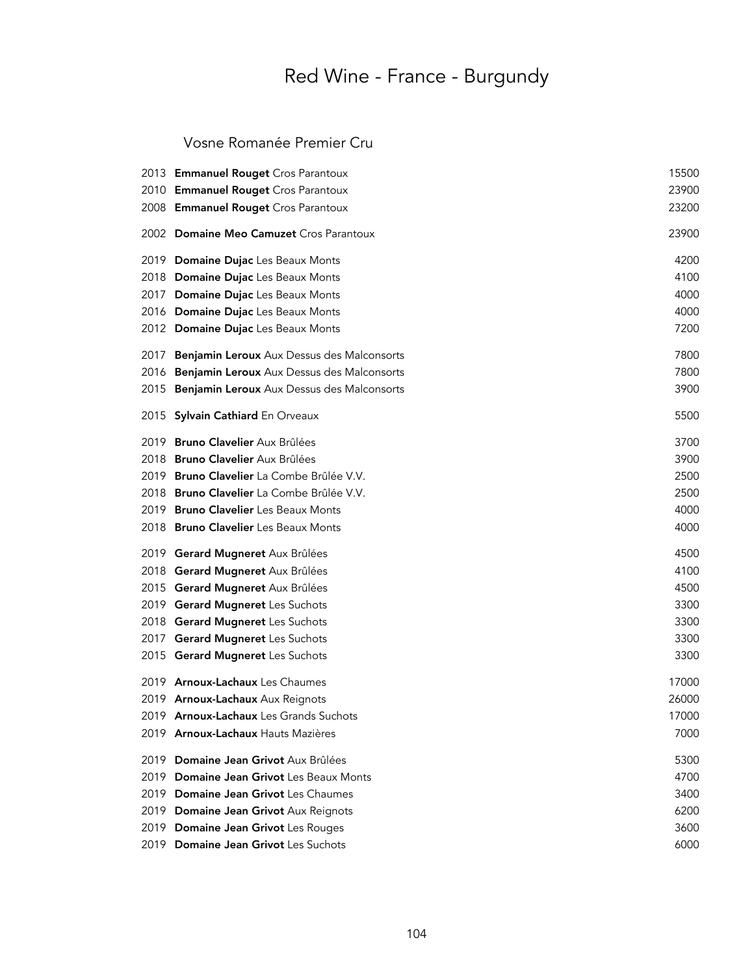#### Vosne Romanée Premier Cru

|      | 2013 Emmanuel Rouget Cros Parantoux           | 15500 |
|------|-----------------------------------------------|-------|
|      | 2010 Emmanuel Rouget Cros Parantoux           | 23900 |
|      | 2008 Emmanuel Rouget Cros Parantoux           | 23200 |
|      | 2002 Domaine Meo Camuzet Cros Parantoux       | 23900 |
|      | 2019 Domaine Dujac Les Beaux Monts            | 4200  |
|      | 2018 Domaine Dujac Les Beaux Monts            | 4100  |
| 2017 | Domaine Dujac Les Beaux Monts                 | 4000  |
|      | 2016 Domaine Dujac Les Beaux Monts            | 4000  |
|      | 2012 Domaine Dujac Les Beaux Monts            | 7200  |
| 2017 | Benjamin Leroux Aux Dessus des Malconsorts    | 7800  |
| 2016 | Benjamin Leroux Aux Dessus des Malconsorts    | 7800  |
| 2015 | Benjamin Leroux Aux Dessus des Malconsorts    | 3900  |
|      | 2015 Sylvain Cathiard En Orveaux              | 5500  |
|      | 2019 Bruno Clavelier Aux Brûlées              | 3700  |
|      | 2018 Bruno Clavelier Aux Brûlées              | 3900  |
|      | 2019 Bruno Clavelier La Combe Brûlée V.V.     | 2500  |
|      | 2018 Bruno Clavelier La Combe Brûlée V.V.     | 2500  |
|      | 2019 Bruno Clavelier Les Beaux Monts          | 4000  |
|      | 2018 Bruno Clavelier Les Beaux Monts          | 4000  |
|      | 2019 Gerard Mugneret Aux Brûlées              | 4500  |
|      | 2018 Gerard Mugneret Aux Brûlées              | 4100  |
|      | 2015 Gerard Mugneret Aux Brûlées              | 4500  |
|      | 2019 Gerard Mugneret Les Suchots              | 3300  |
|      | 2018 Gerard Mugneret Les Suchots              | 3300  |
|      | 2017 Gerard Mugneret Les Suchots              | 3300  |
|      | 2015 Gerard Mugneret Les Suchots              | 3300  |
|      | 2019 Arnoux-Lachaux Les Chaumes               | 17000 |
|      | 2019 Arnoux-Lachaux Aux Reignots              | 26000 |
|      | 2019 <b>Arnoux-Lachaux</b> Les Grands Suchots | 17000 |
|      | 2019 Arnoux-Lachaux Hauts Mazières            | 7000  |
|      | 2019 Domaine Jean Grivot Aux Brûlées          | 5300  |
| 2019 | <b>Domaine Jean Grivot Les Beaux Monts</b>    | 4700  |
| 2019 | Domaine Jean Grivot Les Chaumes               | 3400  |
| 2019 | Domaine Jean Grivot Aux Reignots              | 6200  |
| 2019 | Domaine Jean Grivot Les Rouges                | 3600  |
| 2019 | Domaine Jean Grivot Les Suchots               | 6000  |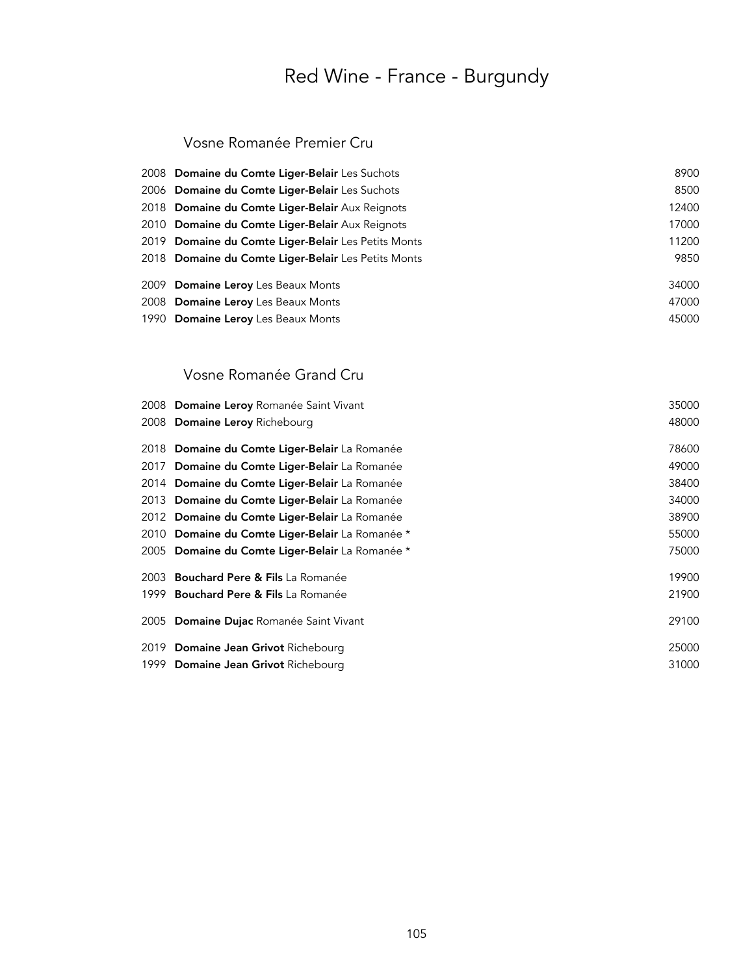#### Vosne Romanée Premier Cru

| 2008 Domaine du Comte Liger-Belair Les Suchots      | 8900  |
|-----------------------------------------------------|-------|
| 2006 Domaine du Comte Liger-Belair Les Suchots      | 8500  |
| 2018 Domaine du Comte Liger-Belair Aux Reignots     | 12400 |
| 2010 Domaine du Comte Liger-Belair Aux Reignots     | 17000 |
| 2019 Domaine du Comte Liger-Belair Les Petits Monts | 11200 |
| 2018 Domaine du Comte Liger-Belair Les Petits Monts | 9850  |
| 2009 Domaine Leroy Les Beaux Monts                  | 34000 |
| 2008 Domaine Leroy Les Beaux Monts                  | 47000 |
| 1990 Domaine Leroy Les Beaux Monts                  | 45000 |

### Vosne Romanée Grand Cru

| 2008 Domaine Leroy Romanée Saint Vivant         | 35000 |
|-------------------------------------------------|-------|
| 2008 Domaine Leroy Richebourg                   | 48000 |
| 2018 Domaine du Comte Liger-Belair La Romanée   | 78600 |
| 2017 Domaine du Comte Liger-Belair La Romanée   | 49000 |
| 2014 Domaine du Comte Liger-Belair La Romanée   | 38400 |
| 2013 Domaine du Comte Liger-Belair La Romanée   | 34000 |
| 2012 Domaine du Comte Liger-Belair La Romanée   | 38900 |
| 2010 Domaine du Comte Liger-Belair La Romanée * | 55000 |
| 2005 Domaine du Comte Liger-Belair La Romanée * | 75000 |
| 2003 Bouchard Pere & Fils La Romanée            | 19900 |
| 1999 Bouchard Pere & Fils La Romanée            | 21900 |
| 2005 Domaine Dujac Romanée Saint Vivant         | 29100 |
| 2019 Domaine Jean Grivot Richebourg             | 25000 |
| 1999 Domaine Jean Grivot Richebourg             | 31000 |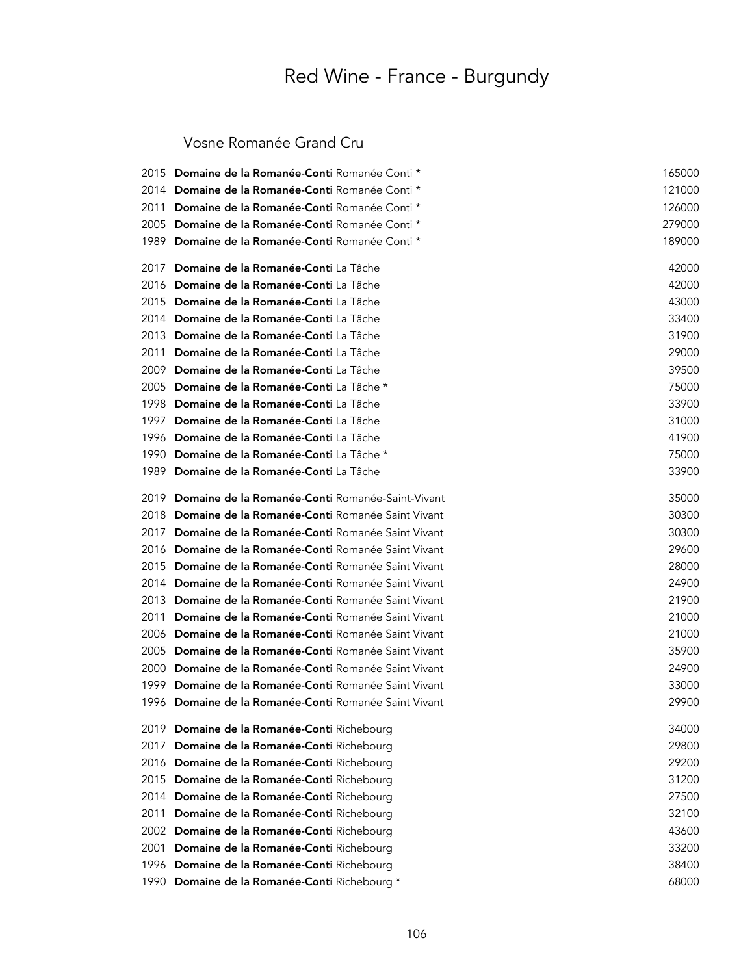Vosne Romanée Grand Cru

| 2015  | Domaine de la Romanée-Conti Romanée Conti *      | 165000 |
|-------|--------------------------------------------------|--------|
| 2014  | Domaine de la Romanée-Conti Romanée Conti *      | 121000 |
| 2011  | Domaine de la Romanée-Conti Romanée Conti *      | 126000 |
| 2005  | Domaine de la Romanée-Conti Romanée Conti *      | 279000 |
| 1989  | Domaine de la Romanée-Conti Romanée Conti *      | 189000 |
| 2017  | Domaine de la Romanée-Conti La Tâche             | 42000  |
| 2016  | Domaine de la Romanée-Conti La Tâche             | 42000  |
| 2015  | Domaine de la Romanée-Conti La Tâche             | 43000  |
| 2014  | Domaine de la Romanée-Conti La Tâche             | 33400  |
| 2013  | Domaine de la Romanée-Conti La Tâche             | 31900  |
| 2011  | Domaine de la Romanée-Conti La Tâche             | 29000  |
| 2009  | Domaine de la Romanée-Conti La Tâche             | 39500  |
| 2005  | Domaine de la Romanée-Conti La Tâche *           | 75000  |
| 1998  | Domaine de la Romanée-Conti La Tâche             | 33900  |
| 1997  | Domaine de la Romanée-Conti La Tâche             | 31000  |
| 1996  | Domaine de la Romanée-Conti La Tâche             | 41900  |
| 1990  | Domaine de la Romanée-Conti La Tâche *           | 75000  |
| 1989. | Domaine de la Romanée-Conti La Tâche             | 33900  |
| 2019  | Domaine de la Romanée-Conti Romanée-Saint-Vivant | 35000  |
| 2018  | Domaine de la Romanée-Conti Romanée Saint Vivant | 30300  |
| 2017  | Domaine de la Romanée-Conti Romanée Saint Vivant | 30300  |
| 2016  | Domaine de la Romanée-Conti Romanée Saint Vivant | 29600  |
| 2015  | Domaine de la Romanée-Conti Romanée Saint Vivant | 28000  |
| 2014  | Domaine de la Romanée-Conti Romanée Saint Vivant | 24900  |
| 2013  | Domaine de la Romanée-Conti Romanée Saint Vivant | 21900  |
| 2011  | Domaine de la Romanée-Conti Romanée Saint Vivant | 21000  |
| 2006  | Domaine de la Romanée-Conti Romanée Saint Vivant | 21000  |
| 2005  | Domaine de la Romanée-Conti Romanée Saint Vivant | 35900  |
| 2000  | Domaine de la Romanée-Conti Romanée Saint Vivant | 24900  |
| 1999  | Domaine de la Romanée-Conti Romanée Saint Vivant | 33000  |
| 1996  | Domaine de la Romanée-Conti Romanée Saint Vivant | 29900  |
|       | 2019 Domaine de la Romanée-Conti Richebourg      | 34000  |
| 2017  | Domaine de la Romanée-Conti Richebourg           | 29800  |
| 2016  | Domaine de la Romanée-Conti Richebourg           | 29200  |
| 2015  | Domaine de la Romanée-Conti Richebourg           | 31200  |
| 2014  | Domaine de la Romanée-Conti Richebourg           | 27500  |
| 2011  | Domaine de la Romanée-Conti Richebourg           | 32100  |
| 2002  | Domaine de la Romanée-Conti Richebourg           | 43600  |
| 2001  | Domaine de la Romanée-Conti Richebourg           | 33200  |
| 1996  | Domaine de la Romanée-Conti Richebourg           | 38400  |
| 1990  | Domaine de la Romanée-Conti Richebourg *         | 68000  |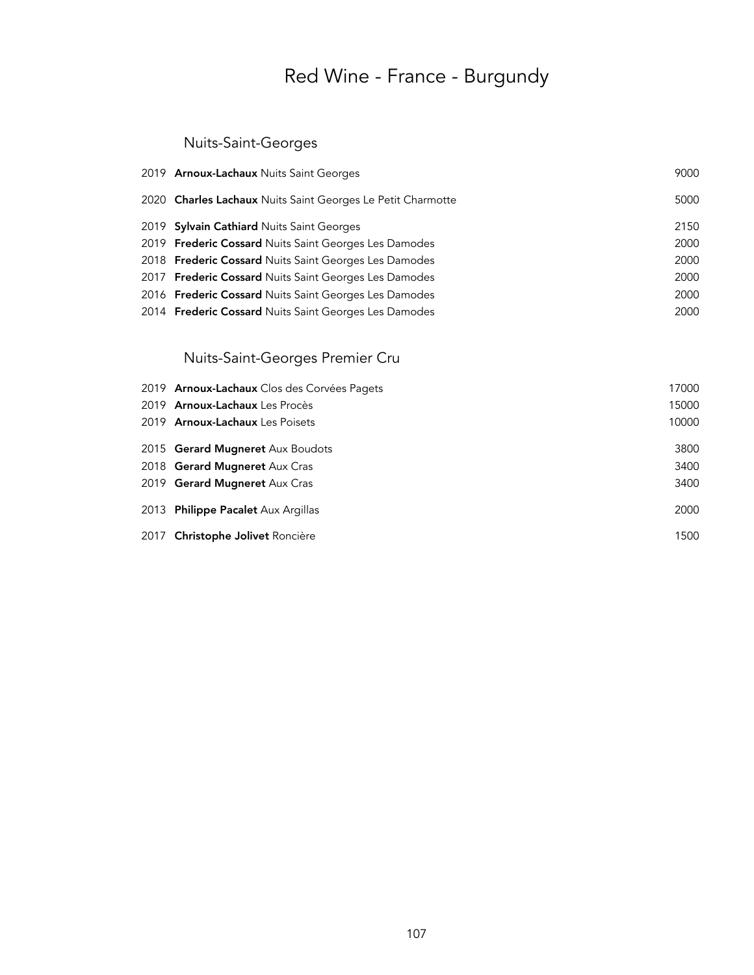### Nuits-Saint-Georges

| 2019 Arnoux-Lachaux Nuits Saint Georges                     | 9000 |
|-------------------------------------------------------------|------|
| 2020 Charles Lachaux Nuits Saint Georges Le Petit Charmotte | 5000 |
| 2019 Sylvain Cathiard Nuits Saint Georges                   | 2150 |
| 2019 Frederic Cossard Nuits Saint Georges Les Damodes       | 2000 |
| 2018 Frederic Cossard Nuits Saint Georges Les Damodes       | 2000 |
| 2017 Frederic Cossard Nuits Saint Georges Les Damodes       | 2000 |
| 2016 Frederic Cossard Nuits Saint Georges Les Damodes       | 2000 |
| 2014 Frederic Cossard Nuits Saint Georges Les Damodes       | 2000 |
|                                                             |      |

### Nuits-Saint-Georges Premier Cru

| 2019 Arnoux-Lachaux Clos des Corvées Pagets | 17000 |
|---------------------------------------------|-------|
| 2019 Arnoux-Lachaux Les Procès              | 15000 |
| 2019 Arnoux-Lachaux Les Poisets             | 10000 |
| 2015 Gerard Mugneret Aux Boudots            | 3800  |
| 2018 Gerard Mugneret Aux Cras               | 3400  |
| 2019 Gerard Mugneret Aux Cras               | 3400  |
| 2013 Philippe Pacalet Aux Argillas          | 2000  |
| 2017 Christophe Jolivet Roncière            | 1500  |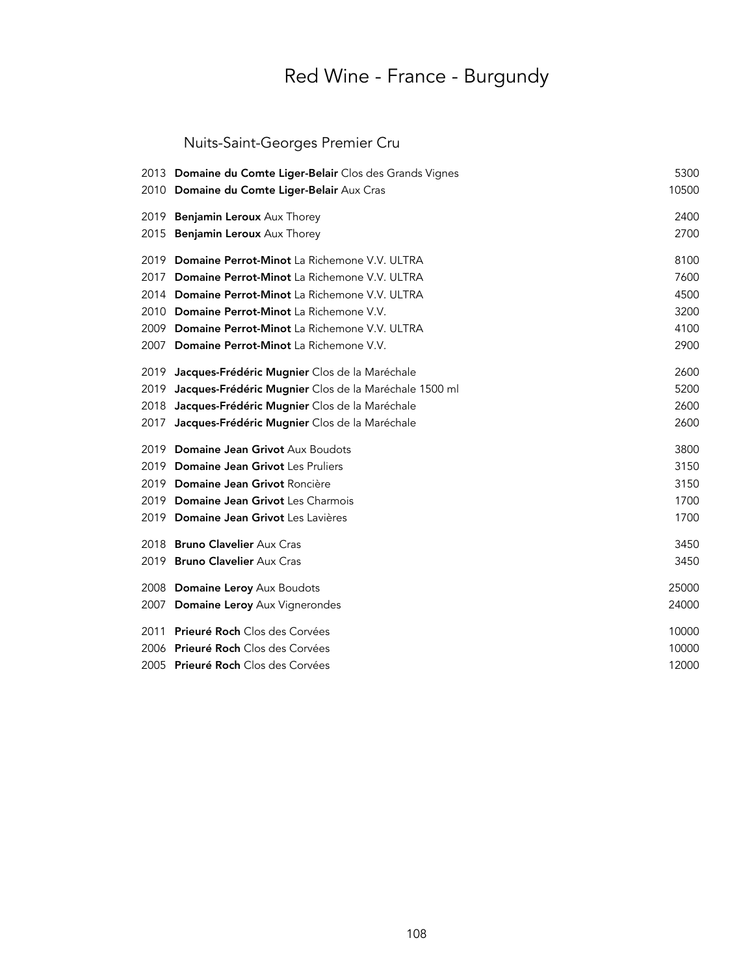### Nuits-Saint-Georges Premier Cru

|      | 2013 Domaine du Comte Liger-Belair Clos des Grands Vignes<br>2010 Domaine du Comte Liger-Belair Aux Cras | 5300<br>10500 |
|------|----------------------------------------------------------------------------------------------------------|---------------|
|      | 2019 Benjamin Leroux Aux Thorey                                                                          | 2400          |
|      | 2015 Benjamin Leroux Aux Thorey                                                                          | 2700          |
| 2019 | Domaine Perrot-Minot La Richemone V.V. ULTRA                                                             | 8100          |
| 2017 | Domaine Perrot-Minot La Richemone V.V. ULTRA                                                             | 7600          |
|      | 2014 Domaine Perrot-Minot La Richemone V.V. ULTRA                                                        | 4500          |
|      | 2010 Domaine Perrot-Minot La Richemone V.V.                                                              | 3200          |
|      | 2009 Domaine Perrot-Minot La Richemone V.V. ULTRA                                                        | 4100          |
|      | 2007 Domaine Perrot-Minot La Richemone V.V.                                                              | 2900          |
| 2019 | Jacques-Frédéric Mugnier Clos de la Maréchale                                                            | 2600          |
| 2019 | Jacques-Frédéric Mugnier Clos de la Maréchale 1500 ml                                                    | 5200          |
| 2018 | Jacques-Frédéric Mugnier Clos de la Maréchale                                                            | 2600          |
| 2017 | Jacques-Frédéric Mugnier Clos de la Maréchale                                                            | 2600          |
|      | 2019 Domaine Jean Grivot Aux Boudots                                                                     | 3800          |
|      | 2019 Domaine Jean Grivot Les Pruliers                                                                    | 3150          |
|      | 2019 Domaine Jean Grivot Roncière                                                                        | 3150          |
|      | 2019 Domaine Jean Grivot Les Charmois                                                                    | 1700          |
|      | 2019 Domaine Jean Grivot Les Lavières                                                                    | 1700          |
|      | 2018 Bruno Clavelier Aux Cras                                                                            | 3450          |
|      | 2019 Bruno Clavelier Aux Cras                                                                            | 3450          |
|      | 2008 Domaine Leroy Aux Boudots                                                                           | 25000         |
|      | 2007 Domaine Leroy Aux Vignerondes                                                                       | 24000         |
|      | 2011 Prieuré Roch Clos des Corvées                                                                       | 10000         |
|      | 2006 Prieuré Roch Clos des Corvées                                                                       | 10000         |
|      | 2005 Prieuré Roch Clos des Corvées                                                                       | 12000         |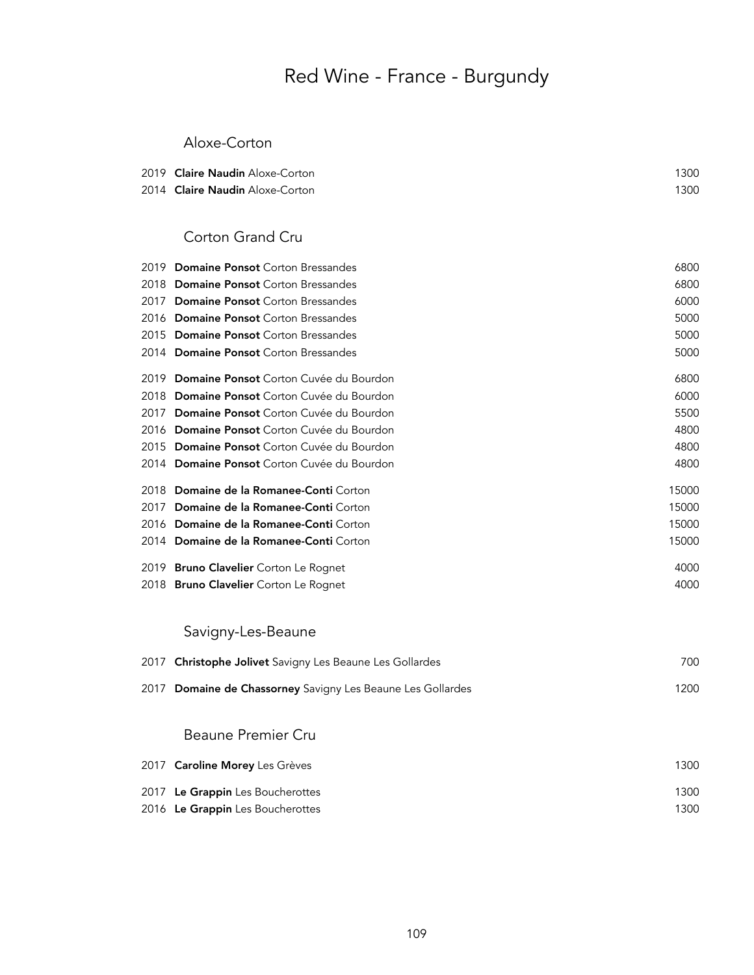### Aloxe-Corton

| 2019 <b>Claire Naudin</b> Aloxe-Corton | 1300 |
|----------------------------------------|------|
| 2014 <b>Claire Naudin</b> Aloxe-Corton | 1300 |

### Corton Grand Cru

|      | 2019 Domaine Ponsot Corton Bressandes       | 6800  |
|------|---------------------------------------------|-------|
| 2018 | <b>Domaine Ponsot</b> Corton Bressandes     | 6800  |
| 2017 | <b>Domaine Ponsot</b> Corton Bressandes     | 6000  |
| 2016 | <b>Domaine Ponsot</b> Corton Bressandes     | 5000  |
|      | 2015 Domaine Ponsot Corton Bressandes       | 5000  |
|      | 2014 Domaine Ponsot Corton Bressandes       | 5000  |
|      | 2019 Domaine Ponsot Corton Cuvée du Bourdon | 6800  |
| 2018 | Domaine Ponsot Corton Cuvée du Bourdon      | 6000  |
|      | 2017 Domaine Ponsot Corton Cuvée du Bourdon | 5500  |
|      | 2016 Domaine Ponsot Corton Cuvée du Bourdon | 4800  |
|      | 2015 Domaine Ponsot Corton Cuvée du Bourdon | 4800  |
|      | 2014 Domaine Ponsot Corton Cuvée du Bourdon | 4800  |
|      | 2018 Domaine de la Romanee-Conti Corton     | 15000 |
|      | 2017 Domaine de la Romanee-Conti Corton     | 15000 |
|      | 2016 Domaine de la Romanee-Conti Corton     | 15000 |
|      | 2014 Domaine de la Romanee-Conti Corton     | 15000 |
|      | 2019 Bruno Clavelier Corton Le Rognet       | 4000  |
|      | 2018 Bruno Clavelier Corton Le Rognet       | 4000  |

## Savigny-Les-Beaune

| 2017 Christophe Jolivet Savigny Les Beaune Les Gollardes    | 700  |
|-------------------------------------------------------------|------|
| 2017 Domaine de Chassorney Savigny Les Beaune Les Gollardes | 1200 |

### Beaune Premier Cru

| 2017 Caroline Morey Les Grèves   | 1300 |
|----------------------------------|------|
| 2017 Le Grappin Les Boucherottes | 1300 |
| 2016 Le Grappin Les Boucherottes | 1300 |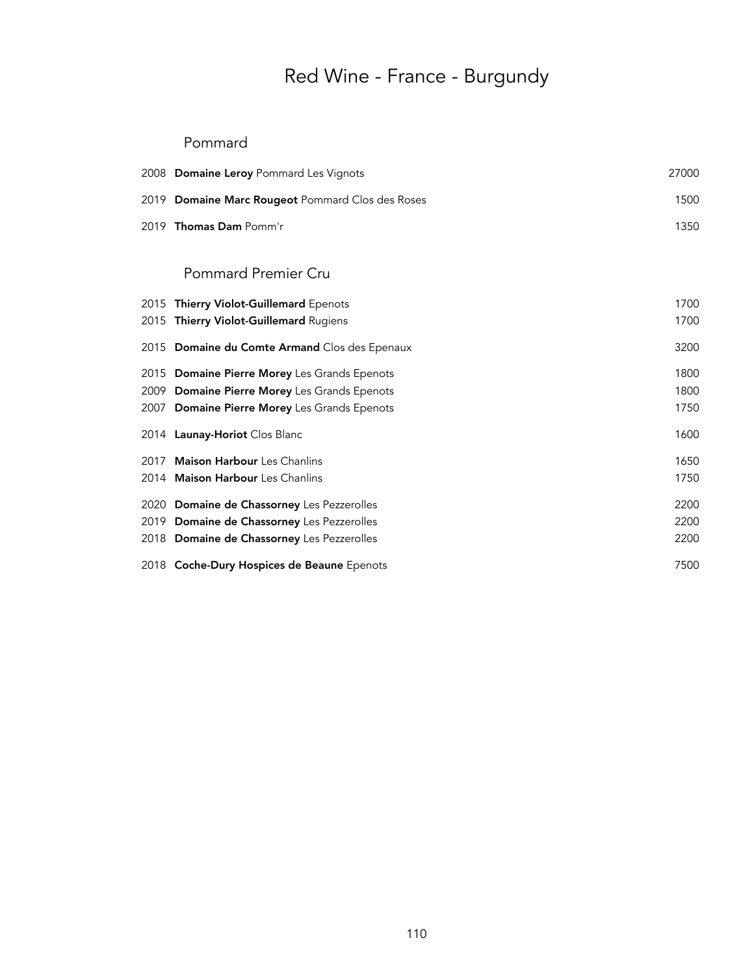#### Pommard

| 2008 Domaine Leroy Pommard Les Vignots           | 27000 |
|--------------------------------------------------|-------|
| 2019 Domaine Marc Rougeot Pommard Clos des Roses | 1500  |
| 2019 Thomas Dam Pomm'r                           | 1350  |
| <b>Pommard Premier Cru</b>                       |       |
| 2015 Thierry Violot-Guillemard Epenots           | 1700  |
| 2015 Thierry Violot-Guillemard Rugiens           | 1700  |
| 2015 Domaine du Comte Armand Clos des Epenaux    | 3200  |
| 2015 Domaine Pierre Morey Les Grands Epenots     | 1800  |
| 2009 Domaine Pierre Morey Les Grands Epenots     | 1800  |
| 2007 Domaine Pierre Morey Les Grands Epenots     | 1750  |
| 2014 Launay-Horiot Clos Blanc                    | 1600  |
| 2017 Maison Harbour Les Chanlins                 | 1650  |
| 2014 Maison Harbour Les Chanlins                 | 1750  |
| 2020 Domaine de Chassorney Les Pezzerolles       | 2200  |
| 2019 Domaine de Chassorney Les Pezzerolles       | 2200  |
| 2018 Domaine de Chassorney Les Pezzerolles       | 2200  |
| 2018 Coche-Dury Hospices de Beaune Epenots       | 7500  |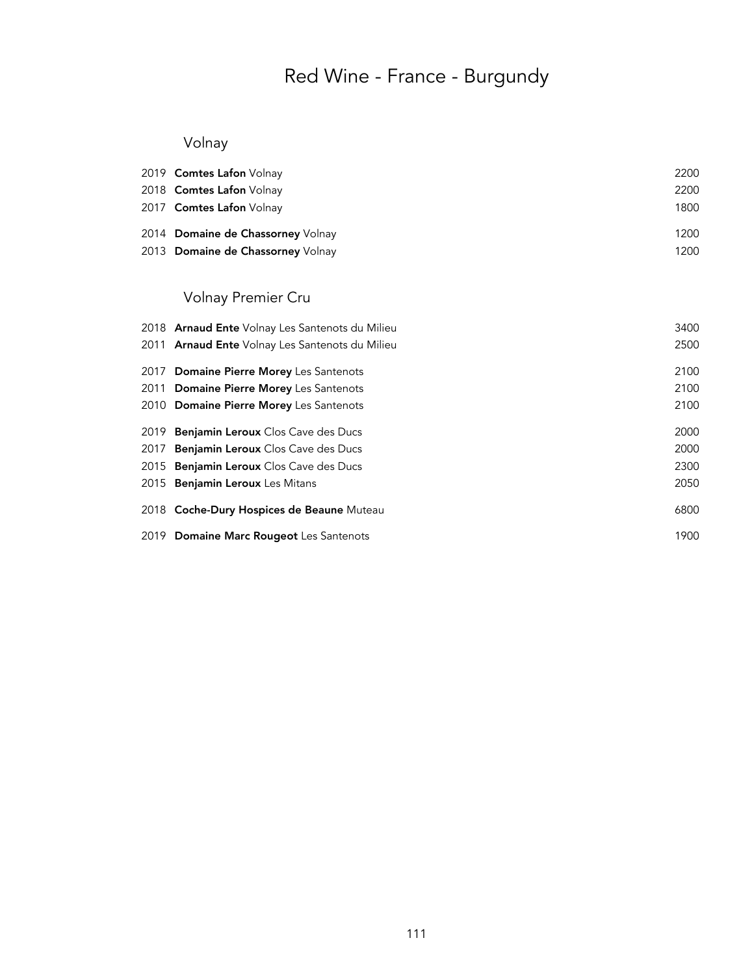## Volnay

| 2019 Comtes Lafon Volnay          | 2200 |
|-----------------------------------|------|
| 2018 Comtes Lafon Volnay          | 2200 |
| 2017 Comtes Lafon Volnay          | 1800 |
| 2014 Domaine de Chassorney Volnay | 1200 |
| 2013 Domaine de Chassorney Volnay | 1200 |

## Volnay Premier Cru

| 2018 <b>Arnaud Ente</b> Volnay Les Santenots du Milieu | 3400 |
|--------------------------------------------------------|------|
| 2011 Arnaud Ente Volnay Les Santenots du Milieu        | 2500 |
| 2017 Domaine Pierre Morey Les Santenots                | 2100 |
| 2011 Domaine Pierre Morey Les Santenots                | 2100 |
| 2010 Domaine Pierre Morey Les Santenots                | 2100 |
| 2019 Benjamin Leroux Clos Cave des Ducs                | 2000 |
| 2017 Benjamin Leroux Clos Cave des Ducs                | 2000 |
| 2015 Benjamin Leroux Clos Cave des Ducs                | 2300 |
| 2015 Benjamin Leroux Les Mitans                        | 2050 |
| 2018 Coche-Dury Hospices de Beaune Muteau              | 6800 |
| 2019 Domaine Marc Rougeot Les Santenots                | 1900 |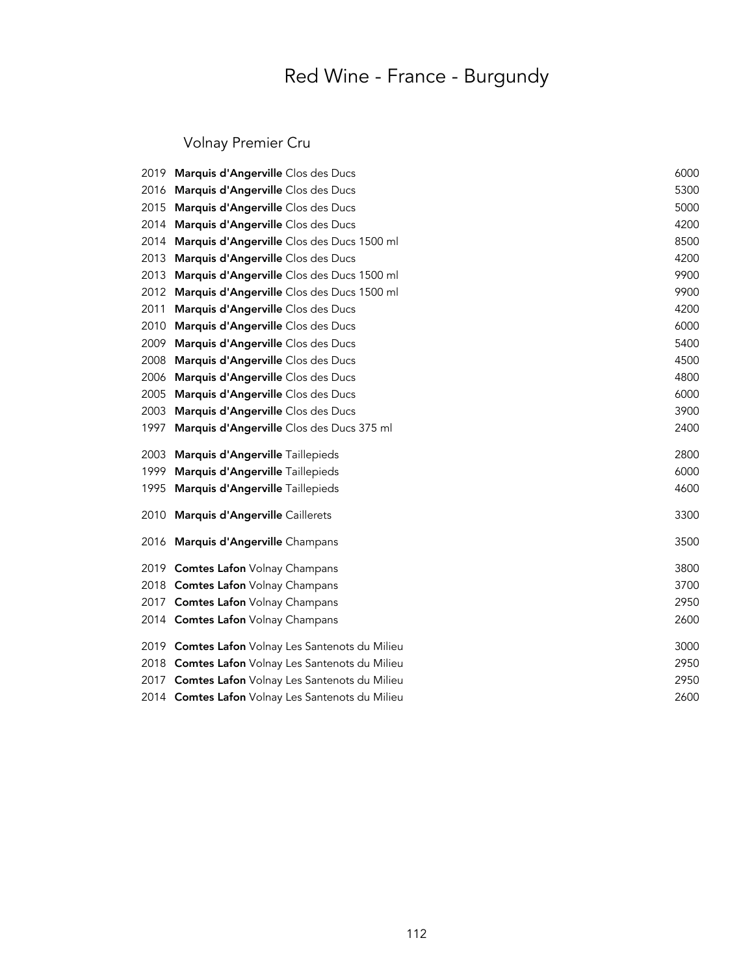## Volnay Premier Cru

|      | 2019 Marquis d'Angerville Clos des Ducs          | 6000 |
|------|--------------------------------------------------|------|
| 2016 | Marquis d'Angerville Clos des Ducs               | 5300 |
| 2015 | Marquis d'Angerville Clos des Ducs               | 5000 |
| 2014 | Marquis d'Angerville Clos des Ducs               | 4200 |
| 2014 | Marquis d'Angerville Clos des Ducs 1500 ml       | 8500 |
| 2013 | Marquis d'Angerville Clos des Ducs               | 4200 |
| 2013 | Marquis d'Angerville Clos des Ducs 1500 ml       | 9900 |
| 2012 | Marquis d'Angerville Clos des Ducs 1500 ml       | 9900 |
| 2011 | Marquis d'Angerville Clos des Ducs               | 4200 |
| 2010 | Marquis d'Angerville Clos des Ducs               | 6000 |
| 2009 | Marquis d'Angerville Clos des Ducs               | 5400 |
| 2008 | Marquis d'Angerville Clos des Ducs               | 4500 |
| 2006 | Marquis d'Angerville Clos des Ducs               | 4800 |
| 2005 | Marquis d'Angerville Clos des Ducs               | 6000 |
| 2003 | Marquis d'Angerville Clos des Ducs               | 3900 |
| 1997 | Marquis d'Angerville Clos des Ducs 375 ml        | 2400 |
| 2003 | Marquis d'Angerville Taillepieds                 | 2800 |
| 1999 | Marquis d'Angerville Taillepieds                 | 6000 |
| 1995 | Marquis d'Angerville Taillepieds                 | 4600 |
| 2010 | Marquis d'Angerville Caillerets                  | 3300 |
|      | 2016 Marquis d'Angerville Champans               | 3500 |
|      | 2019 Comtes Lafon Volnay Champans                | 3800 |
|      | 2018 Comtes Lafon Volnay Champans                | 3700 |
|      | 2017 Comtes Lafon Volnay Champans                | 2950 |
|      | 2014 Comtes Lafon Volnay Champans                | 2600 |
|      | 2019 Comtes Lafon Volnay Les Santenots du Milieu | 3000 |
|      | 2018 Comtes Lafon Volnay Les Santenots du Milieu | 2950 |
|      | 2017 Comtes Lafon Volnay Les Santenots du Milieu | 2950 |
|      | 2014 Comtes Lafon Volnay Les Santenots du Milieu | 2600 |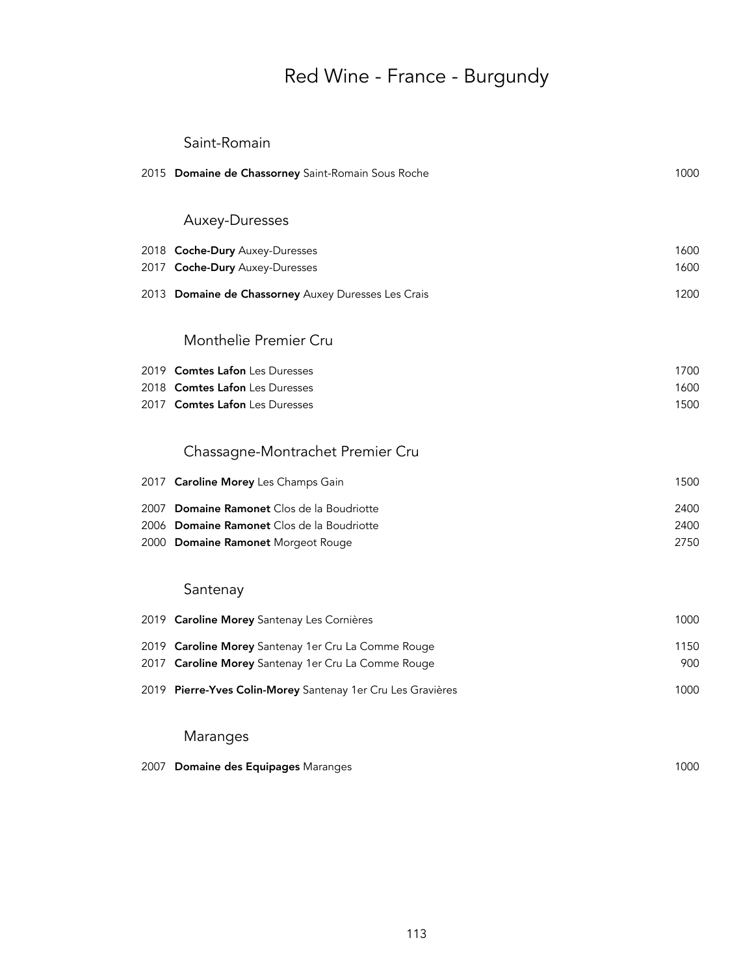#### Saint-Romain

|      | 2015 Domaine de Chassorney Saint-Romain Sous Roche          | 1000 |
|------|-------------------------------------------------------------|------|
|      |                                                             |      |
|      | Auxey-Duresses                                              |      |
|      | 2018 Coche-Dury Auxey-Duresses                              | 1600 |
|      | 2017 Coche-Dury Auxey-Duresses                              | 1600 |
|      | 2013 Domaine de Chassorney Auxey Duresses Les Crais         | 1200 |
|      |                                                             |      |
|      | Monthelie Premier Cru                                       |      |
|      | 2019 Comtes Lafon Les Duresses                              | 1700 |
|      | 2018 Comtes Lafon Les Duresses                              | 1600 |
|      | 2017 Comtes Lafon Les Duresses                              | 1500 |
|      | Chassagne-Montrachet Premier Cru                            |      |
|      | 2017 Caroline Morey Les Champs Gain                         | 1500 |
|      | 2007 Domaine Ramonet Clos de la Boudriotte                  | 2400 |
|      | 2006 Domaine Ramonet Clos de la Boudriotte                  | 2400 |
|      | 2000 Domaine Ramonet Morgeot Rouge                          | 2750 |
|      | Santenay                                                    |      |
|      | 2019 Caroline Morey Santenay Les Cornières                  | 1000 |
|      | 2019 Caroline Morey Santenay 1er Cru La Comme Rouge         | 1150 |
| 2017 | Caroline Morey Santenay 1er Cru La Comme Rouge              | 900  |
|      | 2019 Pierre-Yves Colin-Morey Santenay 1er Cru Les Gravières | 1000 |
|      |                                                             |      |
|      | Maranges                                                    |      |

2007 Domaine des Equipages Maranges 1000 and 1000 and 1000 and 1000 and 1000 and 1000 and 1000 and 1000 and 1000 and 1000 and 1000 and 1000 and 1000 and 1000 and 1000 and 1000 and 1000 and 1000 and 1000 and 1000 and 1000 a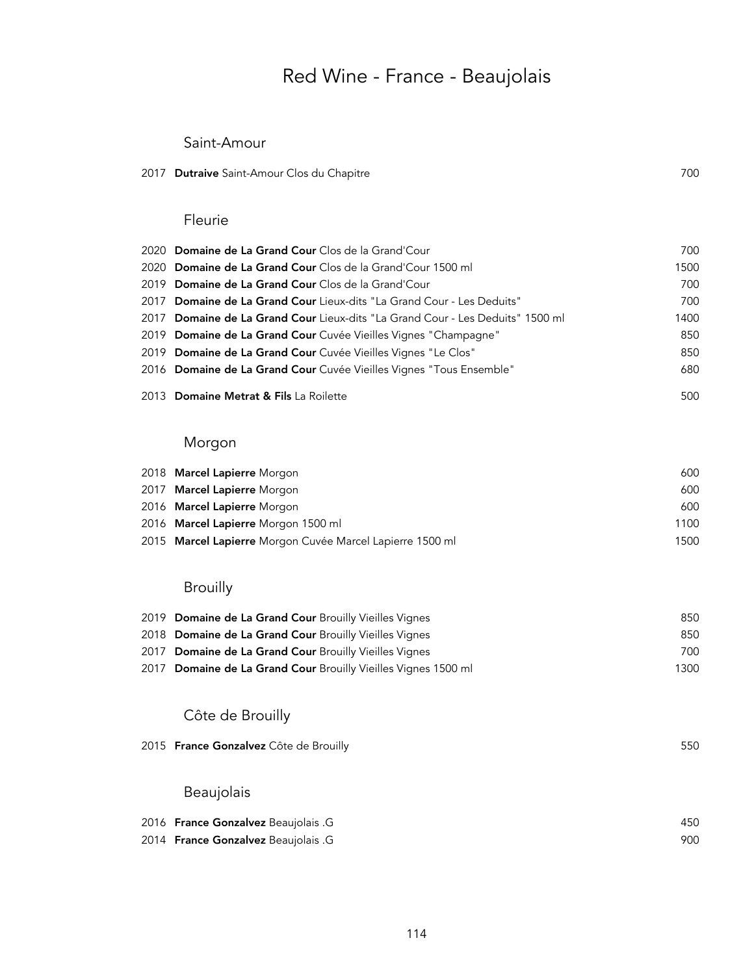## Red Wine - France - Beaujolais

#### Saint-Amour

#### 2017 Dutraive Saint-Amour Clos du Chapitre 700 and 700 and 700 and 700 and 700 and 700 and 700 and 700 and 700

#### Fleurie

| 2020 Domaine de La Grand Cour Clos de la Grand'Cour                            | 700  |
|--------------------------------------------------------------------------------|------|
| 2020 Domaine de La Grand Cour Clos de la Grand'Cour 1500 ml                    | 1500 |
| 2019 Domaine de La Grand Cour Clos de la Grand'Cour                            | 700  |
| 2017 Domaine de La Grand Cour Lieux-dits "La Grand Cour - Les Deduits"         | 700  |
| 2017 Domaine de La Grand Cour Lieux-dits "La Grand Cour - Les Deduits" 1500 ml | 1400 |
| 2019 Domaine de La Grand Cour Cuvée Vieilles Vignes "Champagne"                | 850  |
| 2019 Domaine de La Grand Cour Cuvée Vieilles Vignes "Le Clos"                  | 850  |
| 2016 Domaine de La Grand Cour Cuvée Vieilles Vignes "Tous Ensemble"            | 680  |
| 2013 Domaine Metrat & Fils La Roilette                                         | 500  |

### Morgon

| 2018 Marcel Lapierre Morgon                               | 600  |
|-----------------------------------------------------------|------|
| 2017 Marcel Lapierre Morgon                               | 600  |
| 2016 Marcel Lapierre Morgon                               | 600  |
| 2016 Marcel Lapierre Morgon 1500 ml                       | 1100 |
| 2015 Marcel Lapierre Morgon Cuvée Marcel Lapierre 1500 ml | 1500 |

#### **Brouilly**

| 2019 Domaine de La Grand Cour Brouilly Vieilles Vignes         | 850  |
|----------------------------------------------------------------|------|
| 2018 Domaine de La Grand Cour Brouilly Vieilles Vignes         | 850  |
| 2017 Domaine de La Grand Cour Brouilly Vieilles Vignes         | 700  |
| 2017 Domaine de La Grand Cour Brouilly Vieilles Vignes 1500 ml | 1300 |

### Côte de Brouilly

| 2015 France Gonzalvez Côte de Brouilly | 550 |
|----------------------------------------|-----|
|                                        |     |
| Beaujolais                             |     |
| 2016 France Gonzalvez Beaujolais .G    | 450 |
| 2014 France Gonzalvez Beaujolais .G    | 900 |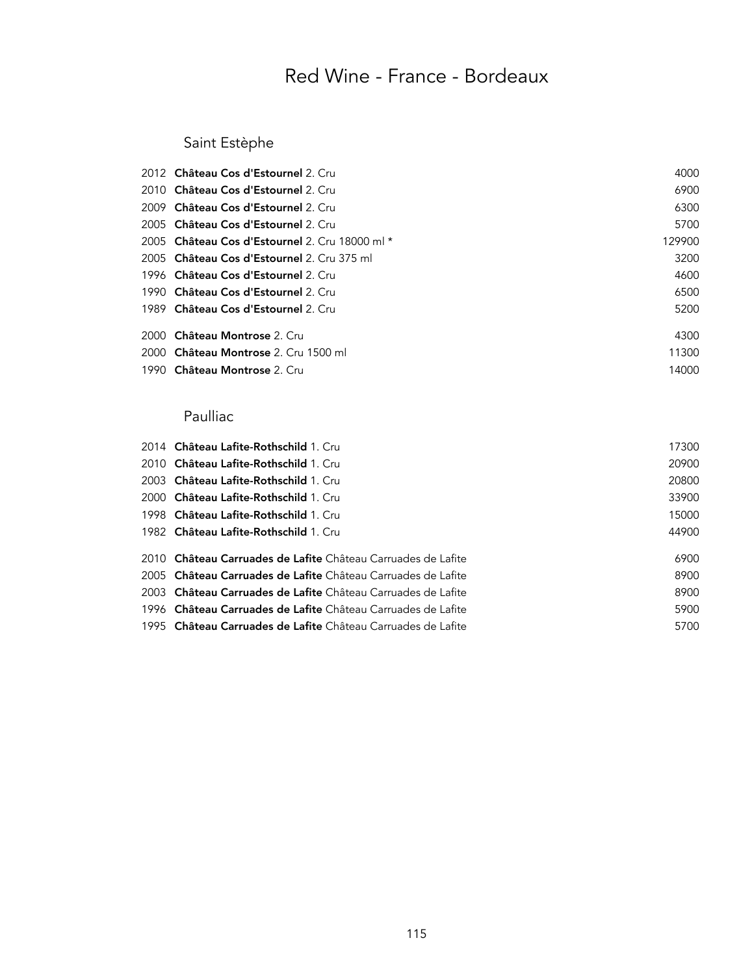## Saint Estèphe

| 2012 Château Cos d'Estournel 2. Cru            | 4000   |
|------------------------------------------------|--------|
| 2010 Château Cos d'Estournel 2. Cru            | 6900   |
| 2009 Château Cos d'Estournel 2. Cru            | 6300   |
| 2005 Château Cos d'Estournel 2. Cru            | 5700   |
| 2005 Château Cos d'Estournel 2. Cru 18000 ml * | 129900 |
| 2005 Château Cos d'Estournel 2. Cru 375 ml     | 3200   |
| 1996 Château Cos d'Estournel 2. Cru            | 4600   |
| 1990 Château Cos d'Estournel 2. Cru            | 6500   |
| 1989 Château Cos d'Estournel 2. Cru            | 5200   |
| 2000 Château Montrose 2. Cru                   | 4300   |
| 2000 Château Montrose 2. Cru 1500 ml           | 11300  |
| 1990 Château Montrose 2. Cru                   | 14000  |

### Paulliac

| 17300                                                                                                                                                                                                                                                                                                                                                                                                                                                                                                                                                                              |
|------------------------------------------------------------------------------------------------------------------------------------------------------------------------------------------------------------------------------------------------------------------------------------------------------------------------------------------------------------------------------------------------------------------------------------------------------------------------------------------------------------------------------------------------------------------------------------|
| 20900                                                                                                                                                                                                                                                                                                                                                                                                                                                                                                                                                                              |
| 20800                                                                                                                                                                                                                                                                                                                                                                                                                                                                                                                                                                              |
| 33900                                                                                                                                                                                                                                                                                                                                                                                                                                                                                                                                                                              |
| 15000                                                                                                                                                                                                                                                                                                                                                                                                                                                                                                                                                                              |
| 44900                                                                                                                                                                                                                                                                                                                                                                                                                                                                                                                                                                              |
|                                                                                                                                                                                                                                                                                                                                                                                                                                                                                                                                                                                    |
| 6900                                                                                                                                                                                                                                                                                                                                                                                                                                                                                                                                                                               |
| 8900                                                                                                                                                                                                                                                                                                                                                                                                                                                                                                                                                                               |
| 8900                                                                                                                                                                                                                                                                                                                                                                                                                                                                                                                                                                               |
| 5900                                                                                                                                                                                                                                                                                                                                                                                                                                                                                                                                                                               |
| 5700                                                                                                                                                                                                                                                                                                                                                                                                                                                                                                                                                                               |
| 2014 Château Lafite-Rothschild 1. Cru<br>2010 Château Lafite-Rothschild 1. Cru<br>2003 Château Lafite-Rothschild 1. Cru<br>2000 Château Lafite-Rothschild 1. Cru<br>1998 Château Lafite-Rothschild 1. Cru<br>1982 Château Lafite-Rothschild 1. Cru<br>2010 Château Carruades de Lafite Château Carruades de Lafite<br>2005 Château Carruades de Lafite Château Carruades de Lafite<br>2003 Château Carruades de Lafite Château Carruades de Lafite<br>1996 Château Carruades de Lafite Château Carruades de Lafite<br>1995 Château Carruades de Lafite Château Carruades de Lafite |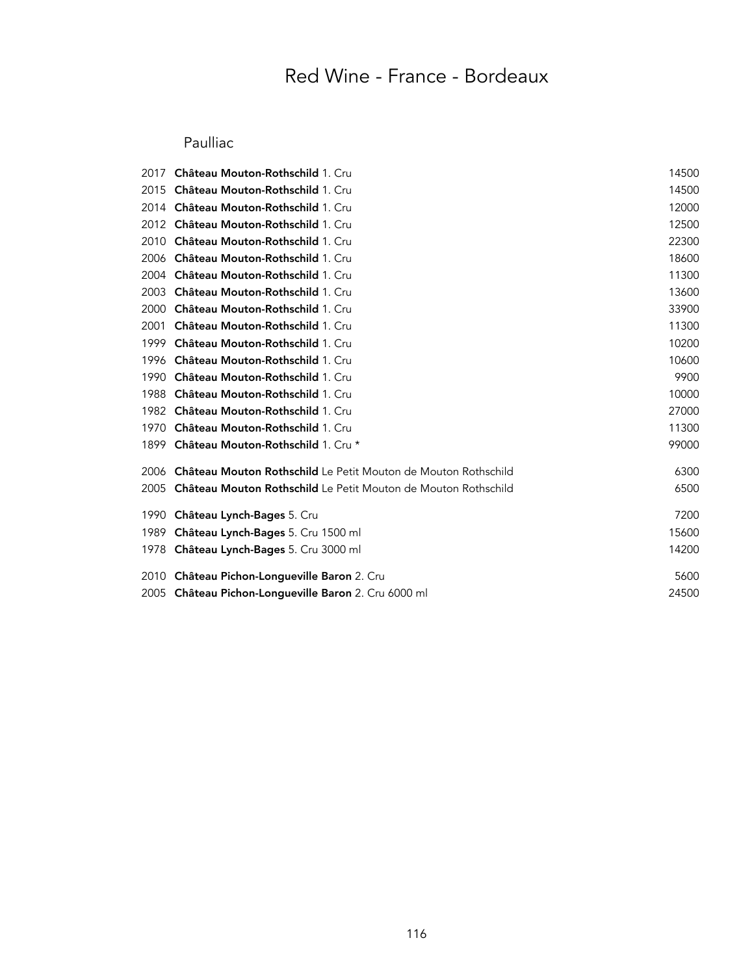### Paulliac

| 2017 | Château Mouton-Rothschild 1. Cru                                      | 14500 |
|------|-----------------------------------------------------------------------|-------|
| 2015 | Château Mouton-Rothschild 1. Cru                                      | 14500 |
| 2014 | <b>Château Mouton-Rothschild 1. Cru</b>                               | 12000 |
| 2012 | <b>Château Mouton-Rothschild 1. Cru</b>                               | 12500 |
| 2010 | Château Mouton-Rothschild 1. Cru                                      | 22300 |
| 2006 | <b>Château Mouton-Rothschild 1. Cru</b>                               | 18600 |
| 2004 | Château Mouton-Rothschild 1. Cru                                      | 11300 |
| 2003 | <b>Château Mouton-Rothschild 1. Cru</b>                               | 13600 |
| 2000 | Château Mouton-Rothschild 1. Cru                                      | 33900 |
| 2001 | Château Mouton-Rothschild 1. Cru                                      | 11300 |
| 1999 | Château Mouton-Rothschild 1. Cru                                      | 10200 |
| 1996 | <b>Château Mouton-Rothschild 1. Cru</b>                               | 10600 |
| 1990 | Château Mouton-Rothschild 1. Cru                                      | 9900  |
| 1988 | <b>Château Mouton-Rothschild 1. Cru</b>                               | 10000 |
| 1982 | <b>Château Mouton-Rothschild 1. Cru</b>                               | 27000 |
| 1970 | Château Mouton-Rothschild 1. Cru                                      | 11300 |
| 1899 | Château Mouton-Rothschild 1. Cru *                                    | 99000 |
| 2006 | Château Mouton Rothschild Le Petit Mouton de Mouton Rothschild        | 6300  |
| 2005 | <b>Château Mouton Rothschild</b> Le Petit Mouton de Mouton Rothschild | 6500  |
| 1990 | Château Lynch-Bages 5. Cru                                            | 7200  |
| 1989 | Château Lynch-Bages 5. Cru 1500 ml                                    | 15600 |
|      | 1978 Château Lynch-Bages 5. Cru 3000 ml                               | 14200 |
| 2010 | Château Pichon-Longueville Baron 2. Cru                               | 5600  |
|      | 2005 Château Pichon-Longueville Baron 2. Cru 6000 ml                  | 24500 |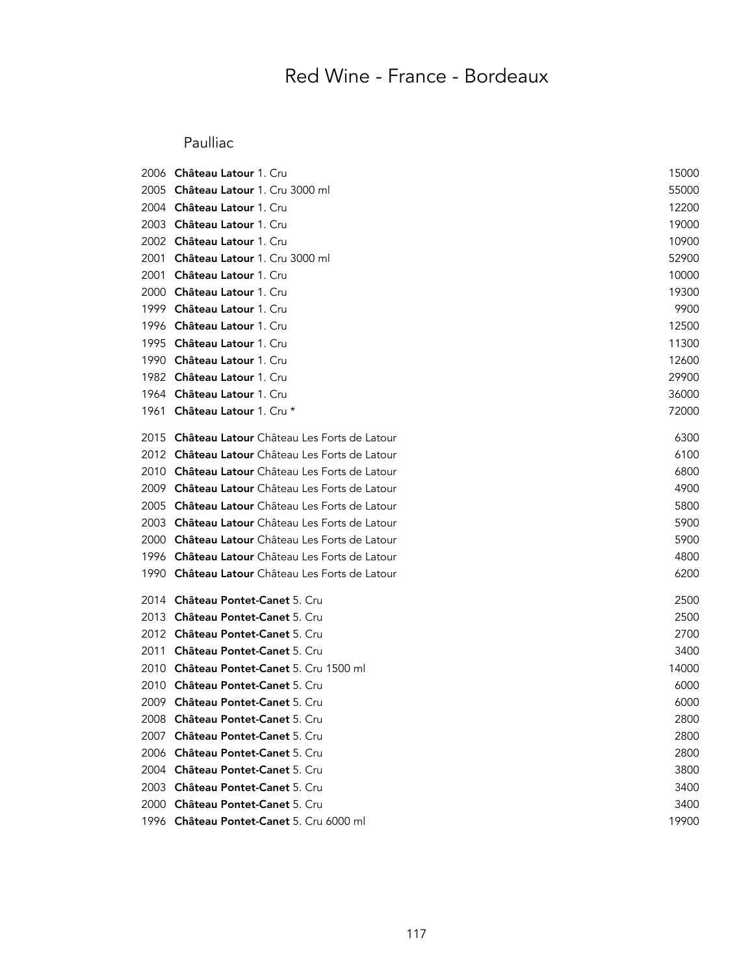### Paulliac

| 2006 | Château Latour 1. Cru                           | 15000 |
|------|-------------------------------------------------|-------|
| 2005 | <b>Château Latour</b> 1. Cru 3000 ml            | 55000 |
| 2004 | Château Latour 1. Cru                           | 12200 |
| 2003 | Château Latour 1. Cru                           | 19000 |
| 2002 | Château Latour 1. Cru                           | 10900 |
| 2001 | Château Latour 1. Cru 3000 ml                   | 52900 |
| 2001 | Château Latour 1. Cru                           | 10000 |
| 2000 | Château Latour 1. Cru                           | 19300 |
| 1999 | <b>Château Latour 1. Cru</b>                    | 9900  |
| 1996 | Château Latour 1. Cru                           | 12500 |
| 1995 | <b>Château Latour 1. Cru</b>                    | 11300 |
| 1990 | Château Latour 1. Cru                           | 12600 |
| 1982 | Château Latour 1. Cru                           | 29900 |
|      | 1964 Château Latour 1. Cru                      | 36000 |
|      | 1961 Château Latour 1. Cru *                    | 72000 |
| 2015 | Château Latour Château Les Forts de Latour      | 6300  |
|      | 2012 Château Latour Château Les Forts de Latour | 6100  |
|      | 2010 Château Latour Château Les Forts de Latour | 6800  |
| 2009 | Château Latour Château Les Forts de Latour      | 4900  |
| 2005 | Château Latour Château Les Forts de Latour      | 5800  |
| 2003 | Château Latour Château Les Forts de Latour      | 5900  |
| 2000 | Château Latour Château Les Forts de Latour      | 5900  |
|      | 1996 Château Latour Château Les Forts de Latour | 4800  |
|      | 1990 Château Latour Château Les Forts de Latour | 6200  |
| 2014 | Château Pontet-Canet 5. Cru                     | 2500  |
| 2013 | Château Pontet-Canet 5. Cru                     | 2500  |
|      | 2012 Château Pontet-Canet 5. Cru                | 2700  |
| 2011 | Château Pontet-Canet 5. Cru                     | 3400  |
| 2010 | Château Pontet-Canet 5. Cru 1500 ml             | 14000 |
| 2010 | Château Pontet-Canet 5. Cru                     | 6000  |
|      | 2009 Château Pontet-Canet 5. Cru                | 6000  |
|      | 2008 Château Pontet-Canet 5. Cru                | 2800  |
|      | 2007 Château Pontet-Canet 5. Cru                | 2800  |
|      | 2006 Château Pontet-Canet 5, Cru                | 2800  |
|      | 2004 Château Pontet-Canet 5. Cru                | 3800  |
|      | 2003 Château Pontet-Canet 5. Cru                | 3400  |
|      | 2000 Château Pontet-Canet 5. Cru                | 3400  |
|      | 1996 Château Pontet-Canet 5. Cru 6000 ml        | 19900 |
|      |                                                 |       |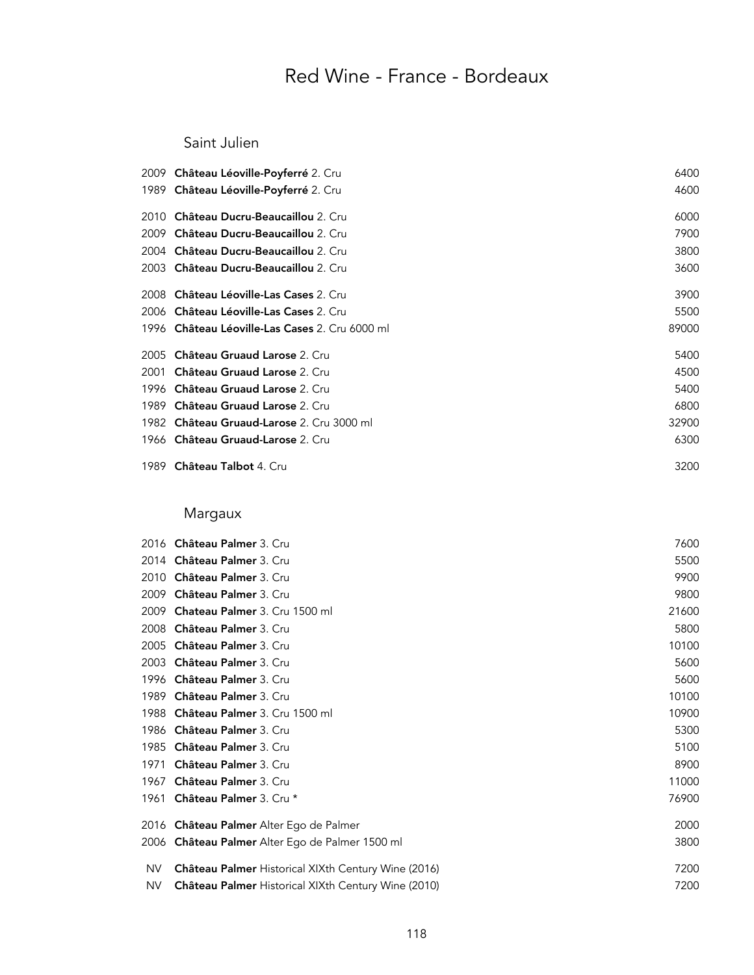#### Saint Julien

|      | 2009 Château Léoville-Poyferré 2. Cru          | 6400  |
|------|------------------------------------------------|-------|
|      | 1989 Château Léoville-Poyferré 2. Cru          | 4600  |
| 2010 | Château Ducru-Beaucaillou 2. Cru               | 6000  |
| 2009 | <b>Château Ducru-Beaucaillou</b> 2. Cru        | 7900  |
| 2004 | Château Ducru-Beaucaillou 2. Cru               | 3800  |
|      | 2003 Château Ducru-Beaucaillou 2. Cru          | 3600  |
| 2008 | <b>Château Léoville-Las Cases 2. Cru</b>       | 3900  |
|      | 2006 Château Léoville-Las Cases 2. Cru         | 5500  |
|      | 1996 Château Léoville-Las Cases 2. Cru 6000 ml | 89000 |
| 2005 | Château Gruaud Larose 2. Cru                   | 5400  |
| 2001 | Château Gruaud Larose 2. Cru                   | 4500  |
|      | 1996 Château Gruaud Larose 2. Cru              | 5400  |
| 1989 | <b>Château Gruaud Larose 2. Cru</b>            | 6800  |
|      | 1982 Château Gruaud-Larose 2. Cru 3000 ml      | 32900 |
|      | 1966 Château Gruaud-Larose 2. Cru              | 6300  |
|      | 1989 <b>Château Talbot</b> 4. Cru              | 3200  |

## Margaux

|      | 2016 Château Palmer 3. Cru                                 | 7600  |
|------|------------------------------------------------------------|-------|
| 2014 | Château Palmer 3. Cru                                      | 5500  |
| 2010 | <b>Château Palmer 3. Cru</b>                               | 9900  |
| 2009 | Château Palmer 3. Cru                                      | 9800  |
| 2009 | Chateau Palmer 3. Cru 1500 ml                              | 21600 |
| 2008 | Château Palmer 3. Cru                                      | 5800  |
| 2005 | Château Palmer 3. Cru                                      | 10100 |
| 2003 | Château Palmer 3. Cru                                      | 5600  |
| 1996 | <b>Château Palmer</b> 3. Cru                               | 5600  |
| 1989 | <b>Château Palmer</b> 3. Cru                               | 10100 |
| 1988 | Château Palmer 3. Cru 1500 ml                              | 10900 |
| 1986 | Château Palmer 3. Cru                                      | 5300  |
| 1985 | Château Palmer 3. Cru                                      | 5100  |
| 1971 | <b>Château Palmer</b> 3. Cru                               | 8900  |
| 1967 | Château Palmer 3. Cru                                      | 11000 |
| 1961 | Château Palmer 3. Cru *                                    | 76900 |
| 2016 | Château Palmer Alter Ego de Palmer                         | 2000  |
| 2006 | Château Palmer Alter Ego de Palmer 1500 ml                 | 3800  |
| NV   | <b>Château Palmer Historical XIXth Century Wine (2016)</b> | 7200  |
| NV   | <b>Château Palmer Historical XIXth Century Wine (2010)</b> | 7200  |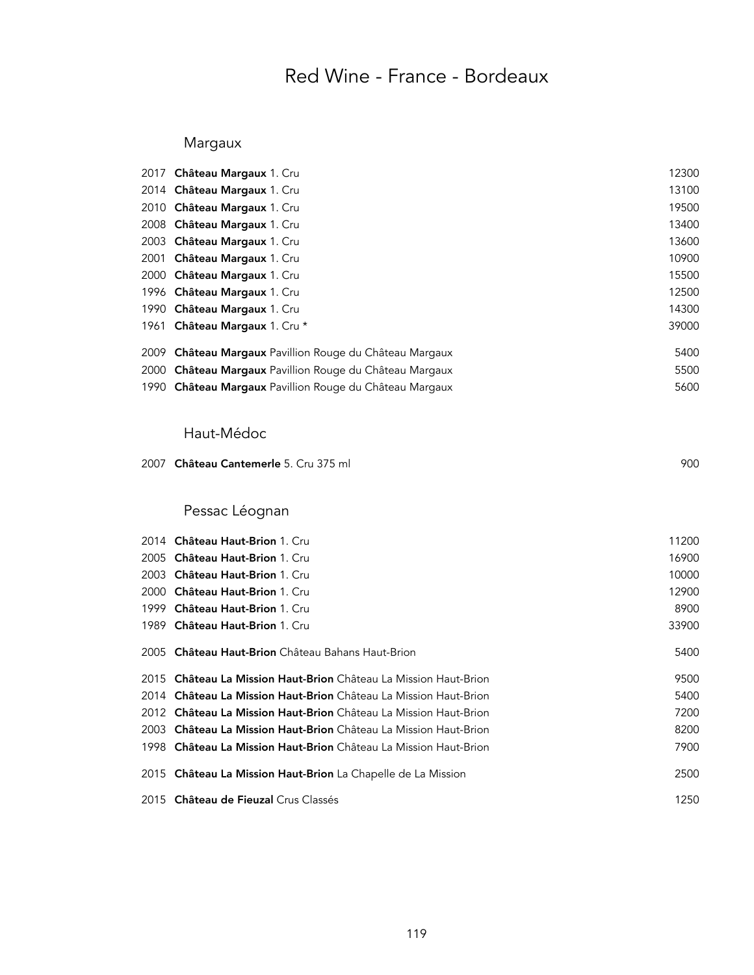### Margaux

|      | 2017 Château Margaux 1. Cru                                      | 12300 |
|------|------------------------------------------------------------------|-------|
|      | 2014 Château Margaux 1. Cru                                      | 13100 |
|      | 2010 Château Margaux 1. Cru                                      | 19500 |
|      | 2008 Château Margaux 1. Cru                                      | 13400 |
|      | 2003 Château Margaux 1. Cru                                      | 13600 |
|      | 2001 Château Margaux 1. Cru                                      | 10900 |
|      | 2000 Château Margaux 1. Cru                                      | 15500 |
|      | 1996 Château Margaux 1. Cru                                      | 12500 |
|      | 1990 Château Margaux 1. Cru                                      | 14300 |
|      | 1961 Château Margaux 1. Cru *                                    | 39000 |
|      | 2009 Château Margaux Pavillion Rouge du Château Margaux          | 5400  |
|      | 2000 Château Margaux Pavillion Rouge du Château Margaux          | 5500  |
|      | 1990 Château Margaux Pavillion Rouge du Château Margaux          | 5600  |
|      | Haut-Médoc                                                       |       |
| 2007 | Château Cantemerle 5. Cru 375 ml                                 | 900   |
|      | Pessac Léognan                                                   |       |
|      | 2014 Château Haut-Brion 1. Cru                                   | 11200 |
| 2005 | Château Haut-Brion 1. Cru                                        | 16900 |
|      | 2003 Château Haut-Brion 1. Cru                                   | 10000 |
|      | 2000 Château Haut-Brion 1. Cru                                   | 12900 |
| 1999 | Château Haut-Brion 1. Cru                                        | 8900  |
| 1989 | Château Haut-Brion 1. Cru                                        | 33900 |
| 2005 | Château Haut-Brion Château Bahans Haut-Brion                     | 5400  |
|      | 2015 Château La Mission Haut-Brion Château La Mission Haut-Brion | 9500  |
|      | 2014 Château La Mission Haut-Brion Château La Mission Haut-Brion | 5400  |
|      | 2012 Château La Mission Haut-Brion Château La Mission Haut-Brion | 7200  |
|      | 2003 Château La Mission Haut-Brion Château La Mission Haut-Brion | 8200  |

| 1998 Château La Mission Haut-Brion Château La Mission Haut-Brion | 7900 |
|------------------------------------------------------------------|------|
| 2015 Château La Mission Haut-Brion La Chapelle de La Mission     | 2500 |

Château de Fieuzal Crus Classés 1250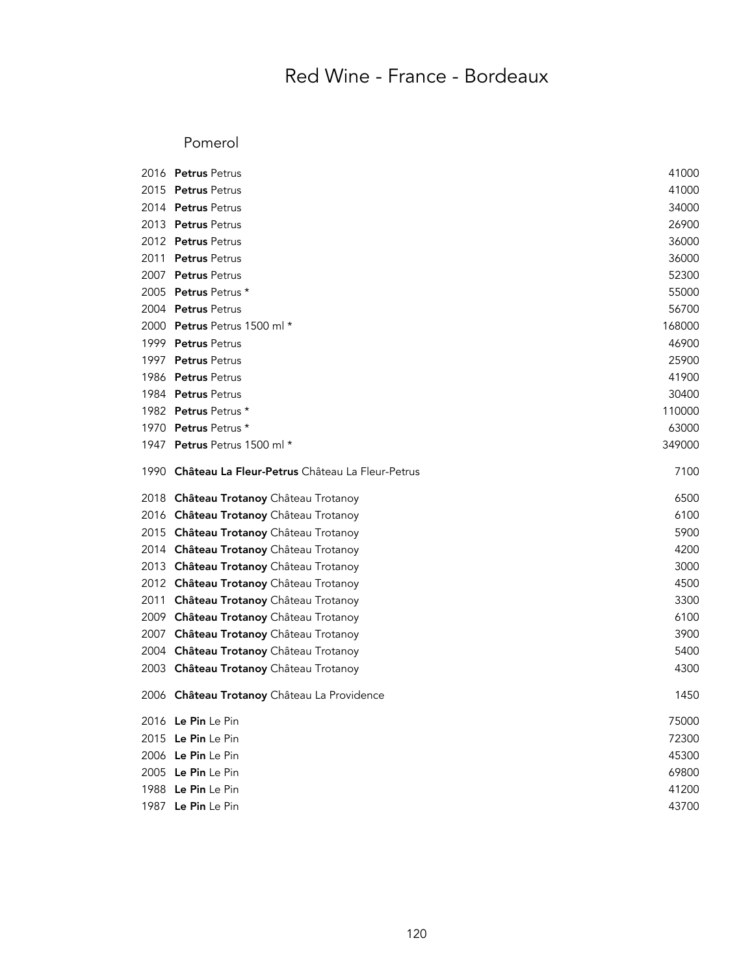#### Pomerol

|      | 2016 Petrus Petrus                                   | 41000  |
|------|------------------------------------------------------|--------|
|      | 2015 Petrus Petrus                                   | 41000  |
|      | 2014 Petrus Petrus                                   | 34000  |
|      | 2013 Petrus Petrus                                   | 26900  |
|      | 2012 Petrus Petrus                                   | 36000  |
|      | 2011 Petrus Petrus                                   | 36000  |
|      | 2007 Petrus Petrus                                   | 52300  |
|      | 2005 Petrus Petrus *                                 | 55000  |
|      | 2004 Petrus Petrus                                   | 56700  |
|      | 2000 Petrus Petrus 1500 ml *                         | 168000 |
|      | 1999 Petrus Petrus                                   | 46900  |
|      | 1997 Petrus Petrus                                   | 25900  |
|      | 1986 Petrus Petrus                                   | 41900  |
|      | 1984 Petrus Petrus                                   | 30400  |
|      | 1982 Petrus Petrus *                                 | 110000 |
|      | 1970 Petrus Petrus *                                 | 63000  |
|      | 1947 Petrus Petrus 1500 ml *                         | 349000 |
|      | 1990 Château La Fleur-Petrus Château La Fleur-Petrus | 7100   |
|      | 2018 Château Trotanoy Château Trotanoy               | 6500   |
|      | 2016 Château Trotanoy Château Trotanoy               | 6100   |
|      | 2015 Château Trotanoy Château Trotanoy               | 5900   |
|      | 2014 Château Trotanoy Château Trotanoy               | 4200   |
|      | 2013 Château Trotanoy Château Trotanoy               | 3000   |
|      | 2012 Château Trotanoy Château Trotanoy               | 4500   |
| 2011 | Château Trotanoy Château Trotanoy                    | 3300   |
|      | 2009 Château Trotanoy Château Trotanoy               | 6100   |
|      | 2007 Château Trotanoy Château Trotanoy               | 3900   |
|      | 2004 Château Trotanoy Château Trotanoy               | 5400   |
|      | 2003 Château Trotanoy Château Trotanoy               | 4300   |
|      | 2006 Château Trotanoy Château La Providence          | 1450   |
|      | 2016 Le Pin Le Pin                                   | 75000  |
|      | 2015 Le Pin Le Pin                                   | 72300  |
|      | 2006 Le Pin Le Pin                                   | 45300  |
|      | 2005 Le Pin Le Pin                                   | 69800  |
|      | 1988 Le Pin Le Pin                                   | 41200  |
|      | 1987 Le Pin Le Pin                                   | 43700  |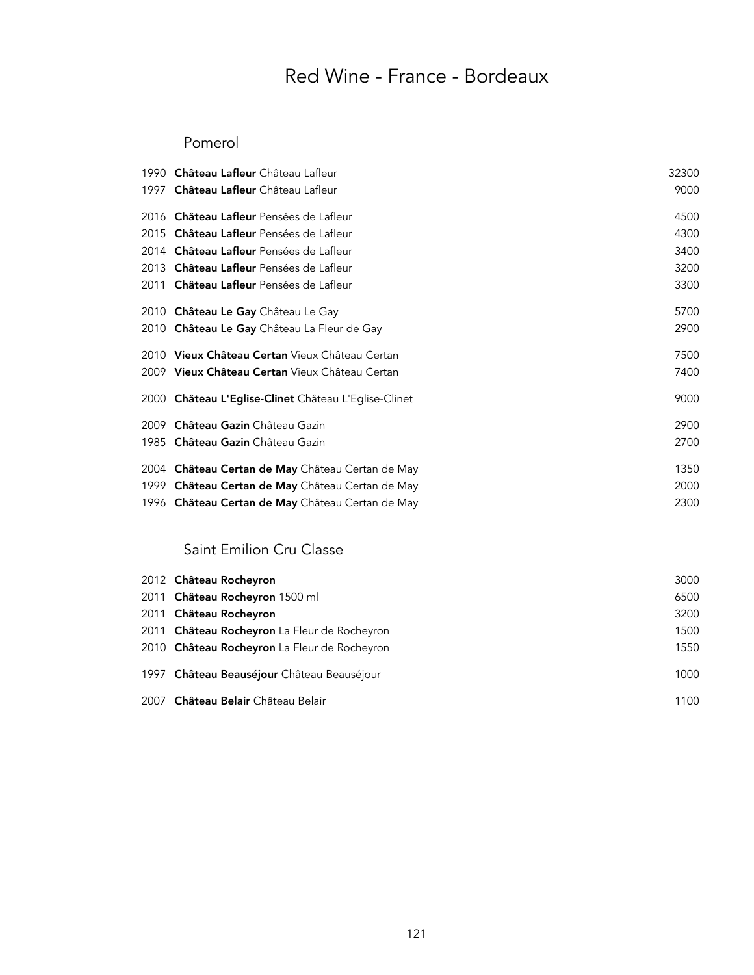#### Pomerol

| 1990 Château Lafleur Château Lafleur                    | 32300 |
|---------------------------------------------------------|-------|
| 1997 Château Lafleur Château Lafleur                    | 9000  |
| 2016 <b>Château Lafleur</b> Pensées de Lafleur          | 4500  |
| 2015 <b>Château Lafleur</b> Pensées de Lafleur          | 4300  |
| 2014 <b>Château Lafleur</b> Pensées de Lafleur          | 3400  |
| 2013 Château Lafleur Pensées de Lafleur                 | 3200  |
| 2011 <b>Château Lafleur</b> Pensées de Lafleur          | 3300  |
| 2010 Château Le Gay Château Le Gay                      | 5700  |
| 2010 Château Le Gay Château La Fleur de Gay             | 2900  |
| 2010 Vieux Château Certan Vieux Château Certan          | 7500  |
| 2009 <b>Vieux Château Certan</b> Vieux Château Certan   | 7400  |
| 2000 Château L'Eglise-Clinet Château L'Eglise-Clinet    | 9000  |
| 2009 <b>Château Gazin</b> Château Gazin                 | 2900  |
| 1985 Château Gazin Château Gazin                        | 2700  |
| 2004 <b>Château Certan de May</b> Château Certan de May | 1350  |
| 1999 Château Certan de May Château Certan de May        | 2000  |
| 1996 Château Certan de May Château Certan de May        | 2300  |

### Saint Emilion Cru Classe

| 2012 Château Rocheyron                       | 3000 |
|----------------------------------------------|------|
| 2011 Château Rocheyron 1500 ml               | 6500 |
| 2011 Château Rocheyron                       | 3200 |
| 2011 Château Rocheyron La Fleur de Rocheyron | 1500 |
| 2010 Château Rocheyron La Fleur de Rocheyron | 1550 |
| 1997 Château Beauséjour Château Beauséjour   | 1000 |
| 2007 Château Belair Château Belair           | 1100 |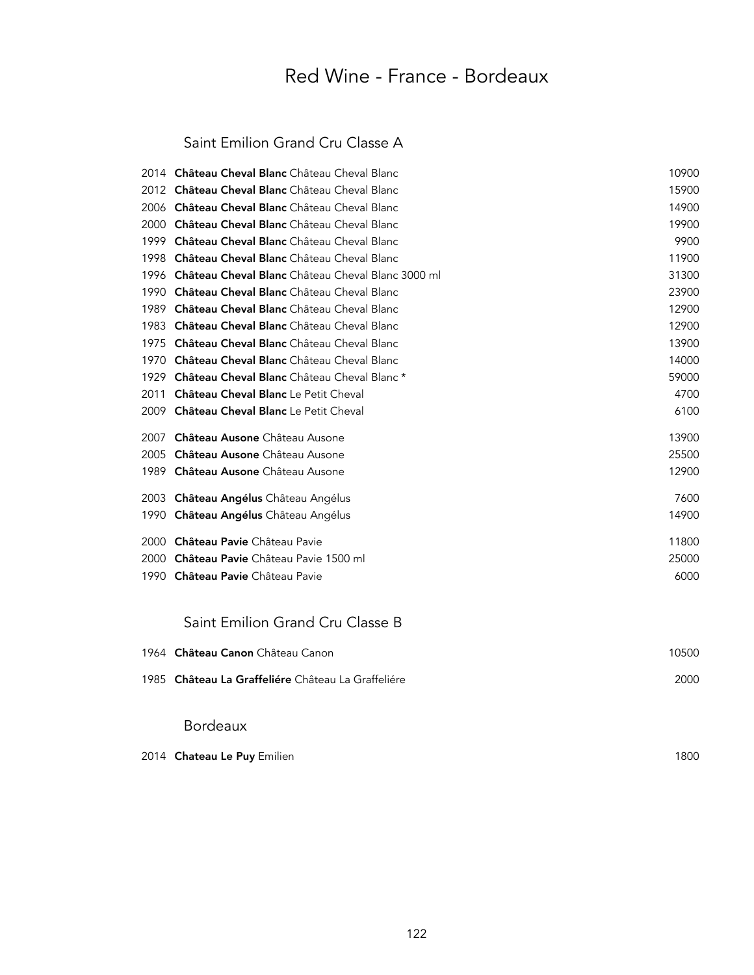### Saint Emilion Grand Cru Classe A

|      | 2014 Château Cheval Blanc Château Cheval Blanc    | 10900 |
|------|---------------------------------------------------|-------|
| 2012 | Château Cheval Blanc Château Cheval Blanc         | 15900 |
| 2006 | Château Cheval Blanc Château Cheval Blanc         | 14900 |
| 2000 | Château Cheval Blanc Château Cheval Blanc         | 19900 |
| 1999 | Château Cheval Blanc Château Cheval Blanc         | 9900  |
| 1998 | Château Cheval Blanc Château Cheval Blanc         | 11900 |
| 1996 | Château Cheval Blanc Château Cheval Blanc 3000 ml | 31300 |
| 1990 | Château Cheval Blanc Château Cheval Blanc         | 23900 |
| 1989 | Château Cheval Blanc Château Cheval Blanc         | 12900 |
| 1983 | Château Cheval Blanc Château Cheval Blanc         | 12900 |
| 1975 | Château Cheval Blanc Château Cheval Blanc         | 13900 |
| 1970 | Château Cheval Blanc Château Cheval Blanc         | 14000 |
| 1929 | Château Cheval Blanc Château Cheval Blanc *       | 59000 |
| 2011 | <b>Château Cheval Blanc</b> Le Petit Cheval       | 4700  |
| 2009 | <b>Château Cheval Blanc</b> Le Petit Cheval       | 6100  |
| 2007 | Château Ausone Château Ausone                     | 13900 |
| 2005 | Château Ausone Château Ausone                     | 25500 |
| 1989 | Château Ausone Château Ausone                     | 12900 |
|      | 2003 Château Angélus Château Angélus              | 7600  |
| 1990 | <b>Château Angélus</b> Château Angélus            | 14900 |
| 2000 | Château Pavie Château Pavie                       | 11800 |
| 2000 | Château Pavie Château Pavie 1500 ml               | 25000 |
| 1990 | Château Pavie Château Pavie                       | 6000  |
|      |                                                   |       |

### Saint Emilion Grand Cru Classe B

| 1964 Château Canon Château Canon                   | 10500 |
|----------------------------------------------------|-------|
| 1985 Château La Graffeliére Château La Graffeliére | 2000  |
|                                                    |       |

### Bordeaux

| 2014 <b>Chateau Le Puy</b> Emilien | 1800 |
|------------------------------------|------|
|------------------------------------|------|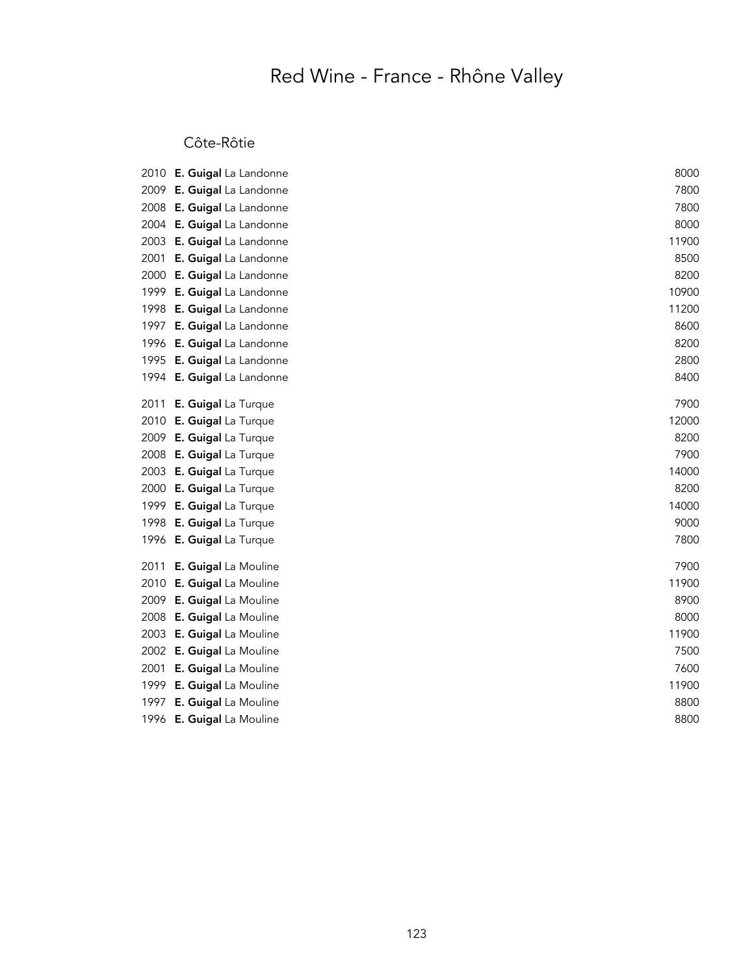### Côte-Rôtie

|      | 2010 E. Guigal La Landonne | 8000  |
|------|----------------------------|-------|
|      | 2009 E. Guigal La Landonne | 7800  |
| 2008 | E. Guigal La Landonne      | 7800  |
| 2004 | E. Guigal La Landonne      | 8000  |
| 2003 | E. Guigal La Landonne      | 11900 |
| 2001 | E. Guigal La Landonne      | 8500  |
| 2000 | E. Guigal La Landonne      | 8200  |
| 1999 | E. Guigal La Landonne      | 10900 |
| 1998 | E. Guigal La Landonne      | 11200 |
| 1997 | E. Guigal La Landonne      | 8600  |
| 1996 | E. Guigal La Landonne      | 8200  |
| 1995 | E. Guigal La Landonne      | 2800  |
| 1994 | E. Guigal La Landonne      | 8400  |
| 2011 | E. Guigal La Turque        | 7900  |
| 2010 | E. Guigal La Turque        | 12000 |
| 2009 | E. Guigal La Turque        | 8200  |
| 2008 | E. Guigal La Turque        | 7900  |
| 2003 | E. Guigal La Turque        | 14000 |
| 2000 | E. Guigal La Turque        | 8200  |
| 1999 | E. Guigal La Turque        | 14000 |
| 1998 | E. Guigal La Turque        | 9000  |
| 1996 | E. Guigal La Turque        | 7800  |
| 2011 | E. Guigal La Mouline       | 7900  |
| 2010 | E. Guigal La Mouline       | 11900 |
| 2009 | E. Guigal La Mouline       | 8900  |
| 2008 | E. Guigal La Mouline       | 8000  |
| 2003 | E. Guigal La Mouline       | 11900 |
| 2002 | E. Guigal La Mouline       | 7500  |
| 2001 | E. Guigal La Mouline       | 7600  |
| 1999 | E. Guigal La Mouline       | 11900 |
| 1997 | E. Guigal La Mouline       | 8800  |
| 1996 | E. Guigal La Mouline       | 8800  |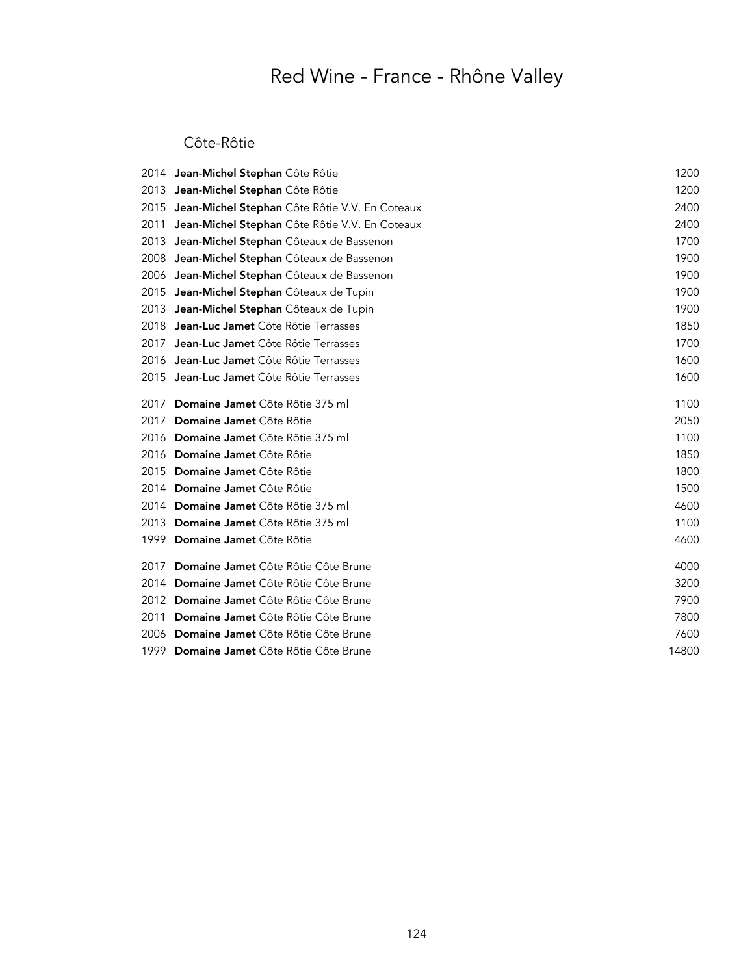### Côte-Rôtie

|      | 2014 Jean-Michel Stephan Côte Rôtie            | 1200  |
|------|------------------------------------------------|-------|
|      | 2013 Jean-Michel Stephan Côte Rôtie            | 1200  |
| 2015 | Jean-Michel Stephan Côte Rôtie V.V. En Coteaux | 2400  |
| 2011 | Jean-Michel Stephan Côte Rôtie V.V. En Coteaux | 2400  |
| 2013 | Jean-Michel Stephan Côteaux de Bassenon        | 1700  |
| 2008 | Jean-Michel Stephan Côteaux de Bassenon        | 1900  |
|      | 2006 Jean-Michel Stephan Côteaux de Bassenon   | 1900  |
| 2015 | Jean-Michel Stephan Côteaux de Tupin           | 1900  |
|      | 2013 Jean-Michel Stephan Côteaux de Tupin      | 1900  |
| 2018 | Jean-Luc Jamet Côte Rôtie Terrasses            | 1850  |
| 2017 | Jean-Luc Jamet Côte Rôtie Terrasses            | 1700  |
|      | 2016 Jean-Luc Jamet Côte Rôtie Terrasses       | 1600  |
|      | 2015 Jean-Luc Jamet Côte Rôtie Terrasses       | 1600  |
| 2017 | Domaine Jamet Côte Rôtie 375 ml                | 1100  |
| 2017 | Domaine Jamet Côte Rôtie                       | 2050  |
|      | 2016 Domaine Jamet Côte Rôtie 375 ml           | 1100  |
|      | 2016 Domaine Jamet Côte Rôtie                  | 1850  |
| 2015 | Domaine Jamet Côte Rôtie                       | 1800  |
|      | 2014 Domaine Jamet Côte Rôtie                  | 1500  |
|      | 2014 Domaine Jamet Côte Rôtie 375 ml           | 4600  |
| 2013 | Domaine Jamet Côte Rôtie 375 ml                | 1100  |
| 1999 | Domaine Jamet Côte Rôtie                       | 4600  |
| 2017 | Domaine Jamet Côte Rôtie Côte Brune            | 4000  |
|      | 2014 Domaine Jamet Côte Rôtie Côte Brune       | 3200  |
|      | 2012 Domaine Jamet Côte Rôtie Côte Brune       | 7900  |
| 2011 | Domaine Jamet Côte Rôtie Côte Brune            | 7800  |
| 2006 | Domaine Jamet Côte Rôtie Côte Brune            | 7600  |
| 1999 | Domaine Jamet Côte Rôtie Côte Brune            | 14800 |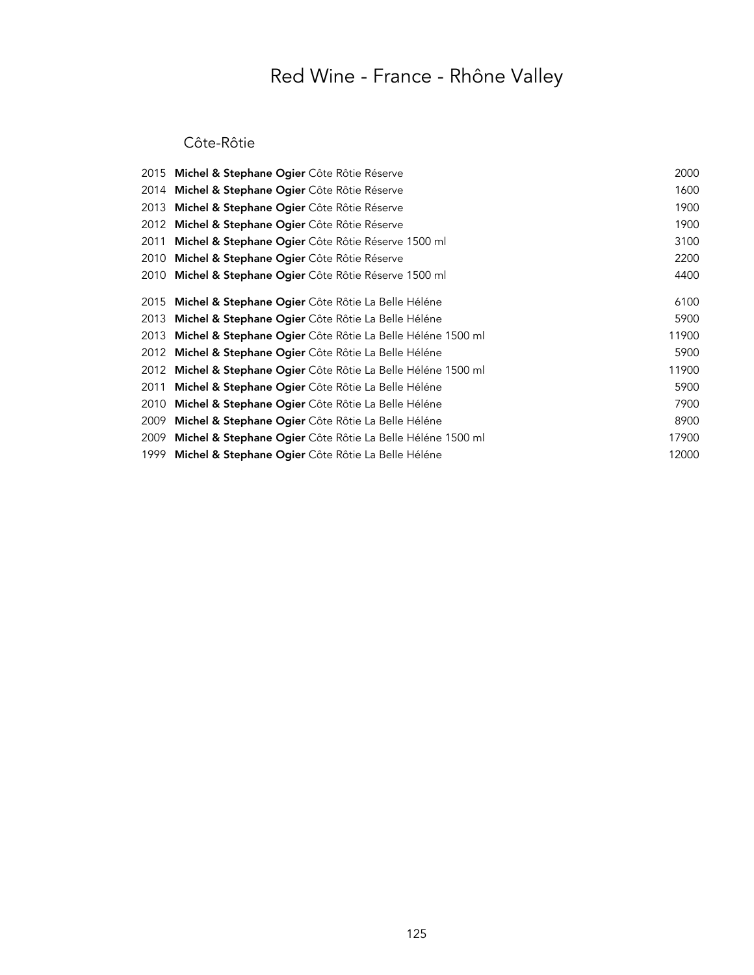#### Côte-Rôtie

|      | 2015 Michel & Stephane Ogier Côte Rôtie Réserve                       | 2000  |
|------|-----------------------------------------------------------------------|-------|
| 2014 | Michel & Stephane Ogier Côte Rôtie Réserve                            | 1600  |
| 2013 | Michel & Stephane Ogier Côte Rôtie Réserve                            | 1900  |
| 2012 | Michel & Stephane Ogier Côte Rôtie Réserve                            | 1900  |
| 2011 | Michel & Stephane Ogier Côte Rôtie Réserve 1500 ml                    | 3100  |
| 2010 | Michel & Stephane Ogier Côte Rôtie Réserve                            | 2200  |
|      | 2010 Michel & Stephane Ogier Côte Rôtie Réserve 1500 ml               | 4400  |
|      | 2015 Michel & Stephane Ogier Côte Rôtie La Belle Héléne               | 6100  |
| 2013 | Michel & Stephane Ogier Côte Rôtie La Belle Héléne                    | 5900  |
| 2013 | <b>Michel &amp; Stephane Ogier</b> Côte Rôtie La Belle Héléne 1500 ml | 11900 |
| 2012 | Michel & Stephane Ogier Côte Rôtie La Belle Héléne                    | 5900  |
| 2012 | Michel & Stephane Ogier Côte Rôtie La Belle Héléne 1500 ml            | 11900 |
| 2011 | Michel & Stephane Ogier Côte Rôtie La Belle Héléne                    | 5900  |
| 2010 | Michel & Stephane Ogier Côte Rôtie La Belle Héléne                    | 7900  |
| 2009 | Michel & Stephane Ogier Côte Rôtie La Belle Héléne                    | 8900  |
| 2009 | <b>Michel &amp; Stephane Ogier</b> Côte Rôtie La Belle Héléne 1500 ml | 17900 |
|      | 1999 Michel & Stephane Ogier Côte Rôtie La Belle Héléne               | 12000 |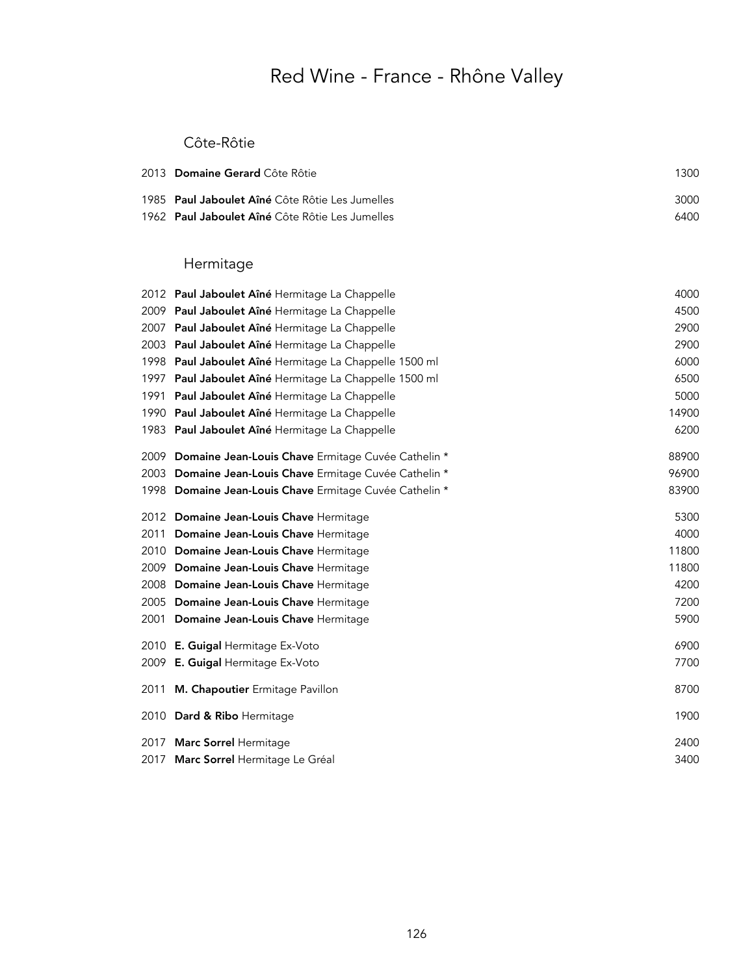#### Côte-Rôtie

| 2013 Domaine Gerard Côte Rôtie                         | 1300 |
|--------------------------------------------------------|------|
| 1985 <b>Paul Jaboulet Aîné</b> Côte Rôtie Les Jumelles | 3000 |
| 1962 Paul Jaboulet Aîné Côte Rôtie Les Jumelles        | 6400 |

### Hermitage

|      | 2012 Paul Jaboulet Aîné Hermitage La Chappelle     | 4000  |
|------|----------------------------------------------------|-------|
| 2009 | Paul Jaboulet Aîné Hermitage La Chappelle          | 4500  |
| 2007 | Paul Jaboulet Aîné Hermitage La Chappelle          | 2900  |
| 2003 | Paul Jaboulet Aîné Hermitage La Chappelle          | 2900  |
| 1998 | Paul Jaboulet Aîné Hermitage La Chappelle 1500 ml  | 6000  |
| 1997 | Paul Jaboulet Aîné Hermitage La Chappelle 1500 ml  | 6500  |
| 1991 | Paul Jaboulet Aîné Hermitage La Chappelle          | 5000  |
| 1990 | Paul Jaboulet Aîné Hermitage La Chappelle          | 14900 |
| 1983 | Paul Jaboulet Aîné Hermitage La Chappelle          | 6200  |
| 2009 | Domaine Jean-Louis Chave Ermitage Cuvée Cathelin * | 88900 |
| 2003 | Domaine Jean-Louis Chave Ermitage Cuvée Cathelin * | 96900 |
| 1998 | Domaine Jean-Louis Chave Ermitage Cuvée Cathelin * | 83900 |
| 2012 | Domaine Jean-Louis Chave Hermitage                 | 5300  |
| 2011 | Domaine Jean-Louis Chave Hermitage                 | 4000  |
| 2010 | Domaine Jean-Louis Chave Hermitage                 | 11800 |
| 2009 | Domaine Jean-Louis Chave Hermitage                 | 11800 |
| 2008 | Domaine Jean-Louis Chave Hermitage                 | 4200  |
| 2005 | Domaine Jean-Louis Chave Hermitage                 | 7200  |
| 2001 | Domaine Jean-Louis Chave Hermitage                 | 5900  |
| 2010 | E. Guigal Hermitage Ex-Voto                        | 6900  |
| 2009 | E. Guigal Hermitage Ex-Voto                        | 7700  |
| 2011 | M. Chapoutier Ermitage Pavillon                    | 8700  |
|      | 2010 Dard & Ribo Hermitage                         | 1900  |
| 2017 | Marc Sorrel Hermitage                              | 2400  |
| 2017 | Marc Sorrel Hermitage Le Gréal                     | 3400  |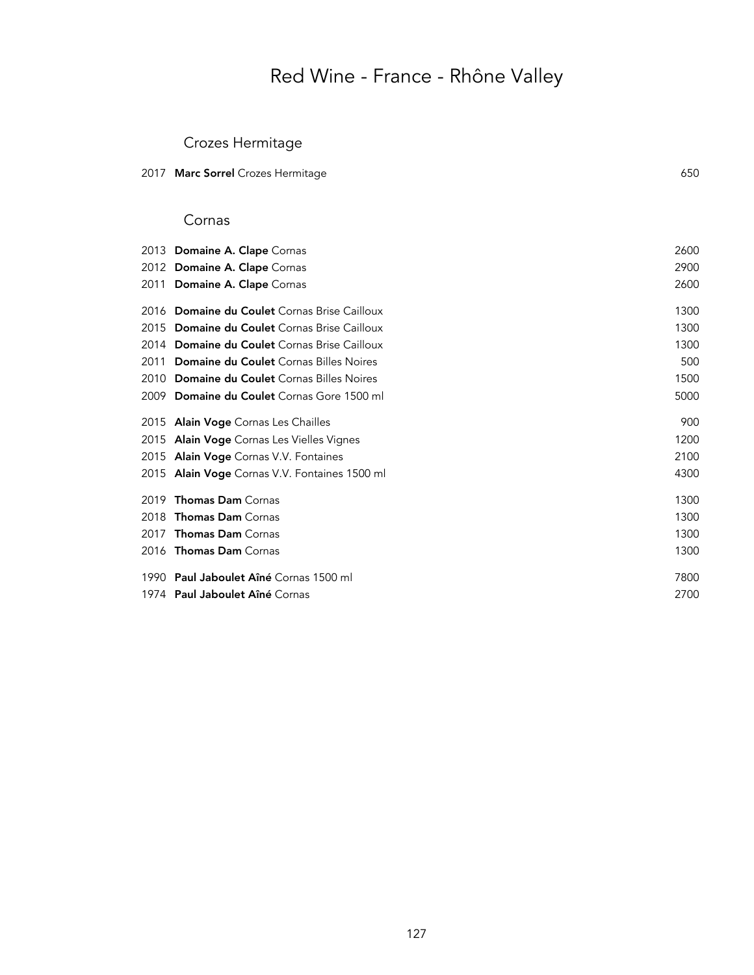## Crozes Hermitage

|  | 2017 <b>Marc Sorrel</b> Crozes Hermitage | 650 |
|--|------------------------------------------|-----|
|--|------------------------------------------|-----|

#### Cornas

|      | 2013 Domaine A. Clape Cornas                  | 2600 |
|------|-----------------------------------------------|------|
|      | 2012 Domaine A. Clape Cornas                  | 2900 |
|      | 2011 Domaine A. Clape Cornas                  | 2600 |
|      | 2016 Domaine du Coulet Cornas Brise Cailloux  | 1300 |
|      | 2015 Domaine du Coulet Cornas Brise Cailloux  | 1300 |
|      | 2014 Domaine du Coulet Cornas Brise Cailloux  | 1300 |
| 2011 | Domaine du Coulet Cornas Billes Noires        | 500  |
| 2010 | <b>Domaine du Coulet</b> Cornas Billes Noires | 1500 |
|      | 2009 Domaine du Coulet Cornas Gore 1500 ml    | 5000 |
|      | 2015 Alain Voge Cornas Les Chailles           | 900  |
|      | 2015 Alain Voge Cornas Les Vielles Vignes     | 1200 |
|      | 2015 Alain Voge Cornas V.V. Fontaines         | 2100 |
|      | 2015 Alain Voge Cornas V.V. Fontaines 1500 ml | 4300 |
| 2019 | <b>Thomas Dam Cornas</b>                      | 1300 |
| 2018 | <b>Thomas Dam</b> Cornas                      | 1300 |
| 2017 | <b>Thomas Dam Cornas</b>                      | 1300 |
|      | 2016 <b>Thomas Dam</b> Cornas                 | 1300 |
|      | 1990 Paul Jaboulet Aîné Cornas 1500 ml        | 7800 |
|      | 1974 <b>Paul Jaboulet Aîné</b> Cornas         | 2700 |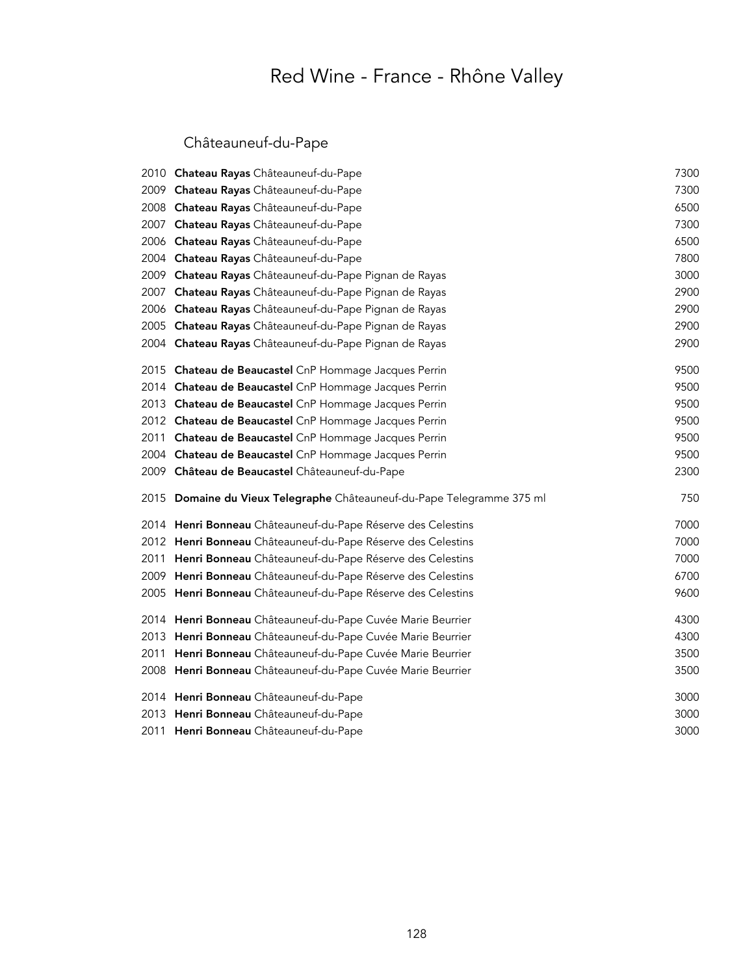## Châteauneuf-du-Pape

|      | 2010 Chateau Rayas Châteauneuf-du-Pape                                 | 7300 |
|------|------------------------------------------------------------------------|------|
|      | 2009 Chateau Rayas Châteauneuf-du-Pape                                 | 7300 |
|      | 2008 Chateau Rayas Châteauneuf-du-Pape                                 | 6500 |
|      | 2007 Chateau Rayas Châteauneuf-du-Pape                                 | 7300 |
|      | 2006 Chateau Rayas Châteauneuf-du-Pape                                 | 6500 |
|      | 2004 Chateau Rayas Châteauneuf-du-Pape                                 | 7800 |
|      | 2009 Chateau Rayas Châteauneuf-du-Pape Pignan de Rayas                 | 3000 |
| 2007 | Chateau Rayas Châteauneuf-du-Pape Pignan de Rayas                      | 2900 |
|      | 2006 Chateau Rayas Châteauneuf-du-Pape Pignan de Rayas                 | 2900 |
|      | 2005 Chateau Rayas Châteauneuf-du-Pape Pignan de Rayas                 | 2900 |
|      | 2004 Chateau Rayas Châteauneuf-du-Pape Pignan de Rayas                 | 2900 |
|      | 2015 Chateau de Beaucastel CnP Hommage Jacques Perrin                  | 9500 |
|      | 2014 Chateau de Beaucastel CnP Hommage Jacques Perrin                  | 9500 |
|      | 2013 Chateau de Beaucastel CnP Hommage Jacques Perrin                  | 9500 |
|      | 2012 Chateau de Beaucastel CnP Hommage Jacques Perrin                  | 9500 |
| 2011 | Chateau de Beaucastel CnP Hommage Jacques Perrin                       | 9500 |
|      | 2004 Chateau de Beaucastel CnP Hommage Jacques Perrin                  | 9500 |
|      | 2009 Château de Beaucastel Châteauneuf-du-Pape                         | 2300 |
|      | 2015 Domaine du Vieux Telegraphe Châteauneuf-du-Pape Telegramme 375 ml | 750  |
|      | 2014 Henri Bonneau Châteauneuf-du-Pape Réserve des Celestins           | 7000 |
|      | 2012 Henri Bonneau Châteauneuf-du-Pape Réserve des Celestins           | 7000 |
| 2011 | Henri Bonneau Châteauneuf-du-Pape Réserve des Celestins                | 7000 |
|      | 2009 Henri Bonneau Châteauneuf-du-Pape Réserve des Celestins           | 6700 |
|      | 2005 Henri Bonneau Châteauneuf-du-Pape Réserve des Celestins           | 9600 |
|      | 2014 Henri Bonneau Châteauneuf-du-Pape Cuvée Marie Beurrier            | 4300 |
|      | 2013 Henri Bonneau Châteauneuf-du-Pape Cuvée Marie Beurrier            | 4300 |
|      | 2011 Henri Bonneau Châteauneuf-du-Pape Cuvée Marie Beurrier            | 3500 |
|      | 2008 Henri Bonneau Châteauneuf-du-Pape Cuvée Marie Beurrier            | 3500 |
|      | 2014 Henri Bonneau Châteauneuf-du-Pape                                 | 3000 |
|      | 2013 Henri Bonneau Châteauneuf-du-Pape                                 | 3000 |
|      | 2011 Henri Bonneau Châteauneuf-du-Pape                                 | 3000 |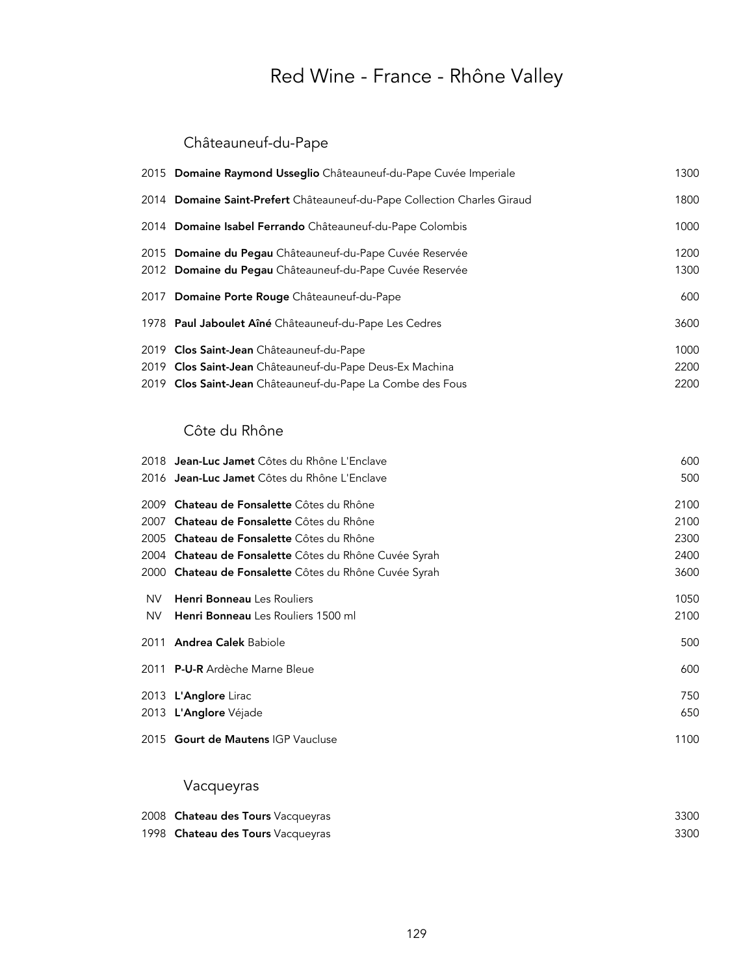## Châteauneuf-du-Pape

| 2015 Domaine Raymond Usseglio Châteauneuf-du-Pape Cuvée Imperiale        | 1300 |
|--------------------------------------------------------------------------|------|
| 2014 Domaine Saint-Prefert Châteauneuf-du-Pape Collection Charles Giraud | 1800 |
| 2014 Domaine Isabel Ferrando Châteauneuf-du-Pape Colombis                | 1000 |
| 2015 Domaine du Pegau Châteauneuf-du-Pape Cuvée Reservée                 | 1200 |
| 2012 Domaine du Pegau Châteauneuf-du-Pape Cuvée Reservée                 | 1300 |
| 2017 Domaine Porte Rouge Châteauneuf-du-Pape                             | 600  |
| 1978 Paul Jaboulet Aîné Châteauneuf-du-Pape Les Cedres                   | 3600 |
| 2019 Clos Saint-Jean Châteauneuf-du-Pape                                 | 1000 |
| 2019 Clos Saint-Jean Châteauneuf-du-Pape Deus-Ex Machina                 | 2200 |
| 2019 Clos Saint-Jean Châteauneuf-du-Pape La Combe des Fous               | 2200 |
|                                                                          |      |

### Côte du Rhône

|      | 2018 <b>Jean-Luc Jamet</b> Côtes du Rhône L'Enclave   | 600  |
|------|-------------------------------------------------------|------|
|      | 2016 Jean-Luc Jamet Côtes du Rhône L'Enclave          | 500  |
|      | 2009 Chateau de Fonsalette Côtes du Rhône             | 2100 |
| 2007 | Chateau de Fonsalette Côtes du Rhône                  | 2100 |
|      | 2005 Chateau de Fonsalette Côtes du Rhône             | 2300 |
|      | 2004 Chateau de Fonsalette Côtes du Rhône Cuvée Syrah | 2400 |
|      | 2000 Chateau de Fonsalette Côtes du Rhône Cuvée Syrah | 3600 |
| NV.  | <b>Henri Bonneau</b> Les Rouliers                     | 1050 |
| NV.  | Henri Bonneau Les Rouliers 1500 ml                    | 2100 |
|      | 2011 Andrea Calek Babiole                             | 500  |
|      | 2011 P-U-R Ardèche Marne Bleue                        | 600  |
|      | 2013 L'Anglore Lirac                                  | 750  |
|      | 2013 L'Anglore Véjade                                 | 650  |
|      | 2015 Gourt de Mautens IGP Vaucluse                    | 1100 |

## Vacqueyras

| 2008 Chateau des Tours Vacqueyras | 3300 |
|-----------------------------------|------|
| 1998 Chateau des Tours Vacqueyras | 3300 |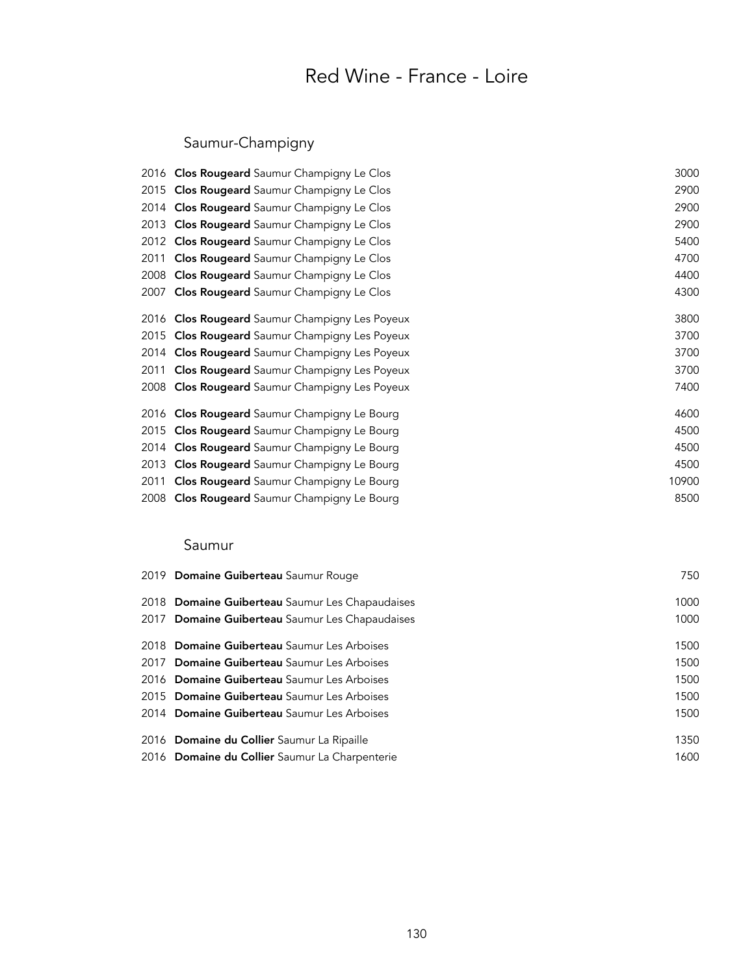## Red Wine - France - Loire

## Saumur-Champigny

|      | 2016 Clos Rougeard Saumur Champigny Le Clos    | 3000  |
|------|------------------------------------------------|-------|
| 2015 | Clos Rougeard Saumur Champigny Le Clos         | 2900  |
|      | 2014 Clos Rougeard Saumur Champigny Le Clos    | 2900  |
| 2013 | <b>Clos Rougeard</b> Saumur Champigny Le Clos  | 2900  |
|      | 2012 Clos Rougeard Saumur Champigny Le Clos    | 5400  |
| 2011 | Clos Rougeard Saumur Champigny Le Clos         | 4700  |
| 2008 | <b>Clos Rougeard</b> Saumur Champigny Le Clos  | 4400  |
| 2007 | <b>Clos Rougeard</b> Saumur Champigny Le Clos  | 4300  |
|      | 2016 Clos Rougeard Saumur Champigny Les Poyeux | 3800  |
| 2015 | Clos Rougeard Saumur Champigny Les Poyeux      | 3700  |
| 2014 | Clos Rougeard Saumur Champigny Les Poyeux      | 3700  |
| 2011 | Clos Rougeard Saumur Champigny Les Poyeux      | 3700  |
|      | 2008 Clos Rougeard Saumur Champigny Les Poyeux | 7400  |
|      | 2016 Clos Rougeard Saumur Champigny Le Bourg   | 4600  |
| 2015 | Clos Rougeard Saumur Champigny Le Bourg        | 4500  |
| 2014 | Clos Rougeard Saumur Champigny Le Bourg        | 4500  |
| 2013 | Clos Rougeard Saumur Champigny Le Bourg        | 4500  |
| 2011 | Clos Rougeard Saumur Champigny Le Bourg        | 10900 |
| 2008 | Clos Rougeard Saumur Champigny Le Bourg        | 8500  |
|      |                                                |       |

### Saumur

| 2019 Domaine Guiberteau Saumur Rouge            | 750  |
|-------------------------------------------------|------|
| 2018 Domaine Guiberteau Saumur Les Chapaudaises | 1000 |
| 2017 Domaine Guiberteau Saumur Les Chapaudaises | 1000 |
| 2018 Domaine Guiberteau Saumur Les Arboises     | 1500 |
| 2017 Domaine Guiberteau Saumur Les Arboises     | 1500 |
| 2016 Domaine Guiberteau Saumur Les Arboises     | 1500 |
| 2015 Domaine Guiberteau Saumur Les Arboises     | 1500 |
| 2014 Domaine Guiberteau Saumur Les Arboises     | 1500 |
| 2016 Domaine du Collier Saumur La Ripaille      | 1350 |
| 2016 Domaine du Collier Saumur La Charpenterie  | 1600 |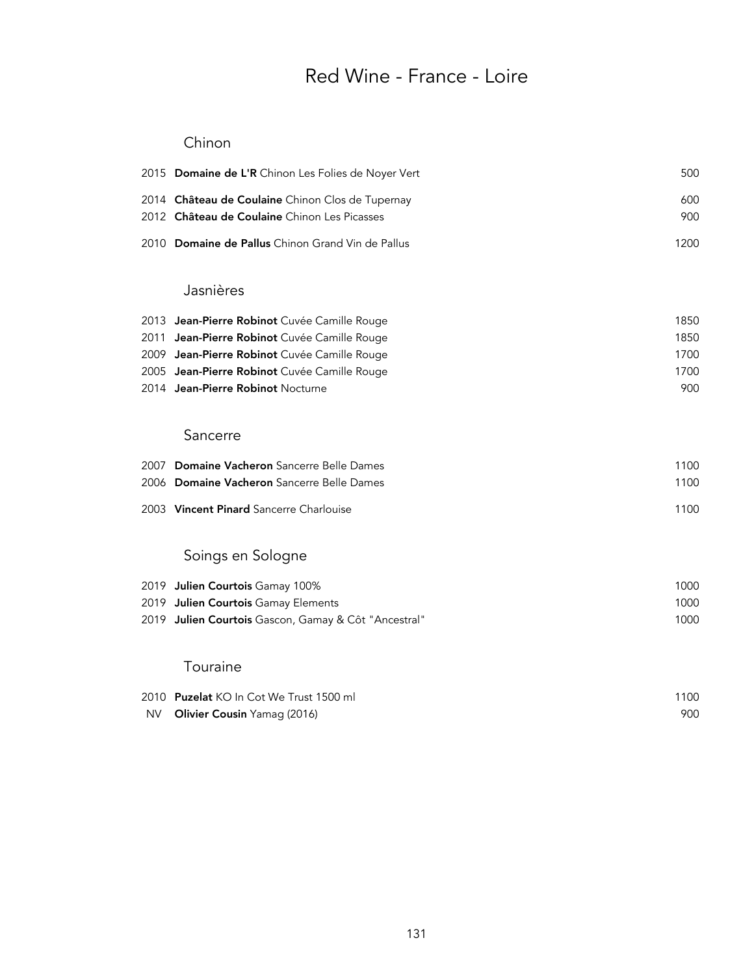## Red Wine - France - Loire

### Chinon

|     | 2015 Domaine de L'R Chinon Les Folies de Noyer Vert                                              | 500        |
|-----|--------------------------------------------------------------------------------------------------|------------|
|     | 2014 Château de Coulaine Chinon Clos de Tupernay<br>2012 Château de Coulaine Chinon Les Picasses | 600<br>900 |
|     | 2010 Domaine de Pallus Chinon Grand Vin de Pallus                                                | 1200       |
|     | Jasnières                                                                                        |            |
|     | 2013 Jean-Pierre Robinot Cuvée Camille Rouge                                                     | 1850       |
|     | 2011 Jean-Pierre Robinot Cuvée Camille Rouge                                                     | 1850       |
|     | 2009 Jean-Pierre Robinot Cuvée Camille Rouge                                                     | 1700       |
|     | 2005 Jean-Pierre Robinot Cuvée Camille Rouge                                                     | 1700       |
|     | 2014 Jean-Pierre Robinot Nocturne                                                                | 900        |
|     | Sancerre                                                                                         |            |
|     | 2007 Domaine Vacheron Sancerre Belle Dames                                                       | 1100       |
|     | 2006 Domaine Vacheron Sancerre Belle Dames                                                       | 1100       |
|     | 2003 Vincent Pinard Sancerre Charlouise                                                          | 1100       |
|     | Soings en Sologne                                                                                |            |
|     | 2019 Julien Courtois Gamay 100%                                                                  | 1000       |
|     | 2019 Julien Courtois Gamay Elements                                                              | 1000       |
|     | 2019 Julien Courtois Gascon, Gamay & Côt "Ancestral"                                             | 1000       |
|     | Touraine                                                                                         |            |
|     | 2010 Puzelat KO In Cot We Trust 1500 ml                                                          | 1100       |
| NV. | Olivier Cousin Yamag (2016)                                                                      | 900        |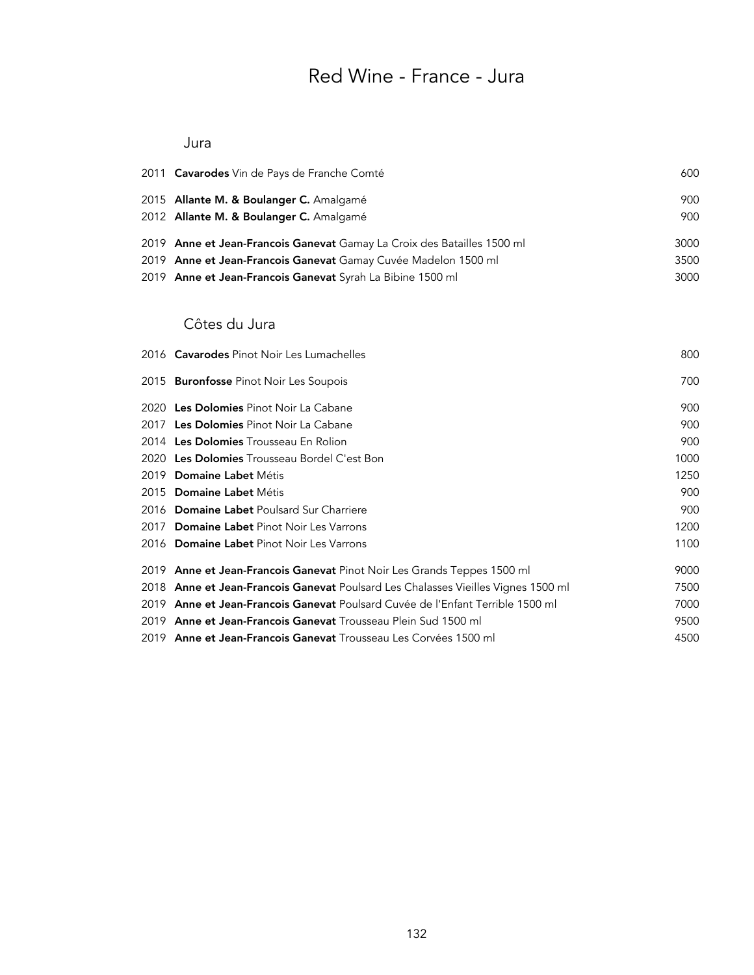## Red Wine - France - Jura

#### Jura

| 2011 <b>Cavarodes</b> Vin de Pays de Franche Comté                      | 600  |
|-------------------------------------------------------------------------|------|
| 2015 Allante M. & Boulanger C. Amalgamé                                 | 900  |
| 2012 Allante M. & Boulanger C. Amalgamé                                 | 900  |
| 2019 Anne et Jean-Francois Ganevat Gamay La Croix des Batailles 1500 ml | 3000 |
| 2019 Anne et Jean-Francois Ganevat Gamay Cuvée Madelon 1500 ml          | 3500 |
| 2019 Anne et Jean-Francois Ganevat Syrah La Bibine 1500 ml              | 3000 |

#### Côtes du Jura

| 2016 Cavarodes Pinot Noir Les Lumachelles                                         | 800  |
|-----------------------------------------------------------------------------------|------|
| 2015 <b>Buronfosse</b> Pinot Noir Les Soupois                                     | 700  |
| 2020 Les Dolomies Pinot Noir La Cabane                                            | 900  |
| 2017 Les Dolomies Pinot Noir La Cabane                                            | 900  |
| 2014 Les Dolomies Trousseau En Rolion                                             | 900  |
| 2020 Les Dolomies Trousseau Bordel C'est Bon                                      | 1000 |
| 2019 Domaine Labet Métis                                                          | 1250 |
| 2015 Domaine Labet Métis                                                          | 900  |
| 2016 Domaine Labet Poulsard Sur Charriere                                         | 900  |
| 2017 Domaine Labet Pinot Noir Les Varrons                                         | 1200 |
| 2016 Domaine Labet Pinot Noir Les Varrons                                         | 1100 |
| 2019 Anne et Jean-Francois Ganevat Pinot Noir Les Grands Teppes 1500 ml           | 9000 |
| 2018 Anne et Jean-Francois Ganevat Poulsard Les Chalasses Vieilles Vignes 1500 ml | 7500 |
| 2019 Anne et Jean-Francois Ganevat Poulsard Cuvée de l'Enfant Terrible 1500 ml    | 7000 |
| 2019 Anne et Jean-Francois Ganevat Trousseau Plein Sud 1500 ml                    | 9500 |
| 2019 Anne et Jean-Francois Ganevat Trousseau Les Corvées 1500 ml                  | 4500 |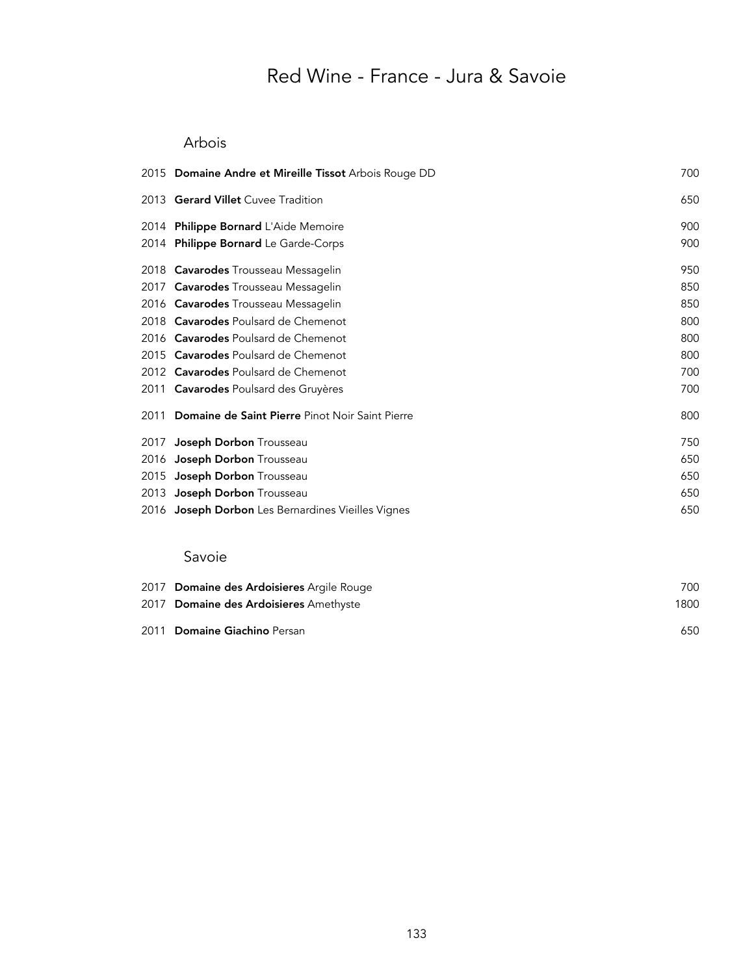## Red Wine - France - Jura & Savoie

### Arbois

| 2015 Domaine Andre et Mireille Tissot Arbois Rouge DD | 700 |
|-------------------------------------------------------|-----|
| 2013 Gerard Villet Cuvee Tradition                    | 650 |
| 2014 Philippe Bornard L'Aide Memoire                  | 900 |
| 2014 Philippe Bornard Le Garde-Corps                  | 900 |
| 2018 Cavarodes Trousseau Messagelin                   | 950 |
| 2017 <b>Cavarodes</b> Trousseau Messagelin            | 850 |
| 2016 Cavarodes Trousseau Messagelin                   | 850 |
| 2018 Cavarodes Poulsard de Chemenot                   | 800 |
| 2016 Cavarodes Poulsard de Chemenot                   | 800 |
| 2015 Cavarodes Poulsard de Chemenot                   | 800 |
| 2012 Cavarodes Poulsard de Chemenot                   | 700 |
| 2011 Cavarodes Poulsard des Gruyères                  | 700 |
| 2011 Domaine de Saint Pierre Pinot Noir Saint Pierre  | 800 |
| 2017 Joseph Dorbon Trousseau                          | 750 |
| 2016 Joseph Dorbon Trousseau                          | 650 |
| 2015 Joseph Dorbon Trousseau                          | 650 |
| 2013 Joseph Dorbon Trousseau                          | 650 |
| 2016 Joseph Dorbon Les Bernardines Vieilles Vignes    | 650 |

#### Savoie

| 2017 Domaine des Ardoisieres Argile Rouge | 700  |
|-------------------------------------------|------|
| 2017 Domaine des Ardoisieres Amethyste    | 1800 |
| 2011 Domaine Giachino Persan              | 650  |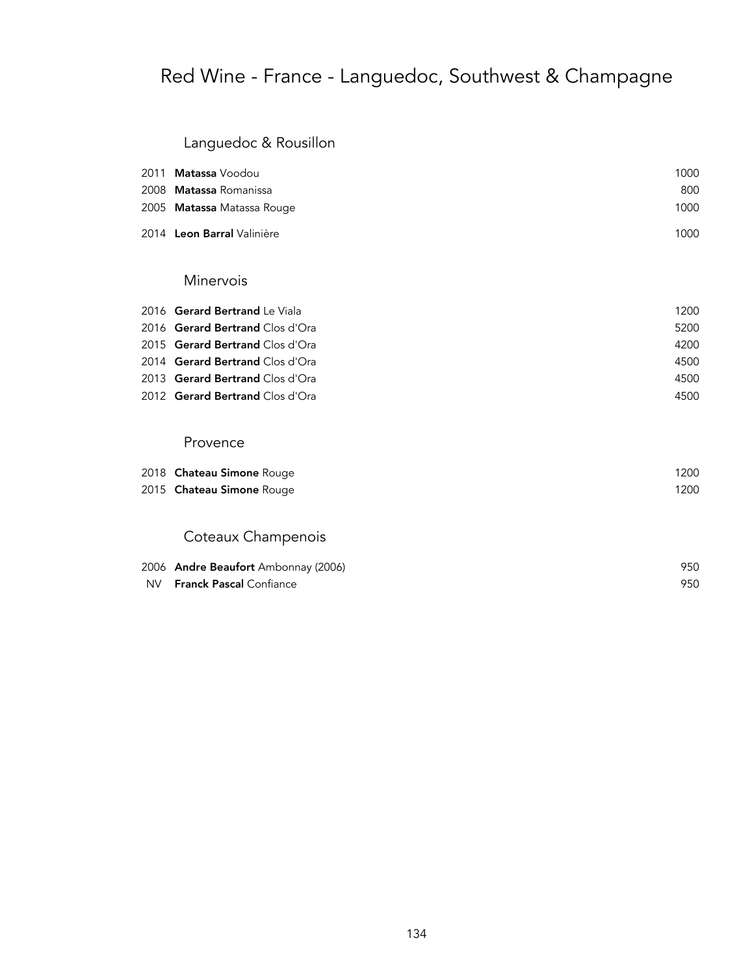## Red Wine - France - Languedoc, Southwest & Champagne

### Languedoc & Rousillon

| 2011 <b>Matassa</b> Voodou | 1000 |
|----------------------------|------|
| 2008 Matassa Romanissa     | 800  |
| 2005 Matassa Matassa Rouge | 1000 |
| 2014 Leon Barral Valinière | 1000 |

#### Minervois

| 2016 Gerard Bertrand Le Viala          | 1200 |
|----------------------------------------|------|
| 2016 Gerard Bertrand Clos d'Ora        | 5200 |
| 2015 <b>Gerard Bertrand</b> Clos d'Ora | 4200 |
| 2014 Gerard Bertrand Clos d'Ora        | 4500 |
| 2013 Gerard Bertrand Clos d'Ora        | 4500 |
| 2012 Gerard Bertrand Clos d'Ora        | 4500 |

#### Provence

| 2018 Chateau Simone Rouge        | 1200 |
|----------------------------------|------|
| 2015 <b>Chateau Simone</b> Rouge | 1200 |
|                                  |      |

### Coteaux Champenois

| 2006 Andre Beaufort Ambonnay (2006) | 950 |
|-------------------------------------|-----|
| NV <b>Franck Pascal</b> Confiance   | 950 |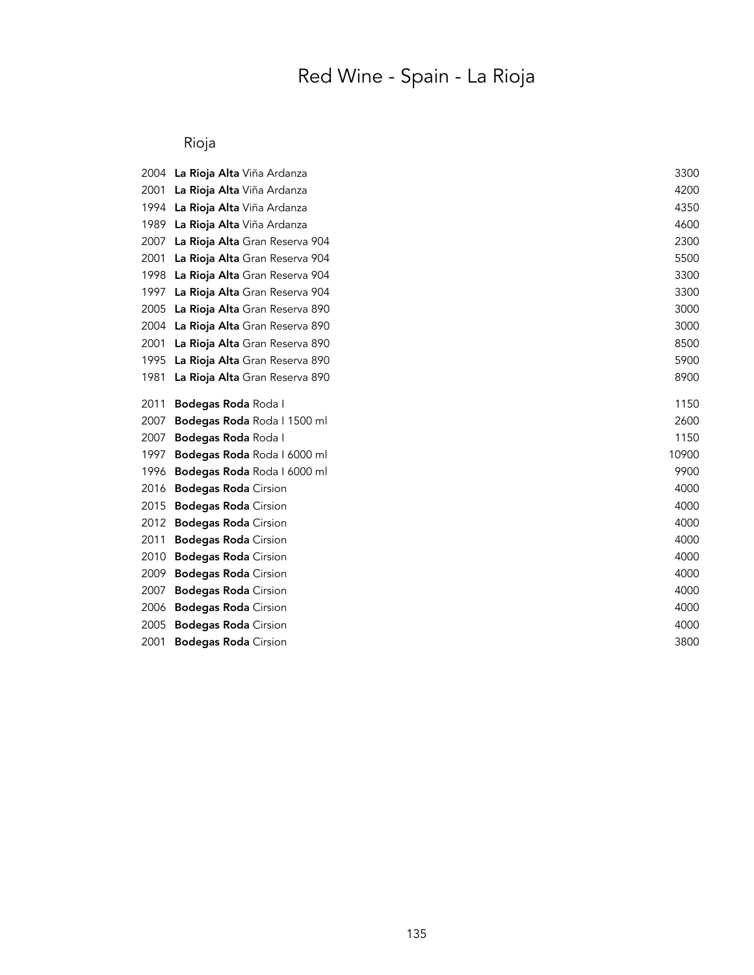# Red Wine - Spain - La Rioja

### Rioja

| 2004 | La Rioja Alta Viña Ardanza         | 3300  |
|------|------------------------------------|-------|
| 2001 | La Rioja Alta Viña Ardanza         | 4200  |
| 1994 | La Rioja Alta Viña Ardanza         | 4350  |
| 1989 | La Rioja Alta Viña Ardanza         | 4600  |
| 2007 | La Rioja Alta Gran Reserva 904     | 2300  |
| 2001 | La Rioja Alta Gran Reserva 904     | 5500  |
| 1998 | La Rioja Alta Gran Reserva 904     | 3300  |
| 1997 | La Rioja Alta Gran Reserva 904     | 3300  |
| 2005 | La Rioja Alta Gran Reserva 890     | 3000  |
| 2004 | La Rioja Alta Gran Reserva 890     | 3000  |
| 2001 | La Rioja Alta Gran Reserva 890     | 8500  |
| 1995 | La Rioja Alta Gran Reserva 890     | 5900  |
| 1981 | La Rioja Alta Gran Reserva 890     | 8900  |
| 2011 | Bodegas Roda Roda I                | 1150  |
| 2007 | Bodegas Roda Roda   1500 ml        | 2600  |
| 2007 | Bodegas Roda Roda I                | 1150  |
| 1997 | Bodegas Roda Roda   6000 ml        | 10900 |
| 1996 | <b>Bodegas Roda</b> Roda I 6000 ml | 9900  |
| 2016 | <b>Bodegas Roda</b> Cirsion        | 4000  |
| 2015 | <b>Bodegas Roda</b> Cirsion        | 4000  |
| 2012 | <b>Bodegas Roda</b> Cirsion        | 4000  |
| 2011 | <b>Bodegas Roda</b> Cirsion        | 4000  |
| 2010 | <b>Bodegas Roda</b> Cirsion        | 4000  |
| 2009 | <b>Bodegas Roda</b> Cirsion        | 4000  |
| 2007 | <b>Bodegas Roda</b> Cirsion        | 4000  |
| 2006 | <b>Bodegas Roda</b> Cirsion        | 4000  |
| 2005 | <b>Bodegas Roda</b> Cirsion        | 4000  |
| 2001 | <b>Bodegas Roda</b> Cirsion        | 3800  |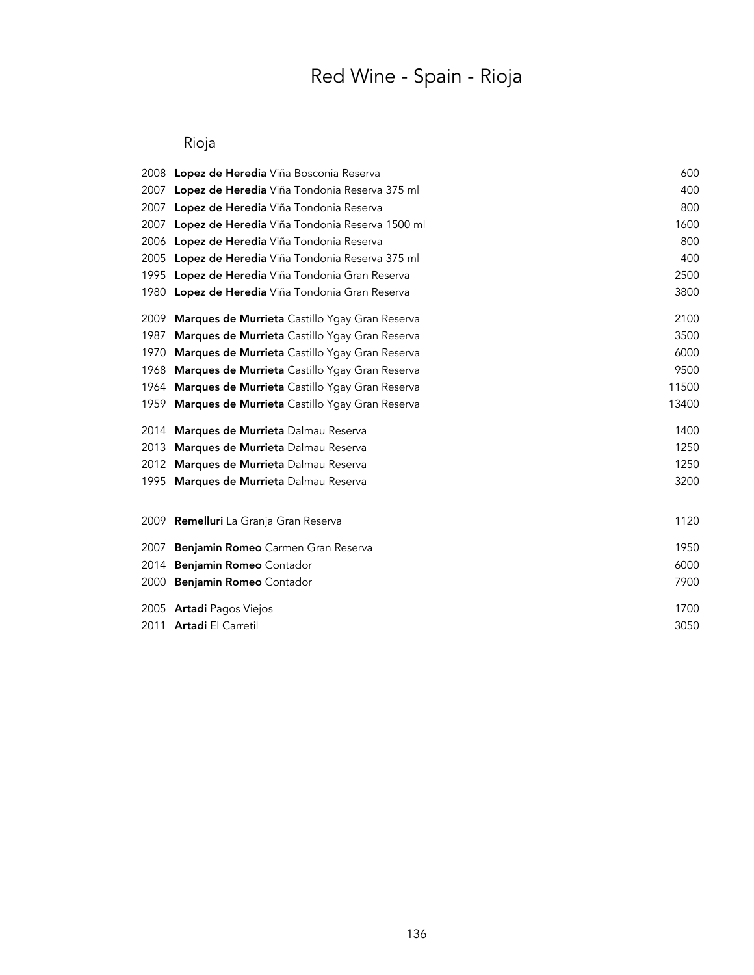# Red Wine - Spain - Rioja

### Rioja

|      | 2008 Lopez de Heredia Viña Bosconia Reserva           | 600   |
|------|-------------------------------------------------------|-------|
| 2007 | Lopez de Heredia Viña Tondonia Reserva 375 ml         | 400   |
| 2007 | Lopez de Heredia Viña Tondonia Reserva                | 800   |
| 2007 | Lopez de Heredia Viña Tondonia Reserva 1500 ml        | 1600  |
| 2006 | <b>Lopez de Heredia</b> Viña Tondonia Reserva         | 800   |
| 2005 | Lopez de Heredia Viña Tondonia Reserva 375 ml         | 400   |
| 1995 | Lopez de Heredia Viña Tondonia Gran Reserva           | 2500  |
|      | 1980 Lopez de Heredia Viña Tondonia Gran Reserva      | 3800  |
| 2009 | <b>Marques de Murrieta</b> Castillo Ygay Gran Reserva | 2100  |
| 1987 | Marques de Murrieta Castillo Ygay Gran Reserva        | 3500  |
| 1970 | Marques de Murrieta Castillo Ygay Gran Reserva        | 6000  |
| 1968 | Marques de Murrieta Castillo Ygay Gran Reserva        | 9500  |
| 1964 | Marques de Murrieta Castillo Ygay Gran Reserva        | 11500 |
| 1959 | <b>Marques de Murrieta</b> Castillo Ygay Gran Reserva | 13400 |
|      | 2014 Marques de Murrieta Dalmau Reserva               | 1400  |
| 2013 | Marques de Murrieta Dalmau Reserva                    | 1250  |
| 2012 | Marques de Murrieta Dalmau Reserva                    | 1250  |
| 1995 | Marques de Murrieta Dalmau Reserva                    | 3200  |
|      | 2009 Remelluri La Granja Gran Reserva                 | 1120  |
| 2007 | Benjamin Romeo Carmen Gran Reserva                    | 1950  |
| 2014 | Benjamin Romeo Contador                               | 6000  |
| 2000 | Benjamin Romeo Contador                               | 7900  |
|      | 2005 <b>Artadi</b> Pagos Viejos                       | 1700  |
|      | 2011 Artadi El Carretil                               | 3050  |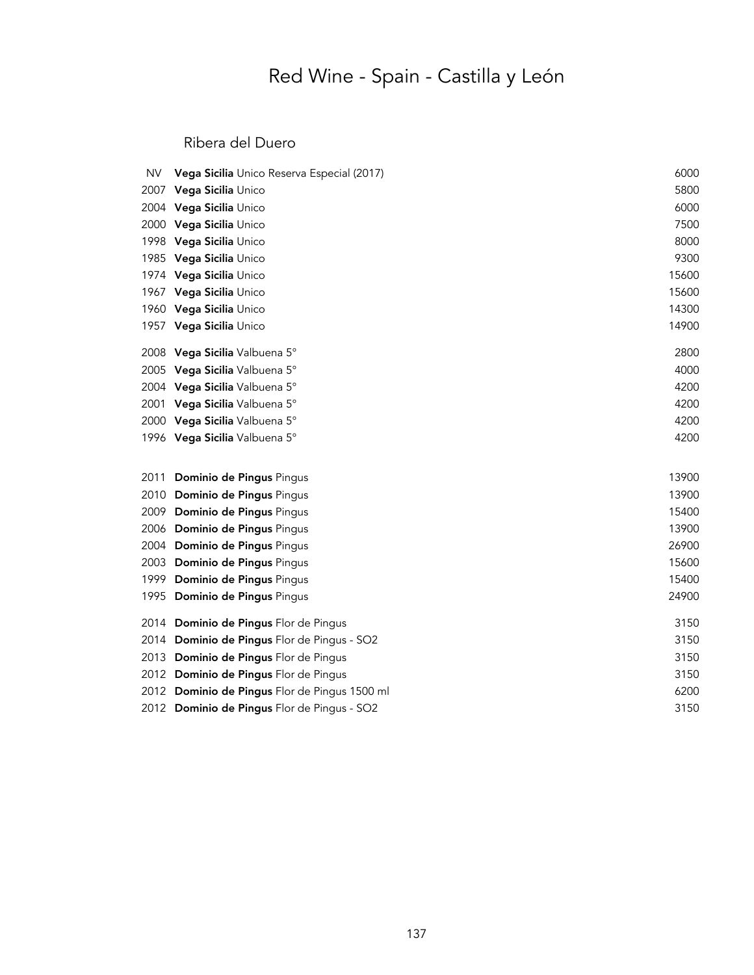# Red Wine - Spain - Castilla y León

### Ribera del Duero

| <b>NV</b> | Vega Sicilia Unico Reserva Especial (2017)    | 6000  |
|-----------|-----------------------------------------------|-------|
| 2007      | Vega Sicilia Unico                            | 5800  |
|           | 2004 Vega Sicilia Unico                       | 6000  |
|           | 2000 Vega Sicilia Unico                       | 7500  |
|           | 1998 Vega Sicilia Unico                       | 8000  |
|           | 1985 Vega Sicilia Unico                       | 9300  |
|           | 1974 Vega Sicilia Unico                       | 15600 |
|           | 1967 Vega Sicilia Unico                       | 15600 |
|           | 1960 Vega Sicilia Unico                       | 14300 |
|           | 1957 Vega Sicilia Unico                       | 14900 |
|           | 2008 Vega Sicilia Valbuena 5°                 | 2800  |
|           | 2005 Vega Sicilia Valbuena 5°                 | 4000  |
|           | 2004 Vega Sicilia Valbuena 5°                 | 4200  |
|           | 2001 Vega Sicilia Valbuena 5°                 | 4200  |
|           | 2000 Vega Sicilia Valbuena 5°                 | 4200  |
|           | 1996 Vega Sicilia Valbuena 5°                 | 4200  |
| 2011      | Dominio de Pingus Pingus                      | 13900 |
| 2010      | Dominio de Pingus Pingus                      | 13900 |
| 2009      | Dominio de Pingus Pingus                      | 15400 |
| 2006      | Dominio de Pingus Pingus                      | 13900 |
| 2004      | Dominio de Pingus Pingus                      | 26900 |
| 2003      | Dominio de Pingus Pingus                      | 15600 |
| 1999      | Dominio de Pingus Pingus                      | 15400 |
| 1995      | Dominio de Pingus Pingus                      | 24900 |
|           | 2014 Dominio de Pingus Flor de Pingus         | 3150  |
| 2014      | Dominio de Pingus Flor de Pingus - SO2        | 3150  |
| 2013      | Dominio de Pingus Flor de Pingus              | 3150  |
|           | 2012 Dominio de Pingus Flor de Pingus         | 3150  |
|           | 2012 Dominio de Pingus Flor de Pingus 1500 ml | 6200  |
|           | 2012 Dominio de Pingus Flor de Pingus - SO2   | 3150  |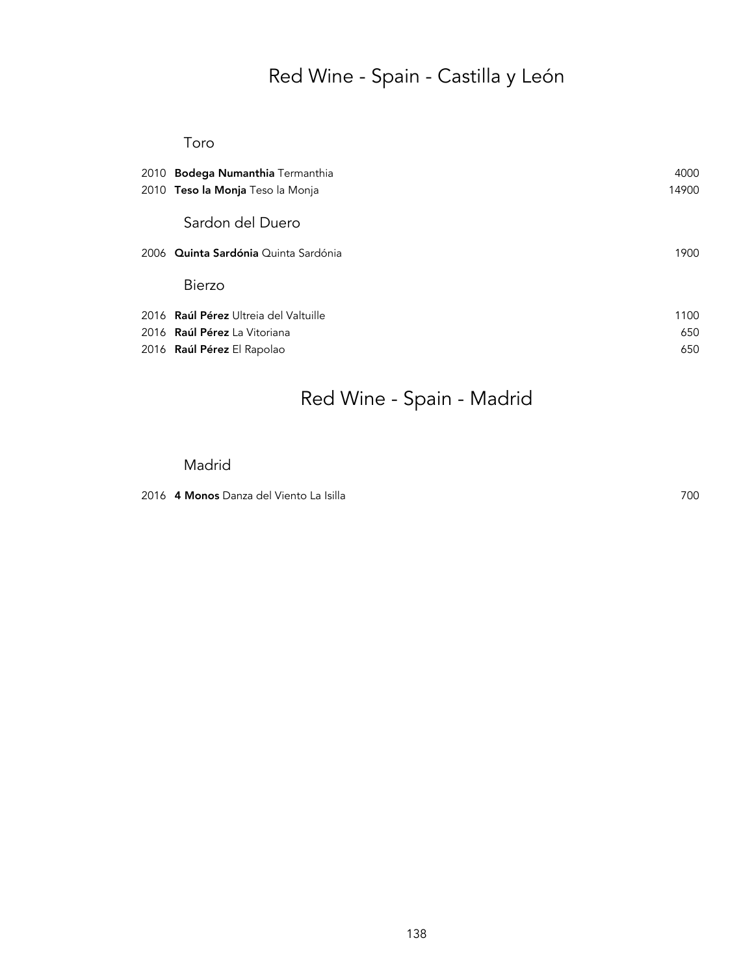# Red Wine - Spain - Castilla y León

#### Toro

| 2010 Bodega Numanthia Termanthia      | 4000  |
|---------------------------------------|-------|
| 2010 Teso la Monja Teso la Monja      | 14900 |
| Sardon del Duero                      |       |
| 2006 Quinta Sardónia Quinta Sardónia  | 1900  |
| <b>Bierzo</b>                         |       |
| 2016 Raúl Pérez Ultreia del Valtuille | 1100  |
| 2016 Raúl Pérez La Vitoriana          | 650   |
| 2016 Raúl Pérez El Rapolao            | 650   |

# Red Wine - Spain - Madrid

#### Madrid

2016 4 Monos Danza del Viento La Isilla 700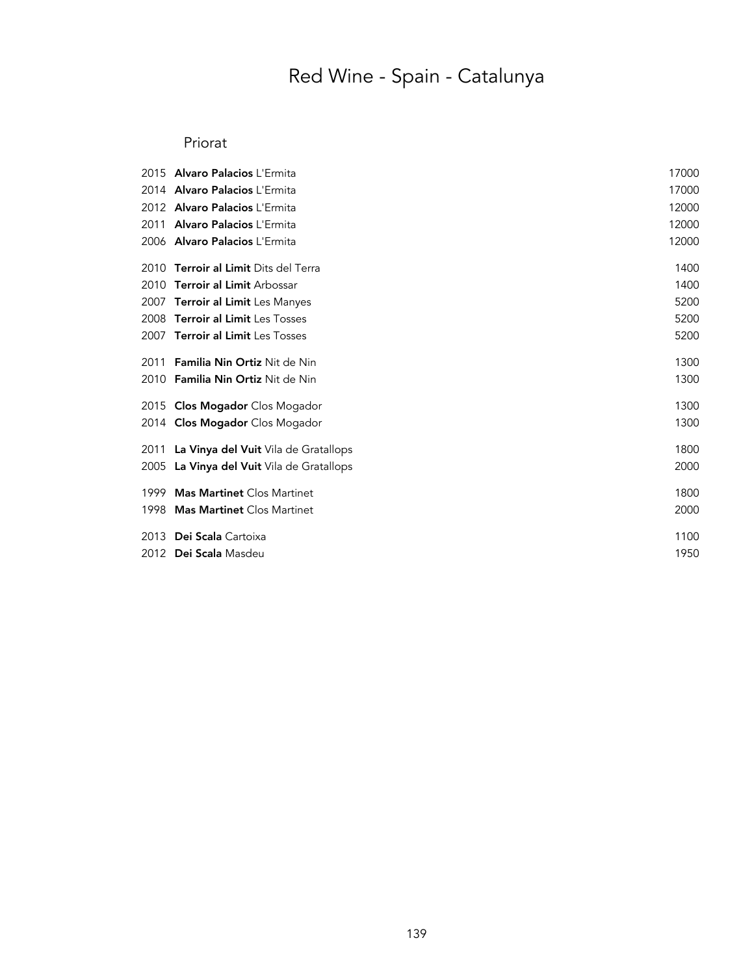# Red Wine - Spain - Catalunya

### Priorat

| 2015 | <b>Alvaro Palacios L'Ermita</b>        | 17000 |
|------|----------------------------------------|-------|
|      | 2014 Alvaro Palacios L'Ermita          | 17000 |
|      | 2012 Alvaro Palacios L'Ermita          | 12000 |
| 2011 | Alvaro Palacios L'Ermita               | 12000 |
|      | 2006 Alvaro Palacios L'Ermita          | 12000 |
| 2010 | <b>Terroir al Limit Dits del Terra</b> | 1400  |
| 2010 | <b>Terroir al Limit Arbossar</b>       | 1400  |
| 2007 | Terroir al Limit Les Manyes            | 5200  |
| 2008 | <b>Terroir al Limit Les Tosses</b>     | 5200  |
| 2007 | <b>Terroir al Limit Les Tosses</b>     | 5200  |
| 2011 | <b>Familia Nin Ortiz Nit de Nin</b>    | 1300  |
| 2010 | Familia Nin Ortiz Nit de Nin           | 1300  |
|      | 2015 Clos Mogador Clos Mogador         | 1300  |
|      | 2014 <b>Clos Mogador</b> Clos Mogador  | 1300  |
| 2011 | La Vinya del Vuit Vila de Gratallops   | 1800  |
| 2005 | La Vinya del Vuit Vila de Gratallops   | 2000  |
| 1999 | <b>Mas Martinet Clos Martinet</b>      | 1800  |
| 1998 | <b>Mas Martinet Clos Martinet</b>      | 2000  |
| 2013 | Dei Scala Cartoixa                     | 1100  |
|      | 2012 Dei Scala Masdeu                  | 1950  |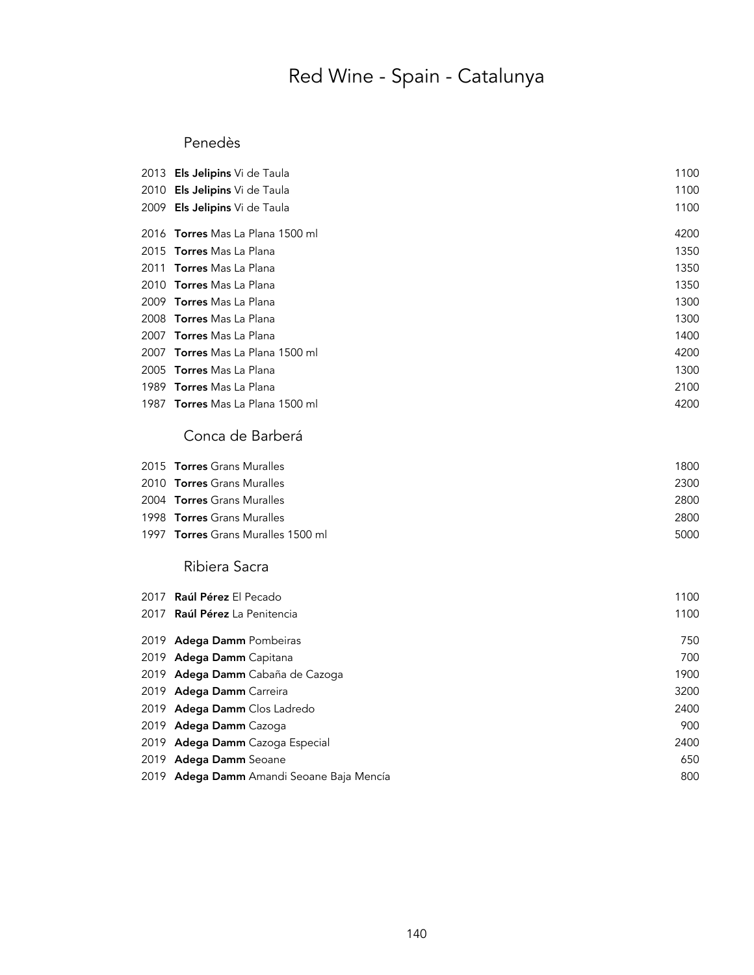# Red Wine - Spain - Catalunya

### Penedès

|      | 2013 Els Jelipins Vi de Taula      | 1100 |
|------|------------------------------------|------|
| 2010 | Els Jelipins Vi de Taula           | 1100 |
| 2009 | Els Jelipins Vi de Taula           | 1100 |
|      | 2016 Torres Mas La Plana 1500 ml   | 4200 |
|      | 2015 Torres Mas La Plana           | 1350 |
| 2011 | <b>Torres</b> Mas La Plana         | 1350 |
| 2010 | <b>Torres</b> Mas La Plana         | 1350 |
|      | 2009 Torres Mas La Plana           | 1300 |
| 2008 | Torres Mas La Plana                | 1300 |
| 2007 | <b>Torres</b> Mas La Plana         | 1400 |
| 2007 | Torres Mas La Plana 1500 ml        | 4200 |
| 2005 | <b>Torres</b> Mas La Plana         | 1300 |
|      | 1989 <b>Torres</b> Mas La Plana    | 2100 |
| 1987 | Torres Mas La Plana 1500 ml        | 4200 |
|      | Conca de Barberá                   |      |
|      | 2015 Torres Grans Muralles         | 1800 |
|      | 2010 Torres Grans Muralles         | 2300 |
|      | 2004 Torres Grans Muralles         | 2800 |
|      | 1998 <b>Torres</b> Grans Muralles  | 2800 |
|      | 1997 Torres Grans Muralles 1500 ml | 5000 |
|      | Ribiera Sacra                      |      |
| 2017 | Raúl Pérez El Pecado               | 1100 |
| 2017 | Raúl Pérez La Penitencia           | 1100 |
|      | 2019 Adega Damm Pombeiras          | 750  |
| 2019 | Adega Damm Capitana                | 700  |
| 2019 | Adega Damm Cabaña de Cazoga        | 1900 |
| 2019 | Adega Damm Carreira                | 3200 |
| 2019 | Adega Damm Clos Ladredo            | 2400 |
| 2019 | Adega Damm Cazoga                  | 900  |
| 2019 | Adega Damm Cazoga Especial         | 2400 |
|      | 2019 Adega Damm Seoane             | 650  |

2019 Adega Damm Amandi Seoane Baja Mencía **800** animala a seo analism a seo analism a seo analism a seo analism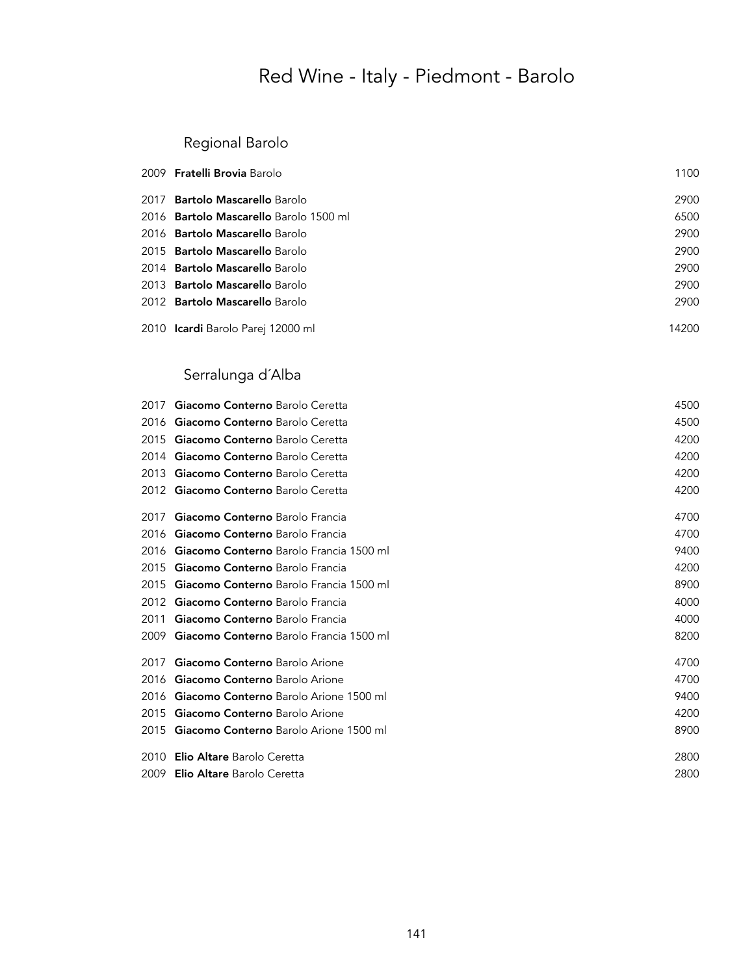### Regional Barolo

|      | 2009 <b>Fratelli Brovia</b> Barolo     | 1100  |
|------|----------------------------------------|-------|
| 2017 | <b>Bartolo Mascarello Barolo</b>       | 2900  |
|      | 2016 Bartolo Mascarello Barolo 1500 ml | 6500  |
|      | 2016 <b>Bartolo Mascarello</b> Barolo  | 2900  |
|      | 2015 <b>Bartolo Mascarello</b> Barolo  | 2900  |
|      | 2014 <b>Bartolo Mascarello</b> Barolo  | 2900  |
|      | 2013 <b>Bartolo Mascarello</b> Barolo  | 2900  |
|      | 2012 <b>Bartolo Mascarello Barolo</b>  | 2900  |
|      | 2010 Icardi Barolo Parej 12000 ml      | 14200 |

## Serralunga d´Alba

| 2017 | Giacomo Conterno Barolo Ceretta               | 4500 |
|------|-----------------------------------------------|------|
| 2016 | Giacomo Conterno Barolo Ceretta               | 4500 |
| 2015 | Giacomo Conterno Barolo Ceretta               | 4200 |
| 2014 | Giacomo Conterno Barolo Ceretta               | 4200 |
| 2013 | Giacomo Conterno Barolo Ceretta               | 4200 |
| 2012 | Giacomo Conterno Barolo Ceretta               | 4200 |
| 2017 | Giacomo Conterno Barolo Francia               | 4700 |
| 2016 | Giacomo Conterno Barolo Francia               | 4700 |
| 2016 | Giacomo Conterno Barolo Francia 1500 ml       | 9400 |
| 2015 | Giacomo Conterno Barolo Francia               | 4200 |
| 2015 | Giacomo Conterno Barolo Francia 1500 ml       | 8900 |
| 2012 | Giacomo Conterno Barolo Francia               | 4000 |
| 2011 | Giacomo Conterno Barolo Francia               | 4000 |
| 2009 | Giacomo Conterno Barolo Francia 1500 ml       | 8200 |
| 2017 | Giacomo Conterno Barolo Arione                | 4700 |
| 2016 | Giacomo Conterno Barolo Arione                | 4700 |
| 2016 | <b>Giacomo Conterno</b> Barolo Arione 1500 ml | 9400 |
| 2015 | Giacomo Conterno Barolo Arione                | 4200 |
| 2015 | <b>Giacomo Conterno</b> Barolo Arione 1500 ml | 8900 |
| 2010 | <b>Elio Altare Barolo Ceretta</b>             | 2800 |
| 2009 | <b>Elio Altare Barolo Ceretta</b>             | 2800 |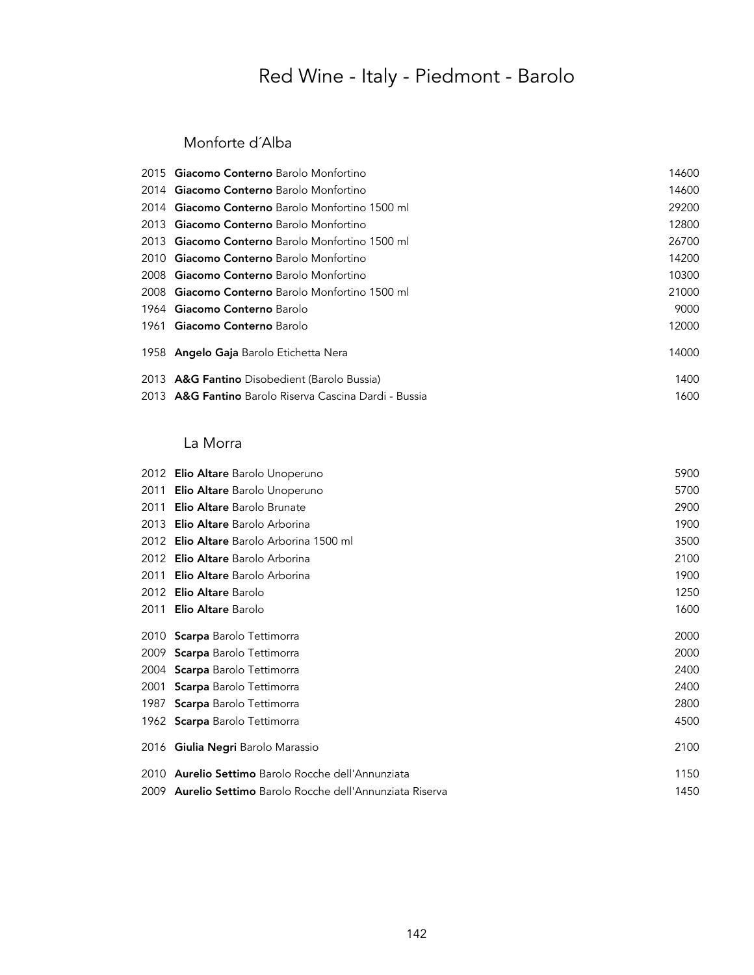### Monforte d´Alba

| 2015 Giacomo Conterno Barolo Monfortino                | 14600 |
|--------------------------------------------------------|-------|
| 2014 <b>Giacomo Conterno</b> Barolo Monfortino         | 14600 |
| 2014 Giacomo Conterno Barolo Monfortino 1500 ml        | 29200 |
| 2013 Giacomo Conterno Barolo Monfortino                | 12800 |
| 2013 <b>Giacomo Conterno</b> Barolo Monfortino 1500 ml | 26700 |
| 2010 Giacomo Conterno Barolo Monfortino                | 14200 |
| 2008 Giacomo Conterno Barolo Monfortino                | 10300 |
| 2008 Giacomo Conterno Barolo Monfortino 1500 ml        | 21000 |
| 1964 Giacomo Conterno Barolo                           | 9000  |
| 1961 Giacomo Conterno Barolo                           | 12000 |
| 1958 <b>Angelo Gaja</b> Barolo Etichetta Nera          | 14000 |
| 2013 A&G Fantino Disobedient (Barolo Bussia)           | 1400  |
| 2013 A&G Fantino Barolo Riserva Cascina Dardi - Bussia | 1600  |

### La Morra

|      | 2012 Elio Altare Barolo Unoperuno                                 | 5900 |
|------|-------------------------------------------------------------------|------|
| 2011 | <b>Elio Altare</b> Barolo Unoperuno                               | 5700 |
| 2011 | <b>Elio Altare Barolo Brunate</b>                                 | 2900 |
| 2013 | <b>Elio Altare Barolo Arborina</b>                                | 1900 |
| 2012 | Elio Altare Barolo Arborina 1500 ml                               | 3500 |
| 2012 | Elio Altare Barolo Arborina                                       | 2100 |
| 2011 | Elio Altare Barolo Arborina                                       | 1900 |
| 2012 | <b>Elio Altare Barolo</b>                                         | 1250 |
| 2011 | <b>Elio Altare Barolo</b>                                         | 1600 |
|      | 2010 Scarpa Barolo Tettimorra                                     | 2000 |
| 2009 | <b>Scarpa</b> Barolo Tettimorra                                   | 2000 |
| 2004 | <b>Scarpa</b> Barolo Tettimorra                                   | 2400 |
| 2001 | <b>Scarpa</b> Barolo Tettimorra                                   | 2400 |
| 1987 | <b>Scarpa</b> Barolo Tettimorra                                   | 2800 |
|      | 1962 Scarpa Barolo Tettimorra                                     | 4500 |
|      | 2016 Giulia Negri Barolo Marassio                                 | 2100 |
| 2010 | <b>Aurelio Settimo</b> Barolo Rocche dell'Annunziata              | 1150 |
|      | 2009 <b>Aurelio Settimo</b> Barolo Rocche dell'Annunziata Riserva | 1450 |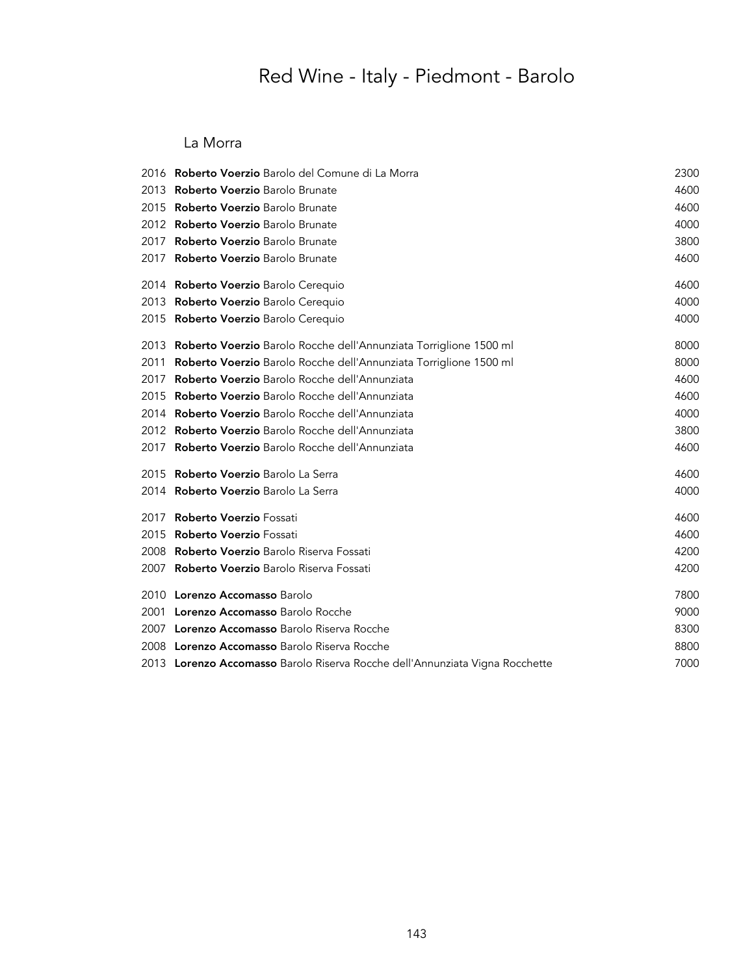#### La Morra

|      | 2016 Roberto Voerzio Barolo del Comune di La Morra                           | 2300 |
|------|------------------------------------------------------------------------------|------|
| 2013 | <b>Roberto Voerzio Barolo Brunate</b>                                        | 4600 |
| 2015 | <b>Roberto Voerzio</b> Barolo Brunate                                        | 4600 |
| 2012 | <b>Roberto Voerzio</b> Barolo Brunate                                        | 4000 |
| 2017 | <b>Roberto Voerzio Barolo Brunate</b>                                        | 3800 |
| 2017 | <b>Roberto Voerzio Barolo Brunate</b>                                        | 4600 |
|      | 2014 Roberto Voerzio Barolo Cerequio                                         | 4600 |
|      | 2013 Roberto Voerzio Barolo Cerequio                                         | 4000 |
| 2015 | Roberto Voerzio Barolo Cerequio                                              | 4000 |
| 2013 | Roberto Voerzio Barolo Rocche dell'Annunziata Torriglione 1500 ml            | 8000 |
| 2011 | Roberto Voerzio Barolo Rocche dell'Annunziata Torriglione 1500 ml            | 8000 |
| 2017 | Roberto Voerzio Barolo Rocche dell'Annunziata                                | 4600 |
| 2015 | Roberto Voerzio Barolo Rocche dell'Annunziata                                | 4600 |
| 2014 | Roberto Voerzio Barolo Rocche dell'Annunziata                                | 4000 |
|      | 2012 Roberto Voerzio Barolo Rocche dell'Annunziata                           | 3800 |
| 2017 | Roberto Voerzio Barolo Rocche dell'Annunziata                                | 4600 |
|      | 2015 Roberto Voerzio Barolo La Serra                                         | 4600 |
|      | 2014 Roberto Voerzio Barolo La Serra                                         | 4000 |
| 2017 | <b>Roberto Voerzio Fossati</b>                                               | 4600 |
| 2015 | <b>Roberto Voerzio Fossati</b>                                               | 4600 |
| 2008 | Roberto Voerzio Barolo Riserva Fossati                                       | 4200 |
| 2007 | <b>Roberto Voerzio</b> Barolo Riserva Fossati                                | 4200 |
|      | 2010 Lorenzo Accomasso Barolo                                                | 7800 |
| 2001 | Lorenzo Accomasso Barolo Rocche                                              | 9000 |
|      | 2007 Lorenzo Accomasso Barolo Riserva Rocche                                 | 8300 |
|      | 2008 Lorenzo Accomasso Barolo Riserva Rocche                                 | 8800 |
|      | 2013 Lorenzo Accomasso Barolo Riserva Rocche dell'Annunziata Vigna Rocchette | 7000 |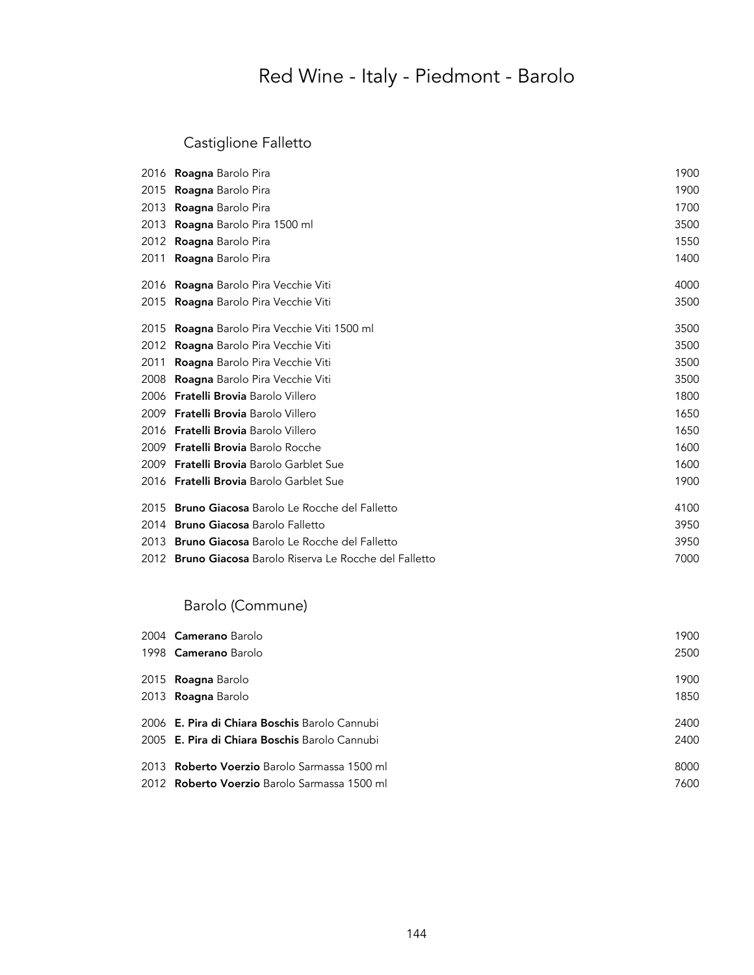### Castiglione Falletto

|      | 2016 <b>Roagna</b> Barolo Pira                                  | 1900 |
|------|-----------------------------------------------------------------|------|
| 2015 | <b>Roagna</b> Barolo Pira                                       | 1900 |
| 2013 | <b>Roagna</b> Barolo Pira                                       | 1700 |
| 2013 | <b>Roagna</b> Barolo Pira 1500 ml                               | 3500 |
| 2012 | <b>Roagna</b> Barolo Pira                                       | 1550 |
| 2011 | Roagna Barolo Pira                                              | 1400 |
|      | 2016 <b>Roagna</b> Barolo Pira Vecchie Viti                     | 4000 |
|      | 2015 <b>Roagna</b> Barolo Pira Vecchie Viti                     | 3500 |
| 2015 | <b>Roagna</b> Barolo Pira Vecchie Viti 1500 ml                  | 3500 |
| 2012 | <b>Roagna</b> Barolo Pira Vecchie Viti                          | 3500 |
| 2011 | <b>Roagna</b> Barolo Pira Vecchie Viti                          | 3500 |
|      | 2008 <b>Roagna</b> Barolo Pira Vecchie Viti                     | 3500 |
|      | 2006 <b>Fratelli Brovia</b> Barolo Villero                      | 1800 |
|      | 2009 <b>Fratelli Brovia</b> Barolo Villero                      | 1650 |
|      | 2016 <b>Fratelli Brovia</b> Barolo Villero                      | 1650 |
|      | 2009 Fratelli Brovia Barolo Rocche                              | 1600 |
|      | 2009 Fratelli Brovia Barolo Garblet Sue                         | 1600 |
|      | 2016 Fratelli Brovia Barolo Garblet Sue                         | 1900 |
|      | 2015 <b>Bruno Giacosa</b> Barolo Le Rocche del Falletto         | 4100 |
|      | 2014 Bruno Giacosa Barolo Falletto                              | 3950 |
|      | 2013 <b>Bruno Giacosa</b> Barolo Le Rocche del Falletto         | 3950 |
|      | 2012 <b>Bruno Giacosa</b> Barolo Riserva Le Rocche del Falletto | 7000 |

### Barolo (Commune)

| 2004 Camerano Barolo                                 | 1900 |
|------------------------------------------------------|------|
| 1998 Camerano Barolo                                 | 2500 |
| 2015 <b>Roagna</b> Barolo                            | 1900 |
| 2013 <b>Roagna</b> Barolo                            | 1850 |
| 2006 <b>E. Pira di Chiara Boschis</b> Barolo Cannubi | 2400 |
| 2005 <b>E. Pira di Chiara Boschis</b> Barolo Cannubi | 2400 |
| 2013 <b>Roberto Voerzio</b> Barolo Sarmassa 1500 ml  | 8000 |
| 2012 <b>Roberto Voerzio</b> Barolo Sarmassa 1500 ml  | 7600 |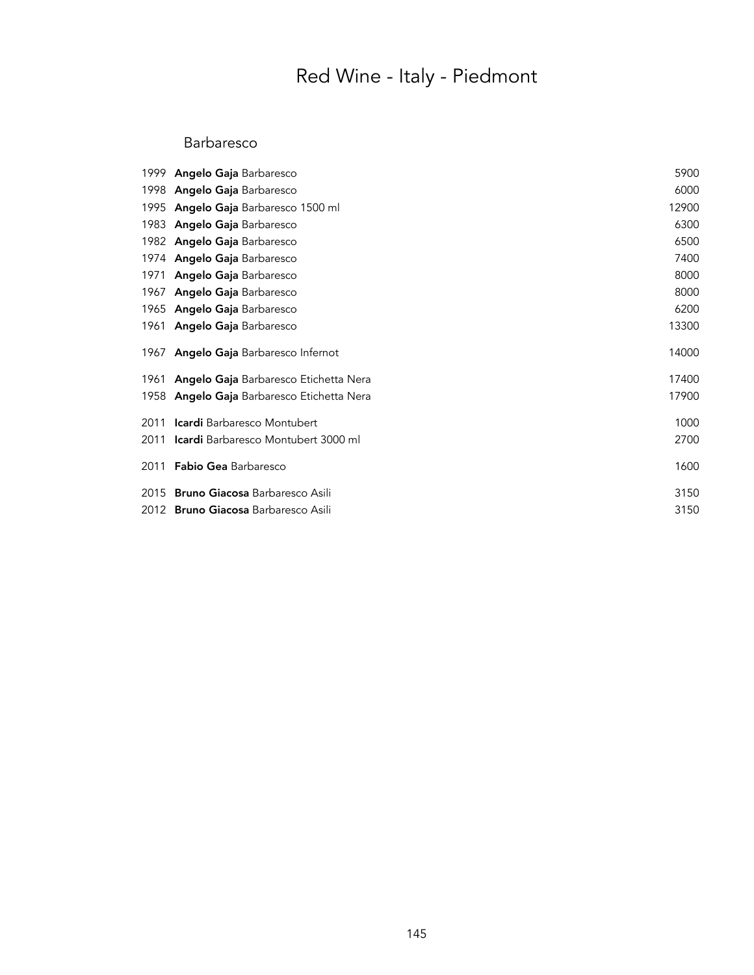#### Barbaresco

| 1999 Angelo Gaja Barbaresco                       | 5900  |
|---------------------------------------------------|-------|
| 1998 Angelo Gaja Barbaresco                       | 6000  |
| 1995 <b>Angelo Gaja</b> Barbaresco 1500 ml        | 12900 |
| 1983 Angelo Gaja Barbaresco                       | 6300  |
| 1982 Angelo Gaja Barbaresco                       | 6500  |
| 1974 <b>Angelo Gaja</b> Barbaresco                | 7400  |
| 1971 <b>Angelo Gaja</b> Barbaresco                | 8000  |
| 1967 Angelo Gaja Barbaresco                       | 8000  |
| 1965 Angelo Gaja Barbaresco                       | 6200  |
| 1961 Angelo Gaja Barbaresco                       | 13300 |
| 1967 <b>Angelo Gaja</b> Barbaresco Infernot       | 14000 |
| 1961 Angelo Gaja Barbaresco Etichetta Nera        | 17400 |
| 1958 <b>Angelo Gaja</b> Barbaresco Etichetta Nera | 17900 |
| 2011 <b>Icardi</b> Barbaresco Montubert           | 1000  |
| 2011 Icardi Barbaresco Montubert 3000 ml          | 2700  |
| 2011 <b>Fabio Gea</b> Barbaresco                  | 1600  |
| 2015 <b>Bruno Giacosa</b> Barbaresco Asili        | 3150  |
| 2012 <b>Bruno Giacosa</b> Barbaresco Asili        | 3150  |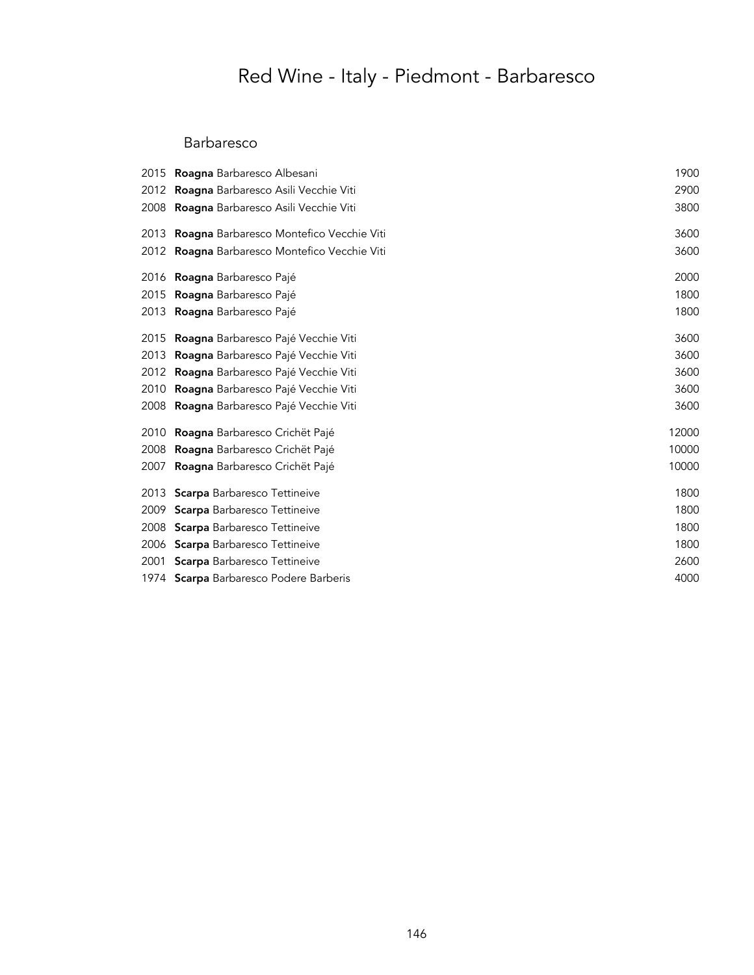# Red Wine - Italy - Piedmont - Barbaresco

### Barbaresco

|      | 2015 <b>Roagna</b> Barbaresco Albesani        | 1900  |
|------|-----------------------------------------------|-------|
| 2012 | Roagna Barbaresco Asili Vecchie Viti          | 2900  |
|      | 2008 Roagna Barbaresco Asili Vecchie Viti     | 3800  |
| 2013 | Roagna Barbaresco Montefico Vecchie Viti      | 3600  |
|      | 2012 Roagna Barbaresco Montefico Vecchie Viti | 3600  |
|      | 2016 <b>Roagna</b> Barbaresco Pajé            | 2000  |
| 2015 | Roagna Barbaresco Pajé                        | 1800  |
| 2013 | Roagna Barbaresco Pajé                        | 1800  |
| 2015 | Roagna Barbaresco Pajé Vecchie Viti           | 3600  |
| 2013 | Roagna Barbaresco Pajé Vecchie Viti           | 3600  |
| 2012 | Roagna Barbaresco Pajé Vecchie Viti           | 3600  |
| 2010 | Roagna Barbaresco Pajé Vecchie Viti           | 3600  |
|      | 2008 Roagna Barbaresco Pajé Vecchie Viti      | 3600  |
| 2010 | Roagna Barbaresco Crichët Pajé                | 12000 |
| 2008 | Roagna Barbaresco Crichët Pajé                | 10000 |
| 2007 | Roagna Barbaresco Crichët Pajé                | 10000 |
|      | 2013 Scarpa Barbaresco Tettineive             | 1800  |
| 2009 | <b>Scarpa</b> Barbaresco Tettineive           | 1800  |
| 2008 | <b>Scarpa</b> Barbaresco Tettineive           | 1800  |
|      | 2006 Scarpa Barbaresco Tettineive             | 1800  |
| 2001 | <b>Scarpa</b> Barbaresco Tettineive           | 2600  |
|      | 1974 Scarpa Barbaresco Podere Barberis        | 4000  |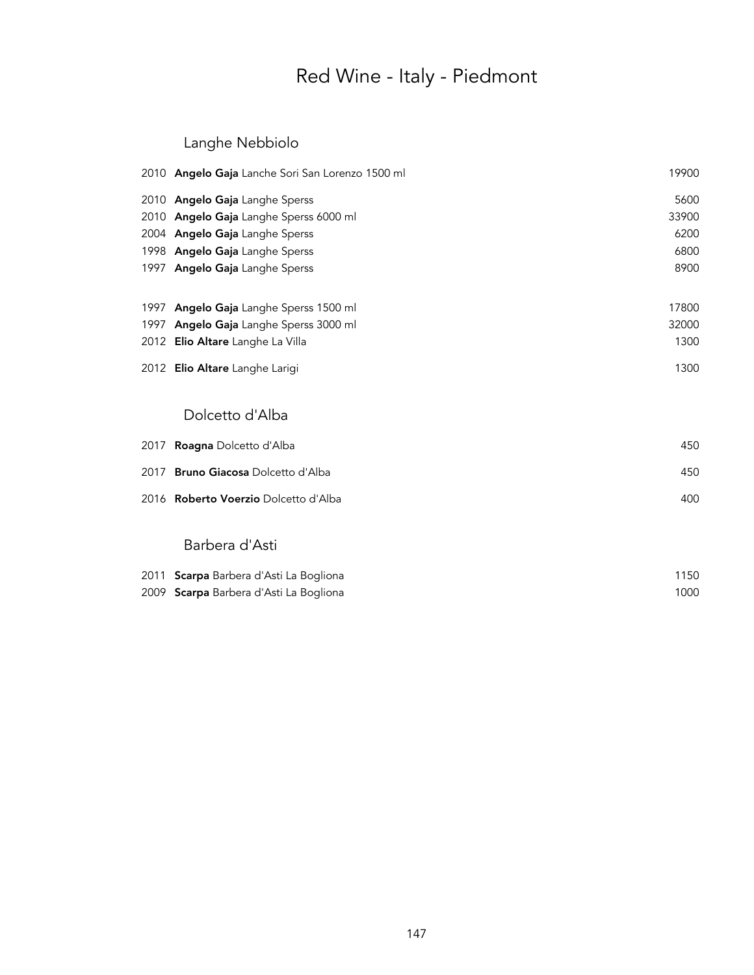### Langhe Nebbiolo

|      | 2010 Angelo Gaja Lanche Sori San Lorenzo 1500 ml | 19900 |
|------|--------------------------------------------------|-------|
|      | 2010 Angelo Gaja Langhe Sperss                   | 5600  |
|      | 2010 Angelo Gaja Langhe Sperss 6000 ml           | 33900 |
|      | 2004 Angelo Gaja Langhe Sperss                   | 6200  |
|      | 1998 Angelo Gaja Langhe Sperss                   | 6800  |
|      | 1997 Angelo Gaja Langhe Sperss                   | 8900  |
| 1997 | Angelo Gaja Langhe Sperss 1500 ml                | 17800 |
| 1997 | Angelo Gaja Langhe Sperss 3000 ml                | 32000 |
|      | 2012 Elio Altare Langhe La Villa                 | 1300  |
|      | 2012 Elio Altare Langhe Larigi                   | 1300  |
|      | Dolcetto d'Alba                                  |       |
| 2017 | Roagna Dolcetto d'Alba                           | 450   |
| 2017 | <b>Bruno Giacosa Dolcetto d'Alba</b>             | 450   |
|      | 2016 Roberto Voerzio Dolcetto d'Alba             | 400   |
|      | Barbera d'Asti                                   |       |
| 2011 | Scarpa Barbera d'Asti La Bogliona                | 1150  |
|      | 2009 Scarpa Barbera d'Asti La Bogliona           | 1000  |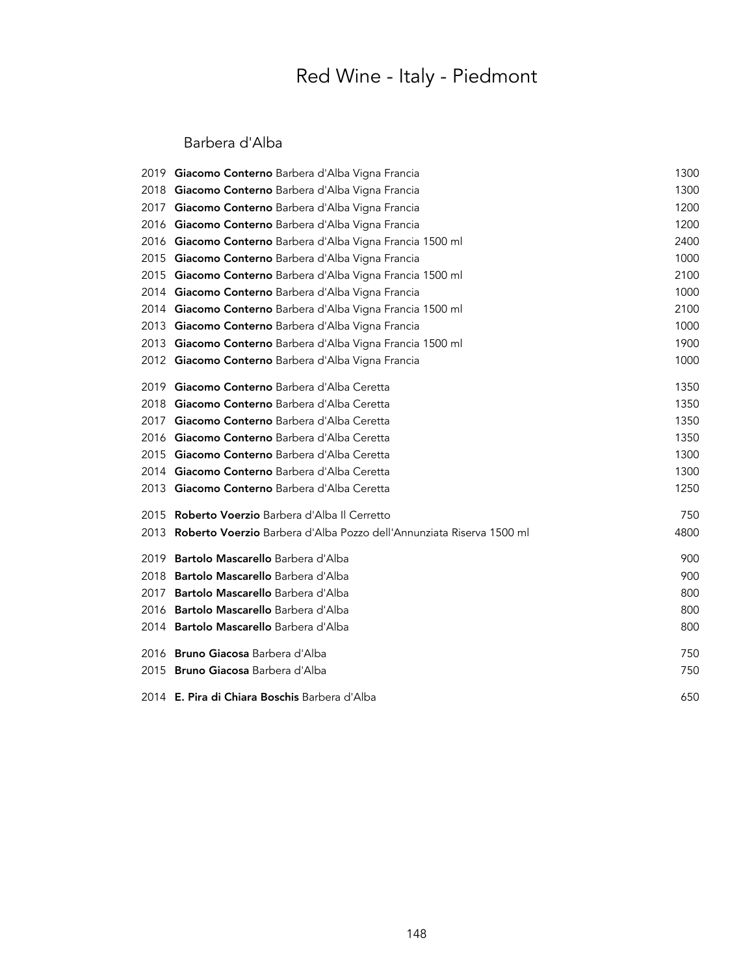#### Barbera d'Alba

|       | 2019 Giacomo Conterno Barbera d'Alba Vigna Francia                   | 1300 |
|-------|----------------------------------------------------------------------|------|
|       | 2018 Giacomo Conterno Barbera d'Alba Vigna Francia                   | 1300 |
| 2017  | Giacomo Conterno Barbera d'Alba Vigna Francia                        | 1200 |
| 2016  | Giacomo Conterno Barbera d'Alba Vigna Francia                        | 1200 |
| 2016  | Giacomo Conterno Barbera d'Alba Vigna Francia 1500 ml                | 2400 |
| 2015  | Giacomo Conterno Barbera d'Alba Vigna Francia                        | 1000 |
|       | 2015 Giacomo Conterno Barbera d'Alba Vigna Francia 1500 ml           | 2100 |
|       | 2014 Giacomo Conterno Barbera d'Alba Vigna Francia                   | 1000 |
|       | 2014 Giacomo Conterno Barbera d'Alba Vigna Francia 1500 ml           | 2100 |
|       | 2013 Giacomo Conterno Barbera d'Alba Vigna Francia                   | 1000 |
|       | 2013 Giacomo Conterno Barbera d'Alba Vigna Francia 1500 ml           | 1900 |
|       | 2012 Giacomo Conterno Barbera d'Alba Vigna Francia                   | 1000 |
| 2019  | Giacomo Conterno Barbera d'Alba Ceretta                              | 1350 |
| 2018  | Giacomo Conterno Barbera d'Alba Ceretta                              | 1350 |
| 2017  | Giacomo Conterno Barbera d'Alba Ceretta                              | 1350 |
|       | 2016 Giacomo Conterno Barbera d'Alba Ceretta                         | 1350 |
|       | 2015 Giacomo Conterno Barbera d'Alba Ceretta                         | 1300 |
|       | 2014 Giacomo Conterno Barbera d'Alba Ceretta                         | 1300 |
|       | 2013 Giacomo Conterno Barbera d'Alba Ceretta                         | 1250 |
| 2015  | <b>Roberto Voerzio</b> Barbera d'Alba Il Cerretto                    | 750  |
| 2013. | Roberto Voerzio Barbera d'Alba Pozzo dell'Annunziata Riserva 1500 ml | 4800 |
| 2019  | <b>Bartolo Mascarello</b> Barbera d'Alba                             | 900  |
| 2018  | <b>Bartolo Mascarello</b> Barbera d'Alba                             | 900  |
| 2017  | Bartolo Mascarello Barbera d'Alba                                    | 800  |
|       | 2016 Bartolo Mascarello Barbera d'Alba                               | 800  |
|       | 2014 Bartolo Mascarello Barbera d'Alba                               | 800  |
|       | 2016 Bruno Giacosa Barbera d'Alba                                    | 750  |
|       | 2015 Bruno Giacosa Barbera d'Alba                                    | 750  |
|       | 2014 E. Pira di Chiara Boschis Barbera d'Alba                        | 650  |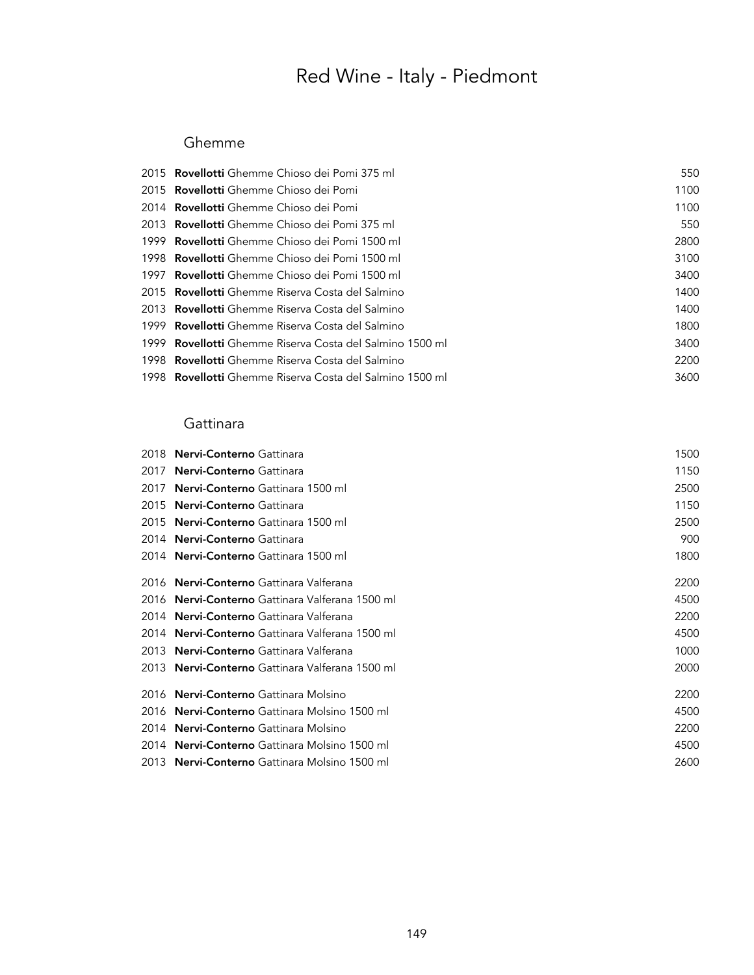#### Ghemme

| 2015 <b>Rovellotti</b> Ghemme Chioso dei Pomi 375 ml            | 550  |
|-----------------------------------------------------------------|------|
| 2015 <b>Rovellotti</b> Ghemme Chioso dei Pomi                   | 1100 |
| 2014 <b>Rovellotti</b> Ghemme Chioso dei Pomi                   | 1100 |
| 2013 <b>Rovellotti</b> Ghemme Chioso dei Pomi 375 ml            | 550  |
| 1999 <b>Rovellotti</b> Ghemme Chioso dei Pomi 1500 ml           | 2800 |
| 1998 <b>Rovellotti</b> Ghemme Chioso dei Pomi 1500 ml           | 3100 |
| 1997 <b>Rovellotti</b> Ghemme Chioso dei Pomi 1500 ml           | 3400 |
| 2015 <b>Rovellotti</b> Ghemme Riserva Costa del Salmino         | 1400 |
| 2013 <b>Rovellotti</b> Ghemme Riserva Costa del Salmino         | 1400 |
| 1999 <b>Rovellotti</b> Ghemme Riserva Costa del Salmino         | 1800 |
| 1999 <b>Rovellotti</b> Ghemme Riserva Costa del Salmino 1500 ml | 3400 |
| 1998 <b>Rovellotti</b> Ghemme Riserva Costa del Salmino         | 2200 |
| 1998 <b>Rovellotti</b> Ghemme Riserva Costa del Salmino 1500 ml | 3600 |
|                                                                 |      |

### **Gattinara**

| 2018 | <b>Nervi-Conterno</b> Gattinara                      | 1500 |
|------|------------------------------------------------------|------|
| 2017 | <b>Nervi-Conterno</b> Gattinara                      | 1150 |
| 2017 | <b>Nervi-Conterno</b> Gattinara 1500 ml              | 2500 |
| 2015 | <b>Nervi-Conterno</b> Gattinara                      | 1150 |
| 2015 | Nervi-Conterno Gattinara 1500 ml                     | 2500 |
| 2014 | <b>Nervi-Conterno</b> Gattinara                      | 900  |
|      | 2014 Nervi-Conterno Gattinara 1500 ml                | 1800 |
|      | 2016 Nervi-Conterno Gattinara Valferana              | 2200 |
|      | 2016 Nervi-Conterno Gattinara Valferana 1500 ml      | 4500 |
| 2014 | <b>Nervi-Conterno</b> Gattinara Valferana            | 2200 |
| 2014 | <b>Nervi-Conterno</b> Gattinara Valferana 1500 ml    | 4500 |
| 2013 | <b>Nervi-Conterno</b> Gattinara Valferana            | 1000 |
| 2013 | <b>Nervi-Conterno</b> Gattinara Valferana 1500 ml    | 2000 |
| 2016 | <b>Nervi-Conterno</b> Gattinara Molsino              | 2200 |
| 2016 | <b>Nervi-Conterno</b> Gattinara Molsino 1500 ml      | 4500 |
| 2014 | <b>Nervi-Conterno</b> Gattinara Molsino              | 2200 |
| 2014 | <b>Nervi-Conterno</b> Gattinara Molsino 1500 ml      | 4500 |
|      | 2013 <b>Nervi-Conterno</b> Gattinara Molsino 1500 ml | 2600 |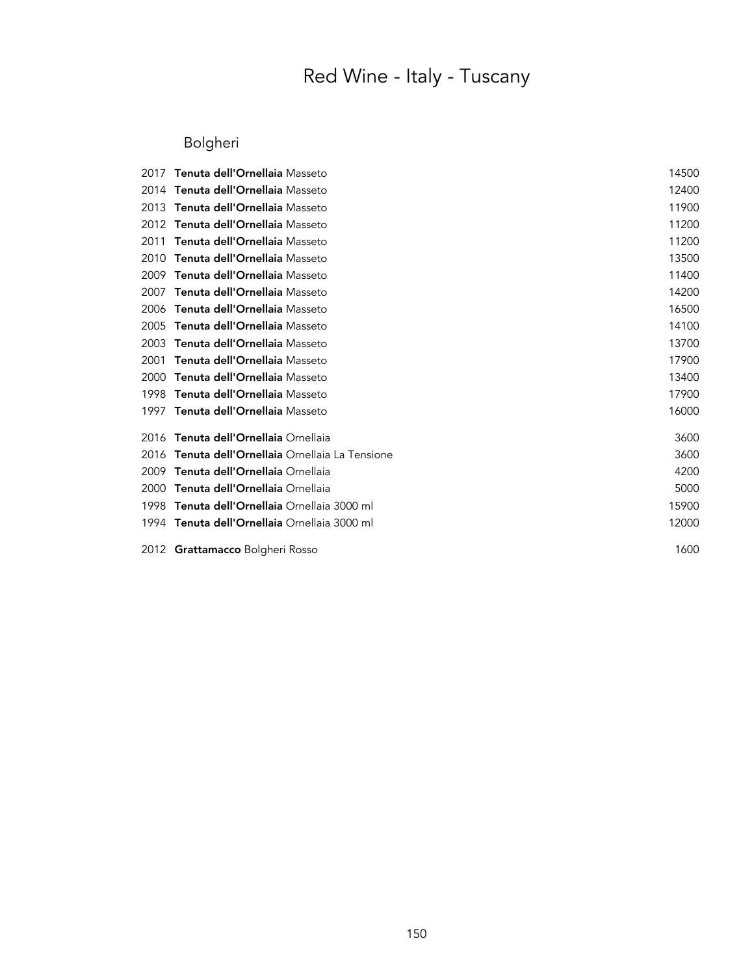### Bolgheri

| 2017 | Tenuta dell'Ornellaia Masseto                      | 14500 |
|------|----------------------------------------------------|-------|
| 2014 | Tenuta dell'Ornellaia Masseto                      | 12400 |
| 2013 | Tenuta dell'Ornellaia Masseto                      | 11900 |
| 2012 | Tenuta dell'Ornellaia Masseto                      | 11200 |
| 2011 | Tenuta dell'Ornellaia Masseto                      | 11200 |
| 2010 | Tenuta dell'Ornellaia Masseto                      | 13500 |
| 2009 | Tenuta dell'Ornellaia Masseto                      | 11400 |
| 2007 | Tenuta dell'Ornellaia Masseto                      | 14200 |
| 2006 | Tenuta dell'Ornellaia Masseto                      | 16500 |
| 2005 | Tenuta dell'Ornellaia Masseto                      | 14100 |
| 2003 | Tenuta dell'Ornellaia Masseto                      | 13700 |
| 2001 | Tenuta dell'Ornellaia Masseto                      | 17900 |
| 2000 | Tenuta dell'Ornellaia Masseto                      | 13400 |
| 1998 | Tenuta dell'Ornellaia Masseto                      | 17900 |
| 1997 | Tenuta dell'Ornellaia Masseto                      | 16000 |
| 2016 | Tenuta dell'Ornellaia Ornellaia                    | 3600  |
| 2016 | <b>Tenuta dell'Ornellaia</b> Ornellaia La Tensione | 3600  |
| 2009 | Tenuta dell'Ornellaia Ornellaia                    | 4200  |
| 2000 | Tenuta dell'Ornellaia Ornellaia                    | 5000  |
| 1998 | Tenuta dell'Ornellaia Ornellaia 3000 ml            | 15900 |
|      | 1994 Tenuta dell'Ornellaia Ornellaia 3000 ml       | 12000 |
|      | 2012 Grattamacco Bolgheri Rosso                    | 1600  |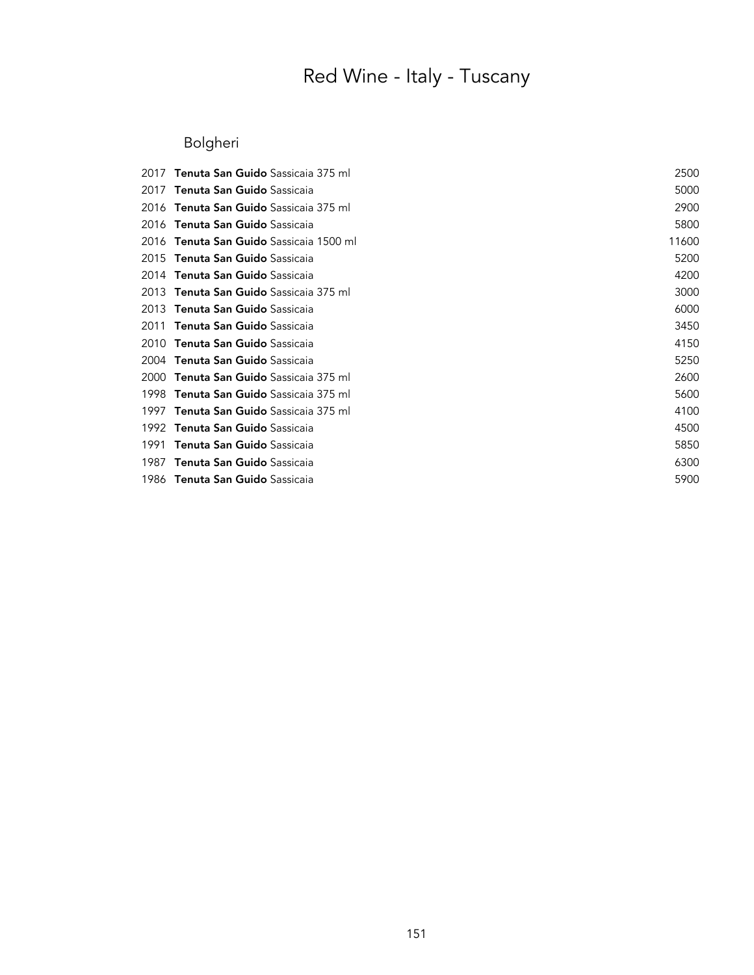### Bolgheri

| 2017 | <b>Tenuta San Guido</b> Sassicaia 375 ml  | 2500  |
|------|-------------------------------------------|-------|
| 2017 | Tenuta San Guido Sassicaia                | 5000  |
| 2016 | <b>Tenuta San Guido</b> Sassicaia 375 ml  | 2900  |
| 2016 | Tenuta San Guido Sassicaia                | 5800  |
| 2016 | <b>Tenuta San Guido</b> Sassicaia 1500 ml | 11600 |
| 2015 | Tenuta San Guido Sassicaia                | 5200  |
| 2014 | <b>Tenuta San Guido</b> Sassicaia         | 4200  |
| 2013 | <b>Tenuta San Guido</b> Sassicaia 375 ml  | 3000  |
| 2013 | <b>Tenuta San Guido</b> Sassicaia         | 6000  |
| 2011 | Tenuta San Guido Sassicaia                | 3450  |
| 2010 | Tenuta San Guido Sassicaia                | 4150  |
| 2004 | Tenuta San Guido Sassicaia                | 5250  |
| 2000 | <b>Tenuta San Guido</b> Sassicaia 375 ml  | 2600  |
| 1998 | <b>Tenuta San Guido</b> Sassicaia 375 ml  | 5600  |
| 1997 | <b>Tenuta San Guido</b> Sassicaia 375 ml  | 4100  |
| 1992 | <b>Tenuta San Guido</b> Sassicaia         | 4500  |
| 1991 | Tenuta San Guido Sassicaia                | 5850  |
| 1987 | Tenuta San Guido Sassicaia                | 6300  |
| 1986 | <b>Tenuta San Guido</b> Sassicaia         | 5900  |
|      |                                           |       |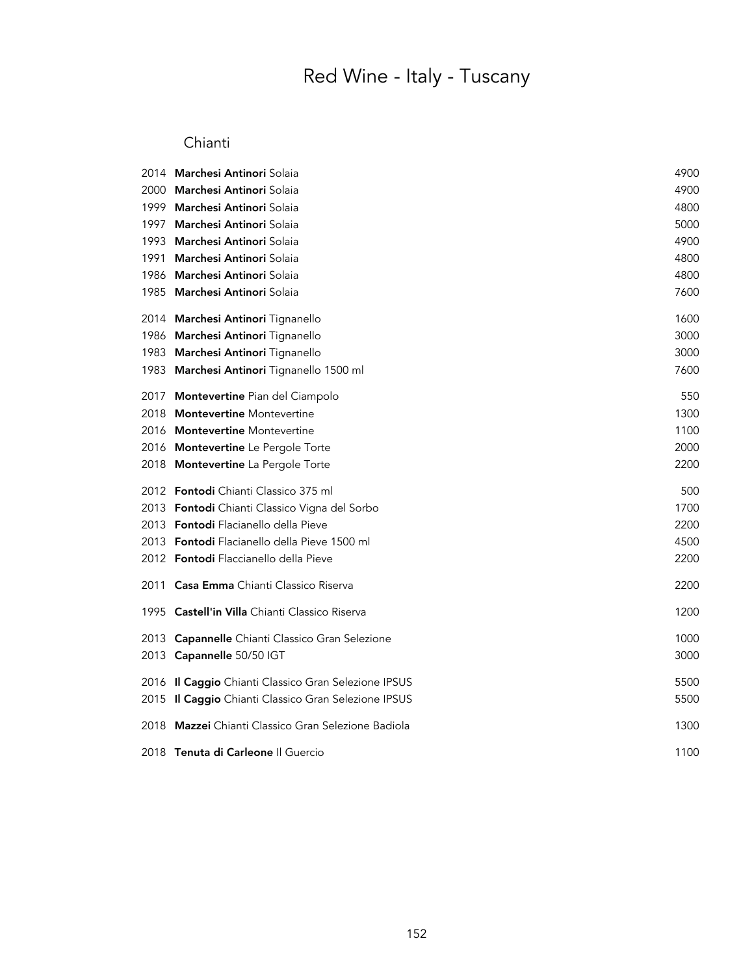#### Chianti

| 2014 | Marchesi Antinori Solaia                             | 4900 |
|------|------------------------------------------------------|------|
| 2000 | Marchesi Antinori Solaia                             | 4900 |
| 1999 | Marchesi Antinori Solaia                             | 4800 |
| 1997 | Marchesi Antinori Solaia                             | 5000 |
| 1993 | Marchesi Antinori Solaia                             | 4900 |
| 1991 | Marchesi Antinori Solaia                             | 4800 |
| 1986 | Marchesi Antinori Solaia                             | 4800 |
| 1985 | Marchesi Antinori Solaia                             | 7600 |
|      | 2014 Marchesi Antinori Tignanello                    | 1600 |
|      | 1986 Marchesi Antinori Tignanello                    | 3000 |
| 1983 | Marchesi Antinori Tignanello                         | 3000 |
| 1983 | <b>Marchesi Antinori</b> Tignanello 1500 ml          | 7600 |
| 2017 | Montevertine Pian del Ciampolo                       | 550  |
| 2018 | <b>Montevertine</b> Montevertine                     | 1300 |
| 2016 | <b>Montevertine</b> Montevertine                     | 1100 |
| 2016 | Montevertine Le Pergole Torte                        | 2000 |
| 2018 | Montevertine La Pergole Torte                        | 2200 |
|      | 2012 Fontodi Chianti Classico 375 ml                 | 500  |
|      | 2013 <b>Fontodi</b> Chianti Classico Vigna del Sorbo | 1700 |
|      | 2013 Fontodi Flacianello della Pieve                 | 2200 |
|      | 2013 Pontodi Flacianello della Pieve 1500 ml         | 4500 |
|      | 2012 Fontodi Flaccianello della Pieve                | 2200 |
| 2011 | <b>Casa Emma</b> Chianti Classico Riserva            | 2200 |
|      | 1995 Castell'in Villa Chianti Classico Riserva       | 1200 |
|      | 2013 Capannelle Chianti Classico Gran Selezione      | 1000 |
|      | 2013 Capannelle 50/50 IGT                            | 3000 |
|      | 2016 Il Caggio Chianti Classico Gran Selezione IPSUS | 5500 |
|      | 2015 Il Caggio Chianti Classico Gran Selezione IPSUS | 5500 |
| 2018 | Mazzei Chianti Classico Gran Selezione Badiola       | 1300 |
|      | 2018 Tenuta di Carleone Il Guercio                   | 1100 |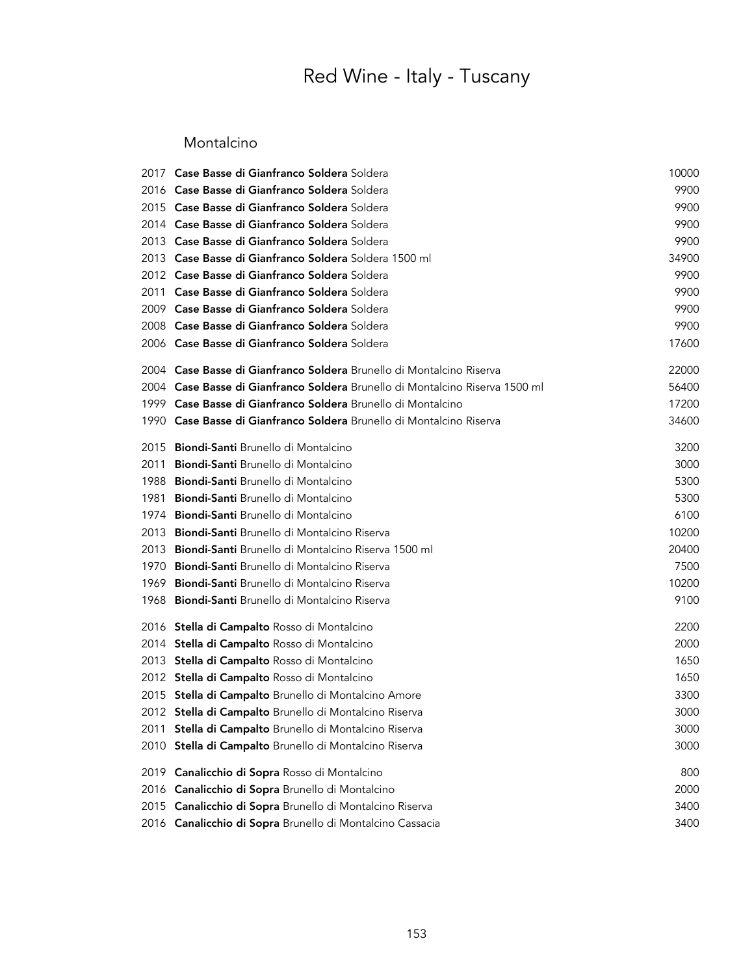#### Montalcino

| 2017 | Case Basse di Gianfranco Soldera Soldera                                     | 10000 |
|------|------------------------------------------------------------------------------|-------|
|      | 2016 Case Basse di Gianfranco Soldera Soldera                                | 9900  |
|      | 2015 Case Basse di Gianfranco Soldera Soldera                                | 9900  |
|      | 2014 Case Basse di Gianfranco Soldera Soldera                                | 9900  |
|      | 2013 Case Basse di Gianfranco Soldera Soldera                                | 9900  |
| 2013 | Case Basse di Gianfranco Soldera Soldera 1500 ml                             | 34900 |
| 2012 | Case Basse di Gianfranco Soldera Soldera                                     | 9900  |
| 2011 | Case Basse di Gianfranco Soldera Soldera                                     | 9900  |
| 2009 | Case Basse di Gianfranco Soldera Soldera                                     | 9900  |
| 2008 | Case Basse di Gianfranco Soldera Soldera                                     | 9900  |
|      | 2006 Case Basse di Gianfranco Soldera Soldera                                | 17600 |
|      | 2004 Case Basse di Gianfranco Soldera Brunello di Montalcino Riserva         | 22000 |
|      | 2004 Case Basse di Gianfranco Soldera Brunello di Montalcino Riserva 1500 ml | 56400 |
|      | 1999 Case Basse di Gianfranco Soldera Brunello di Montalcino                 | 17200 |
| 1990 | Case Basse di Gianfranco Soldera Brunello di Montalcino Riserva              | 34600 |
| 2015 | Biondi-Santi Brunello di Montalcino                                          | 3200  |
| 2011 | Biondi-Santi Brunello di Montalcino                                          | 3000  |
| 1988 | Biondi-Santi Brunello di Montalcino                                          | 5300  |
| 1981 | Biondi-Santi Brunello di Montalcino                                          | 5300  |
| 1974 | Biondi-Santi Brunello di Montalcino                                          | 6100  |
| 2013 | <b>Biondi-Santi</b> Brunello di Montalcino Riserva                           | 10200 |
| 2013 | Biondi-Santi Brunello di Montalcino Riserva 1500 ml                          | 20400 |
| 1970 | Biondi-Santi Brunello di Montalcino Riserva                                  | 7500  |
| 1969 | Biondi-Santi Brunello di Montalcino Riserva                                  | 10200 |
| 1968 | Biondi-Santi Brunello di Montalcino Riserva                                  | 9100  |
|      | 2016 Stella di Campalto Rosso di Montalcino                                  | 2200  |
|      | 2014 Stella di Campalto Rosso di Montalcino                                  | 2000  |
| 2013 | Stella di Campalto Rosso di Montalcino                                       | 1650  |
|      | 2012 Stella di Campalto Rosso di Montalcino                                  | 1650  |
|      | 2015 Stella di Campalto Brunello di Montalcino Amore                         | 3300  |
|      | 2012 <b>Stella di Campalto</b> Brunello di Montalcino Riserva                | 3000  |
|      | 2011 Stella di Campalto Brunello di Montalcino Riserva                       | 3000  |
| 2010 | Stella di Campalto Brunello di Montalcino Riserva                            | 3000  |
| 2019 | Canalicchio di Sopra Rosso di Montalcino                                     | 800   |
| 2016 | Canalicchio di Sopra Brunello di Montalcino                                  | 2000  |
| 2015 | Canalicchio di Sopra Brunello di Montalcino Riserva                          | 3400  |
| 2016 | Canalicchio di Sopra Brunello di Montalcino Cassacia                         | 3400  |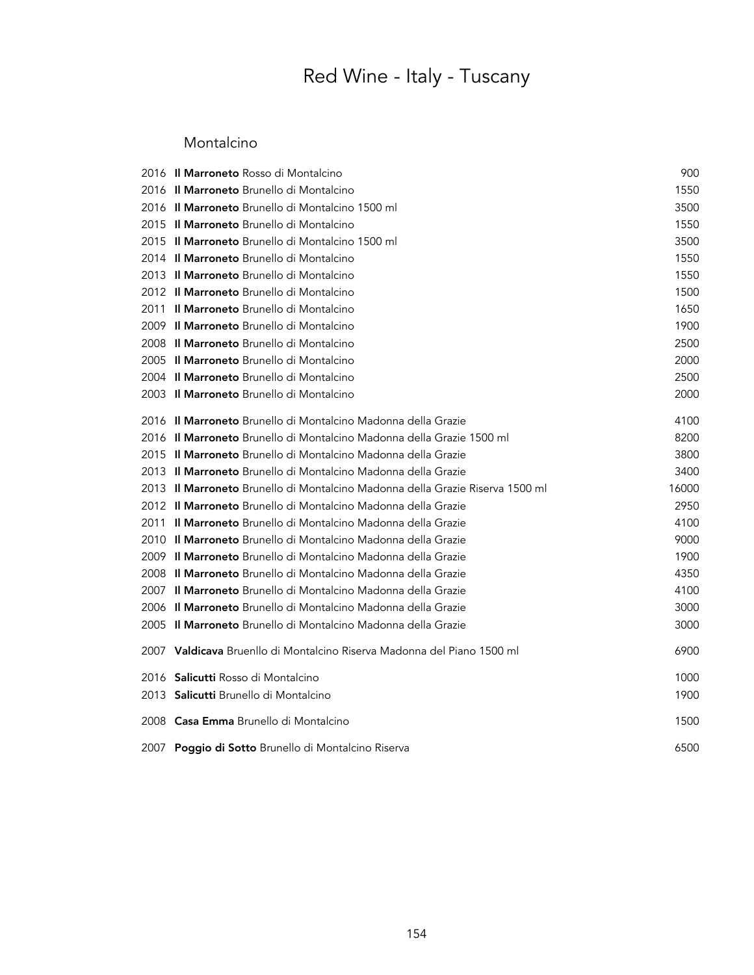#### Montalcino

|      | 2016 Il Marroneto Rosso di Montalcino                                                 | 900   |
|------|---------------------------------------------------------------------------------------|-------|
|      | 2016 Il Marroneto Brunello di Montalcino                                              | 1550  |
|      | 2016 Il Marroneto Brunello di Montalcino 1500 ml                                      | 3500  |
|      | 2015 Il Marroneto Brunello di Montalcino                                              | 1550  |
|      | 2015 <b>Il Marroneto</b> Brunello di Montalcino 1500 ml                               | 3500  |
|      | 2014 Il Marroneto Brunello di Montalcino                                              | 1550  |
|      | 2013 Il Marroneto Brunello di Montalcino                                              | 1550  |
|      | 2012 Il Marroneto Brunello di Montalcino                                              | 1500  |
| 2011 | <b>Il Marroneto</b> Brunello di Montalcino                                            | 1650  |
| 2009 | Il Marroneto Brunello di Montalcino                                                   | 1900  |
|      | 2008 Il Marroneto Brunello di Montalcino                                              | 2500  |
| 2005 | <b>Il Marroneto</b> Brunello di Montalcino                                            | 2000  |
|      | 2004 Il Marroneto Brunello di Montalcino                                              | 2500  |
|      | 2003 Il Marroneto Brunello di Montalcino                                              | 2000  |
|      | 2016 Il Marroneto Brunello di Montalcino Madonna della Grazie                         | 4100  |
|      | 2016 Il Marroneto Brunello di Montalcino Madonna della Grazie 1500 ml                 | 8200  |
|      | 2015 <b>Il Marroneto</b> Brunello di Montalcino Madonna della Grazie                  | 3800  |
|      | 2013 Il Marroneto Brunello di Montalcino Madonna della Grazie                         | 3400  |
|      | 2013 I <b>l Marroneto</b> Brunello di Montalcino Madonna della Grazie Riserva 1500 ml | 16000 |
|      | 2012 Il Marroneto Brunello di Montalcino Madonna della Grazie                         | 2950  |
|      | 2011 Il Marroneto Brunello di Montalcino Madonna della Grazie                         | 4100  |
|      | 2010 Il Marroneto Brunello di Montalcino Madonna della Grazie                         | 9000  |
|      | 2009 <b>Il Marroneto</b> Brunello di Montalcino Madonna della Grazie                  | 1900  |
|      | 2008 Il Marroneto Brunello di Montalcino Madonna della Grazie                         | 4350  |
| 2007 | <b>Il Marroneto</b> Brunello di Montalcino Madonna della Grazie                       | 4100  |
| 2006 | <b>Il Marroneto</b> Brunello di Montalcino Madonna della Grazie                       | 3000  |
|      | 2005 <b>Il Marroneto</b> Brunello di Montalcino Madonna della Grazie                  | 3000  |
|      | 2007 <b>Valdicava</b> Bruenllo di Montalcino Riserva Madonna del Piano 1500 ml        | 6900  |
|      | 2016 Salicutti Rosso di Montalcino                                                    | 1000  |
|      | 2013 Salicutti Brunello di Montalcino                                                 | 1900  |
|      | 2008 Casa Emma Brunello di Montalcino                                                 | 1500  |
|      | 2007 Poggio di Sotto Brunello di Montalcino Riserva                                   | 6500  |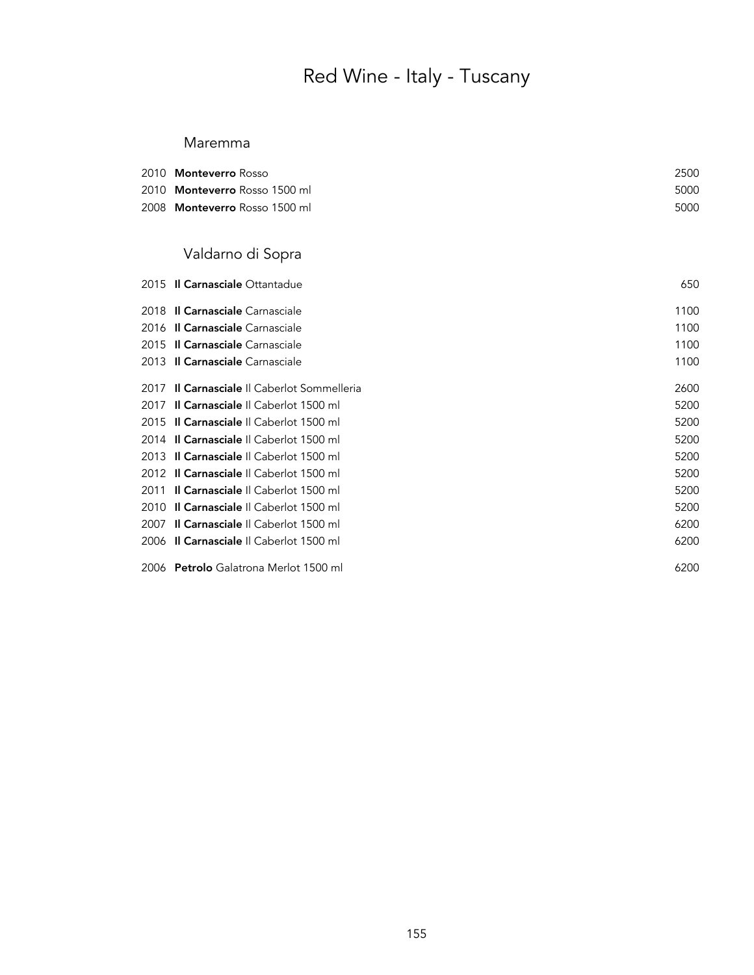#### Maremma

| 2010 Monteverro Rosso         | 2500 |
|-------------------------------|------|
| 2010 Monteverro Rosso 1500 ml | 5000 |
| 2008 Monteverro Rosso 1500 ml | 5000 |

### Valdarno di Sopra

| 2015 Il Carnasciale Ottantadue               | 650  |
|----------------------------------------------|------|
| 2018 Il Carnasciale Carnasciale              | 1100 |
| 2016 Il Carnasciale Carnasciale              | 1100 |
| 2015 Il Carnasciale Carnasciale              | 1100 |
| 2013 Il Carnasciale Carnasciale              | 1100 |
| 2017 Il Carnasciale Il Caberlot Sommelleria  | 2600 |
| 2017 Il Carnasciale Il Caberlot 1500 ml      | 5200 |
| 2015 Il Carnasciale Il Caberlot 1500 ml      | 5200 |
| 2014 Il Carnasciale Il Caberlot 1500 ml      | 5200 |
| 2013 Il Carnasciale Il Caberlot 1500 ml      | 5200 |
| 2012 Il Carnasciale Il Caberlot 1500 ml      | 5200 |
| 2011 Il Carnasciale Il Caberlot 1500 ml      | 5200 |
| 2010 Il Carnasciale Il Caberlot 1500 ml      | 5200 |
| 2007 Il Carnasciale Il Caberlot 1500 ml      | 6200 |
| 2006 Il Carnasciale Il Caberlot 1500 ml      | 6200 |
| 2006 <b>Petrolo</b> Galatrona Merlot 1500 ml | 6200 |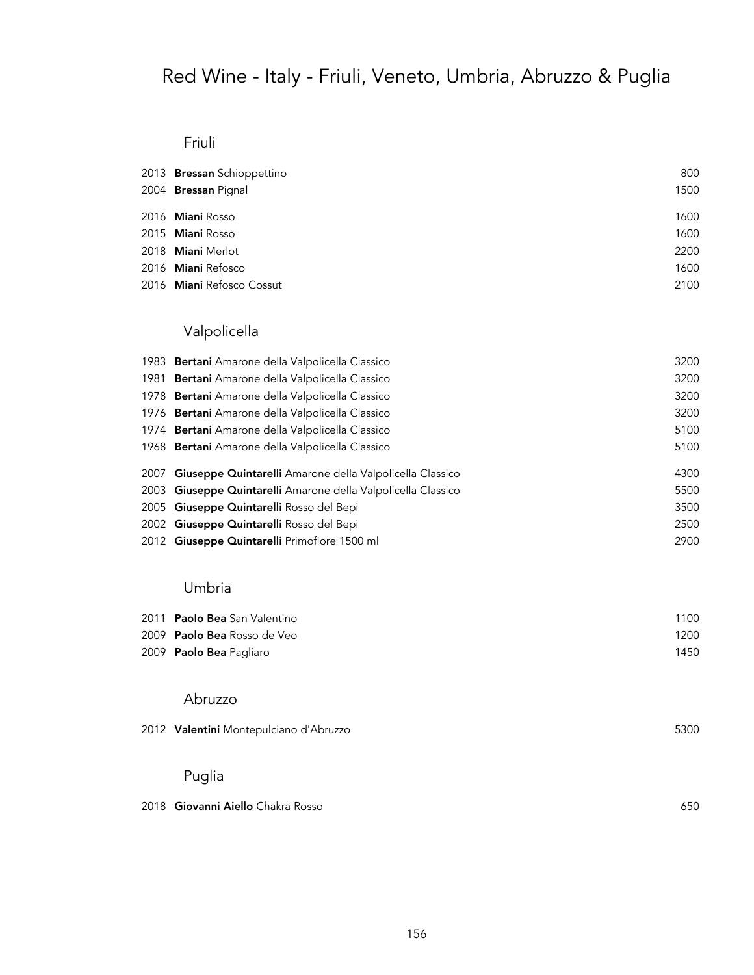## Red Wine - Italy - Friuli, Veneto, Umbria, Abruzzo & Puglia

#### Friuli

| 2013 Bressan Schioppettino | 800  |
|----------------------------|------|
| 2004 Bressan Pignal        | 1500 |
| 2016 <b>Miani</b> Rosso    | 1600 |
| 2015 Miani Rosso           | 1600 |
| 2018 Miani Merlot          | 2200 |
| 2016 Miani Refosco         | 1600 |
| 2016 Miani Refosco Cossut  | 2100 |

### Valpolicella

| 1983 Bertani Amarone della Valpolicella Classico              | 3200 |
|---------------------------------------------------------------|------|
| 1981 Bertani Amarone della Valpolicella Classico              | 3200 |
| 1978 Bertani Amarone della Valpolicella Classico              | 3200 |
| 1976 <b>Bertani</b> Amarone della Valpolicella Classico       | 3200 |
| 1974 Bertani Amarone della Valpolicella Classico              | 5100 |
| 1968 <b>Bertani</b> Amarone della Valpolicella Classico       | 5100 |
|                                                               |      |
| 2007 Giuseppe Quintarelli Amarone della Valpolicella Classico | 4300 |
| 2003 Giuseppe Quintarelli Amarone della Valpolicella Classico | 5500 |
| 2005 Giuseppe Quintarelli Rosso del Bepi                      | 3500 |
| 2002 Giuseppe Quintarelli Rosso del Bepi                      | 2500 |
| 2012 Giuseppe Quintarelli Primofiore 1500 ml                  | 2900 |
|                                                               |      |

#### Umbria

| 2011 Paolo Bea San Valentino       | 1100 |
|------------------------------------|------|
| 2009 <b>Paolo Bea</b> Rosso de Veo | 1200 |
| 2009 <b>Paolo Bea</b> Pagliaro     | 1450 |

#### Abruzzo

| 2012 Valentini Montepulciano d'Abruzzo | 5300 |
|----------------------------------------|------|
|                                        |      |

### Puglia

| 650 |
|-----|
|     |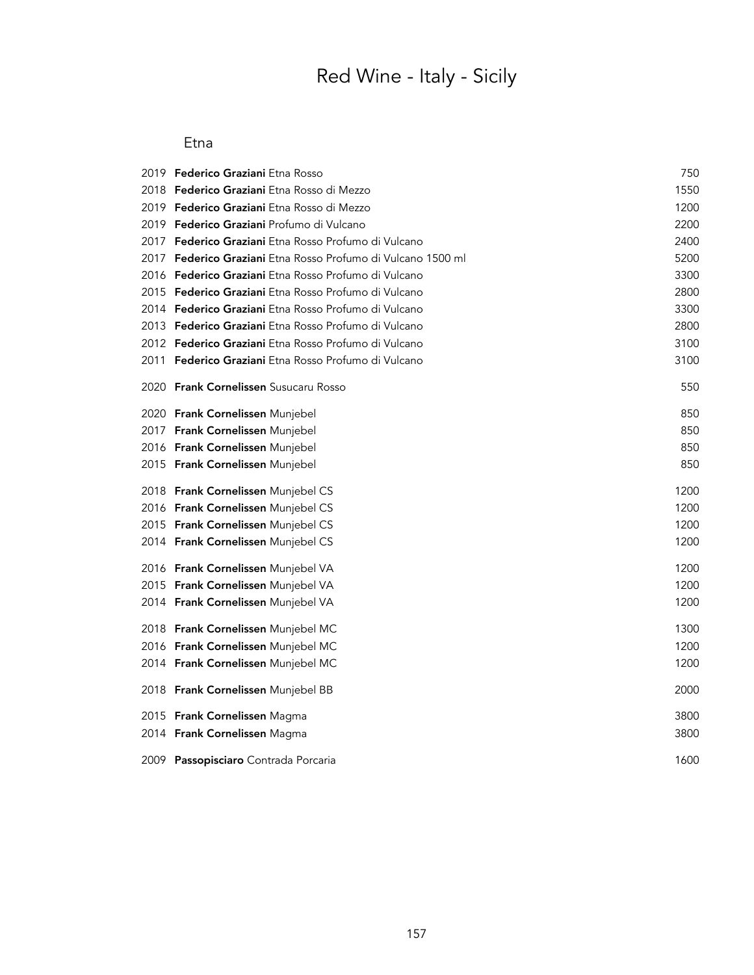# Red Wine - Italy - Sicily

#### Etna

|      | 2019 <b>Federico Graziani</b> Etna Rosso                    | 750  |
|------|-------------------------------------------------------------|------|
|      | 2018 <b>Federico Graziani</b> Etna Rosso di Mezzo           | 1550 |
| 2019 | <b>Federico Graziani</b> Etna Rosso di Mezzo                | 1200 |
|      | 2019 <b>Federico Graziani</b> Profumo di Vulcano            | 2200 |
|      | 2017 Federico Graziani Etna Rosso Profumo di Vulcano        | 2400 |
| 2017 | Federico Graziani Etna Rosso Profumo di Vulcano 1500 ml     | 5200 |
|      | 2016 <b>Federico Graziani</b> Etna Rosso Profumo di Vulcano | 3300 |
|      | 2015 <b>Federico Graziani</b> Etna Rosso Profumo di Vulcano | 2800 |
|      | 2014 Federico Graziani Etna Rosso Profumo di Vulcano        | 3300 |
|      | 2013 Federico Graziani Etna Rosso Profumo di Vulcano        | 2800 |
|      | 2012 Federico Graziani Etna Rosso Profumo di Vulcano        | 3100 |
|      | 2011 <b>Federico Graziani</b> Etna Rosso Profumo di Vulcano | 3100 |
|      | 2020 Frank Cornelissen Susucaru Rosso                       | 550  |
|      | 2020 Frank Cornelissen Munjebel                             | 850  |
|      | 2017 Frank Cornelissen Munjebel                             | 850  |
|      | 2016 Frank Cornelissen Munjebel                             | 850  |
|      | 2015 Frank Cornelissen Munjebel                             | 850  |
|      | 2018 Frank Cornelissen Munjebel CS                          | 1200 |
|      | 2016 Frank Cornelissen Munjebel CS                          | 1200 |
|      | 2015 Frank Cornelissen Munjebel CS                          | 1200 |
|      | 2014 Frank Cornelissen Munjebel CS                          | 1200 |
|      | 2016 Frank Cornelissen Munjebel VA                          | 1200 |
|      | 2015 Frank Cornelissen Munjebel VA                          | 1200 |
|      | 2014 Frank Cornelissen Munjebel VA                          | 1200 |
|      | 2018 Frank Cornelissen Munjebel MC                          | 1300 |
|      | 2016 Frank Cornelissen Munjebel MC                          | 1200 |
|      | 2014 Frank Cornelissen Munjebel MC                          | 1200 |
|      | 2018 Frank Cornelissen Munjebel BB                          | 2000 |
|      | 2015 Frank Cornelissen Magma                                | 3800 |
|      | 2014 Frank Cornelissen Magma                                | 3800 |
|      | 2009 Passopisciaro Contrada Porcaria                        | 1600 |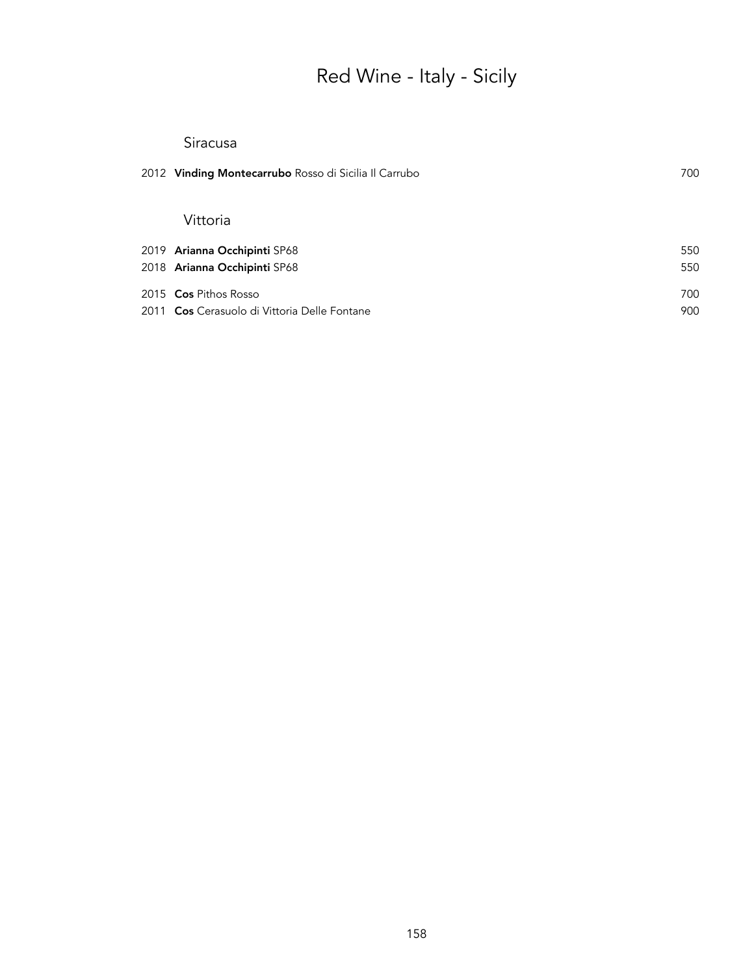# Red Wine - Italy - Sicily

#### Siracusa

| 2012 Vinding Montecarrubo Rosso di Sicilia Il Carrubo | 700 |
|-------------------------------------------------------|-----|
| Vittoria                                              |     |
| 2019 Arianna Occhipinti SP68                          | 550 |
| 2018 Arianna Occhipinti SP68                          | 550 |
| 2015 <b>Cos</b> Pithos Rosso                          | 700 |
| 2011 Cos Cerasuolo di Vittoria Delle Fontane          | 900 |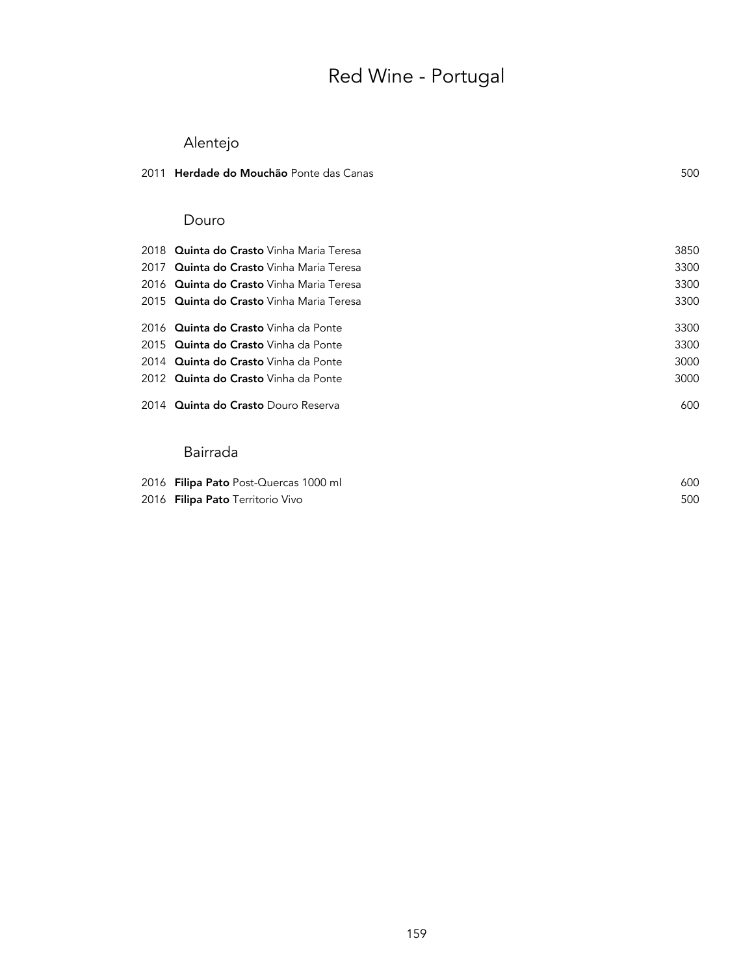## Red Wine - Portugal

### Alentejo

| 2011 | Herdade do Mouchão Ponte das Canas              | 500  |
|------|-------------------------------------------------|------|
|      | Douro                                           |      |
| 2018 | <b>Quinta do Crasto</b> Vinha Maria Teresa      | 3850 |
| 2017 | <b>Quinta do Crasto</b> Vinha Maria Teresa      | 3300 |
|      | 2016 Quinta do Crasto Vinha Maria Teresa        | 3300 |
|      | 2015 <b>Quinta do Crasto</b> Vinha Maria Teresa | 3300 |
|      | 2016 Quinta do Crasto Vinha da Ponte            | 3300 |
| 2015 | Quinta do Crasto Vinha da Ponte                 | 3300 |
|      | 2014 Quinta do Crasto Vinha da Ponte            | 3000 |
|      | 2012 Quinta do Crasto Vinha da Ponte            | 3000 |
|      | 2014 Quinta do Crasto Douro Reserva             | 600  |
|      | Bairrada                                        |      |
|      | 2016 Filipa Pato Post-Quercas 1000 ml           | 600  |

**Filipa Pato** Territorio Vivo 500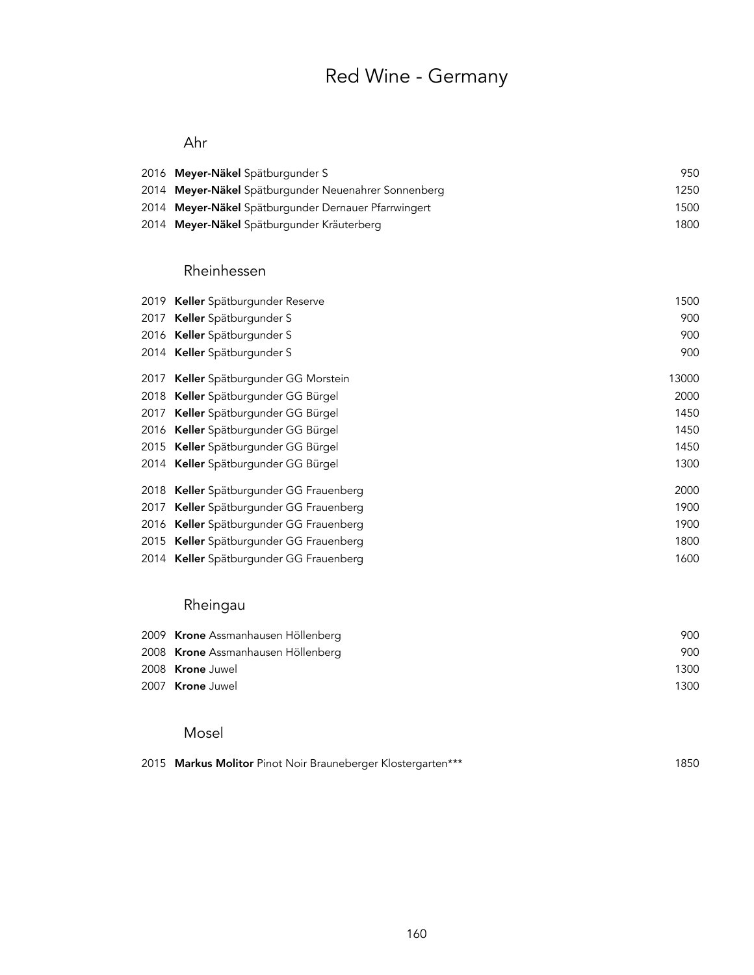## Red Wine - Germany

#### Ahr

| 2016 Meyer-Näkel Spätburgunder S                     | 950  |
|------------------------------------------------------|------|
| 2014 Meyer-Näkel Spätburgunder Neuenahrer Sonnenberg | 1250 |
| 2014 Meyer-Näkel Spätburgunder Dernauer Pfarrwingert | 1500 |
| 2014 Meyer-Näkel Spätburgunder Kräuterberg           | 1800 |

#### Rheinhessen

| 2019 | Keller Spätburgunder Reserve            | 1500  |
|------|-----------------------------------------|-------|
| 2017 | Keller Spätburgunder S                  | 900   |
|      | 2016 Keller Spätburgunder S             | 900   |
|      | 2014 Keller Spätburgunder S             | 900   |
| 2017 | Keller Spätburgunder GG Morstein        | 13000 |
|      | 2018 Keller Spätburgunder GG Bürgel     | 2000  |
| 2017 | Keller Spätburgunder GG Bürgel          | 1450  |
|      | 2016 Keller Spätburgunder GG Bürgel     | 1450  |
|      | 2015 Keller Spätburgunder GG Bürgel     | 1450  |
|      | 2014 Keller Spätburgunder GG Bürgel     | 1300  |
|      | 2018 Keller Spätburgunder GG Frauenberg | 2000  |
| 2017 | Keller Spätburgunder GG Frauenberg      | 1900  |
|      | 2016 Keller Spätburgunder GG Frauenberg | 1900  |
|      | 2015 Keller Spätburgunder GG Frauenberg | 1800  |
|      | 2014 Keller Spätburgunder GG Frauenberg | 1600  |

### Rheingau

| 2009 Krone Assmanhausen Höllenberg | 900  |
|------------------------------------|------|
| 2008 Krone Assmanhausen Höllenberg | 900  |
| 2008 Krone Juwel                   | 1300 |
| 2007 Krone Juwel                   | 1300 |

#### Mosel

|  |  | 2015 Markus Molitor Pinot Noir Brauneberger Klostergarten*** | 1850 |
|--|--|--------------------------------------------------------------|------|
|--|--|--------------------------------------------------------------|------|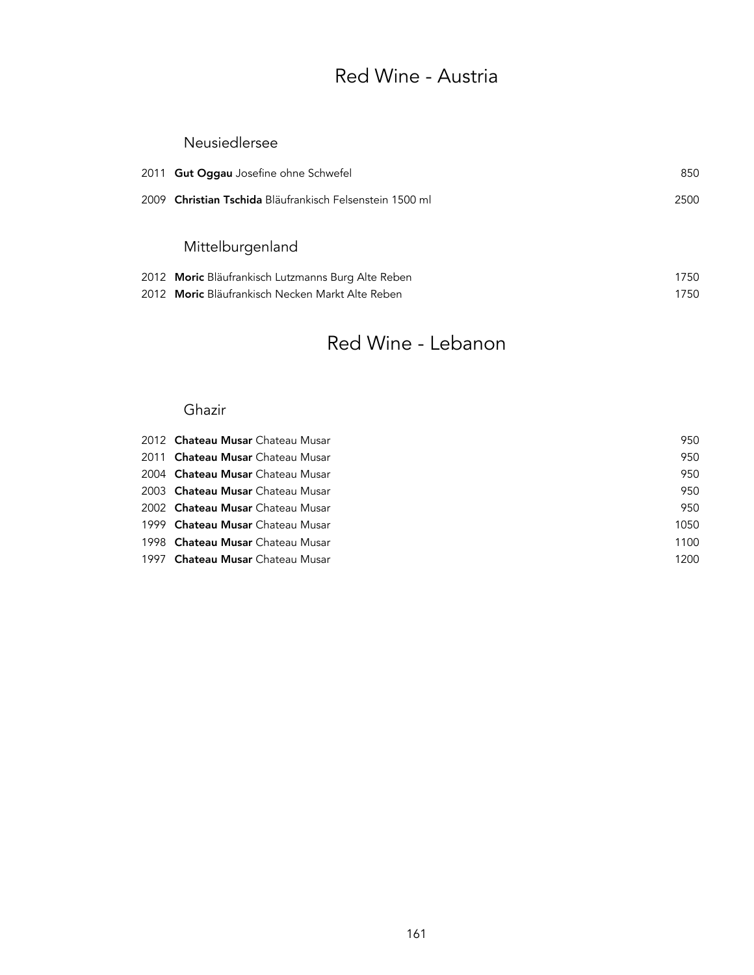### Red Wine - Austria

#### Neusiedlersee

| 2011 Gut Oggau Josefine ohne Schwefel                    | 850  |
|----------------------------------------------------------|------|
| 2009 Christian Tschida Bläufrankisch Felsenstein 1500 ml | 2500 |
| Mittelburgenland                                         |      |
| 2012 Moric Bläufrankisch Lutzmanns Burg Alte Reben       | 1750 |

2012 Moric Bläufrankisch Necken Markt Alte Reben 1750

### Red Wine - Lebanon

#### Ghazir

| 2012 <b>Chateau Musar</b> Chateau Musar | 950  |
|-----------------------------------------|------|
| 2011 Chateau Musar Chateau Musar        | 950  |
| 2004 <b>Chateau Musar</b> Chateau Musar | 950  |
| 2003 <b>Chateau Musar</b> Chateau Musar | 950  |
| 2002 Chateau Musar Chateau Musar        | 950  |
| 1999 Chateau Musar Chateau Musar        | 1050 |
| 1998 Chateau Musar Chateau Musar        | 1100 |
| 1997 Chateau Musar Chateau Musar        | 1200 |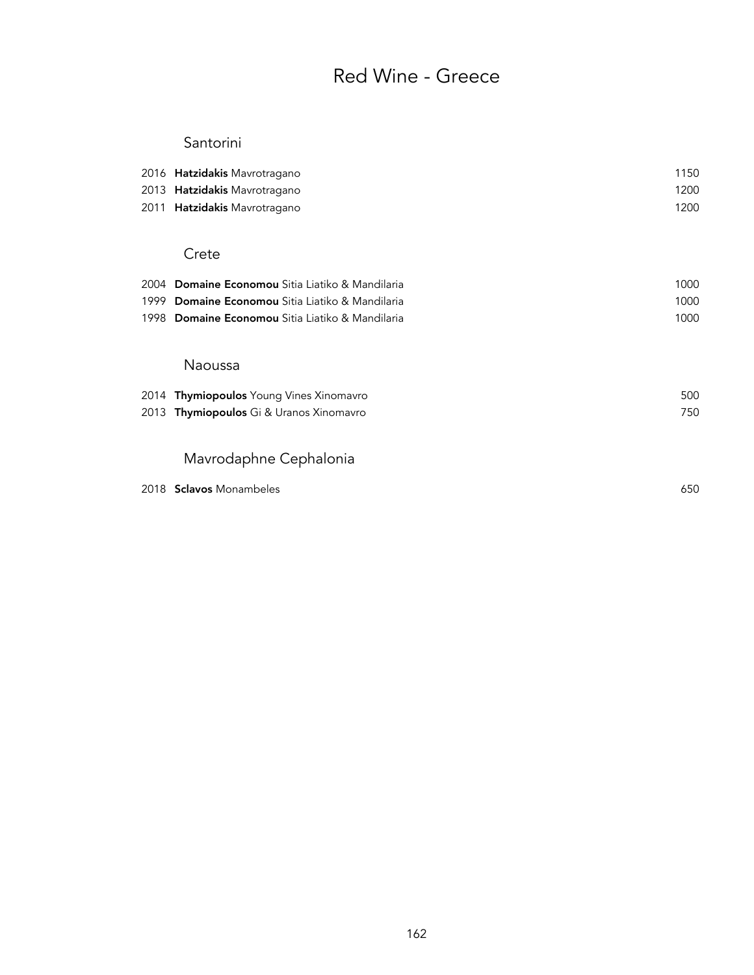## Red Wine - Greece

#### Santorini

| 2013<br>2011 | 2016 <b>Hatzidakis</b> Mavrotragano<br>Hatzidakis Mavrotragano<br>Hatzidakis Mavrotragano | 1150<br>1200<br>1200 |
|--------------|-------------------------------------------------------------------------------------------|----------------------|
|              | Crete                                                                                     |                      |
| 2004         | Domaine Economou Sitia Liatiko & Mandilaria                                               | 1000                 |
| 1999         | Domaine Economou Sitia Liatiko & Mandilaria                                               | 1000                 |
| 1998         | Domaine Economou Sitia Liatiko & Mandilaria                                               | 1000                 |
|              | Naoussa                                                                                   |                      |
| 2014         | <b>Thymiopoulos</b> Young Vines Xinomavro                                                 | 500                  |
| 2013         | Thymiopoulos Gi & Uranos Xinomavro                                                        | 750                  |
|              | Mavrodaphne Cephalonia                                                                    |                      |
|              | 2018 Sclavos Monambeles                                                                   | 650                  |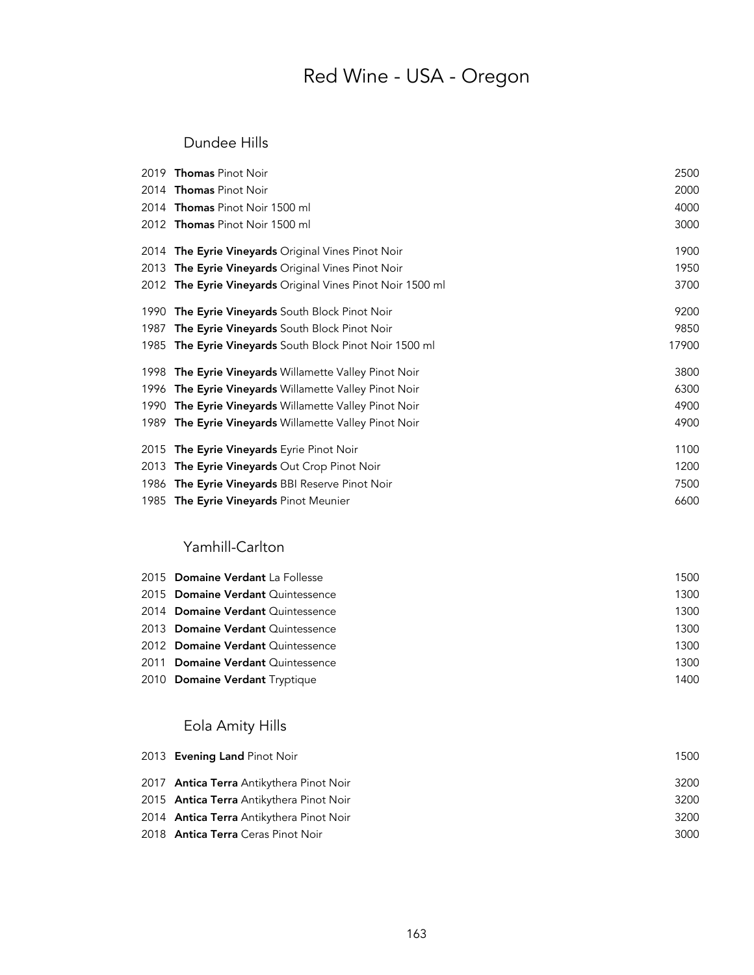## Red Wine - USA - Oregon

#### Dundee Hills

|      | 2019 Thomas Pinot Noir                                     | 2500  |
|------|------------------------------------------------------------|-------|
|      | 2014 Thomas Pinot Noir                                     | 2000  |
|      | 2014 Thomas Pinot Noir 1500 ml                             | 4000  |
|      | 2012 Thomas Pinot Noir 1500 ml                             | 3000  |
|      | 2014 The Eyrie Vineyards Original Vines Pinot Noir         | 1900  |
|      | 2013 The Eyrie Vineyards Original Vines Pinot Noir         | 1950  |
|      | 2012 The Eyrie Vineyards Original Vines Pinot Noir 1500 ml | 3700  |
| 1990 | The Eyrie Vineyards South Block Pinot Noir                 | 9200  |
| 1987 | The Eyrie Vineyards South Block Pinot Noir                 | 9850  |
|      | 1985 The Eyrie Vineyards South Block Pinot Noir 1500 ml    | 17900 |
|      | 1998 The Eyrie Vineyards Willamette Valley Pinot Noir      | 3800  |
| 1996 | <b>The Eyrie Vineyards</b> Willamette Valley Pinot Noir    | 6300  |
| 1990 | <b>The Eyrie Vineyards</b> Willamette Valley Pinot Noir    | 4900  |
|      | 1989 The Eyrie Vineyards Willamette Valley Pinot Noir      | 4900  |
| 2015 | <b>The Eyrie Vineyards</b> Eyrie Pinot Noir                | 1100  |
| 2013 | The Eyrie Vineyards Out Crop Pinot Noir                    | 1200  |
|      | 1986 The Eyrie Vineyards BBI Reserve Pinot Noir            | 7500  |
|      | 1985 The Eyrie Vineyards Pinot Meunier                     | 6600  |

#### Yamhill-Carlton

| 2015 Domaine Verdant La Follesse  | 1500 |
|-----------------------------------|------|
| 2015 Domaine Verdant Quintessence | 1300 |
| 2014 Domaine Verdant Quintessence | 1300 |
| 2013 Domaine Verdant Quintessence | 1300 |
| 2012 Domaine Verdant Quintessence | 1300 |
| 2011 Domaine Verdant Quintessence | 1300 |
| 2010 Domaine Verdant Tryptique    | 1400 |

### Eola Amity Hills

| 2013 Evening Land Pinot Noir                    | 1500 |
|-------------------------------------------------|------|
| 2017 <b>Antica Terra</b> Antikythera Pinot Noir | 3200 |
| 2015 Antica Terra Antikythera Pinot Noir        | 3200 |
| 2014 Antica Terra Antikythera Pinot Noir        | 3200 |
| 2018 <b>Antica Terra</b> Ceras Pinot Noir       | 3000 |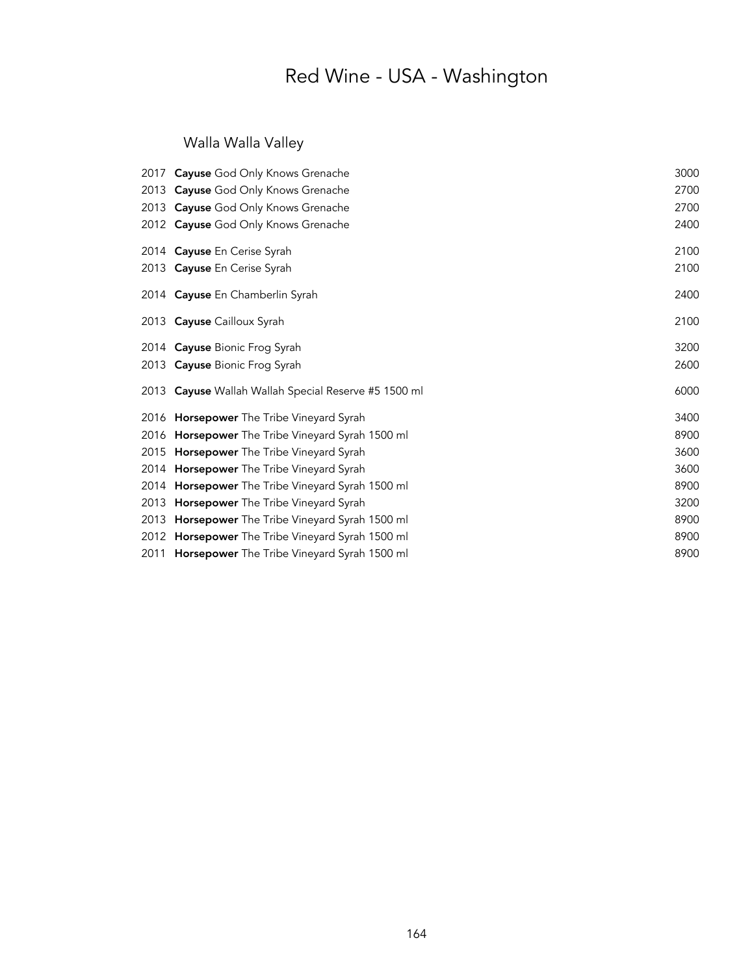## Red Wine - USA - Washington

### Walla Walla Valley

|      | 2017 Cayuse God Only Knows Grenache                     | 3000 |
|------|---------------------------------------------------------|------|
|      | 2013 Cayuse God Only Knows Grenache                     | 2700 |
|      | 2013 Cayuse God Only Knows Grenache                     | 2700 |
|      | 2012 Cayuse God Only Knows Grenache                     | 2400 |
|      | 2014 Cayuse En Cerise Syrah                             | 2100 |
|      | 2013 Cayuse En Cerise Syrah                             | 2100 |
|      | 2014 Cayuse En Chamberlin Syrah                         | 2400 |
|      | 2013 Cayuse Cailloux Syrah                              | 2100 |
|      | 2014 Cayuse Bionic Frog Syrah                           | 3200 |
|      | 2013 Cayuse Bionic Frog Syrah                           | 2600 |
|      | 2013 Cayuse Wallah Wallah Special Reserve #5 1500 ml    | 6000 |
|      | 2016 Horsepower The Tribe Vineyard Syrah                | 3400 |
|      | 2016 Horsepower The Tribe Vineyard Syrah 1500 ml        | 8900 |
|      | 2015 Horsepower The Tribe Vineyard Syrah                | 3600 |
|      | 2014 Horsepower The Tribe Vineyard Syrah                | 3600 |
|      | 2014 Horsepower The Tribe Vineyard Syrah 1500 ml        | 8900 |
| 2013 | <b>Horsepower</b> The Tribe Vineyard Syrah              | 3200 |
|      | 2013 <b>Horsepower</b> The Tribe Vineyard Syrah 1500 ml | 8900 |
|      | 2012 Horsepower The Tribe Vineyard Syrah 1500 ml        | 8900 |
|      | 2011 Horsepower The Tribe Vineyard Syrah 1500 ml        | 8900 |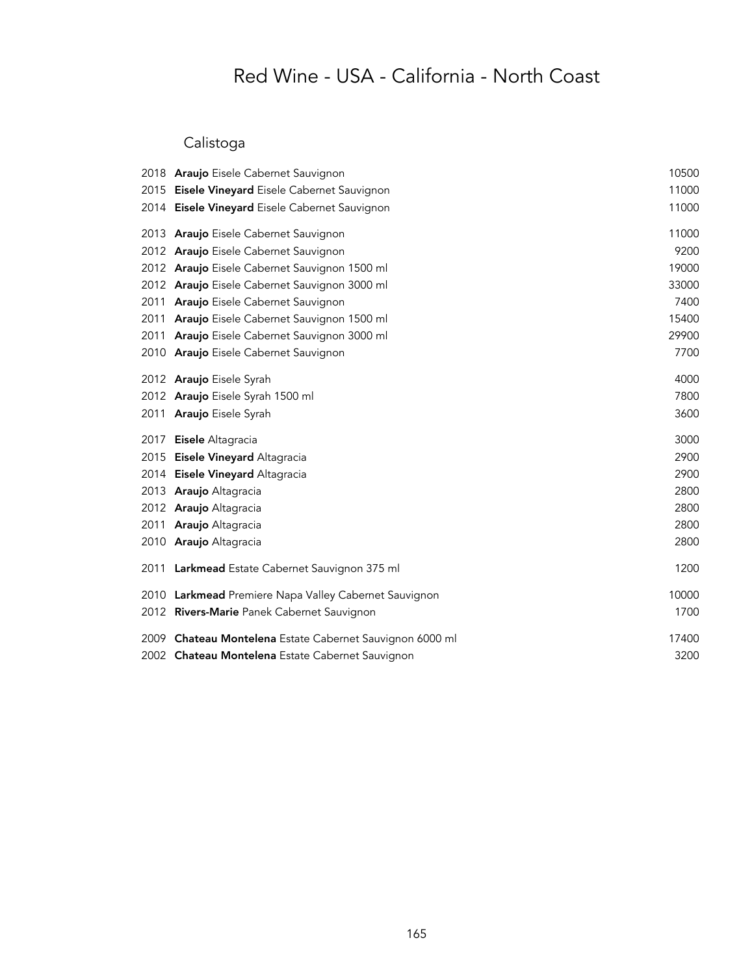### Calistoga

|      | 2018 Araujo Eisele Cabernet Sauvignon                    | 10500 |
|------|----------------------------------------------------------|-------|
|      | 2015 Eisele Vineyard Eisele Cabernet Sauvignon           | 11000 |
|      | 2014 Eisele Vineyard Eisele Cabernet Sauvignon           | 11000 |
|      | 2013 Araujo Eisele Cabernet Sauvignon                    | 11000 |
|      | 2012 Araujo Eisele Cabernet Sauvignon                    | 9200  |
|      | 2012 Araujo Eisele Cabernet Sauvignon 1500 ml            | 19000 |
|      | 2012 Araujo Eisele Cabernet Sauvignon 3000 ml            | 33000 |
| 2011 | Araujo Eisele Cabernet Sauvignon                         | 7400  |
| 2011 | Araujo Eisele Cabernet Sauvignon 1500 ml                 | 15400 |
| 2011 | Araujo Eisele Cabernet Sauvignon 3000 ml                 | 29900 |
| 2010 | Araujo Eisele Cabernet Sauvignon                         | 7700  |
|      | 2012 Araujo Eisele Syrah                                 | 4000  |
|      | 2012 Araujo Eisele Syrah 1500 ml                         | 7800  |
|      | 2011 Araujo Eisele Syrah                                 | 3600  |
| 2017 | Eisele Altagracia                                        | 3000  |
|      | 2015 Eisele Vineyard Altagracia                          | 2900  |
|      | 2014 Eisele Vineyard Altagracia                          | 2900  |
|      | 2013 Araujo Altagracia                                   | 2800  |
|      | 2012 Araujo Altagracia                                   | 2800  |
| 2011 | Araujo Altagracia                                        | 2800  |
|      | 2010 Araujo Altagracia                                   | 2800  |
| 2011 | Larkmead Estate Cabernet Sauvignon 375 ml                | 1200  |
|      | 2010 Larkmead Premiere Napa Valley Cabernet Sauvignon    | 10000 |
|      | 2012 Rivers-Marie Panek Cabernet Sauvignon               | 1700  |
|      | 2009 Chateau Montelena Estate Cabernet Sauvignon 6000 ml | 17400 |
|      | 2002 Chateau Montelena Estate Cabernet Sauvignon         | 3200  |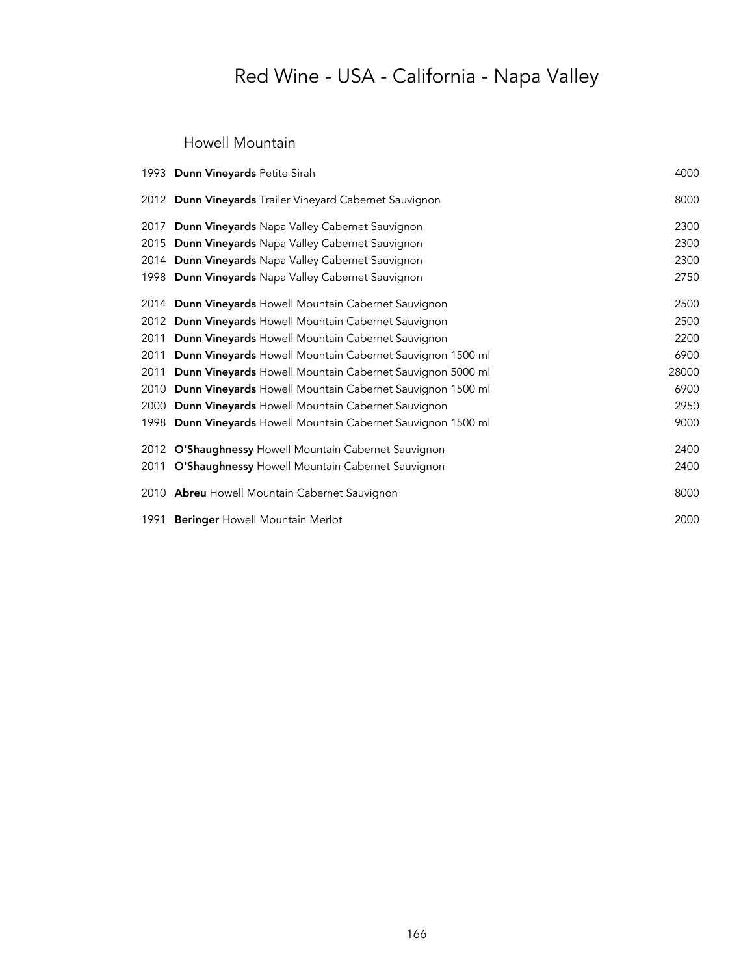#### Howell Mountain

|      | 1993 Dunn Vineyards Petite Sirah                               | 4000  |
|------|----------------------------------------------------------------|-------|
|      | 2012 Dunn Vineyards Trailer Vineyard Cabernet Sauvignon        | 8000  |
|      | 2017 Dunn Vineyards Napa Valley Cabernet Sauvignon             | 2300  |
|      | 2015 Dunn Vineyards Napa Valley Cabernet Sauvignon             | 2300  |
|      | 2014 Dunn Vineyards Napa Valley Cabernet Sauvignon             | 2300  |
|      | 1998 Dunn Vineyards Napa Valley Cabernet Sauvignon             | 2750  |
|      | 2014 Dunn Vineyards Howell Mountain Cabernet Sauvignon         | 2500  |
|      | 2012 Dunn Vineyards Howell Mountain Cabernet Sauvignon         | 2500  |
| 2011 | Dunn Vineyards Howell Mountain Cabernet Sauvignon              | 2200  |
| 2011 | Dunn Vineyards Howell Mountain Cabernet Sauvignon 1500 ml      | 6900  |
| 2011 | Dunn Vineyards Howell Mountain Cabernet Sauvignon 5000 ml      | 28000 |
| 2010 | Dunn Vineyards Howell Mountain Cabernet Sauvignon 1500 ml      | 6900  |
|      | 2000 Dunn Vineyards Howell Mountain Cabernet Sauvignon         | 2950  |
|      | 1998 Dunn Vineyards Howell Mountain Cabernet Sauvignon 1500 ml | 9000  |
|      | 2012 O'Shaughnessy Howell Mountain Cabernet Sauvignon          | 2400  |
|      | 2011 O'Shaughnessy Howell Mountain Cabernet Sauvignon          | 2400  |
|      | 2010 Abreu Howell Mountain Cabernet Sauvignon                  | 8000  |
|      | 1991 Beringer Howell Mountain Merlot                           | 2000  |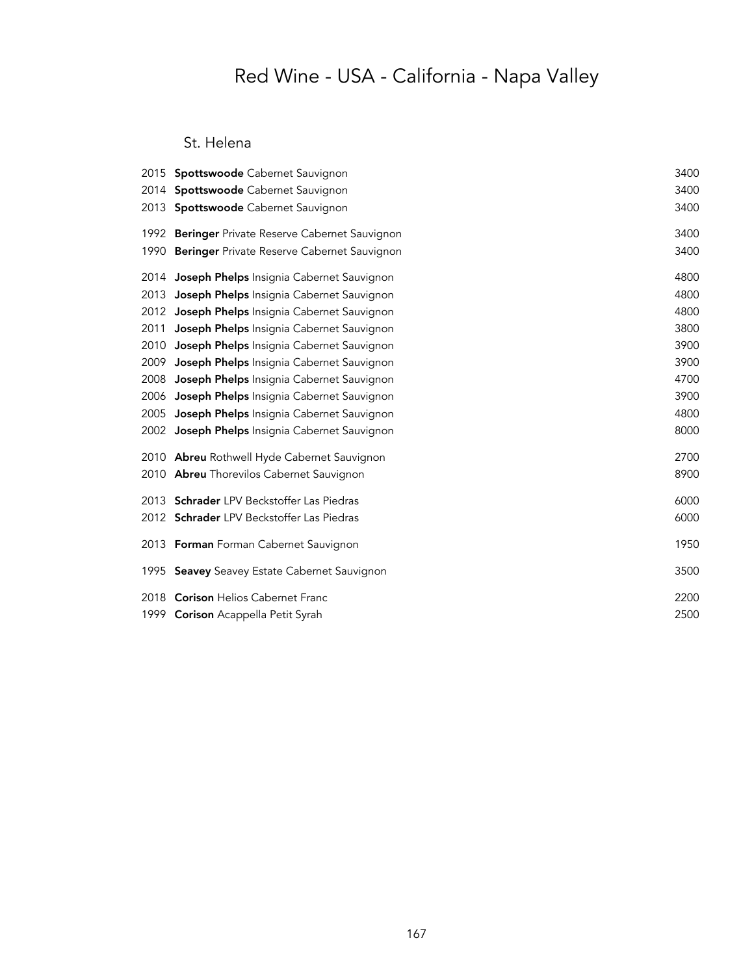#### St. Helena

|      | 2015 Spottswoode Cabernet Sauvignon              | 3400 |
|------|--------------------------------------------------|------|
| 2014 | Spottswoode Cabernet Sauvignon                   | 3400 |
| 2013 | Spottswoode Cabernet Sauvignon                   | 3400 |
|      | 1992 Beringer Private Reserve Cabernet Sauvignon | 3400 |
| 1990 | Beringer Private Reserve Cabernet Sauvignon      | 3400 |
| 2014 | Joseph Phelps Insignia Cabernet Sauvignon        | 4800 |
| 2013 | Joseph Phelps Insignia Cabernet Sauvignon        | 4800 |
| 2012 | Joseph Phelps Insignia Cabernet Sauvignon        | 4800 |
| 2011 | Joseph Phelps Insignia Cabernet Sauvignon        | 3800 |
| 2010 | Joseph Phelps Insignia Cabernet Sauvignon        | 3900 |
| 2009 | Joseph Phelps Insignia Cabernet Sauvignon        | 3900 |
| 2008 | Joseph Phelps Insignia Cabernet Sauvignon        | 4700 |
| 2006 | Joseph Phelps Insignia Cabernet Sauvignon        | 3900 |
| 2005 | Joseph Phelps Insignia Cabernet Sauvignon        | 4800 |
|      | 2002 Joseph Phelps Insignia Cabernet Sauvignon   | 8000 |
|      | 2010 Abreu Rothwell Hyde Cabernet Sauvignon      | 2700 |
|      | 2010 Abreu Thorevilos Cabernet Sauvignon         | 8900 |
|      | 2013 Schrader LPV Beckstoffer Las Piedras        | 6000 |
|      | 2012 Schrader LPV Beckstoffer Las Piedras        | 6000 |
|      | 2013 Forman Forman Cabernet Sauvignon            | 1950 |
|      | 1995 Seavey Seavey Estate Cabernet Sauvignon     | 3500 |
|      | 2018 Corison Helios Cabernet Franc               | 2200 |
|      | 1999 Corison Acappella Petit Syrah               | 2500 |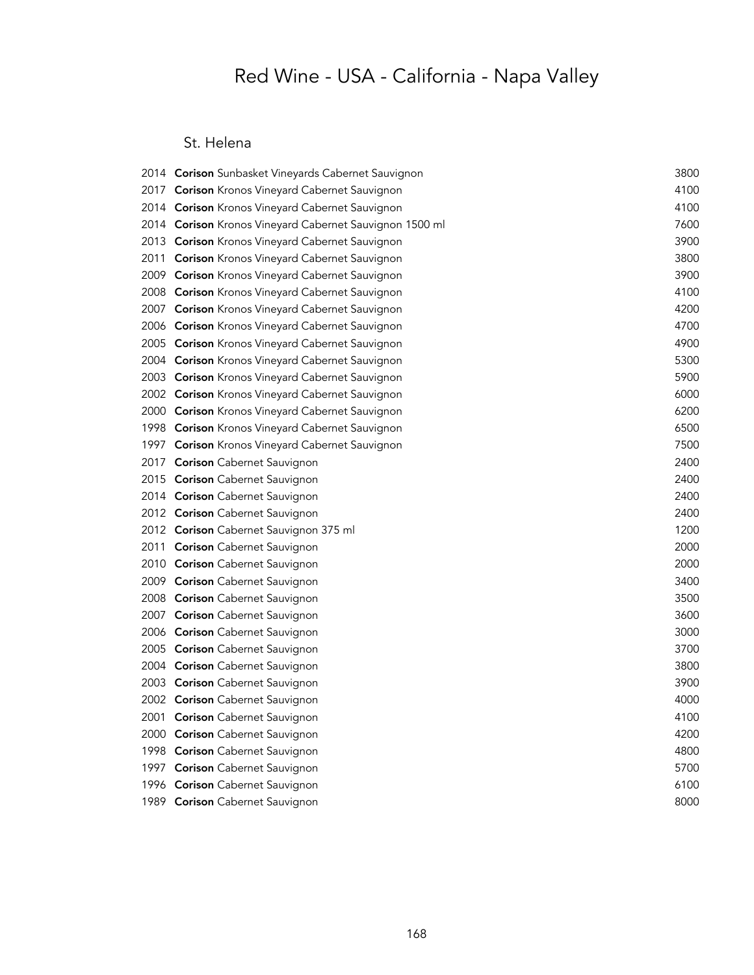#### St. Helena

| 2014 <b>Corison</b> Sunbasket Vineyards Cabernet Sauvignon | 3800 |
|------------------------------------------------------------|------|
| 2017 Corison Kronos Vineyard Cabernet Sauvignon            | 4100 |
| 2014 <b>Corison</b> Kronos Vineyard Cabernet Sauvignon     | 4100 |
| 2014 Corison Kronos Vineyard Cabernet Sauvignon 1500 ml    | 7600 |
| 2013 Corison Kronos Vineyard Cabernet Sauvignon            | 3900 |
| 2011 Corison Kronos Vineyard Cabernet Sauvignon            | 3800 |
| 2009 Corison Kronos Vineyard Cabernet Sauvignon            | 3900 |
| 2008 Corison Kronos Vineyard Cabernet Sauvignon            | 4100 |
| 2007 Corison Kronos Vineyard Cabernet Sauvignon            | 4200 |
| 2006 Corison Kronos Vineyard Cabernet Sauvignon            | 4700 |
| 2005 Corison Kronos Vineyard Cabernet Sauvignon            | 4900 |
| 2004 <b>Corison</b> Kronos Vineyard Cabernet Sauvignon     | 5300 |
| 2003 Corison Kronos Vineyard Cabernet Sauvignon            | 5900 |
| 2002 Corison Kronos Vineyard Cabernet Sauvignon            | 6000 |
| 2000 Corison Kronos Vineyard Cabernet Sauvignon            | 6200 |
| 1998 Corison Kronos Vineyard Cabernet Sauvignon            | 6500 |
| 1997 Corison Kronos Vineyard Cabernet Sauvignon            | 7500 |
| 2017 Corison Cabernet Sauvignon                            | 2400 |
| 2015 <b>Corison</b> Cabernet Sauvignon                     | 2400 |
| 2014 Corison Cabernet Sauvignon                            | 2400 |
| 2012 Corison Cabernet Sauvignon                            | 2400 |
| 2012 <b>Corison</b> Cabernet Sauvignon 375 ml              | 1200 |
| 2011 Corison Cabernet Sauvignon                            | 2000 |
| 2010 Corison Cabernet Sauvignon                            | 2000 |
| 2009 Corison Cabernet Sauvignon                            | 3400 |
| 2008 <b>Corison</b> Cabernet Sauvignon                     | 3500 |
| 2007 <b>Corison</b> Cabernet Sauvignon                     | 3600 |
| 2006 Corison Cabernet Sauvignon                            | 3000 |
| 2005 <b>Corison</b> Cabernet Sauvignon                     | 3700 |
| 2004 Corison Cabernet Sauvignon                            | 3800 |
| 2003 <b>Corison</b> Cabernet Sauvignon                     | 3900 |
| 2002 <b>Corison</b> Cabernet Sauvignon                     | 4000 |
| 2001 Corison Cabernet Sauvignon                            | 4100 |
| 2000 Corison Cabernet Sauvignon                            | 4200 |
| 1998 Corison Cabernet Sauvignon                            | 4800 |
| 1997 <b>Corison</b> Cabernet Sauvignon                     | 5700 |
| 1996 Corison Cabernet Sauvignon                            | 6100 |
| 1989 Corison Cabernet Sauvignon                            | 8000 |
|                                                            |      |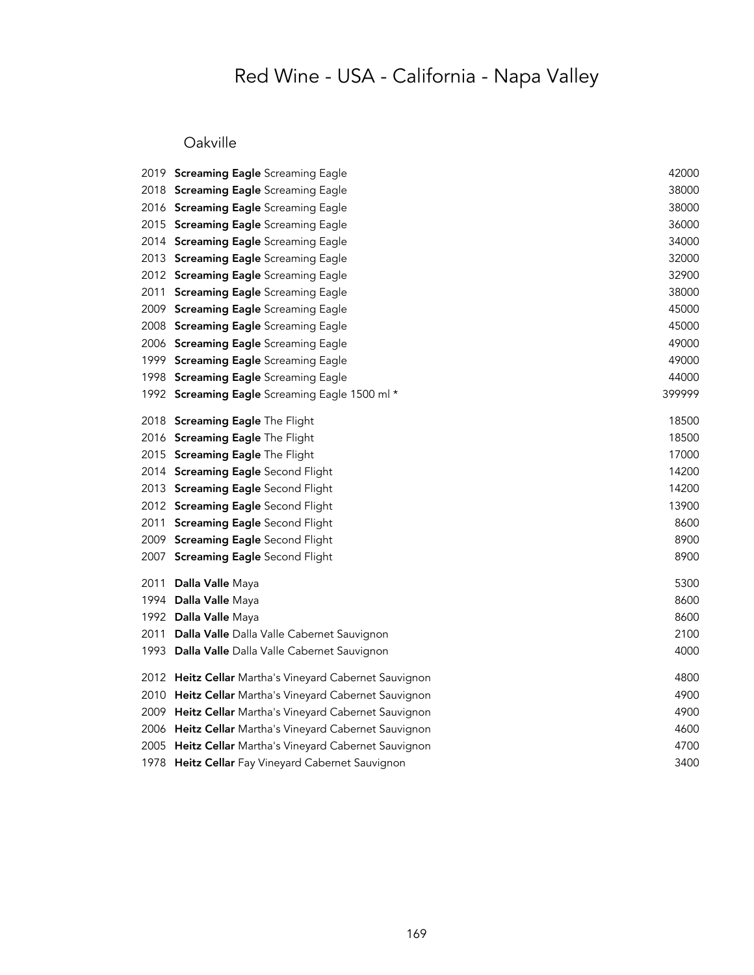### Oakville

|      | 2019 Screaming Eagle Screaming Eagle                   | 42000  |
|------|--------------------------------------------------------|--------|
|      | 2018 Screaming Eagle Screaming Eagle                   | 38000  |
|      | 2016 Screaming Eagle Screaming Eagle                   | 38000  |
|      | 2015 Screaming Eagle Screaming Eagle                   | 36000  |
|      | 2014 Screaming Eagle Screaming Eagle                   | 34000  |
|      | 2013 Screaming Eagle Screaming Eagle                   | 32000  |
|      | 2012 Screaming Eagle Screaming Eagle                   | 32900  |
| 2011 | <b>Screaming Eagle Screaming Eagle</b>                 | 38000  |
|      | 2009 Screaming Eagle Screaming Eagle                   | 45000  |
|      | 2008 Screaming Eagle Screaming Eagle                   | 45000  |
|      | 2006 Screaming Eagle Screaming Eagle                   | 49000  |
|      | 1999 Screaming Eagle Screaming Eagle                   | 49000  |
|      | 1998 Screaming Eagle Screaming Eagle                   | 44000  |
|      | 1992 Screaming Eagle Screaming Eagle 1500 ml *         | 399999 |
|      | 2018 Screaming Eagle The Flight                        | 18500  |
|      | 2016 Screaming Eagle The Flight                        | 18500  |
|      | 2015 Screaming Eagle The Flight                        | 17000  |
|      | 2014 Screaming Eagle Second Flight                     | 14200  |
|      | 2013 Screaming Eagle Second Flight                     | 14200  |
|      | 2012 Screaming Eagle Second Flight                     | 13900  |
|      | 2011 Screaming Eagle Second Flight                     | 8600   |
|      | 2009 Screaming Eagle Second Flight                     | 8900   |
| 2007 | <b>Screaming Eagle Second Flight</b>                   | 8900   |
| 2011 | Dalla Valle Maya                                       | 5300   |
|      | 1994 Dalla Valle Maya                                  | 8600   |
|      | 1992 Dalla Valle Maya                                  | 8600   |
| 2011 | Dalla Valle Dalla Valle Cabernet Sauvignon             | 2100   |
| 1993 | Dalla Valle Dalla Valle Cabernet Sauvignon             | 4000   |
|      | 2012 Heitz Cellar Martha's Vineyard Cabernet Sauvignon | 4800   |
| 2010 | Heitz Cellar Martha's Vineyard Cabernet Sauvignon      | 4900   |
| 2009 | Heitz Cellar Martha's Vineyard Cabernet Sauvignon      | 4900   |
| 2006 | Heitz Cellar Martha's Vineyard Cabernet Sauvignon      | 4600   |
|      | 2005 Heitz Cellar Martha's Vineyard Cabernet Sauvignon | 4700   |
|      | 1978 Heitz Cellar Fay Vineyard Cabernet Sauvignon      | 3400   |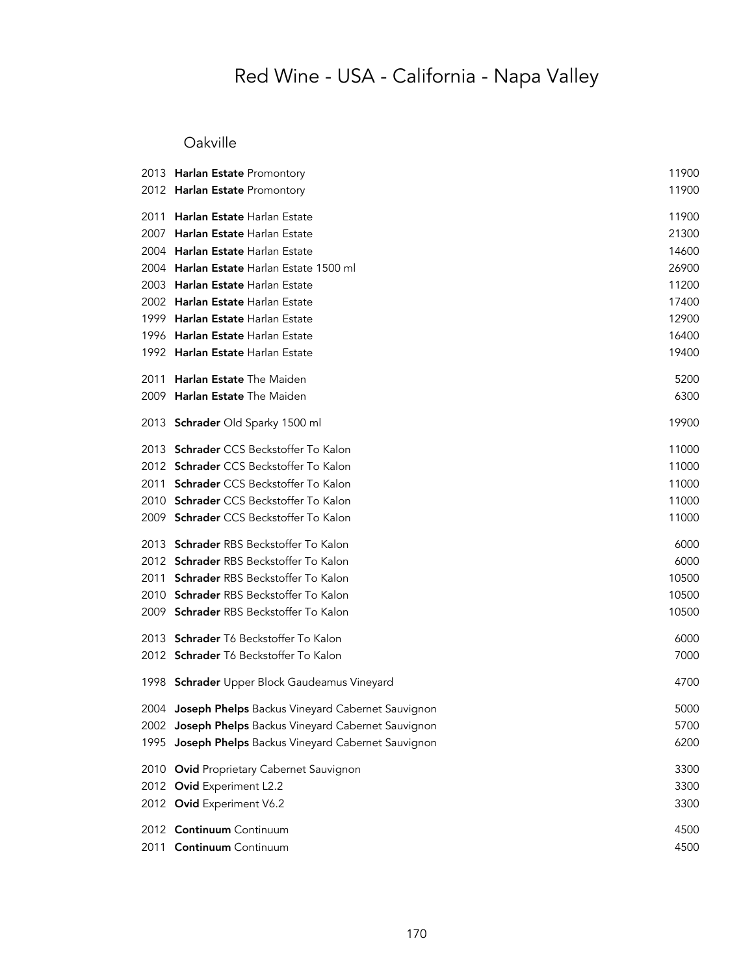### Oakville

|      | 2013 Harlan Estate Promontory                         | 11900 |
|------|-------------------------------------------------------|-------|
|      | 2012 Harlan Estate Promontory                         | 11900 |
|      | 2011 Harlan Estate Harlan Estate                      | 11900 |
| 2007 | Harlan Estate Harlan Estate                           | 21300 |
|      | 2004 Harlan Estate Harlan Estate                      | 14600 |
|      | 2004 Harlan Estate Harlan Estate 1500 ml              | 26900 |
|      | 2003 Harlan Estate Harlan Estate                      | 11200 |
|      | 2002 Harlan Estate Harlan Estate                      | 17400 |
|      | 1999 Harlan Estate Harlan Estate                      | 12900 |
|      | 1996 Harlan Estate Harlan Estate                      | 16400 |
|      | 1992 Harlan Estate Harlan Estate                      | 19400 |
| 2011 | Harlan Estate The Maiden                              | 5200  |
|      | 2009 Harlan Estate The Maiden                         | 6300  |
|      | 2013 Schrader Old Sparky 1500 ml                      | 19900 |
|      | 2013 Schrader CCS Beckstoffer To Kalon                | 11000 |
|      | 2012 Schrader CCS Beckstoffer To Kalon                | 11000 |
| 2011 | Schrader CCS Beckstoffer To Kalon                     | 11000 |
|      | 2010 Schrader CCS Beckstoffer To Kalon                | 11000 |
|      | 2009 Schrader CCS Beckstoffer To Kalon                | 11000 |
|      | 2013 Schrader RBS Beckstoffer To Kalon                | 6000  |
|      | 2012 Schrader RBS Beckstoffer To Kalon                | 6000  |
|      | 2011 Schrader RBS Beckstoffer To Kalon                | 10500 |
|      | 2010 Schrader RBS Beckstoffer To Kalon                | 10500 |
|      | 2009 Schrader RBS Beckstoffer To Kalon                | 10500 |
|      | 2013 Schrader T6 Beckstoffer To Kalon                 | 6000  |
|      | 2012 Schrader T6 Beckstoffer To Kalon                 | 7000  |
|      | 1998 Schrader Upper Block Gaudeamus Vineyard          | 4700  |
|      | 2004 Joseph Phelps Backus Vineyard Cabernet Sauvignon | 5000  |
|      | 2002 Joseph Phelps Backus Vineyard Cabernet Sauvignon | 5700  |
|      | 1995 Joseph Phelps Backus Vineyard Cabernet Sauvignon | 6200  |
|      | 2010 Ovid Proprietary Cabernet Sauvignon              | 3300  |
|      | 2012 Ovid Experiment L2.2                             | 3300  |
|      | 2012 Ovid Experiment V6.2                             | 3300  |
|      | 2012 Continuum Continuum                              | 4500  |
| 2011 | Continuum Continuum                                   | 4500  |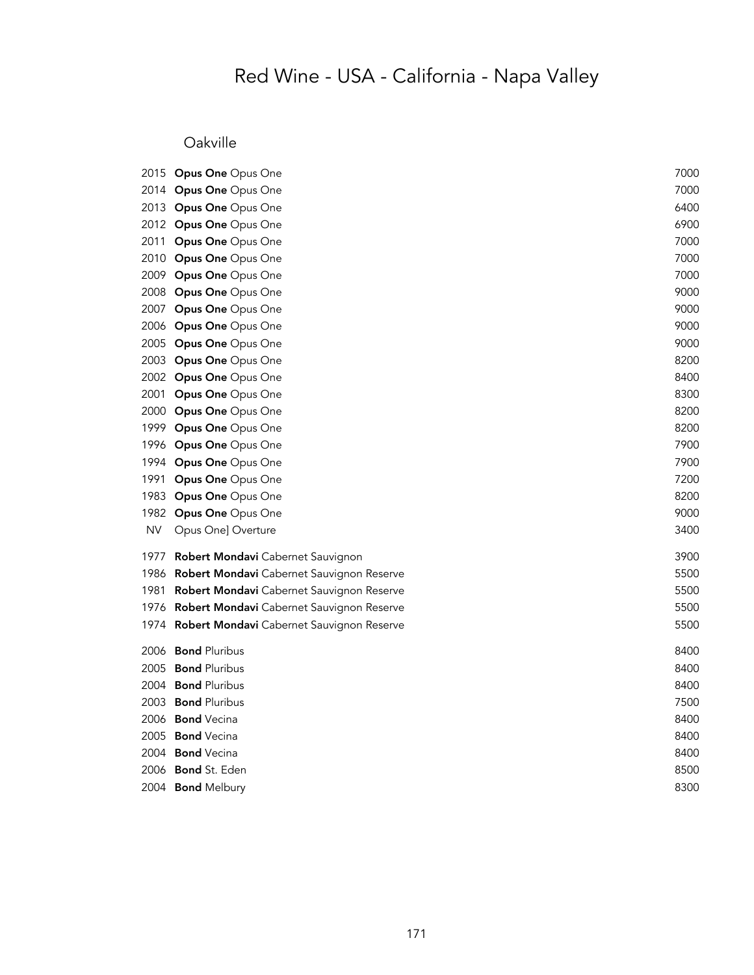### Oakville

|           | 2015 Opus One Opus One                    | 7000 |
|-----------|-------------------------------------------|------|
|           | 2014 Opus One Opus One                    | 7000 |
|           | 2013 Opus One Opus One                    | 6400 |
|           | 2012 Opus One Opus One                    | 6900 |
|           | 2011 Opus One Opus One                    | 7000 |
|           | 2010 Opus One Opus One                    | 7000 |
|           | 2009 Opus One Opus One                    | 7000 |
|           | 2008 Opus One Opus One                    | 9000 |
|           | 2007 Opus One Opus One                    | 9000 |
|           | 2006 Opus One Opus One                    | 9000 |
|           | 2005 Opus One Opus One                    | 9000 |
|           | 2003 Opus One Opus One                    | 8200 |
|           | 2002 Opus One Opus One                    | 8400 |
| 2001      | Opus One Opus One                         | 8300 |
|           | 2000 Opus One Opus One                    | 8200 |
| 1999      | Opus One Opus One                         | 8200 |
|           | 1996 Opus One Opus One                    | 7900 |
|           | 1994 Opus One Opus One                    | 7900 |
| 1991      | Opus One Opus One                         | 7200 |
| 1983      | Opus One Opus One                         | 8200 |
| 1982      | Opus One Opus One                         | 9000 |
| <b>NV</b> | Opus One] Overture                        | 3400 |
| 1977      | <b>Robert Mondavi</b> Cabernet Sauvignon  | 3900 |
| 1986      | Robert Mondavi Cabernet Sauvignon Reserve | 5500 |
| 1981      | Robert Mondavi Cabernet Sauvignon Reserve | 5500 |
| 1976      | Robert Mondavi Cabernet Sauvignon Reserve | 5500 |
| 1974      | Robert Mondavi Cabernet Sauvignon Reserve | 5500 |
|           | 2006 Bond Pluribus                        | 8400 |
| 2005      | <b>Bond Pluribus</b>                      | 8400 |
|           | 2004 Bond Pluribus                        | 8400 |
| 2003      | <b>Bond Pluribus</b>                      | 7500 |
|           | 2006 Bond Vecina                          | 8400 |
| 2005      | <b>Bond</b> Vecina                        | 8400 |
|           | 2004 Bond Vecina                          | 8400 |
| 2006      | <b>Bond</b> St. Eden                      | 8500 |
|           | 2004 Bond Melbury                         | 8300 |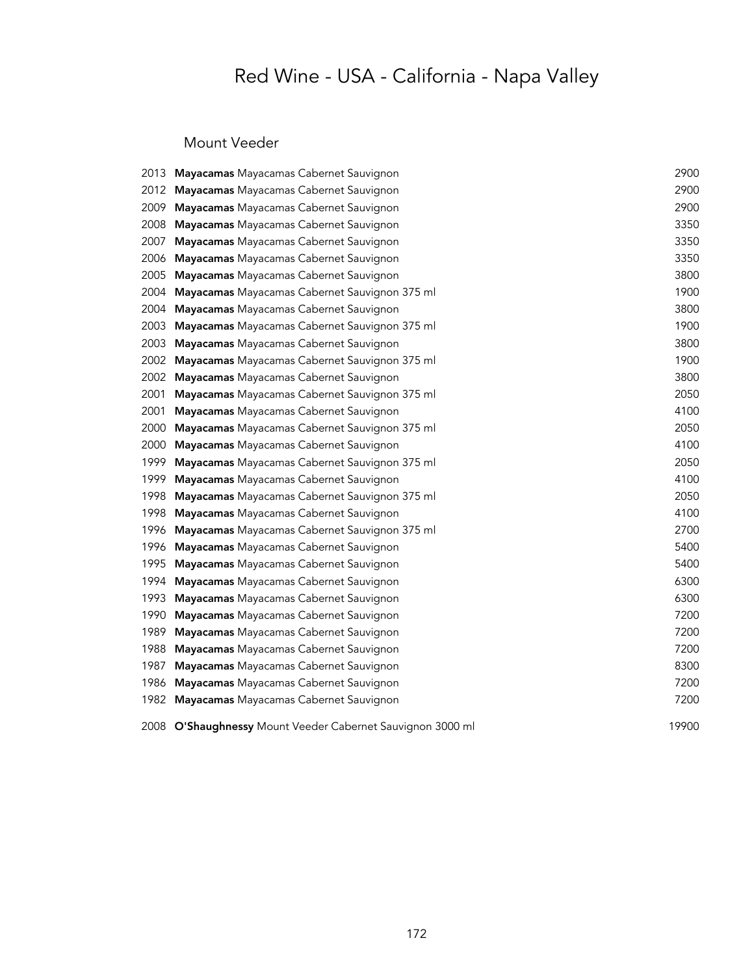### Mount Veeder

| 2013. | Mayacamas Mayacamas Cabernet Sauvignon                     | 2900  |
|-------|------------------------------------------------------------|-------|
| 2012  | Mayacamas Mayacamas Cabernet Sauvignon                     | 2900  |
| 2009  | Mayacamas Mayacamas Cabernet Sauvignon                     | 2900  |
| 2008  | Mayacamas Mayacamas Cabernet Sauvignon                     | 3350  |
| 2007  | Mayacamas Mayacamas Cabernet Sauvignon                     | 3350  |
| 2006  | Mayacamas Mayacamas Cabernet Sauvignon                     | 3350  |
| 2005  | Mayacamas Mayacamas Cabernet Sauvignon                     | 3800  |
| 2004  | Mayacamas Mayacamas Cabernet Sauvignon 375 ml              | 1900  |
| 2004  | Mayacamas Mayacamas Cabernet Sauvignon                     | 3800  |
| 2003  | Mayacamas Mayacamas Cabernet Sauvignon 375 ml              | 1900  |
| 2003  | Mayacamas Mayacamas Cabernet Sauvignon                     | 3800  |
| 2002  | Mayacamas Mayacamas Cabernet Sauvignon 375 ml              | 1900  |
| 2002  | Mayacamas Mayacamas Cabernet Sauvignon                     | 3800  |
| 2001  | Mayacamas Mayacamas Cabernet Sauvignon 375 ml              | 2050  |
| 2001  | Mayacamas Mayacamas Cabernet Sauvignon                     | 4100  |
| 2000  | Mayacamas Mayacamas Cabernet Sauvignon 375 ml              | 2050  |
| 2000  | Mayacamas Mayacamas Cabernet Sauvignon                     | 4100  |
| 1999  | Mayacamas Mayacamas Cabernet Sauvignon 375 ml              | 2050  |
| 1999  | Mayacamas Mayacamas Cabernet Sauvignon                     | 4100  |
| 1998  | Mayacamas Mayacamas Cabernet Sauvignon 375 ml              | 2050  |
| 1998  | Mayacamas Mayacamas Cabernet Sauvignon                     | 4100  |
| 1996  | Mayacamas Mayacamas Cabernet Sauvignon 375 ml              | 2700  |
| 1996  | Mayacamas Mayacamas Cabernet Sauvignon                     | 5400  |
| 1995  | Mayacamas Mayacamas Cabernet Sauvignon                     | 5400  |
| 1994  | Mayacamas Mayacamas Cabernet Sauvignon                     | 6300  |
| 1993  | Mayacamas Mayacamas Cabernet Sauvignon                     | 6300  |
| 1990  | Mayacamas Mayacamas Cabernet Sauvignon                     | 7200  |
| 1989  | Mayacamas Mayacamas Cabernet Sauvignon                     | 7200  |
| 1988  | Mayacamas Mayacamas Cabernet Sauvignon                     | 7200  |
| 1987  | Mayacamas Mayacamas Cabernet Sauvignon                     | 8300  |
| 1986  | Mayacamas Mayacamas Cabernet Sauvignon                     | 7200  |
| 1982  | Mayacamas Mayacamas Cabernet Sauvignon                     | 7200  |
|       | 2008 O'Shaughnessy Mount Veeder Cabernet Sauvignon 3000 ml | 19900 |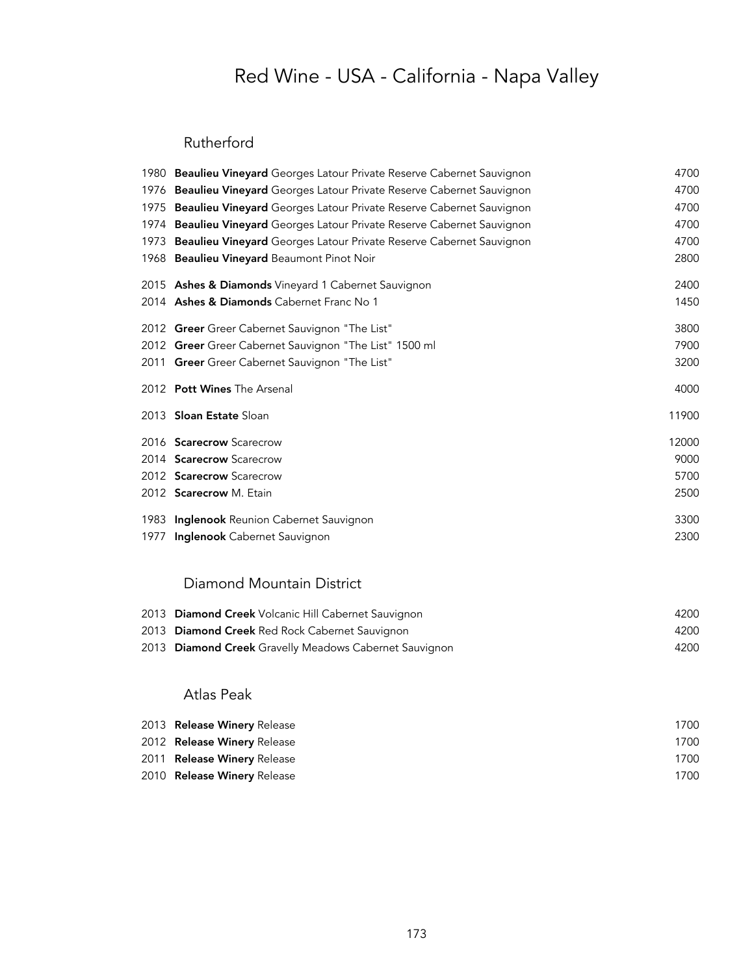#### Rutherford

|      | 1980 <b>Beaulieu Vineyard</b> Georges Latour Private Reserve Cabernet Sauvignon | 4700  |
|------|---------------------------------------------------------------------------------|-------|
|      | 1976 Beaulieu Vineyard Georges Latour Private Reserve Cabernet Sauvignon        | 4700  |
|      | 1975 Beaulieu Vineyard Georges Latour Private Reserve Cabernet Sauvignon        | 4700  |
|      | 1974 Beaulieu Vineyard Georges Latour Private Reserve Cabernet Sauvignon        | 4700  |
| 1973 | Beaulieu Vineyard Georges Latour Private Reserve Cabernet Sauvignon             | 4700  |
|      | 1968 Beaulieu Vineyard Beaumont Pinot Noir                                      | 2800  |
|      | 2015 Ashes & Diamonds Vineyard 1 Cabernet Sauvignon                             | 2400  |
|      | 2014 Ashes & Diamonds Cabernet Franc No 1                                       | 1450  |
|      | 2012 Greer Greer Cabernet Sauvignon "The List"                                  | 3800  |
|      | 2012 Greer Greer Cabernet Sauvignon "The List" 1500 ml                          | 7900  |
|      | 2011 Greer Greer Cabernet Sauvignon "The List"                                  | 3200  |
|      | 2012 Pott Wines The Arsenal                                                     | 4000  |
|      | 2013 Sloan Estate Sloan                                                         | 11900 |
|      | 2016 Scarecrow Scarecrow                                                        | 12000 |
|      | 2014 Scarecrow Scarecrow                                                        | 9000  |
|      | 2012 Scarecrow Scarecrow                                                        | 5700  |
|      | 2012 Scarecrow M. Etain                                                         | 2500  |
|      | 1983 Inglenook Reunion Cabernet Sauvignon                                       | 3300  |
| 1977 | Inglenook Cabernet Sauvignon                                                    | 2300  |

### Diamond Mountain District

| 2013 Diamond Creek Volcanic Hill Cabernet Sauvignon    | 4200 |
|--------------------------------------------------------|------|
| 2013 Diamond Creek Red Rock Cabernet Sauvignon         | 4200 |
| 2013 Diamond Creek Gravelly Meadows Cabernet Sauvignon | 4200 |

#### Atlas Peak

| 2013 Release Winery Release | 1700 |
|-----------------------------|------|
| 2012 Release Winery Release | 1700 |
| 2011 Release Winery Release | 1700 |
| 2010 Release Winery Release | 1700 |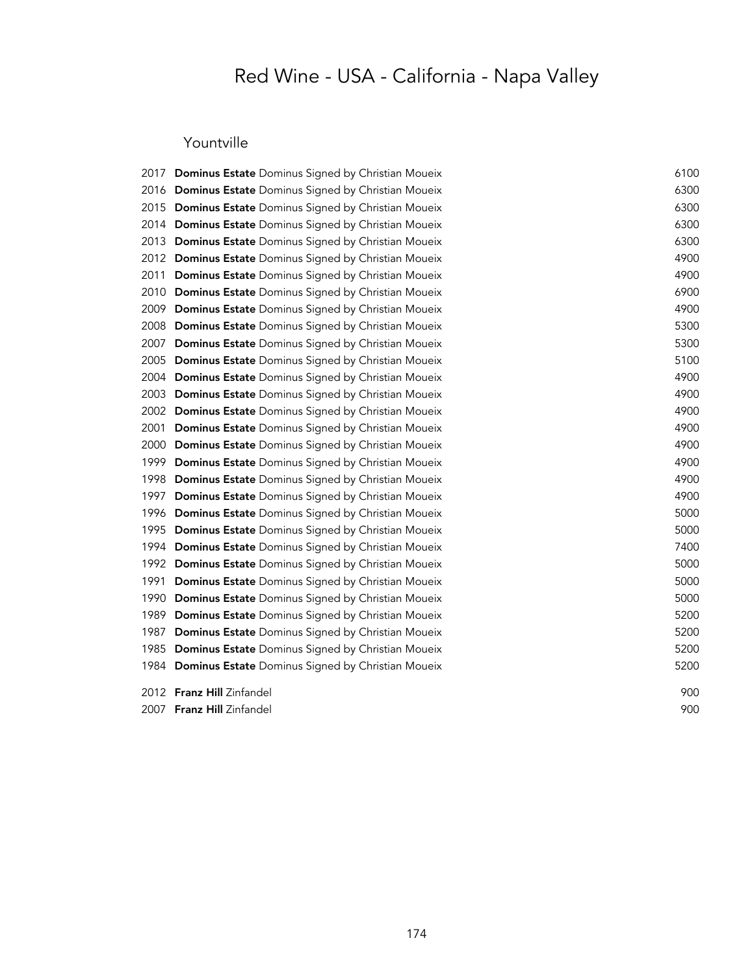### Yountville

|      | 2017 Dominus Estate Dominus Signed by Christian Moueix | 6100 |
|------|--------------------------------------------------------|------|
|      | 2016 Dominus Estate Dominus Signed by Christian Moueix | 6300 |
|      | 2015 Dominus Estate Dominus Signed by Christian Moueix | 6300 |
|      | 2014 Dominus Estate Dominus Signed by Christian Moueix | 6300 |
|      | 2013 Dominus Estate Dominus Signed by Christian Moueix | 6300 |
|      | 2012 Dominus Estate Dominus Signed by Christian Moueix | 4900 |
|      | 2011 Dominus Estate Dominus Signed by Christian Moueix | 4900 |
|      | 2010 Dominus Estate Dominus Signed by Christian Moueix | 6900 |
|      | 2009 Dominus Estate Dominus Signed by Christian Moueix | 4900 |
|      | 2008 Dominus Estate Dominus Signed by Christian Moueix | 5300 |
|      | 2007 Dominus Estate Dominus Signed by Christian Moueix | 5300 |
|      | 2005 Dominus Estate Dominus Signed by Christian Moueix | 5100 |
|      | 2004 Dominus Estate Dominus Signed by Christian Moueix | 4900 |
|      | 2003 Dominus Estate Dominus Signed by Christian Moueix | 4900 |
|      | 2002 Dominus Estate Dominus Signed by Christian Moueix | 4900 |
| 2001 | Dominus Estate Dominus Signed by Christian Moueix      | 4900 |
|      | 2000 Dominus Estate Dominus Signed by Christian Moueix | 4900 |
| 1999 | Dominus Estate Dominus Signed by Christian Moueix      | 4900 |
|      | 1998 Dominus Estate Dominus Signed by Christian Moueix | 4900 |
| 1997 | Dominus Estate Dominus Signed by Christian Moueix      | 4900 |
|      | 1996 Dominus Estate Dominus Signed by Christian Moueix | 5000 |
|      | 1995 Dominus Estate Dominus Signed by Christian Moueix | 5000 |
|      | 1994 Dominus Estate Dominus Signed by Christian Moueix | 7400 |
|      | 1992 Dominus Estate Dominus Signed by Christian Moueix | 5000 |
|      | 1991 Dominus Estate Dominus Signed by Christian Moueix | 5000 |
| 1990 | Dominus Estate Dominus Signed by Christian Moueix      | 5000 |
| 1989 | Dominus Estate Dominus Signed by Christian Moueix      | 5200 |
| 1987 | Dominus Estate Dominus Signed by Christian Moueix      | 5200 |
|      | 1985 Dominus Estate Dominus Signed by Christian Moueix | 5200 |
|      | 1984 Dominus Estate Dominus Signed by Christian Moueix | 5200 |
|      | 2012 Franz Hill Zinfandel                              | 900  |
|      | 2007 Franz Hill Zinfandel                              | 900  |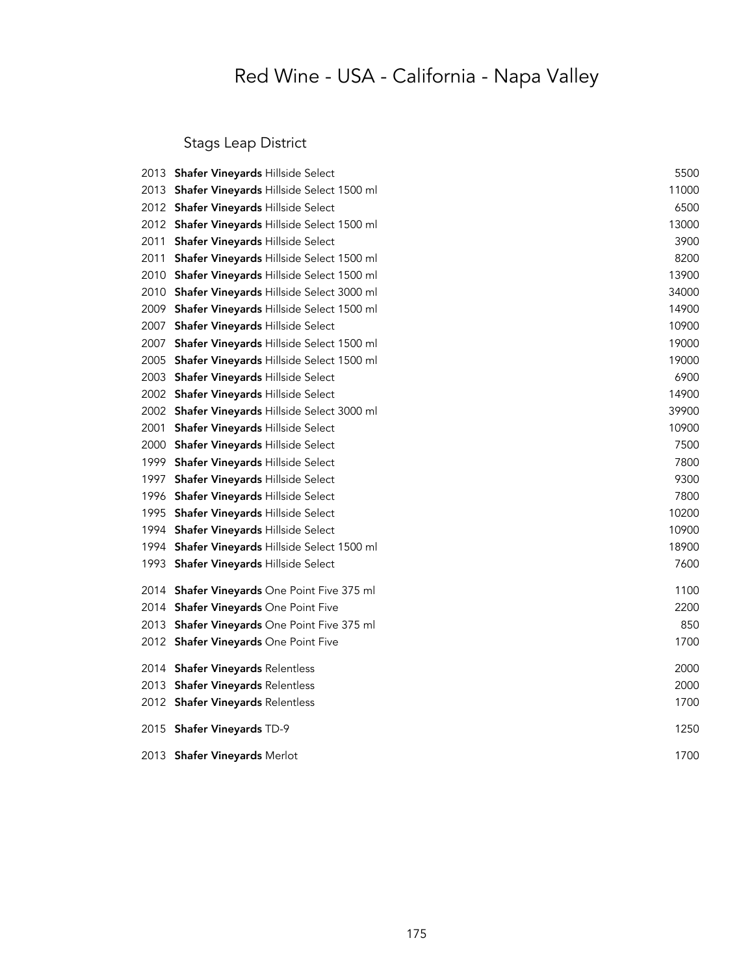Stags Leap District

|      | 2013 Shafer Vineyards Hillside Select         | 5500  |
|------|-----------------------------------------------|-------|
| 2013 | Shafer Vineyards Hillside Select 1500 ml      | 11000 |
|      | 2012 Shafer Vineyards Hillside Select         | 6500  |
|      | 2012 Shafer Vineyards Hillside Select 1500 ml | 13000 |
| 2011 | <b>Shafer Vineyards Hillside Select</b>       | 3900  |
| 2011 | Shafer Vineyards Hillside Select 1500 ml      | 8200  |
|      | 2010 Shafer Vineyards Hillside Select 1500 ml | 13900 |
|      | 2010 Shafer Vineyards Hillside Select 3000 ml | 34000 |
|      | 2009 Shafer Vineyards Hillside Select 1500 ml | 14900 |
| 2007 | Shafer Vineyards Hillside Select              | 10900 |
| 2007 | Shafer Vineyards Hillside Select 1500 ml      | 19000 |
|      | 2005 Shafer Vineyards Hillside Select 1500 ml | 19000 |
|      | 2003 Shafer Vineyards Hillside Select         | 6900  |
|      | 2002 Shafer Vineyards Hillside Select         | 14900 |
|      | 2002 Shafer Vineyards Hillside Select 3000 ml | 39900 |
| 2001 | Shafer Vineyards Hillside Select              | 10900 |
| 2000 | Shafer Vineyards Hillside Select              | 7500  |
|      | 1999 Shafer Vineyards Hillside Select         | 7800  |
| 1997 | Shafer Vineyards Hillside Select              | 9300  |
|      | 1996 Shafer Vineyards Hillside Select         | 7800  |
| 1995 | Shafer Vineyards Hillside Select              | 10200 |
|      | 1994 Shafer Vineyards Hillside Select         | 10900 |
|      | 1994 Shafer Vineyards Hillside Select 1500 ml | 18900 |
| 1993 | Shafer Vineyards Hillside Select              | 7600  |
|      | 2014 Shafer Vineyards One Point Five 375 ml   | 1100  |
|      | 2014 Shafer Vineyards One Point Five          | 2200  |
|      | 2013 Shafer Vineyards One Point Five 375 ml   | 850   |
|      | 2012 Shafer Vineyards One Point Five          | 1700  |
| 2014 | <b>Shafer Vineyards Relentless</b>            | 2000  |
| 2013 | <b>Shafer Vineyards Relentless</b>            | 2000  |
|      | 2012 Shafer Vineyards Relentless              | 1700  |
|      | 2015 Shafer Vineyards TD-9                    | 1250  |
|      | 2013 Shafer Vineyards Merlot                  | 1700  |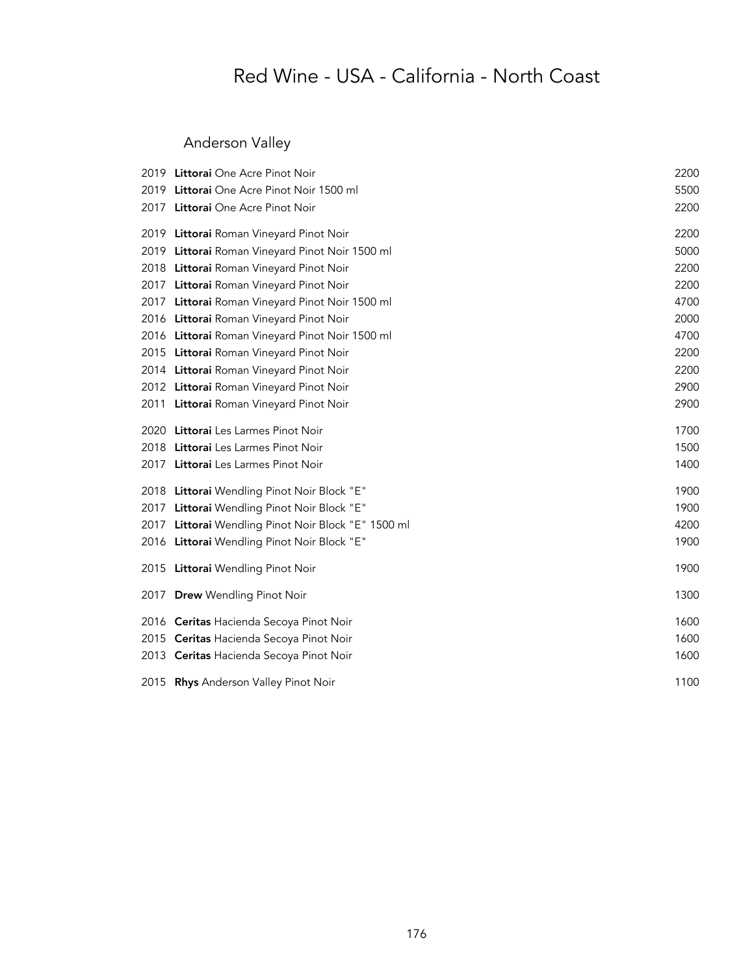### Anderson Valley

|      | 2019 Littorai One Acre Pinot Noir               | 2200 |
|------|-------------------------------------------------|------|
|      | 2019 Littorai One Acre Pinot Noir 1500 ml       | 5500 |
|      | 2017 Littorai One Acre Pinot Noir               | 2200 |
|      | 2019 Littorai Roman Vineyard Pinot Noir         | 2200 |
|      | 2019 Littorai Roman Vineyard Pinot Noir 1500 ml | 5000 |
|      | 2018 Littorai Roman Vineyard Pinot Noir         | 2200 |
|      | 2017 Littorai Roman Vineyard Pinot Noir         | 2200 |
| 2017 | Littorai Roman Vineyard Pinot Noir 1500 ml      | 4700 |
|      | 2016 Littorai Roman Vineyard Pinot Noir         | 2000 |
|      | 2016 Littorai Roman Vineyard Pinot Noir 1500 ml | 4700 |
|      | 2015 Littorai Roman Vineyard Pinot Noir         | 2200 |
|      | 2014 Littorai Roman Vineyard Pinot Noir         | 2200 |
|      | 2012 Littorai Roman Vineyard Pinot Noir         | 2900 |
|      | 2011 Littorai Roman Vineyard Pinot Noir         | 2900 |
|      | 2020 Littorai Les Larmes Pinot Noir             | 1700 |
|      | 2018 Littorai Les Larmes Pinot Noir             | 1500 |
|      | 2017 Littorai Les Larmes Pinot Noir             | 1400 |
|      | 2018 Littorai Wendling Pinot Noir Block "E"     | 1900 |
| 2017 | Littorai Wendling Pinot Noir Block "E"          | 1900 |
| 2017 | Littorai Wendling Pinot Noir Block "E" 1500 ml  | 4200 |
|      | 2016 Littorai Wendling Pinot Noir Block "E"     | 1900 |
|      | 2015 Littorai Wendling Pinot Noir               | 1900 |
| 2017 | <b>Drew Wendling Pinot Noir</b>                 | 1300 |
|      | 2016 Ceritas Hacienda Secoya Pinot Noir         | 1600 |
|      | 2015 Ceritas Hacienda Secoya Pinot Noir         | 1600 |
|      | 2013 Ceritas Hacienda Secoya Pinot Noir         | 1600 |
|      | 2015 Rhys Anderson Valley Pinot Noir            | 1100 |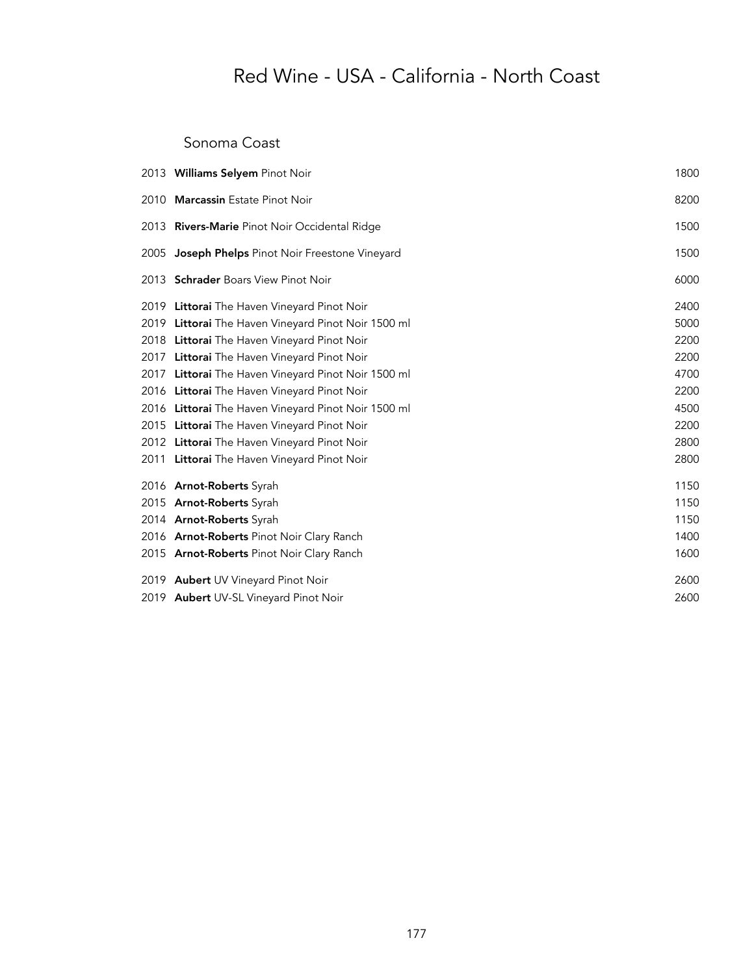#### Sonoma Coast

|      | 2013 Williams Selyem Pinot Noir                     | 1800 |
|------|-----------------------------------------------------|------|
|      | 2010 Marcassin Estate Pinot Noir                    | 8200 |
|      | 2013 Rivers-Marie Pinot Noir Occidental Ridge       | 1500 |
| 2005 | Joseph Phelps Pinot Noir Freestone Vineyard         | 1500 |
|      | 2013 Schrader Boars View Pinot Noir                 | 6000 |
|      | 2019 Littorai The Haven Vineyard Pinot Noir         | 2400 |
|      | 2019 Littorai The Haven Vineyard Pinot Noir 1500 ml | 5000 |
|      | 2018 Littorai The Haven Vineyard Pinot Noir         | 2200 |
|      | 2017 Littorai The Haven Vineyard Pinot Noir         | 2200 |
|      | 2017 Littorai The Haven Vineyard Pinot Noir 1500 ml | 4700 |
|      | 2016 Littorai The Haven Vineyard Pinot Noir         | 2200 |
|      | 2016 Littoral The Haven Vineyard Pinot Noir 1500 ml | 4500 |
|      | 2015 Littorai The Haven Vineyard Pinot Noir         | 2200 |
|      | 2012 Littorai The Haven Vineyard Pinot Noir         | 2800 |
|      | 2011 Littoral The Haven Vineyard Pinot Noir         | 2800 |
|      | 2016 Arnot-Roberts Syrah                            | 1150 |
|      | 2015 Arnot-Roberts Syrah                            | 1150 |
|      | 2014 Arnot-Roberts Syrah                            | 1150 |
|      | 2016 Arnot-Roberts Pinot Noir Clary Ranch           | 1400 |
|      | 2015 Arnot-Roberts Pinot Noir Clary Ranch           | 1600 |
|      | 2019 Aubert UV Vineyard Pinot Noir                  | 2600 |
|      | 2019 Aubert UV-SL Vineyard Pinot Noir               | 2600 |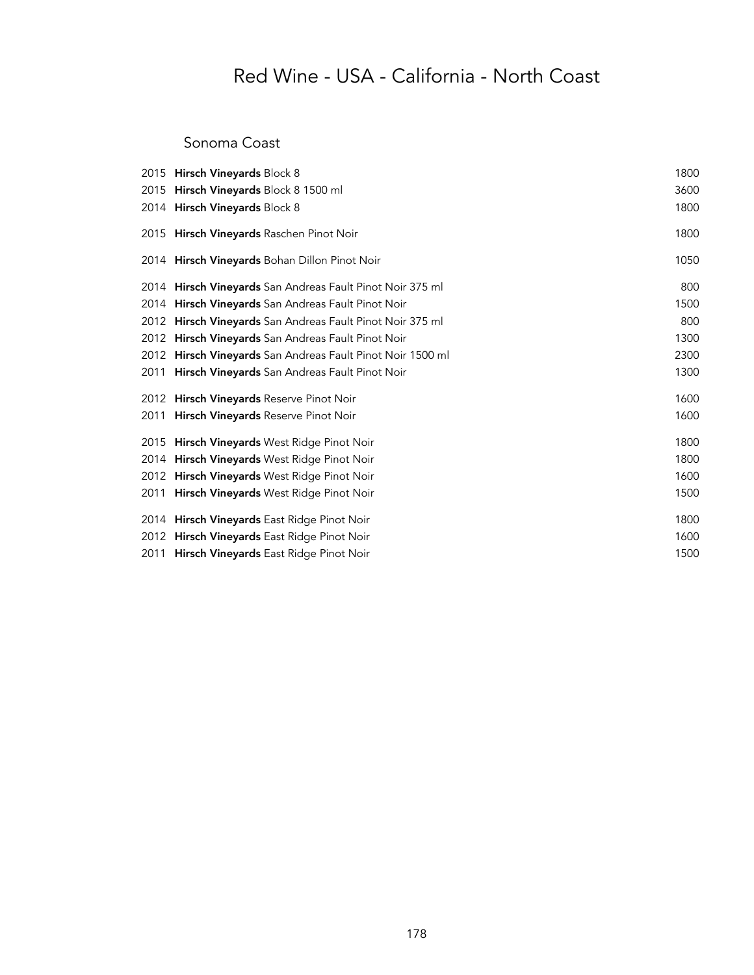#### Sonoma Coast

| 2015 Hirsch Vineyards Block 8                              | 1800 |
|------------------------------------------------------------|------|
| 2015 Hirsch Vineyards Block 8 1500 ml                      | 3600 |
| 2014 Hirsch Vineyards Block 8                              | 1800 |
| 2015 Hirsch Vineyards Raschen Pinot Noir                   | 1800 |
| 2014 Hirsch Vineyards Bohan Dillon Pinot Noir              | 1050 |
| 2014 Hirsch Vineyards San Andreas Fault Pinot Noir 375 ml  | 800  |
| 2014 <b>Hirsch Vineyards</b> San Andreas Fault Pinot Noir  | 1500 |
| 2012 Hirsch Vineyards San Andreas Fault Pinot Noir 375 ml  | 800  |
| 2012 Hirsch Vineyards San Andreas Fault Pinot Noir         | 1300 |
| 2012 Hirsch Vineyards San Andreas Fault Pinot Noir 1500 ml | 2300 |
| 2011 Hirsch Vineyards San Andreas Fault Pinot Noir         | 1300 |
| 2012 Hirsch Vineyards Reserve Pinot Noir                   | 1600 |
| 2011 Hirsch Vineyards Reserve Pinot Noir                   | 1600 |
| 2015 Hirsch Vineyards West Ridge Pinot Noir                | 1800 |
| 2014 Hirsch Vineyards West Ridge Pinot Noir                | 1800 |
| 2012 Hirsch Vineyards West Ridge Pinot Noir                | 1600 |
| 2011 Hirsch Vineyards West Ridge Pinot Noir                | 1500 |
| 2014 Hirsch Vineyards East Ridge Pinot Noir                | 1800 |
| 2012 Hirsch Vineyards East Ridge Pinot Noir                | 1600 |
| 2011 Hirsch Vineyards East Ridge Pinot Noir                | 1500 |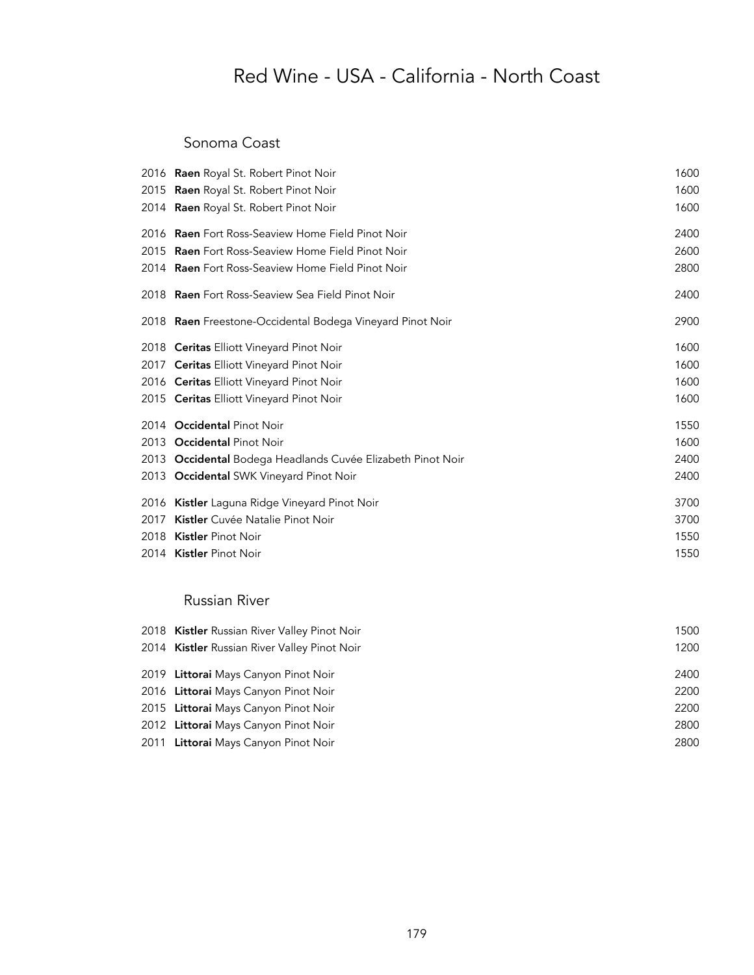#### Sonoma Coast

|      | 2016 Raen Royal St. Robert Pinot Noir                       | 1600 |
|------|-------------------------------------------------------------|------|
|      | 2015 Raen Royal St. Robert Pinot Noir                       | 1600 |
|      | 2014 Raen Royal St. Robert Pinot Noir                       | 1600 |
|      | 2016 Raen Fort Ross-Seaview Home Field Pinot Noir           | 2400 |
|      | 2015 Raen Fort Ross-Seaview Home Field Pinot Noir           | 2600 |
|      | 2014 <b>Raen</b> Fort Ross-Seaview Home Field Pinot Noir    | 2800 |
|      | 2018 Raen Fort Ross-Seaview Sea Field Pinot Noir            | 2400 |
|      | 2018 Raen Freestone-Occidental Bodega Vineyard Pinot Noir   | 2900 |
|      | 2018 Ceritas Elliott Vineyard Pinot Noir                    | 1600 |
|      | 2017 Ceritas Elliott Vineyard Pinot Noir                    | 1600 |
|      | 2016 Ceritas Elliott Vineyard Pinot Noir                    | 1600 |
|      | 2015 Ceritas Elliott Vineyard Pinot Noir                    | 1600 |
|      | 2014 Occidental Pinot Noir                                  | 1550 |
|      | 2013 Occidental Pinot Noir                                  | 1600 |
|      | 2013 Occidental Bodega Headlands Cuvée Elizabeth Pinot Noir | 2400 |
|      | 2013 Occidental SWK Vineyard Pinot Noir                     | 2400 |
|      | 2016 Kistler Laguna Ridge Vineyard Pinot Noir               | 3700 |
| 2017 | Kistler Cuvée Natalie Pinot Noir                            | 3700 |
|      | 2018 Kistler Pinot Noir                                     | 1550 |
|      | 2014 Kistler Pinot Noir                                     | 1550 |
|      |                                                             |      |

#### Russian River

| 2018 Kistler Russian River Valley Pinot Noir | 1500 |
|----------------------------------------------|------|
| 2014 Kistler Russian River Valley Pinot Noir | 1200 |
| 2019 Littorai Mays Canyon Pinot Noir         | 2400 |
| 2016 Littorai Mays Canyon Pinot Noir         | 2200 |
| 2015 Littorai Mays Canyon Pinot Noir         | 2200 |
| 2012 Littorai Mays Canyon Pinot Noir         | 2800 |
| 2011 Littorai Mays Canyon Pinot Noir         | 2800 |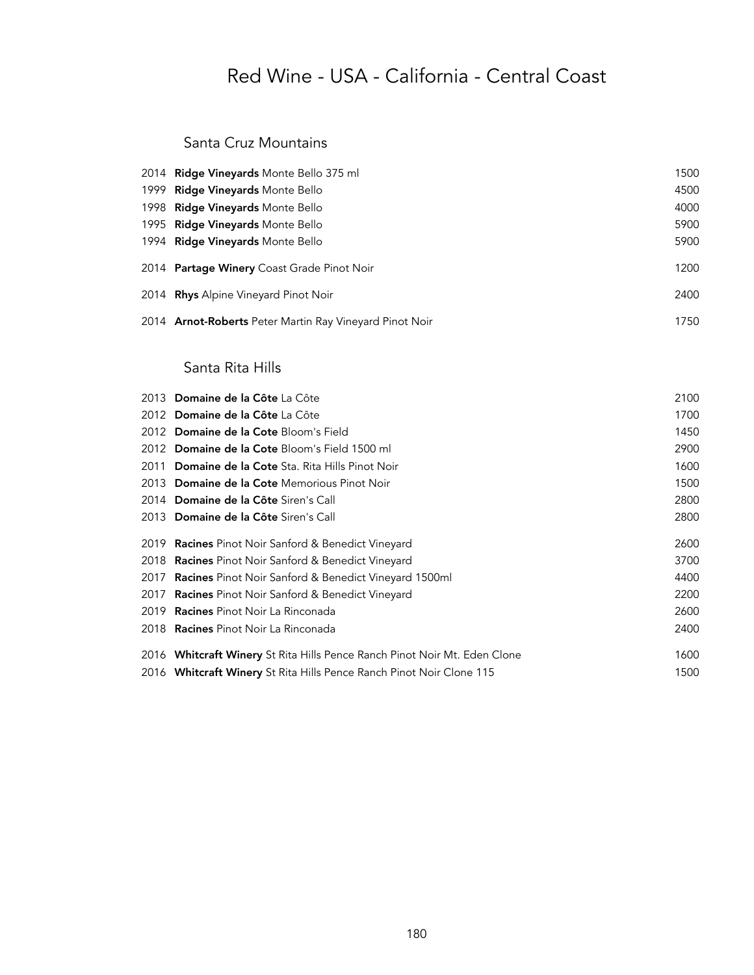## Red Wine - USA - California - Central Coast

#### Santa Cruz Mountains

| 2014 Ridge Vineyards Monte Bello 375 ml                 | 1500 |
|---------------------------------------------------------|------|
| 1999 Ridge Vineyards Monte Bello                        | 4500 |
| 1998 Ridge Vineyards Monte Bello                        | 4000 |
| 1995 Ridge Vineyards Monte Bello                        | 5900 |
| 1994 Ridge Vineyards Monte Bello                        | 5900 |
| 2014 Partage Winery Coast Grade Pinot Noir              | 1200 |
| 2014 Rhys Alpine Vineyard Pinot Noir                    | 2400 |
| 2014 Arnot-Roberts Peter Martin Ray Vineyard Pinot Noir | 1750 |

#### Santa Rita Hills

| 2013 Domaine de la Côte La Côte                                           | 2100 |
|---------------------------------------------------------------------------|------|
| 2012 Domaine de la Côte La Côte                                           | 1700 |
| 2012 Domaine de la Cote Bloom's Field                                     | 1450 |
| 2012 Domaine de la Cote Bloom's Field 1500 ml                             | 2900 |
| 2011 Domaine de la Cote Sta. Rita Hills Pinot Noir                        | 1600 |
| 2013 Domaine de la Cote Memorious Pinot Noir                              | 1500 |
| 2014 Domaine de la Côte Siren's Call                                      | 2800 |
| 2013 Domaine de la Côte Siren's Call                                      | 2800 |
| 2019 <b>Racines</b> Pinot Noir Sanford & Benedict Vineyard                | 2600 |
| 2018 Racines Pinot Noir Sanford & Benedict Vineyard                       | 3700 |
| 2017 <b>Racines</b> Pinot Noir Sanford & Benedict Vineyard 1500ml         | 4400 |
| 2017 <b>Racines</b> Pinot Noir Sanford & Benedict Vineyard                | 2200 |
| 2019 Racines Pinot Noir La Rinconada                                      | 2600 |
| 2018 <b>Racines</b> Pinot Noir La Rinconada                               | 2400 |
| 2016 Whitcraft Winery St Rita Hills Pence Ranch Pinot Noir Mt. Eden Clone | 1600 |
| 2016 Whitcraft Winery St Rita Hills Pence Ranch Pinot Noir Clone 115      | 1500 |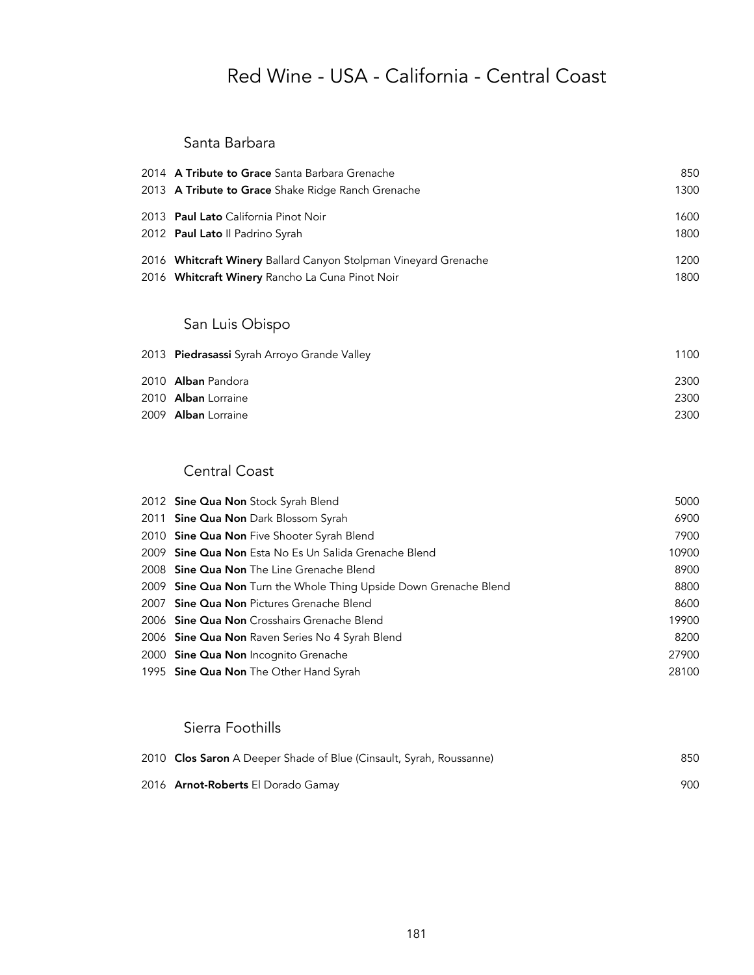# Red Wine - USA - California - Central Coast

### Santa Barbara

| 2014 A Tribute to Grace Santa Barbara Grenache<br>2013 A Tribute to Grace Shake Ridge Ranch Grenache               | 850<br>1300  |
|--------------------------------------------------------------------------------------------------------------------|--------------|
| 2013 Paul Lato California Pinot Noir<br>2012 Paul Lato Il Padrino Syrah                                            | 1600<br>1800 |
| 2016 Whitcraft Winery Ballard Canyon Stolpman Vineyard Grenache<br>2016 Whitcraft Winery Rancho La Cuna Pinot Noir | 1200<br>1800 |

### San Luis Obispo

| 2013 Piedrasassi Syrah Arroyo Grande Valley | 1100 |
|---------------------------------------------|------|
| 2010 Alban Pandora                          | 2300 |
| 2010 Alban Lorraine                         | 2300 |
| 2009 Alban Lorraine                         | 2300 |

### Central Coast

| 2012 Sine Qua Non Stock Syrah Blend                               | 5000  |
|-------------------------------------------------------------------|-------|
| 2011 Sine Qua Non Dark Blossom Syrah                              | 6900  |
| 2010 Sine Qua Non Five Shooter Syrah Blend                        | 7900  |
| 2009 <b>Sine Qua Non</b> Esta No Es Un Salida Grenache Blend      | 10900 |
| 2008 Sine Qua Non The Line Grenache Blend                         | 8900  |
| 2009 Sine Qua Non Turn the Whole Thing Upside Down Grenache Blend | 8800  |
| 2007 Sine Qua Non Pictures Grenache Blend                         | 8600  |
| 2006 Sine Qua Non Crosshairs Grenache Blend                       | 19900 |
| 2006 Sine Qua Non Raven Series No 4 Syrah Blend                   | 8200  |
| 2000 Sine Qua Non Incognito Grenache                              | 27900 |
| 1995 <b>Sine Qua Non</b> The Other Hand Syrah                     | 28100 |

### Sierra Foothills

| 2010 Clos Saron A Deeper Shade of Blue (Cinsault, Syrah, Roussanne) | 850 |
|---------------------------------------------------------------------|-----|
| 2016 <b>Arnot-Roberts</b> El Dorado Gamay                           | 900 |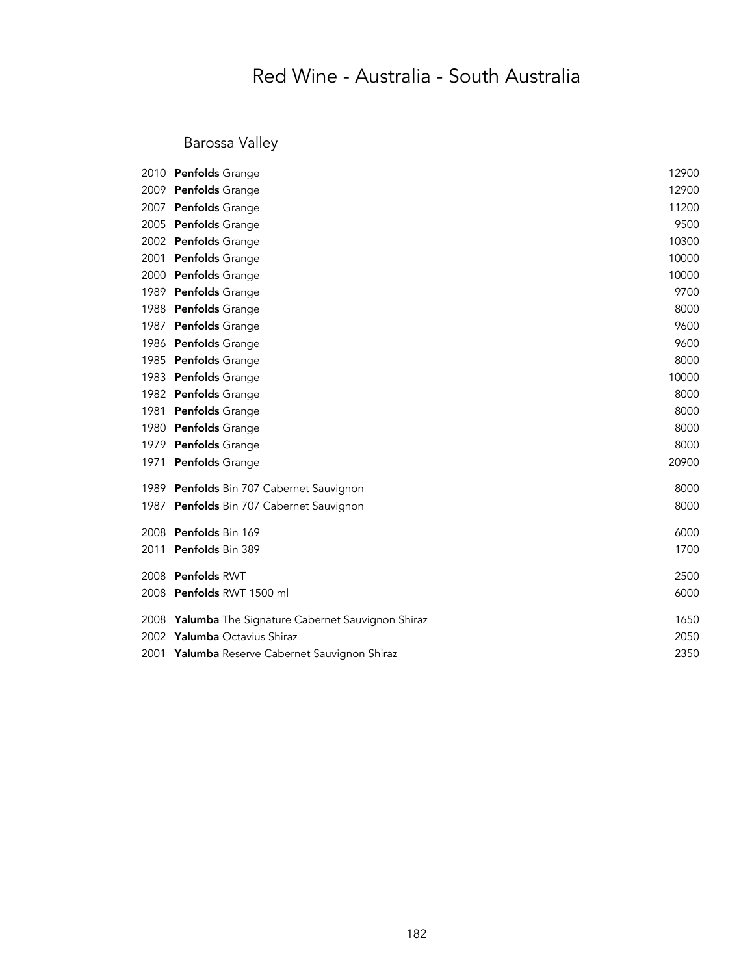# Red Wine - Australia - South Australia

### Barossa Valley

| 2010 | <b>Penfolds</b> Grange                                 | 12900 |
|------|--------------------------------------------------------|-------|
| 2009 | <b>Penfolds</b> Grange                                 | 12900 |
| 2007 | <b>Penfolds</b> Grange                                 | 11200 |
| 2005 | <b>Penfolds</b> Grange                                 | 9500  |
| 2002 | <b>Penfolds</b> Grange                                 | 10300 |
| 2001 | <b>Penfolds</b> Grange                                 | 10000 |
| 2000 | Penfolds Grange                                        | 10000 |
| 1989 | <b>Penfolds</b> Grange                                 | 9700  |
| 1988 | <b>Penfolds</b> Grange                                 | 8000  |
| 1987 | <b>Penfolds</b> Grange                                 | 9600  |
| 1986 | Penfolds Grange                                        | 9600  |
| 1985 | <b>Penfolds</b> Grange                                 | 8000  |
| 1983 | <b>Penfolds</b> Grange                                 | 10000 |
|      | 1982 Penfolds Grange                                   | 8000  |
| 1981 | <b>Penfolds</b> Grange                                 | 8000  |
| 1980 | Penfolds Grange                                        | 8000  |
| 1979 | <b>Penfolds</b> Grange                                 | 8000  |
| 1971 | Penfolds Grange                                        | 20900 |
| 1989 | Penfolds Bin 707 Cabernet Sauvignon                    | 8000  |
| 1987 | Penfolds Bin 707 Cabernet Sauvignon                    | 8000  |
| 2008 | Penfolds Bin 169                                       | 6000  |
| 2011 | Penfolds Bin 389                                       | 1700  |
| 2008 | Penfolds RWT                                           | 2500  |
| 2008 | <b>Penfolds RWT 1500 ml</b>                            | 6000  |
| 2008 | <b>Yalumba</b> The Signature Cabernet Sauvignon Shiraz | 1650  |
| 2002 | <b>Yalumba</b> Octavius Shiraz                         | 2050  |
| 2001 | Yalumba Reserve Cabernet Sauvignon Shiraz              | 2350  |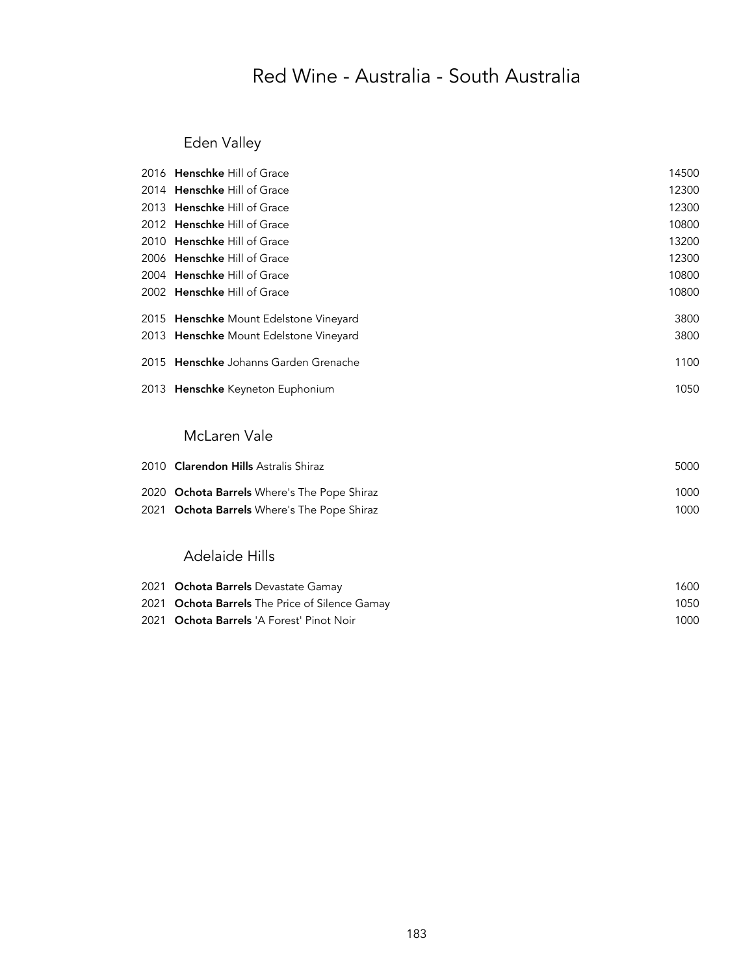# Red Wine - Australia - South Australia

### Eden Valley

| 2016 Henschke Hill of Grace            | 14500 |
|----------------------------------------|-------|
| 2014 Henschke Hill of Grace            | 12300 |
| 2013 Henschke Hill of Grace            | 12300 |
| 2012 Henschke Hill of Grace            | 10800 |
| 2010 Henschke Hill of Grace            | 13200 |
| 2006 Henschke Hill of Grace            | 12300 |
| 2004 Henschke Hill of Grace            | 10800 |
| 2002 Henschke Hill of Grace            | 10800 |
| 2015 Henschke Mount Edelstone Vineyard | 3800  |
| 2013 Henschke Mount Edelstone Vineyard | 3800  |
| 2015 Henschke Johanns Garden Grenache  | 1100  |
| 2013 Henschke Keyneton Euphonium       | 1050  |
| McLaren Vale                           |       |
| 2010 Clarender Hille Actrolic Chiroz   | ENNA. |

| 2010 <b>Clarendon Hills</b> Astralis Shiraz | 5000 |
|---------------------------------------------|------|
| 2020 Ochota Barrels Where's The Pope Shiraz | 1000 |
| 2021 Ochota Barrels Where's The Pope Shiraz | 1000 |

#### Adelaide Hills

| 2021 Ochota Barrels Devastate Gamay            | 1600 |
|------------------------------------------------|------|
| 2021 Ochota Barrels The Price of Silence Gamay | 1050 |
| 2021 Ochota Barrels 'A Forest' Pinot Noir      | 1000 |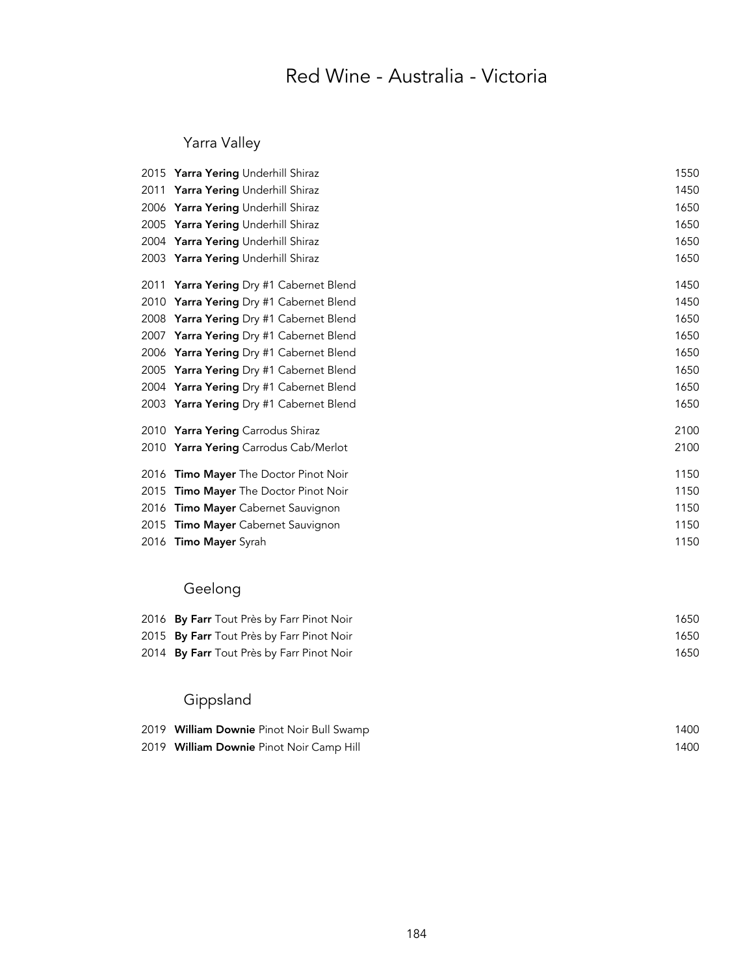## Red Wine - Australia - Victoria

### Yarra Valley

| 2015 Yarra Yering Underhill Shiraz        | 1550 |
|-------------------------------------------|------|
| Yarra Yering Underhill Shiraz             | 1450 |
| 2006 Yarra Yering Underhill Shiraz        | 1650 |
| 2005 Yarra Yering Underhill Shiraz        | 1650 |
| 2004 Yarra Yering Underhill Shiraz        | 1650 |
| 2003 Yarra Yering Underhill Shiraz        | 1650 |
| <b>Yarra Yering</b> Dry #1 Cabernet Blend | 1450 |
| 2010 Yarra Yering Dry #1 Cabernet Blend   | 1450 |
| 2008 Yarra Yering Dry #1 Cabernet Blend   | 1650 |
| 2007 Yarra Yering Dry #1 Cabernet Blend   | 1650 |
| 2006 Yarra Yering Dry #1 Cabernet Blend   | 1650 |
| 2005 Yarra Yering Dry #1 Cabernet Blend   | 1650 |
| 2004 Yarra Yering Dry #1 Cabernet Blend   | 1650 |
| 2003 Yarra Yering Dry #1 Cabernet Blend   | 1650 |
| 2010 Yarra Yering Carrodus Shiraz         | 2100 |
| 2010 Yarra Yering Carrodus Cab/Merlot     | 2100 |
| <b>Timo Mayer</b> The Doctor Pinot Noir   | 1150 |
| <b>Timo Mayer</b> The Doctor Pinot Noir   | 1150 |
| Timo Mayer Cabernet Sauvignon             | 1150 |
| <b>Timo Mayer</b> Cabernet Sauvignon      | 1150 |
| 2016 Timo Mayer Syrah                     | 1150 |
|                                           |      |

## Geelong

| 2016 By Farr Tout Près by Farr Pinot Noir | 1650 |
|-------------------------------------------|------|
| 2015 By Farr Tout Près by Farr Pinot Noir | 1650 |
| 2014 By Farr Tout Près by Farr Pinot Noir | 1650 |

## Gippsland

| 2019 William Downie Pinot Noir Bull Swamp | 1400 |
|-------------------------------------------|------|
| 2019 William Downie Pinot Noir Camp Hill  | 1400 |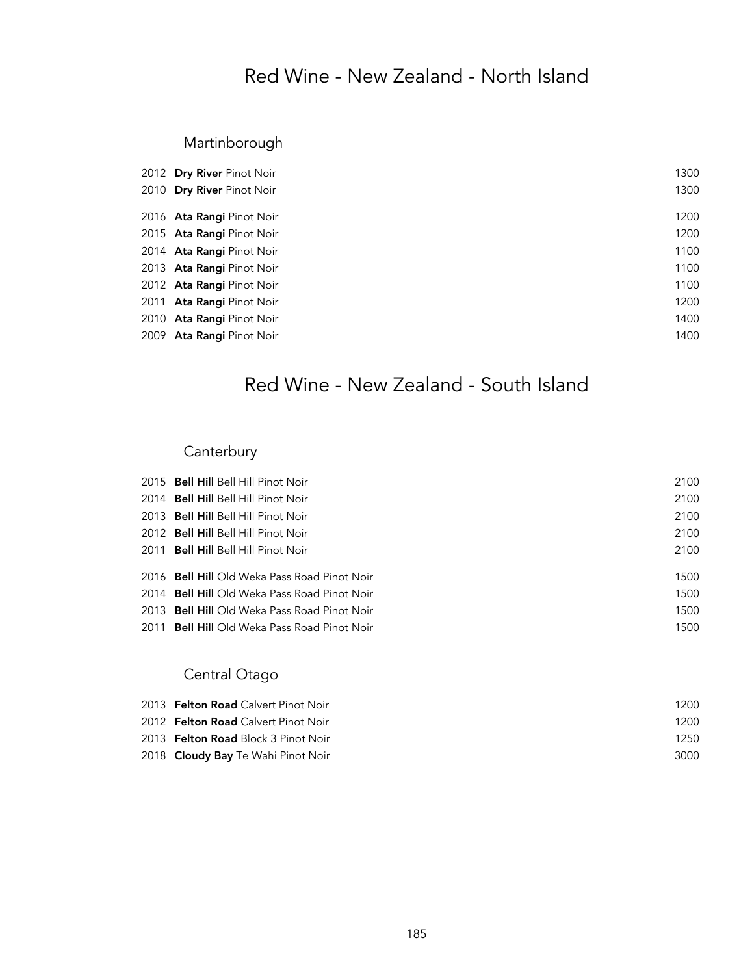## Red Wine - New Zealand - North Island

### Martinborough

| 2012 Dry River Pinot Noir | 1300 |
|---------------------------|------|
| 2010 Dry River Pinot Noir | 1300 |
| 2016 Ata Rangi Pinot Noir | 1200 |
| 2015 Ata Rangi Pinot Noir | 1200 |
| 2014 Ata Rangi Pinot Noir | 1100 |
| 2013 Ata Rangi Pinot Noir | 1100 |
| 2012 Ata Rangi Pinot Noir | 1100 |
| 2011 Ata Rangi Pinot Noir | 1200 |
| 2010 Ata Rangi Pinot Noir | 1400 |
| 2009 Ata Rangi Pinot Noir | 1400 |
|                           |      |

# Red Wine - New Zealand - South Island

### Canterbury

| 2015 Bell Hill Bell Hill Pinot Noir          | 2100 |
|----------------------------------------------|------|
| 2014 Bell Hill Bell Hill Pinot Noir          | 2100 |
| 2013 Bell Hill Bell Hill Pinot Noir          | 2100 |
| 2012 Bell Hill Bell Hill Pinot Noir          | 2100 |
| 2011 Bell Hill Bell Hill Pinot Noir          | 2100 |
|                                              |      |
| 2016 Bell Hill Old Weka Pass Road Pinot Noir | 1500 |
| 2014 Bell Hill Old Weka Pass Road Pinot Noir | 1500 |
| 2013 Bell Hill Old Weka Pass Road Pinot Noir | 1500 |
| 2011 Bell Hill Old Weka Pass Road Pinot Noir | 1500 |
|                                              |      |

### Central Otago

| 2013 <b>Felton Road</b> Calvert Pinot Noir | 1200 |
|--------------------------------------------|------|
| 2012 <b>Felton Road</b> Calvert Pinot Noir | 1200 |
| 2013 <b>Felton Road</b> Block 3 Pinot Noir | 1250 |
| 2018 <b>Cloudy Bay</b> Te Wahi Pinot Noir  | 3000 |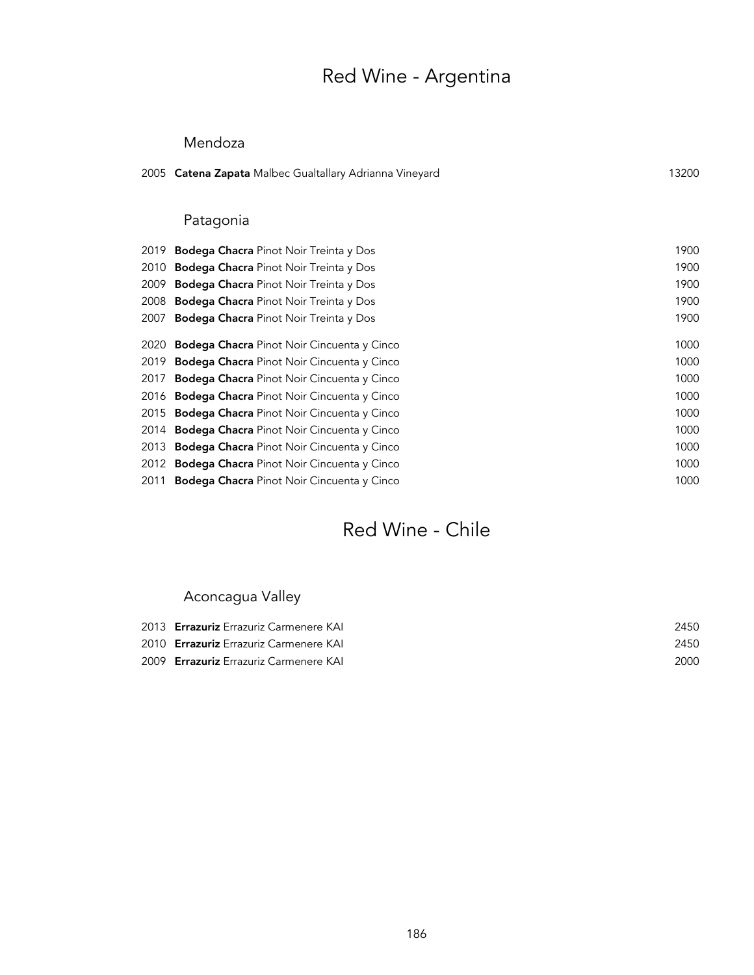# Red Wine - Argentina

#### Mendoza

|      | 2005 Catena Zapata Malbec Gualtallary Adrianna Vineyard | 13200 |
|------|---------------------------------------------------------|-------|
|      | Patagonia                                               |       |
| 2019 | Bodega Chacra Pinot Noir Treinta y Dos                  | 1900  |
| 2010 | <b>Bodega Chacra</b> Pinot Noir Treinta y Dos           | 1900  |
| 2009 | <b>Bodega Chacra</b> Pinot Noir Treinta y Dos           | 1900  |
| 2008 | <b>Bodega Chacra</b> Pinot Noir Treinta y Dos           | 1900  |
| 2007 | <b>Bodega Chacra</b> Pinot Noir Treinta y Dos           | 1900  |
| 2020 | Bodega Chacra Pinot Noir Cincuenta y Cinco              | 1000  |
| 2019 | <b>Bodega Chacra</b> Pinot Noir Cincuenta y Cinco       | 1000  |
| 2017 | <b>Bodega Chacra</b> Pinot Noir Cincuenta y Cinco       | 1000  |
| 2016 | <b>Bodega Chacra</b> Pinot Noir Cincuenta y Cinco       | 1000  |
| 2015 | <b>Bodega Chacra</b> Pinot Noir Cincuenta y Cinco       | 1000  |
| 2014 | <b>Bodega Chacra</b> Pinot Noir Cincuenta y Cinco       | 1000  |
| 2013 | <b>Bodega Chacra</b> Pinot Noir Cincuenta y Cinco       | 1000  |
| 2012 | <b>Bodega Chacra</b> Pinot Noir Cincuenta y Cinco       | 1000  |
| 2011 | <b>Bodega Chacra</b> Pinot Noir Cincuenta y Cinco       | 1000  |
|      |                                                         |       |

## Red Wine - Chile

### Aconcagua Valley

| 2013 Errazuriz Errazuriz Carmenere KAI | 2450 |
|----------------------------------------|------|
| 2010 Errazuriz Errazuriz Carmenere KAI | 2450 |
| 2009 Errazuriz Errazuriz Carmenere KAI | 2000 |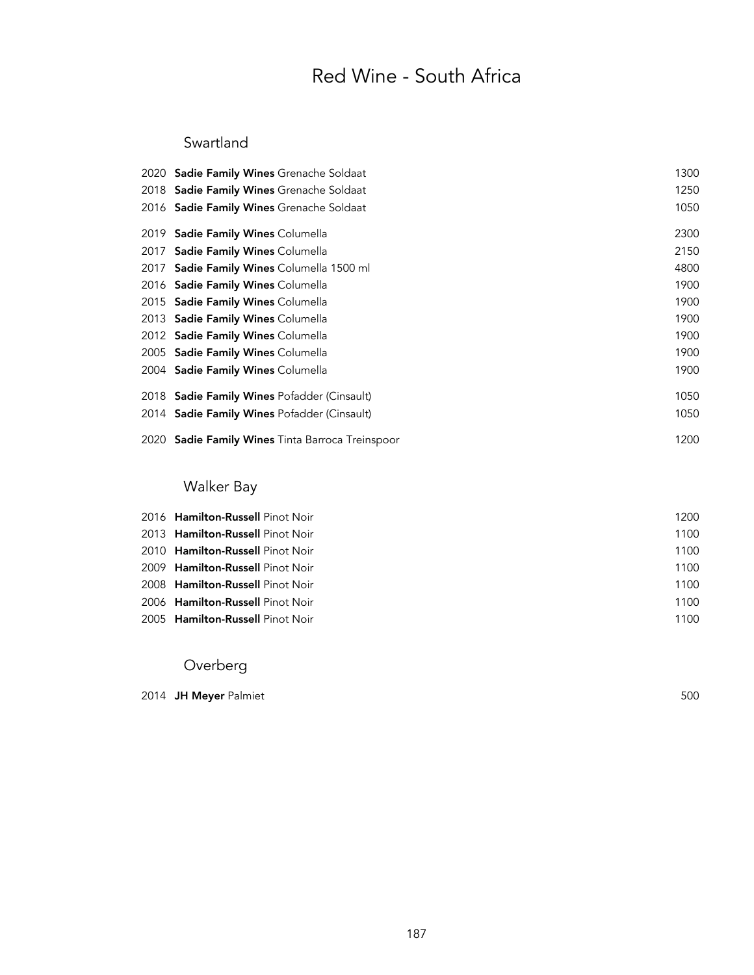# Red Wine - South Africa

### Swartland

| 2020 Sadie Family Wines Grenache Soldaat           | 1300 |
|----------------------------------------------------|------|
| 2018 Sadie Family Wines Grenache Soldaat           | 1250 |
| 2016 Sadie Family Wines Grenache Soldaat           | 1050 |
| 2019 <b>Sadie Family Wines</b> Columella           | 2300 |
| 2017 Sadie Family Wines Columella                  | 2150 |
| 2017 Sadie Family Wines Columella 1500 ml          | 4800 |
| 2016 Sadie Family Wines Columella                  | 1900 |
| 2015 <b>Sadie Family Wines</b> Columella           | 1900 |
| 2013 <b>Sadie Family Wines</b> Columella           | 1900 |
| 2012 Sadie Family Wines Columella                  | 1900 |
| 2005 <b>Sadie Family Wines</b> Columella           | 1900 |
| 2004 Sadie Family Wines Columella                  | 1900 |
| 2018 <b>Sadie Family Wines</b> Pofadder (Cinsault) | 1050 |
| 2014 Sadie Family Wines Pofadder (Cinsault)        | 1050 |
| 2020 Sadie Family Wines Tinta Barroca Treinspoor   | 1200 |
|                                                    |      |

### Walker Bay

| 2016 Hamilton-Russell Pinot Noir        | 1200 |
|-----------------------------------------|------|
| 2013 <b>Hamilton-Russell</b> Pinot Noir | 1100 |
| 2010 <b>Hamilton-Russell</b> Pinot Noir | 1100 |
| 2009 Hamilton-Russell Pinot Noir        | 1100 |
| 2008 Hamilton-Russell Pinot Noir        | 1100 |
| 2006 Hamilton-Russell Pinot Noir        | 1100 |
| 2005 Hamilton-Russell Pinot Noir        | 1100 |

### Overberg

| 2014 JH Mever Palmiet | 500 |
|-----------------------|-----|
|-----------------------|-----|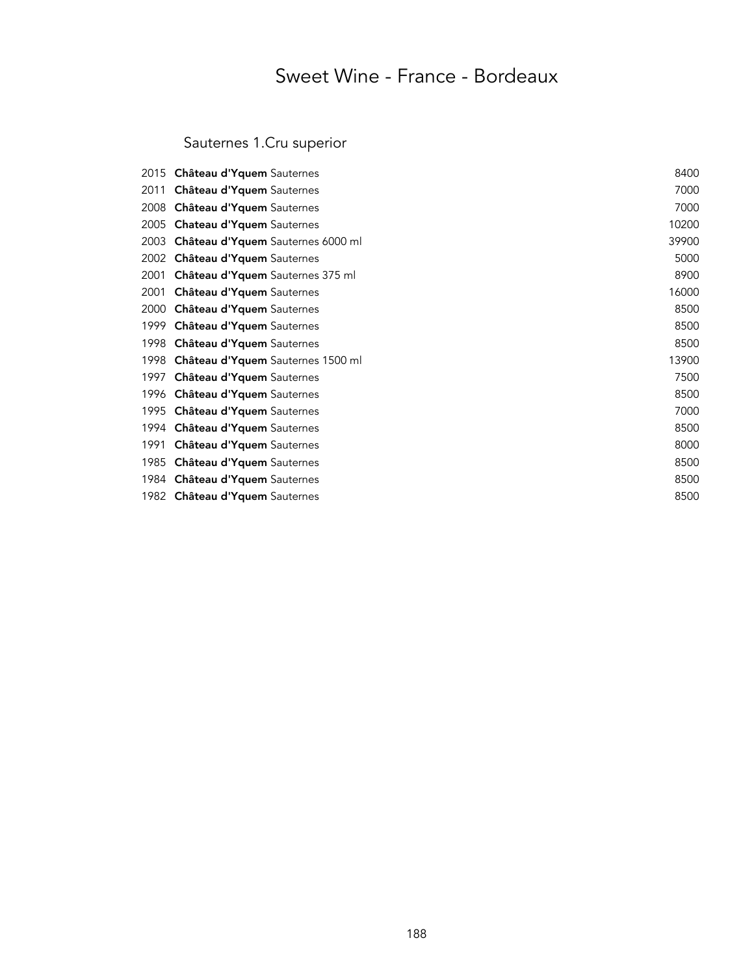# Sweet Wine - France - Bordeaux

# Sauternes 1.Cru superior

| 2015  | Château d'Yquem Sauternes         | 8400  |
|-------|-----------------------------------|-------|
| 2011  | Château d'Yquem Sauternes         | 7000  |
| 2008  | Château d'Yquem Sauternes         | 7000  |
| 2005  | Chateau d'Yquem Sauternes         | 10200 |
| 2003  | Château d'Yquem Sauternes 6000 ml | 39900 |
| 2002  | Château d'Yquem Sauternes         | 5000  |
| 2001  | Château d'Yquem Sauternes 375 ml  | 8900  |
| 2001  | Château d'Yquem Sauternes         | 16000 |
| 2000  | Château d'Yquem Sauternes         | 8500  |
| 1999. | Château d'Yquem Sauternes         | 8500  |
| 1998  | Château d'Yquem Sauternes         | 8500  |
| 1998  | Château d'Yquem Sauternes 1500 ml | 13900 |
| 1997  | Château d'Yquem Sauternes         | 7500  |
| 1996  | Château d'Yquem Sauternes         | 8500  |
| 1995  | Château d'Yquem Sauternes         | 7000  |
| 1994  | Château d'Yquem Sauternes         | 8500  |
| 1991  | Château d'Yquem Sauternes         | 8000  |
| 1985  | Château d'Yquem Sauternes         | 8500  |
| 1984  | Château d'Yquem Sauternes         | 8500  |
|       | 1982 Château d'Yquem Sauternes    | 8500  |
|       |                                   |       |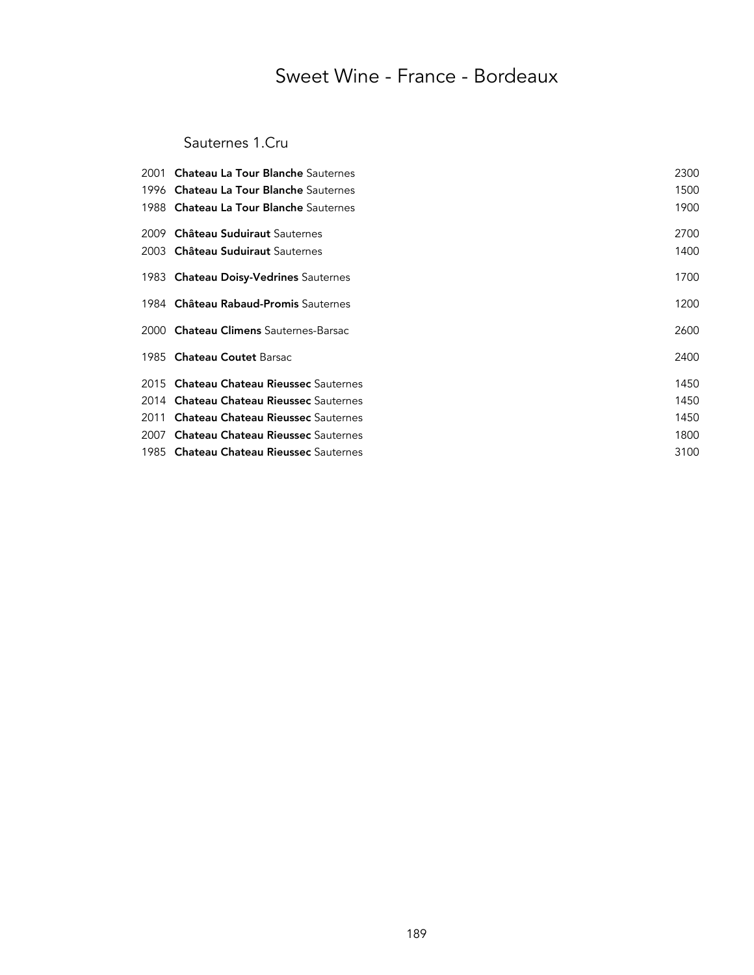# Sweet Wine - France - Bordeaux

### Sauternes 1.Cru

| 2001 Chateau La Tour Blanche Sauternes         | 2300 |
|------------------------------------------------|------|
| 1996 Chateau La Tour Blanche Sauternes         | 1500 |
| 1988 Chateau La Tour Blanche Sauternes         | 1900 |
| 2009 Château Suduiraut Sauternes               | 2700 |
| 2003 Château Suduiraut Sauternes               | 1400 |
| 1983 Chateau Doisy-Vedrines Sauternes          | 1700 |
| 1984 Château Rabaud-Promis Sauternes           | 1200 |
| 2000 Chateau Climens Sauternes-Barsac          | 2600 |
| 1985 Chateau Coutet Barsac                     | 2400 |
| 2015 Chateau Chateau Rieussec Sauternes        | 1450 |
| 2014 Chateau Chateau Rieussec Sauternes        | 1450 |
| 2011 <b>Chateau Chateau Rieussec</b> Sauternes | 1450 |
| 2007 <b>Chateau Chateau Rieussec</b> Sauternes | 1800 |
| 1985 Chateau Chateau Rieussec Sauternes        | 3100 |
|                                                |      |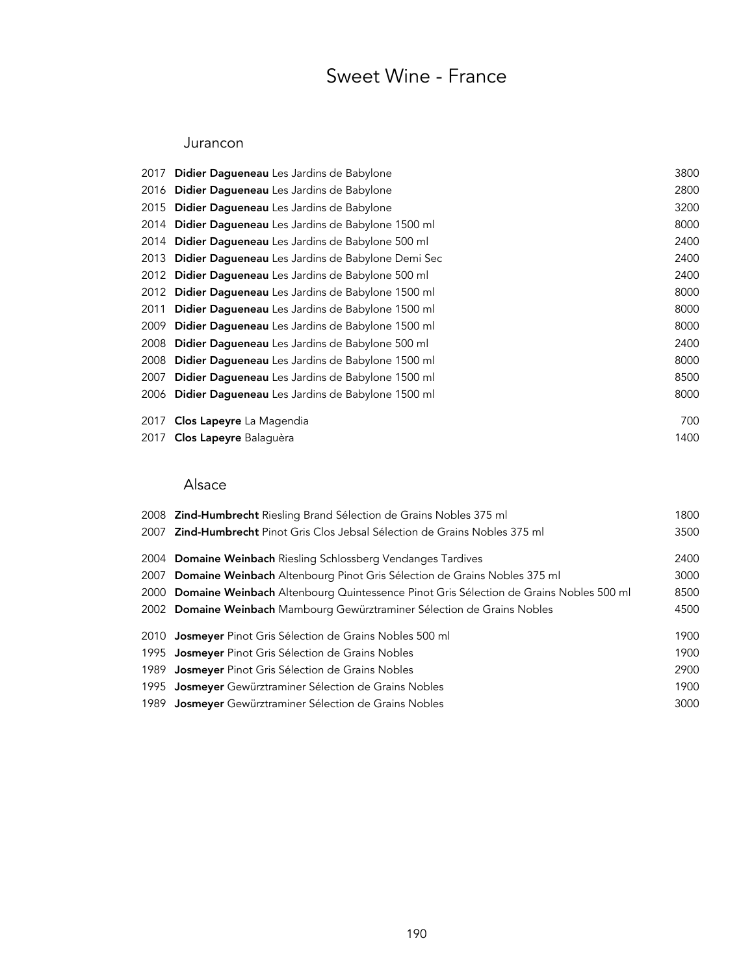# Sweet Wine - France

#### Jurancon

| 2017 Didier Dagueneau Les Jardins de Babylone          | 3800 |
|--------------------------------------------------------|------|
| 2016 Didier Dagueneau Les Jardins de Babylone          | 2800 |
| 2015 Didier Dagueneau Les Jardins de Babylone          | 3200 |
| 2014 Didier Dagueneau Les Jardins de Babylone 1500 ml  | 8000 |
| 2014 Didier Dagueneau Les Jardins de Babylone 500 ml   | 2400 |
| 2013 Didier Dagueneau Les Jardins de Babylone Demi Sec | 2400 |
| 2012 Didier Dagueneau Les Jardins de Babylone 500 ml   | 2400 |
| 2012 Didier Dagueneau Les Jardins de Babylone 1500 ml  | 8000 |
| 2011 Didier Dagueneau Les Jardins de Babylone 1500 ml  | 8000 |
| 2009 Didier Dagueneau Les Jardins de Babylone 1500 ml  | 8000 |
| 2008 Didier Dagueneau Les Jardins de Babylone 500 ml   | 2400 |
| 2008 Didier Dagueneau Les Jardins de Babylone 1500 ml  | 8000 |
| 2007 Didier Dagueneau Les Jardins de Babylone 1500 ml  | 8500 |
| 2006 Didier Dagueneau Les Jardins de Babylone 1500 ml  | 8000 |
| 2017 Clos Lapeyre La Magendia                          | 700  |
| 2017 Clos Lapeyre Balaquèra                            | 1400 |

### Alsace

| 2008 Zind-Humbrecht Riesling Brand Sélection de Grains Nobles 375 ml                       | 1800 |
|--------------------------------------------------------------------------------------------|------|
| 2007 <b>Zind-Humbrecht</b> Pinot Gris Clos Jebsal Sélection de Grains Nobles 375 ml        | 3500 |
| 2004 Domaine Weinbach Riesling Schlossberg Vendanges Tardives                              | 2400 |
| 2007 Domaine Weinbach Altenbourg Pinot Gris Sélection de Grains Nobles 375 ml              | 3000 |
| 2000 Domaine Weinbach Altenbourg Quintessence Pinot Gris Sélection de Grains Nobles 500 ml | 8500 |
| 2002 Domaine Weinbach Mambourg Gewürztraminer Sélection de Grains Nobles                   | 4500 |
| 2010 <b>Josmeyer</b> Pinot Gris Sélection de Grains Nobles 500 ml                          | 1900 |
| 1995 <b>Josmeyer</b> Pinot Gris Sélection de Grains Nobles                                 | 1900 |
| 1989 <b>Josmeyer</b> Pinot Gris Sélection de Grains Nobles                                 | 2900 |
| 1995 <b>Josmeyer</b> Gewürztraminer Sélection de Grains Nobles                             | 1900 |
| 1989 Josmeyer Gewürztraminer Sélection de Grains Nobles                                    | 3000 |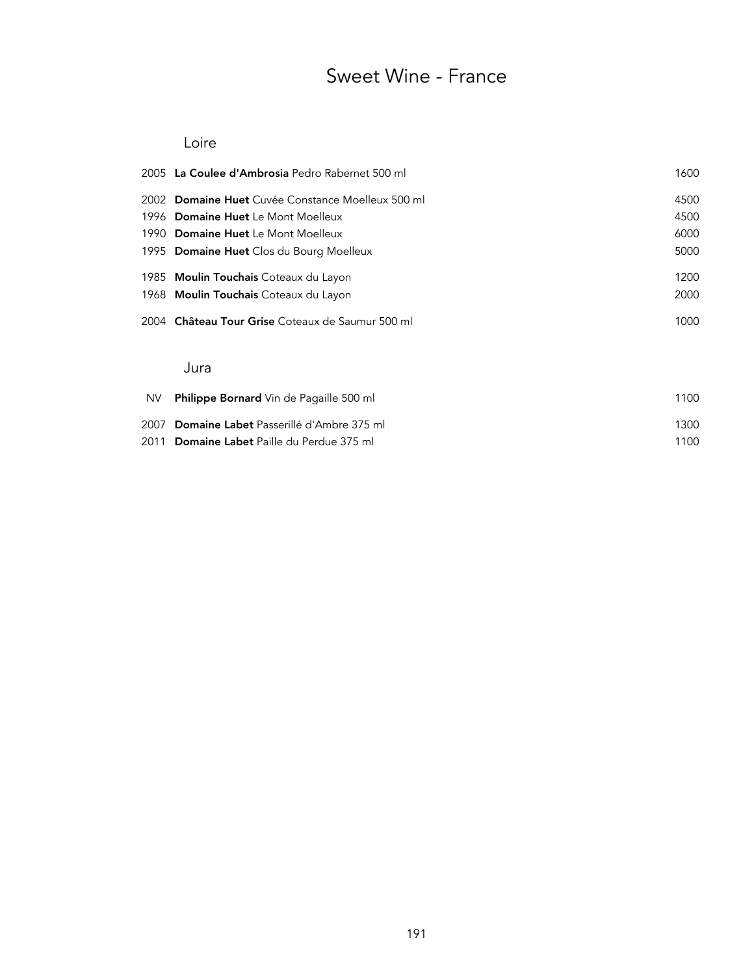# Sweet Wine - France

#### Loire

|           | 2005 La Coulee d'Ambrosia Pedro Rabernet 500 ml   | 1600 |
|-----------|---------------------------------------------------|------|
|           | 2002 Domaine Huet Cuvée Constance Moelleux 500 ml | 4500 |
|           | 1996 Domaine Huet Le Mont Moelleux                | 4500 |
|           | 1990 Domaine Huet Le Mont Moelleux                | 6000 |
|           | 1995 Domaine Huet Clos du Bourg Moelleux          | 5000 |
|           | 1985 <b>Moulin Touchais</b> Coteaux du Layon      | 1200 |
|           | 1968 <b>Moulin Touchais</b> Coteaux du Layon      | 2000 |
|           | 2004 Château Tour Grise Coteaux de Saumur 500 ml  | 1000 |
|           | Jura                                              |      |
| <b>NV</b> | <b>Philippe Bornard</b> Vin de Pagaille 500 ml    | 1100 |

| 2007 Domaine Labet Passerillé d'Ambre 375 ml | 1300 |
|----------------------------------------------|------|
| 2011 Domaine Labet Paille du Perdue 375 ml   | 1100 |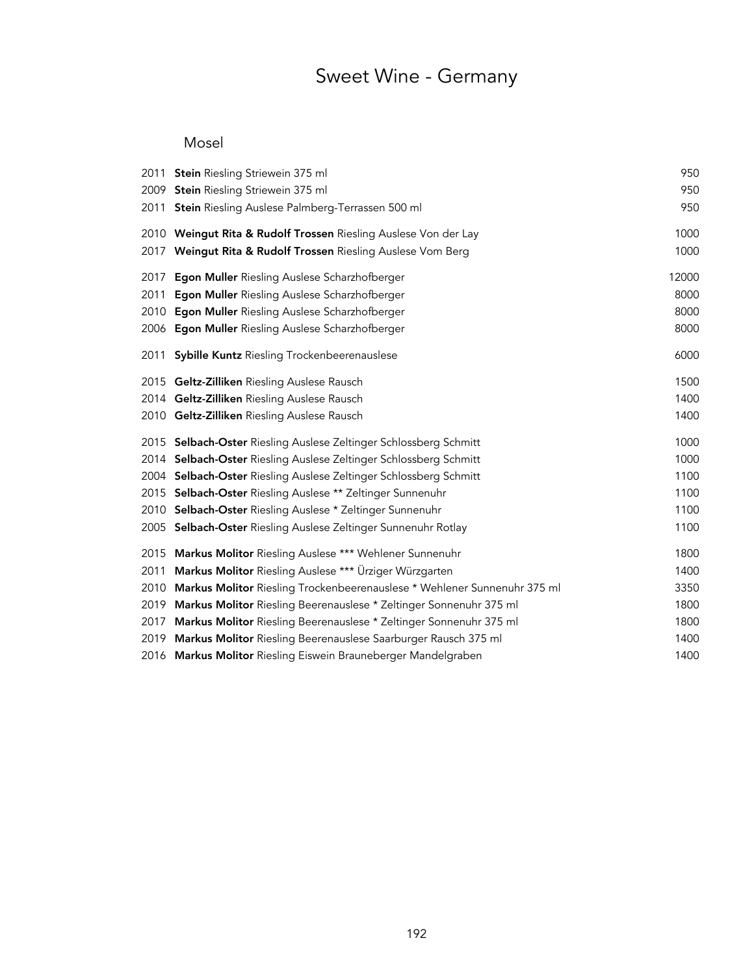# Sweet Wine - Germany

### Mosel

|      | 2011 Stein Riesling Striewein 375 ml                                     | 950   |
|------|--------------------------------------------------------------------------|-------|
| 2009 | Stein Riesling Striewein 375 ml                                          | 950   |
| 2011 | <b>Stein</b> Riesling Auslese Palmberg-Terrassen 500 ml                  | 950   |
|      | 2010 Weingut Rita & Rudolf Trossen Riesling Auslese Von der Lay          | 1000  |
| 2017 | Weingut Rita & Rudolf Trossen Riesling Auslese Vom Berg                  | 1000  |
| 2017 | Egon Muller Riesling Auslese Scharzhofberger                             | 12000 |
| 2011 | Egon Muller Riesling Auslese Scharzhofberger                             | 8000  |
| 2010 | Egon Muller Riesling Auslese Scharzhofberger                             | 8000  |
| 2006 | Egon Muller Riesling Auslese Scharzhofberger                             | 8000  |
| 2011 | <b>Sybille Kuntz Riesling Trockenbeerenauslese</b>                       | 6000  |
|      | 2015 Geltz-Zilliken Riesling Auslese Rausch                              | 1500  |
|      | 2014 Geltz-Zilliken Riesling Auslese Rausch                              | 1400  |
|      | 2010 Geltz-Zilliken Riesling Auslese Rausch                              | 1400  |
|      | 2015 Selbach-Oster Riesling Auslese Zeltinger Schlossberg Schmitt        | 1000  |
|      | 2014 Selbach-Oster Riesling Auslese Zeltinger Schlossberg Schmitt        | 1000  |
| 2004 | Selbach-Oster Riesling Auslese Zeltinger Schlossberg Schmitt             | 1100  |
| 2015 | Selbach-Oster Riesling Auslese ** Zeltinger Sunnenuhr                    | 1100  |
| 2010 | Selbach-Oster Riesling Auslese * Zeltinger Sunnenuhr                     | 1100  |
|      | 2005 Selbach-Oster Riesling Auslese Zeltinger Sunnenuhr Rotlay           | 1100  |
| 2015 | Markus Molitor Riesling Auslese *** Wehlener Sunnenuhr                   | 1800  |
| 2011 | Markus Molitor Riesling Auslese *** Ürziger Würzgarten                   | 1400  |
| 2010 | Markus Molitor Riesling Trockenbeerenauslese * Wehlener Sunnenuhr 375 ml | 3350  |
| 2019 | Markus Molitor Riesling Beerenauslese * Zeltinger Sonnenuhr 375 ml       | 1800  |
| 2017 | Markus Molitor Riesling Beerenauslese * Zeltinger Sonnenuhr 375 ml       | 1800  |
| 2019 | Markus Molitor Riesling Beerenauslese Saarburger Rausch 375 ml           | 1400  |
|      | 2016 Markus Molitor Riesling Eiswein Brauneberger Mandelgraben           | 1400  |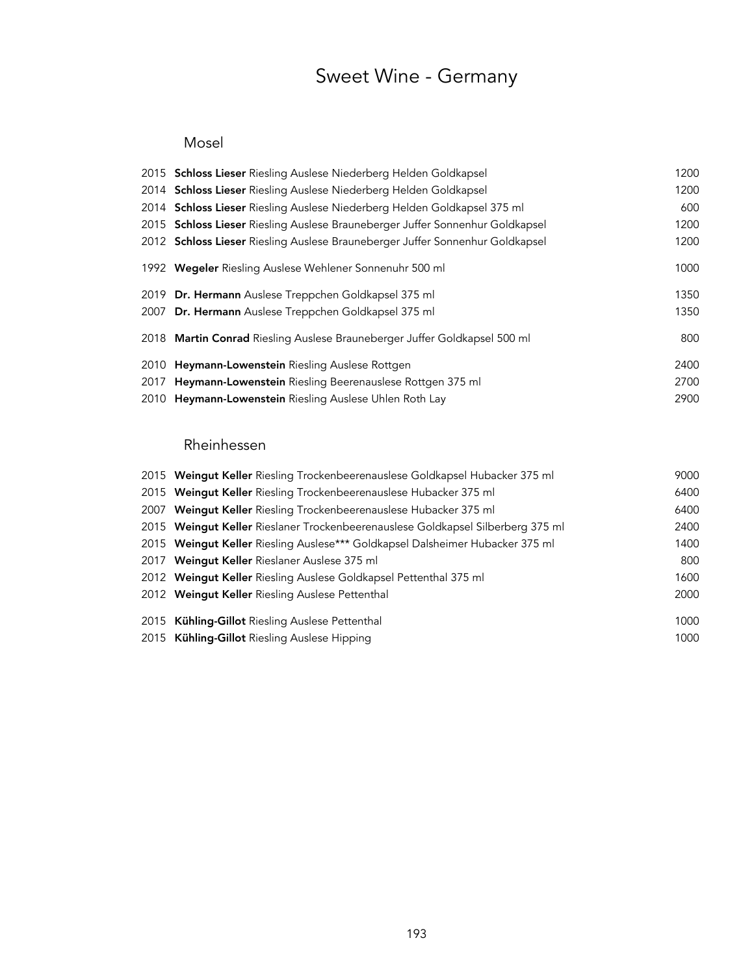# Sweet Wine - Germany

### Mosel

| 2015 Schloss Lieser Riesling Auslese Niederberg Helden Goldkapsel             | 1200 |
|-------------------------------------------------------------------------------|------|
| 2014 Schloss Lieser Riesling Auslese Niederberg Helden Goldkapsel             | 1200 |
| 2014 Schloss Lieser Riesling Auslese Niederberg Helden Goldkapsel 375 ml      | 600  |
| 2015 Schloss Lieser Riesling Auslese Brauneberger Juffer Sonnenhur Goldkapsel | 1200 |
| 2012 Schloss Lieser Riesling Auslese Brauneberger Juffer Sonnenhur Goldkapsel | 1200 |
| 1992 Wegeler Riesling Auslese Wehlener Sonnenuhr 500 ml                       | 1000 |
| 2019 Dr. Hermann Auslese Treppchen Goldkapsel 375 ml                          | 1350 |
| 2007 Dr. Hermann Auslese Treppchen Goldkapsel 375 ml                          | 1350 |
| 2018 Martin Conrad Riesling Auslese Brauneberger Juffer Goldkapsel 500 ml     | 800  |
| 2010 Heymann-Lowenstein Riesling Auslese Rottgen                              | 2400 |
| 2017 Heymann-Lowenstein Riesling Beerenauslese Rottgen 375 ml                 | 2700 |
| 2010 Heymann-Lowenstein Riesling Auslese Uhlen Roth Lay                       | 2900 |

### Rheinhessen

| 2015 Weingut Keller Riesling Trockenbeerenauslese Goldkapsel Hubacker 375 ml    | 9000 |
|---------------------------------------------------------------------------------|------|
| 2015 Weingut Keller Riesling Trockenbeerenauslese Hubacker 375 ml               | 6400 |
| 2007 Weingut Keller Riesling Trockenbeerenauslese Hubacker 375 ml               | 6400 |
| 2015 Weingut Keller Rieslaner Trockenbeerenauslese Goldkapsel Silberberg 375 ml | 2400 |
| 2015 Weingut Keller Riesling Auslese*** Goldkapsel Dalsheimer Hubacker 375 ml   | 1400 |
| 2017 Weinqut Keller Rieslaner Auslese 375 ml                                    | 800  |
| 2012 Weingut Keller Riesling Auslese Goldkapsel Pettenthal 375 ml               | 1600 |
| 2012 Weingut Keller Riesling Auslese Pettenthal                                 | 2000 |
| 2015 Kühling-Gillot Riesling Auslese Pettenthal                                 | 1000 |
| 2015 Kühling-Gillot Riesling Auslese Hipping                                    | 1000 |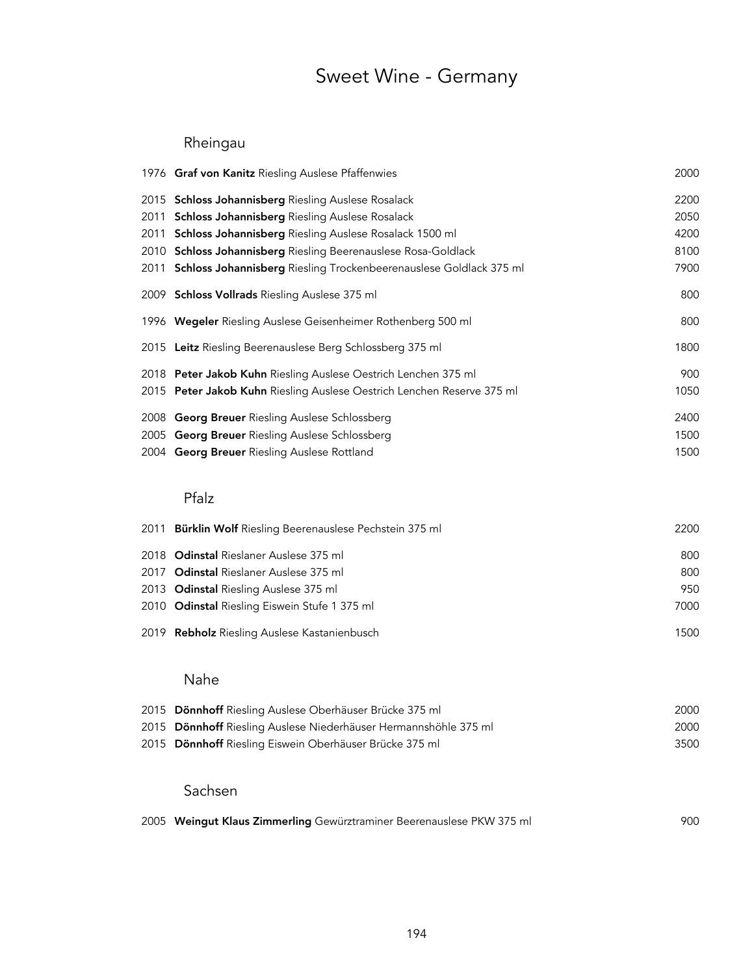# Sweet Wine - Germany

### Rheingau

|                      | 1976 Graf von Kanitz Riesling Auslese Pfaffenwies                                                                                                          | 2000                 |
|----------------------|------------------------------------------------------------------------------------------------------------------------------------------------------------|----------------------|
| 2015<br>2011<br>2011 | Schloss Johannisberg Riesling Auslese Rosalack<br>Schloss Johannisberg Riesling Auslese Rosalack<br>Schloss Johannisberg Riesling Auslese Rosalack 1500 ml | 2200<br>2050<br>4200 |
|                      | 2010 Schloss Johannisberg Riesling Beerenauslese Rosa-Goldlack                                                                                             | 8100                 |
| 2011                 | Schloss Johannisberg Riesling Trockenbeerenauslese Goldlack 375 ml                                                                                         | 7900                 |
|                      | 2009 Schloss Vollrads Riesling Auslese 375 ml                                                                                                              | 800                  |
|                      | 1996 Wegeler Riesling Auslese Geisenheimer Rothenberg 500 ml                                                                                               | 800                  |
|                      | 2015 Leitz Riesling Beerenauslese Berg Schlossberg 375 ml                                                                                                  | 1800                 |
|                      | 2018 Peter Jakob Kuhn Riesling Auslese Oestrich Lenchen 375 ml                                                                                             | 900                  |
|                      | 2015 Peter Jakob Kuhn Riesling Auslese Oestrich Lenchen Reserve 375 ml                                                                                     | 1050                 |
|                      | 2008 Georg Breuer Riesling Auslese Schlossberg                                                                                                             | 2400                 |
|                      | 2005 Georg Breuer Riesling Auslese Schlossberg                                                                                                             | 1500                 |
|                      | 2004 Georg Breuer Riesling Auslese Rottland                                                                                                                | 1500                 |
|                      | Pfalz                                                                                                                                                      |                      |
| 2011                 | Bürklin Wolf Riesling Beerenauslese Pechstein 375 ml                                                                                                       | 2200                 |
|                      | 2018 Odinstal Rieslaner Auslese 375 ml                                                                                                                     | 800                  |
| 2017                 | Odinstal Rieslaner Auslese 375 ml                                                                                                                          | 800                  |
|                      | 2013 Odinstal Riesling Auslese 375 ml                                                                                                                      | 950                  |
|                      | 2010 Odinstal Riesling Eiswein Stufe 1 375 ml                                                                                                              | 7000                 |
|                      | 2019 Rebholz Riesling Auslese Kastanienbusch                                                                                                               | 1500                 |
|                      | Nahe                                                                                                                                                       |                      |
|                      | 2015 Dönnhoff Riesling Auslese Oberhäuser Brücke 375 ml                                                                                                    | 2000                 |
|                      | 2015 Dönnhoff Riesling Auslese Niederhäuser Hermannshöhle 375 ml                                                                                           | 2000                 |
| 2015                 | Dönnhoff Riesling Eiswein Oberhäuser Brücke 375 ml                                                                                                         | 3500                 |
|                      | Sachsen                                                                                                                                                    |                      |
|                      | 2005 Weingut Klaus Zimmerling Gewürztraminer Beerenauslese PKW 375 ml                                                                                      | 900                  |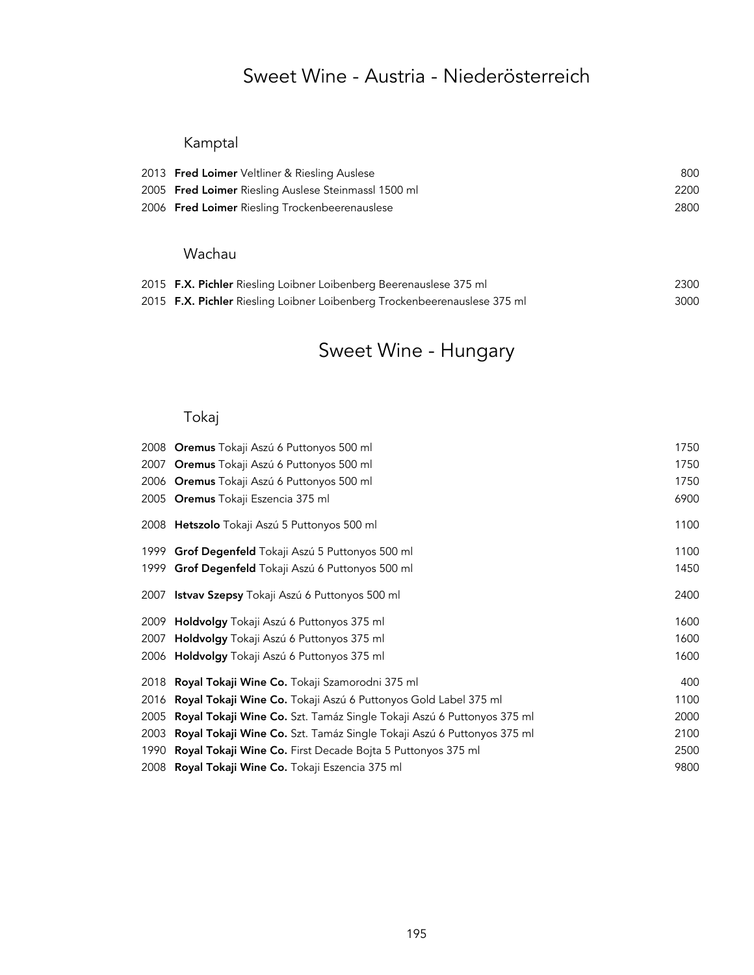## Sweet Wine - Austria - Niederösterreich

### Kamptal

| 2013 Fred Loimer Veltliner & Riesling Auslese        | 800  |
|------------------------------------------------------|------|
| 2005 Fred Loimer Riesling Auslese Steinmassl 1500 ml | 2200 |
| 2006 Fred Loimer Riesling Trockenbeerenauslese       | 2800 |

### Wachau

| 2015 F.X. Pichler Riesling Loibner Loibenberg Beerenauslese 375 ml        | 2300 |
|---------------------------------------------------------------------------|------|
| 2015 F.X. Pichler Riesling Loibner Loibenberg Trockenbeerenauslese 375 ml | 3000 |

# Sweet Wine - Hungary

## Tokaj

|      | 2008 <b>Oremus</b> Tokaji Aszú 6 Puttonyos 500 ml                             | 1750 |
|------|-------------------------------------------------------------------------------|------|
| 2007 | Oremus Tokaji Aszú 6 Puttonyos 500 ml                                         | 1750 |
|      | 2006 <b>Oremus</b> Tokaji Aszú 6 Puttonyos 500 ml                             | 1750 |
|      | 2005 Oremus Tokaji Eszencia 375 ml                                            | 6900 |
|      | 2008 Hetszolo Tokaji Aszú 5 Puttonyos 500 ml                                  | 1100 |
| 1999 | Grof Degenfeld Tokaji Aszú 5 Puttonyos 500 ml                                 | 1100 |
| 1999 | Grof Degenfeld Tokaji Aszú 6 Puttonyos 500 ml                                 | 1450 |
| 2007 | <b>Istvav Szepsy</b> Tokaji Aszú 6 Puttonyos 500 ml                           | 2400 |
| 2009 | <b>Holdvolgy</b> Tokaji Aszú 6 Puttonyos 375 ml                               | 1600 |
| 2007 | <b>Holdvolgy</b> Tokaji Aszú 6 Puttonyos 375 ml                               | 1600 |
|      | 2006 <b>Holdvolgy</b> Tokaji Aszú 6 Puttonyos 375 ml                          | 1600 |
| 2018 | <b>Royal Tokaji Wine Co.</b> Tokaji Szamorodni 375 ml                         | 400  |
| 2016 | <b>Royal Tokaji Wine Co.</b> Tokaji Aszú 6 Puttonyos Gold Label 375 ml        | 1100 |
| 2005 | <b>Royal Tokaji Wine Co.</b> Szt. Tamáz Single Tokaji Aszú 6 Puttonyos 375 ml | 2000 |
| 2003 | Royal Tokaji Wine Co. Szt. Tamáz Single Tokaji Aszú 6 Puttonyos 375 ml        | 2100 |
| 1990 | Royal Tokaji Wine Co. First Decade Bojta 5 Puttonyos 375 ml                   | 2500 |
|      | 2008 Royal Tokaji Wine Co. Tokaji Eszencia 375 ml                             | 9800 |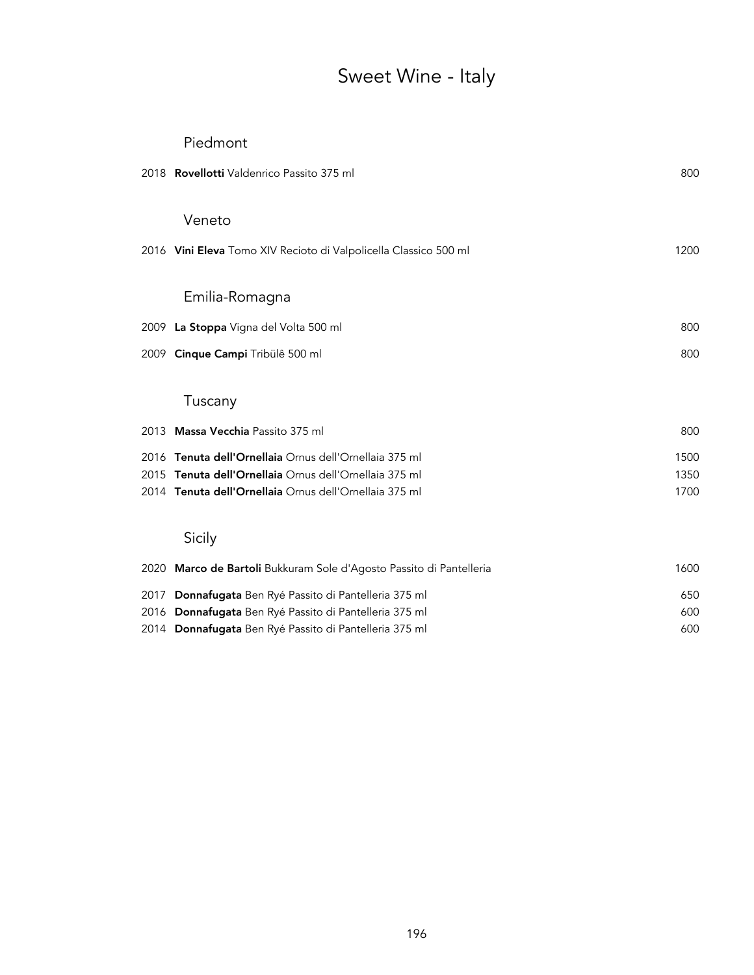# Sweet Wine - Italy

|      | Piedmont                                                            |      |
|------|---------------------------------------------------------------------|------|
|      | 2018 Rovellotti Valdenrico Passito 375 ml                           | 800  |
|      | Veneto                                                              |      |
|      |                                                                     |      |
|      | 2016 Vini Eleva Tomo XIV Recioto di Valpolicella Classico 500 ml    | 1200 |
|      | Emilia-Romagna                                                      |      |
|      |                                                                     |      |
|      | 2009 La Stoppa Vigna del Volta 500 ml                               | 800  |
| 2009 | Cinque Campi Tribülê 500 ml                                         | 800  |
|      |                                                                     |      |
|      | Tuscany                                                             |      |
|      | 2013 Massa Vecchia Passito 375 ml                                   | 800  |
|      | 2016 Tenuta dell'Ornellaia Ornus dell'Ornellaia 375 ml              | 1500 |
|      | 2015 Tenuta dell'Ornellaia Ornus dell'Ornellaia 375 ml              | 1350 |
|      | 2014 Tenuta dell'Ornellaia Ornus dell'Ornellaia 375 ml              | 1700 |
|      | Sicily                                                              |      |
|      | 2020 Marco de Bartoli Bukkuram Sole d'Agosto Passito di Pantelleria | 1600 |
| 2017 | Donnafugata Ben Ryé Passito di Pantelleria 375 ml                   | 650  |
|      | 2016 Donnafugata Ben Ryé Passito di Pantelleria 375 ml              | 600  |

2014 Donnafugata Ben Ryé Passito di Pantelleria 375 ml<br>600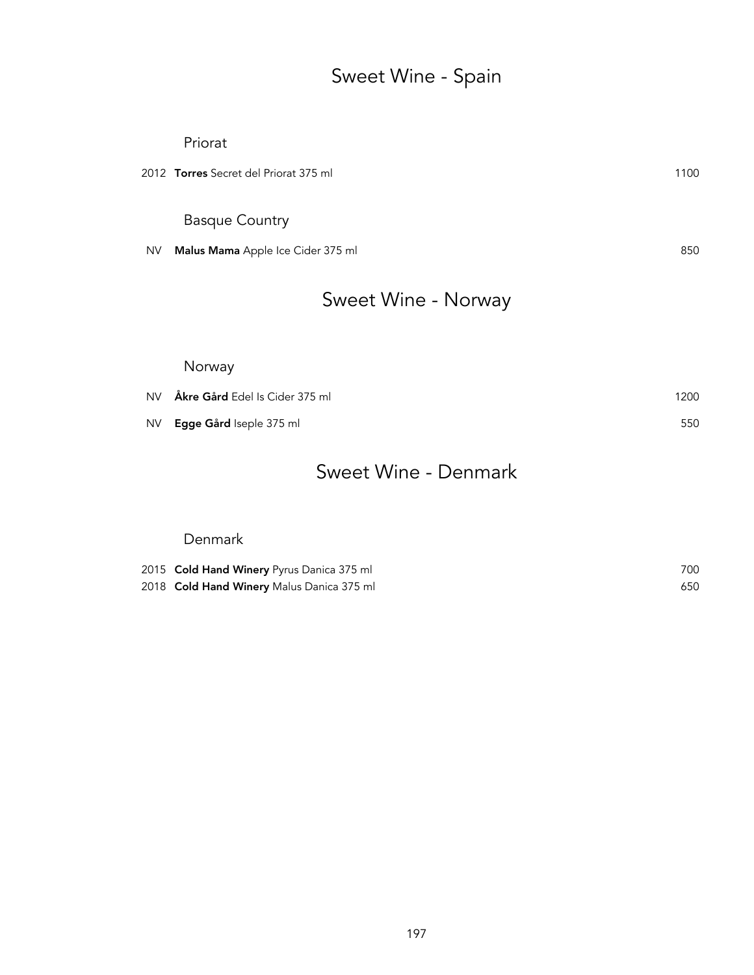# Sweet Wine - Spain

|           | Priorat                                      |      |
|-----------|----------------------------------------------|------|
|           | 2012 <b>Torres</b> Secret del Priorat 375 ml | 1100 |
|           |                                              |      |
|           | <b>Basque Country</b>                        |      |
| <b>NV</b> | Malus Mama Apple Ice Cider 375 ml            | 850  |
|           |                                              |      |
|           |                                              |      |

# Sweet Wine - Norway

### Norway

| NV Åkre Gård Edel Is Cider 375 ml | 1200 |
|-----------------------------------|------|
| NV Egge Gård Iseple 375 ml        | 550  |

# Sweet Wine - Denmark

### Denmark

| 2015 Cold Hand Winery Pyrus Danica 375 ml | 700 |
|-------------------------------------------|-----|
| 2018 Cold Hand Winery Malus Danica 375 ml | 650 |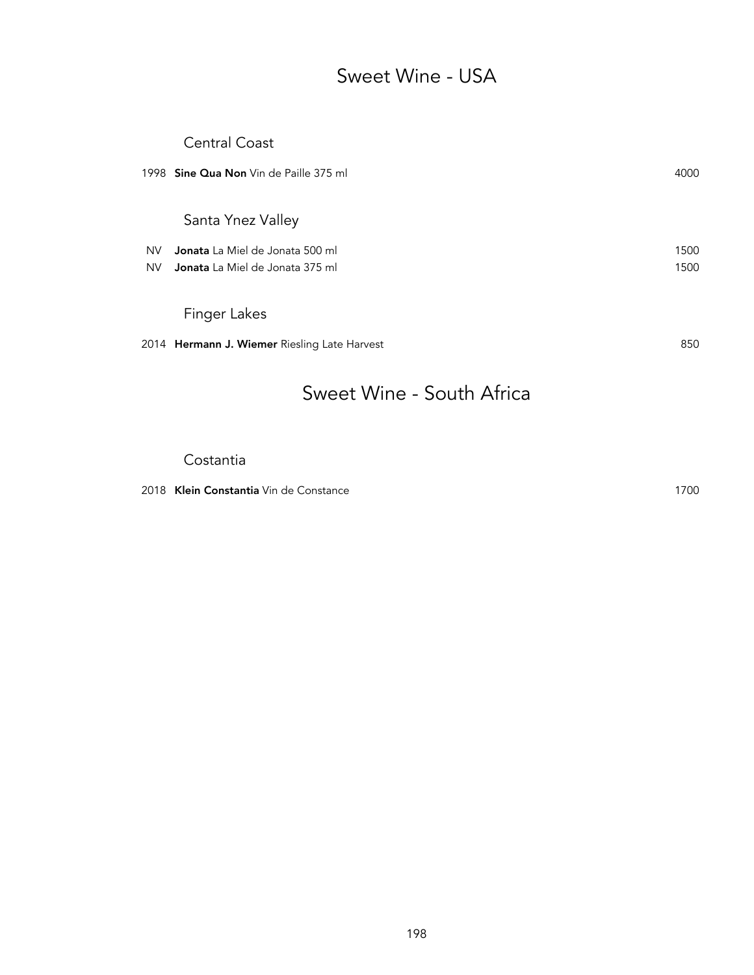# Sweet Wine - USA

### Central Coast

|           | 1998 Sine Qua Non Vin de Paille 375 ml              | 4000 |
|-----------|-----------------------------------------------------|------|
|           | Santa Ynez Valley                                   |      |
| <b>NV</b> | <b>Jonata</b> La Miel de Jonata 500 ml              | 1500 |
| <b>NV</b> | <b>Jonata</b> La Miel de Jonata 375 ml              | 1500 |
|           |                                                     |      |
|           | Finger Lakes                                        |      |
|           | 2014 <b>Hermann J. Wiemer</b> Riesling Late Harvest | 850  |
|           |                                                     |      |

## Sweet Wine - South Africa

#### Costantia

2018 Klein Constantia Vin de Constance 1700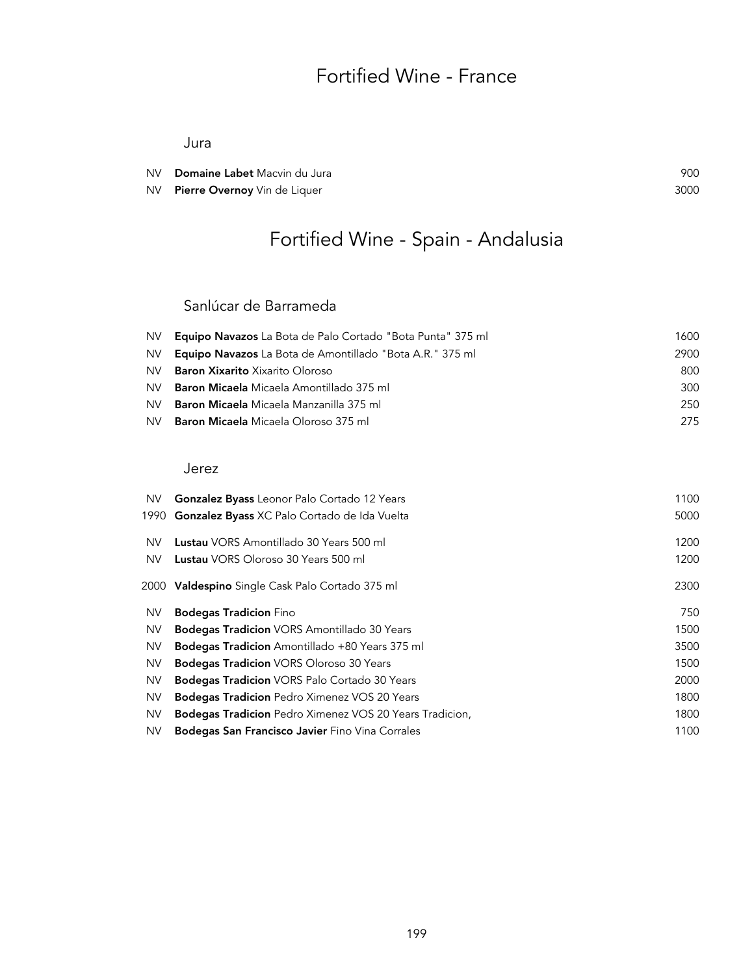# Fortified Wine - France

Jura

| NV Domaine Labet Macvin du Jura | 900  |
|---------------------------------|------|
| NV Pierre Overnoy Vin de Liquer | 3000 |

# Fortified Wine - Spain - Andalusia

### Sanlúcar de Barrameda

|      | NV <b>Equipo Navazos</b> La Bota de Palo Cortado "Bota Punta" 375 ml | 1600 |
|------|----------------------------------------------------------------------|------|
| NV I | <b>Equipo Navazos</b> La Bota de Amontillado "Bota A.R." 375 ml      | 2900 |
| NV.  | <b>Baron Xixarito</b> Xixarito Oloroso                               | 800  |
| NV.  | <b>Baron Micaela</b> Micaela Amontillado 375 ml                      | 300  |
| NV.  | <b>Baron Micaela</b> Micaela Manzanilla 375 ml                       | 250  |
| NV.  | <b>Baron Micaela</b> Micaela Oloroso 375 ml                          | 275  |

#### Jerez

| <b>Gonzalez Byass</b> Leonor Palo Cortado 12 Years<br><b>Gonzalez Byass XC Palo Cortado de Ida Vuelta</b><br>1990 | 1100<br>5000 |
|-------------------------------------------------------------------------------------------------------------------|--------------|
| <b>Lustau</b> VORS Amontillado 30 Years 500 ml<br><b>Lustau</b> VORS Oloroso 30 Years 500 ml                      | 1200<br>1200 |
| 2000 Valdespino Single Cask Palo Cortado 375 ml                                                                   | 2300         |
| <b>Bodegas Tradicion Fino</b>                                                                                     | 750          |
| <b>Bodegas Tradicion VORS Amontillado 30 Years</b>                                                                | 1500         |
| <b>Bodegas Tradicion</b> Amontillado +80 Years 375 ml                                                             | 3500         |
| <b>Bodegas Tradicion</b> VORS Oloroso 30 Years                                                                    | 1500         |
| <b>Bodegas Tradicion VORS Palo Cortado 30 Years</b>                                                               | 2000         |
| <b>Bodegas Tradicion</b> Pedro Ximenez VOS 20 Years                                                               | 1800         |
| <b>Bodegas Tradicion</b> Pedro Ximenez VOS 20 Years Tradicion,                                                    | 1800         |
| <b>Bodegas San Francisco Javier</b> Fino Vina Corrales                                                            | 1100         |
|                                                                                                                   |              |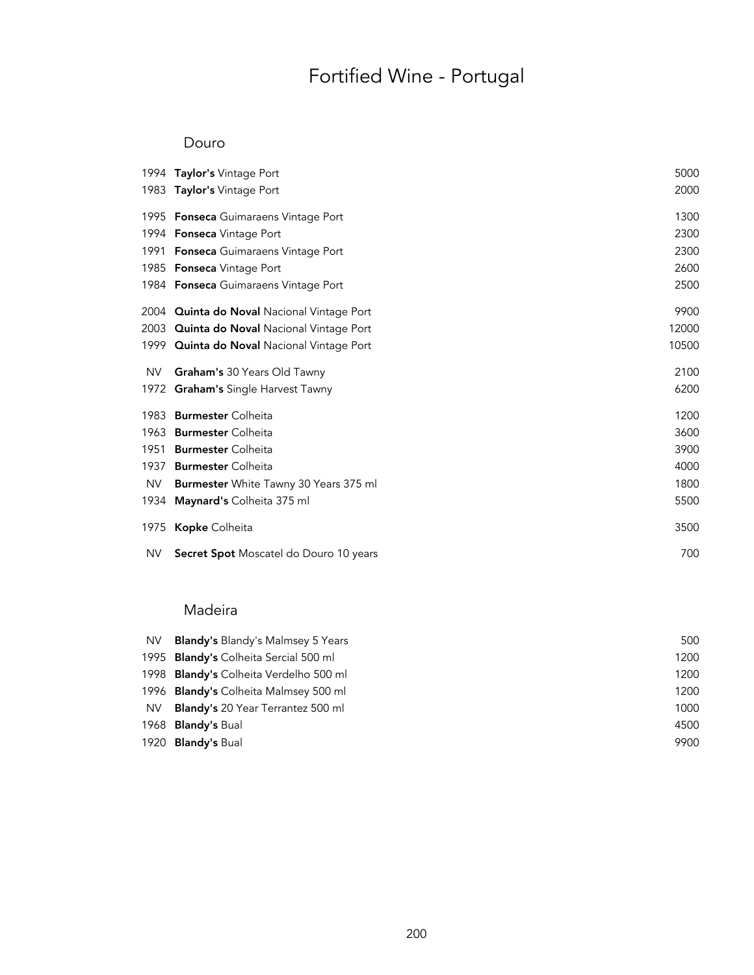# Fortified Wine - Portugal

#### Douro

|           | 1994 Taylor's Vintage Port                        | 5000  |
|-----------|---------------------------------------------------|-------|
|           | 1983 Taylor's Vintage Port                        | 2000  |
|           | 1995 Fonseca Guimaraens Vintage Port              | 1300  |
|           | 1994 Fonseca Vintage Port                         | 2300  |
|           | 1991 Fonseca Guimaraens Vintage Port              | 2300  |
|           | 1985 Fonseca Vintage Port                         | 2600  |
|           | 1984 Fonseca Guimaraens Vintage Port              | 2500  |
|           | 2004 <b>Quinta do Noval</b> Nacional Vintage Port | 9900  |
|           | 2003 <b>Quinta do Noval</b> Nacional Vintage Port | 12000 |
|           | 1999 Quinta do Noval Nacional Vintage Port        | 10500 |
| <b>NV</b> | Graham's 30 Years Old Tawny                       | 2100  |
|           | 1972 <b>Graham's</b> Single Harvest Tawny         | 6200  |
| 1983      | <b>Burmester</b> Colheita                         | 1200  |
|           | 1963 Burmester Colheita                           | 3600  |
| 1951      | <b>Burmester Colheita</b>                         | 3900  |
| 1937      | <b>Burmester</b> Colheita                         | 4000  |
| <b>NV</b> | Burmester White Tawny 30 Years 375 ml             | 1800  |
|           | 1934 Maynard's Colheita 375 ml                    | 5500  |
|           | 1975 Kopke Colheita                               | 3500  |
| NV.       | Secret Spot Moscatel do Douro 10 years            | 700   |

### Madeira

| <b>NV</b> | <b>Blandy's Blandy's Malmsey 5 Years</b> | 500  |
|-----------|------------------------------------------|------|
|           | 1995 Blandy's Colheita Sercial 500 ml    | 1200 |
|           | 1998 Blandy's Colheita Verdelho 500 ml   | 1200 |
|           | 1996 Blandy's Colheita Malmsey 500 ml    | 1200 |
| <b>NV</b> | <b>Blandy's 20 Year Terrantez 500 ml</b> | 1000 |
|           | 1968 <b>Blandy's Bual</b>                | 4500 |
|           | 1920 Blandy's Bual                       | 9900 |